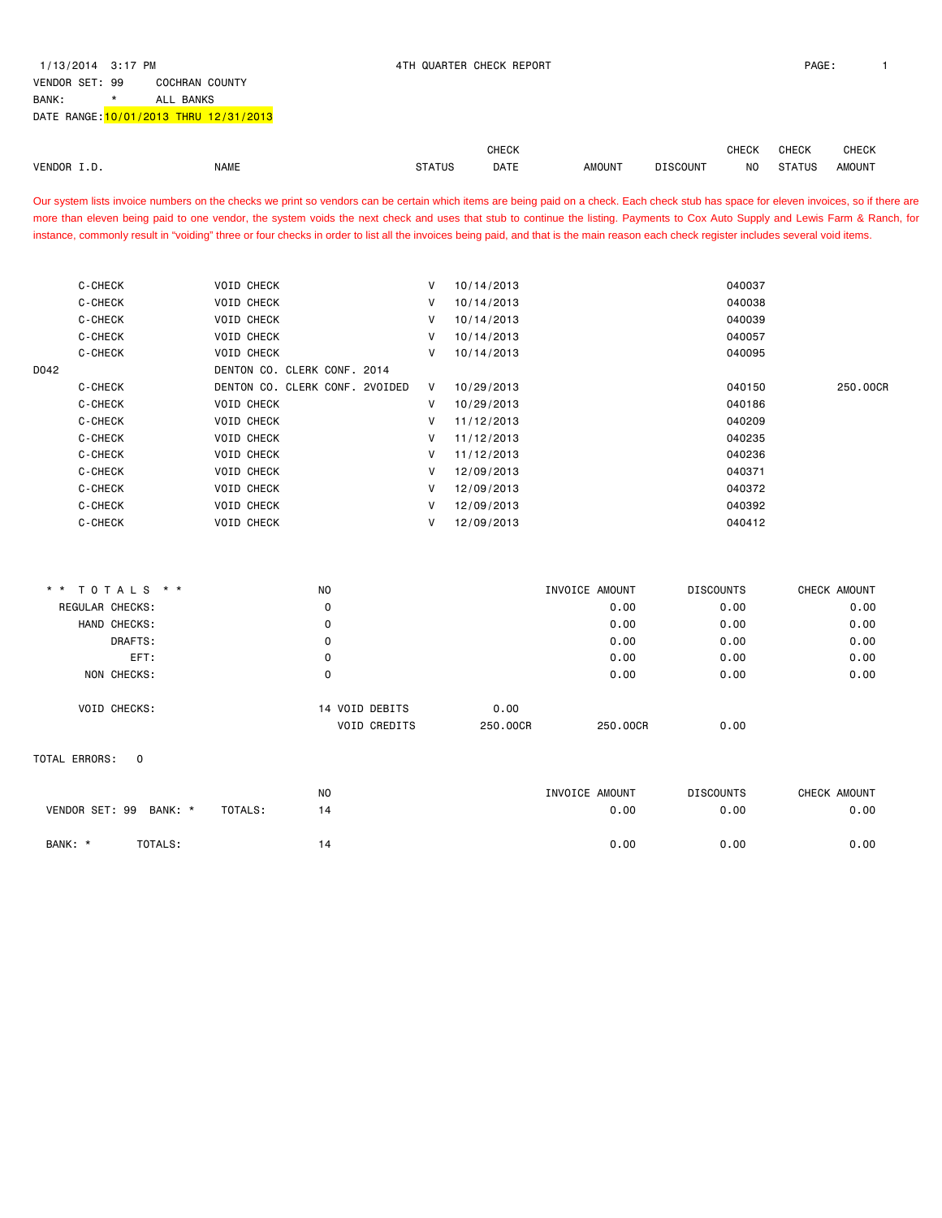BANK: \* ALL BANKS

|                              |                                                                                                                                                                                         |               | <b>CHECK</b> |                |                 | <b>CHECK</b>     | CHECK         | <b>CHECK</b>  |
|------------------------------|-----------------------------------------------------------------------------------------------------------------------------------------------------------------------------------------|---------------|--------------|----------------|-----------------|------------------|---------------|---------------|
| VENDOR I.D.                  | <b>NAME</b>                                                                                                                                                                             | <b>STATUS</b> | DATE         | <b>AMOUNT</b>  | <b>DISCOUNT</b> | N <sub>O</sub>   | <b>STATUS</b> | <b>AMOUNT</b> |
|                              | Our system lists invoice numbers on the checks we print so vendors can be certain which items are being paid on a check. Each check stub has space for eleven invoices, so if there are |               |              |                |                 |                  |               |               |
|                              | more than eleven being paid to one vendor, the system voids the next check and uses that stub to continue the listing. Payments to Cox Auto Supply and Lewis Farm & Ranch, for          |               |              |                |                 |                  |               |               |
|                              | instance, commonly result in "voiding" three or four checks in order to list all the invoices being paid, and that is the main reason each check register includes several void items.  |               |              |                |                 |                  |               |               |
|                              |                                                                                                                                                                                         |               |              |                |                 |                  |               |               |
|                              |                                                                                                                                                                                         |               |              |                |                 |                  |               |               |
| C-CHECK                      | <b>VOID CHECK</b>                                                                                                                                                                       | V             | 10/14/2013   |                |                 | 040037           |               |               |
| C-CHECK                      | <b>VOID CHECK</b>                                                                                                                                                                       | $\mathsf{V}$  | 10/14/2013   |                |                 | 040038           |               |               |
| C-CHECK                      | <b>VOID CHECK</b>                                                                                                                                                                       | V             | 10/14/2013   |                |                 | 040039           |               |               |
| C-CHECK                      | <b>VOID CHECK</b>                                                                                                                                                                       | V             | 10/14/2013   |                |                 | 040057           |               |               |
| C-CHECK                      | <b>VOID CHECK</b>                                                                                                                                                                       | $\mathsf{V}$  | 10/14/2013   |                |                 | 040095           |               |               |
| D042                         | DENTON CO. CLERK CONF. 2014                                                                                                                                                             |               |              |                |                 |                  |               |               |
| C-CHECK                      | DENTON CO. CLERK CONF. 2VOIDED                                                                                                                                                          | $\mathsf{V}$  | 10/29/2013   |                |                 | 040150           |               | 250.00CR      |
| C-CHECK                      | <b>VOID CHECK</b>                                                                                                                                                                       | V             | 10/29/2013   |                |                 | 040186           |               |               |
| C-CHECK                      | <b>VOID CHECK</b>                                                                                                                                                                       | V             | 11/12/2013   |                |                 | 040209           |               |               |
| C-CHECK                      | <b>VOID CHECK</b>                                                                                                                                                                       | V             | 11/12/2013   |                |                 | 040235           |               |               |
| C-CHECK                      | <b>VOID CHECK</b>                                                                                                                                                                       | $\mathsf{V}$  | 11/12/2013   |                |                 | 040236           |               |               |
| C-CHECK                      | <b>VOID CHECK</b>                                                                                                                                                                       | $\mathsf{V}$  | 12/09/2013   |                |                 | 040371           |               |               |
| C-CHECK                      | <b>VOID CHECK</b>                                                                                                                                                                       | $\mathsf{V}$  | 12/09/2013   |                |                 | 040372           |               |               |
| C-CHECK                      | <b>VOID CHECK</b>                                                                                                                                                                       | $\mathsf{V}$  | 12/09/2013   |                |                 | 040392           |               |               |
| C-CHECK                      | <b>VOID CHECK</b>                                                                                                                                                                       | V             | 12/09/2013   |                |                 | 040412           |               |               |
|                              |                                                                                                                                                                                         |               |              |                |                 |                  |               |               |
| TOTALS * *                   | <b>NO</b>                                                                                                                                                                               |               |              | INVOICE AMOUNT |                 | <b>DISCOUNTS</b> |               | CHECK AMOUNT  |
| REGULAR CHECKS:              | $\mathbf 0$                                                                                                                                                                             |               |              | 0.00           |                 | 0.00             |               | 0.00          |
| HAND CHECKS:                 | $\mathbf 0$                                                                                                                                                                             |               |              | 0.00           |                 | 0.00             |               | 0.00          |
| DRAFTS:                      | $\mathbf 0$                                                                                                                                                                             |               |              | 0.00           |                 | 0.00             |               | 0.00          |
| EFT:                         | 0                                                                                                                                                                                       |               |              | 0.00           |                 | 0.00             |               | 0.00          |
| NON CHECKS:                  | 0                                                                                                                                                                                       |               |              | 0.00           |                 | 0.00             |               | 0.00          |
| VOID CHECKS:                 | 14 VOID DEBITS                                                                                                                                                                          |               | 0.00         |                |                 |                  |               |               |
|                              | VOID CREDITS                                                                                                                                                                            |               | 250.00CR     | 250.00CR       |                 | 0.00             |               |               |
|                              |                                                                                                                                                                                         |               |              |                |                 |                  |               |               |
| TOTAL ERRORS:<br>$\mathbf 0$ |                                                                                                                                                                                         |               |              |                |                 |                  |               |               |
|                              | NO                                                                                                                                                                                      |               |              | INVOICE AMOUNT |                 | <b>DISCOUNTS</b> |               | CHECK AMOUNT  |
| VENDOR SET: 99<br>BANK: *    | TOTALS:<br>14                                                                                                                                                                           |               |              | 0.00           |                 | 0.00             |               | 0.00          |
| BANK: *<br>TOTALS:           | 14                                                                                                                                                                                      |               |              | 0.00           |                 | 0.00             |               | 0.00          |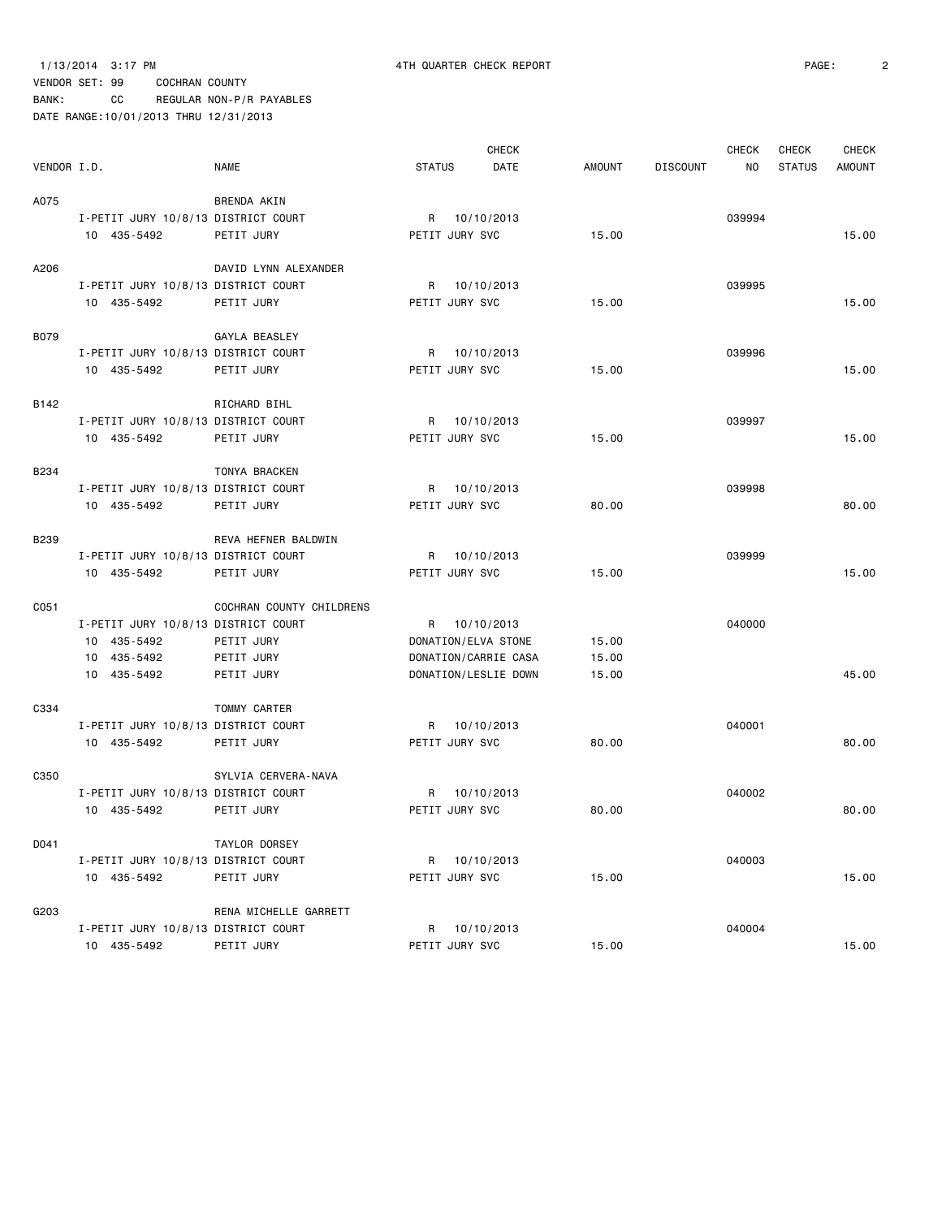1/13/2014 3:17 PM 4TH QUARTER CHECK REPORT PAGE: 2

|             |                                     |                          |                     | <b>CHECK</b>         |               |                 | <b>CHECK</b> | <b>CHECK</b>  | CHECK         |
|-------------|-------------------------------------|--------------------------|---------------------|----------------------|---------------|-----------------|--------------|---------------|---------------|
| VENDOR I.D. |                                     | <b>NAME</b>              | <b>STATUS</b>       | DATE                 | <b>AMOUNT</b> | <b>DISCOUNT</b> | NO           | <b>STATUS</b> | <b>AMOUNT</b> |
| A075        |                                     | BRENDA AKIN              |                     |                      |               |                 |              |               |               |
|             | I-PETIT JURY 10/8/13 DISTRICT COURT |                          |                     | R 10/10/2013         |               |                 | 039994       |               |               |
|             | 10 435-5492                         | PETIT JURY               | PETIT JURY SVC      |                      | 15.00         |                 |              |               | 15.00         |
|             |                                     |                          |                     |                      |               |                 |              |               |               |
| A206        |                                     | DAVID LYNN ALEXANDER     |                     |                      |               |                 |              |               |               |
|             | I-PETIT JURY 10/8/13 DISTRICT COURT |                          |                     | R 10/10/2013         |               |                 | 039995       |               |               |
|             | 10 435-5492                         | PETIT JURY               | PETIT JURY SVC      |                      | 15.00         |                 |              |               | 15.00         |
|             |                                     |                          |                     |                      |               |                 |              |               |               |
| B079        | I-PETIT JURY 10/8/13 DISTRICT COURT | GAYLA BEASLEY            |                     |                      |               |                 | 039996       |               |               |
|             |                                     |                          |                     | R 10/10/2013         |               |                 |              |               |               |
|             | 10 435-5492                         | PETIT JURY               | PETIT JURY SVC      |                      | 15.00         |                 |              |               | 15.00         |
| B142        |                                     | RICHARD BIHL             |                     |                      |               |                 |              |               |               |
|             | I-PETIT JURY 10/8/13 DISTRICT COURT |                          |                     | R 10/10/2013         |               |                 | 039997       |               |               |
|             | 10 435-5492                         | PETIT JURY               | PETIT JURY SVC      |                      | 15.00         |                 |              |               | 15.00         |
|             |                                     |                          |                     |                      |               |                 |              |               |               |
| <b>B234</b> |                                     | TONYA BRACKEN            |                     |                      |               |                 |              |               |               |
|             | I-PETIT JURY 10/8/13 DISTRICT COURT |                          |                     | R 10/10/2013         |               |                 | 039998       |               |               |
|             | 10 435-5492                         | PETIT JURY               | PETIT JURY SVC      |                      | 80.00         |                 |              |               | 80.00         |
| B239        |                                     | REVA HEFNER BALDWIN      |                     |                      |               |                 |              |               |               |
|             | I-PETIT JURY 10/8/13 DISTRICT COURT |                          |                     | R 10/10/2013         |               |                 | 039999       |               |               |
|             | 10 435-5492                         | PETIT JURY               | PETIT JURY SVC      |                      | 15.00         |                 |              |               | 15.00         |
|             |                                     |                          |                     |                      |               |                 |              |               |               |
| C051        |                                     | COCHRAN COUNTY CHILDRENS |                     |                      |               |                 |              |               |               |
|             | I-PETIT JURY 10/8/13 DISTRICT COURT |                          |                     | R 10/10/2013         |               |                 | 040000       |               |               |
|             | 10 435-5492                         | PETIT JURY               | DONATION/ELVA STONE |                      | 15.00         |                 |              |               |               |
|             | 10 435-5492                         | PETIT JURY               |                     | DONATION/CARRIE CASA | 15.00         |                 |              |               |               |
|             | 10 435-5492                         | PETIT JURY               |                     | DONATION/LESLIE DOWN | 15.00         |                 |              |               | 45.00         |
| C334        |                                     | <b>TOMMY CARTER</b>      |                     |                      |               |                 |              |               |               |
|             | I-PETIT JURY 10/8/13 DISTRICT COURT |                          |                     |                      |               |                 | 040001       |               |               |
|             | 10 435-5492                         | PETIT JURY               | PETIT JURY SVC      | R 10/10/2013         | 80.00         |                 |              |               | 80.00         |
|             |                                     |                          |                     |                      |               |                 |              |               |               |
| C350        |                                     | SYLVIA CERVERA-NAVA      |                     |                      |               |                 |              |               |               |
|             | I-PETIT JURY 10/8/13 DISTRICT COURT |                          | R                   | 10/10/2013           |               |                 | 040002       |               |               |
|             | 10 435-5492                         | PETIT JURY               | PETIT JURY SVC      |                      | 80.00         |                 |              |               | 80.00         |
|             |                                     |                          |                     |                      |               |                 |              |               |               |
| D041        | I-PETIT JURY 10/8/13 DISTRICT COURT | TAYLOR DORSEY            |                     |                      |               |                 |              |               |               |
|             |                                     |                          |                     | R 10/10/2013         |               |                 | 040003       |               |               |
|             | 10 435-5492                         | PETIT JURY               | PETIT JURY SVC      |                      | 15.00         |                 |              |               | 15.00         |
| G203        |                                     | RENA MICHELLE GARRETT    |                     |                      |               |                 |              |               |               |
|             | I-PETIT JURY 10/8/13 DISTRICT COURT |                          |                     | R 10/10/2013         |               |                 | 040004       |               |               |
|             | 10 435-5492                         | PETIT JURY               | PETIT JURY SVC      |                      | 15.00         |                 |              |               | 15.00         |
|             |                                     |                          |                     |                      |               |                 |              |               |               |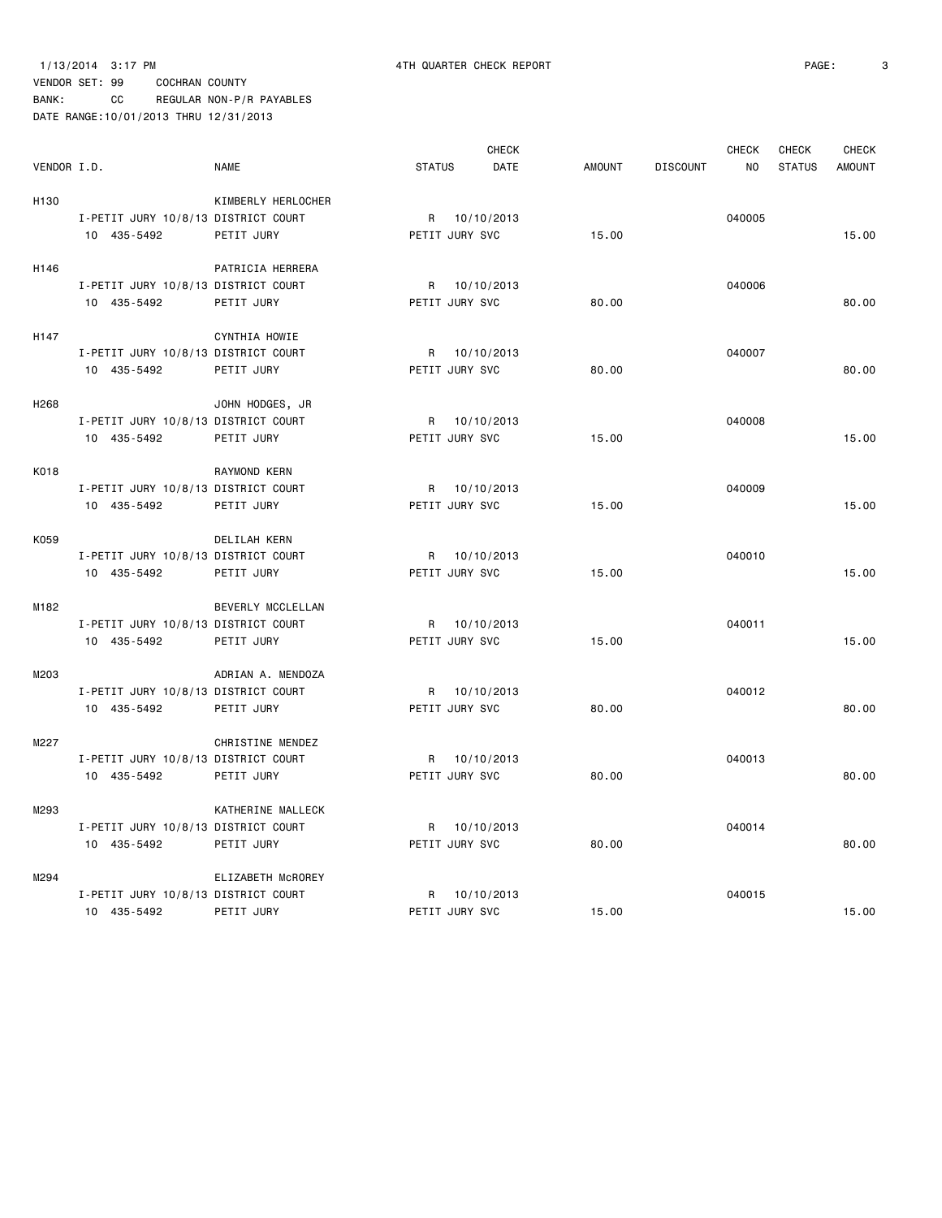1/13/2014 3:17 PM 4TH QUARTER CHECK REPORT PAGE: 3 VENDOR SET: 99 COCHRAN COUNTY

BANK: CC REGULAR NON-P/R PAYABLES DATE RANGE:10/01/2013 THRU 12/31/2013

|                  |                                     |                    |                | <b>CHECK</b> |               |                 | <b>CHECK</b>   | CHECK         | <b>CHECK</b>  |
|------------------|-------------------------------------|--------------------|----------------|--------------|---------------|-----------------|----------------|---------------|---------------|
| VENDOR I.D.      |                                     | <b>NAME</b>        | <b>STATUS</b>  | <b>DATE</b>  | <b>AMOUNT</b> | <b>DISCOUNT</b> | N <sub>0</sub> | <b>STATUS</b> | <b>AMOUNT</b> |
| H <sub>130</sub> |                                     | KIMBERLY HERLOCHER |                |              |               |                 |                |               |               |
|                  | I-PETIT JURY 10/8/13 DISTRICT COURT |                    | R 10/10/2013   |              |               |                 | 040005         |               |               |
|                  | 10 435-5492                         | PETIT JURY         | PETIT JURY SVC |              | 15.00         |                 |                |               | 15.00         |
| H146             |                                     | PATRICIA HERRERA   |                |              |               |                 |                |               |               |
|                  | I-PETIT JURY 10/8/13 DISTRICT COURT |                    | R 10/10/2013   |              |               |                 | 040006         |               |               |
|                  | 10 435-5492                         | PETIT JURY         | PETIT JURY SVC |              | 80.00         |                 |                |               | 80.00         |
| H147             |                                     | CYNTHIA HOWIE      |                |              |               |                 |                |               |               |
|                  | I-PETIT JURY 10/8/13 DISTRICT COURT |                    | R 10/10/2013   |              |               |                 | 040007         |               |               |
|                  | 10 435-5492                         | PETIT JURY         | PETIT JURY SVC |              | 80.00         |                 |                |               | 80.00         |
| H <sub>268</sub> |                                     | JOHN HODGES, JR    |                |              |               |                 |                |               |               |
|                  | I-PETIT JURY 10/8/13 DISTRICT COURT |                    | R 10/10/2013   |              |               |                 | 040008         |               |               |
|                  | 10 435-5492                         | PETIT JURY         | PETIT JURY SVC |              | 15.00         |                 |                |               | 15.00         |
| K018             |                                     | RAYMOND KERN       |                |              |               |                 |                |               |               |
|                  | I-PETIT JURY 10/8/13 DISTRICT COURT |                    | R 10/10/2013   |              |               |                 | 040009         |               |               |
|                  | 10 435-5492                         | PETIT JURY         | PETIT JURY SVC |              | 15.00         |                 |                |               | 15.00         |
| K059             |                                     | DELILAH KERN       |                |              |               |                 |                |               |               |
|                  | I-PETIT JURY 10/8/13 DISTRICT COURT |                    | R 10/10/2013   |              |               |                 | 040010         |               |               |
|                  | 10 435-5492                         | PETIT JURY         | PETIT JURY SVC |              | 15.00         |                 |                |               | 15.00         |
| M182             |                                     | BEVERLY MCCLELLAN  |                |              |               |                 |                |               |               |
|                  | I-PETIT JURY 10/8/13 DISTRICT COURT |                    | R 10/10/2013   |              |               |                 | 040011         |               |               |
|                  | 10 435-5492                         | PETIT JURY         | PETIT JURY SVC |              | 15.00         |                 |                |               | 15.00         |
| M203             |                                     | ADRIAN A. MENDOZA  |                |              |               |                 |                |               |               |
|                  | I-PETIT JURY 10/8/13 DISTRICT COURT |                    | R 10/10/2013   |              |               |                 | 040012         |               |               |
|                  | 10 435-5492                         | PETIT JURY         | PETIT JURY SVC |              | 80.00         |                 |                |               | 80,00         |
| M227             |                                     | CHRISTINE MENDEZ   |                |              |               |                 |                |               |               |
|                  | I-PETIT JURY 10/8/13 DISTRICT COURT |                    | R 10/10/2013   |              |               |                 | 040013         |               |               |
|                  | 10 435-5492                         | PETIT JURY         | PETIT JURY SVC |              | 80.00         |                 |                |               | 80.00         |
| M293             |                                     | KATHERINE MALLECK  |                |              |               |                 |                |               |               |
|                  | I-PETIT JURY 10/8/13 DISTRICT COURT |                    | R 10/10/2013   |              |               |                 | 040014         |               |               |
|                  | 10 435-5492                         | PETIT JURY         | PETIT JURY SVC |              | 80.00         |                 |                |               | 80.00         |
| M294             |                                     | ELIZABETH MCROREY  |                |              |               |                 |                |               |               |
|                  | I-PETIT JURY 10/8/13 DISTRICT COURT |                    | R 10/10/2013   |              |               |                 | 040015         |               |               |
|                  | 10 435-5492                         | PETIT JURY         | PETIT JURY SVC |              | 15.00         |                 |                |               | 15.00         |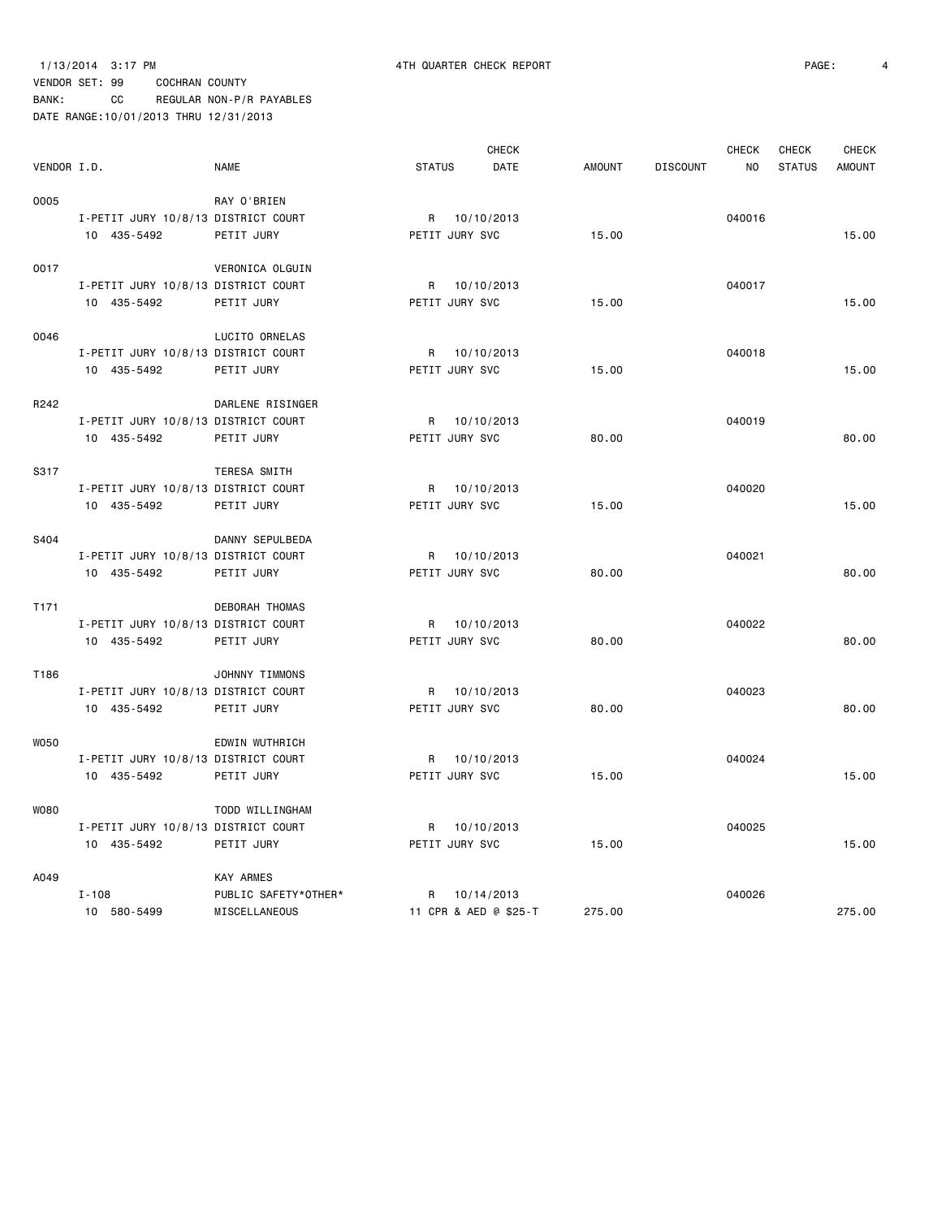1/13/2014 3:17 PM 4TH QUARTER CHECK REPORT PAGE: 4

|             |                                     |                      |                | <b>CHECK</b>          |               |                 | <b>CHECK</b> | <b>CHECK</b>  | CHECK         |
|-------------|-------------------------------------|----------------------|----------------|-----------------------|---------------|-----------------|--------------|---------------|---------------|
| VENDOR I.D. |                                     | <b>NAME</b>          | <b>STATUS</b>  | DATE                  | <b>AMOUNT</b> | <b>DISCOUNT</b> | NO           | <b>STATUS</b> | <b>AMOUNT</b> |
| 0005        |                                     | RAY O'BRIEN          |                |                       |               |                 |              |               |               |
|             | I-PETIT JURY 10/8/13 DISTRICT COURT |                      |                | R 10/10/2013          |               |                 | 040016       |               |               |
|             | 10 435-5492                         | PETIT JURY           | PETIT JURY SVC |                       | 15.00         |                 |              |               | 15.00         |
| 0017        |                                     | VERONICA OLGUIN      |                |                       |               |                 |              |               |               |
|             | I-PETIT JURY 10/8/13 DISTRICT COURT |                      |                | R 10/10/2013          |               |                 | 040017       |               |               |
|             | 10 435-5492                         | PETIT JURY           | PETIT JURY SVC |                       | 15.00         |                 |              |               | 15.00         |
| 0046        |                                     | LUCITO ORNELAS       |                |                       |               |                 |              |               |               |
|             | I-PETIT JURY 10/8/13 DISTRICT COURT |                      |                | R 10/10/2013          |               |                 | 040018       |               |               |
|             | 10 435-5492                         | PETIT JURY           | PETIT JURY SVC |                       | 15.00         |                 |              |               | 15.00         |
| R242        |                                     | DARLENE RISINGER     |                |                       |               |                 |              |               |               |
|             | I-PETIT JURY 10/8/13 DISTRICT COURT |                      |                | R 10/10/2013          |               |                 | 040019       |               |               |
|             | 10 435-5492                         | PETIT JURY           | PETIT JURY SVC |                       | 80.00         |                 |              |               | 80.00         |
| S317        |                                     | TERESA SMITH         |                |                       |               |                 |              |               |               |
|             | I-PETIT JURY 10/8/13 DISTRICT COURT |                      |                | R 10/10/2013          |               |                 | 040020       |               |               |
|             | 10 435-5492                         | PETIT JURY           | PETIT JURY SVC |                       | 15.00         |                 |              |               | 15.00         |
| S404        |                                     | DANNY SEPULBEDA      |                |                       |               |                 |              |               |               |
|             | I-PETIT JURY 10/8/13 DISTRICT COURT |                      |                | R 10/10/2013          |               |                 | 040021       |               |               |
|             | 10 435-5492                         | PETIT JURY           | PETIT JURY SVC |                       | 80.00         |                 |              |               | 80.00         |
| T171        |                                     | DEBORAH THOMAS       |                |                       |               |                 |              |               |               |
|             | I-PETIT JURY 10/8/13 DISTRICT COURT |                      |                | R 10/10/2013          |               |                 | 040022       |               |               |
|             | 10 435-5492                         | PETIT JURY           | PETIT JURY SVC |                       | 80.00         |                 |              |               | 80.00         |
| T186        |                                     | JOHNNY TIMMONS       |                |                       |               |                 |              |               |               |
|             | I-PETIT JURY 10/8/13 DISTRICT COURT |                      |                | R 10/10/2013          |               |                 | 040023       |               |               |
|             | 10 435-5492                         | PETIT JURY           | PETIT JURY SVC |                       | 80.00         |                 |              |               | 80.00         |
| <b>WO50</b> |                                     | EDWIN WUTHRICH       |                |                       |               |                 |              |               |               |
|             | I-PETIT JURY 10/8/13 DISTRICT COURT |                      |                | R 10/10/2013          |               |                 | 040024       |               |               |
|             | 10 435-5492                         | PETIT JURY           | PETIT JURY SVC |                       | 15.00         |                 |              |               | 15.00         |
| <b>WO80</b> |                                     | TODD WILLINGHAM      |                |                       |               |                 |              |               |               |
|             | I-PETIT JURY 10/8/13 DISTRICT COURT |                      |                | R 10/10/2013          |               |                 | 040025       |               |               |
|             | 10 435-5492                         | PETIT JURY           | PETIT JURY SVC |                       | 15.00         |                 |              |               | 15.00         |
| A049        |                                     | <b>KAY ARMES</b>     |                |                       |               |                 |              |               |               |
|             | $I - 108$                           | PUBLIC SAFETY*OTHER* |                | R 10/14/2013          |               |                 | 040026       |               |               |
|             | 10 580-5499                         | MISCELLANEOUS        |                | 11 CPR & AED @ \$25-T | 275.00        |                 |              |               | 275.00        |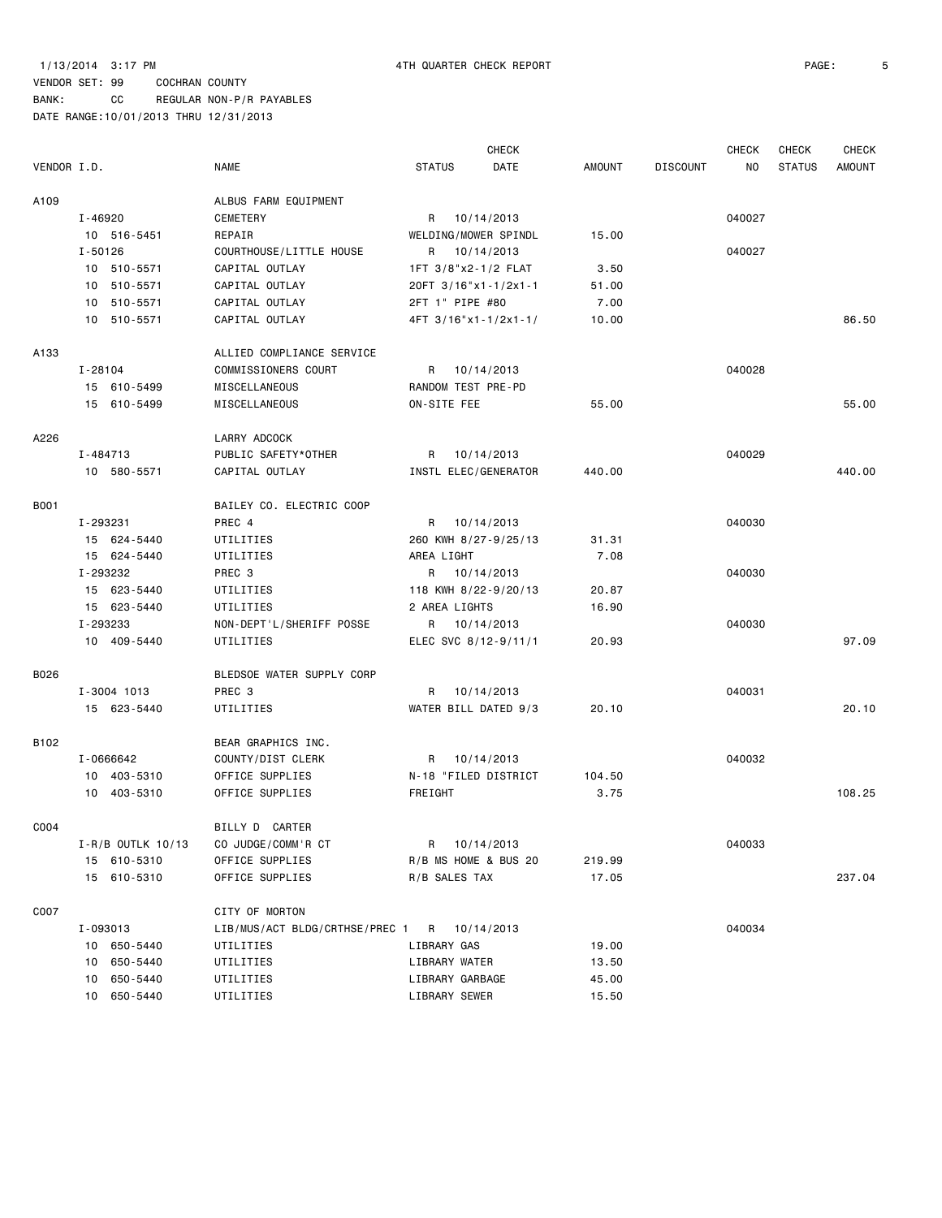### VENDOR SET: 99 COCHRAN COUNTY BANK: CC REGULAR NON-P/R PAYABLES

|             |                     |                                             |                      | <b>CHECK</b>         |               |                 | <b>CHECK</b> | CHECK         | <b>CHECK</b>  |
|-------------|---------------------|---------------------------------------------|----------------------|----------------------|---------------|-----------------|--------------|---------------|---------------|
| VENDOR I.D. |                     | <b>NAME</b>                                 | <b>STATUS</b>        | DATE                 | <b>AMOUNT</b> | <b>DISCOUNT</b> | NO.          | <b>STATUS</b> | <b>AMOUNT</b> |
| A109        |                     | ALBUS FARM EQUIPMENT                        |                      |                      |               |                 |              |               |               |
|             | I-46920             | CEMETERY                                    | R 10/14/2013         |                      |               |                 | 040027       |               |               |
|             | 10 516-5451         | REPAIR                                      | WELDING/MOWER SPINDL |                      | 15.00         |                 |              |               |               |
|             | I-50126             | COURTHOUSE/LITTLE HOUSE                     | R 10/14/2013         |                      |               |                 | 040027       |               |               |
|             | 10 510-5571         | CAPITAL OUTLAY                              | 1FT 3/8"x2-1/2 FLAT  |                      | 3.50          |                 |              |               |               |
|             | 10 510-5571         | CAPITAL OUTLAY                              | 20FT 3/16"x1-1/2x1-1 |                      | 51.00         |                 |              |               |               |
|             | 10 510-5571         | CAPITAL OUTLAY                              | 2FT 1" PIPE #80      |                      | 7.00          |                 |              |               |               |
|             | 10 510-5571         | CAPITAL OUTLAY                              | 4FT 3/16"x1-1/2x1-1/ |                      | 10.00         |                 |              |               | 86.50         |
| A133        |                     | ALLIED COMPLIANCE SERVICE                   |                      |                      |               |                 |              |               |               |
|             | I-28104             | COMMISSIONERS COURT                         | R 10/14/2013         |                      |               |                 | 040028       |               |               |
|             | 15 610-5499         | MISCELLANEOUS                               | RANDOM TEST PRE-PD   |                      |               |                 |              |               |               |
|             | 15 610-5499         | MISCELLANEOUS                               | ON-SITE FEE          |                      | 55.00         |                 |              |               | 55.00         |
| A226        |                     | LARRY ADCOCK                                |                      |                      |               |                 |              |               |               |
|             | I-484713            | PUBLIC SAFETY*OTHER                         | R                    | 10/14/2013           |               |                 | 040029       |               |               |
|             | 10 580-5571         | CAPITAL OUTLAY                              | INSTL ELEC/GENERATOR |                      | 440.00        |                 |              |               | 440.00        |
| <b>B001</b> |                     | BAILEY CO. ELECTRIC COOP                    |                      |                      |               |                 |              |               |               |
|             | I-293231            | PREC 4                                      | R 10/14/2013         |                      |               |                 | 040030       |               |               |
|             | 15 624-5440         | UTILITIES                                   |                      | 260 KWH 8/27-9/25/13 | 31.31         |                 |              |               |               |
|             | 15 624-5440         | UTILITIES                                   | AREA LIGHT           |                      | 7.08          |                 |              |               |               |
|             | I-293232            | PREC 3                                      | R 10/14/2013         |                      |               |                 | 040030       |               |               |
|             | 15 623-5440         | UTILITIES                                   | 118 KWH 8/22-9/20/13 |                      | 20.87         |                 |              |               |               |
|             | 15 623-5440         | UTILITIES                                   | 2 AREA LIGHTS        |                      | 16.90         |                 |              |               |               |
|             | I-293233            | NON-DEPT'L/SHERIFF POSSE                    | R 10/14/2013         |                      |               |                 | 040030       |               |               |
|             | 10 409-5440         | UTILITIES                                   | ELEC SVC 8/12-9/11/1 |                      | 20.93         |                 |              |               | 97.09         |
| B026        |                     | BLEDSOE WATER SUPPLY CORP                   |                      |                      |               |                 |              |               |               |
|             | I-3004 1013         | PREC 3                                      | R                    | 10/14/2013           |               |                 | 040031       |               |               |
|             | 15 623-5440         | UTILITIES                                   | WATER BILL DATED 9/3 |                      | 20.10         |                 |              |               | 20.10         |
| B102        |                     | BEAR GRAPHICS INC.                          |                      |                      |               |                 |              |               |               |
|             | I-0666642           | COUNTY/DIST CLERK                           | R 10/14/2013         |                      |               |                 | 040032       |               |               |
|             | 10 403-5310         | OFFICE SUPPLIES                             | N-18 "FILED DISTRICT |                      | 104.50        |                 |              |               |               |
|             | 10 403-5310         | OFFICE SUPPLIES                             | FREIGHT              |                      | 3.75          |                 |              |               | 108.25        |
| C004        |                     | BILLY D CARTER                              |                      |                      |               |                 |              |               |               |
|             | $I-R/B$ OUTLK 10/13 | CO JUDGE/COMM'R CT                          | R 10/14/2013         |                      |               |                 | 040033       |               |               |
|             | 15 610-5310         | OFFICE SUPPLIES                             |                      | R/B MS HOME & BUS 20 | 219.99        |                 |              |               |               |
|             | 15 610-5310         | OFFICE SUPPLIES                             | R/B SALES TAX        |                      | 17.05         |                 |              |               | 237.04        |
| C007        |                     | CITY OF MORTON                              |                      |                      |               |                 |              |               |               |
|             | I-093013            | LIB/MUS/ACT BLDG/CRTHSE/PREC 1 R 10/14/2013 |                      |                      |               |                 | 040034       |               |               |
|             | 10 650-5440         | UTILITIES                                   | LIBRARY GAS          |                      | 19.00         |                 |              |               |               |
|             | 10 650-5440         | UTILITIES                                   | LIBRARY WATER        |                      | 13.50         |                 |              |               |               |
|             | 10 650-5440         | UTILITIES                                   | LIBRARY GARBAGE      |                      | 45.00         |                 |              |               |               |
|             | 10 650-5440         | UTILITIES                                   | LIBRARY SEWER        |                      | 15.50         |                 |              |               |               |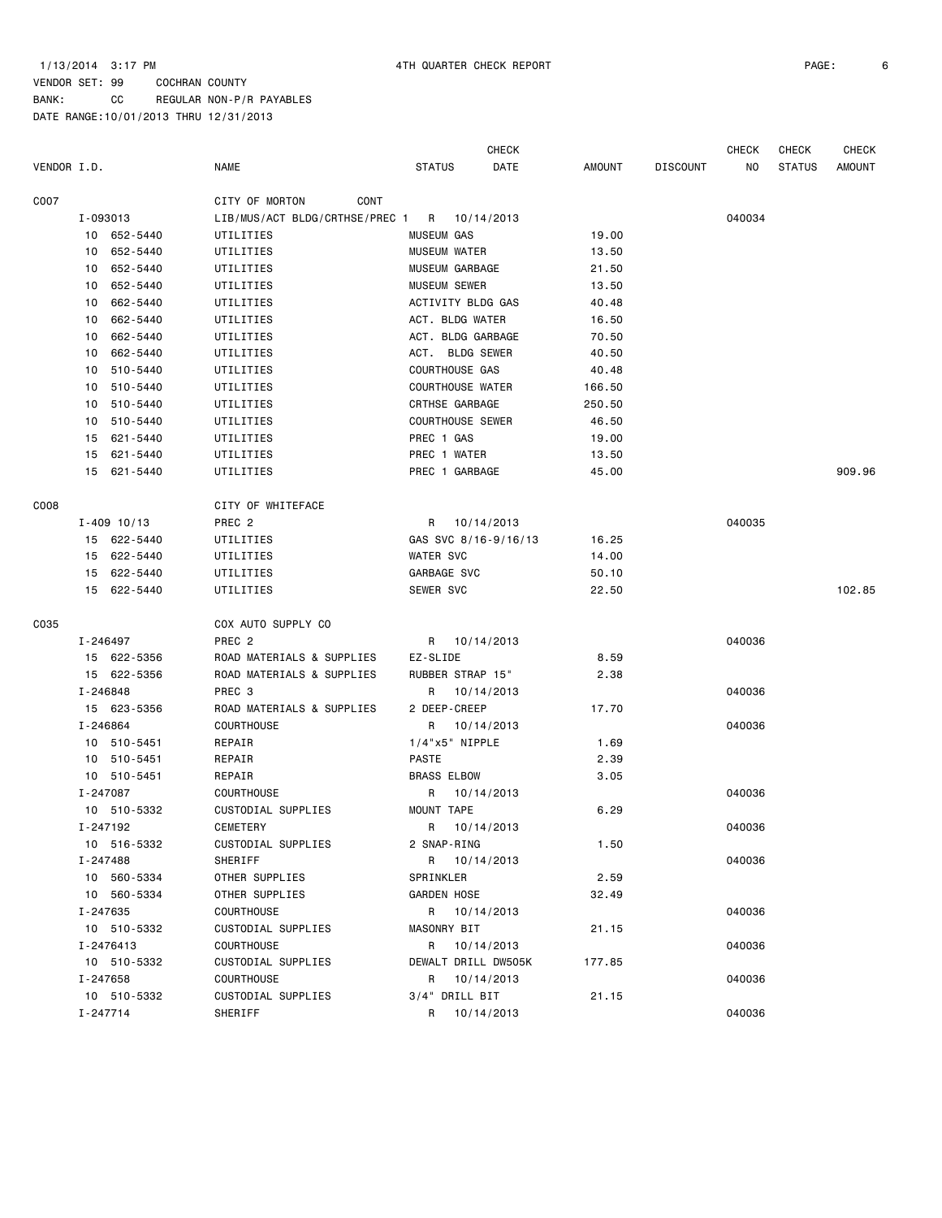BANK: CC REGULAR NON-P/R PAYABLES

|                  |          |                 |                                |                         | <b>CHECK</b> |               |                 | <b>CHECK</b>   | <b>CHECK</b>  | <b>CHECK</b>  |
|------------------|----------|-----------------|--------------------------------|-------------------------|--------------|---------------|-----------------|----------------|---------------|---------------|
| VENDOR I.D.      |          |                 | <b>NAME</b>                    | <b>STATUS</b>           | DATE         | <b>AMOUNT</b> | <b>DISCOUNT</b> | N <sub>O</sub> | <b>STATUS</b> | <b>AMOUNT</b> |
| C007             |          |                 | CITY OF MORTON<br>CONT         |                         |              |               |                 |                |               |               |
|                  | I-093013 |                 | LIB/MUS/ACT BLDG/CRTHSE/PREC 1 | R 10/14/2013            |              |               |                 | 040034         |               |               |
|                  |          | 10 652-5440     | UTILITIES                      | <b>MUSEUM GAS</b>       |              | 19.00         |                 |                |               |               |
|                  | 10       | 652-5440        | UTILITIES                      | MUSEUM WATER            |              | 13.50         |                 |                |               |               |
|                  | 10       | 652-5440        | UTILITIES                      | MUSEUM GARBAGE          |              | 21.50         |                 |                |               |               |
|                  | 10       | 652-5440        | UTILITIES                      | MUSEUM SEWER            |              | 13.50         |                 |                |               |               |
|                  | 10       | 662-5440        | UTILITIES                      | ACTIVITY BLDG GAS       |              | 40.48         |                 |                |               |               |
|                  | 10       | 662-5440        | UTILITIES                      | ACT. BLDG WATER         |              | 16.50         |                 |                |               |               |
|                  | 10       | 662-5440        | UTILITIES                      | ACT. BLDG GARBAGE       |              | 70.50         |                 |                |               |               |
|                  | 10       | 662-5440        | UTILITIES                      | ACT. BLDG SEWER         |              | 40.50         |                 |                |               |               |
|                  | 10       | 510-5440        | UTILITIES                      | COURTHOUSE GAS          |              | 40.48         |                 |                |               |               |
|                  | 10       | 510-5440        | UTILITIES                      | <b>COURTHOUSE WATER</b> |              | 166.50        |                 |                |               |               |
|                  | 10       | 510-5440        | UTILITIES                      | CRTHSE GARBAGE          |              | 250.50        |                 |                |               |               |
|                  | 10       | 510-5440        | UTILITIES                      | <b>COURTHOUSE SEWER</b> |              | 46.50         |                 |                |               |               |
|                  | 15       | 621-5440        | UTILITIES                      | PREC 1 GAS              |              | 19.00         |                 |                |               |               |
|                  | 15       | 621-5440        | UTILITIES                      | PREC 1 WATER            |              | 13.50         |                 |                |               |               |
|                  |          | 15 621-5440     | UTILITIES                      | PREC 1 GARBAGE          |              | 45.00         |                 |                |               | 909.96        |
| C <sub>008</sub> |          |                 | CITY OF WHITEFACE              |                         |              |               |                 |                |               |               |
|                  |          | $I - 409$ 10/13 | PREC <sub>2</sub>              | R 10/14/2013            |              |               |                 | 040035         |               |               |
|                  |          | 15 622-5440     | UTILITIES                      | GAS SVC 8/16-9/16/13    |              | 16.25         |                 |                |               |               |
|                  |          | 15 622-5440     | UTILITIES                      | WATER SVC               |              | 14.00         |                 |                |               |               |
|                  |          | 15 622-5440     | UTILITIES                      | GARBAGE SVC             |              | 50.10         |                 |                |               |               |
|                  |          | 15 622-5440     | UTILITIES                      | SEWER SVC               |              | 22.50         |                 |                |               | 102.85        |
| C035             |          |                 | COX AUTO SUPPLY CO             |                         |              |               |                 |                |               |               |
|                  | I-246497 |                 | PREC <sub>2</sub>              | R 10/14/2013            |              |               |                 | 040036         |               |               |
|                  |          | 15 622-5356     | ROAD MATERIALS & SUPPLIES      | EZ-SLIDE                |              | 8.59          |                 |                |               |               |
|                  |          | 15 622-5356     | ROAD MATERIALS & SUPPLIES      | RUBBER STRAP 15"        |              | 2.38          |                 |                |               |               |
|                  | I-246848 |                 | PREC 3                         | R 10/14/2013            |              |               |                 | 040036         |               |               |
|                  |          | 15 623-5356     | ROAD MATERIALS & SUPPLIES      | 2 DEEP-CREEP            |              | 17.70         |                 |                |               |               |
|                  | I-246864 |                 | <b>COURTHOUSE</b>              | R                       | 10/14/2013   |               |                 | 040036         |               |               |
|                  |          | 10 510-5451     | REPAIR                         | $1/4$ "x5" NIPPLE       |              | 1.69          |                 |                |               |               |
|                  |          | 10 510-5451     | REPAIR                         | <b>PASTE</b>            |              | 2.39          |                 |                |               |               |
|                  |          | 10 510-5451     | REPAIR                         | <b>BRASS ELBOW</b>      |              | 3.05          |                 |                |               |               |
|                  | I-247087 |                 | <b>COURTHOUSE</b>              | R                       | 10/14/2013   |               |                 | 040036         |               |               |
|                  |          | 10 510-5332     | CUSTODIAL SUPPLIES             | MOUNT TAPE              |              | 6.29          |                 |                |               |               |
|                  | I-247192 |                 | CEMETERY                       | R 10/14/2013            |              |               |                 | 040036         |               |               |
|                  |          | 10 516-5332     | CUSTODIAL SUPPLIES             | 2 SNAP-RING             |              | 1.50          |                 |                |               |               |
|                  | I-247488 |                 | SHERIFF                        | R 10/14/2013            |              |               |                 | 040036         |               |               |
|                  |          | 10 560-5334     | OTHER SUPPLIES                 | SPRINKLER               |              | 2.59          |                 |                |               |               |
|                  |          | 10 560-5334     | OTHER SUPPLIES                 | <b>GARDEN HOSE</b>      |              | 32.49         |                 |                |               |               |
|                  | I-247635 |                 | COURTHOUSE                     | R 10/14/2013            |              |               |                 | 040036         |               |               |
|                  |          | 10 510-5332     | CUSTODIAL SUPPLIES             | MASONRY BIT             |              | 21.15         |                 |                |               |               |
|                  |          | I-2476413       | COURTHOUSE                     | R 10/14/2013            |              |               |                 | 040036         |               |               |
|                  |          | 10 510-5332     | CUSTODIAL SUPPLIES             | DEWALT DRILL DW505K     |              | 177.85        |                 |                |               |               |
|                  | I-247658 |                 | COURTHOUSE                     | R 10/14/2013            |              |               |                 | 040036         |               |               |
|                  |          | 10 510-5332     | CUSTODIAL SUPPLIES             | 3/4" DRILL BIT          |              | 21.15         |                 |                |               |               |
|                  | I-247714 |                 | SHERIFF                        | R 10/14/2013            |              |               |                 | 040036         |               |               |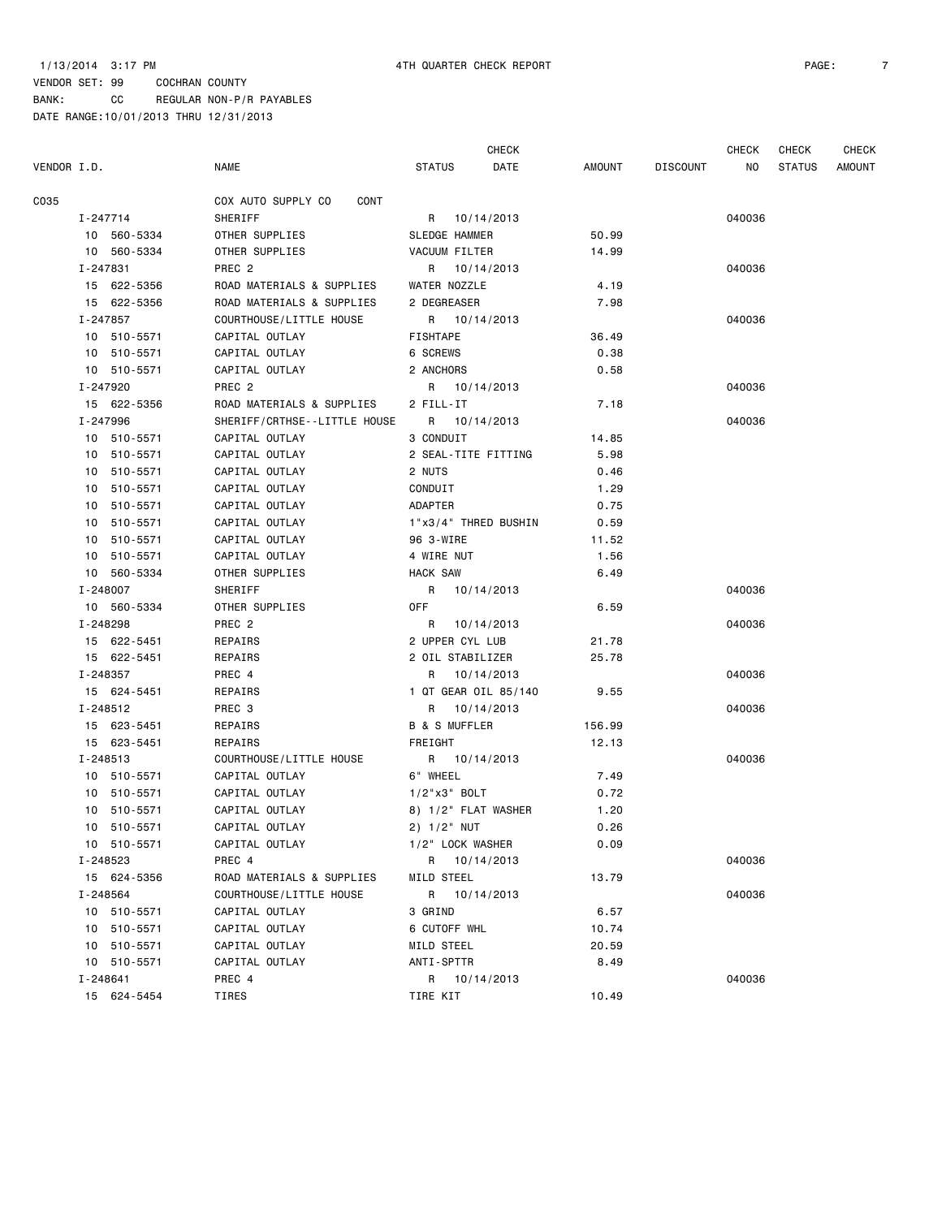CHECK CHECK CHECK CHECK

| VENDOR I.D. |             | <b>NAME</b>                  | STATUS                   | DATE | AMOUNT | DISCOUNT | NO .   | <b>STATUS</b> | <b>AMOUNT</b> |
|-------------|-------------|------------------------------|--------------------------|------|--------|----------|--------|---------------|---------------|
| C035        |             | COX AUTO SUPPLY CO<br>CONT   |                          |      |        |          |        |               |               |
|             | I-247714    | SHERIFF                      | R 10/14/2013             |      |        |          | 040036 |               |               |
|             | 10 560-5334 | OTHER SUPPLIES               | SLEDGE HAMMER            |      | 50.99  |          |        |               |               |
|             | 10 560-5334 | OTHER SUPPLIES               | VACUUM FILTER            |      | 14.99  |          |        |               |               |
|             | I-247831    | PREC 2                       | R 10/14/2013             |      |        |          | 040036 |               |               |
|             | 15 622-5356 | ROAD MATERIALS & SUPPLIES    | WATER NOZZLE             |      | 4.19   |          |        |               |               |
|             | 15 622-5356 | ROAD MATERIALS & SUPPLIES    | 2 DEGREASER              |      | 7.98   |          |        |               |               |
|             | I-247857    | COURTHOUSE/LITTLE HOUSE      | R 10/14/2013             |      |        |          | 040036 |               |               |
|             | 10 510-5571 | CAPITAL OUTLAY               | FISHTAPE                 |      | 36.49  |          |        |               |               |
|             | 10 510-5571 | CAPITAL OUTLAY               | 6 SCREWS                 |      | 0.38   |          |        |               |               |
|             | 10 510-5571 | CAPITAL OUTLAY               | 2 ANCHORS                |      | 0.58   |          |        |               |               |
|             | I-247920    | PREC <sub>2</sub>            | R 10/14/2013             |      |        |          | 040036 |               |               |
|             | 15 622-5356 | ROAD MATERIALS & SUPPLIES    | 2 FILL-IT                |      | 7.18   |          |        |               |               |
|             | I-247996    | SHERIFF/CRTHSE--LITTLE HOUSE | R 10/14/2013             |      |        |          | 040036 |               |               |
|             | 10 510-5571 | CAPITAL OUTLAY               | 3 CONDUIT                |      | 14.85  |          |        |               |               |
|             | 10 510-5571 | CAPITAL OUTLAY               | 2 SEAL-TITE FITTING      |      | 5.98   |          |        |               |               |
|             | 10 510-5571 | CAPITAL OUTLAY               | 2 NUTS                   |      | 0.46   |          |        |               |               |
|             | 10 510-5571 | CAPITAL OUTLAY               | CONDUIT                  |      | 1.29   |          |        |               |               |
|             | 10 510-5571 | CAPITAL OUTLAY               | ADAPTER                  |      | 0.75   |          |        |               |               |
|             | 10 510-5571 | CAPITAL OUTLAY               | 1"x3/4" THRED BUSHIN     |      | 0.59   |          |        |               |               |
|             | 10 510-5571 | CAPITAL OUTLAY               | 96 3-WIRE                |      | 11.52  |          |        |               |               |
|             | 10 510-5571 | CAPITAL OUTLAY               | 4 WIRE NUT               |      | 1.56   |          |        |               |               |
|             | 10 560-5334 | OTHER SUPPLIES               | <b>HACK SAW</b>          |      | 6.49   |          |        |               |               |
|             | I-248007    | SHERIFF                      | R 10/14/2013             |      |        |          | 040036 |               |               |
|             | 10 560-5334 | OTHER SUPPLIES               | 0FF                      |      | 6.59   |          |        |               |               |
|             | I-248298    | PREC <sub>2</sub>            | R 10/14/2013             |      |        |          | 040036 |               |               |
|             | 15 622-5451 | REPAIRS                      | 2 UPPER CYL LUB          |      | 21.78  |          |        |               |               |
|             | 15 622-5451 | REPAIRS                      | 2 OIL STABILIZER         |      | 25.78  |          |        |               |               |
|             | I-248357    | PREC 4                       | R 10/14/2013             |      |        |          | 040036 |               |               |
|             | 15 624-5451 | REPAIRS                      | 1 QT GEAR OIL 85/140     |      | 9.55   |          |        |               |               |
|             | I-248512    | PREC 3                       | R 10/14/2013             |      |        |          | 040036 |               |               |
|             | 15 623-5451 | REPAIRS                      | <b>B &amp; S MUFFLER</b> |      | 156.99 |          |        |               |               |
|             | 15 623-5451 | REPAIRS                      | FREIGHT                  |      | 12.13  |          |        |               |               |
|             | I-248513    | COURTHOUSE/LITTLE HOUSE      | R 10/14/2013             |      |        |          | 040036 |               |               |
|             | 10 510-5571 | CAPITAL OUTLAY               | 6" WHEEL                 |      | 7.49   |          |        |               |               |
|             | 10 510-5571 | CAPITAL OUTLAY               | $1/2$ "x3" BOLT          |      | 0.72   |          |        |               |               |
|             | 10 510-5571 | CAPITAL OUTLAY               | 8) 1/2" FLAT WASHER      |      | 1.20   |          |        |               |               |
|             | 10 510-5571 | CAPITAL OUTLAY               | $2)$ 1/2" NUT            |      | 0.26   |          |        |               |               |
|             | 10 510-5571 | CAPITAL OUTLAY               | 1/2" LOCK WASHER         |      | 0.09   |          |        |               |               |
|             | I-248523    | PREC 4                       | R 10/14/2013             |      |        |          | 040036 |               |               |
|             | 15 624-5356 | ROAD MATERIALS & SUPPLIES    | MILD STEEL               |      | 13.79  |          |        |               |               |
|             | I-248564    | COURTHOUSE/LITTLE HOUSE      | R 10/14/2013             |      |        |          | 040036 |               |               |
|             | 10 510-5571 | CAPITAL OUTLAY               | 3 GRIND                  |      | 6.57   |          |        |               |               |
|             | 10 510-5571 | CAPITAL OUTLAY               | 6 CUTOFF WHL             |      | 10.74  |          |        |               |               |
|             | 10 510-5571 | CAPITAL OUTLAY               | MILD STEEL               |      | 20.59  |          |        |               |               |
|             | 10 510-5571 | CAPITAL OUTLAY               | ANTI-SPTTR               |      | 8.49   |          |        |               |               |
|             | I-248641    | PREC 4                       |                          |      |        |          |        |               |               |
|             | 15 624-5454 |                              | R 10/14/2013             |      |        |          | 040036 |               |               |
|             |             | TIRES                        | TIRE KIT                 |      | 10.49  |          |        |               |               |
|             |             |                              |                          |      |        |          |        |               |               |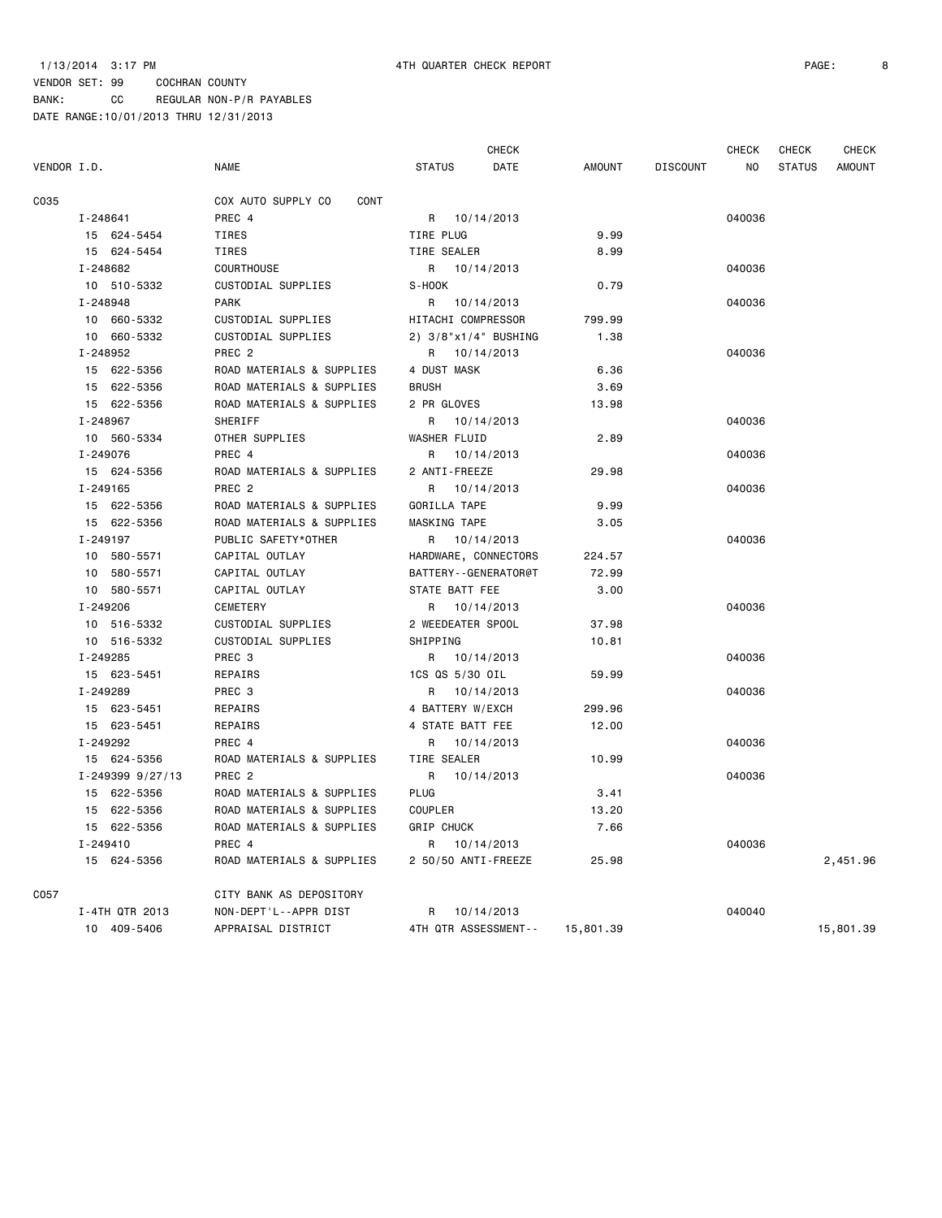### 1/13/2014 3:17 PM 4TH QUARTER CHECK REPORT PAGE: 8

|             |                  |                            |                         | <b>CHECK</b>         |               |                 | <b>CHECK</b> | <b>CHECK</b>  | <b>CHECK</b>  |
|-------------|------------------|----------------------------|-------------------------|----------------------|---------------|-----------------|--------------|---------------|---------------|
| VENDOR I.D. |                  | <b>NAME</b>                | <b>STATUS</b>           | DATE                 | <b>AMOUNT</b> | <b>DISCOUNT</b> | NO.          | <b>STATUS</b> | <b>AMOUNT</b> |
| C035        |                  | COX AUTO SUPPLY CO<br>CONT |                         |                      |               |                 |              |               |               |
|             | I-248641         | PREC 4                     | R 10/14/2013            |                      |               |                 | 040036       |               |               |
|             | 15 624-5454      | TIRES                      | TIRE PLUG               |                      | 9.99          |                 |              |               |               |
|             | 15 624-5454      | TIRES                      | TIRE SEALER             |                      | 8.99          |                 |              |               |               |
|             | I-248682         | <b>COURTHOUSE</b>          | R 10/14/2013            |                      |               |                 | 040036       |               |               |
|             | 10 510-5332      | CUSTODIAL SUPPLIES         | S-HOOK                  |                      | 0.79          |                 |              |               |               |
|             | I-248948         | <b>PARK</b>                | R                       | 10/14/2013           |               |                 | 040036       |               |               |
|             | 10 660-5332      | CUSTODIAL SUPPLIES         | HITACHI COMPRESSOR      |                      | 799.99        |                 |              |               |               |
|             | 10 660-5332      | CUSTODIAL SUPPLIES         | 2) 3/8"x1/4" BUSHING    |                      | 1.38          |                 |              |               |               |
|             | I-248952         | PREC <sub>2</sub>          | R                       | 10/14/2013           |               |                 | 040036       |               |               |
|             | 15 622-5356      | ROAD MATERIALS & SUPPLIES  | 4 DUST MASK             |                      | 6.36          |                 |              |               |               |
|             | 15 622-5356      | ROAD MATERIALS & SUPPLIES  | <b>BRUSH</b>            |                      | 3.69          |                 |              |               |               |
|             | 15 622-5356      | ROAD MATERIALS & SUPPLIES  | 2 PR GLOVES             |                      | 13.98         |                 |              |               |               |
|             | I-248967         | SHERIFF                    | R                       | 10/14/2013           |               |                 | 040036       |               |               |
|             | 10 560-5334      | OTHER SUPPLIES             | <b>WASHER FLUID</b>     |                      | 2.89          |                 |              |               |               |
|             | I-249076         | PREC 4                     | R                       | 10/14/2013           |               |                 | 040036       |               |               |
|             | 15 624-5356      | ROAD MATERIALS & SUPPLIES  | 2 ANTI-FREEZE           |                      | 29.98         |                 |              |               |               |
|             | I-249165         | PREC <sub>2</sub>          | R                       | 10/14/2013           |               |                 | 040036       |               |               |
|             | 15 622-5356      | ROAD MATERIALS & SUPPLIES  | GORILLA TAPE            |                      | 9.99          |                 |              |               |               |
|             | 15 622-5356      | ROAD MATERIALS & SUPPLIES  | MASKING TAPE            |                      | 3.05          |                 |              |               |               |
|             | I-249197         | PUBLIC SAFETY*OTHER        | R                       | 10/14/2013           |               |                 | 040036       |               |               |
|             | 10 580-5571      | CAPITAL OUTLAY             | HARDWARE, CONNECTORS    |                      | 224.57        |                 |              |               |               |
|             | 10 580-5571      | CAPITAL OUTLAY             | BATTERY - - GENERATOR@T |                      | 72.99         |                 |              |               |               |
|             | 10 580-5571      | CAPITAL OUTLAY             | STATE BATT FEE          |                      | 3,00          |                 |              |               |               |
|             | I-249206         | <b>CEMETERY</b>            | R 10/14/2013            |                      |               |                 | 040036       |               |               |
|             | 10 516-5332      | CUSTODIAL SUPPLIES         | 2 WEEDEATER SPOOL       |                      | 37.98         |                 |              |               |               |
|             | 10 516-5332      | CUSTODIAL SUPPLIES         | SHIPPING                |                      | 10.81         |                 |              |               |               |
|             | I-249285         | PREC <sub>3</sub>          | R                       | 10/14/2013           |               |                 | 040036       |               |               |
|             | 15 623-5451      | REPAIRS                    | 1CS QS 5/30 OIL         |                      | 59.99         |                 |              |               |               |
|             | I-249289         | PREC 3                     | R                       | 10/14/2013           |               |                 | 040036       |               |               |
|             | 15 623-5451      | REPAIRS                    | 4 BATTERY W/EXCH        |                      | 299.96        |                 |              |               |               |
|             | 15 623-5451      | REPAIRS                    | 4 STATE BATT FEE        |                      | 12.00         |                 |              |               |               |
|             | I-249292         | PREC 4                     | R.                      | 10/14/2013           |               |                 | 040036       |               |               |
|             | 15 624-5356      | ROAD MATERIALS & SUPPLIES  | TIRE SEALER             |                      | 10.99         |                 |              |               |               |
|             | I-249399 9/27/13 | PREC <sub>2</sub>          | R                       | 10/14/2013           |               |                 | 040036       |               |               |
|             | 15 622-5356      | ROAD MATERIALS & SUPPLIES  | <b>PLUG</b>             |                      | 3.41          |                 |              |               |               |
|             | 15 622-5356      | ROAD MATERIALS & SUPPLIES  | <b>COUPLER</b>          |                      | 13.20         |                 |              |               |               |
|             | 15 622-5356      | ROAD MATERIALS & SUPPLIES  | <b>GRIP CHUCK</b>       |                      | 7.66          |                 |              |               |               |
|             | I-249410         | PREC 4                     | R                       | 10/14/2013           |               |                 | 040036       |               |               |
|             | 15 624-5356      | ROAD MATERIALS & SUPPLIES  | 2 50/50 ANTI-FREEZE     |                      | 25.98         |                 |              |               | 2,451.96      |
| C057        |                  | CITY BANK AS DEPOSITORY    |                         |                      |               |                 |              |               |               |
|             | I-4TH QTR 2013   | NON-DEPT'L--APPR DIST      | R                       | 10/14/2013           |               |                 | 040040       |               |               |
|             | 10 409-5406      | APPRAISAL DISTRICT         |                         | 4TH QTR ASSESSMENT-- | 15,801.39     |                 |              |               | 15,801.39     |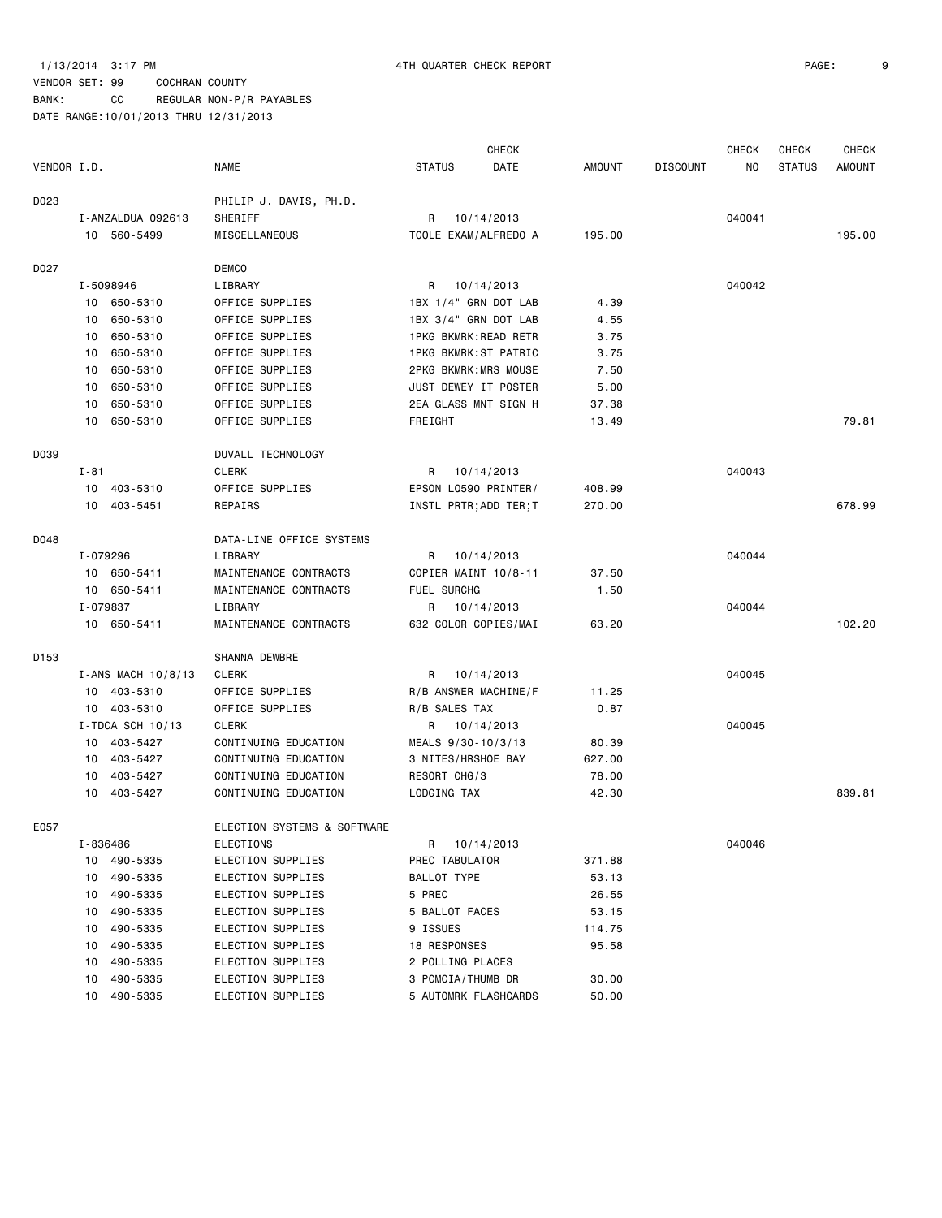BANK: CC REGULAR NON-P/R PAYABLES

|                  |           |                    |                             |                             | <b>CHECK</b> |        |                 | <b>CHECK</b> | <b>CHECK</b>  | <b>CHECK</b> |
|------------------|-----------|--------------------|-----------------------------|-----------------------------|--------------|--------|-----------------|--------------|---------------|--------------|
| VENDOR I.D.      |           |                    | NAME                        | <b>STATUS</b>               | DATE         | AMOUNT | <b>DISCOUNT</b> | NO.          | <b>STATUS</b> | AMOUNT       |
| D023             |           |                    | PHILIP J. DAVIS, PH.D.      |                             |              |        |                 |              |               |              |
|                  |           | I-ANZALDUA 092613  | SHERIFF                     | R                           | 10/14/2013   |        |                 | 040041       |               |              |
|                  |           | 10 560-5499        | MISCELLANEOUS               | TCOLE EXAM/ALFREDO A        |              | 195.00 |                 |              |               | 195.00       |
| D027             |           |                    | <b>DEMCO</b>                |                             |              |        |                 |              |               |              |
|                  | I-5098946 |                    | LIBRARY                     | R 10/14/2013                |              |        |                 | 040042       |               |              |
|                  |           | 10 650-5310        | OFFICE SUPPLIES             | 1BX 1/4" GRN DOT LAB        |              | 4.39   |                 |              |               |              |
|                  |           | 10 650-5310        | OFFICE SUPPLIES             | 1BX 3/4" GRN DOT LAB        |              | 4.55   |                 |              |               |              |
|                  | 10        | 650-5310           | OFFICE SUPPLIES             | 1PKG BKMRK:READ RETR        |              | 3.75   |                 |              |               |              |
|                  |           | 10 650-5310        | OFFICE SUPPLIES             | 1PKG BKMRK:ST PATRIC        |              | 3.75   |                 |              |               |              |
|                  | 10        | 650-5310           | OFFICE SUPPLIES             | <b>2PKG BKMRK:MRS MOUSE</b> |              | 7.50   |                 |              |               |              |
|                  | 10        | 650-5310           | OFFICE SUPPLIES             | JUST DEWEY IT POSTER        |              | 5.00   |                 |              |               |              |
|                  | 10        | 650-5310           | OFFICE SUPPLIES             | 2EA GLASS MNT SIGN H        |              | 37.38  |                 |              |               |              |
|                  |           | 10 650-5310        | OFFICE SUPPLIES             | FREIGHT                     |              | 13.49  |                 |              |               | 79.81        |
| D039             |           |                    | DUVALL TECHNOLOGY           |                             |              |        |                 |              |               |              |
|                  | I - 81    |                    | <b>CLERK</b>                | R                           | 10/14/2013   |        |                 | 040043       |               |              |
|                  |           | 10 403-5310        | OFFICE SUPPLIES             | EPSON LQ590 PRINTER/        |              | 408.99 |                 |              |               |              |
|                  |           | 10 403-5451        | REPAIRS                     | INSTL PRTR; ADD TER; T      |              | 270.00 |                 |              |               | 678.99       |
| D048             |           |                    | DATA-LINE OFFICE SYSTEMS    |                             |              |        |                 |              |               |              |
|                  | I-079296  |                    | LIBRARY                     | R                           | 10/14/2013   |        |                 | 040044       |               |              |
|                  |           | 10 650-5411        | MAINTENANCE CONTRACTS       | COPIER MAINT 10/8-11        |              | 37.50  |                 |              |               |              |
|                  |           | 10 650-5411        | MAINTENANCE CONTRACTS       | FUEL SURCHG                 |              | 1.50   |                 |              |               |              |
|                  | I-079837  |                    | LIBRARY                     | R                           | 10/14/2013   |        |                 | 040044       |               |              |
|                  |           | 10 650-5411        | MAINTENANCE CONTRACTS       | 632 COLOR COPIES/MAI        |              | 63.20  |                 |              |               | 102.20       |
| D <sub>153</sub> |           |                    | SHANNA DEWBRE               |                             |              |        |                 |              |               |              |
|                  |           | I-ANS MACH 10/8/13 | <b>CLERK</b>                | R                           | 10/14/2013   |        |                 | 040045       |               |              |
|                  |           | 10 403-5310        | OFFICE SUPPLIES             | R/B ANSWER MACHINE/F        |              | 11.25  |                 |              |               |              |
|                  |           | 10 403-5310        | OFFICE SUPPLIES             | R/B SALES TAX               |              | 0.87   |                 |              |               |              |
|                  |           | I-TDCA SCH 10/13   | <b>CLERK</b>                | R 10/14/2013                |              |        |                 | 040045       |               |              |
|                  |           | 10 403-5427        | CONTINUING EDUCATION        | MEALS 9/30-10/3/13          |              | 80.39  |                 |              |               |              |
|                  |           | 10 403-5427        | CONTINUING EDUCATION        | 3 NITES/HRSHOE BAY          |              | 627.00 |                 |              |               |              |
|                  | 10        | 403-5427           | CONTINUING EDUCATION        | RESORT CHG/3                |              | 78.00  |                 |              |               |              |
|                  |           | 10 403-5427        | CONTINUING EDUCATION        | LODGING TAX                 |              | 42.30  |                 |              |               | 839.81       |
| E057             |           |                    | ELECTION SYSTEMS & SOFTWARE |                             |              |        |                 |              |               |              |
|                  | I-836486  |                    | <b>ELECTIONS</b>            | R 10/14/2013                |              |        |                 | 040046       |               |              |
|                  | 10        | 490-5335           | ELECTION SUPPLIES           | PREC TABULATOR              |              | 371.88 |                 |              |               |              |
|                  | 10        | 490-5335           | ELECTION SUPPLIES           | BALLOT TYPE                 |              | 53.13  |                 |              |               |              |
|                  | 10        | 490-5335           | ELECTION SUPPLIES           | 5 PREC                      |              | 26.55  |                 |              |               |              |
|                  | 10        | 490-5335           | ELECTION SUPPLIES           | 5 BALLOT FACES              |              | 53.15  |                 |              |               |              |
|                  | 10        | 490-5335           | ELECTION SUPPLIES           | 9 ISSUES                    |              | 114.75 |                 |              |               |              |
|                  | 10        | 490-5335           | ELECTION SUPPLIES           | 18 RESPONSES                |              | 95.58  |                 |              |               |              |
|                  | 10        | 490-5335           | ELECTION SUPPLIES           | 2 POLLING PLACES            |              |        |                 |              |               |              |
|                  | 10        | 490-5335           | ELECTION SUPPLIES           | 3 PCMCIA/THUMB DR           |              | 30.00  |                 |              |               |              |
|                  | 10        | 490-5335           | ELECTION SUPPLIES           | 5 AUTOMRK FLASHCARDS        |              | 50.00  |                 |              |               |              |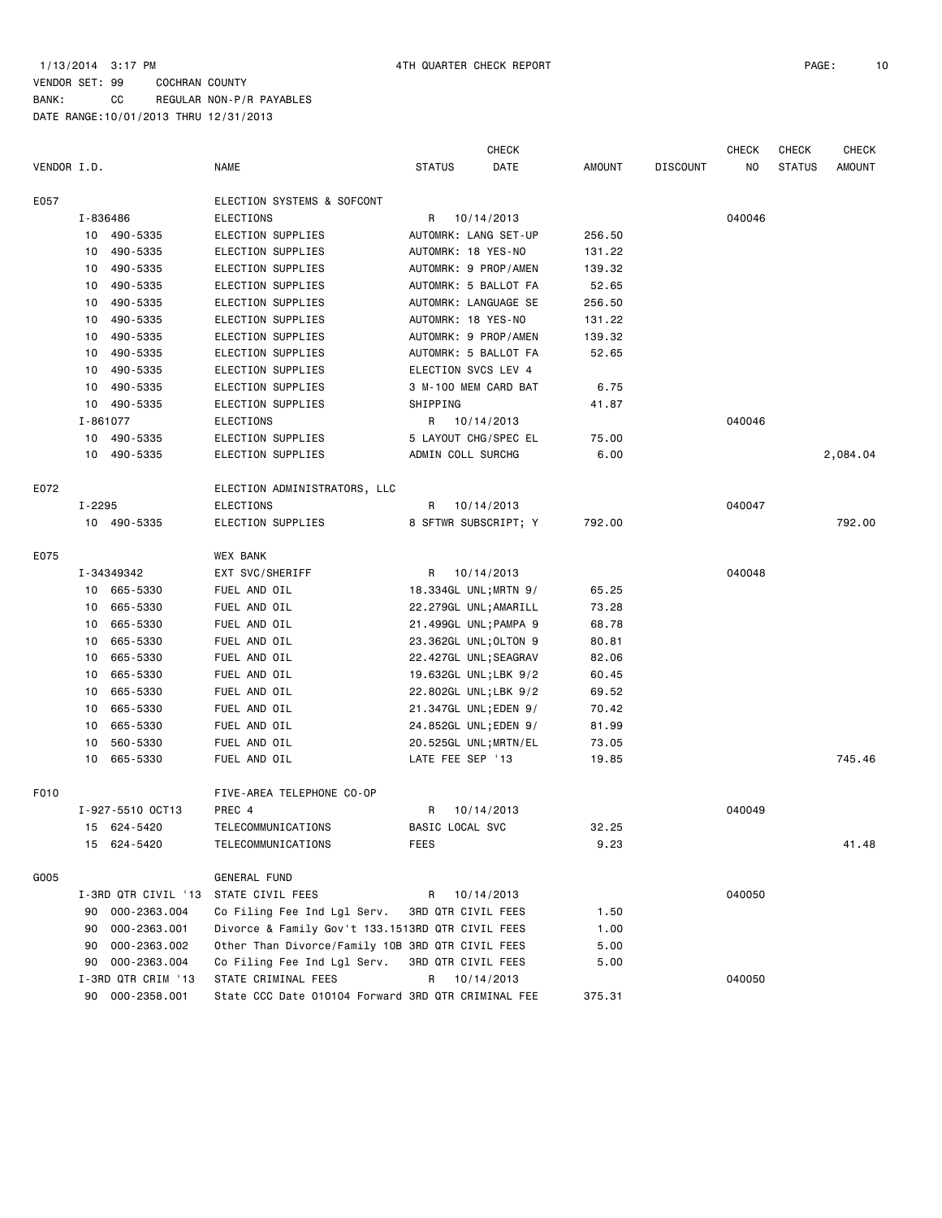|             |        |                     |                                                    |                  | <b>CHECK</b>          |               |                 | <b>CHECK</b> | <b>CHECK</b>  | <b>CHECK</b>  |
|-------------|--------|---------------------|----------------------------------------------------|------------------|-----------------------|---------------|-----------------|--------------|---------------|---------------|
| VENDOR I.D. |        |                     | <b>NAME</b>                                        | <b>STATUS</b>    | DATE                  | <b>AMOUNT</b> | <b>DISCOUNT</b> | NO           | <b>STATUS</b> | <b>AMOUNT</b> |
| E057        |        |                     | ELECTION SYSTEMS & SOFCONT                         |                  |                       |               |                 |              |               |               |
|             |        | I-836486            | <b>ELECTIONS</b>                                   | R                | 10/14/2013            |               |                 | 040046       |               |               |
|             |        | 10 490-5335         | ELECTION SUPPLIES                                  |                  | AUTOMRK: LANG SET-UP  | 256.50        |                 |              |               |               |
|             | 10     | 490-5335            | ELECTION SUPPLIES                                  |                  | AUTOMRK: 18 YES-NO    | 131.22        |                 |              |               |               |
|             | 10     | 490-5335            | ELECTION SUPPLIES                                  |                  | AUTOMRK: 9 PROP/AMEN  | 139.32        |                 |              |               |               |
|             | 10     | 490-5335            | ELECTION SUPPLIES                                  |                  | AUTOMRK: 5 BALLOT FA  | 52.65         |                 |              |               |               |
|             | 10     | 490-5335            | ELECTION SUPPLIES                                  |                  | AUTOMRK: LANGUAGE SE  | 256.50        |                 |              |               |               |
|             | 10     | 490-5335            | ELECTION SUPPLIES                                  |                  | AUTOMRK: 18 YES-NO    | 131.22        |                 |              |               |               |
|             | 10     | 490-5335            | ELECTION SUPPLIES                                  |                  | AUTOMRK: 9 PROP/AMEN  | 139.32        |                 |              |               |               |
|             | 10     | 490-5335            | ELECTION SUPPLIES                                  |                  | AUTOMRK: 5 BALLOT FA  | 52.65         |                 |              |               |               |
|             | 10     | 490-5335            | ELECTION SUPPLIES                                  |                  | ELECTION SVCS LEV 4   |               |                 |              |               |               |
|             | 10     | 490-5335            | ELECTION SUPPLIES                                  |                  | 3 M-100 MEM CARD BAT  | 6.75          |                 |              |               |               |
|             | 10     | 490-5335            | ELECTION SUPPLIES                                  | SHIPPING         |                       | 41.87         |                 |              |               |               |
|             |        | I-861077            | <b>ELECTIONS</b>                                   |                  | R 10/14/2013          |               |                 | 040046       |               |               |
|             |        | 10 490-5335         | ELECTION SUPPLIES                                  |                  | 5 LAYOUT CHG/SPEC EL  | 75.00         |                 |              |               |               |
|             |        | 10 490-5335         | ELECTION SUPPLIES                                  |                  | ADMIN COLL SURCHG     | 6.00          |                 |              |               | 2,084.04      |
| E072        |        |                     | ELECTION ADMINISTRATORS, LLC                       |                  |                       |               |                 |              |               |               |
|             | I-2295 |                     | <b>ELECTIONS</b>                                   | R                | 10/14/2013            |               |                 | 040047       |               |               |
|             |        | 10 490-5335         | ELECTION SUPPLIES                                  |                  | 8 SFTWR SUBSCRIPT; Y  | 792.00        |                 |              |               | 792.00        |
| E075        |        |                     | <b>WEX BANK</b>                                    |                  |                       |               |                 |              |               |               |
|             |        | I-34349342          | EXT SVC/SHERIFF                                    | R                | 10/14/2013            |               |                 | 040048       |               |               |
|             |        | 10 665-5330         | FUEL AND OIL                                       |                  | 18.334GL UNL; MRTN 9/ | 65.25         |                 |              |               |               |
|             | 10     | 665-5330            | FUEL AND OIL                                       |                  | 22.279GL UNL;AMARILL  | 73.28         |                 |              |               |               |
|             | 10     | 665-5330            | FUEL AND OIL                                       |                  | 21.499GL UNL; PAMPA 9 | 68.78         |                 |              |               |               |
|             | 10     | 665-5330            | FUEL AND OIL                                       |                  | 23.362GL UNL; OLTON 9 | 80.81         |                 |              |               |               |
|             | 10     | 665-5330            | FUEL AND OIL                                       |                  | 22.427GL UNL; SEAGRAV | 82.06         |                 |              |               |               |
|             | 10     | 665-5330            | FUEL AND OIL                                       |                  | 19.632GL UNL;LBK 9/2  | 60.45         |                 |              |               |               |
|             | 10     | 665-5330            | FUEL AND OIL                                       |                  | 22.802GL UNL;LBK 9/2  | 69.52         |                 |              |               |               |
|             | 10     | 665-5330            | FUEL AND OIL                                       |                  | 21.347GL UNL;EDEN 9/  | 70.42         |                 |              |               |               |
|             | 10     | 665-5330            | FUEL AND OIL                                       |                  | 24.852GL UNL;EDEN 9/  | 81.99         |                 |              |               |               |
|             | 10     | 560-5330            | FUEL AND OIL                                       |                  | 20.525GL UNL;MRTN/EL  | 73.05         |                 |              |               |               |
|             | 10     | 665-5330            | FUEL AND OIL                                       | LATE FEE SEP '13 |                       | 19.85         |                 |              |               | 745.46        |
| F010        |        |                     | FIVE-AREA TELEPHONE CO-OP                          |                  |                       |               |                 |              |               |               |
|             |        | I-927-5510 OCT13    | PREC 4                                             | R                | 10/14/2013            |               |                 | 040049       |               |               |
|             |        | 15 624-5420         | TELECOMMUNICATIONS                                 | BASIC LOCAL SVC  |                       | 32.25         |                 |              |               |               |
|             |        | 15 624-5420         | TELECOMMUNICATIONS                                 | <b>FEES</b>      |                       | 9.23          |                 |              |               | 41.48         |
| G005        |        |                     | <b>GENERAL FUND</b>                                |                  |                       |               |                 |              |               |               |
|             |        | I-3RD QTR CIVIL '13 | STATE CIVIL FEES                                   | R                | 10/14/2013            |               |                 | 040050       |               |               |
|             | 90     | 000-2363.004        | Co Filing Fee Ind Lgl Serv.                        |                  | 3RD QTR CIVIL FEES    | 1.50          |                 |              |               |               |
|             | 90     | 000-2363.001        | Divorce & Family Gov't 133.1513RD QTR CIVIL FEES   |                  |                       | 1.00          |                 |              |               |               |
|             | 90     | 000-2363.002        | Other Than Divorce/Family 10B 3RD QTR CIVIL FEES   |                  |                       | 5.00          |                 |              |               |               |
|             | 90     | 000-2363.004        | Co Filing Fee Ind Lgl Serv.                        |                  | 3RD QTR CIVIL FEES    | 5.00          |                 |              |               |               |
|             |        | I-3RD QTR CRIM '13  | STATE CRIMINAL FEES                                | R                | 10/14/2013            |               |                 | 040050       |               |               |
|             |        | 90 000-2358.001     | State CCC Date 010104 Forward 3RD QTR CRIMINAL FEE |                  |                       | 375.31        |                 |              |               |               |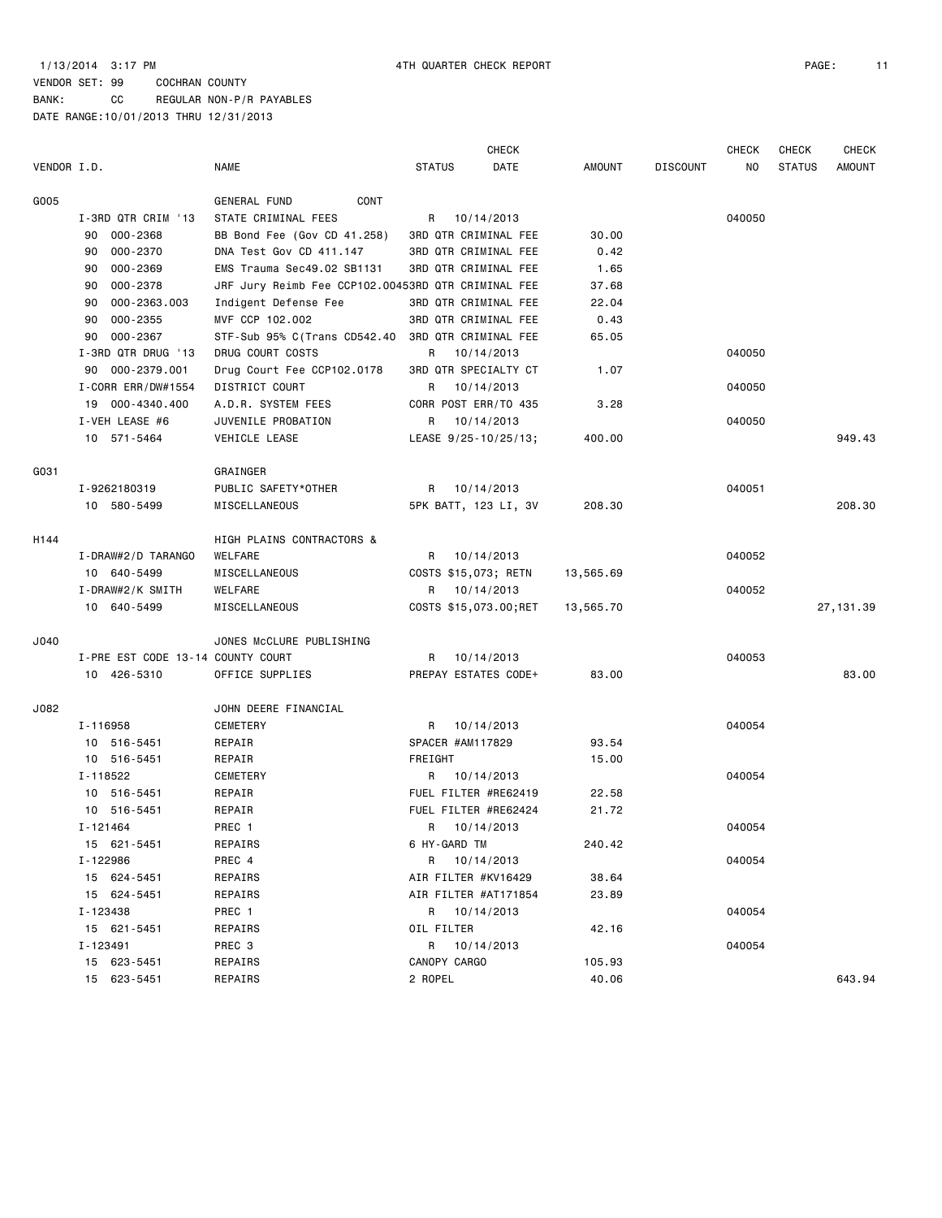|             |                                   |                                                    |                       | <b>CHECK</b> |               |                 | <b>CHECK</b> | <b>CHECK</b>  | <b>CHECK</b>  |
|-------------|-----------------------------------|----------------------------------------------------|-----------------------|--------------|---------------|-----------------|--------------|---------------|---------------|
| VENDOR I.D. |                                   | <b>NAME</b>                                        | <b>STATUS</b>         | DATE         | <b>AMOUNT</b> | <b>DISCOUNT</b> | NO           | <b>STATUS</b> | <b>AMOUNT</b> |
| G005        |                                   | GENERAL FUND<br>CONT                               |                       |              |               |                 |              |               |               |
|             | I-3RD QTR CRIM '13                | STATE CRIMINAL FEES                                | R 10/14/2013          |              |               |                 | 040050       |               |               |
|             | 000-2368<br>90                    | BB Bond Fee (Gov CD 41.258)                        | 3RD QTR CRIMINAL FEE  |              | 30.00         |                 |              |               |               |
|             | 000-2370<br>90                    | DNA Test Gov CD 411.147                            | 3RD QTR CRIMINAL FEE  |              | 0.42          |                 |              |               |               |
|             | 000-2369<br>90                    | EMS Trauma Sec49.02 SB1131                         | 3RD QTR CRIMINAL FEE  |              | 1.65          |                 |              |               |               |
|             | 000-2378<br>90                    | JRF Jury Reimb Fee CCP102.00453RD QTR CRIMINAL FEE |                       |              | 37.68         |                 |              |               |               |
|             | 90<br>000-2363.003                | Indigent Defense Fee                               | 3RD QTR CRIMINAL FEE  |              | 22.04         |                 |              |               |               |
|             | $000 - 2355$<br>90                | MVF CCP 102.002                                    | 3RD QTR CRIMINAL FEE  |              | 0.43          |                 |              |               |               |
|             | 000-2367<br>90                    | STF-Sub 95% C(Trans CD542.40                       | 3RD QTR CRIMINAL FEE  |              | 65.05         |                 |              |               |               |
|             | I-3RD QTR DRUG '13                | DRUG COURT COSTS                                   | R                     | 10/14/2013   |               |                 | 040050       |               |               |
|             | 000-2379.001<br>90                | Drug Court Fee CCP102.0178                         | 3RD QTR SPECIALTY CT  |              | 1.07          |                 |              |               |               |
|             | I-CORR ERR/DW#1554                | DISTRICT COURT                                     | R                     | 10/14/2013   |               |                 | 040050       |               |               |
|             | 19 000-4340.400                   | A.D.R. SYSTEM FEES                                 | CORR POST ERR/TO 435  |              | 3.28          |                 |              |               |               |
|             | I-VEH LEASE #6                    | JUVENILE PROBATION                                 | R                     | 10/14/2013   |               |                 | 040050       |               |               |
|             | 10 571-5464                       | VEHICLE LEASE                                      | LEASE 9/25-10/25/13;  |              | 400.00        |                 |              |               | 949.43        |
| G031        |                                   | GRAINGER                                           |                       |              |               |                 |              |               |               |
|             | I-9262180319                      | PUBLIC SAFETY*OTHER                                | R 10/14/2013          |              |               |                 | 040051       |               |               |
|             | 10 580-5499                       | MISCELLANEOUS                                      | 5PK BATT, 123 LI, 3V  |              | 208.30        |                 |              |               | 208.30        |
|             |                                   |                                                    |                       |              |               |                 |              |               |               |
| H144        |                                   | HIGH PLAINS CONTRACTORS &                          |                       |              |               |                 |              |               |               |
|             | I-DRAW#2/D TARANGO                | WELFARE                                            | R                     | 10/14/2013   |               |                 | 040052       |               |               |
|             | 10 640-5499                       | MISCELLANEOUS                                      | COSTS \$15,073; RETN  |              | 13,565.69     |                 |              |               |               |
|             | I-DRAW#2/K SMITH                  | WELFARE                                            | R                     | 10/14/2013   |               |                 | 040052       |               |               |
|             | 10 640-5499                       | MISCELLANEOUS                                      | COSTS \$15,073.00;RET |              | 13,565.70     |                 |              |               | 27, 131.39    |
| J040        |                                   | JONES MCCLURE PUBLISHING                           |                       |              |               |                 |              |               |               |
|             | I-PRE EST CODE 13-14 COUNTY COURT |                                                    | R                     | 10/14/2013   |               |                 | 040053       |               |               |
|             | 10 426-5310                       | OFFICE SUPPLIES                                    | PREPAY ESTATES CODE+  |              | 83.00         |                 |              |               | 83.00         |
| J082        |                                   | JOHN DEERE FINANCIAL                               |                       |              |               |                 |              |               |               |
|             | I-116958                          | <b>CEMETERY</b>                                    | R                     | 10/14/2013   |               |                 | 040054       |               |               |
|             | 10 516-5451                       | REPAIR                                             | SPACER #AM117829      |              | 93.54         |                 |              |               |               |
|             | 10 516-5451                       | REPAIR                                             | FREIGHT               |              | 15.00         |                 |              |               |               |
|             | I-118522                          | <b>CEMETERY</b>                                    | R 10/14/2013          |              |               |                 | 040054       |               |               |
|             | 10 516-5451                       | REPAIR                                             | FUEL FILTER #RE62419  |              | 22.58         |                 |              |               |               |
|             | 10 516-5451                       | REPAIR                                             | FUEL FILTER #RE62424  |              | 21.72         |                 |              |               |               |
|             | I-121464                          | PREC 1                                             | R 10/14/2013          |              |               |                 | 040054       |               |               |
|             | 15 621-5451                       | REPAIRS                                            | 6 HY-GARD TM          |              | 240.42        |                 |              |               |               |
|             | I-122986                          | PREC 4                                             | R 10/14/2013          |              |               |                 | 040054       |               |               |
|             | 15 624-5451                       | REPAIRS                                            | AIR FILTER #KV16429   |              | 38.64         |                 |              |               |               |
|             | 15 624-5451                       | REPAIRS                                            | AIR FILTER #AT171854  |              | 23.89         |                 |              |               |               |
|             | I-123438                          | PREC 1                                             | R 10/14/2013          |              |               |                 | 040054       |               |               |
|             | 15 621-5451                       | REPAIRS                                            | OIL FILTER            |              | 42.16         |                 |              |               |               |
|             | I - 123491                        | PREC 3                                             | R 10/14/2013          |              |               |                 | 040054       |               |               |
|             | 15 623-5451                       | REPAIRS                                            | CANOPY CARGO          |              | 105.93        |                 |              |               |               |
|             | 15 623-5451                       | REPAIRS                                            | 2 ROPEL               |              | 40.06         |                 |              |               | 643.94        |
|             |                                   |                                                    |                       |              |               |                 |              |               |               |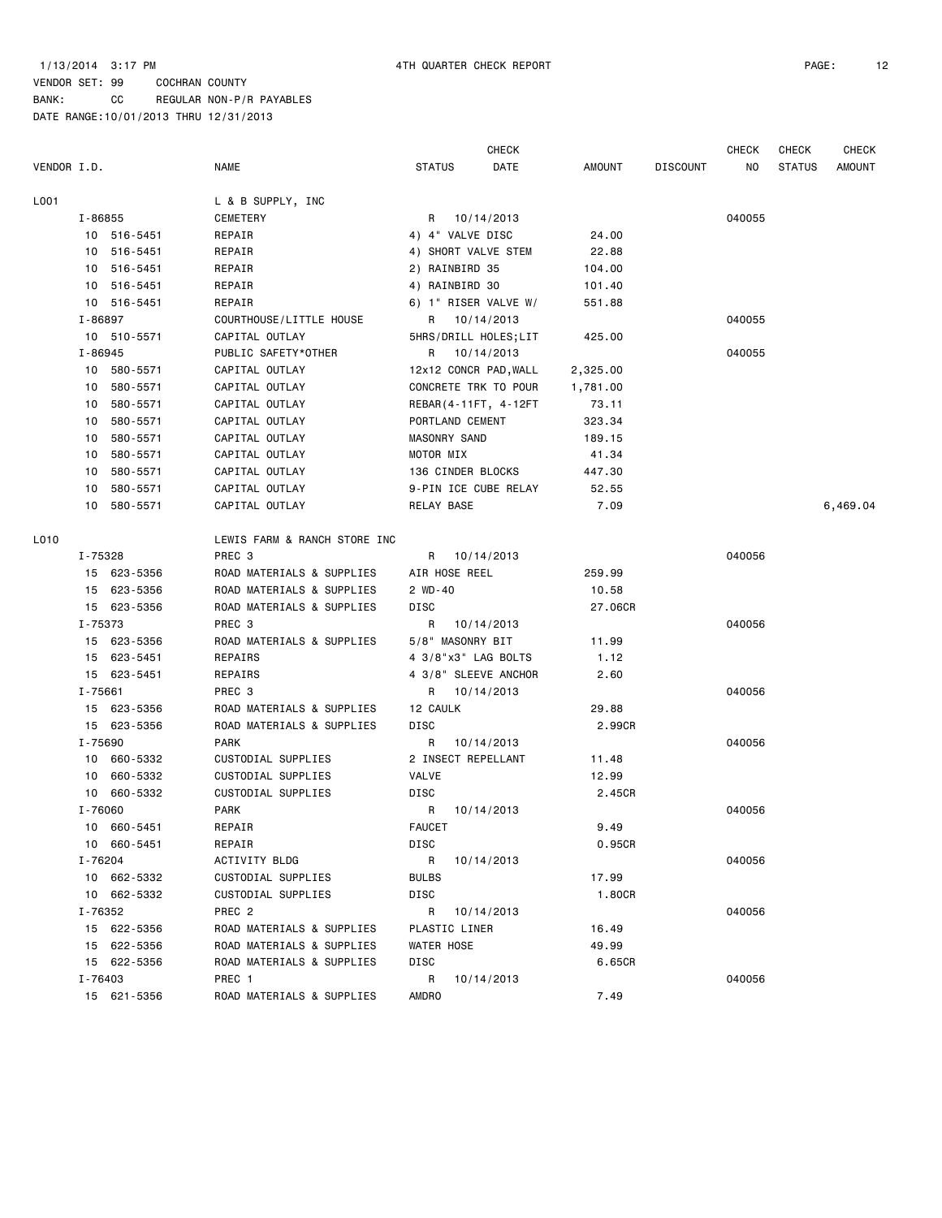BANK: CC REGULAR NON-P/R PAYABLES

|             |                |                              |                 | <b>CHECK</b>          |               |                 | CHECK  | <b>CHECK</b>  | <b>CHECK</b>  |
|-------------|----------------|------------------------------|-----------------|-----------------------|---------------|-----------------|--------|---------------|---------------|
| VENDOR I.D. |                | <b>NAME</b>                  | <b>STATUS</b>   | DATE                  | <b>AMOUNT</b> | <b>DISCOUNT</b> | NO     | <b>STATUS</b> | <b>AMOUNT</b> |
| L001        |                | L & B SUPPLY, INC            |                 |                       |               |                 |        |               |               |
|             | I-86855        | CEMETERY                     | R               | 10/14/2013            |               |                 | 040055 |               |               |
|             | 10 516-5451    | REPAIR                       |                 | 4) 4" VALVE DISC      | 24.00         |                 |        |               |               |
|             | 10 516-5451    | REPAIR                       |                 | 4) SHORT VALVE STEM   | 22.88         |                 |        |               |               |
|             | 10 516-5451    | REPAIR                       | 2) RAINBIRD 35  |                       | 104.00        |                 |        |               |               |
|             | 10 516-5451    | REPAIR                       | 4) RAINBIRD 30  |                       | 101.40        |                 |        |               |               |
|             | 10 516-5451    | REPAIR                       |                 | 6) 1" RISER VALVE W/  | 551.88        |                 |        |               |               |
|             | I-86897        | COURTHOUSE/LITTLE HOUSE      |                 | R 10/14/2013          |               |                 | 040055 |               |               |
|             | 10 510-5571    | CAPITAL OUTLAY               |                 | 5HRS/DRILL HOLES;LIT  | 425.00        |                 |        |               |               |
|             | $I - 86945$    | PUBLIC SAFETY*OTHER          | R               | 10/14/2013            |               |                 | 040055 |               |               |
|             | 10 580-5571    | CAPITAL OUTLAY               |                 | 12x12 CONCR PAD, WALL | 2,325.00      |                 |        |               |               |
|             | 10 580-5571    | CAPITAL OUTLAY               |                 | CONCRETE TRK TO POUR  | 1,781.00      |                 |        |               |               |
|             | 580-5571<br>10 | CAPITAL OUTLAY               |                 | REBAR (4-11FT, 4-12FT | 73.11         |                 |        |               |               |
|             | 580-5571<br>10 | CAPITAL OUTLAY               | PORTLAND CEMENT |                       | 323.34        |                 |        |               |               |
|             | 580-5571<br>10 | CAPITAL OUTLAY               | MASONRY SAND    |                       | 189.15        |                 |        |               |               |
|             | 580-5571<br>10 | CAPITAL OUTLAY               | MOTOR MIX       |                       | 41.34         |                 |        |               |               |
|             | 580-5571<br>10 | CAPITAL OUTLAY               |                 | 136 CINDER BLOCKS     | 447.30        |                 |        |               |               |
|             | 580-5571<br>10 | CAPITAL OUTLAY               |                 | 9-PIN ICE CUBE RELAY  | 52.55         |                 |        |               |               |
|             | 10 580-5571    | CAPITAL OUTLAY               | RELAY BASE      |                       | 7.09          |                 |        |               | 6,469.04      |
| L010        |                | LEWIS FARM & RANCH STORE INC |                 |                       |               |                 |        |               |               |
|             | I-75328        | PREC <sub>3</sub>            | R               | 10/14/2013            |               |                 | 040056 |               |               |
|             | 15 623-5356    | ROAD MATERIALS & SUPPLIES    | AIR HOSE REEL   |                       | 259.99        |                 |        |               |               |
|             | 15 623-5356    | ROAD MATERIALS & SUPPLIES    | 2 WD-40         |                       | 10.58         |                 |        |               |               |
|             | 15 623-5356    | ROAD MATERIALS & SUPPLIES    | DISC            |                       | 27.06CR       |                 |        |               |               |
|             | I-75373        | PREC 3                       | R               | 10/14/2013            |               |                 | 040056 |               |               |
|             | 15 623-5356    | ROAD MATERIALS & SUPPLIES    |                 | 5/8" MASONRY BIT      | 11.99         |                 |        |               |               |
|             | 15 623-5451    | REPAIRS                      |                 | 4 3/8"x3" LAG BOLTS   | 1.12          |                 |        |               |               |
|             | 15 623-5451    | REPAIRS                      |                 | 4 3/8" SLEEVE ANCHOR  | 2.60          |                 |        |               |               |
|             | $I - 75661$    | PREC 3                       | R               | 10/14/2013            |               |                 | 040056 |               |               |
|             | 15 623-5356    | ROAD MATERIALS & SUPPLIES    | 12 CAULK        |                       | 29.88         |                 |        |               |               |
|             | 15 623-5356    | ROAD MATERIALS & SUPPLIES    | DISC            |                       | 2.99CR        |                 |        |               |               |
|             | I-75690        | <b>PARK</b>                  | R               | 10/14/2013            |               |                 | 040056 |               |               |
|             | 10 660-5332    | CUSTODIAL SUPPLIES           |                 | 2 INSECT REPELLANT    | 11.48         |                 |        |               |               |
|             | 10 660-5332    | CUSTODIAL SUPPLIES           | VALVE           |                       | 12.99         |                 |        |               |               |
|             | 10 660-5332    | CUSTODIAL SUPPLIES           | DISC            |                       | 2.45CR        |                 |        |               |               |
|             | I-76060        | <b>PARK</b>                  | R               | 10/14/2013            |               |                 | 040056 |               |               |
|             | 10 660-5451    | REPAIR                       | <b>FAUCET</b>   |                       | 9.49          |                 |        |               |               |
|             | 10 660-5451    | REPAIR                       | DISC            |                       | 0.95CR        |                 |        |               |               |
|             | I-76204        | ACTIVITY BLDG                | R               | 10/14/2013            |               |                 | 040056 |               |               |
|             | 10 662-5332    | CUSTODIAL SUPPLIES           | <b>BULBS</b>    |                       | 17.99         |                 |        |               |               |
|             | 10 662-5332    | CUSTODIAL SUPPLIES           | DISC            |                       | 1.80CR        |                 |        |               |               |
|             | I-76352        | PREC <sub>2</sub>            | R               | 10/14/2013            |               |                 | 040056 |               |               |
|             | 15 622-5356    | ROAD MATERIALS & SUPPLIES    | PLASTIC LINER   |                       | 16.49         |                 |        |               |               |
|             | 15 622-5356    | ROAD MATERIALS & SUPPLIES    | WATER HOSE      |                       | 49.99         |                 |        |               |               |
|             | 15 622-5356    | ROAD MATERIALS & SUPPLIES    | DISC            |                       | 6.65CR        |                 |        |               |               |
|             | I-76403        | PREC 1                       | R               | 10/14/2013            |               |                 | 040056 |               |               |
|             | 15 621-5356    | ROAD MATERIALS & SUPPLIES    | <b>AMDRO</b>    |                       | 7.49          |                 |        |               |               |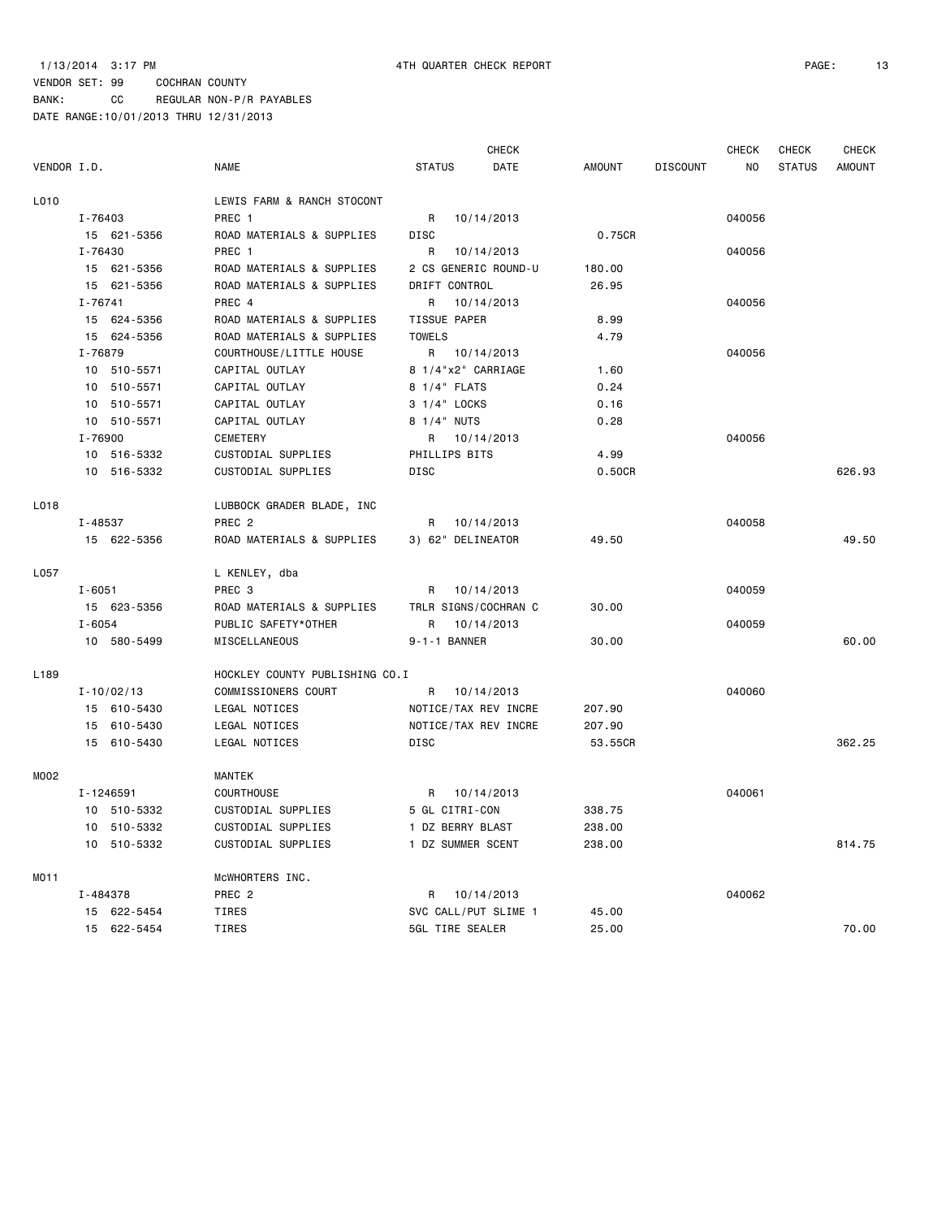### VENDOR SET: 99 COCHRAN COUNTY BANK: CC REGULAR NON-P/R PAYABLES

|                  |                |                                |                      | CHECK      |               |                 | CHECK  | CHECK         | CHECK         |
|------------------|----------------|--------------------------------|----------------------|------------|---------------|-----------------|--------|---------------|---------------|
| VENDOR I.D.      |                | <b>NAME</b>                    | <b>STATUS</b>        | DATE       | <b>AMOUNT</b> | <b>DISCOUNT</b> | ΝO     | <b>STATUS</b> | <b>AMOUNT</b> |
| L010             |                | LEWIS FARM & RANCH STOCONT     |                      |            |               |                 |        |               |               |
|                  | I-76403        | PREC 1                         | R                    | 10/14/2013 |               |                 | 040056 |               |               |
|                  | 15 621-5356    | ROAD MATERIALS & SUPPLIES      | <b>DISC</b>          |            | 0.75CR        |                 |        |               |               |
|                  | I-76430        | PREC 1                         | R                    | 10/14/2013 |               |                 | 040056 |               |               |
|                  | 15 621-5356    | ROAD MATERIALS & SUPPLIES      | 2 CS GENERIC ROUND-U |            | 180.00        |                 |        |               |               |
|                  | 15 621-5356    | ROAD MATERIALS & SUPPLIES      | DRIFT CONTROL        |            | 26.95         |                 |        |               |               |
|                  | $I - 76741$    | PREC 4                         | R                    | 10/14/2013 |               |                 | 040056 |               |               |
|                  | 15 624-5356    | ROAD MATERIALS & SUPPLIES      | <b>TISSUE PAPER</b>  |            | 8.99          |                 |        |               |               |
|                  | 15 624-5356    | ROAD MATERIALS & SUPPLIES      | <b>TOWELS</b>        |            | 4.79          |                 |        |               |               |
|                  | I-76879        | COURTHOUSE/LITTLE HOUSE        | $\mathsf{R}$         | 10/14/2013 |               |                 | 040056 |               |               |
|                  | 10 510-5571    | CAPITAL OUTLAY                 | 8 1/4"x2" CARRIAGE   |            | 1.60          |                 |        |               |               |
|                  | 10 510-5571    | CAPITAL OUTLAY                 | 8 1/4" FLATS         |            | 0.24          |                 |        |               |               |
|                  | 10 510-5571    | CAPITAL OUTLAY                 | 3 1/4" LOCKS         |            | 0.16          |                 |        |               |               |
|                  | 10 510-5571    | CAPITAL OUTLAY                 | 8 1/4" NUTS          |            | 0.28          |                 |        |               |               |
|                  | I-76900        | CEMETERY                       | R                    | 10/14/2013 |               |                 | 040056 |               |               |
|                  | 10 516-5332    | CUSTODIAL SUPPLIES             | PHILLIPS BITS        |            | 4.99          |                 |        |               |               |
|                  | 10 516-5332    | CUSTODIAL SUPPLIES             | <b>DISC</b>          |            | 0.50CR        |                 |        |               | 626.93        |
| L018             |                | LUBBOCK GRADER BLADE, INC      |                      |            |               |                 |        |               |               |
|                  | I-48537        | PREC <sub>2</sub>              | R                    | 10/14/2013 |               |                 | 040058 |               |               |
|                  | 15 622-5356    | ROAD MATERIALS & SUPPLIES      | 3) 62" DELINEATOR    |            | 49.50         |                 |        |               | 49.50         |
| L057             |                | L KENLEY, dba                  |                      |            |               |                 |        |               |               |
|                  | $I - 6051$     | PREC 3                         | R                    | 10/14/2013 |               |                 | 040059 |               |               |
|                  | 15 623-5356    | ROAD MATERIALS & SUPPLIES      | TRLR SIGNS/COCHRAN C |            | 30.00         |                 |        |               |               |
|                  | $I - 6054$     | PUBLIC SAFETY*OTHER            | R                    | 10/14/2013 |               |                 | 040059 |               |               |
|                  | 10 580-5499    | MISCELLANEOUS                  | 9-1-1 BANNER         |            | 30.00         |                 |        |               | 60.00         |
| L <sub>189</sub> |                | HOCKLEY COUNTY PUBLISHING CO.I |                      |            |               |                 |        |               |               |
|                  | $I - 10/02/13$ | COMMISSIONERS COURT            | R                    | 10/14/2013 |               |                 | 040060 |               |               |
|                  | 15 610-5430    | LEGAL NOTICES                  | NOTICE/TAX REV INCRE |            | 207.90        |                 |        |               |               |
|                  | 15 610-5430    | LEGAL NOTICES                  | NOTICE/TAX REV INCRE |            | 207.90        |                 |        |               |               |
|                  | 15 610-5430    | LEGAL NOTICES                  | <b>DISC</b>          |            | 53.55CR       |                 |        |               | 362.25        |
| M002             |                | <b>MANTEK</b>                  |                      |            |               |                 |        |               |               |
|                  | I-1246591      | COURTHOUSE                     | R                    | 10/14/2013 |               |                 | 040061 |               |               |
|                  | 10 510-5332    | CUSTODIAL SUPPLIES             | 5 GL CITRI-CON       |            | 338.75        |                 |        |               |               |
|                  | 10 510-5332    | CUSTODIAL SUPPLIES             | 1 DZ BERRY BLAST     |            | 238.00        |                 |        |               |               |
|                  | 10 510-5332    | CUSTODIAL SUPPLIES             | 1 DZ SUMMER SCENT    |            | 238.00        |                 |        |               | 814.75        |
| MO11             |                | MCWHORTERS INC.                |                      |            |               |                 |        |               |               |
|                  | I-484378       | PREC <sub>2</sub>              | R                    | 10/14/2013 |               |                 | 040062 |               |               |
|                  | 15 622-5454    | TIRES                          | SVC CALL/PUT SLIME 1 |            | 45.00         |                 |        |               |               |
|                  | 15 622-5454    | <b>TIRES</b>                   | 5GL TIRE SEALER      |            | 25.00         |                 |        |               | 70.00         |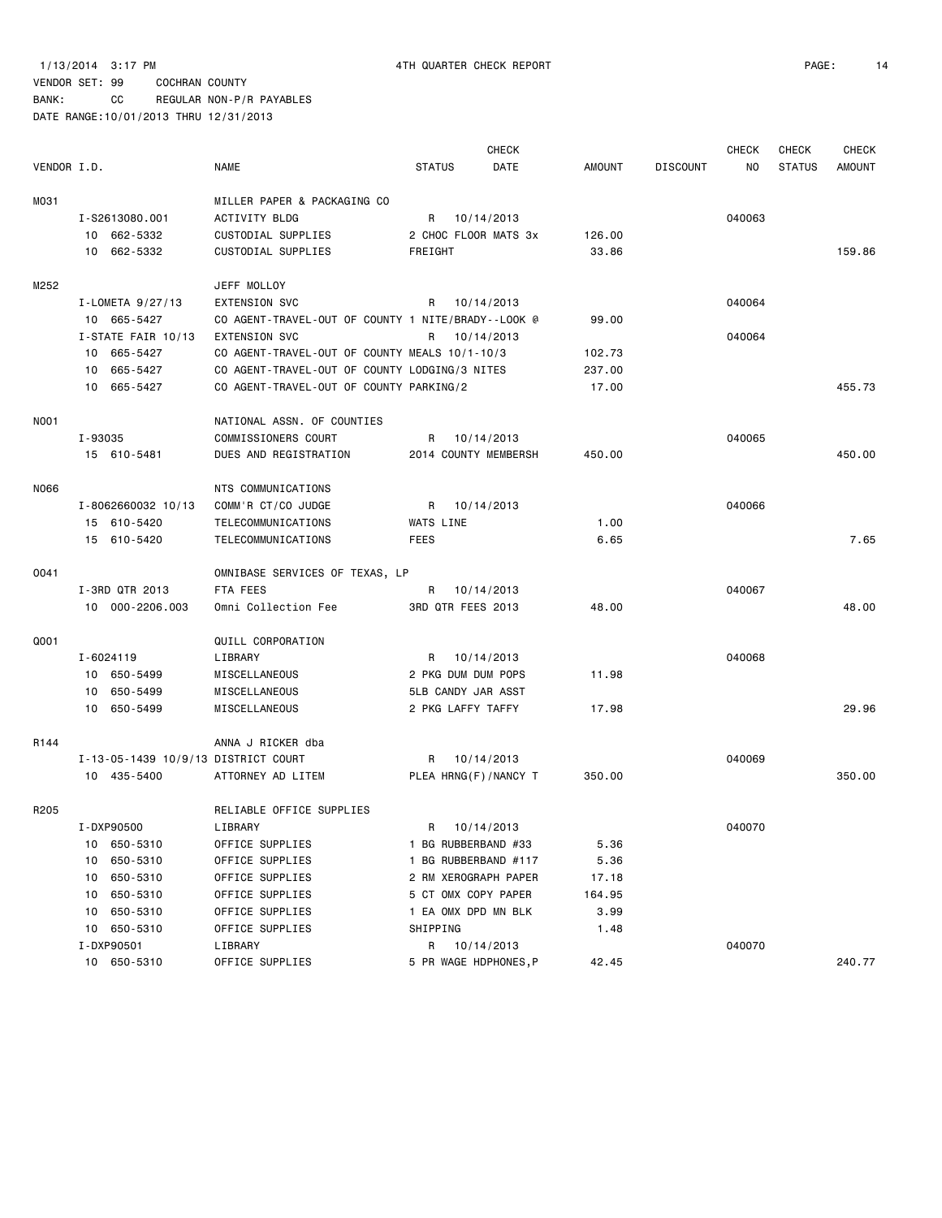BANK: CC REGULAR NON-P/R PAYABLES

|             |         |                                     |                                                    |               | <b>CHECK</b>          |               |                 | <b>CHECK</b> | <b>CHECK</b>  | <b>CHECK</b>  |
|-------------|---------|-------------------------------------|----------------------------------------------------|---------------|-----------------------|---------------|-----------------|--------------|---------------|---------------|
| VENDOR I.D. |         |                                     | NAME                                               | <b>STATUS</b> | DATE                  | <b>AMOUNT</b> | <b>DISCOUNT</b> | NO           | <b>STATUS</b> | <b>AMOUNT</b> |
| M031        |         |                                     | MILLER PAPER & PACKAGING CO                        |               |                       |               |                 |              |               |               |
|             |         | I-S2613080.001                      | ACTIVITY BLDG                                      | R             | 10/14/2013            |               |                 | 040063       |               |               |
|             |         | 10 662-5332                         | CUSTODIAL SUPPLIES                                 |               | 2 CHOC FLOOR MATS 3x  | 126.00        |                 |              |               |               |
|             |         | 10 662-5332                         | CUSTODIAL SUPPLIES                                 | FREIGHT       |                       | 33.86         |                 |              |               | 159.86        |
| M252        |         |                                     | JEFF MOLLOY                                        |               |                       |               |                 |              |               |               |
|             |         | I-LOMETA $9/27/13$                  | <b>EXTENSION SVC</b>                               | R             | 10/14/2013            |               |                 | 040064       |               |               |
|             |         | 10 665-5427                         | CO AGENT-TRAVEL-OUT OF COUNTY 1 NITE/BRADY--LOOK @ |               |                       | 99.00         |                 |              |               |               |
|             |         | I-STATE FAIR 10/13                  | <b>EXTENSION SVC</b>                               | R             | 10/14/2013            |               |                 | 040064       |               |               |
|             |         | 10 665-5427                         | CO AGENT-TRAVEL-OUT OF COUNTY MEALS 10/1-10/3      |               |                       | 102.73        |                 |              |               |               |
|             | 10      | 665-5427                            | CO AGENT-TRAVEL-OUT OF COUNTY LODGING/3 NITES      |               |                       | 237.00        |                 |              |               |               |
|             |         | 10 665-5427                         | CO AGENT-TRAVEL-OUT OF COUNTY PARKING/2            |               |                       | 17.00         |                 |              |               | 455.73        |
| <b>NO01</b> |         |                                     | NATIONAL ASSN. OF COUNTIES                         |               |                       |               |                 |              |               |               |
|             | I-93035 |                                     | COMMISSIONERS COURT                                | R             | 10/14/2013            |               |                 | 040065       |               |               |
|             |         | 15 610-5481                         | DUES AND REGISTRATION                              |               | 2014 COUNTY MEMBERSH  | 450.00        |                 |              |               | 450.00        |
| N066        |         |                                     | NTS COMMUNICATIONS                                 |               |                       |               |                 |              |               |               |
|             |         | I-8062660032 10/13                  | COMM'R CT/CO JUDGE                                 | R             | 10/14/2013            |               |                 | 040066       |               |               |
|             |         | 15 610-5420                         | TELECOMMUNICATIONS                                 | WATS LINE     |                       | 1.00          |                 |              |               |               |
|             |         | 15 610-5420                         | TELECOMMUNICATIONS                                 | FEES          |                       | 6.65          |                 |              |               | 7.65          |
| 0041        |         |                                     | OMNIBASE SERVICES OF TEXAS, LP                     |               |                       |               |                 |              |               |               |
|             |         | I-3RD QTR 2013                      | FTA FEES                                           | R             | 10/14/2013            |               |                 | 040067       |               |               |
|             |         | 10 000-2206.003                     | Omni Collection Fee                                |               | 3RD QTR FEES 2013     | 48.00         |                 |              |               | 48.00         |
| Q001        |         |                                     | QUILL CORPORATION                                  |               |                       |               |                 |              |               |               |
|             |         | I-6024119                           | LIBRARY                                            | R             | 10/14/2013            |               |                 | 040068       |               |               |
|             |         | 10 650-5499                         | MISCELLANEOUS                                      |               | 2 PKG DUM DUM POPS    | 11.98         |                 |              |               |               |
|             |         | 10 650-5499                         | MISCELLANEOUS                                      |               | 5LB CANDY JAR ASST    |               |                 |              |               |               |
|             |         | 10 650-5499                         | MISCELLANEOUS                                      |               | 2 PKG LAFFY TAFFY     | 17.98         |                 |              |               | 29.96         |
| R144        |         |                                     | ANNA J RICKER dba                                  |               |                       |               |                 |              |               |               |
|             |         | I-13-05-1439 10/9/13 DISTRICT COURT |                                                    | R             | 10/14/2013            |               |                 | 040069       |               |               |
|             |         | 10 435-5400                         | ATTORNEY AD LITEM                                  |               | PLEA HRNG(F)/NANCY T  | 350.00        |                 |              |               | 350.00        |
| R205        |         |                                     | RELIABLE OFFICE SUPPLIES                           |               |                       |               |                 |              |               |               |
|             |         | I-DXP90500                          | LIBRARY                                            | R.            | 10/14/2013            |               |                 | 040070       |               |               |
|             | 10      | 650-5310                            | OFFICE SUPPLIES                                    |               | 1 BG RUBBERBAND #33   | 5.36          |                 |              |               |               |
|             | 10      | 650-5310                            | OFFICE SUPPLIES                                    |               | 1 BG RUBBERBAND #117  | 5.36          |                 |              |               |               |
|             | 10      | 650-5310                            | OFFICE SUPPLIES                                    |               | 2 RM XEROGRAPH PAPER  | 17.18         |                 |              |               |               |
|             | 10      | 650-5310                            | OFFICE SUPPLIES                                    |               | 5 CT OMX COPY PAPER   | 164.95        |                 |              |               |               |
|             | 10      | 650-5310                            | OFFICE SUPPLIES                                    |               | 1 EA OMX DPD MN BLK   | 3.99          |                 |              |               |               |
|             | 10      | 650-5310                            | OFFICE SUPPLIES                                    | SHIPPING      |                       | 1.48          |                 |              |               |               |
|             |         | I-DXP90501                          | LIBRARY                                            |               | R 10/14/2013          |               |                 | 040070       |               |               |
|             |         | 10 650-5310                         | OFFICE SUPPLIES                                    |               | 5 PR WAGE HDPHONES, P | 42.45         |                 |              |               | 240.77        |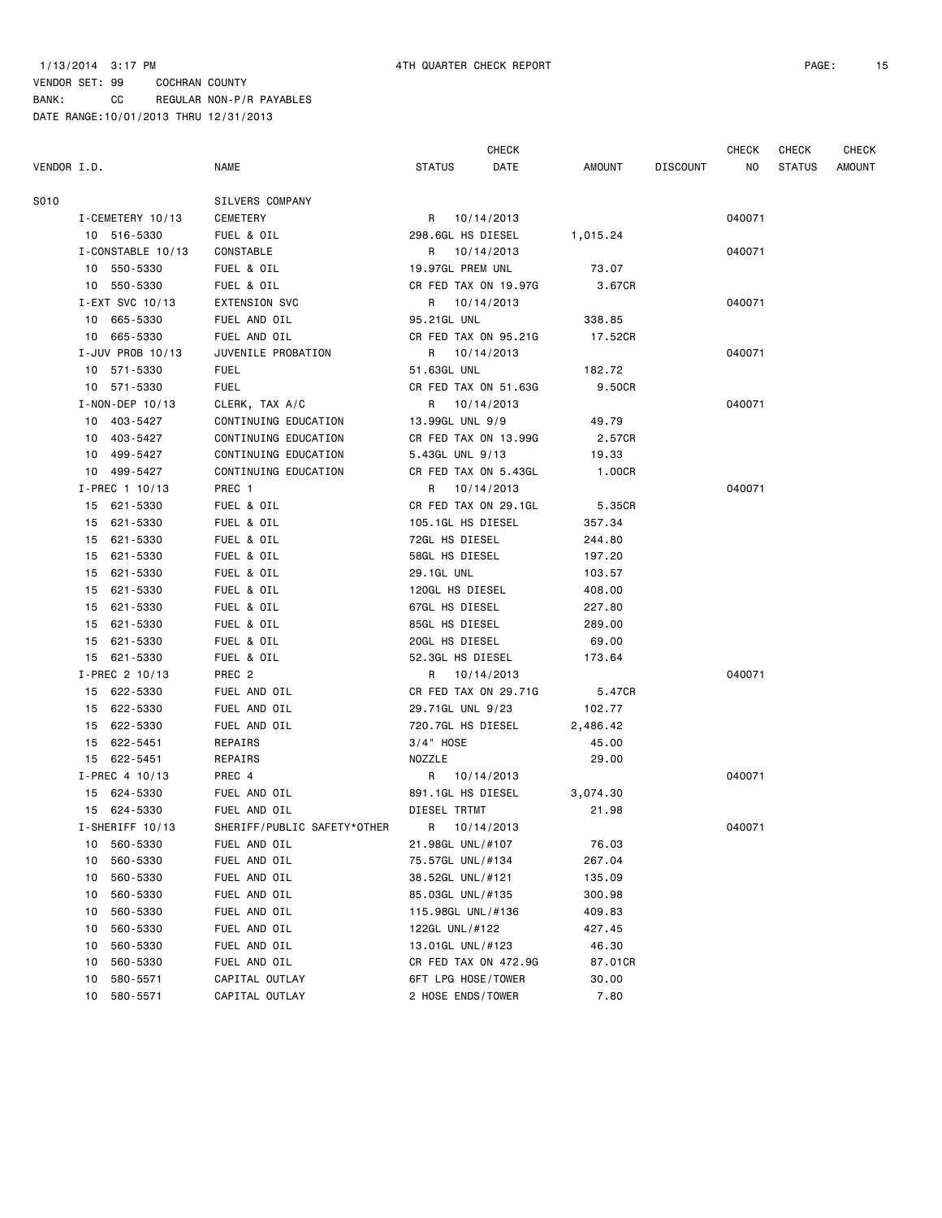### 1/13/2014 3:17 PM 4TH QUARTER CHECK REPORT PAGE: 15

CHECK CHECK CHECK CHECK

| VENDOR I.D. |                       | <b>NAME</b>                 | STATUS<br>DATE       | AMOUNT   | DISCOUNT | NO .   | <b>STATUS</b> | <b>AMOUNT</b> |
|-------------|-----------------------|-----------------------------|----------------------|----------|----------|--------|---------------|---------------|
| S010        |                       | SILVERS COMPANY             |                      |          |          |        |               |               |
|             | I-CEMETERY 10/13      | CEMETERY                    | R 10/14/2013         |          |          | 040071 |               |               |
|             | 10 516-5330           | FUEL & OIL                  | 298.6GL HS DIESEL    | 1,015.24 |          |        |               |               |
|             | I-CONSTABLE 10/13     | CONSTABLE                   | R 10/14/2013         |          |          | 040071 |               |               |
|             | 10 550-5330           | FUEL & OIL                  | 19.97GL PREM UNL     | 73.07    |          |        |               |               |
|             | 10 550-5330           | FUEL & OIL                  | CR FED TAX ON 19.97G | 3.67CR   |          |        |               |               |
|             | I-EXT SVC 10/13       | <b>EXTENSION SVC</b>        | R 10/14/2013         |          |          | 040071 |               |               |
|             | 10 665-5330           | FUEL AND OIL                | 95.21GL UNL          | 338.85   |          |        |               |               |
|             | 10 665-5330           | FUEL AND OIL                | CR FED TAX ON 95.21G | 17.52CR  |          |        |               |               |
|             | I-JUV PROB 10/13      | JUVENILE PROBATION          | R 10/14/2013         |          |          | 040071 |               |               |
|             | 10 571-5330           | <b>FUEL</b>                 | 51.63GL UNL          | 182.72   |          |        |               |               |
|             | 10 571-5330           | <b>FUEL</b>                 | CR FED TAX ON 51.63G | 9.50CR   |          |        |               |               |
|             | $I - NON - DEP 10/13$ | CLERK, TAX A/C              | R 10/14/2013         |          |          | 040071 |               |               |
|             | 10 403-5427           | CONTINUING EDUCATION        | 13.99GL UNL 9/9      | 49.79    |          |        |               |               |
|             | 10 403-5427           | CONTINUING EDUCATION        | CR FED TAX ON 13.99G | 2.57CR   |          |        |               |               |
|             | 10 499-5427           | CONTINUING EDUCATION        | 5.43GL UNL 9/13      | 19.33    |          |        |               |               |
|             | 10 499-5427           | CONTINUING EDUCATION        | CR FED TAX ON 5.43GL | 1.00CR   |          |        |               |               |
|             | $I-PREC$ 1 10/13      | PREC 1                      | R 10/14/2013         |          |          | 040071 |               |               |
|             | 15 621-5330           | FUEL & OIL                  | CR FED TAX ON 29.1GL | 5.35CR   |          |        |               |               |
|             | 15 621-5330           | FUEL & OIL                  | 105.1GL HS DIESEL    | 357.34   |          |        |               |               |
|             | 15 621-5330           | FUEL & OIL                  | 72GL HS DIESEL       | 244.80   |          |        |               |               |
|             | 15 621-5330           | FUEL & OIL                  | 58GL HS DIESEL       | 197.20   |          |        |               |               |
|             | 15 621-5330           | FUEL & OIL                  | 29.1GL UNL           | 103.57   |          |        |               |               |
|             | 15 621-5330           | FUEL & OIL                  | 120GL HS DIESEL      | 408.00   |          |        |               |               |
|             | 15 621-5330           | FUEL & OIL                  | 67GL HS DIESEL       | 227.80   |          |        |               |               |
|             | 15 621-5330           | FUEL & OIL                  | 85GL HS DIESEL       | 289.00   |          |        |               |               |
|             | 15 621-5330           | FUEL & OIL                  | 20GL HS DIESEL       | 69.00    |          |        |               |               |
|             | 15 621-5330           | FUEL & OIL                  | 52.3GL HS DIESEL     | 173.64   |          |        |               |               |
|             | I-PREC 2 10/13        | PREC 2                      | R 10/14/2013         |          |          | 040071 |               |               |
|             | 15 622-5330           | FUEL AND OIL                | CR FED TAX ON 29.71G | 5.47CR   |          |        |               |               |
|             | 15 622-5330           | FUEL AND OIL                | 29.71GL UNL 9/23     | 102.77   |          |        |               |               |
|             | 15 622-5330           | FUEL AND OIL                | 720.7GL HS DIESEL    | 2,486.42 |          |        |               |               |
|             | 15 622-5451           | REPAIRS                     | 3/4" HOSE            | 45.00    |          |        |               |               |
|             | 15 622-5451           | REPAIRS                     | NOZZLE               | 29.00    |          |        |               |               |
|             | I-PREC 4 10/13        | PREC 4                      | R 10/14/2013         |          |          | 040071 |               |               |
|             | 15 624-5330           | FUEL AND OIL                | 891.1GL HS DIESEL    | 3,074.30 |          |        |               |               |
|             | 15 624-5330           | FUEL AND OIL                | DIESEL TRTMT         | 21.98    |          |        |               |               |
|             | I-SHERIFF 10/13       | SHERIFF/PUBLIC SAFETY*OTHER | R 10/14/2013         |          |          | 040071 |               |               |
|             | 10 560-5330           | FUEL AND OIL                | 21.98GL UNL/#107     | 76.03    |          |        |               |               |
|             | 560-5330<br>10        | FUEL AND OIL                | 75.57GL UNL/#134     | 267.04   |          |        |               |               |
|             | 560-5330<br>10        | FUEL AND OIL                | 38.52GL UNL/#121     | 135.09   |          |        |               |               |
|             | 560-5330<br>10        | FUEL AND OIL                | 85.03GL UNL/#135     | 300.98   |          |        |               |               |
|             | 560-5330<br>10        | FUEL AND OIL                | 115.98GL UNL/#136    | 409.83   |          |        |               |               |
|             | 560-5330<br>10        | FUEL AND OIL                | 122GL UNL/#122       | 427.45   |          |        |               |               |
|             | 560-5330<br>10        | FUEL AND OIL                | 13.01GL UNL/#123     | 46.30    |          |        |               |               |
|             | 10<br>560-5330        | FUEL AND OIL                | CR FED TAX ON 472.9G | 87.01CR  |          |        |               |               |
|             | 580-5571<br>10        | CAPITAL OUTLAY              | 6FT LPG HOSE/TOWER   | 30.00    |          |        |               |               |
|             | 580-5571<br>10        | CAPITAL OUTLAY              | 2 HOSE ENDS/TOWER    | 7.80     |          |        |               |               |
|             |                       |                             |                      |          |          |        |               |               |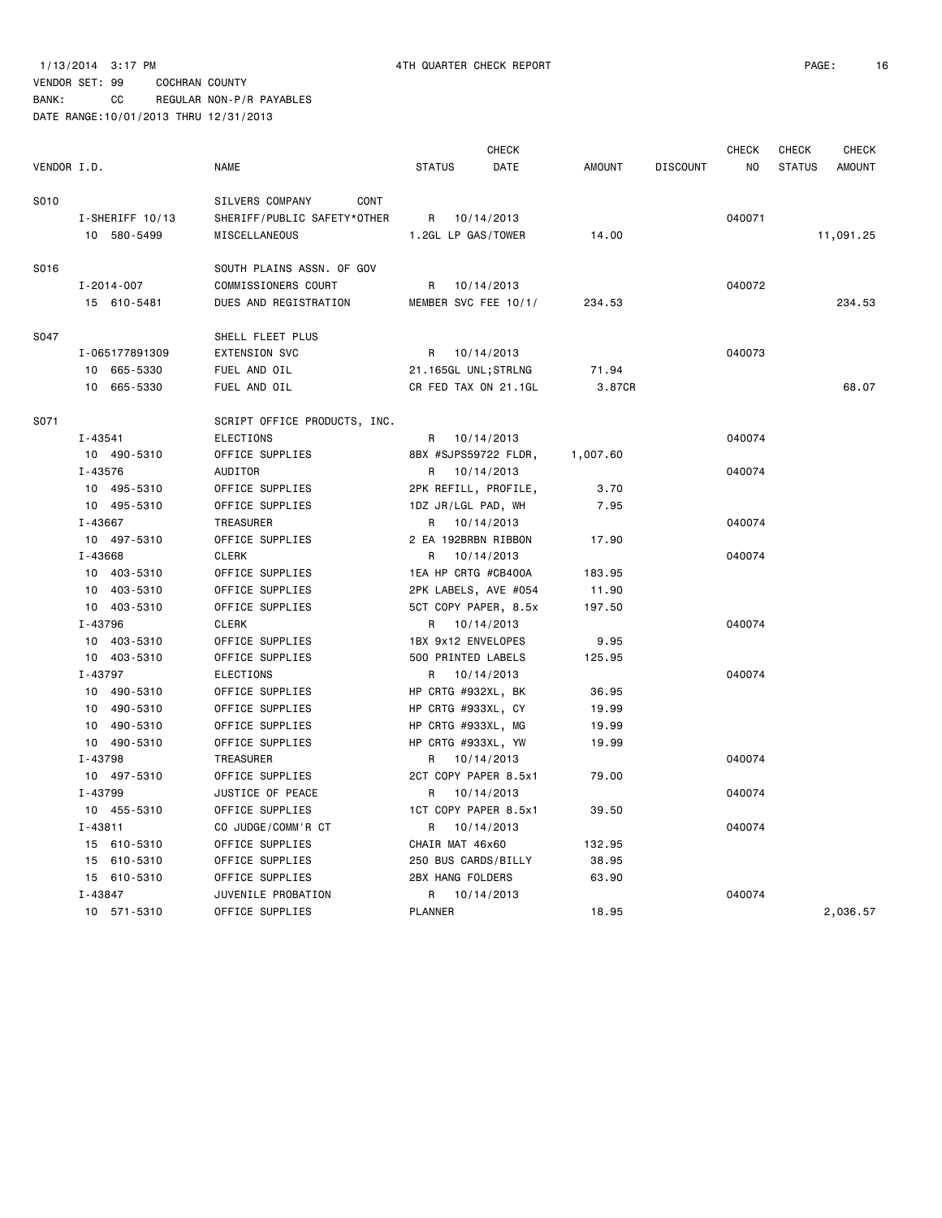### VENDOR SET: 99 COCHRAN COUNTY BANK: CC REGULAR NON-P/R PAYABLES

|             |                  |                              |                         | <b>CHECK</b> |               |                 | <b>CHECK</b> | <b>CHECK</b>  | <b>CHECK</b>  |
|-------------|------------------|------------------------------|-------------------------|--------------|---------------|-----------------|--------------|---------------|---------------|
| VENDOR I.D. |                  | <b>NAME</b>                  | <b>STATUS</b>           | <b>DATE</b>  | <b>AMOUNT</b> | <b>DISCOUNT</b> | <b>NO</b>    | <b>STATUS</b> | <b>AMOUNT</b> |
| S010        |                  | SILVERS COMPANY<br>CONT      |                         |              |               |                 |              |               |               |
|             | I-SHERIFF 10/13  | SHERIFF/PUBLIC SAFETY*OTHER  | R 10/14/2013            |              |               |                 | 040071       |               |               |
|             | 10 580-5499      | MISCELLANEOUS                | 1.2GL LP GAS/TOWER      |              | 14.00         |                 |              |               | 11,091.25     |
| S016        |                  | SOUTH PLAINS ASSN. OF GOV    |                         |              |               |                 |              |               |               |
|             | $I - 2014 - 007$ | COMMISSIONERS COURT          | R                       | 10/14/2013   |               |                 | 040072       |               |               |
|             | 15 610-5481      | DUES AND REGISTRATION        | MEMBER SVC FEE 10/1/    |              | 234.53        |                 |              |               | 234.53        |
| S047        |                  | SHELL FLEET PLUS             |                         |              |               |                 |              |               |               |
|             | I-065177891309   | <b>EXTENSION SVC</b>         | R                       | 10/14/2013   |               |                 | 040073       |               |               |
|             | 10 665-5330      | FUEL AND OIL                 | 21.165GL UNL;STRLNG     |              | 71.94         |                 |              |               |               |
|             | 10 665-5330      | FUEL AND OIL                 | CR FED TAX ON 21.1GL    |              | 3.87CR        |                 |              |               | 68.07         |
| S071        |                  | SCRIPT OFFICE PRODUCTS, INC. |                         |              |               |                 |              |               |               |
|             | $I - 43541$      | <b>ELECTIONS</b>             | R.                      | 10/14/2013   |               |                 | 040074       |               |               |
|             | 10 490-5310      | OFFICE SUPPLIES              | 8BX #SJPS59722 FLDR,    |              | 1,007.60      |                 |              |               |               |
|             | I-43576          | AUDITOR                      | R 10/14/2013            |              |               |                 | 040074       |               |               |
|             | 10 495-5310      | OFFICE SUPPLIES              | 2PK REFILL, PROFILE,    |              | 3.70          |                 |              |               |               |
|             | 10 495-5310      | OFFICE SUPPLIES              | 1DZ JR/LGL PAD, WH      |              | 7.95          |                 |              |               |               |
|             | $I - 43667$      | TREASURER                    | R                       | 10/14/2013   |               |                 | 040074       |               |               |
|             | 10 497-5310      | OFFICE SUPPLIES              | 2 EA 192BRBN RIBBON     |              | 17.90         |                 |              |               |               |
|             | I-43668          | <b>CLERK</b>                 | R                       | 10/14/2013   |               |                 | 040074       |               |               |
|             | 10 403-5310      | OFFICE SUPPLIES              | 1EA HP CRTG #CB400A     |              | 183.95        |                 |              |               |               |
|             | 10 403-5310      | OFFICE SUPPLIES              | 2PK LABELS, AVE #054    |              | 11.90         |                 |              |               |               |
|             | 10 403-5310      | OFFICE SUPPLIES              | 5CT COPY PAPER, 8.5x    |              | 197.50        |                 |              |               |               |
|             | I-43796          | <b>CLERK</b>                 | R 10/14/2013            |              |               |                 | 040074       |               |               |
|             | 10 403-5310      | OFFICE SUPPLIES              | 1BX 9x12 ENVELOPES      |              | 9.95          |                 |              |               |               |
|             | 10 403-5310      | OFFICE SUPPLIES              | 500 PRINTED LABELS      |              | 125.95        |                 |              |               |               |
|             | I-43797          | <b>ELECTIONS</b>             | R                       | 10/14/2013   |               |                 | 040074       |               |               |
|             | 10 490-5310      | OFFICE SUPPLIES              | HP CRTG #932XL, BK      |              | 36.95         |                 |              |               |               |
|             | 10 490-5310      | OFFICE SUPPLIES              | HP CRTG #933XL, CY      |              | 19.99         |                 |              |               |               |
|             | 10 490-5310      | OFFICE SUPPLIES              | HP CRTG #933XL, MG      |              | 19.99         |                 |              |               |               |
|             | 10 490-5310      | OFFICE SUPPLIES              | HP CRTG #933XL, YW      |              | 19.99         |                 |              |               |               |
|             | I-43798          | TREASURER                    | R                       | 10/14/2013   |               |                 | 040074       |               |               |
|             | 10 497-5310      | OFFICE SUPPLIES              | 2CT COPY PAPER 8.5x1    |              | 79.00         |                 |              |               |               |
|             | I-43799          | JUSTICE OF PEACE             | R                       | 10/14/2013   |               |                 | 040074       |               |               |
|             | 10 455-5310      | OFFICE SUPPLIES              | 1CT COPY PAPER 8.5x1    |              | 39.50         |                 |              |               |               |
|             | $I - 43811$      | CO JUDGE/COMM'R CT           | R                       | 10/14/2013   |               |                 | 040074       |               |               |
|             | 15 610-5310      | OFFICE SUPPLIES              | CHAIR MAT 46x60         |              | 132.95        |                 |              |               |               |
|             | 15 610-5310      | OFFICE SUPPLIES              | 250 BUS CARDS/BILLY     |              | 38.95         |                 |              |               |               |
|             | 15 610-5310      | OFFICE SUPPLIES              | <b>2BX HANG FOLDERS</b> |              | 63.90         |                 |              |               |               |
|             | I-43847          | JUVENILE PROBATION           | R                       | 10/14/2013   |               |                 | 040074       |               |               |
|             | 10 571-5310      | OFFICE SUPPLIES              | <b>PLANNER</b>          |              | 18.95         |                 |              |               | 2,036.57      |
|             |                  |                              |                         |              |               |                 |              |               |               |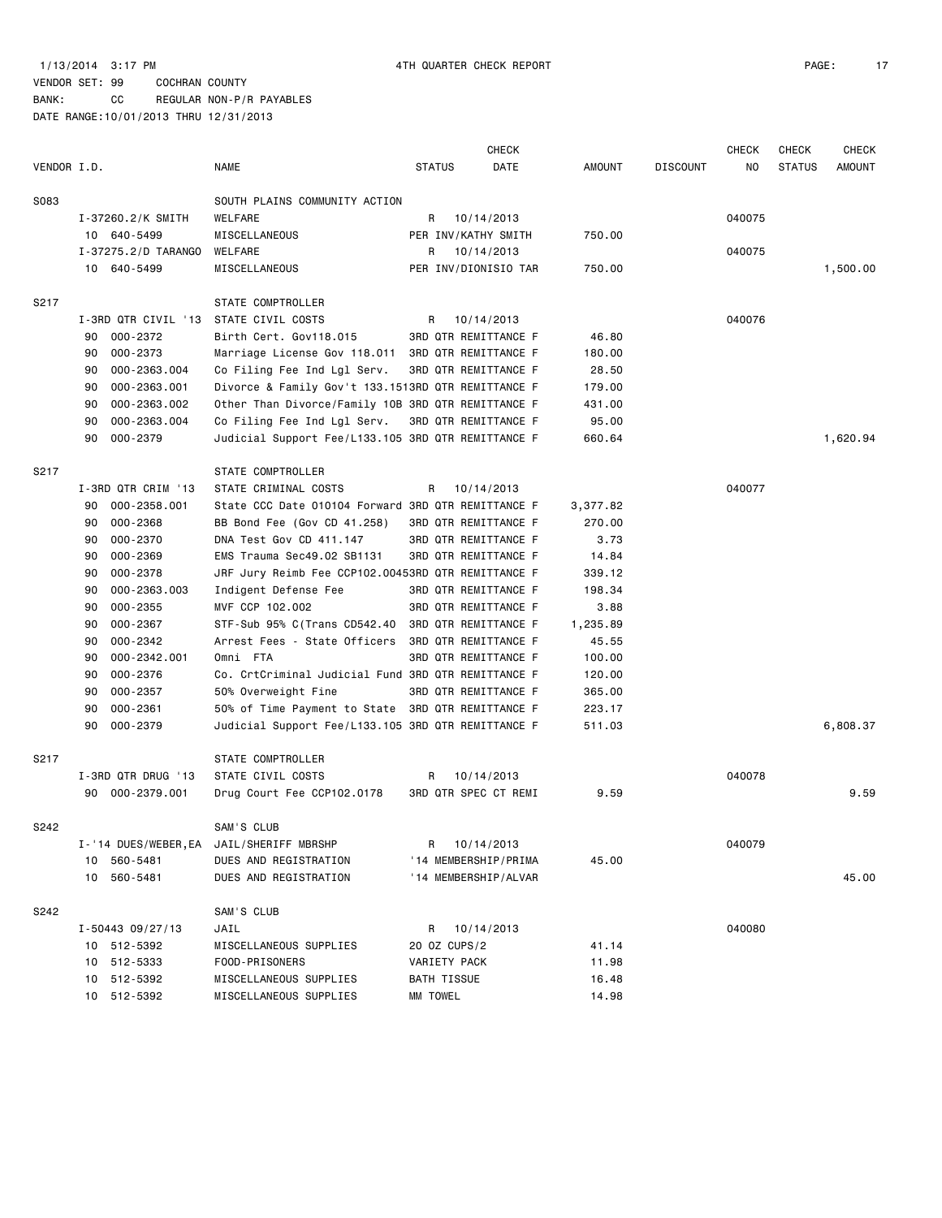BANK: CC REGULAR NON-P/R PAYABLES

|             |                                          |                                                    |               | <b>CHECK</b>                |          |                 | <b>CHECK</b> | <b>CHECK</b>  | <b>CHECK</b>  |
|-------------|------------------------------------------|----------------------------------------------------|---------------|-----------------------------|----------|-----------------|--------------|---------------|---------------|
| VENDOR I.D. |                                          | NAME                                               | <b>STATUS</b> | DATE                        | AMOUNT   | <b>DISCOUNT</b> | NO           | <b>STATUS</b> | <b>AMOUNT</b> |
| S083        |                                          | SOUTH PLAINS COMMUNITY ACTION                      |               |                             |          |                 |              |               |               |
|             | I-37260.2/K SMITH                        | WELFARE                                            | R             | 10/14/2013                  |          |                 | 040075       |               |               |
|             | 10 640-5499                              | MISCELLANEOUS                                      |               | PER INV/KATHY SMITH         | 750.00   |                 |              |               |               |
|             | I-37275.2/D TARANGO                      | WELFARE                                            |               |                             |          |                 | 040075       |               |               |
|             |                                          |                                                    |               | R 10/14/2013                |          |                 |              |               |               |
|             | 10 640-5499                              | MISCELLANEOUS                                      |               | PER INV/DIONISIO TAR        | 750.00   |                 |              |               | 1,500.00      |
| S217        |                                          | STATE COMPTROLLER                                  |               |                             |          |                 |              |               |               |
|             | I-3RD QTR CIVIL '13                      | STATE CIVIL COSTS                                  | R             | 10/14/2013                  |          |                 | 040076       |               |               |
|             | 000-2372<br>90                           | Birth Cert. Gov118.015                             |               | 3RD QTR REMITTANCE F        | 46.80    |                 |              |               |               |
|             | 000-2373<br>90                           | Marriage License Gov 118.011                       |               | <b>3RD QTR REMITTANCE F</b> | 180.00   |                 |              |               |               |
|             | 000-2363.004<br>90                       | Co Filing Fee Ind Lgl Serv.                        |               | 3RD QTR REMITTANCE F        | 28.50    |                 |              |               |               |
|             | 000-2363.001<br>90                       | Divorce & Family Gov't 133.1513RD QTR REMITTANCE F |               |                             | 179.00   |                 |              |               |               |
|             | 000-2363.002<br>90                       | Other Than Divorce/Family 10B 3RD QTR REMITTANCE F |               |                             | 431.00   |                 |              |               |               |
|             | 90<br>000-2363.004                       | Co Filing Fee Ind Lgl Serv.                        |               | 3RD QTR REMITTANCE F        | 95.00    |                 |              |               |               |
|             | 90<br>000-2379                           | Judicial Support Fee/L133.105 3RD QTR REMITTANCE F |               |                             | 660.64   |                 |              |               | 1,620.94      |
|             |                                          |                                                    |               |                             |          |                 |              |               |               |
| S217        |                                          | STATE COMPTROLLER                                  |               |                             |          |                 |              |               |               |
|             | I-3RD QTR CRIM '13                       | STATE CRIMINAL COSTS                               | R             | 10/14/2013                  |          |                 | 040077       |               |               |
|             | 000-2358.001<br>90                       | State CCC Date 010104 Forward 3RD QTR REMITTANCE F |               |                             | 3,377.82 |                 |              |               |               |
|             | 000-2368<br>90                           | BB Bond Fee (Gov CD 41.258)                        |               | 3RD QTR REMITTANCE F        | 270.00   |                 |              |               |               |
|             | 000-2370<br>90                           | DNA Test Gov CD 411.147                            |               | 3RD QTR REMITTANCE F        | 3.73     |                 |              |               |               |
|             | 000-2369<br>90                           | EMS Trauma Sec49.02 SB1131                         |               | 3RD QTR REMITTANCE F        | 14.84    |                 |              |               |               |
|             | 000-2378<br>90                           | JRF Jury Reimb Fee CCP102.00453RD QTR REMITTANCE F |               |                             | 339.12   |                 |              |               |               |
|             | 000-2363.003<br>90                       | Indigent Defense Fee                               |               | 3RD QTR REMITTANCE F        | 198.34   |                 |              |               |               |
|             | $000 - 2355$<br>90                       | MVF CCP 102.002                                    |               | 3RD QTR REMITTANCE F        | 3.88     |                 |              |               |               |
|             | $000 - 2367$<br>90                       | STF-Sub 95% C(Trans CD542.40                       |               | <b>3RD QTR REMITTANCE F</b> | 1,235.89 |                 |              |               |               |
|             | $000 - 2342$<br>90                       | Arrest Fees - State Officers                       |               | <b>3RD QTR REMITTANCE F</b> | 45.55    |                 |              |               |               |
|             | 000-2342.001<br>90                       | Omni FTA                                           |               | 3RD QTR REMITTANCE F        | 100.00   |                 |              |               |               |
|             | 000-2376<br>90                           | Co. CrtCriminal Judicial Fund 3RD QTR REMITTANCE F |               |                             | 120.00   |                 |              |               |               |
|             | 000-2357<br>90                           | 50% Overweight Fine                                |               | 3RD QTR REMITTANCE F        | 365.00   |                 |              |               |               |
|             | 000-2361<br>90                           | 50% of Time Payment to State 3RD QTR REMITTANCE F  |               |                             | 223.17   |                 |              |               |               |
|             | 000-2379<br>90                           | Judicial Support Fee/L133.105 3RD QTR REMITTANCE F |               |                             | 511.03   |                 |              |               | 6,808.37      |
| S217        |                                          | STATE COMPTROLLER                                  |               |                             |          |                 |              |               |               |
|             | I-3RD QTR DRUG '13                       | STATE CIVIL COSTS                                  | R             | 10/14/2013                  |          |                 | 040078       |               |               |
|             | 000-2379.001<br>90                       | Drug Court Fee CCP102.0178                         |               | <b>3RD QTR SPEC CT REMI</b> | 9.59     |                 |              |               | 9.59          |
|             |                                          |                                                    |               |                             |          |                 |              |               |               |
| S242        |                                          | SAM'S CLUB                                         |               |                             |          |                 |              |               |               |
|             | I-'14 DUES/WEBER, EA JAIL/SHERIFF MBRSHP |                                                    |               | R 10/14/2013                |          |                 | 040079       |               |               |
|             | 10 560-5481                              | DUES AND REGISTRATION                              |               | '14 MEMBERSHIP/PRIMA        | 45.00    |                 |              |               |               |
|             | 10 560-5481                              | DUES AND REGISTRATION                              |               | '14 MEMBERSHIP/ALVAR        |          |                 |              |               | 45.00         |
| S242        |                                          | SAM'S CLUB                                         |               |                             |          |                 |              |               |               |
|             | $I - 50443$ 09/27/13                     | JAIL                                               |               | R 10/14/2013                |          |                 | 040080       |               |               |
|             | 10 512-5392                              | MISCELLANEOUS SUPPLIES                             | 20 OZ CUPS/2  |                             | 41.14    |                 |              |               |               |
|             | 10 512-5333                              | FOOD-PRISONERS                                     | VARIETY PACK  |                             | 11.98    |                 |              |               |               |
|             | 10 512-5392                              | MISCELLANEOUS SUPPLIES                             | BATH TISSUE   |                             | 16.48    |                 |              |               |               |
|             | 10 512-5392                              | MISCELLANEOUS SUPPLIES                             | MM TOWEL      |                             | 14.98    |                 |              |               |               |
|             |                                          |                                                    |               |                             |          |                 |              |               |               |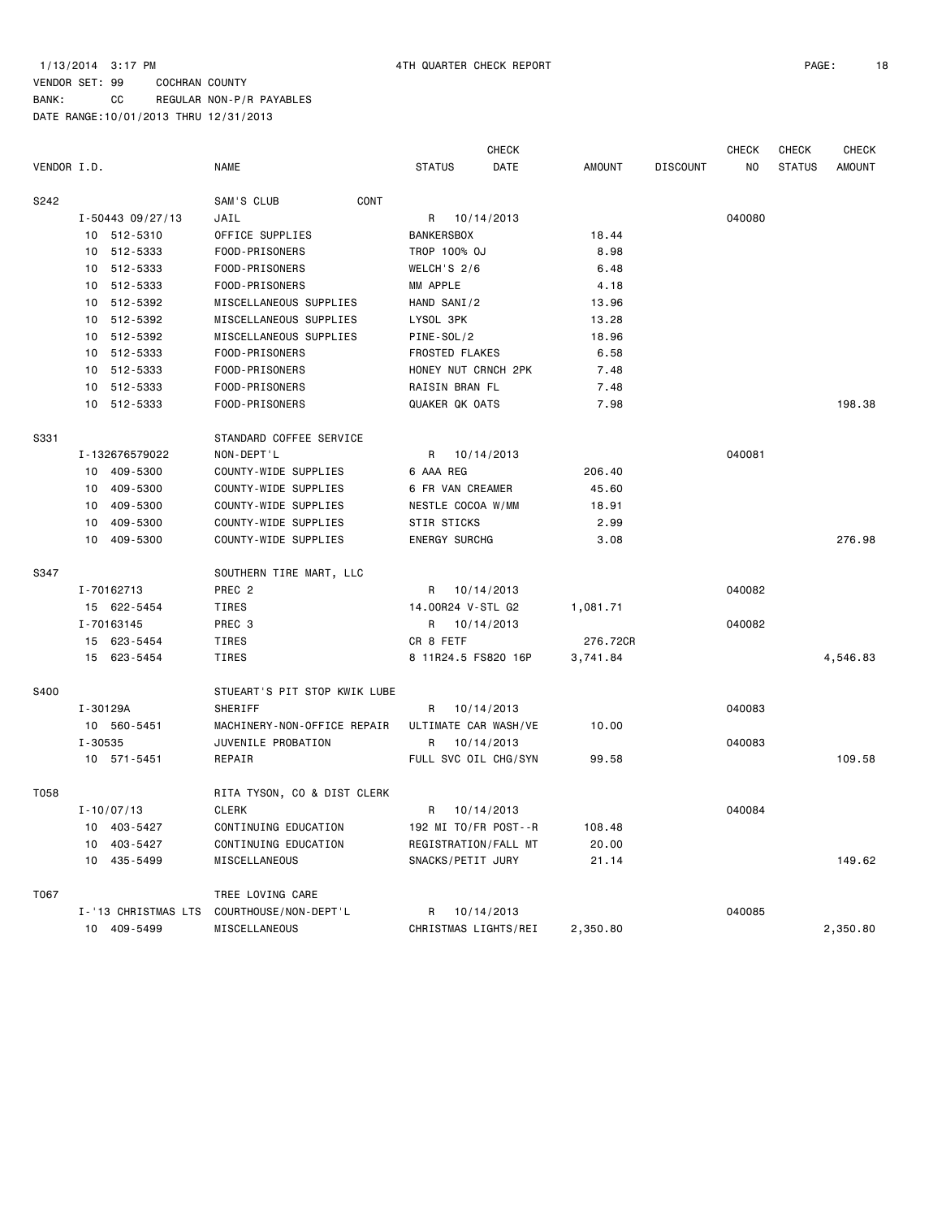BANK: CC REGULAR NON-P/R PAYABLES

|             |                      |                              |                       | CHECK      |               |                 | <b>CHECK</b> | CHECK         | <b>CHECK</b>  |
|-------------|----------------------|------------------------------|-----------------------|------------|---------------|-----------------|--------------|---------------|---------------|
| VENDOR I.D. |                      | <b>NAME</b>                  | <b>STATUS</b>         | DATE       | <b>AMOUNT</b> | <b>DISCOUNT</b> | NO           | <b>STATUS</b> | <b>AMOUNT</b> |
| S242        |                      | SAM'S CLUB<br>CONT           |                       |            |               |                 |              |               |               |
|             | $I - 50443$ 09/27/13 | JAIL                         | R                     | 10/14/2013 |               |                 | 040080       |               |               |
|             | 10 512-5310          | OFFICE SUPPLIES              | <b>BANKERSBOX</b>     |            | 18.44         |                 |              |               |               |
|             | 10 512-5333          | FOOD-PRISONERS               | TROP 100% OJ          |            | 8.98          |                 |              |               |               |
|             | 10 512-5333          | FOOD-PRISONERS               | WELCH'S 2/6           |            | 6.48          |                 |              |               |               |
|             | 10 512-5333          | FOOD-PRISONERS               | MM APPLE              |            | 4.18          |                 |              |               |               |
|             | 10 512-5392          | MISCELLANEOUS SUPPLIES       | HAND SANI/2           |            | 13.96         |                 |              |               |               |
|             | 10 512-5392          | MISCELLANEOUS SUPPLIES       | LYSOL 3PK             |            | 13.28         |                 |              |               |               |
|             | 10 512-5392          | MISCELLANEOUS SUPPLIES       | PINE-SOL/2            |            | 18.96         |                 |              |               |               |
|             | 10 512-5333          | FOOD-PRISONERS               | <b>FROSTED FLAKES</b> |            | 6.58          |                 |              |               |               |
|             | 10 512-5333          | FOOD-PRISONERS               | HONEY NUT CRNCH 2PK   |            | 7.48          |                 |              |               |               |
|             | 512-5333<br>10       | FOOD-PRISONERS               | RAISIN BRAN FL        |            | 7.48          |                 |              |               |               |
|             | 10 512-5333          | FOOD-PRISONERS               | QUAKER QK OATS        |            | 7.98          |                 |              |               | 198.38        |
| S331        |                      | STANDARD COFFEE SERVICE      |                       |            |               |                 |              |               |               |
|             | I-132676579022       | NON-DEPT'L                   | R                     | 10/14/2013 |               |                 | 040081       |               |               |
|             | 409-5300<br>10       | COUNTY-WIDE SUPPLIES         | 6 AAA REG             |            | 206.40        |                 |              |               |               |
|             | 10 409-5300          | COUNTY-WIDE SUPPLIES         | 6 FR VAN CREAMER      |            | 45.60         |                 |              |               |               |
|             | 10 409-5300          | COUNTY-WIDE SUPPLIES         | NESTLE COCOA W/MM     |            | 18.91         |                 |              |               |               |
|             | 409-5300<br>10       | COUNTY-WIDE SUPPLIES         | STIR STICKS           |            | 2.99          |                 |              |               |               |
|             | 10 409-5300          | COUNTY-WIDE SUPPLIES         | <b>ENERGY SURCHG</b>  |            | 3.08          |                 |              |               | 276.98        |
| S347        |                      | SOUTHERN TIRE MART, LLC      |                       |            |               |                 |              |               |               |
|             | I-70162713           | PREC <sub>2</sub>            | R                     | 10/14/2013 |               |                 | 040082       |               |               |
|             | 15 622-5454          | TIRES                        | 14.00R24 V-STL G2     |            | 1,081.71      |                 |              |               |               |
|             | I-70163145           | PREC 3                       | R                     | 10/14/2013 |               |                 | 040082       |               |               |
|             | 15 623-5454          | TIRES                        | CR 8 FETF             |            | 276.72CR      |                 |              |               |               |
|             | 15 623-5454          | <b>TIRES</b>                 | 8 11R24.5 FS820 16P   |            | 3,741.84      |                 |              |               | 4,546.83      |
| S400        |                      | STUEART'S PIT STOP KWIK LUBE |                       |            |               |                 |              |               |               |
|             | I-30129A             | <b>SHERIFF</b>               | R                     | 10/14/2013 |               |                 | 040083       |               |               |
|             | 10 560-5451          | MACHINERY-NON-OFFICE REPAIR  | ULTIMATE CAR WASH/VE  |            | 10.00         |                 |              |               |               |
|             | $I - 30535$          | JUVENILE PROBATION           | R                     | 10/14/2013 |               |                 | 040083       |               |               |
|             | 10 571-5451          | REPAIR                       | FULL SVC OIL CHG/SYN  |            | 99.58         |                 |              |               | 109.58        |
| T058        |                      | RITA TYSON, CO & DIST CLERK  |                       |            |               |                 |              |               |               |
|             | $I - 10/07/13$       | <b>CLERK</b>                 | R                     | 10/14/2013 |               |                 | 040084       |               |               |
|             | 10 403-5427          | CONTINUING EDUCATION         | 192 MI TO/FR POST--R  |            | 108.48        |                 |              |               |               |
|             | 10 403-5427          | CONTINUING EDUCATION         | REGISTRATION/FALL MT  |            | 20.00         |                 |              |               |               |
|             | 10 435-5499          | MISCELLANEOUS                | SNACKS/PETIT JURY     |            | 21.14         |                 |              |               | 149.62        |
| T067        |                      | TREE LOVING CARE             |                       |            |               |                 |              |               |               |
|             | I-'13 CHRISTMAS LTS  | COURTHOUSE / NON-DEPT 'L     | R                     | 10/14/2013 |               |                 | 040085       |               |               |
|             | 10 409-5499          | MISCELLANEOUS                | CHRISTMAS LIGHTS/REI  |            | 2,350.80      |                 |              |               | 2,350.80      |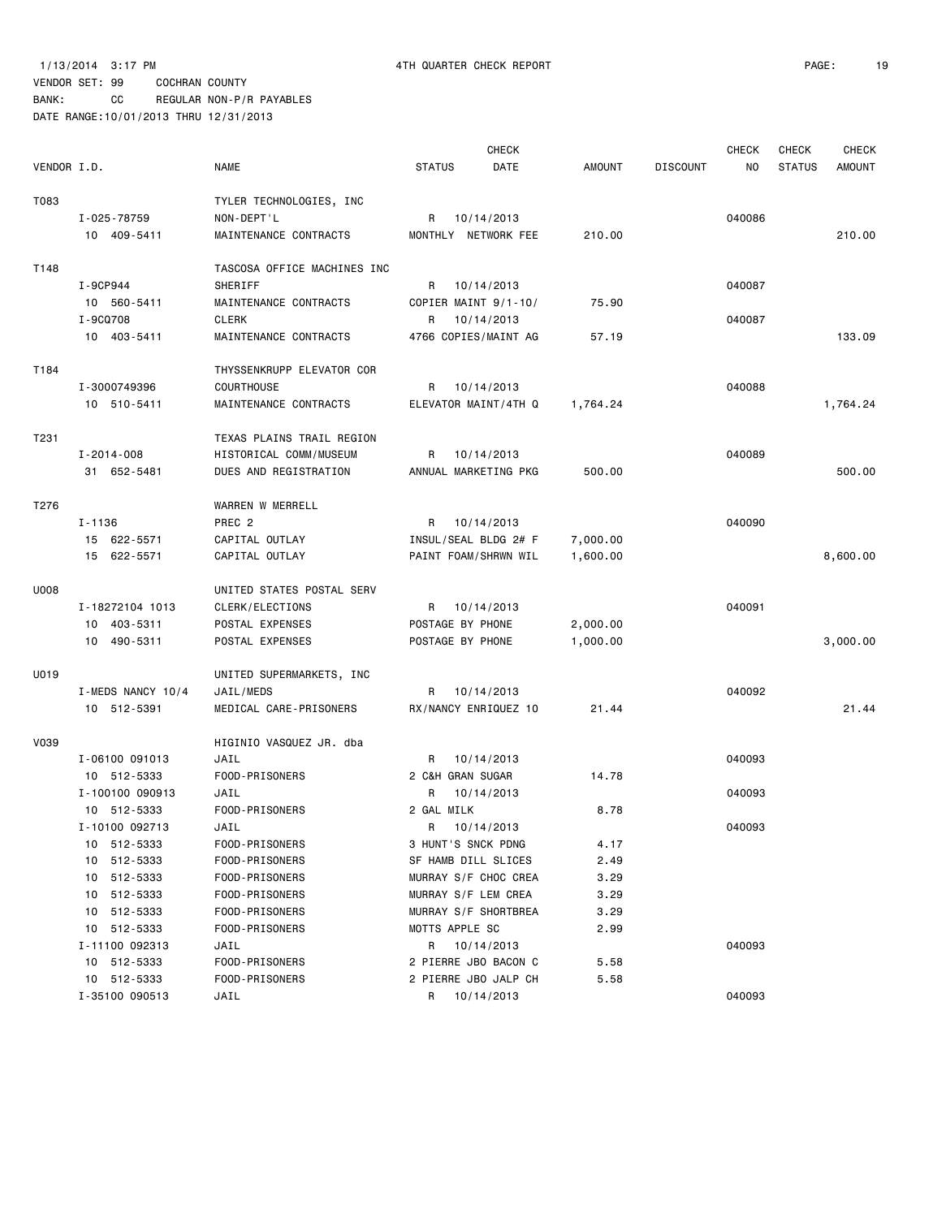|             |                   |                             |                     | <b>CHECK</b>         |          |                 | <b>CHECK</b>   | <b>CHECK</b>  | <b>CHECK</b>  |
|-------------|-------------------|-----------------------------|---------------------|----------------------|----------|-----------------|----------------|---------------|---------------|
| VENDOR I.D. |                   | <b>NAME</b>                 | <b>STATUS</b>       | DATE                 | AMOUNT   | <b>DISCOUNT</b> | N <sub>O</sub> | <b>STATUS</b> | <b>AMOUNT</b> |
| T083        |                   | TYLER TECHNOLOGIES, INC     |                     |                      |          |                 |                |               |               |
|             | I-025-78759       | NON-DEPT'L                  | R                   | 10/14/2013           |          |                 | 040086         |               |               |
|             | 10 409-5411       | MAINTENANCE CONTRACTS       |                     | MONTHLY NETWORK FEE  | 210.00   |                 |                |               | 210.00        |
| T148        |                   | TASCOSA OFFICE MACHINES INC |                     |                      |          |                 |                |               |               |
|             | I-9CP944          | SHERIFF                     |                     | R 10/14/2013         |          |                 | 040087         |               |               |
|             | 10 560-5411       | MAINTENANCE CONTRACTS       |                     | COPIER MAINT 9/1-10/ | 75.90    |                 |                |               |               |
|             | I-9CQ708          | <b>CLERK</b>                | R                   | 10/14/2013           |          |                 | 040087         |               |               |
|             | 10 403-5411       | MAINTENANCE CONTRACTS       |                     | 4766 COPIES/MAINT AG | 57.19    |                 |                |               | 133.09        |
| T184        |                   | THYSSENKRUPP ELEVATOR COR   |                     |                      |          |                 |                |               |               |
|             | I-3000749396      | <b>COURTHOUSE</b>           | R                   | 10/14/2013           |          |                 | 040088         |               |               |
|             | 10 510-5411       | MAINTENANCE CONTRACTS       |                     | ELEVATOR MAINT/4TH Q | 1,764.24 |                 |                |               | 1,764.24      |
| T231        |                   | TEXAS PLAINS TRAIL REGION   |                     |                      |          |                 |                |               |               |
|             | I-2014-008        | HISTORICAL COMM/MUSEUM      | R                   | 10/14/2013           |          |                 | 040089         |               |               |
|             | 31 652-5481       | DUES AND REGISTRATION       |                     | ANNUAL MARKETING PKG | 500.00   |                 |                |               | 500.00        |
| T276        |                   | WARREN W MERRELL            |                     |                      |          |                 |                |               |               |
|             | $I - 1136$        | PREC <sub>2</sub>           | R                   | 10/14/2013           |          |                 | 040090         |               |               |
|             | 15 622-5571       | CAPITAL OUTLAY              |                     | INSUL/SEAL BLDG 2# F | 7,000.00 |                 |                |               |               |
|             | 15 622-5571       | CAPITAL OUTLAY              |                     | PAINT FOAM/SHRWN WIL | 1,600.00 |                 |                |               | 8,600.00      |
| U008        |                   | UNITED STATES POSTAL SERV   |                     |                      |          |                 |                |               |               |
|             | I-18272104 1013   | CLERK/ELECTIONS             | R                   | 10/14/2013           |          |                 | 040091         |               |               |
|             | 10 403-5311       | POSTAL EXPENSES             | POSTAGE BY PHONE    |                      | 2,000.00 |                 |                |               |               |
|             | 10 490-5311       | POSTAL EXPENSES             | POSTAGE BY PHONE    |                      | 1,000.00 |                 |                |               | 3,000.00      |
| U019        |                   | UNITED SUPERMARKETS, INC    |                     |                      |          |                 |                |               |               |
|             | I-MEDS NANCY 10/4 | JAIL/MEDS                   | R                   | 10/14/2013           |          |                 | 040092         |               |               |
|             | 10 512-5391       | MEDICAL CARE-PRISONERS      |                     | RX/NANCY ENRIQUEZ 10 | 21.44    |                 |                |               | 21.44         |
| <b>V039</b> |                   | HIGINIO VASQUEZ JR. dba     |                     |                      |          |                 |                |               |               |
|             | I-06100 091013    | JAIL                        | R                   | 10/14/2013           |          |                 | 040093         |               |               |
|             | 10 512-5333       | FOOD-PRISONERS              | 2 C&H GRAN SUGAR    |                      | 14.78    |                 |                |               |               |
|             | I-100100 090913   | JAIL                        | R                   | 10/14/2013           |          |                 | 040093         |               |               |
|             | 10 512-5333       | FOOD-PRISONERS              | 2 GAL MILK          |                      | 8.78     |                 |                |               |               |
|             | I-10100 092713    | JAIL                        | R                   | 10/14/2013           |          |                 | 040093         |               |               |
|             | 10 512-5333       | FOOD-PRISONERS              | 3 HUNT'S SNCK PDNG  |                      | 4.17     |                 |                |               |               |
|             | 10 512-5333       | FOOD-PRISONERS              |                     | SF HAMB DILL SLICES  | 2.49     |                 |                |               |               |
|             | 10 512-5333       | FOOD-PRISONERS              |                     | MURRAY S/F CHOC CREA | 3.29     |                 |                |               |               |
|             | 512-5333<br>10    | FOOD-PRISONERS              | MURRAY S/F LEM CREA |                      | 3.29     |                 |                |               |               |
|             | 10 512-5333       | FOOD-PRISONERS              |                     | MURRAY S/F SHORTBREA | 3.29     |                 |                |               |               |
|             | 10 512-5333       | FOOD-PRISONERS              | MOTTS APPLE SC      |                      | 2.99     |                 |                |               |               |
|             | I-11100 092313    | JAIL                        |                     | R 10/14/2013         |          |                 | 040093         |               |               |
|             | 10 512-5333       | FOOD-PRISONERS              |                     | 2 PIERRE JBO BACON C | 5.58     |                 |                |               |               |
|             | 10 512-5333       | FOOD-PRISONERS              |                     | 2 PIERRE JBO JALP CH | 5.58     |                 |                |               |               |
|             | I-35100 090513    | JAIL                        | R                   | 10/14/2013           |          |                 | 040093         |               |               |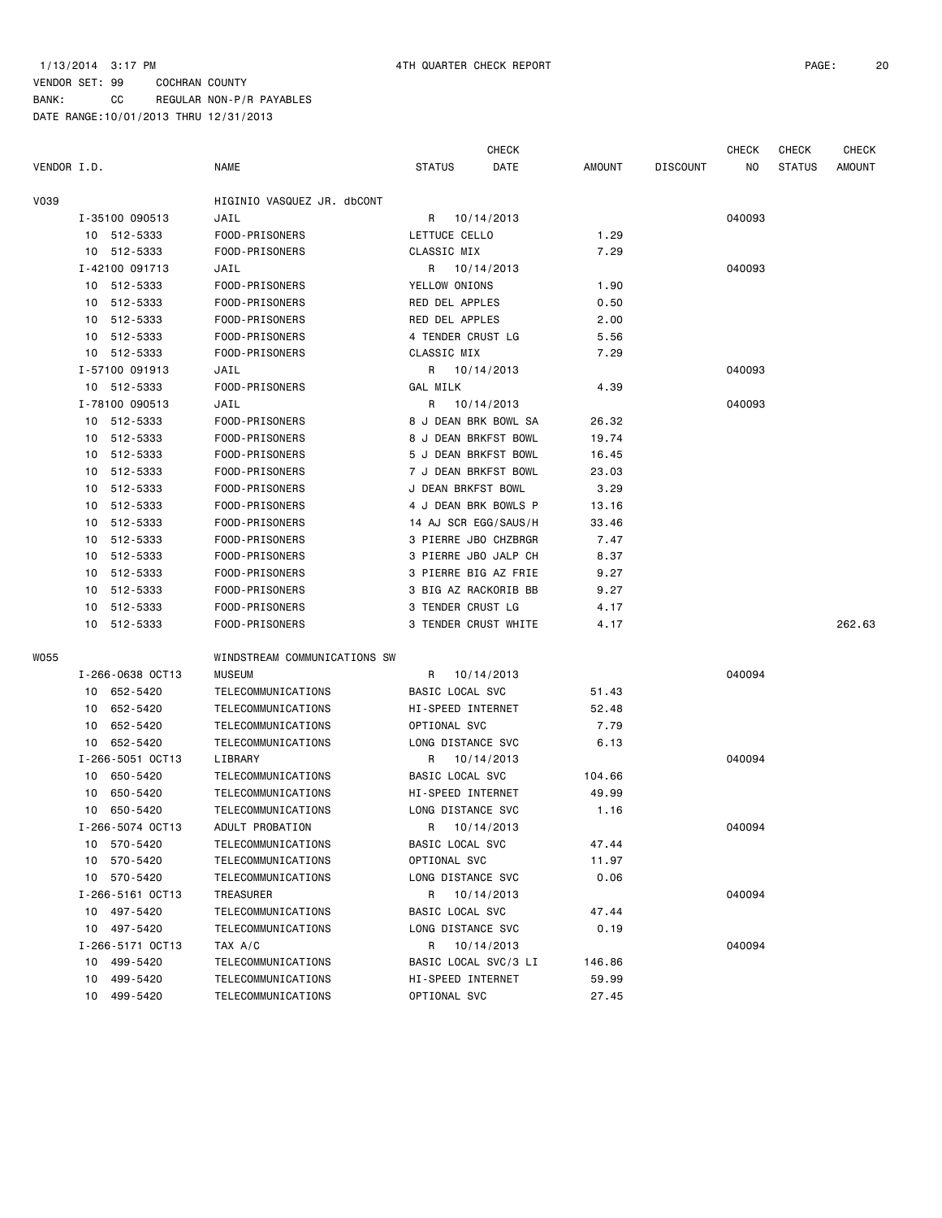CHECK CHECK CHECK CHECK

| VENDOR I.D. |                  | NAME                         | STATUS               | DATE       | AMOUNT | <b>DISCOUNT</b> | NO.    | <b>STATUS</b> | AMOUNT |
|-------------|------------------|------------------------------|----------------------|------------|--------|-----------------|--------|---------------|--------|
| V039        |                  | HIGINIO VASQUEZ JR. dbCONT   |                      |            |        |                 |        |               |        |
|             | I-35100 090513   | JAIL                         | R 10/14/2013         |            |        |                 | 040093 |               |        |
|             | 10 512-5333      | FOOD-PRISONERS               | LETTUCE CELLO        |            | 1.29   |                 |        |               |        |
|             | 10 512-5333      | FOOD-PRISONERS               | CLASSIC MIX          |            | 7.29   |                 |        |               |        |
|             | I-42100 091713   | JAIL                         | R 10/14/2013         |            |        |                 | 040093 |               |        |
|             | 10 512-5333      | FOOD-PRISONERS               | YELLOW ONIONS        |            | 1.90   |                 |        |               |        |
|             | 10 512-5333      | FOOD-PRISONERS               | RED DEL APPLES       |            | 0.50   |                 |        |               |        |
|             | 10 512-5333      | FOOD-PRISONERS               | RED DEL APPLES       |            | 2.00   |                 |        |               |        |
|             | 10 512-5333      | FOOD-PRISONERS               | 4 TENDER CRUST LG    |            | 5.56   |                 |        |               |        |
|             | 10 512-5333      | FOOD-PRISONERS               | CLASSIC MIX          |            | 7.29   |                 |        |               |        |
|             | I-57100 091913   | JAIL                         | R 10/14/2013         |            |        |                 | 040093 |               |        |
|             | 10 512-5333      | FOOD-PRISONERS               | GAL MILK             |            | 4.39   |                 |        |               |        |
|             | I-78100 090513   | JAIL                         | R                    | 10/14/2013 |        |                 | 040093 |               |        |
|             | 10 512-5333      | FOOD-PRISONERS               | 8 J DEAN BRK BOWL SA |            | 26.32  |                 |        |               |        |
|             | 10 512-5333      | FOOD-PRISONERS               | 8 J DEAN BRKFST BOWL |            | 19.74  |                 |        |               |        |
|             | 10 512-5333      | FOOD-PRISONERS               | 5 J DEAN BRKFST BOWL |            | 16.45  |                 |        |               |        |
|             | 512-5333<br>10   | FOOD-PRISONERS               | 7 J DEAN BRKFST BOWL |            | 23.03  |                 |        |               |        |
|             | 10 512-5333      | FOOD-PRISONERS               | J DEAN BRKFST BOWL   |            | 3.29   |                 |        |               |        |
|             | 10 512-5333      | FOOD-PRISONERS               | 4 J DEAN BRK BOWLS P |            | 13.16  |                 |        |               |        |
|             | 10 512-5333      | FOOD-PRISONERS               | 14 AJ SCR EGG/SAUS/H |            | 33.46  |                 |        |               |        |
|             | 10 512-5333      | FOOD-PRISONERS               | 3 PIERRE JBO CHZBRGR |            | 7.47   |                 |        |               |        |
|             | 10 512-5333      | FOOD-PRISONERS               | 3 PIERRE JBO JALP CH |            | 8.37   |                 |        |               |        |
|             | 512-5333<br>10   | FOOD-PRISONERS               | 3 PIERRE BIG AZ FRIE |            | 9.27   |                 |        |               |        |
|             | 10 512-5333      | FOOD-PRISONERS               | 3 BIG AZ RACKORIB BB |            | 9.27   |                 |        |               |        |
|             | 10 512-5333      | FOOD-PRISONERS               | 3 TENDER CRUST LG    |            | 4.17   |                 |        |               |        |
|             | 10 512-5333      | FOOD-PRISONERS               | 3 TENDER CRUST WHITE |            | 4.17   |                 |        |               | 262.63 |
|             |                  | WINDSTREAM COMMUNICATIONS SW |                      |            |        |                 |        |               |        |
| WO55        |                  |                              |                      |            |        |                 |        |               |        |
|             | I-266-0638 OCT13 | <b>MUSEUM</b>                | R 10/14/2013         |            |        |                 | 040094 |               |        |
|             | 10 652-5420      | TELECOMMUNICATIONS           | BASIC LOCAL SVC      |            | 51.43  |                 |        |               |        |
|             | 10 652-5420      | TELECOMMUNICATIONS           | HI-SPEED INTERNET    |            | 52.48  |                 |        |               |        |
|             | 10 652-5420      | TELECOMMUNICATIONS           | OPTIONAL SVC         |            | 7.79   |                 |        |               |        |
|             | 10 652-5420      | TELECOMMUNICATIONS           | LONG DISTANCE SVC    |            | 6.13   |                 |        |               |        |
|             | I-266-5051 OCT13 | LIBRARY                      | R 10/14/2013         |            |        |                 | 040094 |               |        |
|             | 10 650-5420      | TELECOMMUNICATIONS           | BASIC LOCAL SVC      |            | 104.66 |                 |        |               |        |
|             | 10 650-5420      | TELECOMMUNICATIONS           | HI-SPEED INTERNET    |            | 49.99  |                 |        |               |        |
|             | 10 650-5420      | TELECOMMUNICATIONS           | LONG DISTANCE SVC    |            | 1.16   |                 |        |               |        |
|             | I-266-5074 OCT13 | ADULT PROBATION              | R                    | 10/14/2013 |        |                 | 040094 |               |        |
|             | 10 570-5420      | TELECOMMUNICATIONS           | BASIC LOCAL SVC      |            | 47.44  |                 |        |               |        |
|             | 10 570-5420      | TELECOMMUNICATIONS           | OPTIONAL SVC         |            | 11.97  |                 |        |               |        |
|             | 10 570-5420      | TELECOMMUNICATIONS           | LONG DISTANCE SVC    |            | 0.06   |                 |        |               |        |
|             | I-266-5161 OCT13 | TREASURER                    | R.                   | 10/14/2013 |        |                 | 040094 |               |        |
|             | 10 497-5420      | TELECOMMUNICATIONS           | BASIC LOCAL SVC      |            | 47.44  |                 |        |               |        |
|             | 10 497-5420      | TELECOMMUNICATIONS           | LONG DISTANCE SVC    |            | 0.19   |                 |        |               |        |
|             | I-266-5171 OCT13 | TAX A/C                      | R                    | 10/14/2013 |        |                 | 040094 |               |        |
|             | 10 499-5420      | TELECOMMUNICATIONS           | BASIC LOCAL SVC/3 LI |            | 146.86 |                 |        |               |        |
|             | 499-5420<br>10   | TELECOMMUNICATIONS           | HI-SPEED INTERNET    |            | 59.99  |                 |        |               |        |
|             | 10 499-5420      | TELECOMMUNICATIONS           | OPTIONAL SVC         |            | 27.45  |                 |        |               |        |
|             |                  |                              |                      |            |        |                 |        |               |        |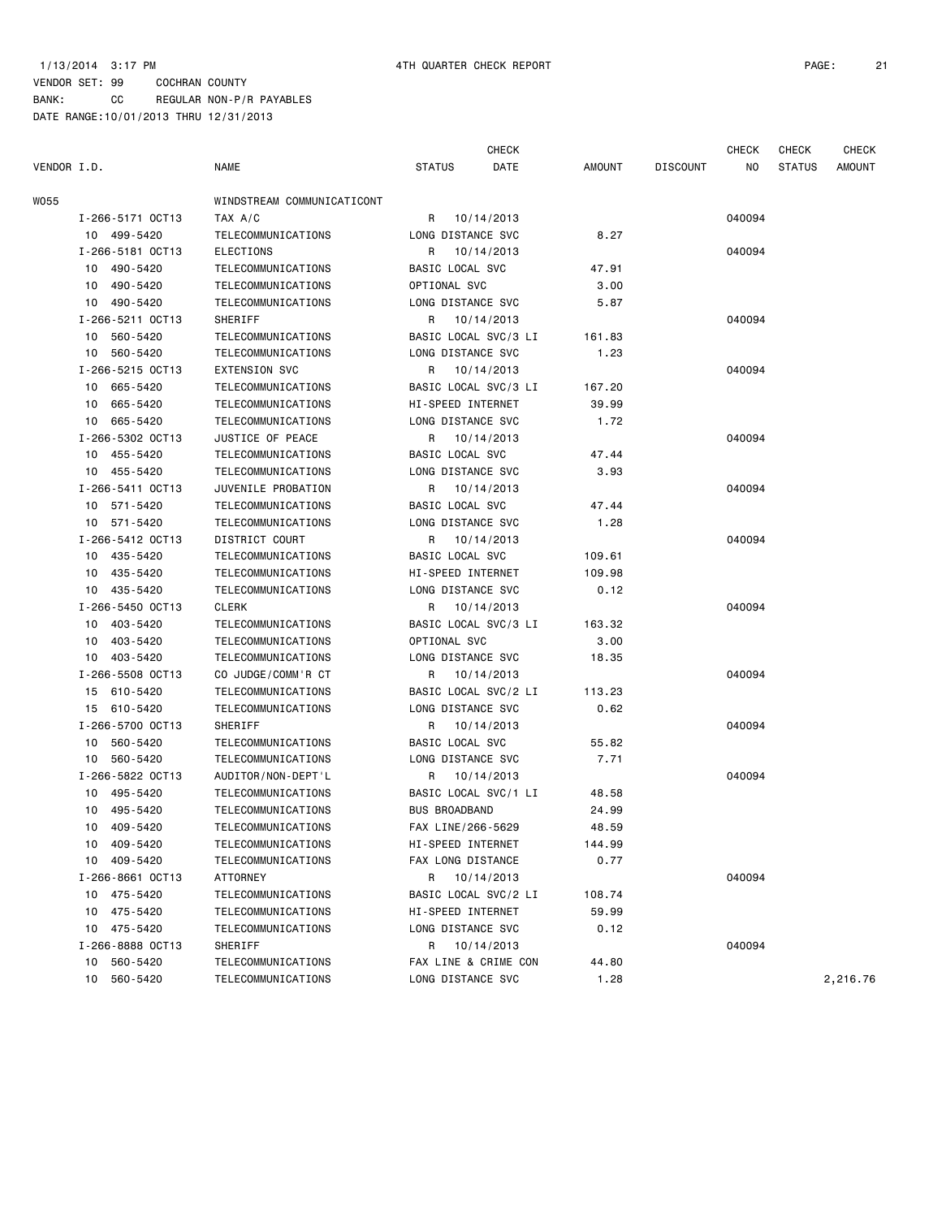CHECK CHECK CHECK CHECK

| VENDOR I.D. |                  | <b>NAME</b>                | <b>STATUS</b>          | DATE       | AMOUNT | <b>DISCOUNT</b> | NO.    | <b>STATUS</b> | <b>AMOUNT</b> |
|-------------|------------------|----------------------------|------------------------|------------|--------|-----------------|--------|---------------|---------------|
| WO55        |                  | WINDSTREAM COMMUNICATICONT |                        |            |        |                 |        |               |               |
|             | I-266-5171 OCT13 | TAX A/C                    | R 10/14/2013           |            |        |                 | 040094 |               |               |
|             | 10 499-5420      | TELECOMMUNICATIONS         | LONG DISTANCE SVC      |            | 8.27   |                 |        |               |               |
|             | I-266-5181 OCT13 | ELECTIONS                  | R                      | 10/14/2013 |        |                 | 040094 |               |               |
|             | 10 490-5420      | TELECOMMUNICATIONS         | <b>BASIC LOCAL SVC</b> |            | 47.91  |                 |        |               |               |
|             | 10 490-5420      | TELECOMMUNICATIONS         | OPTIONAL SVC           |            | 3.00   |                 |        |               |               |
|             | 10 490-5420      | TELECOMMUNICATIONS         | LONG DISTANCE SVC      |            | 5.87   |                 |        |               |               |
|             | I-266-5211 OCT13 | SHERIFF                    | R                      | 10/14/2013 |        |                 | 040094 |               |               |
|             | 10 560-5420      | TELECOMMUNICATIONS         | BASIC LOCAL SVC/3 LI   |            | 161.83 |                 |        |               |               |
|             | 10 560-5420      | TELECOMMUNICATIONS         | LONG DISTANCE SVC      |            | 1.23   |                 |        |               |               |
|             | I-266-5215 OCT13 | <b>EXTENSION SVC</b>       | R                      | 10/14/2013 |        |                 | 040094 |               |               |
|             | 10 665-5420      | TELECOMMUNICATIONS         | BASIC LOCAL SVC/3 LI   |            | 167.20 |                 |        |               |               |
|             | 10 665-5420      | TELECOMMUNICATIONS         | HI-SPEED INTERNET      |            | 39.99  |                 |        |               |               |
|             | 10 665-5420      | TELECOMMUNICATIONS         | LONG DISTANCE SVC      |            | 1.72   |                 |        |               |               |
|             | I-266-5302 OCT13 | JUSTICE OF PEACE           | R 10/14/2013           |            |        |                 | 040094 |               |               |
|             | 10 455-5420      | TELECOMMUNICATIONS         | BASIC LOCAL SVC        |            | 47.44  |                 |        |               |               |
|             | 10 455-5420      | TELECOMMUNICATIONS         | LONG DISTANCE SVC      |            | 3.93   |                 |        |               |               |
|             | I-266-5411 0CT13 | JUVENILE PROBATION         | R 10/14/2013           |            |        |                 | 040094 |               |               |
|             | 10 571-5420      | TELECOMMUNICATIONS         | BASIC LOCAL SVC        |            | 47.44  |                 |        |               |               |
|             | 10 571-5420      | TELECOMMUNICATIONS         | LONG DISTANCE SVC      |            | 1.28   |                 |        |               |               |
|             | I-266-5412 OCT13 | DISTRICT COURT             | R 10/14/2013           |            |        |                 | 040094 |               |               |
|             | 10 435-5420      | TELECOMMUNICATIONS         | BASIC LOCAL SVC        |            | 109.61 |                 |        |               |               |
|             | 10 435-5420      | TELECOMMUNICATIONS         | HI-SPEED INTERNET      |            | 109.98 |                 |        |               |               |
|             | 10 435-5420      | TELECOMMUNICATIONS         | LONG DISTANCE SVC      |            | 0.12   |                 |        |               |               |
|             | I-266-5450 OCT13 | <b>CLERK</b>               | R 10/14/2013           |            |        |                 | 040094 |               |               |
|             | 10 403-5420      | TELECOMMUNICATIONS         | BASIC LOCAL SVC/3 LI   |            | 163.32 |                 |        |               |               |
|             | 10 403-5420      | TELECOMMUNICATIONS         | OPTIONAL SVC           |            | 3.00   |                 |        |               |               |
|             | 10 403-5420      | TELECOMMUNICATIONS         | LONG DISTANCE SVC      |            | 18.35  |                 |        |               |               |
|             | I-266-5508 OCT13 | CO JUDGE/COMM'R CT         | R                      | 10/14/2013 |        |                 | 040094 |               |               |
|             | 15 610-5420      | TELECOMMUNICATIONS         | BASIC LOCAL SVC/2 LI   |            | 113.23 |                 |        |               |               |
|             | 15 610-5420      | TELECOMMUNICATIONS         | LONG DISTANCE SVC      |            | 0.62   |                 |        |               |               |
|             | I-266-5700 OCT13 | SHERIFF                    | R 10/14/2013           |            |        |                 | 040094 |               |               |
|             | 10 560-5420      | TELECOMMUNICATIONS         | BASIC LOCAL SVC        |            | 55.82  |                 |        |               |               |
|             | 10 560-5420      | TELECOMMUNICATIONS         | LONG DISTANCE SVC      |            | 7.71   |                 |        |               |               |
|             | I-266-5822 OCT13 | AUDITOR/NON-DEPT'L         | R 10/14/2013           |            |        |                 | 040094 |               |               |
|             | 10 495-5420      | TELECOMMUNICATIONS         | BASIC LOCAL SVC/1 LI   |            | 48.58  |                 |        |               |               |
|             | 495-5420<br>10   | TELECOMMUNICATIONS         | <b>BUS BROADBAND</b>   |            | 24.99  |                 |        |               |               |
|             | 409-5420<br>10   | TELECOMMUNICATIONS         | FAX LINE/266-5629      |            | 48.59  |                 |        |               |               |
|             | 10 409-5420      | TELECOMMUNICATIONS         | HI-SPEED INTERNET      |            | 144.99 |                 |        |               |               |
|             | 10 409-5420      | TELECOMMUNICATIONS         | FAX LONG DISTANCE      |            | 0.77   |                 |        |               |               |
|             | I-266-8661 OCT13 | ATTORNEY                   | R                      | 10/14/2013 |        |                 | 040094 |               |               |
|             | 10 475-5420      | TELECOMMUNICATIONS         | BASIC LOCAL SVC/2 LI   |            | 108.74 |                 |        |               |               |
|             | 475-5420<br>10   | TELECOMMUNICATIONS         | HI-SPEED INTERNET      |            | 59.99  |                 |        |               |               |
|             | 10 475-5420      | TELECOMMUNICATIONS         | LONG DISTANCE SVC      |            | 0.12   |                 |        |               |               |
|             | I-266-8888 OCT13 | SHERIFF                    | R 10/14/2013           |            |        |                 | 040094 |               |               |
|             | 560-5420<br>10   | TELECOMMUNICATIONS         | FAX LINE & CRIME CON   |            | 44.80  |                 |        |               |               |
|             | 560-5420<br>10   | TELECOMMUNICATIONS         | LONG DISTANCE SVC      |            | 1.28   |                 |        |               | 2,216.76      |
|             |                  |                            |                        |            |        |                 |        |               |               |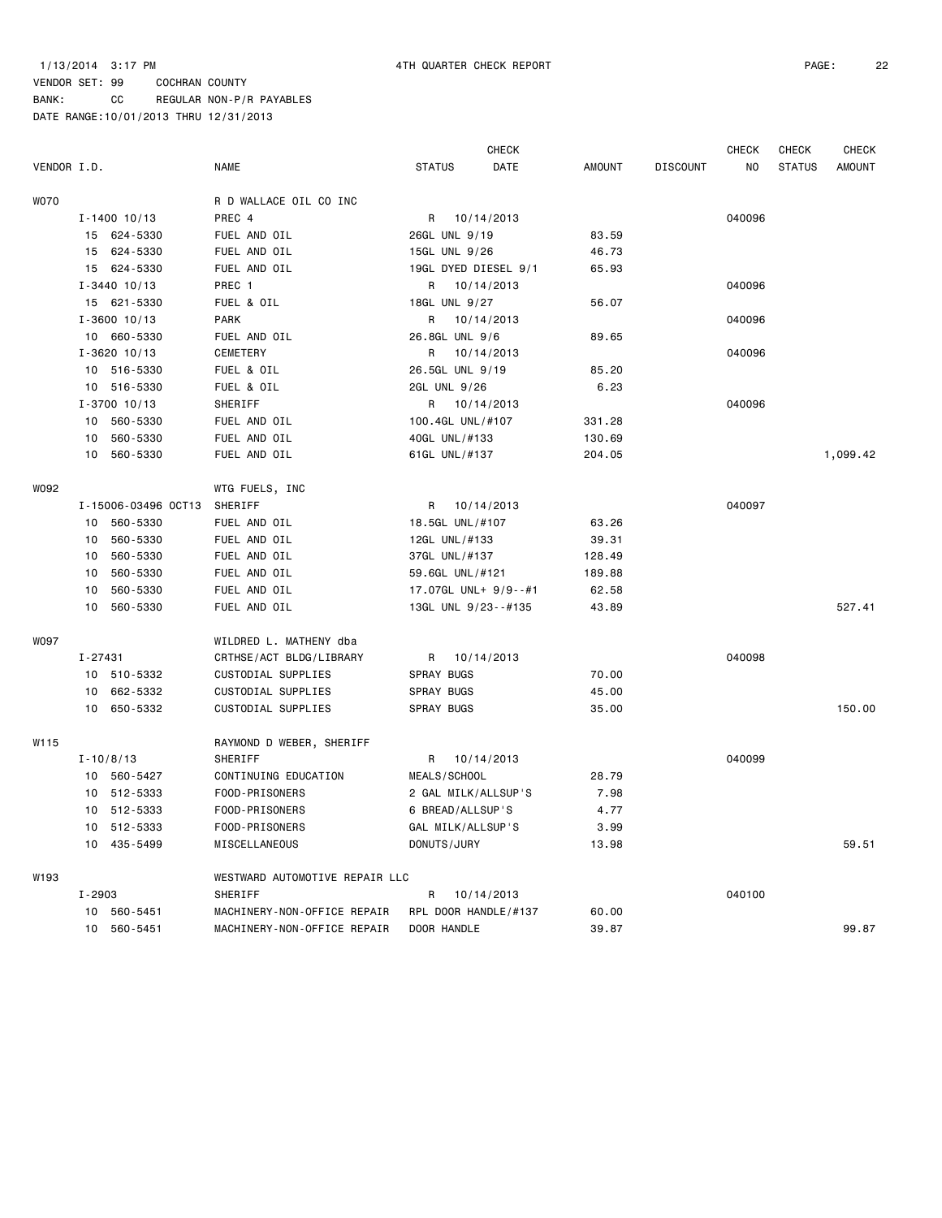|             |                 |                     |                                |                      | <b>CHECK</b> |               |                 | <b>CHECK</b>   | <b>CHECK</b>  | <b>CHECK</b>  |
|-------------|-----------------|---------------------|--------------------------------|----------------------|--------------|---------------|-----------------|----------------|---------------|---------------|
| VENDOR I.D. |                 |                     | <b>NAME</b>                    | <b>STATUS</b>        | DATE         | <b>AMOUNT</b> | <b>DISCOUNT</b> | N <sub>O</sub> | <b>STATUS</b> | <b>AMOUNT</b> |
| <b>WO70</b> |                 |                     | R D WALLACE OIL CO INC         |                      |              |               |                 |                |               |               |
|             |                 | $I - 1400$ 10/13    | PREC 4                         | R 10/14/2013         |              |               |                 | 040096         |               |               |
|             |                 | 15 624-5330         | FUEL AND OIL                   | 26GL UNL 9/19        |              | 83.59         |                 |                |               |               |
|             | 15              | 624-5330            | FUEL AND OIL                   | 15GL UNL 9/26        |              | 46.73         |                 |                |               |               |
|             |                 | 15 624-5330         | FUEL AND OIL                   | 19GL DYED DIESEL 9/1 |              | 65.93         |                 |                |               |               |
|             |                 | $I - 3440$ 10/13    | PREC 1                         | R 10/14/2013         |              |               |                 | 040096         |               |               |
|             |                 | 15 621-5330         | FUEL & OIL                     | 18GL UNL 9/27        |              | 56.07         |                 |                |               |               |
|             |                 | $I - 3600$ 10/13    | <b>PARK</b>                    | R                    | 10/14/2013   |               |                 | 040096         |               |               |
|             |                 | 10 660-5330         | FUEL AND OIL                   | 26.8GL UNL 9/6       |              | 89.65         |                 |                |               |               |
|             |                 | $I - 3620$ 10/13    | <b>CEMETERY</b>                | R                    | 10/14/2013   |               |                 | 040096         |               |               |
|             |                 | 10 516-5330         | FUEL & OIL                     | 26.5GL UNL 9/19      |              | 85.20         |                 |                |               |               |
|             |                 | 10 516-5330         | FUEL & OIL                     | 2GL UNL 9/26         |              | 6.23          |                 |                |               |               |
|             |                 | $I - 3700$ 10/13    | SHERIFF                        | R 10/14/2013         |              |               |                 | 040096         |               |               |
|             | 10              | 560-5330            | FUEL AND OIL                   | 100.4GL UNL/#107     |              | 331.28        |                 |                |               |               |
|             | 10              | 560-5330            | FUEL AND OIL                   | 40GL UNL/#133        |              | 130.69        |                 |                |               |               |
|             | 10              | 560-5330            | FUEL AND OIL                   | 61GL UNL/#137        |              | 204.05        |                 |                |               | 1,099.42      |
| W092        |                 |                     | WTG FUELS, INC                 |                      |              |               |                 |                |               |               |
|             |                 | I-15006-03496 OCT13 | SHERIFF                        | R                    | 10/14/2013   |               |                 | 040097         |               |               |
|             | 10              | 560-5330            | FUEL AND OIL                   | 18.5GL UNL/#107      |              | 63.26         |                 |                |               |               |
|             | 10              | 560-5330            | FUEL AND OIL                   | 12GL UNL/#133        |              | 39.31         |                 |                |               |               |
|             | 10              | 560-5330            | FUEL AND OIL                   | 37GL UNL/#137        |              | 128.49        |                 |                |               |               |
|             | 10              | 560-5330            | FUEL AND OIL                   | 59.6GL UNL/#121      |              | 189.88        |                 |                |               |               |
|             | 10              | 560-5330            | FUEL AND OIL                   | 17.07GL UNL+ 9/9--#1 |              | 62.58         |                 |                |               |               |
|             | 10              | 560-5330            | FUEL AND OIL                   | 13GL UNL 9/23--#135  |              | 43.89         |                 |                |               | 527.41        |
| W097        |                 |                     | WILDRED L. MATHENY dba         |                      |              |               |                 |                |               |               |
|             | $I - 27431$     |                     | CRTHSE/ACT BLDG/LIBRARY        | R                    | 10/14/2013   |               |                 | 040098         |               |               |
|             | 10              | 510-5332            | CUSTODIAL SUPPLIES             | <b>SPRAY BUGS</b>    |              | 70.00         |                 |                |               |               |
|             | 10              | 662-5332            | CUSTODIAL SUPPLIES             | <b>SPRAY BUGS</b>    |              | 45.00         |                 |                |               |               |
|             | 10 <sup>1</sup> | 650-5332            | CUSTODIAL SUPPLIES             | SPRAY BUGS           |              | 35.00         |                 |                |               | 150.00        |
| W115        |                 |                     | RAYMOND D WEBER, SHERIFF       |                      |              |               |                 |                |               |               |
|             |                 | $I - 10/8/13$       | SHERIFF                        | R                    | 10/14/2013   |               |                 | 040099         |               |               |
|             |                 | 10 560-5427         | CONTINUING EDUCATION           | MEALS/SCHOOL         |              | 28.79         |                 |                |               |               |
|             |                 | 10 512-5333         | FOOD-PRISONERS                 | 2 GAL MILK/ALLSUP'S  |              | 7.98          |                 |                |               |               |
|             | 10              | 512-5333            | FOOD-PRISONERS                 | 6 BREAD/ALLSUP'S     |              | 4.77          |                 |                |               |               |
|             | 10              | 512-5333            | FOOD-PRISONERS                 | GAL MILK/ALLSUP'S    |              | 3.99          |                 |                |               |               |
|             | 10              | 435-5499            | MISCELLANEOUS                  | DONUTS/JURY          |              | 13.98         |                 |                |               | 59.51         |
| W193        |                 |                     | WESTWARD AUTOMOTIVE REPAIR LLC |                      |              |               |                 |                |               |               |
|             | I-2903          |                     | SHERIFF                        | R                    | 10/14/2013   |               |                 | 040100         |               |               |
|             | 10              | 560-5451            | MACHINERY-NON-OFFICE REPAIR    | RPL DOOR HANDLE/#137 |              | 60.00         |                 |                |               |               |
|             |                 | 10 560-5451         | MACHINERY-NON-OFFICE REPAIR    | DOOR HANDLE          |              | 39.87         |                 |                |               | 99.87         |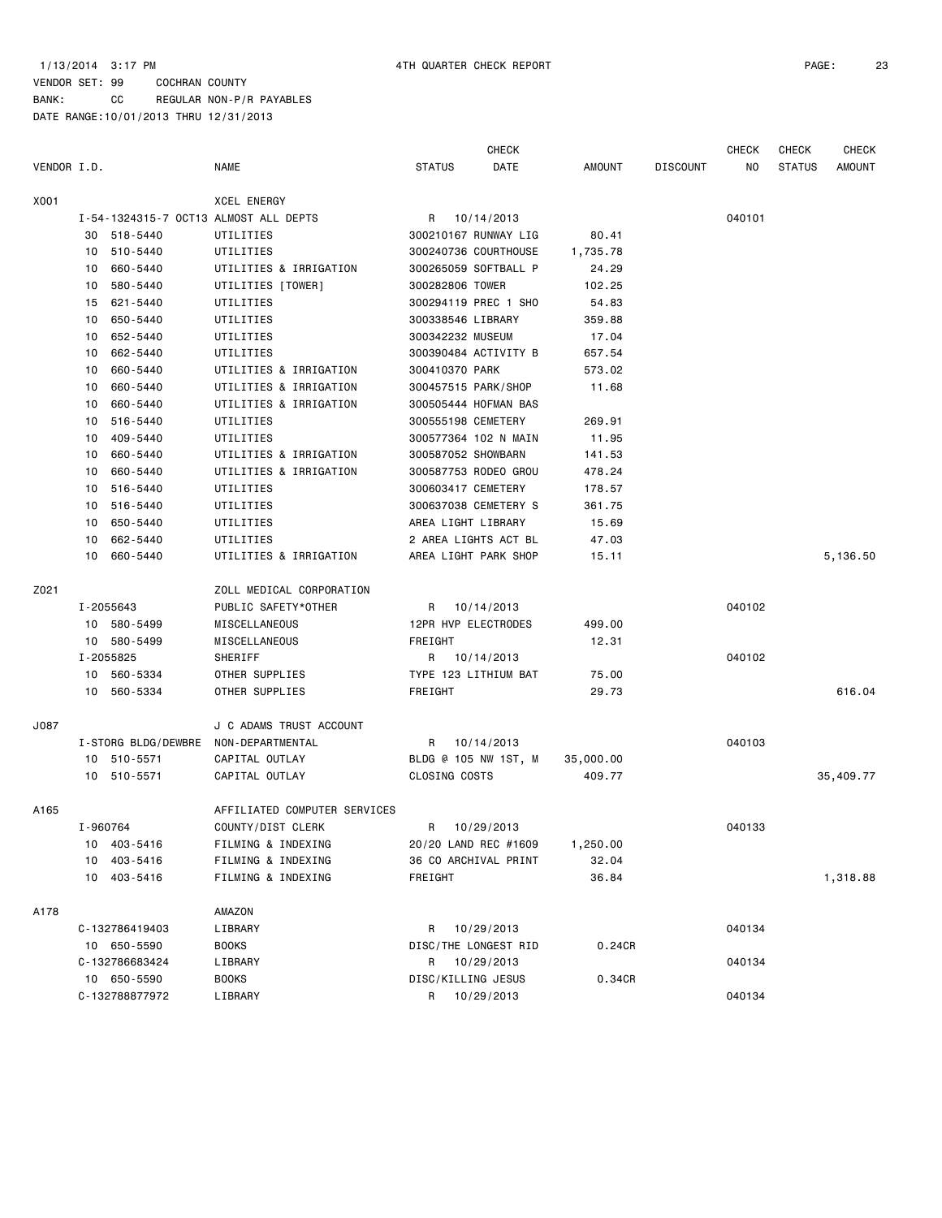### 1/13/2014 3:17 PM 4TH QUARTER CHECK REPORT PAGE: 23

| DATE<br>VENDOR I.D.<br><b>NAME</b><br><b>STATUS</b><br><b>AMOUNT</b><br><b>DISCOUNT</b><br>NO<br><b>STATUS</b><br><b>AMOUNT</b><br><b>XCEL ENERGY</b><br>040101<br>I-54-1324315-7 OCT13 ALMOST ALL DEPTS<br>R 10/14/2013<br>30 518-5440<br>UTILITIES<br>300210167 RUNWAY LIG<br>80.41<br>510-5440<br>300240736 COURTHOUSE<br>1,735.78<br>10<br>UTILITIES<br>660-5440<br>UTILITIES & IRRIGATION<br>300265059 SOFTBALL P<br>24.29<br>10<br>10<br>580-5440<br>UTILITIES [TOWER]<br>300282806 TOWER<br>102.25<br>300294119 PREC 1 SHO<br>621-5440<br>UTILITIES<br>54.83<br>15<br>10 650-5440<br>UTILITIES<br>300338546 LIBRARY<br>359.88<br>300342232 MUSEUM<br>10<br>652-5440<br>UTILITIES<br>17.04<br>662-5440<br>300390484 ACTIVITY B<br>10<br>UTILITIES<br>657.54<br>660-5440<br>300410370 PARK<br>UTILITIES & IRRIGATION<br>573.02<br>10<br>10<br>660-5440<br>UTILITIES & IRRIGATION<br>300457515 PARK/SHOP<br>11.68<br>UTILITIES & IRRIGATION<br>660-5440<br>10<br>300505444 HOFMAN BAS<br>516-5440<br>UTILITIES<br>300555198 CEMETERY<br>269.91<br>10<br>10<br>409-5440<br>UTILITIES<br>300577364 102 N MAIN<br>11.95<br>660-5440<br>UTILITIES & IRRIGATION<br>300587052 SHOWBARN<br>141.53<br>10<br>660-5440<br>UTILITIES & IRRIGATION<br>300587753 RODEO GROU<br>478.24<br>10<br>10<br>516-5440<br>UTILITIES<br>300603417 CEMETERY<br>178.57<br>516-5440<br>300637038 CEMETERY S<br>10<br>UTILITIES<br>361.75<br>AREA LIGHT LIBRARY<br>10 650-5440<br>UTILITIES<br>15.69<br>2 AREA LIGHTS ACT BL<br>10<br>662-5440<br>UTILITIES<br>47.03<br>10 660-5440<br>UTILITIES & IRRIGATION<br>AREA LIGHT PARK SHOP<br>5,136.50<br>15.11<br>ZOLL MEDICAL CORPORATION<br>040102<br>I-2055643<br>PUBLIC SAFETY*OTHER<br>R 10/14/2013<br>10 580-5499<br>12PR HVP ELECTRODES<br>MISCELLANEOUS<br>499.00<br>10 580-5499<br>MISCELLANEOUS<br>FREIGHT<br>12.31<br>040102<br>I-2055825<br>SHERIFF<br>R 10/14/2013<br>10 560-5334<br>OTHER SUPPLIES<br>TYPE 123 LITHIUM BAT<br>75.00<br>10 560-5334<br>616.04<br>OTHER SUPPLIES<br>FREIGHT<br>29.73<br>J C ADAMS TRUST ACCOUNT<br>040103<br>I-STORG BLDG/DEWBRE<br>NON-DEPARTMENTAL<br>R 10/14/2013<br>10 510-5571<br>CAPITAL OUTLAY<br>BLDG @ 105 NW 1ST, M<br>35,000.00<br>409.77<br>35,409.77<br>10 510-5571<br>CAPITAL OUTLAY<br>CLOSING COSTS<br>AFFILIATED COMPUTER SERVICES<br>I-960764<br>COUNTY/DIST CLERK<br>R 10/29/2013<br>040133<br>20/20 LAND REC #1609<br>10 403-5416<br>FILMING & INDEXING<br>1,250.00<br>10 403-5416<br>FILMING & INDEXING<br>36 CO ARCHIVAL PRINT<br>32.04<br>10 403-5416<br>36.84<br>1,318.88<br>FILMING & INDEXING<br>FREIGHT<br>AMAZON<br>C-132786419403<br>LIBRARY<br>R<br>10/29/2013<br>040134<br>DISC/THE LONGEST RID<br>0.24CR<br>10 650-5590<br><b>BOOKS</b><br>C-132786683424<br>LIBRARY<br>R 10/29/2013<br>040134<br>10 650-5590<br><b>BOOKS</b><br>DISC/KILLING JESUS<br>0.34CR<br>C-132788877972<br>LIBRARY<br>040134<br>R.<br>10/29/2013 |      |  |  | <b>CHECK</b> |  | <b>CHECK</b> | <b>CHECK</b> | <b>CHECK</b> |
|---------------------------------------------------------------------------------------------------------------------------------------------------------------------------------------------------------------------------------------------------------------------------------------------------------------------------------------------------------------------------------------------------------------------------------------------------------------------------------------------------------------------------------------------------------------------------------------------------------------------------------------------------------------------------------------------------------------------------------------------------------------------------------------------------------------------------------------------------------------------------------------------------------------------------------------------------------------------------------------------------------------------------------------------------------------------------------------------------------------------------------------------------------------------------------------------------------------------------------------------------------------------------------------------------------------------------------------------------------------------------------------------------------------------------------------------------------------------------------------------------------------------------------------------------------------------------------------------------------------------------------------------------------------------------------------------------------------------------------------------------------------------------------------------------------------------------------------------------------------------------------------------------------------------------------------------------------------------------------------------------------------------------------------------------------------------------------------------------------------------------------------------------------------------------------------------------------------------------------------------------------------------------------------------------------------------------------------------------------------------------------------------------------------------------------------------------------------------------------------------------------------------------------------------------------------------------------------------------------------------------------------------------------------------------------------------------------------------------------------------------------------------------------------------------------------------------------------------------------------------------------------------------------------------------|------|--|--|--------------|--|--------------|--------------|--------------|
|                                                                                                                                                                                                                                                                                                                                                                                                                                                                                                                                                                                                                                                                                                                                                                                                                                                                                                                                                                                                                                                                                                                                                                                                                                                                                                                                                                                                                                                                                                                                                                                                                                                                                                                                                                                                                                                                                                                                                                                                                                                                                                                                                                                                                                                                                                                                                                                                                                                                                                                                                                                                                                                                                                                                                                                                                                                                                                                           |      |  |  |              |  |              |              |              |
|                                                                                                                                                                                                                                                                                                                                                                                                                                                                                                                                                                                                                                                                                                                                                                                                                                                                                                                                                                                                                                                                                                                                                                                                                                                                                                                                                                                                                                                                                                                                                                                                                                                                                                                                                                                                                                                                                                                                                                                                                                                                                                                                                                                                                                                                                                                                                                                                                                                                                                                                                                                                                                                                                                                                                                                                                                                                                                                           | X001 |  |  |              |  |              |              |              |
|                                                                                                                                                                                                                                                                                                                                                                                                                                                                                                                                                                                                                                                                                                                                                                                                                                                                                                                                                                                                                                                                                                                                                                                                                                                                                                                                                                                                                                                                                                                                                                                                                                                                                                                                                                                                                                                                                                                                                                                                                                                                                                                                                                                                                                                                                                                                                                                                                                                                                                                                                                                                                                                                                                                                                                                                                                                                                                                           |      |  |  |              |  |              |              |              |
|                                                                                                                                                                                                                                                                                                                                                                                                                                                                                                                                                                                                                                                                                                                                                                                                                                                                                                                                                                                                                                                                                                                                                                                                                                                                                                                                                                                                                                                                                                                                                                                                                                                                                                                                                                                                                                                                                                                                                                                                                                                                                                                                                                                                                                                                                                                                                                                                                                                                                                                                                                                                                                                                                                                                                                                                                                                                                                                           |      |  |  |              |  |              |              |              |
|                                                                                                                                                                                                                                                                                                                                                                                                                                                                                                                                                                                                                                                                                                                                                                                                                                                                                                                                                                                                                                                                                                                                                                                                                                                                                                                                                                                                                                                                                                                                                                                                                                                                                                                                                                                                                                                                                                                                                                                                                                                                                                                                                                                                                                                                                                                                                                                                                                                                                                                                                                                                                                                                                                                                                                                                                                                                                                                           |      |  |  |              |  |              |              |              |
|                                                                                                                                                                                                                                                                                                                                                                                                                                                                                                                                                                                                                                                                                                                                                                                                                                                                                                                                                                                                                                                                                                                                                                                                                                                                                                                                                                                                                                                                                                                                                                                                                                                                                                                                                                                                                                                                                                                                                                                                                                                                                                                                                                                                                                                                                                                                                                                                                                                                                                                                                                                                                                                                                                                                                                                                                                                                                                                           |      |  |  |              |  |              |              |              |
|                                                                                                                                                                                                                                                                                                                                                                                                                                                                                                                                                                                                                                                                                                                                                                                                                                                                                                                                                                                                                                                                                                                                                                                                                                                                                                                                                                                                                                                                                                                                                                                                                                                                                                                                                                                                                                                                                                                                                                                                                                                                                                                                                                                                                                                                                                                                                                                                                                                                                                                                                                                                                                                                                                                                                                                                                                                                                                                           |      |  |  |              |  |              |              |              |
|                                                                                                                                                                                                                                                                                                                                                                                                                                                                                                                                                                                                                                                                                                                                                                                                                                                                                                                                                                                                                                                                                                                                                                                                                                                                                                                                                                                                                                                                                                                                                                                                                                                                                                                                                                                                                                                                                                                                                                                                                                                                                                                                                                                                                                                                                                                                                                                                                                                                                                                                                                                                                                                                                                                                                                                                                                                                                                                           |      |  |  |              |  |              |              |              |
|                                                                                                                                                                                                                                                                                                                                                                                                                                                                                                                                                                                                                                                                                                                                                                                                                                                                                                                                                                                                                                                                                                                                                                                                                                                                                                                                                                                                                                                                                                                                                                                                                                                                                                                                                                                                                                                                                                                                                                                                                                                                                                                                                                                                                                                                                                                                                                                                                                                                                                                                                                                                                                                                                                                                                                                                                                                                                                                           |      |  |  |              |  |              |              |              |
|                                                                                                                                                                                                                                                                                                                                                                                                                                                                                                                                                                                                                                                                                                                                                                                                                                                                                                                                                                                                                                                                                                                                                                                                                                                                                                                                                                                                                                                                                                                                                                                                                                                                                                                                                                                                                                                                                                                                                                                                                                                                                                                                                                                                                                                                                                                                                                                                                                                                                                                                                                                                                                                                                                                                                                                                                                                                                                                           |      |  |  |              |  |              |              |              |
|                                                                                                                                                                                                                                                                                                                                                                                                                                                                                                                                                                                                                                                                                                                                                                                                                                                                                                                                                                                                                                                                                                                                                                                                                                                                                                                                                                                                                                                                                                                                                                                                                                                                                                                                                                                                                                                                                                                                                                                                                                                                                                                                                                                                                                                                                                                                                                                                                                                                                                                                                                                                                                                                                                                                                                                                                                                                                                                           |      |  |  |              |  |              |              |              |
|                                                                                                                                                                                                                                                                                                                                                                                                                                                                                                                                                                                                                                                                                                                                                                                                                                                                                                                                                                                                                                                                                                                                                                                                                                                                                                                                                                                                                                                                                                                                                                                                                                                                                                                                                                                                                                                                                                                                                                                                                                                                                                                                                                                                                                                                                                                                                                                                                                                                                                                                                                                                                                                                                                                                                                                                                                                                                                                           |      |  |  |              |  |              |              |              |
|                                                                                                                                                                                                                                                                                                                                                                                                                                                                                                                                                                                                                                                                                                                                                                                                                                                                                                                                                                                                                                                                                                                                                                                                                                                                                                                                                                                                                                                                                                                                                                                                                                                                                                                                                                                                                                                                                                                                                                                                                                                                                                                                                                                                                                                                                                                                                                                                                                                                                                                                                                                                                                                                                                                                                                                                                                                                                                                           |      |  |  |              |  |              |              |              |
|                                                                                                                                                                                                                                                                                                                                                                                                                                                                                                                                                                                                                                                                                                                                                                                                                                                                                                                                                                                                                                                                                                                                                                                                                                                                                                                                                                                                                                                                                                                                                                                                                                                                                                                                                                                                                                                                                                                                                                                                                                                                                                                                                                                                                                                                                                                                                                                                                                                                                                                                                                                                                                                                                                                                                                                                                                                                                                                           |      |  |  |              |  |              |              |              |
|                                                                                                                                                                                                                                                                                                                                                                                                                                                                                                                                                                                                                                                                                                                                                                                                                                                                                                                                                                                                                                                                                                                                                                                                                                                                                                                                                                                                                                                                                                                                                                                                                                                                                                                                                                                                                                                                                                                                                                                                                                                                                                                                                                                                                                                                                                                                                                                                                                                                                                                                                                                                                                                                                                                                                                                                                                                                                                                           |      |  |  |              |  |              |              |              |
|                                                                                                                                                                                                                                                                                                                                                                                                                                                                                                                                                                                                                                                                                                                                                                                                                                                                                                                                                                                                                                                                                                                                                                                                                                                                                                                                                                                                                                                                                                                                                                                                                                                                                                                                                                                                                                                                                                                                                                                                                                                                                                                                                                                                                                                                                                                                                                                                                                                                                                                                                                                                                                                                                                                                                                                                                                                                                                                           |      |  |  |              |  |              |              |              |
|                                                                                                                                                                                                                                                                                                                                                                                                                                                                                                                                                                                                                                                                                                                                                                                                                                                                                                                                                                                                                                                                                                                                                                                                                                                                                                                                                                                                                                                                                                                                                                                                                                                                                                                                                                                                                                                                                                                                                                                                                                                                                                                                                                                                                                                                                                                                                                                                                                                                                                                                                                                                                                                                                                                                                                                                                                                                                                                           |      |  |  |              |  |              |              |              |
|                                                                                                                                                                                                                                                                                                                                                                                                                                                                                                                                                                                                                                                                                                                                                                                                                                                                                                                                                                                                                                                                                                                                                                                                                                                                                                                                                                                                                                                                                                                                                                                                                                                                                                                                                                                                                                                                                                                                                                                                                                                                                                                                                                                                                                                                                                                                                                                                                                                                                                                                                                                                                                                                                                                                                                                                                                                                                                                           |      |  |  |              |  |              |              |              |
|                                                                                                                                                                                                                                                                                                                                                                                                                                                                                                                                                                                                                                                                                                                                                                                                                                                                                                                                                                                                                                                                                                                                                                                                                                                                                                                                                                                                                                                                                                                                                                                                                                                                                                                                                                                                                                                                                                                                                                                                                                                                                                                                                                                                                                                                                                                                                                                                                                                                                                                                                                                                                                                                                                                                                                                                                                                                                                                           |      |  |  |              |  |              |              |              |
|                                                                                                                                                                                                                                                                                                                                                                                                                                                                                                                                                                                                                                                                                                                                                                                                                                                                                                                                                                                                                                                                                                                                                                                                                                                                                                                                                                                                                                                                                                                                                                                                                                                                                                                                                                                                                                                                                                                                                                                                                                                                                                                                                                                                                                                                                                                                                                                                                                                                                                                                                                                                                                                                                                                                                                                                                                                                                                                           |      |  |  |              |  |              |              |              |
|                                                                                                                                                                                                                                                                                                                                                                                                                                                                                                                                                                                                                                                                                                                                                                                                                                                                                                                                                                                                                                                                                                                                                                                                                                                                                                                                                                                                                                                                                                                                                                                                                                                                                                                                                                                                                                                                                                                                                                                                                                                                                                                                                                                                                                                                                                                                                                                                                                                                                                                                                                                                                                                                                                                                                                                                                                                                                                                           |      |  |  |              |  |              |              |              |
|                                                                                                                                                                                                                                                                                                                                                                                                                                                                                                                                                                                                                                                                                                                                                                                                                                                                                                                                                                                                                                                                                                                                                                                                                                                                                                                                                                                                                                                                                                                                                                                                                                                                                                                                                                                                                                                                                                                                                                                                                                                                                                                                                                                                                                                                                                                                                                                                                                                                                                                                                                                                                                                                                                                                                                                                                                                                                                                           |      |  |  |              |  |              |              |              |
|                                                                                                                                                                                                                                                                                                                                                                                                                                                                                                                                                                                                                                                                                                                                                                                                                                                                                                                                                                                                                                                                                                                                                                                                                                                                                                                                                                                                                                                                                                                                                                                                                                                                                                                                                                                                                                                                                                                                                                                                                                                                                                                                                                                                                                                                                                                                                                                                                                                                                                                                                                                                                                                                                                                                                                                                                                                                                                                           |      |  |  |              |  |              |              |              |
|                                                                                                                                                                                                                                                                                                                                                                                                                                                                                                                                                                                                                                                                                                                                                                                                                                                                                                                                                                                                                                                                                                                                                                                                                                                                                                                                                                                                                                                                                                                                                                                                                                                                                                                                                                                                                                                                                                                                                                                                                                                                                                                                                                                                                                                                                                                                                                                                                                                                                                                                                                                                                                                                                                                                                                                                                                                                                                                           | Z021 |  |  |              |  |              |              |              |
|                                                                                                                                                                                                                                                                                                                                                                                                                                                                                                                                                                                                                                                                                                                                                                                                                                                                                                                                                                                                                                                                                                                                                                                                                                                                                                                                                                                                                                                                                                                                                                                                                                                                                                                                                                                                                                                                                                                                                                                                                                                                                                                                                                                                                                                                                                                                                                                                                                                                                                                                                                                                                                                                                                                                                                                                                                                                                                                           |      |  |  |              |  |              |              |              |
|                                                                                                                                                                                                                                                                                                                                                                                                                                                                                                                                                                                                                                                                                                                                                                                                                                                                                                                                                                                                                                                                                                                                                                                                                                                                                                                                                                                                                                                                                                                                                                                                                                                                                                                                                                                                                                                                                                                                                                                                                                                                                                                                                                                                                                                                                                                                                                                                                                                                                                                                                                                                                                                                                                                                                                                                                                                                                                                           |      |  |  |              |  |              |              |              |
|                                                                                                                                                                                                                                                                                                                                                                                                                                                                                                                                                                                                                                                                                                                                                                                                                                                                                                                                                                                                                                                                                                                                                                                                                                                                                                                                                                                                                                                                                                                                                                                                                                                                                                                                                                                                                                                                                                                                                                                                                                                                                                                                                                                                                                                                                                                                                                                                                                                                                                                                                                                                                                                                                                                                                                                                                                                                                                                           |      |  |  |              |  |              |              |              |
|                                                                                                                                                                                                                                                                                                                                                                                                                                                                                                                                                                                                                                                                                                                                                                                                                                                                                                                                                                                                                                                                                                                                                                                                                                                                                                                                                                                                                                                                                                                                                                                                                                                                                                                                                                                                                                                                                                                                                                                                                                                                                                                                                                                                                                                                                                                                                                                                                                                                                                                                                                                                                                                                                                                                                                                                                                                                                                                           |      |  |  |              |  |              |              |              |
|                                                                                                                                                                                                                                                                                                                                                                                                                                                                                                                                                                                                                                                                                                                                                                                                                                                                                                                                                                                                                                                                                                                                                                                                                                                                                                                                                                                                                                                                                                                                                                                                                                                                                                                                                                                                                                                                                                                                                                                                                                                                                                                                                                                                                                                                                                                                                                                                                                                                                                                                                                                                                                                                                                                                                                                                                                                                                                                           |      |  |  |              |  |              |              |              |
|                                                                                                                                                                                                                                                                                                                                                                                                                                                                                                                                                                                                                                                                                                                                                                                                                                                                                                                                                                                                                                                                                                                                                                                                                                                                                                                                                                                                                                                                                                                                                                                                                                                                                                                                                                                                                                                                                                                                                                                                                                                                                                                                                                                                                                                                                                                                                                                                                                                                                                                                                                                                                                                                                                                                                                                                                                                                                                                           |      |  |  |              |  |              |              |              |
|                                                                                                                                                                                                                                                                                                                                                                                                                                                                                                                                                                                                                                                                                                                                                                                                                                                                                                                                                                                                                                                                                                                                                                                                                                                                                                                                                                                                                                                                                                                                                                                                                                                                                                                                                                                                                                                                                                                                                                                                                                                                                                                                                                                                                                                                                                                                                                                                                                                                                                                                                                                                                                                                                                                                                                                                                                                                                                                           | J087 |  |  |              |  |              |              |              |
|                                                                                                                                                                                                                                                                                                                                                                                                                                                                                                                                                                                                                                                                                                                                                                                                                                                                                                                                                                                                                                                                                                                                                                                                                                                                                                                                                                                                                                                                                                                                                                                                                                                                                                                                                                                                                                                                                                                                                                                                                                                                                                                                                                                                                                                                                                                                                                                                                                                                                                                                                                                                                                                                                                                                                                                                                                                                                                                           |      |  |  |              |  |              |              |              |
|                                                                                                                                                                                                                                                                                                                                                                                                                                                                                                                                                                                                                                                                                                                                                                                                                                                                                                                                                                                                                                                                                                                                                                                                                                                                                                                                                                                                                                                                                                                                                                                                                                                                                                                                                                                                                                                                                                                                                                                                                                                                                                                                                                                                                                                                                                                                                                                                                                                                                                                                                                                                                                                                                                                                                                                                                                                                                                                           |      |  |  |              |  |              |              |              |
|                                                                                                                                                                                                                                                                                                                                                                                                                                                                                                                                                                                                                                                                                                                                                                                                                                                                                                                                                                                                                                                                                                                                                                                                                                                                                                                                                                                                                                                                                                                                                                                                                                                                                                                                                                                                                                                                                                                                                                                                                                                                                                                                                                                                                                                                                                                                                                                                                                                                                                                                                                                                                                                                                                                                                                                                                                                                                                                           |      |  |  |              |  |              |              |              |
|                                                                                                                                                                                                                                                                                                                                                                                                                                                                                                                                                                                                                                                                                                                                                                                                                                                                                                                                                                                                                                                                                                                                                                                                                                                                                                                                                                                                                                                                                                                                                                                                                                                                                                                                                                                                                                                                                                                                                                                                                                                                                                                                                                                                                                                                                                                                                                                                                                                                                                                                                                                                                                                                                                                                                                                                                                                                                                                           | A165 |  |  |              |  |              |              |              |
|                                                                                                                                                                                                                                                                                                                                                                                                                                                                                                                                                                                                                                                                                                                                                                                                                                                                                                                                                                                                                                                                                                                                                                                                                                                                                                                                                                                                                                                                                                                                                                                                                                                                                                                                                                                                                                                                                                                                                                                                                                                                                                                                                                                                                                                                                                                                                                                                                                                                                                                                                                                                                                                                                                                                                                                                                                                                                                                           |      |  |  |              |  |              |              |              |
|                                                                                                                                                                                                                                                                                                                                                                                                                                                                                                                                                                                                                                                                                                                                                                                                                                                                                                                                                                                                                                                                                                                                                                                                                                                                                                                                                                                                                                                                                                                                                                                                                                                                                                                                                                                                                                                                                                                                                                                                                                                                                                                                                                                                                                                                                                                                                                                                                                                                                                                                                                                                                                                                                                                                                                                                                                                                                                                           |      |  |  |              |  |              |              |              |
|                                                                                                                                                                                                                                                                                                                                                                                                                                                                                                                                                                                                                                                                                                                                                                                                                                                                                                                                                                                                                                                                                                                                                                                                                                                                                                                                                                                                                                                                                                                                                                                                                                                                                                                                                                                                                                                                                                                                                                                                                                                                                                                                                                                                                                                                                                                                                                                                                                                                                                                                                                                                                                                                                                                                                                                                                                                                                                                           |      |  |  |              |  |              |              |              |
|                                                                                                                                                                                                                                                                                                                                                                                                                                                                                                                                                                                                                                                                                                                                                                                                                                                                                                                                                                                                                                                                                                                                                                                                                                                                                                                                                                                                                                                                                                                                                                                                                                                                                                                                                                                                                                                                                                                                                                                                                                                                                                                                                                                                                                                                                                                                                                                                                                                                                                                                                                                                                                                                                                                                                                                                                                                                                                                           |      |  |  |              |  |              |              |              |
|                                                                                                                                                                                                                                                                                                                                                                                                                                                                                                                                                                                                                                                                                                                                                                                                                                                                                                                                                                                                                                                                                                                                                                                                                                                                                                                                                                                                                                                                                                                                                                                                                                                                                                                                                                                                                                                                                                                                                                                                                                                                                                                                                                                                                                                                                                                                                                                                                                                                                                                                                                                                                                                                                                                                                                                                                                                                                                                           | A178 |  |  |              |  |              |              |              |
|                                                                                                                                                                                                                                                                                                                                                                                                                                                                                                                                                                                                                                                                                                                                                                                                                                                                                                                                                                                                                                                                                                                                                                                                                                                                                                                                                                                                                                                                                                                                                                                                                                                                                                                                                                                                                                                                                                                                                                                                                                                                                                                                                                                                                                                                                                                                                                                                                                                                                                                                                                                                                                                                                                                                                                                                                                                                                                                           |      |  |  |              |  |              |              |              |
|                                                                                                                                                                                                                                                                                                                                                                                                                                                                                                                                                                                                                                                                                                                                                                                                                                                                                                                                                                                                                                                                                                                                                                                                                                                                                                                                                                                                                                                                                                                                                                                                                                                                                                                                                                                                                                                                                                                                                                                                                                                                                                                                                                                                                                                                                                                                                                                                                                                                                                                                                                                                                                                                                                                                                                                                                                                                                                                           |      |  |  |              |  |              |              |              |
|                                                                                                                                                                                                                                                                                                                                                                                                                                                                                                                                                                                                                                                                                                                                                                                                                                                                                                                                                                                                                                                                                                                                                                                                                                                                                                                                                                                                                                                                                                                                                                                                                                                                                                                                                                                                                                                                                                                                                                                                                                                                                                                                                                                                                                                                                                                                                                                                                                                                                                                                                                                                                                                                                                                                                                                                                                                                                                                           |      |  |  |              |  |              |              |              |
|                                                                                                                                                                                                                                                                                                                                                                                                                                                                                                                                                                                                                                                                                                                                                                                                                                                                                                                                                                                                                                                                                                                                                                                                                                                                                                                                                                                                                                                                                                                                                                                                                                                                                                                                                                                                                                                                                                                                                                                                                                                                                                                                                                                                                                                                                                                                                                                                                                                                                                                                                                                                                                                                                                                                                                                                                                                                                                                           |      |  |  |              |  |              |              |              |
|                                                                                                                                                                                                                                                                                                                                                                                                                                                                                                                                                                                                                                                                                                                                                                                                                                                                                                                                                                                                                                                                                                                                                                                                                                                                                                                                                                                                                                                                                                                                                                                                                                                                                                                                                                                                                                                                                                                                                                                                                                                                                                                                                                                                                                                                                                                                                                                                                                                                                                                                                                                                                                                                                                                                                                                                                                                                                                                           |      |  |  |              |  |              |              |              |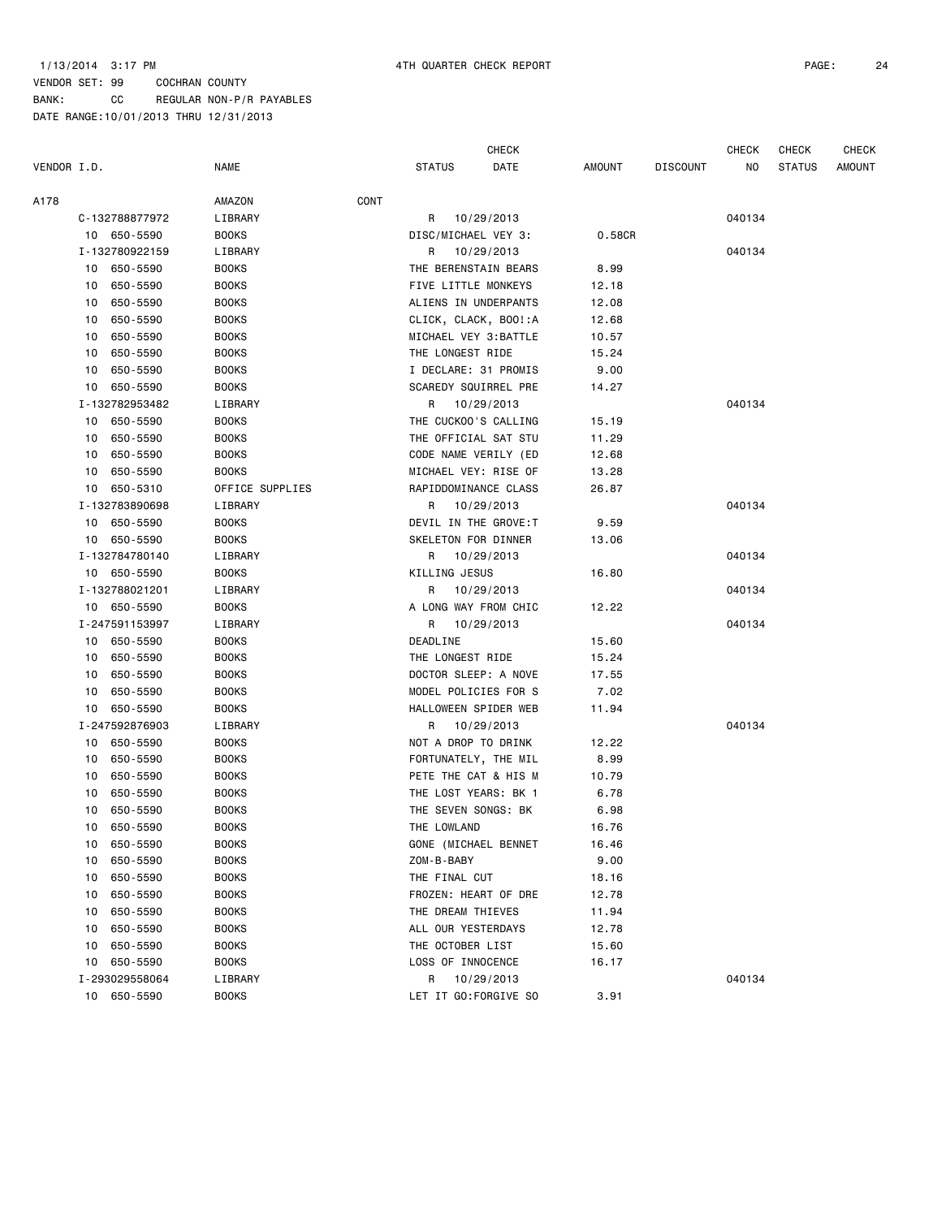|             |    |                |                 |      |                       | <b>CHECK</b>          |        |                 | <b>CHECK</b> | <b>CHECK</b>  | <b>CHECK</b> |
|-------------|----|----------------|-----------------|------|-----------------------|-----------------------|--------|-----------------|--------------|---------------|--------------|
| VENDOR I.D. |    |                | <b>NAME</b>     |      | <b>STATUS</b>         | DATE                  | AMOUNT | <b>DISCOUNT</b> | NO.          | <b>STATUS</b> | AMOUNT       |
| A178        |    |                | AMAZON          | CONT |                       |                       |        |                 |              |               |              |
|             |    | C-132788877972 | LIBRARY         |      | R                     | 10/29/2013            |        |                 | 040134       |               |              |
|             |    | 10 650-5590    | <b>BOOKS</b>    |      | DISC/MICHAEL VEY 3:   |                       | 0.58CR |                 |              |               |              |
|             |    | I-132780922159 | LIBRARY         |      | R 10/29/2013          |                       |        |                 | 040134       |               |              |
|             |    | 10 650-5590    | <b>BOOKS</b>    |      | THE BERENSTAIN BEARS  |                       | 8.99   |                 |              |               |              |
|             | 10 | 650-5590       | <b>BOOKS</b>    |      | FIVE LITTLE MONKEYS   |                       | 12.18  |                 |              |               |              |
|             | 10 | 650-5590       | <b>BOOKS</b>    |      |                       | ALIENS IN UNDERPANTS  | 12.08  |                 |              |               |              |
|             | 10 | 650-5590       | <b>BOOKS</b>    |      |                       | CLICK, CLACK, BOO!:A  | 12.68  |                 |              |               |              |
|             | 10 | 650-5590       | <b>BOOKS</b>    |      | MICHAEL VEY 3: BATTLE |                       | 10.57  |                 |              |               |              |
|             | 10 | 650-5590       | <b>BOOKS</b>    |      | THE LONGEST RIDE      |                       | 15.24  |                 |              |               |              |
|             | 10 | 650-5590       | <b>BOOKS</b>    |      | I DECLARE: 31 PROMIS  |                       | 9.00   |                 |              |               |              |
|             |    | 10 650-5590    | <b>BOOKS</b>    |      | SCAREDY SQUIRREL PRE  |                       | 14.27  |                 |              |               |              |
|             |    | I-132782953482 | LIBRARY         |      | R 10/29/2013          |                       |        |                 | 040134       |               |              |
|             |    | 10 650-5590    | <b>BOOKS</b>    |      |                       | THE CUCKOO'S CALLING  | 15.19  |                 |              |               |              |
|             | 10 | 650-5590       | <b>BOOKS</b>    |      |                       | THE OFFICIAL SAT STU  | 11.29  |                 |              |               |              |
|             | 10 | 650-5590       | <b>BOOKS</b>    |      |                       | CODE NAME VERILY (ED  | 12.68  |                 |              |               |              |
|             | 10 | 650-5590       | <b>BOOKS</b>    |      | MICHAEL VEY: RISE OF  |                       | 13.28  |                 |              |               |              |
|             |    | 10 650-5310    | OFFICE SUPPLIES |      |                       | RAPIDDOMINANCE CLASS  | 26.87  |                 |              |               |              |
|             |    | I-132783890698 | LIBRARY         |      | R                     | 10/29/2013            |        |                 | 040134       |               |              |
|             |    | 10 650-5590    | <b>BOOKS</b>    |      |                       | DEVIL IN THE GROVE: T | 9.59   |                 |              |               |              |
|             |    | 10 650-5590    | <b>BOOKS</b>    |      | SKELETON FOR DINNER   |                       | 13.06  |                 |              |               |              |
|             |    | I-132784780140 | LIBRARY         |      | R 10/29/2013          |                       |        |                 | 040134       |               |              |
|             |    | 10 650-5590    | <b>BOOKS</b>    |      | KILLING JESUS         |                       | 16.80  |                 |              |               |              |
|             |    | I-132788021201 | LIBRARY         |      | R                     | 10/29/2013            |        |                 | 040134       |               |              |
|             |    | 10 650-5590    | <b>BOOKS</b>    |      | A LONG WAY FROM CHIC  |                       | 12.22  |                 |              |               |              |
|             |    | I-247591153997 | LIBRARY         |      | R 10/29/2013          |                       |        |                 | 040134       |               |              |
|             |    | 10 650-5590    | <b>BOOKS</b>    |      | <b>DEADLINE</b>       |                       | 15.60  |                 |              |               |              |
|             |    | 10 650-5590    | <b>BOOKS</b>    |      | THE LONGEST RIDE      |                       | 15.24  |                 |              |               |              |
|             | 10 | 650-5590       | <b>BOOKS</b>    |      | DOCTOR SLEEP: A NOVE  |                       | 17.55  |                 |              |               |              |
|             | 10 | 650-5590       | <b>BOOKS</b>    |      | MODEL POLICIES FOR S  |                       | 7.02   |                 |              |               |              |
|             | 10 | 650-5590       | <b>BOOKS</b>    |      |                       | HALLOWEEN SPIDER WEB  | 11.94  |                 |              |               |              |
|             |    | I-247592876903 | LIBRARY         |      | R 10/29/2013          |                       |        |                 | 040134       |               |              |
|             |    | 10 650-5590    | <b>BOOKS</b>    |      | NOT A DROP TO DRINK   |                       | 12.22  |                 |              |               |              |
|             | 10 | 650-5590       | <b>BOOKS</b>    |      |                       | FORTUNATELY, THE MIL  | 8.99   |                 |              |               |              |
|             | 10 | 650-5590       | <b>BOOKS</b>    |      |                       | PETE THE CAT & HIS M  | 10.79  |                 |              |               |              |
|             | 10 | 650-5590       | <b>BOOKS</b>    |      | THE LOST YEARS: BK 1  |                       | 6.78   |                 |              |               |              |
|             | 10 | 650-5590       | <b>BOOKS</b>    |      | THE SEVEN SONGS: BK   |                       | 6.98   |                 |              |               |              |
|             | 10 | 650-5590       | <b>BOOKS</b>    |      | THE LOWLAND           |                       | 16.76  |                 |              |               |              |
|             |    | 10 650-5590    | <b>BOOKS</b>    |      |                       | GONE (MICHAEL BENNET  | 16.46  |                 |              |               |              |
|             | 10 | 650-5590       | <b>BOOKS</b>    |      | ZOM-B-BABY            |                       | 9.00   |                 |              |               |              |
|             |    | 10 650-5590    | <b>BOOKS</b>    |      | THE FINAL CUT         |                       | 18.16  |                 |              |               |              |
|             | 10 | 650-5590       | <b>BOOKS</b>    |      |                       | FROZEN: HEART OF DRE  | 12.78  |                 |              |               |              |
|             | 10 | 650-5590       | <b>BOOKS</b>    |      | THE DREAM THIEVES     |                       | 11.94  |                 |              |               |              |
|             | 10 | 650-5590       | <b>BOOKS</b>    |      | ALL OUR YESTERDAYS    |                       | 12.78  |                 |              |               |              |
|             |    | 10 650-5590    | <b>BOOKS</b>    |      | THE OCTOBER LIST      |                       | 15.60  |                 |              |               |              |
|             |    | 10 650-5590    | <b>BOOKS</b>    |      | LOSS OF INNOCENCE     |                       | 16.17  |                 |              |               |              |
|             |    | I-293029558064 | LIBRARY         |      |                       | R 10/29/2013          |        |                 | 040134       |               |              |
|             |    | 10 650-5590    | <b>BOOKS</b>    |      |                       | LET IT GO:FORGIVE SO  | 3.91   |                 |              |               |              |
|             |    |                |                 |      |                       |                       |        |                 |              |               |              |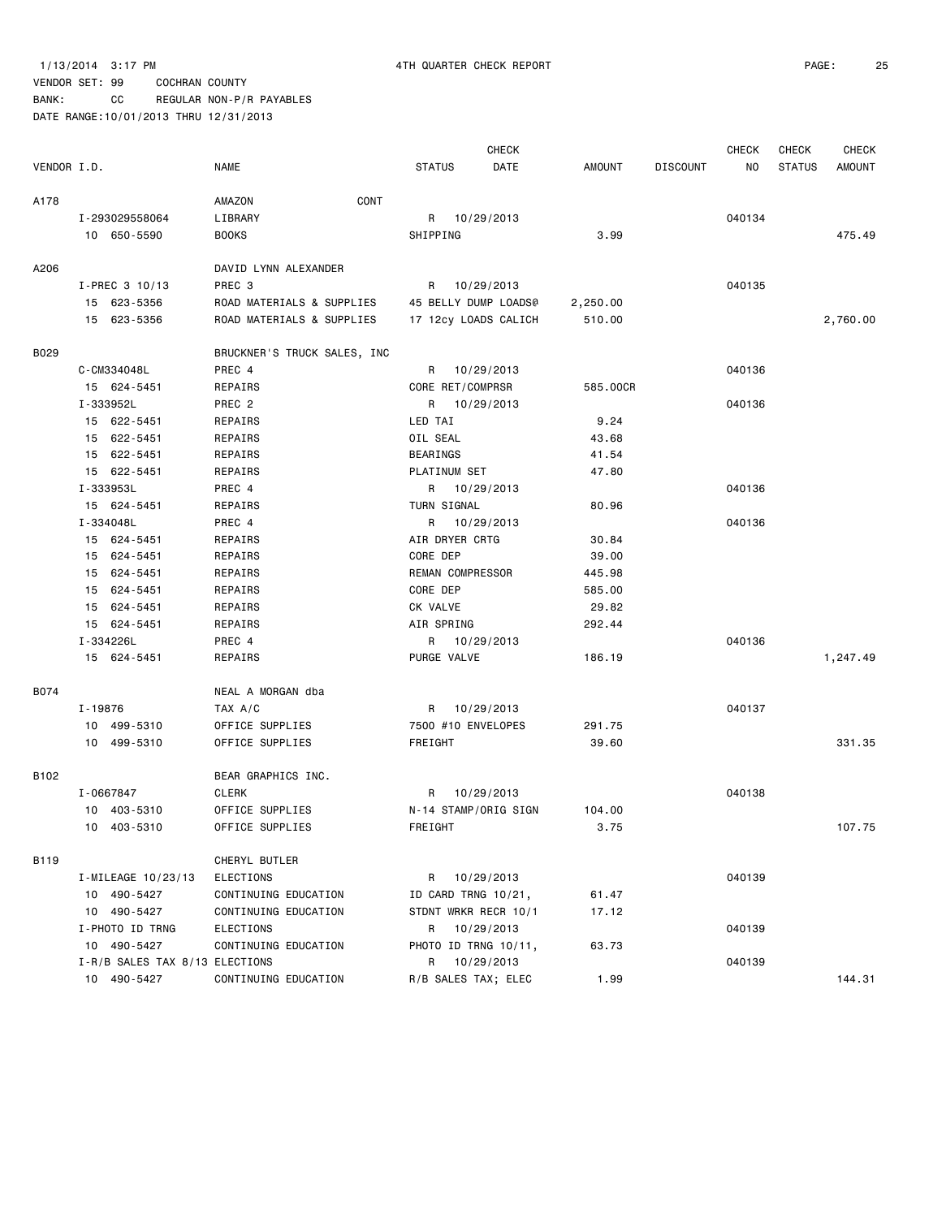BANK: CC REGULAR NON-P/R PAYABLES

|             |                                |                             | <b>CHECK</b>          |          |                 | <b>CHECK</b> | CHECK         | <b>CHECK</b>  |
|-------------|--------------------------------|-----------------------------|-----------------------|----------|-----------------|--------------|---------------|---------------|
| VENDOR I.D. |                                | <b>NAME</b>                 | <b>STATUS</b><br>DATE | AMOUNT   | <b>DISCOUNT</b> | NO           | <b>STATUS</b> | <b>AMOUNT</b> |
| A178        |                                | CONT<br>AMAZON              |                       |          |                 |              |               |               |
|             | I-293029558064                 | LIBRARY                     | R 10/29/2013          |          |                 | 040134       |               |               |
|             | 10 650-5590                    | <b>BOOKS</b>                | SHIPPING              | 3.99     |                 |              |               | 475.49        |
| A206        |                                | DAVID LYNN ALEXANDER        |                       |          |                 |              |               |               |
|             | I-PREC 3 10/13                 | PREC 3                      | R 10/29/2013          |          |                 | 040135       |               |               |
|             | 15 623-5356                    | ROAD MATERIALS & SUPPLIES   | 45 BELLY DUMP LOADS@  | 2,250.00 |                 |              |               |               |
|             | 15 623-5356                    | ROAD MATERIALS & SUPPLIES   | 17 12cy LOADS CALICH  | 510.00   |                 |              |               | 2,760.00      |
| B029        |                                | BRUCKNER'S TRUCK SALES, INC |                       |          |                 |              |               |               |
|             | C-CM334048L                    | PREC 4                      | 10/29/2013<br>R       |          |                 | 040136       |               |               |
|             | 15 624-5451                    | REPAIRS                     | CORE RET/COMPRSR      | 585.00CR |                 |              |               |               |
|             | I-333952L                      | PREC <sub>2</sub>           | R 10/29/2013          |          |                 | 040136       |               |               |
|             | 15 622-5451                    | REPAIRS                     | LED TAI               | 9.24     |                 |              |               |               |
|             | 15 622-5451                    | REPAIRS                     | OIL SEAL              | 43.68    |                 |              |               |               |
|             | 15 622-5451                    | REPAIRS                     | BEARINGS              | 41.54    |                 |              |               |               |
|             | 15 622-5451                    | REPAIRS                     | PLATINUM SET          | 47.80    |                 |              |               |               |
|             | I-333953L                      | PREC 4                      | R 10/29/2013          |          |                 | 040136       |               |               |
|             | 15 624-5451                    | REPAIRS                     | TURN SIGNAL           | 80.96    |                 |              |               |               |
|             | I-334048L                      | PREC 4                      | R 10/29/2013          |          |                 | 040136       |               |               |
|             | 15 624-5451                    | REPAIRS                     | AIR DRYER CRTG        | 30.84    |                 |              |               |               |
|             | 15 624-5451                    | REPAIRS                     | CORE DEP              | 39.00    |                 |              |               |               |
|             | 15 624-5451                    | REPAIRS                     | REMAN COMPRESSOR      | 445.98   |                 |              |               |               |
|             | 15 624-5451                    | REPAIRS                     | CORE DEP              | 585.00   |                 |              |               |               |
|             | 15 624-5451                    | REPAIRS                     | CK VALVE              | 29.82    |                 |              |               |               |
|             | 15 624-5451                    | REPAIRS                     | AIR SPRING            | 292.44   |                 |              |               |               |
|             | I-334226L                      | PREC 4                      | R 10/29/2013          |          |                 | 040136       |               |               |
|             | 15 624-5451                    | REPAIRS                     | PURGE VALVE           | 186.19   |                 |              |               | 1,247.49      |
| B074        |                                | NEAL A MORGAN dba           |                       |          |                 |              |               |               |
|             | I-19876                        | TAX A/C                     | R 10/29/2013          |          |                 | 040137       |               |               |
|             | 10 499-5310                    | OFFICE SUPPLIES             | 7500 #10 ENVELOPES    | 291.75   |                 |              |               |               |
|             | 10 499-5310                    | OFFICE SUPPLIES             | FREIGHT               | 39.60    |                 |              |               | 331.35        |
| B102        |                                | BEAR GRAPHICS INC.          |                       |          |                 |              |               |               |
|             | I-0667847                      | CLERK                       | 10/29/2013<br>R       |          |                 | 040138       |               |               |
|             | 10 403-5310                    | OFFICE SUPPLIES             | N-14 STAMP/ORIG SIGN  | 104.00   |                 |              |               |               |
|             | 10 403-5310                    | OFFICE SUPPLIES             | FREIGHT               | 3.75     |                 |              |               | 107.75        |
| B119        |                                | CHERYL BUTLER               |                       |          |                 |              |               |               |
|             | I-MILEAGE 10/23/13             | ELECTIONS                   | 10/29/2013<br>R       |          |                 | 040139       |               |               |
|             | 10 490-5427                    | CONTINUING EDUCATION        | ID CARD TRNG 10/21,   | 61.47    |                 |              |               |               |
|             | 10 490-5427                    | CONTINUING EDUCATION        | STDNT WRKR RECR 10/1  | 17.12    |                 |              |               |               |
|             | I-PHOTO ID TRNG                | ELECTIONS                   | R<br>10/29/2013       |          |                 | 040139       |               |               |
|             | 10 490-5427                    | CONTINUING EDUCATION        | PHOTO ID TRNG 10/11,  | 63.73    |                 |              |               |               |
|             | I-R/B SALES TAX 8/13 ELECTIONS |                             | R 10/29/2013          |          |                 | 040139       |               |               |
|             | 10 490-5427                    | CONTINUING EDUCATION        | R/B SALES TAX; ELEC   | 1.99     |                 |              |               | 144.31        |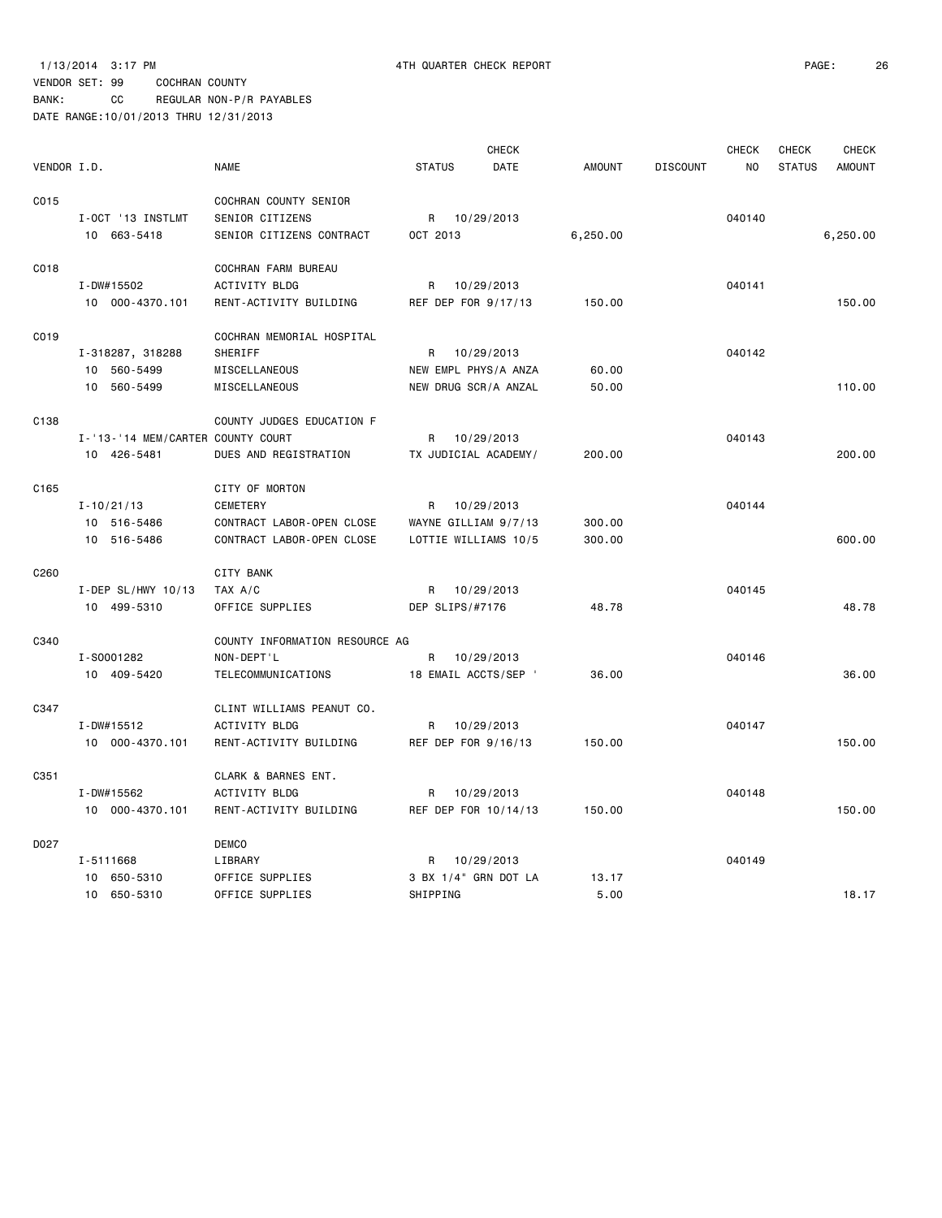BANK: CC REGULAR NON-P/R PAYABLES DATE RANGE:10/01/2013 THRU 12/31/2013

|                  |                                   |                                |               | <b>CHECK</b>         |               |                 | <b>CHECK</b>   | <b>CHECK</b>  | <b>CHECK</b>  |
|------------------|-----------------------------------|--------------------------------|---------------|----------------------|---------------|-----------------|----------------|---------------|---------------|
| VENDOR I.D.      |                                   | <b>NAME</b>                    | <b>STATUS</b> | DATE                 | <b>AMOUNT</b> | <b>DISCOUNT</b> | N <sub>O</sub> | <b>STATUS</b> | <b>AMOUNT</b> |
| C015             |                                   | COCHRAN COUNTY SENIOR          |               |                      |               |                 |                |               |               |
|                  | I-OCT '13 INSTLMT                 | SENIOR CITIZENS                |               | R 10/29/2013         |               |                 | 040140         |               |               |
|                  | 10 663-5418                       | SENIOR CITIZENS CONTRACT       | OCT 2013      |                      | 6,250.00      |                 |                |               | 6,250.00      |
| C018             |                                   | COCHRAN FARM BUREAU            |               |                      |               |                 |                |               |               |
|                  | I-DW#15502                        | ACTIVITY BLDG                  | R             | 10/29/2013           |               |                 | 040141         |               |               |
|                  | 10 000-4370.101                   | RENT-ACTIVITY BUILDING         |               | REF DEP FOR 9/17/13  | 150.00        |                 |                |               | 150.00        |
| C019             |                                   | COCHRAN MEMORIAL HOSPITAL      |               |                      |               |                 |                |               |               |
|                  | I-318287, 318288                  | SHERIFF                        | R             | 10/29/2013           |               |                 | 040142         |               |               |
|                  | 10 560-5499                       | MISCELLANEOUS                  |               | NEW EMPL PHYS/A ANZA | 60.00         |                 |                |               |               |
|                  | 10 560-5499                       | MISCELLANEOUS                  |               | NEW DRUG SCR/A ANZAL | 50.00         |                 |                |               | 110.00        |
| C138             |                                   | COUNTY JUDGES EDUCATION F      |               |                      |               |                 |                |               |               |
|                  | I-'13-'14 MEM/CARTER COUNTY COURT |                                | R             | 10/29/2013           |               |                 | 040143         |               |               |
|                  | 10 426-5481                       | DUES AND REGISTRATION          |               | TX JUDICIAL ACADEMY/ | 200.00        |                 |                |               | 200.00        |
| C <sub>165</sub> |                                   | CITY OF MORTON                 |               |                      |               |                 |                |               |               |
|                  | $I - 10/21/13$                    | <b>CEMETERY</b>                | R             | 10/29/2013           |               |                 | 040144         |               |               |
|                  | 10 516-5486                       | CONTRACT LABOR-OPEN CLOSE      |               | WAYNE GILLIAM 9/7/13 | 300.00        |                 |                |               |               |
|                  | 10 516-5486                       | CONTRACT LABOR-OPEN CLOSE      |               | LOTTIE WILLIAMS 10/5 | 300.00        |                 |                |               | 600.00        |
| C <sub>260</sub> |                                   | CITY BANK                      |               |                      |               |                 |                |               |               |
|                  | I-DEP SL/HWY $10/13$              | TAX A/C                        | R             | 10/29/2013           |               |                 | 040145         |               |               |
|                  | 10 499-5310                       | OFFICE SUPPLIES                |               | DEP SLIPS/#7176      | 48.78         |                 |                |               | 48.78         |
| C340             |                                   | COUNTY INFORMATION RESOURCE AG |               |                      |               |                 |                |               |               |
|                  | I-S0001282                        | NON-DEPT'L                     | R             | 10/29/2013           |               |                 | 040146         |               |               |
|                  | 10 409-5420                       | TELECOMMUNICATIONS             |               | 18 EMAIL ACCTS/SEP ' | 36.00         |                 |                |               | 36.00         |
| C347             |                                   | CLINT WILLIAMS PEANUT CO.      |               |                      |               |                 |                |               |               |
|                  | I-DW#15512                        | <b>ACTIVITY BLDG</b>           |               | R 10/29/2013         |               |                 | 040147         |               |               |
|                  | 10 000-4370.101                   | RENT-ACTIVITY BUILDING         |               | REF DEP FOR 9/16/13  | 150.00        |                 |                |               | 150.00        |
| C351             |                                   | CLARK & BARNES ENT.            |               |                      |               |                 |                |               |               |
|                  | I-DW#15562                        | <b>ACTIVITY BLDG</b>           | R             | 10/29/2013           |               |                 | 040148         |               |               |
|                  | 10 000-4370.101                   | RENT-ACTIVITY BUILDING         |               | REF DEP FOR 10/14/13 | 150.00        |                 |                |               | 150.00        |
| D027             |                                   | <b>DEMCO</b>                   |               |                      |               |                 |                |               |               |
|                  | I-5111668                         | LIBRARY                        | R             | 10/29/2013           |               |                 | 040149         |               |               |
|                  | 10 650-5310                       | OFFICE SUPPLIES                |               | 3 BX 1/4" GRN DOT LA | 13.17         |                 |                |               |               |
|                  | 10 650-5310                       | OFFICE SUPPLIES                | SHIPPING      |                      | 5.00          |                 |                |               | 18.17         |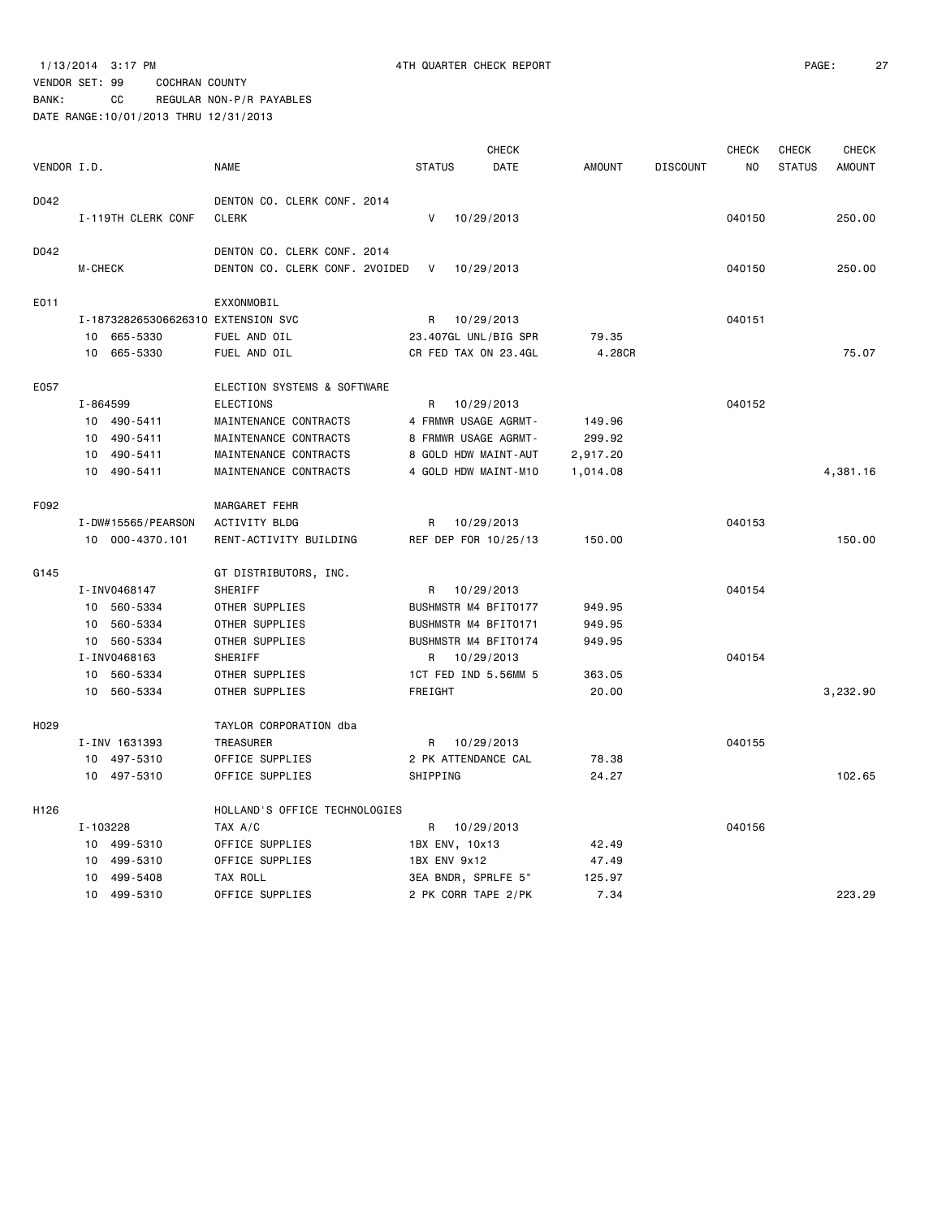BANK: CC REGULAR NON-P/R PAYABLES

|             |                |                                    |                                |               |                | CHECK                |               |                 | <b>CHECK</b>   | <b>CHECK</b>  | <b>CHECK</b>  |
|-------------|----------------|------------------------------------|--------------------------------|---------------|----------------|----------------------|---------------|-----------------|----------------|---------------|---------------|
| VENDOR I.D. |                |                                    | NAME                           | <b>STATUS</b> |                | DATE                 | <b>AMOUNT</b> | <b>DISCOUNT</b> | N <sub>0</sub> | <b>STATUS</b> | <b>AMOUNT</b> |
| D042        |                |                                    | DENTON CO. CLERK CONF. 2014    |               |                |                      |               |                 |                |               |               |
|             |                | I-119TH CLERK CONF                 | <b>CLERK</b>                   | V             |                | 10/29/2013           |               |                 | 040150         |               | 250.00        |
| D042        |                |                                    | DENTON CO. CLERK CONF. 2014    |               |                |                      |               |                 |                |               |               |
|             | <b>M-CHECK</b> |                                    | DENTON CO. CLERK CONF. 2VOIDED | V             |                | 10/29/2013           |               |                 | 040150         |               | 250.00        |
| E011        |                |                                    | EXXONMOBIL                     |               |                |                      |               |                 |                |               |               |
|             |                | I-187328265306626310 EXTENSION SVC |                                | R             | 10/29/2013     |                      |               |                 | 040151         |               |               |
|             |                | 10 665-5330                        | FUEL AND OIL                   |               |                | 23.407GL UNL/BIG SPR | 79.35         |                 |                |               |               |
|             |                | 10 665-5330                        | FUEL AND OIL                   |               |                | CR FED TAX ON 23.4GL | 4.28CR        |                 |                |               | 75.07         |
| E057        |                |                                    | ELECTION SYSTEMS & SOFTWARE    |               |                |                      |               |                 |                |               |               |
|             | I-864599       |                                    | <b>ELECTIONS</b>               | R             |                | 10/29/2013           |               |                 | 040152         |               |               |
|             |                | 10 490-5411                        | MAINTENANCE CONTRACTS          |               |                | 4 FRMWR USAGE AGRMT- | 149.96        |                 |                |               |               |
|             |                | 10 490-5411                        | MAINTENANCE CONTRACTS          |               |                | 8 FRMWR USAGE AGRMT- | 299.92        |                 |                |               |               |
|             |                | 10 490-5411                        | MAINTENANCE CONTRACTS          |               |                | 8 GOLD HDW MAINT-AUT | 2,917.20      |                 |                |               |               |
|             |                | 10 490-5411                        | MAINTENANCE CONTRACTS          |               |                | 4 GOLD HDW MAINT-M10 | 1,014.08      |                 |                |               | 4,381.16      |
| F092        |                |                                    | MARGARET FEHR                  |               |                |                      |               |                 |                |               |               |
|             |                | I-DW#15565/PEARSON                 | ACTIVITY BLDG                  | R             |                | 10/29/2013           |               |                 | 040153         |               |               |
|             |                | 10 000-4370.101                    | RENT-ACTIVITY BUILDING         |               |                | REF DEP FOR 10/25/13 | 150.00        |                 |                |               | 150.00        |
| G145        |                |                                    | GT DISTRIBUTORS, INC.          |               |                |                      |               |                 |                |               |               |
|             |                | I-INV0468147                       | SHERIFF                        | R             | 10/29/2013     |                      |               |                 | 040154         |               |               |
|             |                | 10 560-5334                        | OTHER SUPPLIES                 |               |                | BUSHMSTR M4 BFIT0177 | 949.95        |                 |                |               |               |
|             |                | 10 560-5334                        | OTHER SUPPLIES                 |               |                | BUSHMSTR M4 BFIT0171 | 949.95        |                 |                |               |               |
|             |                | 10 560-5334                        | OTHER SUPPLIES                 |               |                | BUSHMSTR M4 BFIT0174 | 949.95        |                 |                |               |               |
|             |                | I-INV0468163                       | SHERIFF                        | R             | 10/29/2013     |                      |               |                 | 040154         |               |               |
|             |                | 10 560-5334                        | OTHER SUPPLIES                 |               |                | 1CT FED IND 5.56MM 5 | 363.05        |                 |                |               |               |
|             |                | 10 560-5334                        | OTHER SUPPLIES                 | FREIGHT       |                |                      | 20.00         |                 |                |               | 3,232.90      |
| H029        |                |                                    | TAYLOR CORPORATION dba         |               |                |                      |               |                 |                |               |               |
|             |                | I-INV 1631393                      | TREASURER                      | R             |                | 10/29/2013           |               |                 | 040155         |               |               |
|             |                | 10 497-5310                        | OFFICE SUPPLIES                |               |                | 2 PK ATTENDANCE CAL  | 78.38         |                 |                |               |               |
|             |                | 10 497-5310                        | OFFICE SUPPLIES                | SHIPPING      |                |                      | 24.27         |                 |                |               | 102.65        |
| H126        |                |                                    | HOLLAND'S OFFICE TECHNOLOGIES  |               |                |                      |               |                 |                |               |               |
|             | I-103228       |                                    | TAX A/C                        |               | R 10/29/2013   |                      |               |                 | 040156         |               |               |
|             |                | 10 499-5310                        | OFFICE SUPPLIES                |               | 1BX ENV, 10x13 |                      | 42.49         |                 |                |               |               |
|             | 10             | 499-5310                           | OFFICE SUPPLIES                |               | 1BX ENV 9x12   |                      | 47.49         |                 |                |               |               |
|             | 10             | 499-5408                           | TAX ROLL                       |               |                | 3EA BNDR, SPRLFE 5"  | 125.97        |                 |                |               |               |
|             |                | 10 499-5310                        | OFFICE SUPPLIES                |               |                | 2 PK CORR TAPE 2/PK  | 7.34          |                 |                |               | 223.29        |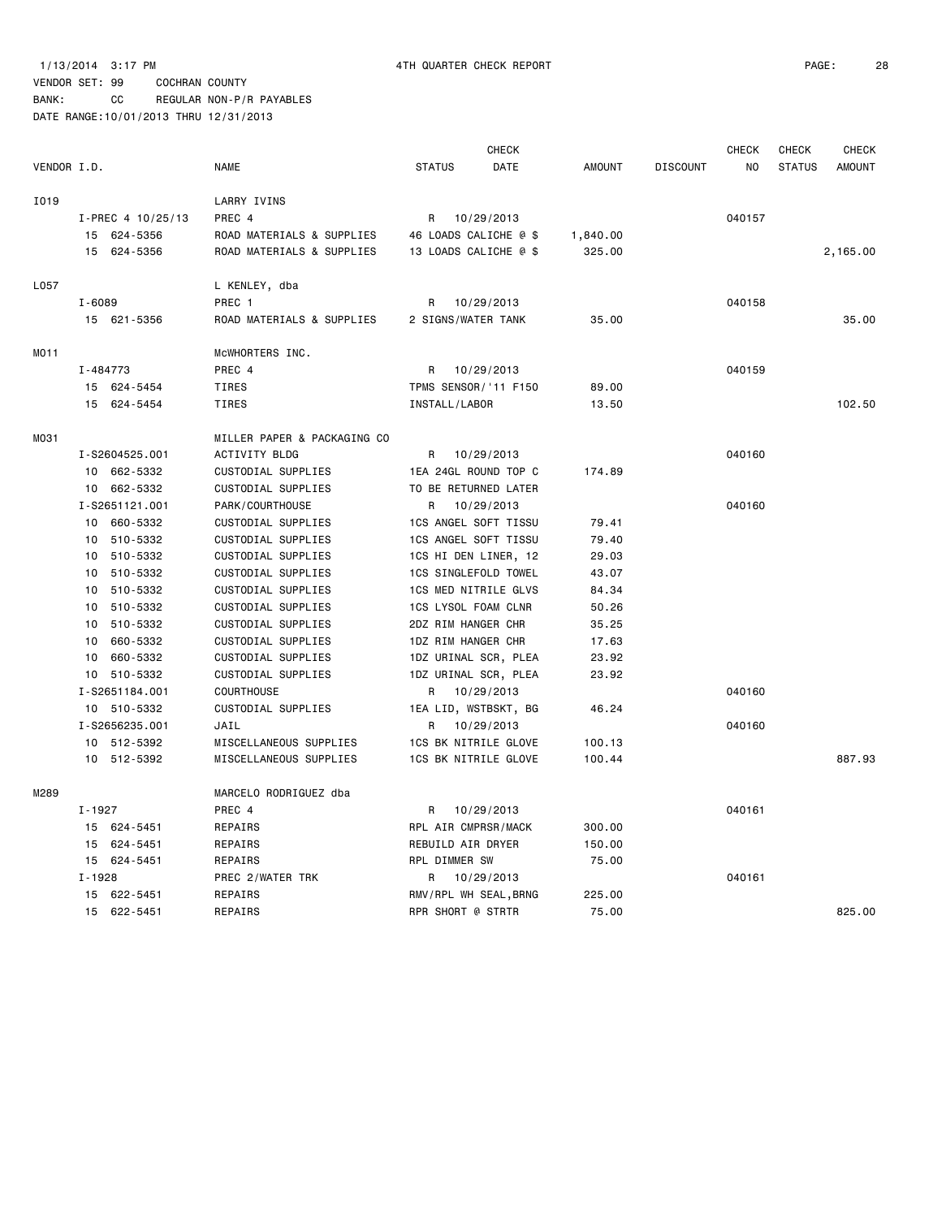### 1/13/2014 3:17 PM 4TH QUARTER CHECK REPORT PAGE: 28

## VENDOR SET: 99 COCHRAN COUNTY

BANK: CC REGULAR NON-P/R PAYABLES

|             |                   |                             |                       | CHECK      |               |                 | CHECK          | <b>CHECK</b>  | <b>CHECK</b>  |
|-------------|-------------------|-----------------------------|-----------------------|------------|---------------|-----------------|----------------|---------------|---------------|
| VENDOR I.D. |                   | <b>NAME</b>                 | <b>STATUS</b>         | DATE       | <b>AMOUNT</b> | <b>DISCOUNT</b> | N <sub>O</sub> | <b>STATUS</b> | <b>AMOUNT</b> |
| I019        |                   | LARRY IVINS                 |                       |            |               |                 |                |               |               |
|             | I-PREC 4 10/25/13 | PREC 4                      | R                     | 10/29/2013 |               |                 | 040157         |               |               |
|             | 15 624-5356       | ROAD MATERIALS & SUPPLIES   | 46 LOADS CALICHE @ \$ |            | 1,840.00      |                 |                |               |               |
|             | 15 624-5356       | ROAD MATERIALS & SUPPLIES   | 13 LOADS CALICHE @ \$ |            | 325.00        |                 |                |               | 2,165.00      |
| L057        |                   | L KENLEY, dba               |                       |            |               |                 |                |               |               |
|             | $I - 6089$        | PREC 1                      | R                     | 10/29/2013 |               |                 | 040158         |               |               |
|             | 15 621-5356       | ROAD MATERIALS & SUPPLIES   | 2 SIGNS/WATER TANK    |            | 35.00         |                 |                |               | 35.00         |
| MO11        |                   | MCWHORTERS INC.             |                       |            |               |                 |                |               |               |
|             | I-484773          | PREC 4                      | R                     | 10/29/2013 |               |                 | 040159         |               |               |
|             | 15 624-5454       | TIRES                       | TPMS SENSOR/ '11 F150 |            | 89.00         |                 |                |               |               |
|             | 15 624-5454       | <b>TIRES</b>                | INSTALL/LABOR         |            | 13.50         |                 |                |               | 102.50        |
| MO31        |                   | MILLER PAPER & PACKAGING CO |                       |            |               |                 |                |               |               |
|             | I-S2604525.001    | ACTIVITY BLDG               | R                     | 10/29/2013 |               |                 | 040160         |               |               |
|             | 10 662-5332       | CUSTODIAL SUPPLIES          | 1EA 24GL ROUND TOP C  |            | 174.89        |                 |                |               |               |
|             | 10 662-5332       | CUSTODIAL SUPPLIES          | TO BE RETURNED LATER  |            |               |                 |                |               |               |
|             | I-S2651121.001    | PARK/COURTHOUSE             | R                     | 10/29/2013 |               |                 | 040160         |               |               |
|             | 10<br>660-5332    | CUSTODIAL SUPPLIES          | 1CS ANGEL SOFT TISSU  |            | 79.41         |                 |                |               |               |
|             | 510-5332<br>10    | CUSTODIAL SUPPLIES          | 1CS ANGEL SOFT TISSU  |            | 79.40         |                 |                |               |               |
|             | 10 510-5332       | CUSTODIAL SUPPLIES          | 1CS HI DEN LINER, 12  |            | 29.03         |                 |                |               |               |
|             | 510-5332<br>10    | CUSTODIAL SUPPLIES          | 1CS SINGLEFOLD TOWEL  |            | 43.07         |                 |                |               |               |
|             | 510-5332<br>10    | CUSTODIAL SUPPLIES          | 1CS MED NITRILE GLVS  |            | 84.34         |                 |                |               |               |
|             | 510-5332<br>10    | CUSTODIAL SUPPLIES          | 1CS LYSOL FOAM CLNR   |            | 50.26         |                 |                |               |               |
|             | 510-5332<br>10    | CUSTODIAL SUPPLIES          | 2DZ RIM HANGER CHR    |            | 35.25         |                 |                |               |               |
|             | 660-5332<br>10    | CUSTODIAL SUPPLIES          | 1DZ RIM HANGER CHR    |            | 17.63         |                 |                |               |               |
|             | 660-5332<br>10    | CUSTODIAL SUPPLIES          | 1DZ URINAL SCR, PLEA  |            | 23.92         |                 |                |               |               |
|             | 10 510-5332       | CUSTODIAL SUPPLIES          | 1DZ URINAL SCR, PLEA  |            | 23.92         |                 |                |               |               |
|             | I-S2651184.001    | COURTHOUSE                  | R                     | 10/29/2013 |               |                 | 040160         |               |               |
|             | 10 510-5332       | CUSTODIAL SUPPLIES          | 1EA LID, WSTBSKT, BG  |            | 46.24         |                 |                |               |               |
|             | I-S2656235.001    | JAIL                        | R                     | 10/29/2013 |               |                 | 040160         |               |               |
|             | 512-5392<br>10    | MISCELLANEOUS SUPPLIES      | 1CS BK NITRILE GLOVE  |            | 100.13        |                 |                |               |               |
|             | 10 512-5392       | MISCELLANEOUS SUPPLIES      | 1CS BK NITRILE GLOVE  |            | 100.44        |                 |                |               | 887.93        |
| M289        |                   | MARCELO RODRIGUEZ dba       |                       |            |               |                 |                |               |               |
|             | I-1927            | PREC 4                      | R                     | 10/29/2013 |               |                 | 040161         |               |               |
|             | 15 624-5451       | REPAIRS                     | RPL AIR CMPRSR/MACK   |            | 300.00        |                 |                |               |               |
|             | 15<br>624 - 5451  | REPAIRS                     | REBUILD AIR DRYER     |            | 150.00        |                 |                |               |               |
|             | 15 624-5451       | REPAIRS                     | RPL DIMMER SW         |            | 75.00         |                 |                |               |               |
|             | $I - 1928$        | PREC 2/WATER TRK            | R                     | 10/29/2013 |               |                 | 040161         |               |               |
|             | 15 622-5451       | REPAIRS                     | RMV/RPL WH SEAL, BRNG |            | 225.00        |                 |                |               |               |
|             | 15 622-5451       | REPAIRS                     | RPR SHORT @ STRTR     |            | 75.00         |                 |                |               | 825,00        |
|             |                   |                             |                       |            |               |                 |                |               |               |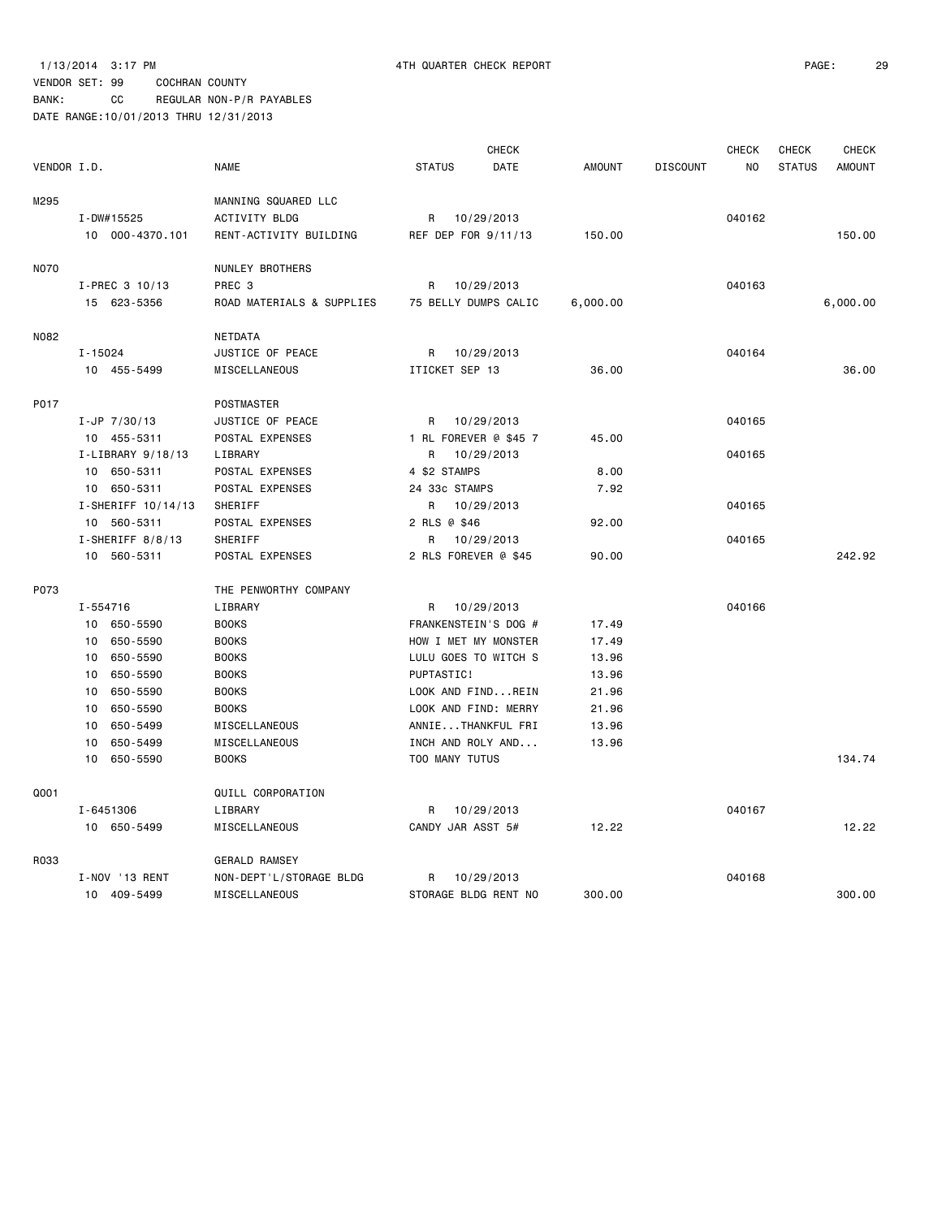|             |                     |                           | <b>CHECK</b>          |               |                 | <b>CHECK</b>   | <b>CHECK</b>  | <b>CHECK</b>  |
|-------------|---------------------|---------------------------|-----------------------|---------------|-----------------|----------------|---------------|---------------|
| VENDOR I.D. |                     | <b>NAME</b>               | <b>STATUS</b><br>DATE | <b>AMOUNT</b> | <b>DISCOUNT</b> | N <sub>O</sub> | <b>STATUS</b> | <b>AMOUNT</b> |
| M295        |                     | MANNING SQUARED LLC       |                       |               |                 |                |               |               |
|             | $I - DW#15525$      | <b>ACTIVITY BLDG</b>      | R 10/29/2013          |               |                 | 040162         |               |               |
|             | 10 000-4370.101     | RENT-ACTIVITY BUILDING    | REF DEP FOR 9/11/13   | 150.00        |                 |                |               | 150.00        |
| <b>NO70</b> |                     | NUNLEY BROTHERS           |                       |               |                 |                |               |               |
|             | I-PREC 3 10/13      | PREC <sub>3</sub>         | 10/29/2013<br>R       |               |                 | 040163         |               |               |
|             | 15 623-5356         | ROAD MATERIALS & SUPPLIES | 75 BELLY DUMPS CALIC  | 6,000.00      |                 |                |               | 6,000.00      |
| N082        |                     | NETDATA                   |                       |               |                 |                |               |               |
|             | $I - 15024$         | JUSTICE OF PEACE          | 10/29/2013<br>R       |               |                 | 040164         |               |               |
|             | 10 455-5499         | MISCELLANEOUS             | ITICKET SEP 13        | 36.00         |                 |                |               | 36.00         |
| P017        |                     | <b>POSTMASTER</b>         |                       |               |                 |                |               |               |
|             | $I-JP$ 7/30/13      | JUSTICE OF PEACE          | 10/29/2013<br>R       |               |                 | 040165         |               |               |
|             | 10 455-5311         | POSTAL EXPENSES           | 1 RL FOREVER @ \$45 7 | 45.00         |                 |                |               |               |
|             | I-LIBRARY 9/18/13   | LIBRARY                   | 10/29/2013<br>R       |               |                 | 040165         |               |               |
|             | 10 650-5311         | POSTAL EXPENSES           | 4 \$2 STAMPS          | 8.00          |                 |                |               |               |
|             | 10 650-5311         | POSTAL EXPENSES           | 24 33c STAMPS         | 7.92          |                 |                |               |               |
|             | I-SHERIFF 10/14/13  | SHERIFF                   | 10/29/2013<br>R       |               |                 | 040165         |               |               |
|             | 10 560-5311         | POSTAL EXPENSES           | 2 RLS @ \$46          | 92.00         |                 |                |               |               |
|             | $I$ -SHERIFF 8/8/13 | SHERIFF                   | R<br>10/29/2013       |               |                 | 040165         |               |               |
|             | 10 560-5311         | POSTAL EXPENSES           | 2 RLS FOREVER @ \$45  | 90.00         |                 |                |               | 242.92        |
| P073        |                     | THE PENWORTHY COMPANY     |                       |               |                 |                |               |               |
|             | I-554716            | LIBRARY                   | 10/29/2013<br>R       |               |                 | 040166         |               |               |
|             | 10 650-5590         | <b>BOOKS</b>              | FRANKENSTEIN'S DOG #  | 17.49         |                 |                |               |               |
|             | 10 650-5590         | <b>BOOKS</b>              | HOW I MET MY MONSTER  | 17.49         |                 |                |               |               |
|             | 10<br>650-5590      | <b>BOOKS</b>              | LULU GOES TO WITCH S  | 13.96         |                 |                |               |               |
|             | 650-5590<br>10      | <b>BOOKS</b>              | PUPTASTIC!            | 13.96         |                 |                |               |               |
|             | 650-5590<br>10      | <b>BOOKS</b>              | LOOK AND FINDREIN     | 21.96         |                 |                |               |               |
|             | 650-5590<br>10      | <b>BOOKS</b>              | LOOK AND FIND: MERRY  | 21.96         |                 |                |               |               |
|             | 650-5499<br>10      | MISCELLANEOUS             | ANNIETHANKFUL FRI     | 13.96         |                 |                |               |               |
|             | 650-5499<br>10      | MISCELLANEOUS             | INCH AND ROLY AND     | 13.96         |                 |                |               |               |
|             | 650-5590<br>10      | <b>BOOKS</b>              | TOO MANY TUTUS        |               |                 |                |               | 134.74        |
| Q001        |                     | QUILL CORPORATION         |                       |               |                 |                |               |               |
|             | I-6451306           | LIBRARY                   | R<br>10/29/2013       |               |                 | 040167         |               |               |
|             | 10 650-5499         | MISCELLANEOUS             | CANDY JAR ASST 5#     | 12.22         |                 |                |               | 12.22         |
| R033        |                     | <b>GERALD RAMSEY</b>      |                       |               |                 |                |               |               |
|             | I-NOV '13 RENT      | NON-DEPT'L/STORAGE BLDG   | R<br>10/29/2013       |               |                 | 040168         |               |               |
|             | 10 409-5499         | MISCELLANEOUS             | STORAGE BLDG RENT NO  | 300.00        |                 |                |               | 300.00        |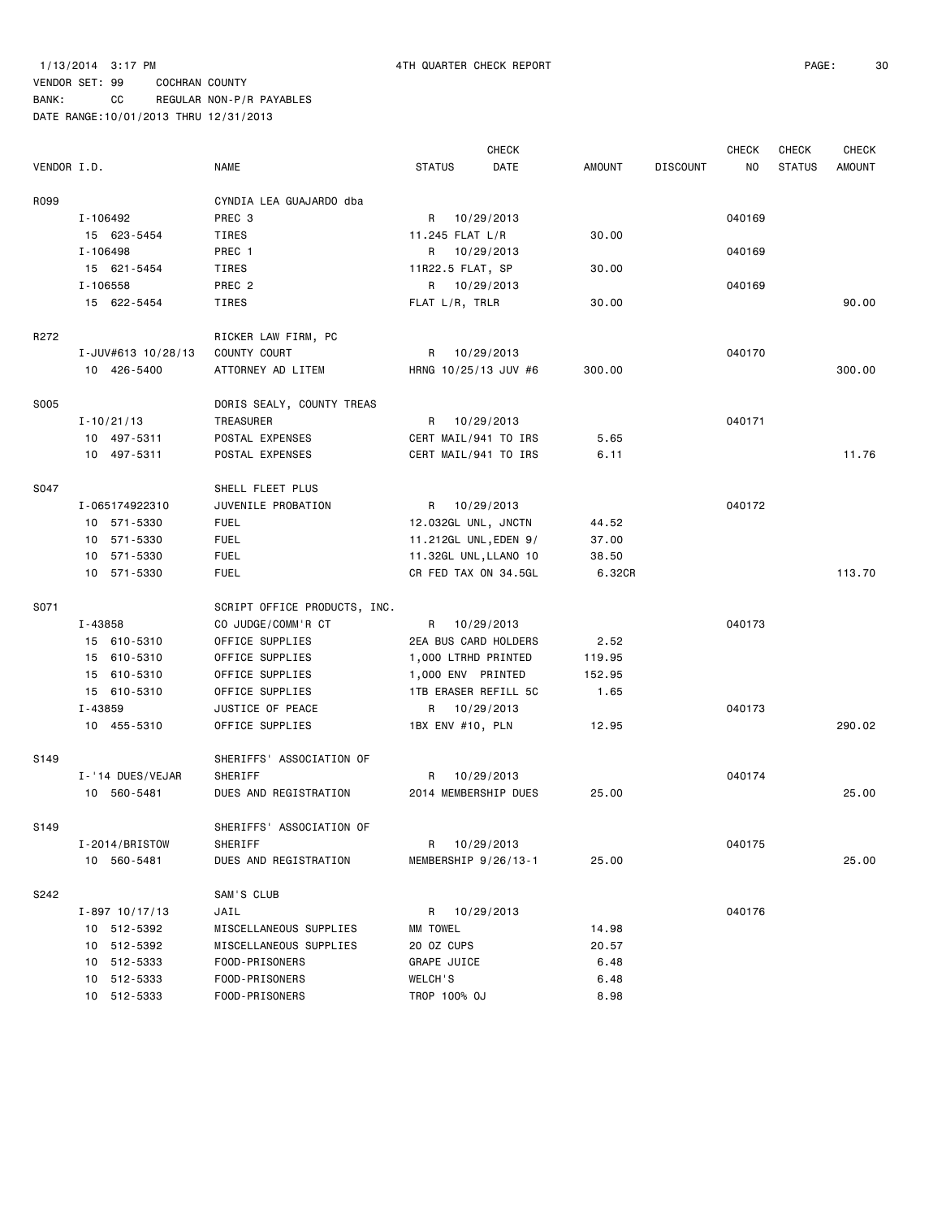BANK: CC REGULAR NON-P/R PAYABLES

|                  |                    |                              |                       | <b>CHECK</b> |        |                 | <b>CHECK</b> | <b>CHECK</b>  | <b>CHECK</b>  |
|------------------|--------------------|------------------------------|-----------------------|--------------|--------|-----------------|--------------|---------------|---------------|
| VENDOR I.D.      |                    | <b>NAME</b>                  | <b>STATUS</b>         | DATE         | AMOUNT | <b>DISCOUNT</b> | ΝO           | <b>STATUS</b> | <b>AMOUNT</b> |
| R099             |                    | CYNDIA LEA GUAJARDO dba      |                       |              |        |                 |              |               |               |
|                  | I-106492           | PREC 3                       | R                     | 10/29/2013   |        |                 | 040169       |               |               |
|                  | 15 623-5454        | TIRES                        | 11.245 FLAT L/R       |              | 30.00  |                 |              |               |               |
|                  | I-106498           | PREC 1                       | R 10/29/2013          |              |        |                 | 040169       |               |               |
|                  | 15 621-5454        | TIRES                        | 11R22.5 FLAT, SP      |              | 30.00  |                 |              |               |               |
|                  | I-106558           | PREC <sub>2</sub>            | R 10/29/2013          |              |        |                 | 040169       |               |               |
|                  | 15 622-5454        | TIRES                        | FLAT L/R, TRLR        |              | 30.00  |                 |              |               | 90.00         |
| R272             |                    | RICKER LAW FIRM, PC          |                       |              |        |                 |              |               |               |
|                  | I-JUV#613 10/28/13 | COUNTY COURT                 | R                     | 10/29/2013   |        |                 | 040170       |               |               |
|                  | 10 426-5400        | ATTORNEY AD LITEM            | HRNG 10/25/13 JUV #6  |              | 300.00 |                 |              |               | 300.00        |
| S005             |                    | DORIS SEALY, COUNTY TREAS    |                       |              |        |                 |              |               |               |
|                  | $I - 10/21/13$     | TREASURER                    | R                     | 10/29/2013   |        |                 | 040171       |               |               |
|                  | 10 497-5311        | POSTAL EXPENSES              | CERT MAIL/941 TO IRS  |              | 5.65   |                 |              |               |               |
|                  | 10 497-5311        | POSTAL EXPENSES              | CERT MAIL/941 TO IRS  |              | 6.11   |                 |              |               | 11.76         |
| S047             |                    | SHELL FLEET PLUS             |                       |              |        |                 |              |               |               |
|                  | I-065174922310     | JUVENILE PROBATION           | R                     | 10/29/2013   |        |                 | 040172       |               |               |
|                  | 10 571-5330        | <b>FUEL</b>                  | 12.032GL UNL, JNCTN   |              | 44.52  |                 |              |               |               |
|                  | 10 571-5330        | <b>FUEL</b>                  | 11.212GL UNL, EDEN 9/ |              | 37.00  |                 |              |               |               |
|                  | 10 571-5330        | <b>FUEL</b>                  | 11.32GL UNL, LLANO 10 |              | 38.50  |                 |              |               |               |
|                  | 10 571-5330        | <b>FUEL</b>                  | CR FED TAX ON 34.5GL  |              | 6.32CR |                 |              |               | 113.70        |
| S071             |                    | SCRIPT OFFICE PRODUCTS, INC. |                       |              |        |                 |              |               |               |
|                  | I-43858            | CO JUDGE/COMM'R CT           | R                     | 10/29/2013   |        |                 | 040173       |               |               |
|                  | 15 610-5310        | OFFICE SUPPLIES              | 2EA BUS CARD HOLDERS  |              | 2.52   |                 |              |               |               |
|                  | 15 610-5310        | OFFICE SUPPLIES              | 1,000 LTRHD PRINTED   |              | 119.95 |                 |              |               |               |
|                  | 15 610-5310        | OFFICE SUPPLIES              | 1,000 ENV PRINTED     |              | 152.95 |                 |              |               |               |
|                  | 15 610-5310        | OFFICE SUPPLIES              | 1TB ERASER REFILL 5C  |              | 1.65   |                 |              |               |               |
|                  | I-43859            | JUSTICE OF PEACE             | R 10/29/2013          |              |        |                 | 040173       |               |               |
|                  | 10 455-5310        | OFFICE SUPPLIES              | 1BX ENV #10, PLN      |              | 12.95  |                 |              |               | 290.02        |
| S <sub>149</sub> |                    | SHERIFFS' ASSOCIATION OF     |                       |              |        |                 |              |               |               |
|                  | I-'14 DUES/VEJAR   | SHERIFF                      | R                     | 10/29/2013   |        |                 | 040174       |               |               |
|                  | 10 560-5481        | DUES AND REGISTRATION        | 2014 MEMBERSHIP DUES  |              | 25.00  |                 |              |               | 25.00         |
| S149             |                    | SHERIFFS' ASSOCIATION OF     |                       |              |        |                 |              |               |               |
|                  | I-2014/BRISTOW     | SHERIFF                      | R 10/29/2013          |              |        |                 | 040175       |               |               |
|                  | 10 560-5481        | DUES AND REGISTRATION        | MEMBERSHIP 9/26/13-1  |              | 25.00  |                 |              |               | 25.00         |
| S242             |                    | SAM'S CLUB                   |                       |              |        |                 |              |               |               |
|                  | $I - 897$ 10/17/13 | JAIL                         | R                     | 10/29/2013   |        |                 | 040176       |               |               |
|                  | 10 512-5392        | MISCELLANEOUS SUPPLIES       | MM TOWEL              |              | 14.98  |                 |              |               |               |
|                  | 10 512-5392        | MISCELLANEOUS SUPPLIES       | 20 OZ CUPS            |              | 20.57  |                 |              |               |               |
|                  | 10 512-5333        | FOOD-PRISONERS               | GRAPE JUICE           |              | 6.48   |                 |              |               |               |
|                  | 10 512-5333        | FOOD-PRISONERS               | WELCH'S               |              | 6.48   |                 |              |               |               |
|                  | 10 512-5333        | FOOD-PRISONERS               | TROP 100% OJ          |              | 8.98   |                 |              |               |               |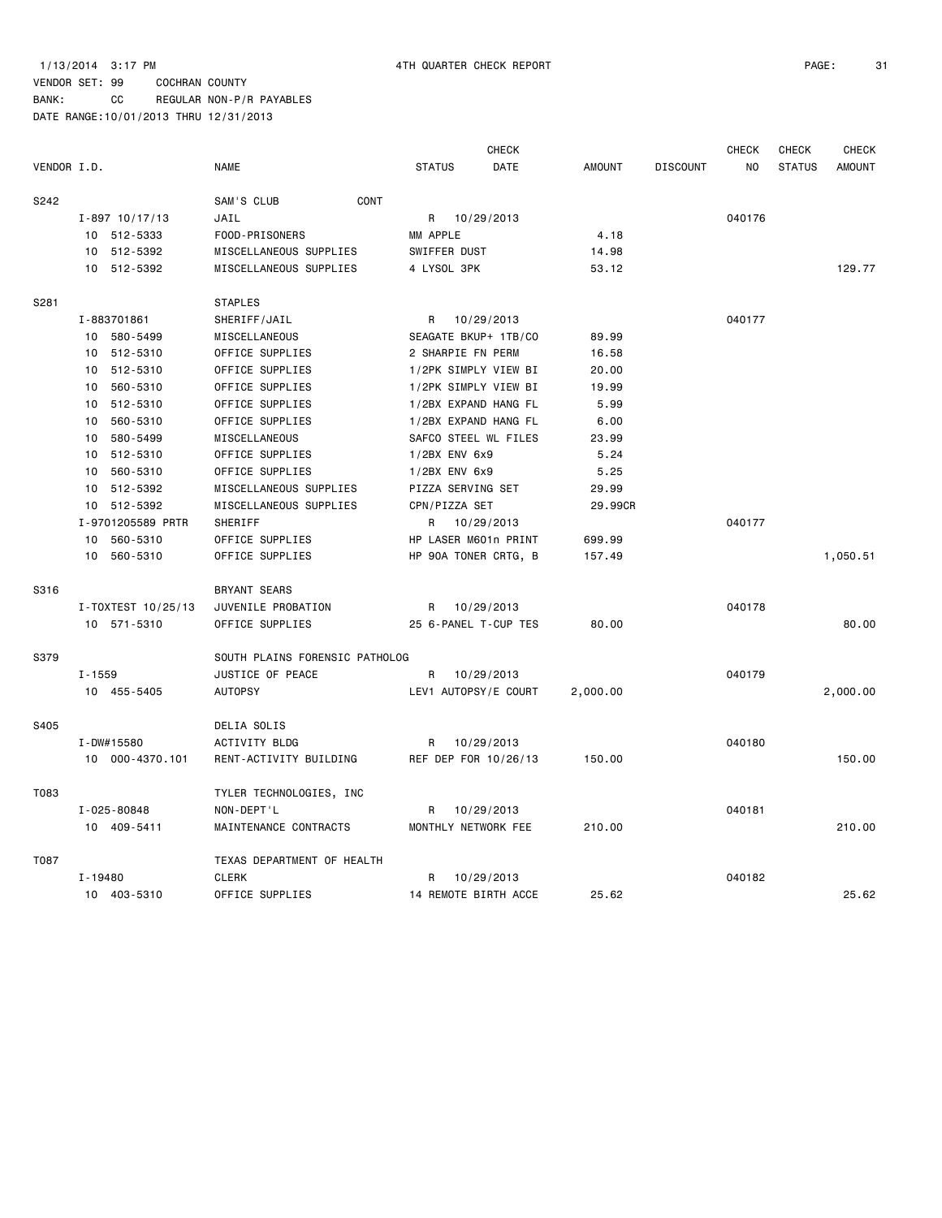BANK: CC REGULAR NON-P/R PAYABLES

|             |                    |                                |                      | <b>CHECK</b>         |               |                 | <b>CHECK</b> | <b>CHECK</b>  | <b>CHECK</b>  |
|-------------|--------------------|--------------------------------|----------------------|----------------------|---------------|-----------------|--------------|---------------|---------------|
| VENDOR I.D. |                    | <b>NAME</b>                    | <b>STATUS</b>        | DATE                 | <b>AMOUNT</b> | <b>DISCOUNT</b> | NO.          | <b>STATUS</b> | <b>AMOUNT</b> |
| S242        |                    | CONT<br>SAM'S CLUB             |                      |                      |               |                 |              |               |               |
|             | $I - 897$ 10/17/13 | JAIL                           | R 10/29/2013         |                      |               |                 | 040176       |               |               |
|             | 10 512-5333        | FOOD-PRISONERS                 | MM APPLE             |                      | 4.18          |                 |              |               |               |
|             | 10 512-5392        | MISCELLANEOUS SUPPLIES         | SWIFFER DUST         |                      | 14.98         |                 |              |               |               |
|             | 10 512-5392        | MISCELLANEOUS SUPPLIES         | 4 LYSOL 3PK          |                      | 53.12         |                 |              |               | 129.77        |
| S281        |                    | <b>STAPLES</b>                 |                      |                      |               |                 |              |               |               |
|             | I-883701861        | SHERIFF/JAIL                   | R                    | 10/29/2013           |               |                 | 040177       |               |               |
|             | 10 580-5499        | MISCELLANEOUS                  | SEAGATE BKUP+ 1TB/CO |                      | 89.99         |                 |              |               |               |
|             | 10 512-5310        | OFFICE SUPPLIES                | 2 SHARPIE FN PERM    |                      | 16.58         |                 |              |               |               |
|             | 10 512-5310        | OFFICE SUPPLIES                | 1/2PK SIMPLY VIEW BI |                      | 20.00         |                 |              |               |               |
|             | 10<br>560-5310     | OFFICE SUPPLIES                | 1/2PK SIMPLY VIEW BI |                      | 19.99         |                 |              |               |               |
|             | 512-5310<br>10     | OFFICE SUPPLIES                | 1/2BX EXPAND HANG FL |                      | 5.99          |                 |              |               |               |
|             | 560-5310<br>10     | OFFICE SUPPLIES                | 1/2BX EXPAND HANG FL |                      | 6.00          |                 |              |               |               |
|             | 580-5499<br>10     | MISCELLANEOUS                  | SAFCO STEEL WL FILES |                      | 23.99         |                 |              |               |               |
|             | 10 512-5310        | OFFICE SUPPLIES                | 1/2BX ENV 6x9        |                      | 5.24          |                 |              |               |               |
|             | 10<br>560-5310     | OFFICE SUPPLIES                | $1/2BX$ ENV $6x9$    |                      | 5.25          |                 |              |               |               |
|             | 512-5392<br>10     | MISCELLANEOUS SUPPLIES         | PIZZA SERVING SET    |                      | 29.99         |                 |              |               |               |
|             | 10 512-5392        | MISCELLANEOUS SUPPLIES         | CPN/PIZZA SET        |                      | 29.99CR       |                 |              |               |               |
|             | I-9701205589 PRTR  | <b>SHERIFF</b>                 | R 10/29/2013         |                      |               |                 | 040177       |               |               |
|             | 560-5310<br>10     | OFFICE SUPPLIES                | HP LASER M601n PRINT |                      | 699.99        |                 |              |               |               |
|             | 10 560-5310        | OFFICE SUPPLIES                | HP 90A TONER CRTG, B |                      | 157.49        |                 |              |               | 1,050.51      |
| S316        |                    | <b>BRYANT SEARS</b>            |                      |                      |               |                 |              |               |               |
|             | I-TOXTEST 10/25/13 | JUVENILE PROBATION             | R                    | 10/29/2013           |               |                 | 040178       |               |               |
|             | 10 571-5310        | OFFICE SUPPLIES                | 25 6-PANEL T-CUP TES |                      | 80.00         |                 |              |               | 80.00         |
| S379        |                    | SOUTH PLAINS FORENSIC PATHOLOG |                      |                      |               |                 |              |               |               |
|             | $I - 1559$         | JUSTICE OF PEACE               | R                    | 10/29/2013           |               |                 | 040179       |               |               |
|             | 10 455-5405        | <b>AUTOPSY</b>                 |                      | LEV1 AUTOPSY/E COURT | 2,000.00      |                 |              |               | 2,000.00      |
| S405        |                    | DELIA SOLIS                    |                      |                      |               |                 |              |               |               |
|             | I-DW#15580         | ACTIVITY BLDG                  | R                    | 10/29/2013           |               |                 | 040180       |               |               |
|             | 10 000-4370.101    | RENT-ACTIVITY BUILDING         | REF DEP FOR 10/26/13 |                      | 150.00        |                 |              |               | 150.00        |
| T083        |                    | TYLER TECHNOLOGIES, INC        |                      |                      |               |                 |              |               |               |
|             | I-025-80848        | NON-DEPT'L                     | R                    | 10/29/2013           |               |                 | 040181       |               |               |
|             | 10 409-5411        | MAINTENANCE CONTRACTS          | MONTHLY NETWORK FEE  |                      | 210.00        |                 |              |               | 210.00        |
| T087        |                    | TEXAS DEPARTMENT OF HEALTH     |                      |                      |               |                 |              |               |               |
|             | $I - 19480$        | <b>CLERK</b>                   | R                    | 10/29/2013           |               |                 | 040182       |               |               |
|             | 10 403-5310        | OFFICE SUPPLIES                |                      | 14 REMOTE BIRTH ACCE | 25.62         |                 |              |               | 25.62         |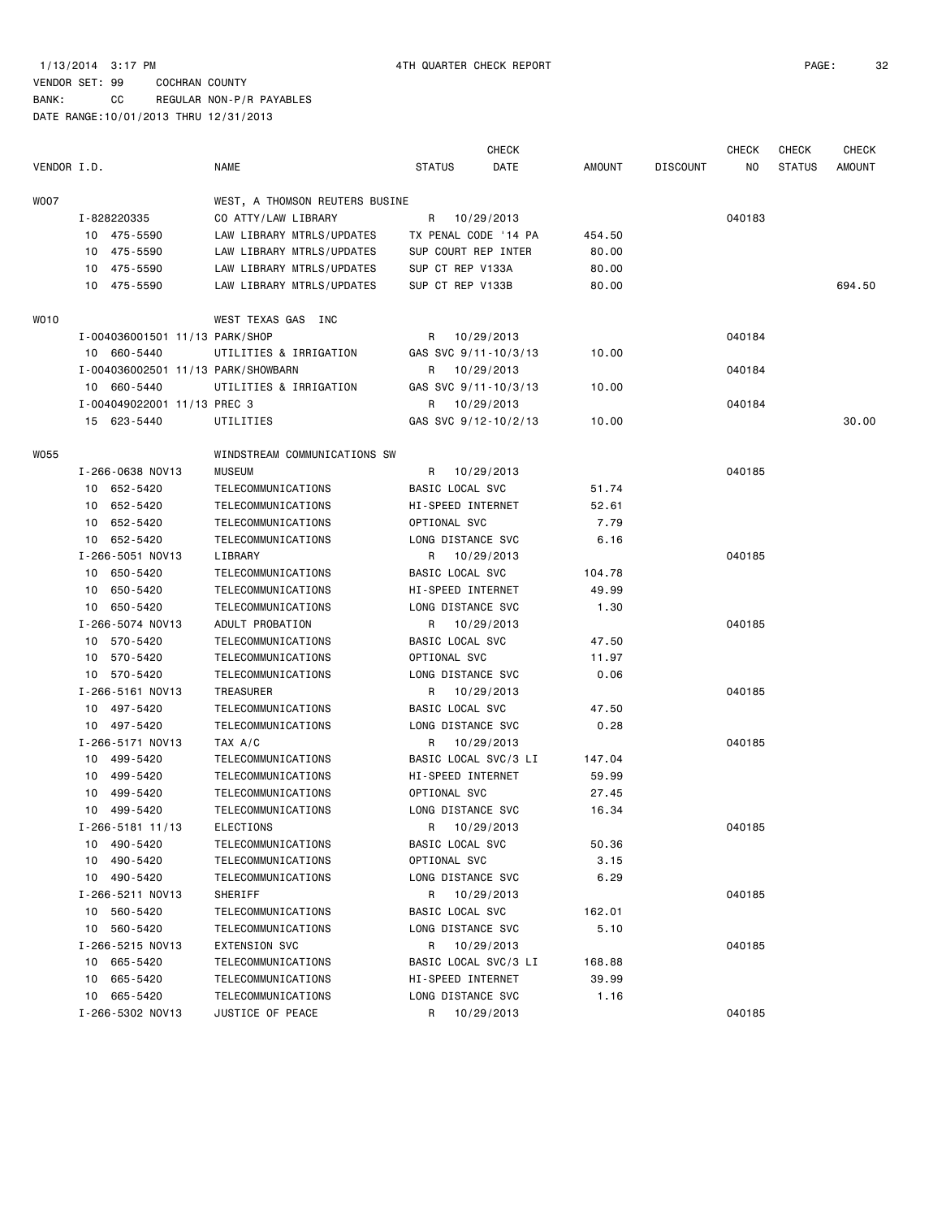# VENDOR SET: 99 COCHRAN COUNTY BANK: CC REGULAR NON-P/R PAYABLES

|             |                                    |                                |                      | <b>CHECK</b> |               |                 | <b>CHECK</b> | <b>CHECK</b>  | <b>CHECK</b>  |
|-------------|------------------------------------|--------------------------------|----------------------|--------------|---------------|-----------------|--------------|---------------|---------------|
| VENDOR I.D. |                                    | <b>NAME</b>                    | <b>STATUS</b>        | DATE         | <b>AMOUNT</b> | <b>DISCOUNT</b> | NO.          | <b>STATUS</b> | <b>AMOUNT</b> |
| WOO7        |                                    | WEST, A THOMSON REUTERS BUSINE |                      |              |               |                 |              |               |               |
|             | I-828220335                        | CO ATTY/LAW LIBRARY            | R                    | 10/29/2013   |               |                 | 040183       |               |               |
|             | 10 475-5590                        | LAW LIBRARY MTRLS/UPDATES      | TX PENAL CODE '14 PA |              | 454.50        |                 |              |               |               |
|             | 10 475-5590                        | LAW LIBRARY MTRLS/UPDATES      | SUP COURT REP INTER  |              | 80.00         |                 |              |               |               |
|             | 475-5590<br>10                     | LAW LIBRARY MTRLS/UPDATES      | SUP CT REP V133A     |              | 80.00         |                 |              |               |               |
|             | 10 475-5590                        | LAW LIBRARY MTRLS/UPDATES      | SUP CT REP V133B     |              | 80.00         |                 |              |               | 694.50        |
| WO10        |                                    | WEST TEXAS GAS INC             |                      |              |               |                 |              |               |               |
|             | I-004036001501 11/13 PARK/SHOP     |                                | R                    | 10/29/2013   |               |                 | 040184       |               |               |
|             | 10 660-5440                        | UTILITIES & IRRIGATION         | GAS SVC 9/11-10/3/13 |              | 10.00         |                 |              |               |               |
|             | I-004036002501 11/13 PARK/SHOWBARN |                                | R                    | 10/29/2013   |               |                 | 040184       |               |               |
|             | 10 660-5440                        | UTILITIES & IRRIGATION         | GAS SVC 9/11-10/3/13 |              | 10.00         |                 |              |               |               |
|             | I-004049022001 11/13 PREC 3        |                                | R                    | 10/29/2013   |               |                 | 040184       |               |               |
|             | 15 623-5440                        | UTILITIES                      | GAS SVC 9/12-10/2/13 |              | 10.00         |                 |              |               | 30.00         |
| W055        |                                    | WINDSTREAM COMMUNICATIONS SW   |                      |              |               |                 |              |               |               |
|             | I-266-0638 NOV13                   | <b>MUSEUM</b>                  | R                    | 10/29/2013   |               |                 | 040185       |               |               |
|             | 10 652-5420                        | TELECOMMUNICATIONS             | BASIC LOCAL SVC      |              | 51.74         |                 |              |               |               |
|             | 652-5420<br>10                     | TELECOMMUNICATIONS             | HI-SPEED INTERNET    |              | 52.61         |                 |              |               |               |
|             | 652-5420<br>10                     | TELECOMMUNICATIONS             | OPTIONAL SVC         |              | 7.79          |                 |              |               |               |
|             | 10 652-5420                        | TELECOMMUNICATIONS             | LONG DISTANCE SVC    |              | 6.16          |                 |              |               |               |
|             | I-266-5051 NOV13                   | LIBRARY                        | R                    | 10/29/2013   |               |                 | 040185       |               |               |
|             | 650-5420<br>10                     | TELECOMMUNICATIONS             | BASIC LOCAL SVC      |              | 104.78        |                 |              |               |               |
|             | 650-5420<br>10                     | TELECOMMUNICATIONS             | HI-SPEED INTERNET    |              | 49.99         |                 |              |               |               |
|             | 10 650-5420                        | TELECOMMUNICATIONS             | LONG DISTANCE SVC    |              | 1.30          |                 |              |               |               |
|             | I-266-5074 NOV13                   | ADULT PROBATION                | R                    | 10/29/2013   |               |                 | 040185       |               |               |
|             | 10 570-5420                        | TELECOMMUNICATIONS             | BASIC LOCAL SVC      |              | 47.50         |                 |              |               |               |
|             | 570-5420<br>10                     | TELECOMMUNICATIONS             | OPTIONAL SVC         |              | 11.97         |                 |              |               |               |
|             | 10 570-5420                        | TELECOMMUNICATIONS             | LONG DISTANCE SVC    |              | 0.06          |                 |              |               |               |
|             | I-266-5161 NOV13                   | TREASURER                      | R                    | 10/29/2013   |               |                 | 040185       |               |               |
|             | 10 497-5420                        | TELECOMMUNICATIONS             | BASIC LOCAL SVC      |              | 47.50         |                 |              |               |               |
|             | 10 497-5420                        | TELECOMMUNICATIONS             | LONG DISTANCE SVC    |              | 0.28          |                 |              |               |               |
|             | I-266-5171 NOV13                   | TAX A/C                        | R                    | 10/29/2013   |               |                 | 040185       |               |               |
|             | 10 499-5420                        | TELECOMMUNICATIONS             | BASIC LOCAL SVC/3 LI |              | 147.04        |                 |              |               |               |
|             | 499-5420<br>10                     | TELECOMMUNICATIONS             | HI-SPEED INTERNET    |              | 59.99         |                 |              |               |               |
|             | 499-5420<br>10                     | TELECOMMUNICATIONS             | OPTIONAL SVC         |              | 27.45         |                 |              |               |               |
|             | 10 499-5420                        | TELECOMMUNICATIONS             | LONG DISTANCE SVC    |              | 16.34         |                 |              |               |               |
|             | $I - 266 - 5181$ 11/13             | ELECTIONS                      | R 10/29/2013         |              |               |                 | 040185       |               |               |
|             | 10 490-5420                        | TELECOMMUNICATIONS             | BASIC LOCAL SVC      |              | 50.36         |                 |              |               |               |
|             | 10 490-5420                        | TELECOMMUNICATIONS             | OPTIONAL SVC         |              | 3.15          |                 |              |               |               |
|             | 10 490-5420                        | TELECOMMUNICATIONS             | LONG DISTANCE SVC    |              | 6.29          |                 |              |               |               |
|             | I-266-5211 NOV13                   | SHERIFF                        | R 10/29/2013         |              |               |                 | 040185       |               |               |
|             | 10 560-5420                        | TELECOMMUNICATIONS             | BASIC LOCAL SVC      |              | 162.01        |                 |              |               |               |
|             | 10 560-5420                        | TELECOMMUNICATIONS             | LONG DISTANCE SVC    |              | 5.10          |                 |              |               |               |
|             | I-266-5215 NOV13                   | <b>EXTENSION SVC</b>           | R 10/29/2013         |              |               |                 | 040185       |               |               |
|             | 10 665-5420                        | TELECOMMUNICATIONS             | BASIC LOCAL SVC/3 LI |              | 168.88        |                 |              |               |               |
|             | 10 665-5420                        | TELECOMMUNICATIONS             | HI-SPEED INTERNET    |              | 39.99         |                 |              |               |               |
|             | 10 665-5420                        | TELECOMMUNICATIONS             | LONG DISTANCE SVC    |              | 1.16          |                 |              |               |               |
|             | I-266-5302 NOV13                   | JUSTICE OF PEACE               | R                    | 10/29/2013   |               |                 | 040185       |               |               |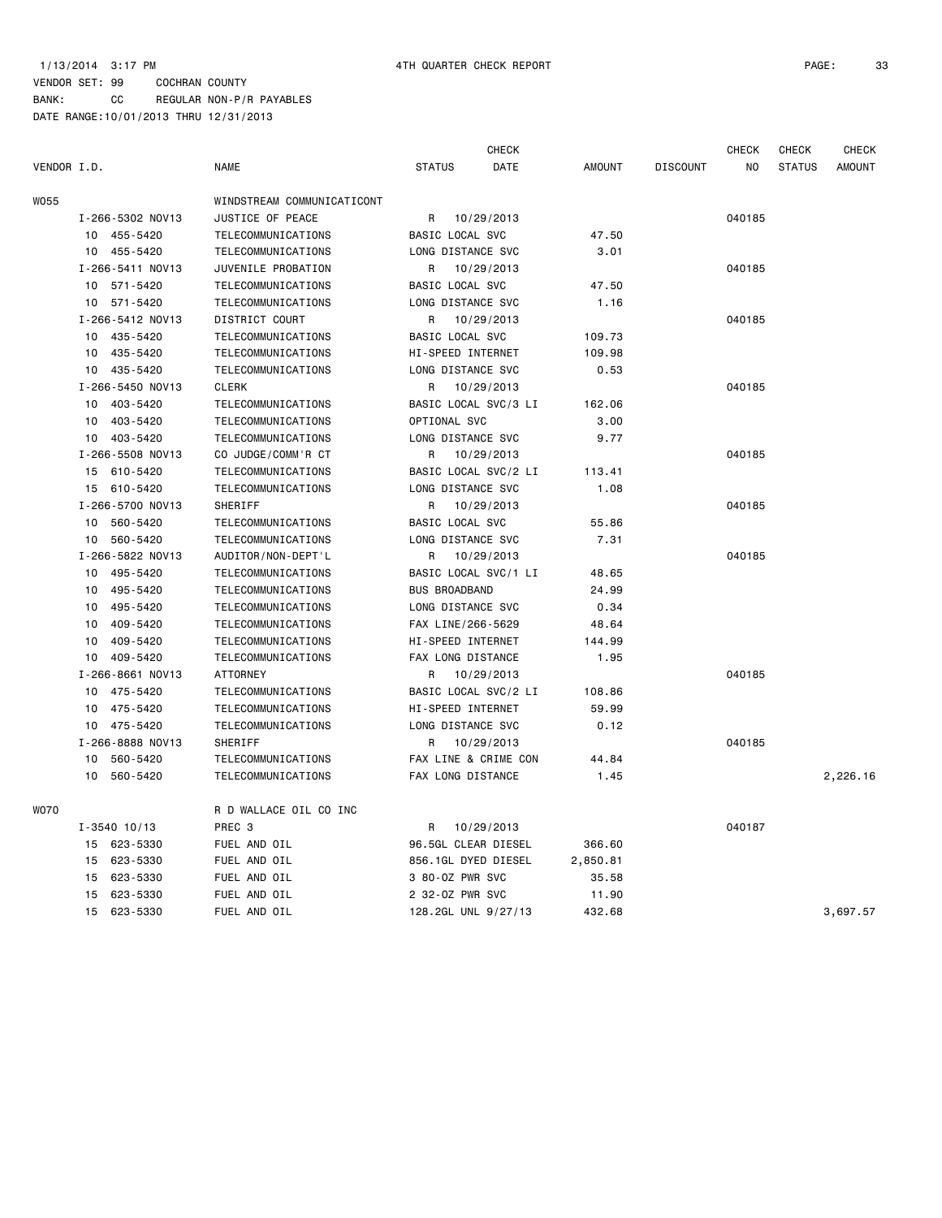|             |                             |                            |                          | <b>CHECK</b>         |               |                 | <b>CHECK</b> | <b>CHECK</b>  | <b>CHECK</b>  |
|-------------|-----------------------------|----------------------------|--------------------------|----------------------|---------------|-----------------|--------------|---------------|---------------|
| VENDOR I.D. |                             | <b>NAME</b>                | <b>STATUS</b>            | DATE                 | <b>AMOUNT</b> | <b>DISCOUNT</b> | NO           | <b>STATUS</b> | <b>AMOUNT</b> |
| W055        |                             | WINDSTREAM COMMUNICATICONT |                          |                      |               |                 |              |               |               |
|             | I-266-5302 NOV13            | JUSTICE OF PEACE           | R                        | 10/29/2013           |               |                 | 040185       |               |               |
|             | 10<br>455-5420              | TELECOMMUNICATIONS         | BASIC LOCAL SVC          |                      | 47.50         |                 |              |               |               |
|             | 10 455-5420                 | TELECOMMUNICATIONS         | LONG DISTANCE SVC        |                      | 3.01          |                 |              |               |               |
|             | I-266-5411 NOV13            | JUVENILE PROBATION         | R                        | 10/29/2013           |               |                 | 040185       |               |               |
|             | 571-5420<br>10              | TELECOMMUNICATIONS         | BASIC LOCAL SVC          |                      | 47.50         |                 |              |               |               |
|             | 10 571-5420                 | TELECOMMUNICATIONS         | LONG DISTANCE SVC        |                      | 1.16          |                 |              |               |               |
|             | I-266-5412 NOV13            | DISTRICT COURT             | R                        | 10/29/2013           |               |                 | 040185       |               |               |
|             | 10 435-5420                 | TELECOMMUNICATIONS         | BASIC LOCAL SVC          |                      | 109.73        |                 |              |               |               |
|             | 10 435-5420                 | TELECOMMUNICATIONS         | HI-SPEED INTERNET        |                      | 109.98        |                 |              |               |               |
|             | 435-5420<br>10              | TELECOMMUNICATIONS         | LONG DISTANCE SVC        |                      | 0.53          |                 |              |               |               |
|             | I-266-5450 NOV13            | <b>CLERK</b>               | R                        | 10/29/2013           |               |                 | 040185       |               |               |
|             | 10<br>403-5420              | TELECOMMUNICATIONS         |                          | BASIC LOCAL SVC/3 LI | 162.06        |                 |              |               |               |
|             | 403-5420<br>10              | TELECOMMUNICATIONS         | OPTIONAL SVC             |                      | 3.00          |                 |              |               |               |
|             | 10<br>403-5420              | TELECOMMUNICATIONS         | LONG DISTANCE SVC        |                      | 9.77          |                 |              |               |               |
|             | I-266-5508 NOV13            | CO JUDGE/COMM'R CT         | R                        | 10/29/2013           |               |                 | 040185       |               |               |
|             | 15 610-5420                 | TELECOMMUNICATIONS         |                          | BASIC LOCAL SVC/2 LI | 113.41        |                 |              |               |               |
|             | 15 610-5420                 | TELECOMMUNICATIONS         | LONG DISTANCE SVC        |                      | 1.08          |                 |              |               |               |
|             | I-266-5700 NOV13            | SHERIFF                    | R                        | 10/29/2013           |               |                 | 040185       |               |               |
|             | 560-5420<br>10              | TELECOMMUNICATIONS         | BASIC LOCAL SVC          |                      | 55.86         |                 |              |               |               |
|             | 560-5420<br>10              | TELECOMMUNICATIONS         | LONG DISTANCE SVC        |                      | 7.31          |                 |              |               |               |
|             | I-266-5822 NOV13            | AUDITOR/NON-DEPT'L         | R                        | 10/29/2013           |               |                 | 040185       |               |               |
|             | 495-5420<br>10 <sub>1</sub> | TELECOMMUNICATIONS         |                          | BASIC LOCAL SVC/1 LI | 48.65         |                 |              |               |               |
|             | 10<br>495-5420              | TELECOMMUNICATIONS         | <b>BUS BROADBAND</b>     |                      | 24.99         |                 |              |               |               |
|             | 495-5420<br>10              | TELECOMMUNICATIONS         | LONG DISTANCE SVC        |                      | 0.34          |                 |              |               |               |
|             | 409-5420<br>10              | TELECOMMUNICATIONS         | FAX LINE/266-5629        |                      | 48.64         |                 |              |               |               |
|             | 409-5420<br>10              | TELECOMMUNICATIONS         | HI-SPEED INTERNET        |                      | 144.99        |                 |              |               |               |
|             | 409-5420<br>10              | TELECOMMUNICATIONS         | FAX LONG DISTANCE        |                      | 1.95          |                 |              |               |               |
|             | I-266-8661 NOV13            | <b>ATTORNEY</b>            | R                        | 10/29/2013           |               |                 | 040185       |               |               |
|             | 10 475-5420                 | TELECOMMUNICATIONS         |                          | BASIC LOCAL SVC/2 LI | 108.86        |                 |              |               |               |
|             | 10<br>475-5420              | TELECOMMUNICATIONS         | HI-SPEED INTERNET        |                      | 59.99         |                 |              |               |               |
|             | 475-5420<br>10              | TELECOMMUNICATIONS         | LONG DISTANCE SVC        |                      | 0.12          |                 |              |               |               |
|             | I-266-8888 NOV13            | SHERIFF                    | R                        | 10/29/2013           |               |                 | 040185       |               |               |
|             | 10<br>560-5420              | TELECOMMUNICATIONS         |                          | FAX LINE & CRIME CON | 44.84         |                 |              |               |               |
|             | 10<br>560-5420              | TELECOMMUNICATIONS         | <b>FAX LONG DISTANCE</b> |                      | 1.45          |                 |              |               | 2,226.16      |
| WO70        |                             | R D WALLACE OIL CO INC     |                          |                      |               |                 |              |               |               |
|             | $I - 3540$ 10/13            | PREC 3                     | R                        | 10/29/2013           |               |                 | 040187       |               |               |
|             | 623-5330<br>15              | FUEL AND OIL               | 96.5GL CLEAR DIESEL      |                      | 366.60        |                 |              |               |               |
|             | 623-5330<br>15              | FUEL AND OIL               | 856.1GL DYED DIESEL      |                      | 2,850.81      |                 |              |               |               |
|             | 623-5330<br>15              | FUEL AND OIL               | 3 80-0Z PWR SVC          |                      | 35.58         |                 |              |               |               |
|             | 623-5330<br>15              | FUEL AND OIL               | 2 32-0Z PWR SVC          |                      | 11.90         |                 |              |               |               |
|             | 15<br>623-5330              | FUEL AND OIL               | 128.2GL UNL 9/27/13      |                      | 432.68        |                 |              |               | 3,697.57      |
|             |                             |                            |                          |                      |               |                 |              |               |               |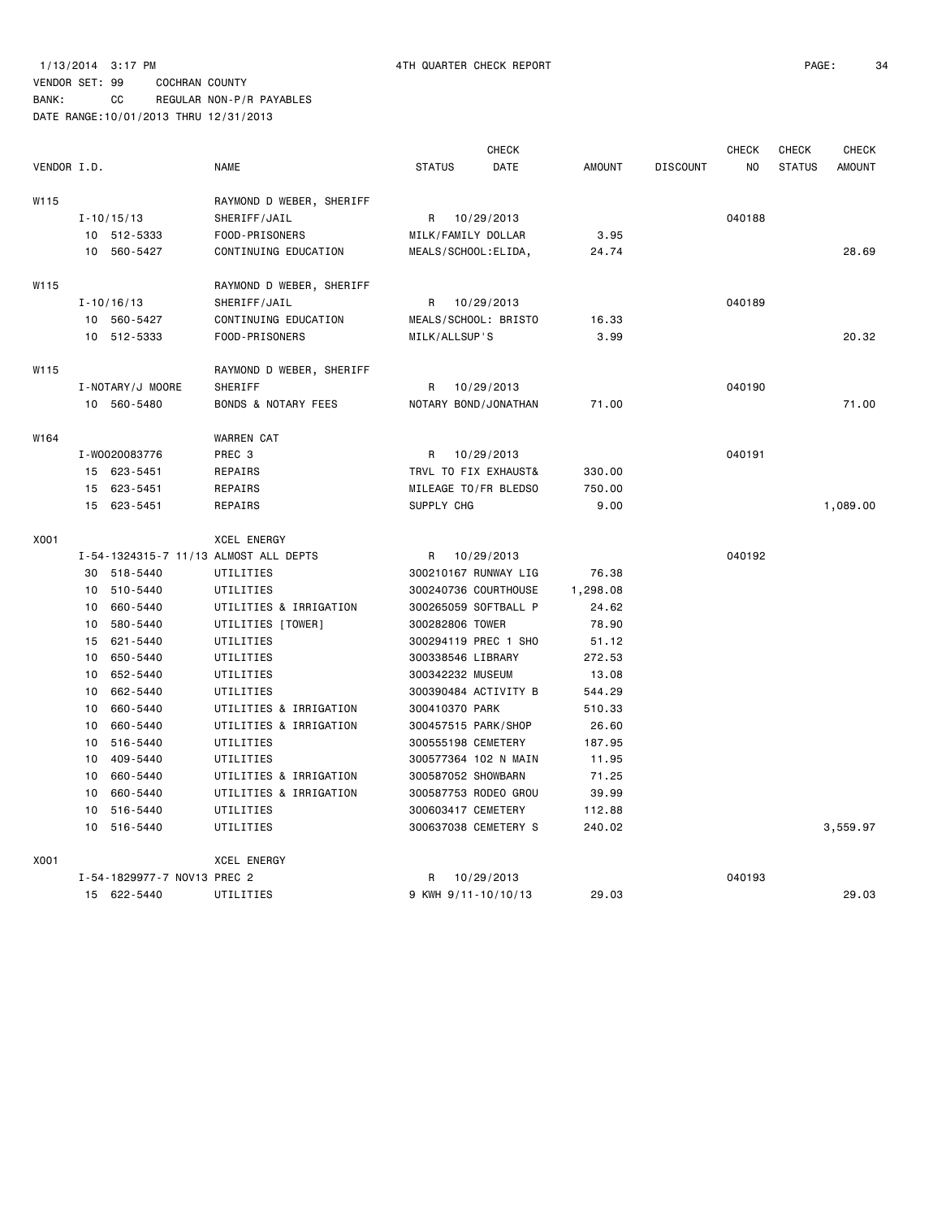### VENDOR SET: 99 COCHRAN COUNTY BANK: CC REGULAR NON-P/R PAYABLES

|             |    |                             |                                       |                      | <b>CHECK</b> |          |                 | <b>CHECK</b> | <b>CHECK</b>  | <b>CHECK</b>  |
|-------------|----|-----------------------------|---------------------------------------|----------------------|--------------|----------|-----------------|--------------|---------------|---------------|
| VENDOR I.D. |    |                             | <b>NAME</b>                           | <b>STATUS</b>        | <b>DATE</b>  | AMOUNT   | <b>DISCOUNT</b> | NO.          | <b>STATUS</b> | <b>AMOUNT</b> |
| W115        |    |                             | RAYMOND D WEBER, SHERIFF              |                      |              |          |                 |              |               |               |
|             |    | $I - 10/15/13$              | SHERIFF/JAIL                          | R 10/29/2013         |              |          |                 | 040188       |               |               |
|             |    | 10 512-5333                 | FOOD-PRISONERS                        | MILK/FAMILY DOLLAR   |              | 3.95     |                 |              |               |               |
|             |    | 10 560-5427                 | CONTINUING EDUCATION                  | MEALS/SCHOOL: ELIDA, |              | 24.74    |                 |              |               | 28.69         |
| W115        |    |                             | RAYMOND D WEBER, SHERIFF              |                      |              |          |                 |              |               |               |
|             |    | $I - 10/16/13$              | SHERIFF/JAIL                          | R                    | 10/29/2013   |          |                 | 040189       |               |               |
|             |    | 10 560-5427                 | CONTINUING EDUCATION                  | MEALS/SCHOOL: BRISTO |              | 16.33    |                 |              |               |               |
|             |    | 10 512-5333                 | FOOD-PRISONERS                        | MILK/ALLSUP'S        |              | 3.99     |                 |              |               | 20.32         |
| W115        |    |                             | RAYMOND D WEBER, SHERIFF              |                      |              |          |                 |              |               |               |
|             |    | I-NOTARY/J MOORE            | SHERIFF                               | R                    | 10/29/2013   |          |                 | 040190       |               |               |
|             |    | 10 560-5480                 | <b>BONDS &amp; NOTARY FEES</b>        | NOTARY BOND/JONATHAN |              | 71.00    |                 |              |               | 71.00         |
| W164        |    |                             | <b>WARREN CAT</b>                     |                      |              |          |                 |              |               |               |
|             |    | I-W0020083776               | PREC 3                                | R                    | 10/29/2013   |          |                 | 040191       |               |               |
|             |    | 15 623-5451                 | REPAIRS                               | TRVL TO FIX EXHAUST& |              | 330.00   |                 |              |               |               |
|             |    | 15 623-5451                 | REPAIRS                               | MILEAGE TO/FR BLEDSO |              | 750.00   |                 |              |               |               |
|             |    | 15 623-5451                 | REPAIRS                               | SUPPLY CHG           |              | 9.00     |                 |              |               | 1,089.00      |
|             |    |                             |                                       |                      |              |          |                 |              |               |               |
| X001        |    |                             | <b>XCEL ENERGY</b>                    |                      |              |          |                 |              |               |               |
|             |    |                             | I-54-1324315-7 11/13 ALMOST ALL DEPTS | R                    | 10/29/2013   |          |                 | 040192       |               |               |
|             |    | 30 518-5440                 | UTILITIES                             | 300210167 RUNWAY LIG |              | 76.38    |                 |              |               |               |
|             | 10 | 510-5440                    | UTILITIES                             | 300240736 COURTHOUSE |              | 1,298.08 |                 |              |               |               |
|             | 10 | 660-5440                    | UTILITIES & IRRIGATION                | 300265059 SOFTBALL P |              | 24.62    |                 |              |               |               |
|             | 10 | 580-5440                    | UTILITIES [TOWER]                     | 300282806 TOWER      |              | 78.90    |                 |              |               |               |
|             | 15 | 621-5440                    | UTILITIES                             | 300294119 PREC 1 SHO |              | 51.12    |                 |              |               |               |
|             | 10 | 650-5440                    | UTILITIES                             | 300338546 LIBRARY    |              | 272.53   |                 |              |               |               |
|             | 10 | 652-5440                    | UTILITIES                             | 300342232 MUSEUM     |              | 13.08    |                 |              |               |               |
|             | 10 | 662-5440                    | UTILITIES                             | 300390484 ACTIVITY B |              | 544.29   |                 |              |               |               |
|             | 10 | 660-5440                    | UTILITIES & IRRIGATION                | 300410370 PARK       |              | 510.33   |                 |              |               |               |
|             | 10 | 660-5440                    | UTILITIES & IRRIGATION                | 300457515 PARK/SHOP  |              | 26.60    |                 |              |               |               |
|             | 10 | 516-5440                    | UTILITIES                             | 300555198 CEMETERY   |              | 187.95   |                 |              |               |               |
|             | 10 | 409-5440                    | UTILITIES                             | 300577364 102 N MAIN |              | 11.95    |                 |              |               |               |
|             | 10 | 660-5440                    | UTILITIES & IRRIGATION                | 300587052 SHOWBARN   |              | 71.25    |                 |              |               |               |
|             | 10 | 660-5440                    | UTILITIES & IRRIGATION                | 300587753 RODEO GROU |              | 39.99    |                 |              |               |               |
|             | 10 | 516-5440                    | UTILITIES                             | 300603417 CEMETERY   |              | 112.88   |                 |              |               |               |
|             |    | 10 516-5440                 | UTILITIES                             | 300637038 CEMETERY S |              | 240.02   |                 |              |               | 3,559.97      |
| X001        |    |                             | <b>XCEL ENERGY</b>                    |                      |              |          |                 |              |               |               |
|             |    | I-54-1829977-7 NOV13 PREC 2 |                                       | R                    | 10/29/2013   |          |                 | 040193       |               |               |
|             |    | 15 622-5440                 | UTILITIES                             | 9 KWH 9/11-10/10/13  |              | 29.03    |                 |              |               | 29.03         |
|             |    |                             |                                       |                      |              |          |                 |              |               |               |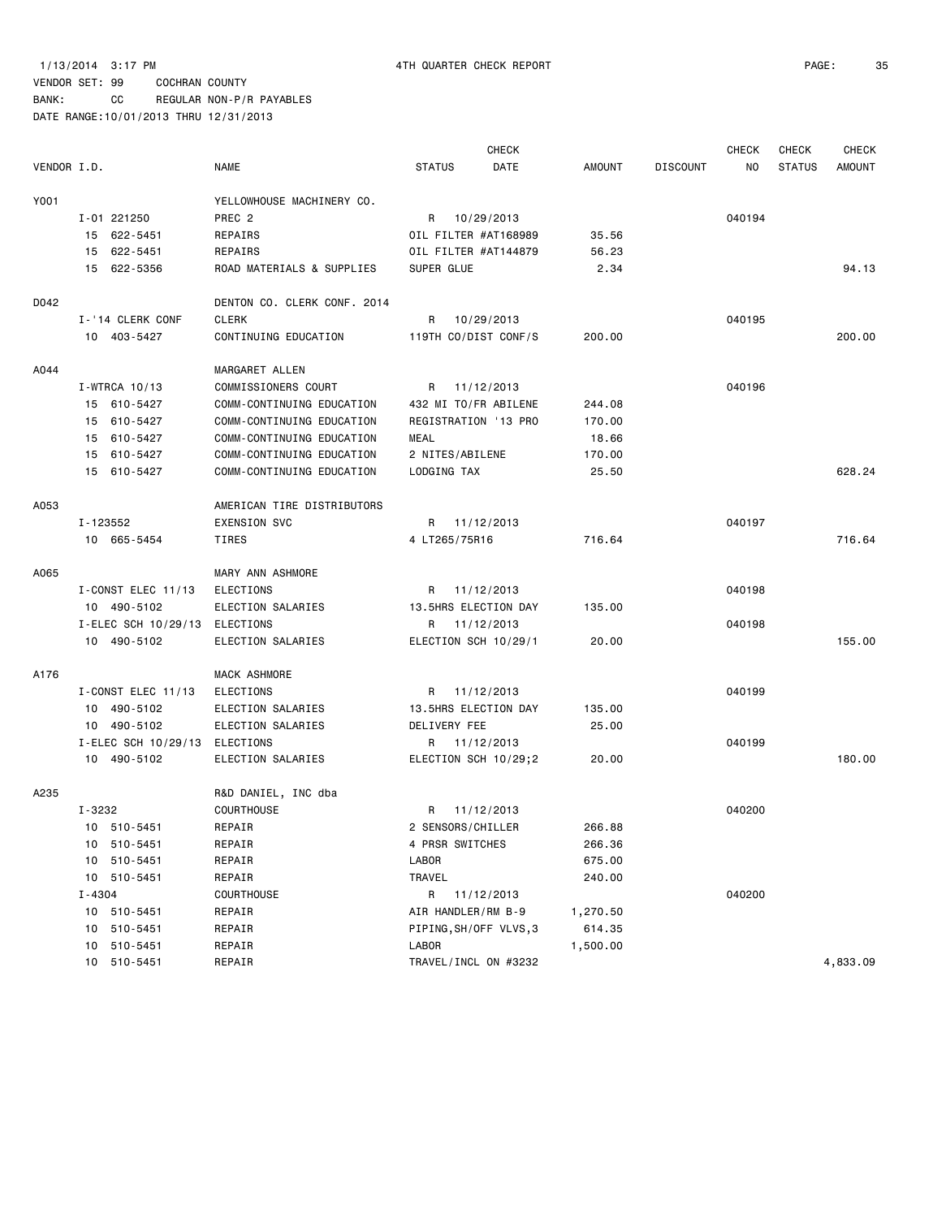### 1/13/2014 3:17 PM 4TH QUARTER CHECK REPORT PAGE: 35

### VENDOR SET: 99 COCHRAN COUNTY BANK: CC REGULAR NON-P/R PAYABLES

|             |                               |                             |                        | <b>CHECK</b> |               |                 | <b>CHECK</b>   | <b>CHECK</b>  | CHECK         |
|-------------|-------------------------------|-----------------------------|------------------------|--------------|---------------|-----------------|----------------|---------------|---------------|
| VENDOR I.D. |                               | <b>NAME</b>                 | <b>STATUS</b>          | DATE         | <b>AMOUNT</b> | <b>DISCOUNT</b> | N <sub>O</sub> | <b>STATUS</b> | <b>AMOUNT</b> |
| Y001        |                               | YELLOWHOUSE MACHINERY CO.   |                        |              |               |                 |                |               |               |
|             | I-01 221250                   | PREC <sub>2</sub>           | R                      | 10/29/2013   |               |                 | 040194         |               |               |
|             | 15 622-5451                   | REPAIRS                     | OIL FILTER #AT168989   |              | 35.56         |                 |                |               |               |
|             | 15 622-5451                   | REPAIRS                     | OIL FILTER #AT144879   |              | 56.23         |                 |                |               |               |
|             | 15 622-5356                   | ROAD MATERIALS & SUPPLIES   | SUPER GLUE             |              | 2.34          |                 |                |               | 94.13         |
| D042        |                               | DENTON CO. CLERK CONF. 2014 |                        |              |               |                 |                |               |               |
|             | I-'14 CLERK CONF              | <b>CLERK</b>                | R.                     | 10/29/2013   |               |                 | 040195         |               |               |
|             | 10 403-5427                   | CONTINUING EDUCATION        | 119TH CO/DIST CONF/S   |              | 200.00        |                 |                |               | 200.00        |
| A044        |                               | MARGARET ALLEN              |                        |              |               |                 |                |               |               |
|             | I-WTRCA 10/13                 | COMMISSIONERS COURT         | R 11/12/2013           |              |               |                 | 040196         |               |               |
|             | 15 610-5427                   | COMM-CONTINUING EDUCATION   | 432 MI TO/FR ABILENE   |              | 244.08        |                 |                |               |               |
|             | 15 610-5427                   | COMM-CONTINUING EDUCATION   | REGISTRATION '13 PRO   |              | 170.00        |                 |                |               |               |
|             | 15 610-5427                   | COMM-CONTINUING EDUCATION   | MEAL                   |              | 18.66         |                 |                |               |               |
|             | 15 610-5427                   | COMM-CONTINUING EDUCATION   | 2 NITES/ABILENE        |              | 170.00        |                 |                |               |               |
|             | 15 610-5427                   | COMM-CONTINUING EDUCATION   | LODGING TAX            |              | 25.50         |                 |                |               | 628.24        |
| A053        |                               | AMERICAN TIRE DISTRIBUTORS  |                        |              |               |                 |                |               |               |
|             | I-123552                      | <b>EXENSION SVC</b>         | R 11/12/2013           |              |               |                 | 040197         |               |               |
|             | 10 665-5454                   | TIRES                       | 4 LT265/75R16          |              | 716.64        |                 |                |               | 716.64        |
| A065        |                               | <b>MARY ANN ASHMORE</b>     |                        |              |               |                 |                |               |               |
|             | I-CONST ELEC 11/13            | ELECTIONS                   | R 11/12/2013           |              |               |                 | 040198         |               |               |
|             | 10 490-5102                   | ELECTION SALARIES           | 13.5HRS ELECTION DAY   |              | 135.00        |                 |                |               |               |
|             | I-ELEC SCH 10/29/13 ELECTIONS |                             | R 11/12/2013           |              |               |                 | 040198         |               |               |
|             | 10 490-5102                   | ELECTION SALARIES           | ELECTION SCH 10/29/1   |              | 20.00         |                 |                |               | 155.00        |
| A176        |                               | MACK ASHMORE                |                        |              |               |                 |                |               |               |
|             | I-CONST ELEC 11/13            | <b>ELECTIONS</b>            | R 11/12/2013           |              |               |                 | 040199         |               |               |
|             | 10 490-5102                   | ELECTION SALARIES           | 13.5HRS ELECTION DAY   |              | 135.00        |                 |                |               |               |
|             | 10 490-5102                   | ELECTION SALARIES           | DELIVERY FEE           |              | 25.00         |                 |                |               |               |
|             | I-ELEC SCH 10/29/13 ELECTIONS |                             | R 11/12/2013           |              |               |                 | 040199         |               |               |
|             | 10 490-5102                   | ELECTION SALARIES           | ELECTION SCH 10/29;2   |              | 20.00         |                 |                |               | 180.00        |
| A235        |                               | R&D DANIEL, INC dba         |                        |              |               |                 |                |               |               |
|             | I-3232                        | COURTHOUSE                  | R                      | 11/12/2013   |               |                 | 040200         |               |               |
|             | 10 510-5451                   | REPAIR                      | 2 SENSORS/CHILLER      |              | 266.88        |                 |                |               |               |
|             | 10 510-5451                   | REPAIR                      | 4 PRSR SWITCHES        |              | 266.36        |                 |                |               |               |
|             | 510-5451<br>10                | REPAIR                      | LABOR                  |              | 675.00        |                 |                |               |               |
|             | 10 510-5451                   | REPAIR                      | TRAVEL                 |              | 240.00        |                 |                |               |               |
|             | I-4304                        | COURTHOUSE                  | R 11/12/2013           |              |               |                 | 040200         |               |               |
|             | 10 510-5451                   | REPAIR                      | AIR HANDLER/RM B-9     |              | 1,270.50      |                 |                |               |               |
|             | 510-5451<br>10                | REPAIR                      | PIPING, SH/OFF VLVS, 3 |              | 614.35        |                 |                |               |               |
|             | 510-5451<br>10                | REPAIR                      | LABOR                  |              | 1,500.00      |                 |                |               |               |
|             | 510-5451<br>10                | REPAIR                      | TRAVEL/INCL ON #3232   |              |               |                 |                |               | 4,833.09      |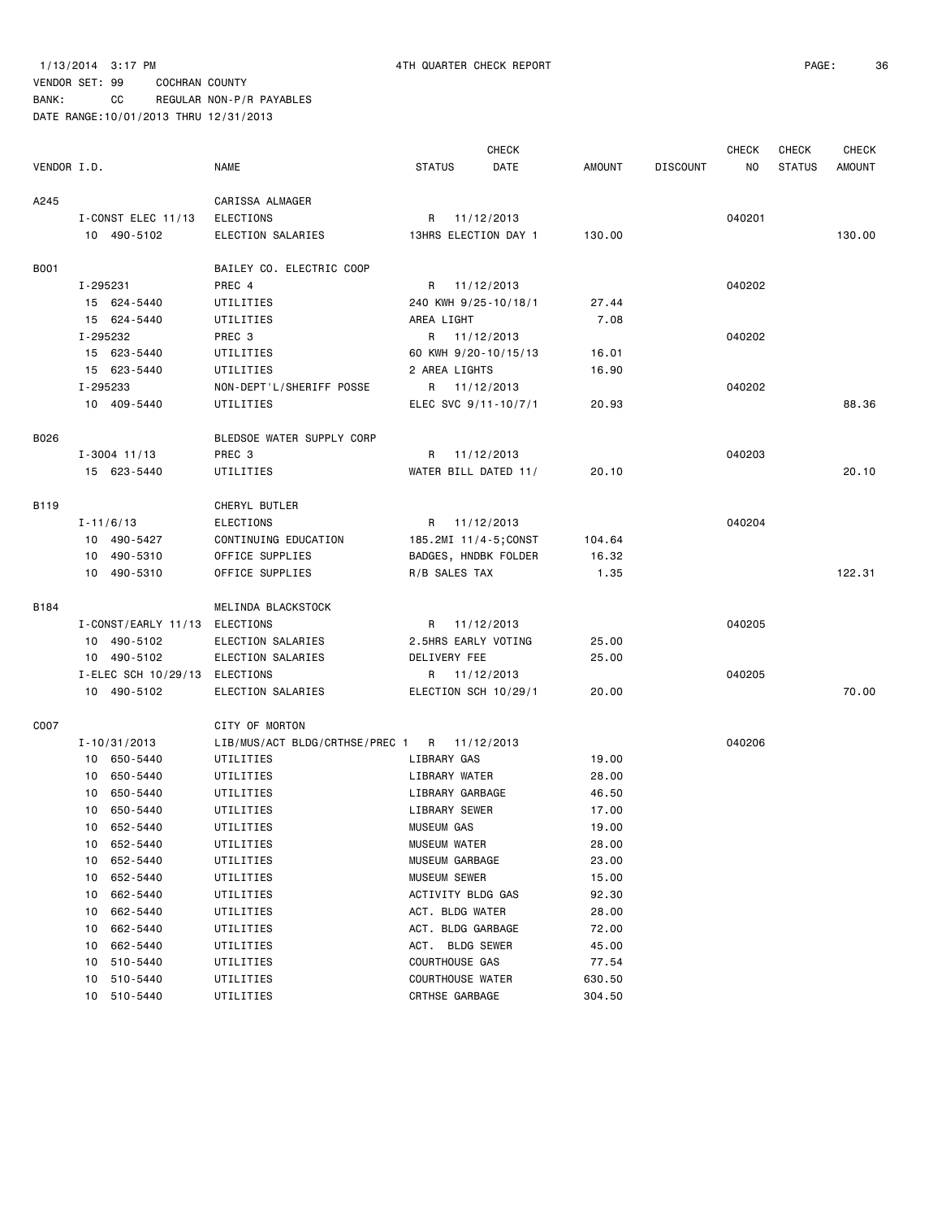BANK: CC REGULAR NON-P/R PAYABLES

|             |                  |                               |                                             |                         | <b>CHECK</b>      |        |                 | <b>CHECK</b> | CHECK         | <b>CHECK</b>  |
|-------------|------------------|-------------------------------|---------------------------------------------|-------------------------|-------------------|--------|-----------------|--------------|---------------|---------------|
| VENDOR I.D. |                  |                               | <b>NAME</b>                                 | <b>STATUS</b>           | DATE              | AMOUNT | <b>DISCOUNT</b> | NO.          | <b>STATUS</b> | <b>AMOUNT</b> |
| A245        |                  |                               | CARISSA ALMAGER                             |                         |                   |        |                 |              |               |               |
|             |                  | I-CONST ELEC 11/13            | <b>ELECTIONS</b>                            | R 11/12/2013            |                   |        |                 | 040201       |               |               |
|             | 10 490-5102      |                               | ELECTION SALARIES                           | 13HRS ELECTION DAY 1    |                   | 130.00 |                 |              |               | 130.00        |
| <b>B001</b> |                  |                               | BAILEY CO. ELECTRIC COOP                    |                         |                   |        |                 |              |               |               |
|             | I-295231         |                               | PREC 4                                      | R 11/12/2013            |                   |        |                 | 040202       |               |               |
|             | 15 624-5440      |                               | UTILITIES                                   | 240 KWH 9/25-10/18/1    |                   | 27.44  |                 |              |               |               |
|             | 15 624-5440      |                               | UTILITIES                                   | AREA LIGHT              |                   | 7.08   |                 |              |               |               |
|             | I-295232         |                               | PREC 3                                      | R 11/12/2013            |                   |        |                 | 040202       |               |               |
|             | 15 623-5440      |                               | UTILITIES                                   | 60 KWH 9/20-10/15/13    |                   | 16.01  |                 |              |               |               |
|             | 15 623-5440      |                               | UTILITIES                                   | 2 AREA LIGHTS           |                   | 16.90  |                 |              |               |               |
|             | I-295233         |                               | NON-DEPT'L/SHERIFF POSSE                    | R 11/12/2013            |                   |        |                 | 040202       |               |               |
|             | 10 409-5440      |                               | UTILITIES                                   | ELEC SVC 9/11-10/7/1    |                   | 20.93  |                 |              |               | 88.36         |
| B026        |                  |                               | BLEDSOE WATER SUPPLY CORP                   |                         |                   |        |                 |              |               |               |
|             | $I - 3004$ 11/13 |                               | PREC 3                                      | R 11/12/2013            |                   |        |                 | 040203       |               |               |
|             | 15 623-5440      |                               | UTILITIES                                   | WATER BILL DATED 11/    |                   | 20.10  |                 |              |               | 20.10         |
| B119        |                  |                               | CHERYL BUTLER                               |                         |                   |        |                 |              |               |               |
|             | $I - 11/6/13$    |                               | <b>ELECTIONS</b>                            | R 11/12/2013            |                   |        |                 | 040204       |               |               |
|             | 10 490-5427      |                               | CONTINUING EDUCATION                        | 185.2MI 11/4-5;CONST    |                   | 104.64 |                 |              |               |               |
|             | 10 490-5310      |                               | OFFICE SUPPLIES                             | BADGES, HNDBK FOLDER    |                   | 16.32  |                 |              |               |               |
|             | 10 490-5310      |                               | OFFICE SUPPLIES                             | R/B SALES TAX           |                   | 1.35   |                 |              |               | 122.31        |
| B184        |                  |                               | MELINDA BLACKSTOCK                          |                         |                   |        |                 |              |               |               |
|             |                  | I-CONST/EARLY 11/13 ELECTIONS |                                             | R 11/12/2013            |                   |        |                 | 040205       |               |               |
|             | 10 490-5102      |                               | ELECTION SALARIES                           | 2.5HRS EARLY VOTING     |                   | 25.00  |                 |              |               |               |
|             | 10 490-5102      |                               | ELECTION SALARIES                           | DELIVERY FEE            |                   | 25.00  |                 |              |               |               |
|             |                  | I-ELEC SCH 10/29/13 ELECTIONS |                                             | R 11/12/2013            |                   |        |                 | 040205       |               |               |
|             | 10 490-5102      |                               | ELECTION SALARIES                           | ELECTION SCH 10/29/1    |                   | 20.00  |                 |              |               | 70.00         |
| C007        |                  |                               | CITY OF MORTON                              |                         |                   |        |                 |              |               |               |
|             | I-10/31/2013     |                               | LIB/MUS/ACT BLDG/CRTHSE/PREC 1 R 11/12/2013 |                         |                   |        |                 | 040206       |               |               |
|             | 10 650-5440      |                               | UTILITIES                                   | LIBRARY GAS             |                   | 19.00  |                 |              |               |               |
|             | 10 650-5440      |                               | UTILITIES                                   | LIBRARY WATER           |                   | 28.00  |                 |              |               |               |
|             | 10 650-5440      |                               | UTILITIES                                   | LIBRARY GARBAGE         |                   | 46.50  |                 |              |               |               |
|             | 10 650-5440      |                               | UTILITIES                                   | LIBRARY SEWER           |                   | 17.00  |                 |              |               |               |
|             | 10 652-5440      |                               | UTILITIES                                   | <b>MUSEUM GAS</b>       |                   | 19.00  |                 |              |               |               |
|             | 10               | 652-5440                      | UTILITIES                                   | MUSEUM WATER            |                   | 28.00  |                 |              |               |               |
|             | 10               | 652-5440                      | UTILITIES                                   | MUSEUM GARBAGE          |                   | 23.00  |                 |              |               |               |
|             | 10               | 652-5440                      | UTILITIES                                   | MUSEUM SEWER            |                   | 15.00  |                 |              |               |               |
|             | 10               | 662-5440                      | UTILITIES                                   | ACTIVITY BLDG GAS       |                   | 92.30  |                 |              |               |               |
|             | 10               | 662-5440                      | UTILITIES                                   | ACT. BLDG WATER         |                   | 28.00  |                 |              |               |               |
|             | 10               | 662-5440                      | UTILITIES                                   | ACT. BLDG GARBAGE       |                   | 72.00  |                 |              |               |               |
|             | 10               | 662-5440                      | UTILITIES                                   | ACT.                    | <b>BLDG SEWER</b> | 45.00  |                 |              |               |               |
|             | 10               | 510-5440                      | UTILITIES                                   | COURTHOUSE GAS          |                   | 77.54  |                 |              |               |               |
|             | 10               | 510-5440                      | UTILITIES                                   | <b>COURTHOUSE WATER</b> |                   | 630.50 |                 |              |               |               |
|             | 10 510-5440      |                               | UTILITIES                                   | CRTHSE GARBAGE          |                   | 304.50 |                 |              |               |               |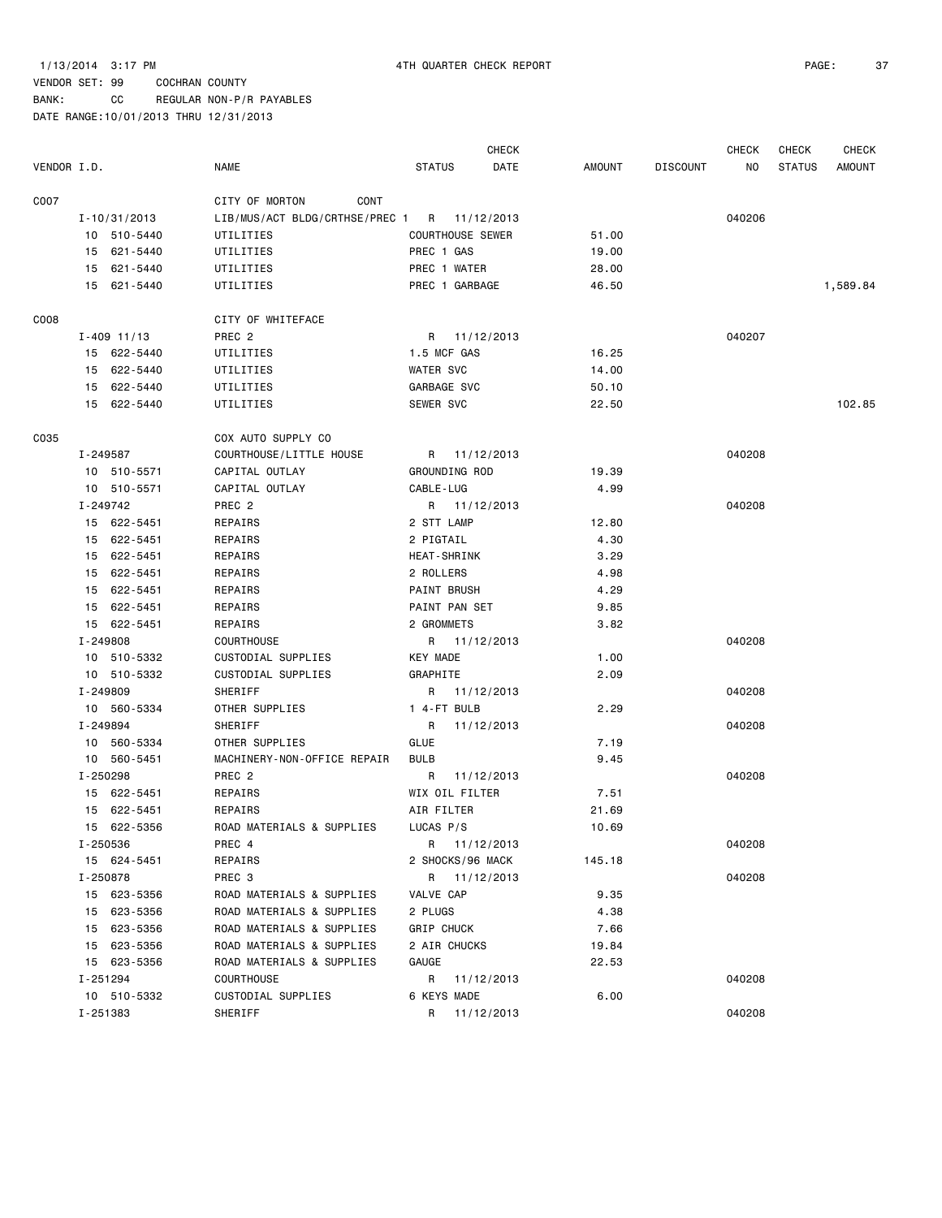BANK: CC REGULAR NON-P/R PAYABLES DATE RANGE:10/01/2013 THRU 12/31/2013

|             |          |                  |                                             |                         | <b>CHECK</b> |        |                 | <b>CHECK</b> | <b>CHECK</b>  | <b>CHECK</b>  |
|-------------|----------|------------------|---------------------------------------------|-------------------------|--------------|--------|-----------------|--------------|---------------|---------------|
| VENDOR I.D. |          |                  | <b>NAME</b>                                 | <b>STATUS</b>           | DATE         | AMOUNT | <b>DISCOUNT</b> | NO           | <b>STATUS</b> | <b>AMOUNT</b> |
| C007        |          |                  | CITY OF MORTON<br><b>CONT</b>               |                         |              |        |                 |              |               |               |
|             |          | $I - 10/31/2013$ | LIB/MUS/ACT BLDG/CRTHSE/PREC 1 R 11/12/2013 |                         |              |        |                 | 040206       |               |               |
|             |          | 10 510-5440      | UTILITIES                                   | <b>COURTHOUSE SEWER</b> |              | 51.00  |                 |              |               |               |
|             |          | 15 621-5440      | UTILITIES                                   | PREC 1 GAS              |              | 19.00  |                 |              |               |               |
|             |          | 15 621-5440      | UTILITIES                                   | PREC 1 WATER            |              | 28.00  |                 |              |               |               |
|             |          | 15 621-5440      | UTILITIES                                   | PREC 1 GARBAGE          |              | 46.50  |                 |              |               | 1,589.84      |
| C008        |          |                  | CITY OF WHITEFACE                           |                         |              |        |                 |              |               |               |
|             |          | $I - 409$ 11/13  | PREC <sub>2</sub>                           | R 11/12/2013            |              |        |                 | 040207       |               |               |
|             |          | 15 622-5440      | UTILITIES                                   | 1.5 MCF GAS             |              | 16.25  |                 |              |               |               |
|             |          | 15 622-5440      | UTILITIES                                   | <b>WATER SVC</b>        |              | 14.00  |                 |              |               |               |
|             |          | 15 622-5440      | UTILITIES                                   | GARBAGE SVC             |              | 50.10  |                 |              |               |               |
|             |          | 15 622-5440      | UTILITIES                                   | SEWER SVC               |              | 22.50  |                 |              |               | 102.85        |
| C035        |          |                  | COX AUTO SUPPLY CO                          |                         |              |        |                 |              |               |               |
|             |          | I-249587         | COURTHOUSE/LITTLE HOUSE                     | R 11/12/2013            |              |        |                 | 040208       |               |               |
|             |          | 10 510-5571      | CAPITAL OUTLAY                              | GROUNDING ROD           |              | 19.39  |                 |              |               |               |
|             |          | 10 510-5571      | CAPITAL OUTLAY                              | CABLE-LUG               |              | 4.99   |                 |              |               |               |
|             | I-249742 |                  | PREC <sub>2</sub>                           | R 11/12/2013            |              |        |                 | 040208       |               |               |
|             |          | 15 622-5451      | REPAIRS                                     | 2 STT LAMP              |              | 12.80  |                 |              |               |               |
|             |          | 15 622-5451      | REPAIRS                                     | 2 PIGTAIL               |              | 4.30   |                 |              |               |               |
|             |          | 15 622-5451      | REPAIRS                                     | <b>HEAT-SHRINK</b>      |              | 3.29   |                 |              |               |               |
|             |          | 15 622-5451      | REPAIRS                                     | 2 ROLLERS               |              | 4.98   |                 |              |               |               |
|             |          | 15 622-5451      | REPAIRS                                     | <b>PAINT BRUSH</b>      |              | 4.29   |                 |              |               |               |
|             |          | 15 622-5451      | REPAIRS                                     | PAINT PAN SET           |              | 9.85   |                 |              |               |               |
|             |          | 15 622-5451      | REPAIRS                                     | 2 GROMMETS              |              | 3.82   |                 |              |               |               |
|             | I-249808 |                  | <b>COURTHOUSE</b>                           | R 11/12/2013            |              |        |                 | 040208       |               |               |
|             |          | 10 510-5332      | CUSTODIAL SUPPLIES                          | <b>KEY MADE</b>         |              | 1.00   |                 |              |               |               |
|             |          | 10 510-5332      | CUSTODIAL SUPPLIES                          | GRAPHITE                |              | 2.09   |                 |              |               |               |
|             | I-249809 |                  | SHERIFF                                     | R 11/12/2013            |              |        |                 | 040208       |               |               |
|             |          | 10 560-5334      | OTHER SUPPLIES                              | 1 4-FT BULB             |              | 2.29   |                 |              |               |               |
|             | I-249894 |                  | SHERIFF                                     | R                       | 11/12/2013   |        |                 | 040208       |               |               |
|             |          | 10 560-5334      | OTHER SUPPLIES                              | GLUE                    |              | 7.19   |                 |              |               |               |
|             |          | 10 560-5451      | MACHINERY-NON-OFFICE REPAIR                 | <b>BULB</b>             |              | 9.45   |                 |              |               |               |
|             | I-250298 |                  | PREC <sub>2</sub>                           | R                       | 11/12/2013   |        |                 | 040208       |               |               |
|             |          | 15 622-5451      | REPAIRS                                     | WIX OIL FILTER          |              | 7.51   |                 |              |               |               |
|             |          | 15 622-5451      | REPAIRS                                     | AIR FILTER              |              | 21.69  |                 |              |               |               |
|             |          | 15 622-5356      | ROAD MATERIALS & SUPPLIES                   | LUCAS P/S               |              | 10.69  |                 |              |               |               |
|             |          | I-250536         | PREC 4                                      | R 11/12/2013            |              |        |                 | 040208       |               |               |
|             |          | 15 624-5451      | REPAIRS                                     | 2 SHOCKS/96 MACK        |              | 145.18 |                 |              |               |               |
|             |          | I-250878         | PREC 3                                      | R 11/12/2013            |              |        |                 | 040208       |               |               |
|             |          | 15 623-5356      | ROAD MATERIALS & SUPPLIES                   | VALVE CAP               |              | 9.35   |                 |              |               |               |
|             |          | 15 623-5356      | ROAD MATERIALS & SUPPLIES                   | 2 PLUGS                 |              | 4.38   |                 |              |               |               |
|             |          | 15 623-5356      | ROAD MATERIALS & SUPPLIES                   | <b>GRIP CHUCK</b>       |              | 7.66   |                 |              |               |               |
|             |          | 15 623-5356      | ROAD MATERIALS & SUPPLIES                   | 2 AIR CHUCKS            |              | 19.84  |                 |              |               |               |
|             |          | 15 623-5356      | ROAD MATERIALS & SUPPLIES                   | GAUGE                   |              | 22.53  |                 |              |               |               |
|             |          | I-251294         | <b>COURTHOUSE</b>                           | R 11/12/2013            |              |        |                 | 040208       |               |               |
|             |          | 10 510-5332      | CUSTODIAL SUPPLIES                          | 6 KEYS MADE             |              | 6.00   |                 |              |               |               |
|             |          | I-251383         | SHERIFF                                     | R 11/12/2013            |              |        |                 | 040208       |               |               |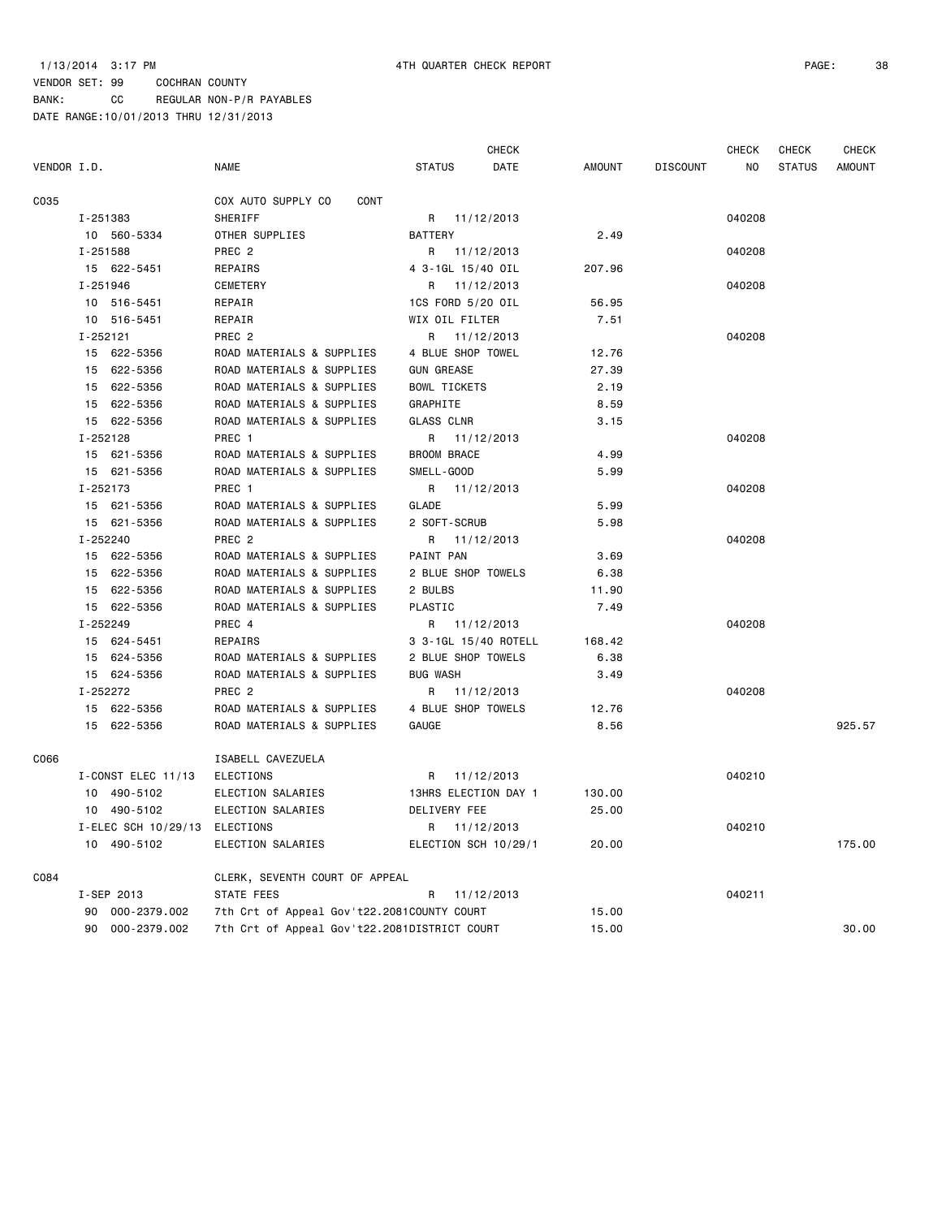CHECK CHECK CHECK CHECK

# VENDOR SET: 99 COCHRAN COUNTY BANK: CC REGULAR NON-P/R PAYABLES

| VENDOR I.D. |                               | <b>NAME</b>                                  | <b>STATUS</b>        | DATE       | <b>AMOUNT</b> | <b>DISCOUNT</b> | NO     | <b>STATUS</b> | AMOUNT |
|-------------|-------------------------------|----------------------------------------------|----------------------|------------|---------------|-----------------|--------|---------------|--------|
| C035        |                               | COX AUTO SUPPLY CO<br>CONT                   |                      |            |               |                 |        |               |        |
|             | I-251383                      | SHERIFF                                      | R 11/12/2013         |            |               |                 | 040208 |               |        |
|             | 10 560-5334                   | OTHER SUPPLIES                               | <b>BATTERY</b>       |            | 2.49          |                 |        |               |        |
|             | I-251588                      | PREC <sub>2</sub>                            | R 11/12/2013         |            |               |                 | 040208 |               |        |
|             | 15 622-5451                   | REPAIRS                                      | 4 3-1GL 15/40 OIL    |            | 207.96        |                 |        |               |        |
|             | I-251946                      | CEMETERY                                     | R 11/12/2013         |            |               |                 | 040208 |               |        |
|             | 10 516-5451                   | REPAIR                                       | 1CS FORD 5/20 OIL    |            | 56.95         |                 |        |               |        |
|             | 10 516-5451                   | REPAIR                                       | WIX OIL FILTER       |            | 7.51          |                 |        |               |        |
|             | I-252121                      | PREC <sub>2</sub>                            | R 11/12/2013         |            |               |                 | 040208 |               |        |
|             | 15 622-5356                   | ROAD MATERIALS & SUPPLIES                    | 4 BLUE SHOP TOWEL    |            | 12.76         |                 |        |               |        |
|             | 15 622-5356                   | ROAD MATERIALS & SUPPLIES                    | <b>GUN GREASE</b>    |            | 27.39         |                 |        |               |        |
|             | 15 622-5356                   | ROAD MATERIALS & SUPPLIES                    | <b>BOWL TICKETS</b>  |            | 2.19          |                 |        |               |        |
|             | 15 622-5356                   | ROAD MATERIALS & SUPPLIES                    | GRAPHITE             |            | 8.59          |                 |        |               |        |
|             | 15 622-5356                   | ROAD MATERIALS & SUPPLIES                    | <b>GLASS CLNR</b>    |            | 3.15          |                 |        |               |        |
|             | I-252128                      | PREC 1                                       | R 11/12/2013         |            |               |                 | 040208 |               |        |
|             | 15 621-5356                   | ROAD MATERIALS & SUPPLIES                    | <b>BROOM BRACE</b>   |            | 4.99          |                 |        |               |        |
|             | 15 621-5356                   | ROAD MATERIALS & SUPPLIES                    | SMELL-GOOD           |            | 5.99          |                 |        |               |        |
|             | I-252173                      | PREC 1                                       | R 11/12/2013         |            |               |                 | 040208 |               |        |
|             | 15 621-5356                   | ROAD MATERIALS & SUPPLIES                    | GLADE                |            | 5.99          |                 |        |               |        |
|             | 15 621-5356                   | ROAD MATERIALS & SUPPLIES                    | 2 SOFT-SCRUB         |            | 5.98          |                 |        |               |        |
|             | I-252240                      | PREC <sub>2</sub>                            | R 11/12/2013         |            |               |                 | 040208 |               |        |
|             | 15 622-5356                   | ROAD MATERIALS & SUPPLIES                    | PAINT PAN            |            | 3.69          |                 |        |               |        |
|             | 15 622-5356                   | ROAD MATERIALS & SUPPLIES                    | 2 BLUE SHOP TOWELS   |            | 6.38          |                 |        |               |        |
|             | 15 622-5356                   | ROAD MATERIALS & SUPPLIES                    | 2 BULBS              |            | 11.90         |                 |        |               |        |
|             | 15 622-5356                   | ROAD MATERIALS & SUPPLIES                    | PLASTIC              |            | 7.49          |                 |        |               |        |
|             | I-252249                      | PREC 4                                       | R 11/12/2013         |            |               |                 | 040208 |               |        |
|             | 15 624-5451                   | REPAIRS                                      | 3 3-1GL 15/40 ROTELL |            | 168.42        |                 |        |               |        |
|             | 15 624-5356                   | ROAD MATERIALS & SUPPLIES                    | 2 BLUE SHOP TOWELS   |            | 6.38          |                 |        |               |        |
|             | 15 624-5356                   | ROAD MATERIALS & SUPPLIES                    | <b>BUG WASH</b>      |            | 3.49          |                 |        |               |        |
|             | I-252272                      | PREC <sub>2</sub>                            | R                    | 11/12/2013 |               |                 | 040208 |               |        |
|             | 15 622-5356                   | ROAD MATERIALS & SUPPLIES                    | 4 BLUE SHOP TOWELS   |            | 12.76         |                 |        |               |        |
|             | 15 622-5356                   | ROAD MATERIALS & SUPPLIES                    | GAUGE                |            | 8.56          |                 |        |               | 925.57 |
| C066        |                               | ISABELL CAVEZUELA                            |                      |            |               |                 |        |               |        |
|             | I-CONST ELEC 11/13            | ELECTIONS                                    | R 11/12/2013         |            |               |                 | 040210 |               |        |
|             | 10 490-5102                   | ELECTION SALARIES                            | 13HRS ELECTION DAY 1 |            | 130.00        |                 |        |               |        |
|             | 10 490-5102                   | ELECTION SALARIES                            | DELIVERY FEE         |            | 25.00         |                 |        |               |        |
|             | I-ELEC SCH 10/29/13 ELECTIONS |                                              | R 11/12/2013         |            |               |                 | 040210 |               |        |
|             | 10 490-5102                   | ELECTION SALARIES                            | ELECTION SCH 10/29/1 |            | 20.00         |                 |        |               | 175.00 |
| C084        |                               | CLERK, SEVENTH COURT OF APPEAL               |                      |            |               |                 |        |               |        |
|             | I-SEP 2013                    | STATE FEES                                   | R                    | 11/12/2013 |               |                 | 040211 |               |        |
|             | 90 000-2379.002               | 7th Crt of Appeal Gov't22.2081COUNTY COURT   |                      |            | 15.00         |                 |        |               |        |
|             | 90 000-2379.002               | 7th Crt of Appeal Gov't22.2081DISTRICT COURT |                      |            | 15.00         |                 |        |               | 30.00  |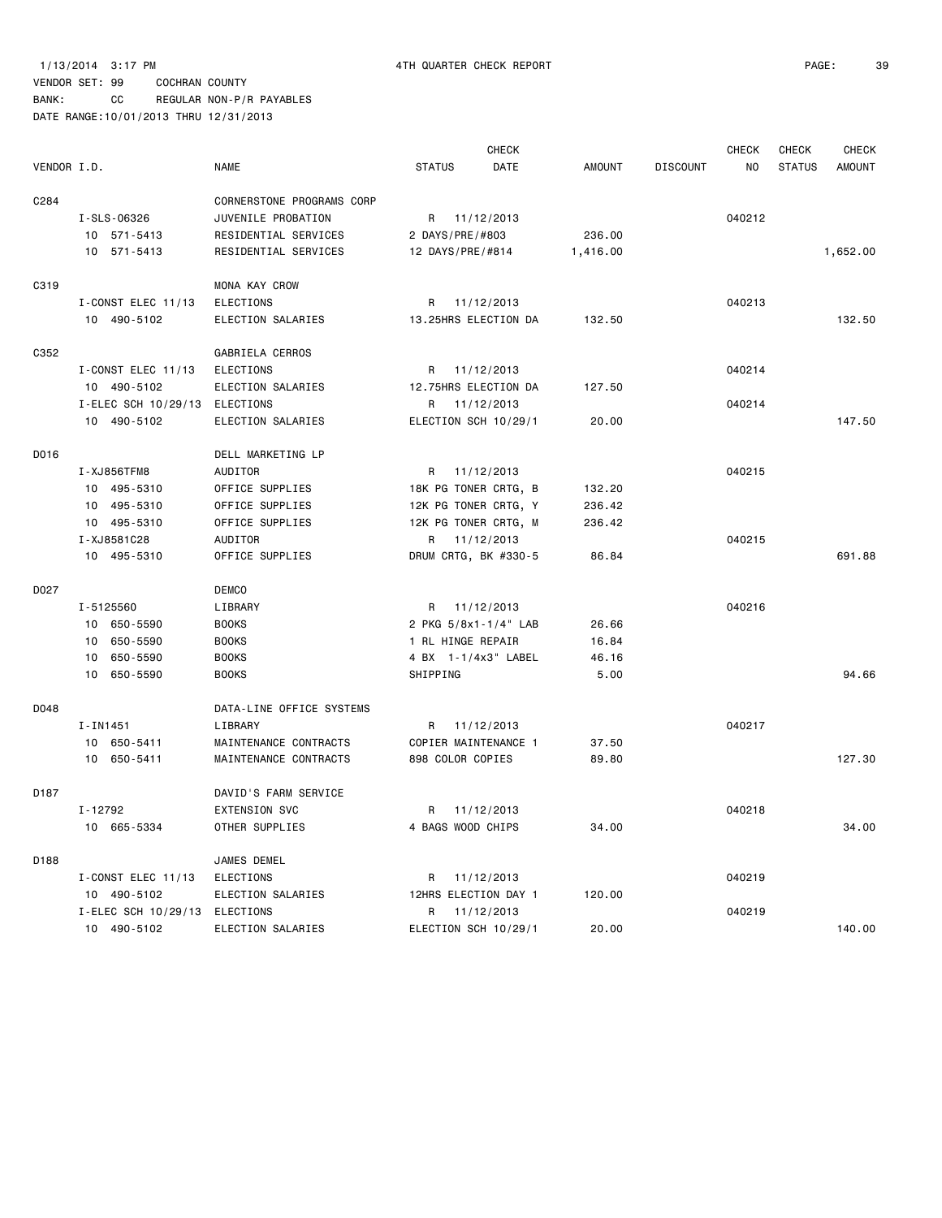|             |                               |                           |                   | <b>CHECK</b>         |               |                 | <b>CHECK</b> | <b>CHECK</b>  | <b>CHECK</b>  |
|-------------|-------------------------------|---------------------------|-------------------|----------------------|---------------|-----------------|--------------|---------------|---------------|
| VENDOR I.D. |                               | <b>NAME</b>               | <b>STATUS</b>     | DATE                 | <b>AMOUNT</b> | <b>DISCOUNT</b> | NO.          | <b>STATUS</b> | <b>AMOUNT</b> |
| C284        |                               | CORNERSTONE PROGRAMS CORP |                   |                      |               |                 |              |               |               |
|             | I-SLS-06326                   | JUVENILE PROBATION        |                   | R 11/12/2013         |               |                 | 040212       |               |               |
|             | 10 571-5413                   | RESIDENTIAL SERVICES      | 2 DAYS/PRE/#803   |                      | 236.00        |                 |              |               |               |
|             | 10 571-5413                   | RESIDENTIAL SERVICES      | 12 DAYS/PRE/#814  |                      | 1,416.00      |                 |              |               | 1,652.00      |
| C319        |                               | MONA KAY CROW             |                   |                      |               |                 |              |               |               |
|             | I-CONST ELEC 11/13            | <b>ELECTIONS</b>          |                   | R 11/12/2013         |               |                 | 040213       |               |               |
|             | 10 490-5102                   | ELECTION SALARIES         |                   | 13.25HRS ELECTION DA | 132.50        |                 |              |               | 132.50        |
| C352        |                               | GABRIELA CERROS           |                   |                      |               |                 |              |               |               |
|             | I-CONST ELEC 11/13            | <b>ELECTIONS</b>          |                   | R 11/12/2013         |               |                 | 040214       |               |               |
|             | 10 490-5102                   | ELECTION SALARIES         |                   | 12.75HRS ELECTION DA | 127.50        |                 |              |               |               |
|             | I-ELEC SCH 10/29/13 ELECTIONS |                           |                   | R 11/12/2013         |               |                 | 040214       |               |               |
|             | 10 490-5102                   | ELECTION SALARIES         |                   | ELECTION SCH 10/29/1 | 20.00         |                 |              |               | 147.50        |
| D016        |                               | DELL MARKETING LP         |                   |                      |               |                 |              |               |               |
|             | I-XJ856TFM8                   | <b>AUDITOR</b>            |                   | R 11/12/2013         |               |                 | 040215       |               |               |
|             | 10 495-5310                   | OFFICE SUPPLIES           |                   | 18K PG TONER CRTG, B | 132.20        |                 |              |               |               |
|             | 10 495-5310                   | OFFICE SUPPLIES           |                   | 12K PG TONER CRTG, Y | 236.42        |                 |              |               |               |
|             | 10 495-5310                   | OFFICE SUPPLIES           |                   | 12K PG TONER CRTG, M | 236.42        |                 |              |               |               |
|             | I-XJ8581C28                   | <b>AUDITOR</b>            |                   | R 11/12/2013         |               |                 | 040215       |               |               |
|             | 10 495-5310                   | OFFICE SUPPLIES           |                   | DRUM CRTG, BK #330-5 | 86.84         |                 |              |               | 691.88        |
| D027        |                               | <b>DEMCO</b>              |                   |                      |               |                 |              |               |               |
|             | I-5125560                     | LIBRARY                   |                   | R 11/12/2013         |               |                 | 040216       |               |               |
|             | 10 650-5590                   | <b>BOOKS</b>              |                   | 2 PKG 5/8x1-1/4" LAB | 26.66         |                 |              |               |               |
|             | 10 650-5590                   | <b>BOOKS</b>              | 1 RL HINGE REPAIR |                      | 16.84         |                 |              |               |               |
|             | 10 650-5590                   | <b>BOOKS</b>              |                   | 4 BX 1-1/4x3" LABEL  | 46.16         |                 |              |               |               |
|             | 10 650-5590                   | <b>BOOKS</b>              | SHIPPING          |                      | 5.00          |                 |              |               | 94.66         |
| D048        |                               | DATA-LINE OFFICE SYSTEMS  |                   |                      |               |                 |              |               |               |
|             | $I - IN1451$                  | LIBRARY                   |                   | R 11/12/2013         |               |                 | 040217       |               |               |
|             | 10 650-5411                   | MAINTENANCE CONTRACTS     |                   | COPIER MAINTENANCE 1 | 37.50         |                 |              |               |               |
|             | 10 650-5411                   | MAINTENANCE CONTRACTS     | 898 COLOR COPIES  |                      | 89.80         |                 |              |               | 127.30        |
| D187        |                               | DAVID'S FARM SERVICE      |                   |                      |               |                 |              |               |               |
|             | I-12792                       | <b>EXTENSION SVC</b>      | R                 | 11/12/2013           |               |                 | 040218       |               |               |
|             | 10 665-5334                   | OTHER SUPPLIES            | 4 BAGS WOOD CHIPS |                      | 34.00         |                 |              |               | 34,00         |
| D188        |                               | JAMES DEMEL               |                   |                      |               |                 |              |               |               |
|             | I-CONST ELEC 11/13            | <b>ELECTIONS</b>          | R                 | 11/12/2013           |               |                 | 040219       |               |               |
|             | 10 490-5102                   | ELECTION SALARIES         |                   | 12HRS ELECTION DAY 1 | 120.00        |                 |              |               |               |
|             | I-ELEC SCH 10/29/13           | <b>ELECTIONS</b>          |                   | R 11/12/2013         |               |                 | 040219       |               |               |
|             | 10 490-5102                   | ELECTION SALARIES         |                   | ELECTION SCH 10/29/1 | 20.00         |                 |              |               | 140.00        |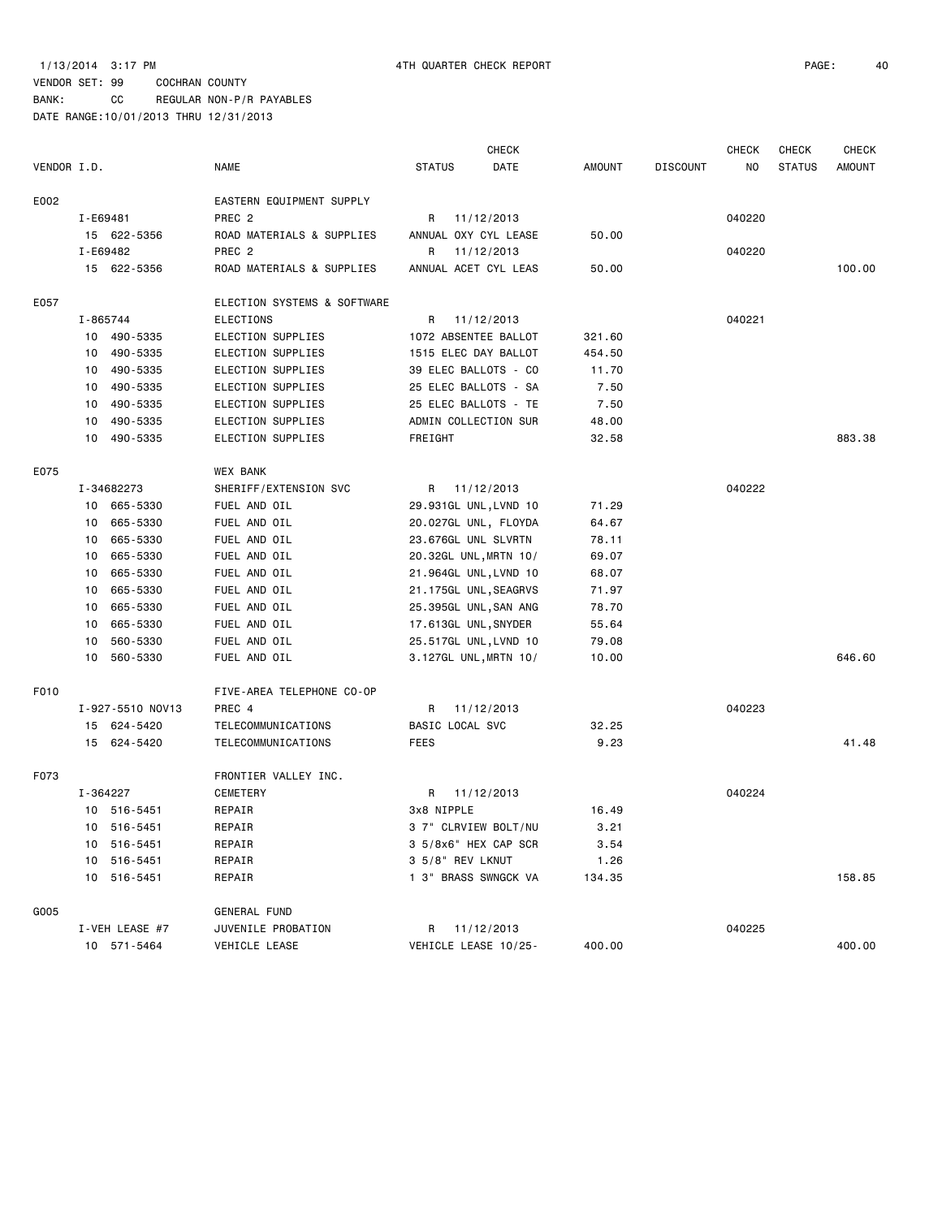BANK: CC REGULAR NON-P/R PAYABLES

|             |          |                  |                             |                      | <b>CHECK</b>          |               |                 | <b>CHECK</b> | <b>CHECK</b>  | <b>CHECK</b>  |
|-------------|----------|------------------|-----------------------------|----------------------|-----------------------|---------------|-----------------|--------------|---------------|---------------|
| VENDOR I.D. |          |                  | <b>NAME</b>                 | <b>STATUS</b>        | DATE                  | <b>AMOUNT</b> | <b>DISCOUNT</b> | NO           | <b>STATUS</b> | <b>AMOUNT</b> |
| E002        |          |                  | EASTERN EQUIPMENT SUPPLY    |                      |                       |               |                 |              |               |               |
|             | I-E69481 |                  | PREC <sub>2</sub>           | R                    | 11/12/2013            |               |                 | 040220       |               |               |
|             |          | 15 622-5356      | ROAD MATERIALS & SUPPLIES   |                      | ANNUAL OXY CYL LEASE  | 50.00         |                 |              |               |               |
|             |          | I-E69482         | PREC <sub>2</sub>           | R                    | 11/12/2013            |               |                 | 040220       |               |               |
|             |          | 15 622-5356      | ROAD MATERIALS & SUPPLIES   |                      | ANNUAL ACET CYL LEAS  | 50.00         |                 |              |               | 100.00        |
| E057        |          |                  | ELECTION SYSTEMS & SOFTWARE |                      |                       |               |                 |              |               |               |
|             | I-865744 |                  | <b>ELECTIONS</b>            | R                    | 11/12/2013            |               |                 | 040221       |               |               |
|             |          | 10 490-5335      | ELECTION SUPPLIES           |                      | 1072 ABSENTEE BALLOT  | 321.60        |                 |              |               |               |
|             | 10       | 490-5335         | ELECTION SUPPLIES           |                      | 1515 ELEC DAY BALLOT  | 454.50        |                 |              |               |               |
|             | 10       | 490-5335         | ELECTION SUPPLIES           |                      | 39 ELEC BALLOTS - CO  | 11.70         |                 |              |               |               |
|             | 10       | 490-5335         | ELECTION SUPPLIES           |                      | 25 ELEC BALLOTS - SA  | 7.50          |                 |              |               |               |
|             | 10       | 490-5335         | ELECTION SUPPLIES           |                      | 25 ELEC BALLOTS - TE  | 7.50          |                 |              |               |               |
|             | 10       | 490-5335         | ELECTION SUPPLIES           |                      | ADMIN COLLECTION SUR  | 48.00         |                 |              |               |               |
|             | 10       | 490-5335         | ELECTION SUPPLIES           | FREIGHT              |                       | 32.58         |                 |              |               | 883.38        |
| E075        |          |                  | WEX BANK                    |                      |                       |               |                 |              |               |               |
|             |          | I-34682273       | SHERIFF/EXTENSION SVC       |                      | R 11/12/2013          |               |                 | 040222       |               |               |
|             |          | 10 665-5330      | FUEL AND OIL                |                      | 29.931GL UNL, LVND 10 | 71.29         |                 |              |               |               |
|             | 10       | 665-5330         | FUEL AND OIL                |                      | 20.027GL UNL, FLOYDA  | 64.67         |                 |              |               |               |
|             | 10       | 665-5330         | FUEL AND OIL                | 23.676GL UNL SLVRTN  |                       | 78.11         |                 |              |               |               |
|             | 10       | 665-5330         | FUEL AND OIL                |                      | 20.32GL UNL, MRTN 10/ | 69.07         |                 |              |               |               |
|             | 10       | 665-5330         | FUEL AND OIL                |                      | 21.964GL UNL, LVND 10 | 68.07         |                 |              |               |               |
|             | 10       | 665-5330         | FUEL AND OIL                |                      | 21.175GL UNL, SEAGRVS | 71.97         |                 |              |               |               |
|             | 10       | 665-5330         | FUEL AND OIL                |                      | 25.395GL UNL, SAN ANG | 78.70         |                 |              |               |               |
|             | 10       | 665-5330         | FUEL AND OIL                | 17.613GL UNL, SNYDER |                       | 55.64         |                 |              |               |               |
|             | 10       | 560-5330         | FUEL AND OIL                |                      | 25.517GL UNL, LVND 10 | 79.08         |                 |              |               |               |
|             | 10       | 560-5330         | FUEL AND OIL                |                      | 3.127GL UNL, MRTN 10/ | 10.00         |                 |              |               | 646.60        |
| F010        |          |                  | FIVE-AREA TELEPHONE CO-OP   |                      |                       |               |                 |              |               |               |
|             |          | I-927-5510 NOV13 | PREC 4                      | R                    | 11/12/2013            |               |                 | 040223       |               |               |
|             |          | 15 624-5420      | TELECOMMUNICATIONS          | BASIC LOCAL SVC      |                       | 32.25         |                 |              |               |               |
|             |          | 15 624-5420      | TELECOMMUNICATIONS          | FEES                 |                       | 9.23          |                 |              |               | 41.48         |
| F073        |          |                  | FRONTIER VALLEY INC.        |                      |                       |               |                 |              |               |               |
|             |          | I-364227         | CEMETERY                    |                      | R 11/12/2013          |               |                 | 040224       |               |               |
|             |          | 10 516-5451      | REPAIR                      | 3x8 NIPPLE           |                       | 16.49         |                 |              |               |               |
|             |          | 10 516-5451      | REPAIR                      |                      | 3 7" CLRVIEW BOLT/NU  | 3.21          |                 |              |               |               |
|             |          | 10 516-5451      | REPAIR                      |                      | 3 5/8x6" HEX CAP SCR  | 3.54          |                 |              |               |               |
|             |          | 10 516-5451      | REPAIR                      | 3 5/8" REV LKNUT     |                       | 1.26          |                 |              |               |               |
|             |          | 10 516-5451      | REPAIR                      |                      | 1 3" BRASS SWNGCK VA  | 134.35        |                 |              |               | 158.85        |
| G005        |          |                  | GENERAL FUND                |                      |                       |               |                 |              |               |               |
|             |          | I-VEH LEASE #7   | JUVENILE PROBATION          | R 11/12/2013         |                       |               |                 | 040225       |               |               |
|             |          | 10 571-5464      | VEHICLE LEASE               |                      | VEHICLE LEASE 10/25-  | 400.00        |                 |              |               | 400.00        |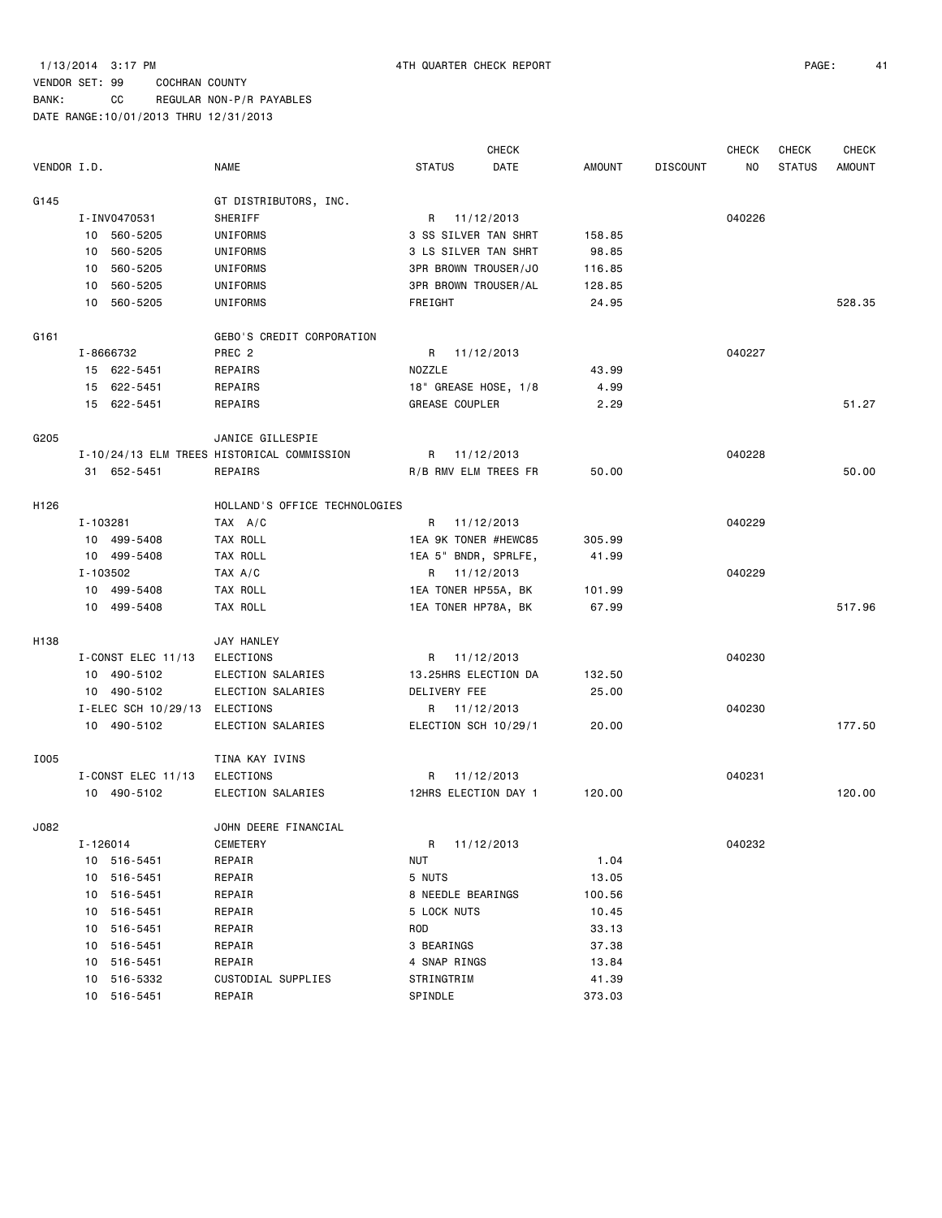BANK: CC REGULAR NON-P/R PAYABLES

|             |          |                               |                                            |                             | <b>CHECK</b> |               |                 | <b>CHECK</b> | <b>CHECK</b>  | <b>CHECK</b>  |
|-------------|----------|-------------------------------|--------------------------------------------|-----------------------------|--------------|---------------|-----------------|--------------|---------------|---------------|
| VENDOR I.D. |          |                               | <b>NAME</b>                                | <b>STATUS</b>               | DATE         | <b>AMOUNT</b> | <b>DISCOUNT</b> | NO           | <b>STATUS</b> | <b>AMOUNT</b> |
| G145        |          |                               | GT DISTRIBUTORS, INC.                      |                             |              |               |                 |              |               |               |
|             |          | I-INV0470531                  | SHERIFF                                    | R 11/12/2013                |              |               |                 | 040226       |               |               |
|             |          | 10 560-5205                   | UNIFORMS                                   | 3 SS SILVER TAN SHRT        |              | 158.85        |                 |              |               |               |
|             |          | 10 560-5205                   | UNIFORMS                                   | 3 LS SILVER TAN SHRT        |              | 98.85         |                 |              |               |               |
|             |          | 10 560-5205                   | UNIFORMS                                   | 3PR BROWN TROUSER/JO        |              | 116.85        |                 |              |               |               |
|             |          | 10 560-5205                   | UNIFORMS                                   | <b>3PR BROWN TROUSER/AL</b> |              | 128.85        |                 |              |               |               |
|             |          | 10 560-5205                   | UNIFORMS                                   | FREIGHT                     |              | 24.95         |                 |              |               | 528.35        |
| G161        |          |                               | GEBO'S CREDIT CORPORATION                  |                             |              |               |                 |              |               |               |
|             |          | I-8666732                     | PREC <sub>2</sub>                          | R 11/12/2013                |              |               |                 | 040227       |               |               |
|             |          | 15 622-5451                   | REPAIRS                                    | NOZZLE                      |              | 43.99         |                 |              |               |               |
|             |          | 15 622-5451                   | REPAIRS                                    | 18" GREASE HOSE, 1/8        |              | 4.99          |                 |              |               |               |
|             |          | 15 622-5451                   | REPAIRS                                    | GREASE COUPLER              |              | 2.29          |                 |              |               | 51.27         |
| G205        |          |                               | JANICE GILLESPIE                           |                             |              |               |                 |              |               |               |
|             |          |                               | I-10/24/13 ELM TREES HISTORICAL COMMISSION | R 11/12/2013                |              |               |                 | 040228       |               |               |
|             |          | 31 652-5451                   | REPAIRS                                    | R/B RMV ELM TREES FR        |              | 50.00         |                 |              |               | 50.00         |
| H126        |          |                               | HOLLAND'S OFFICE TECHNOLOGIES              |                             |              |               |                 |              |               |               |
|             | I-103281 |                               | TAX A/C                                    | R 11/12/2013                |              |               |                 | 040229       |               |               |
|             |          | 10 499-5408                   | TAX ROLL                                   | 1EA 9K TONER #HEWC85        |              | 305.99        |                 |              |               |               |
|             |          | 10 499-5408                   | TAX ROLL                                   | 1EA 5" BNDR, SPRLFE,        |              | 41.99         |                 |              |               |               |
|             | I-103502 |                               | TAX A/C                                    | R 11/12/2013                |              |               |                 | 040229       |               |               |
|             |          | 10 499-5408                   | TAX ROLL                                   | 1EA TONER HP55A, BK         |              | 101.99        |                 |              |               |               |
|             |          | 10 499-5408                   | TAX ROLL                                   | 1EA TONER HP78A, BK         |              | 67.99         |                 |              |               | 517.96        |
| H138        |          |                               | JAY HANLEY                                 |                             |              |               |                 |              |               |               |
|             |          | $I$ -CONST ELEC 11/13         | <b>ELECTIONS</b>                           | R 11/12/2013                |              |               |                 | 040230       |               |               |
|             |          | 10 490-5102                   | ELECTION SALARIES                          | 13.25HRS ELECTION DA        |              | 132.50        |                 |              |               |               |
|             |          | 10 490-5102                   | ELECTION SALARIES                          | DELIVERY FEE                |              | 25.00         |                 |              |               |               |
|             |          | I-ELEC SCH 10/29/13 ELECTIONS |                                            | R 11/12/2013                |              |               |                 | 040230       |               |               |
|             |          | 10 490-5102                   | ELECTION SALARIES                          | ELECTION SCH 10/29/1        |              | 20.00         |                 |              |               | 177.50        |
| I005        |          |                               | TINA KAY IVINS                             |                             |              |               |                 |              |               |               |
|             |          | I-CONST ELEC 11/13            | ELECTIONS                                  | R.                          | 11/12/2013   |               |                 | 040231       |               |               |
|             |          | 10 490-5102                   | ELECTION SALARIES                          | 12HRS ELECTION DAY 1        |              | 120.00        |                 |              |               | 120.00        |
| J082        |          |                               | JOHN DEERE FINANCIAL                       |                             |              |               |                 |              |               |               |
|             | I-126014 |                               | CEMETERY                                   | R 11/12/2013                |              |               |                 | 040232       |               |               |
|             |          | 10 516-5451                   | REPAIR                                     | NUT                         |              | 1.04          |                 |              |               |               |
|             |          | 10 516-5451                   | REPAIR                                     | 5 NUTS                      |              | 13.05         |                 |              |               |               |
|             |          | 10 516-5451                   | REPAIR                                     | 8 NEEDLE BEARINGS           |              | 100.56        |                 |              |               |               |
|             |          | 10 516-5451                   | REPAIR                                     | 5 LOCK NUTS                 |              | 10.45         |                 |              |               |               |
|             |          | 10 516-5451                   | REPAIR                                     | ROD                         |              | 33.13         |                 |              |               |               |
|             |          | 10 516-5451                   | REPAIR                                     | 3 BEARINGS                  |              | 37.38         |                 |              |               |               |
|             |          | 10 516-5451                   | REPAIR                                     | 4 SNAP RINGS                |              | 13.84         |                 |              |               |               |
|             |          | 10 516-5332                   | CUSTODIAL SUPPLIES                         | STRINGTRIM                  |              | 41.39         |                 |              |               |               |
|             |          | 10 516-5451                   | REPAIR                                     | SPINDLE                     |              | 373.03        |                 |              |               |               |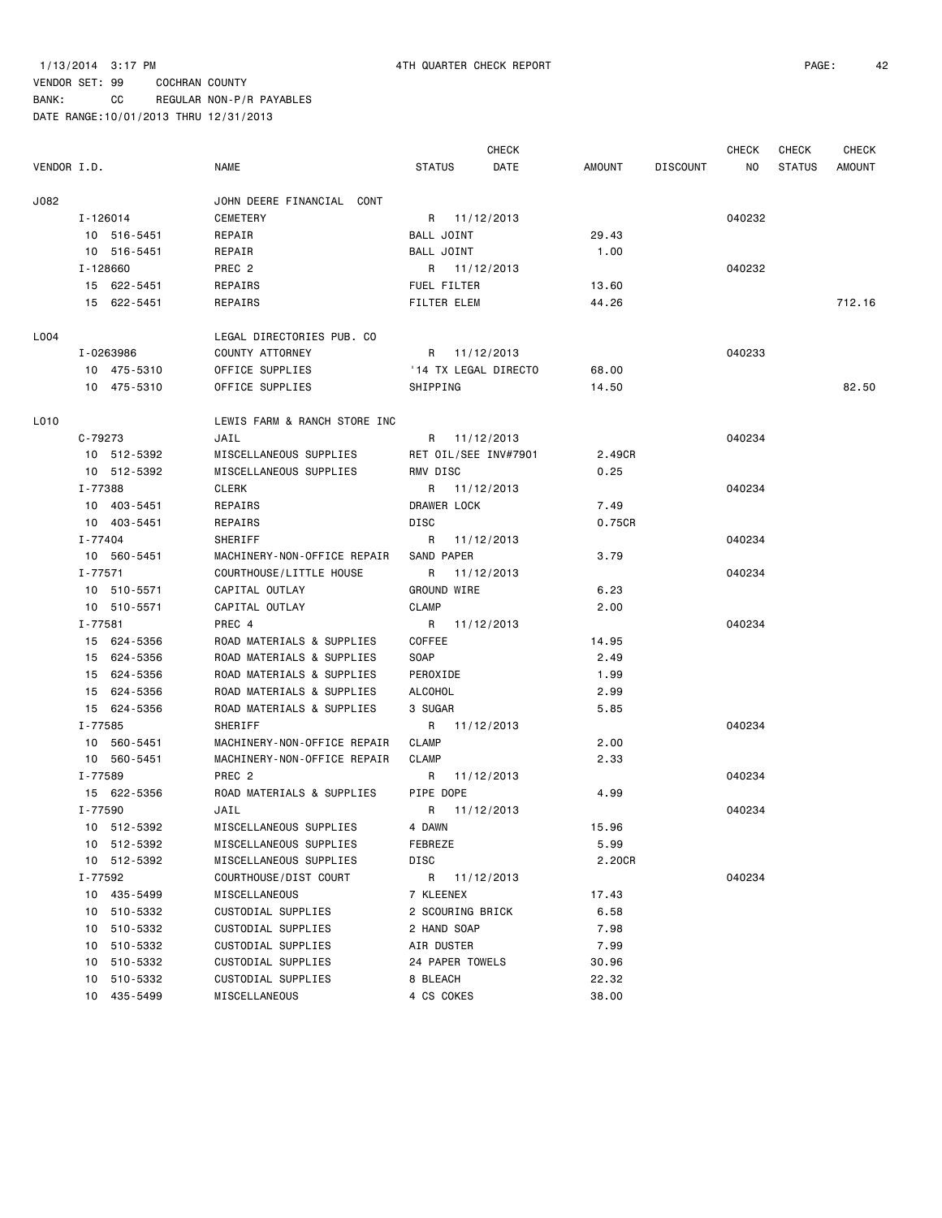BANK: CC REGULAR NON-P/R PAYABLES

|             |                |                   |                              |                  |              | <b>CHECK</b>         |               |                 | CHECK  | CHECK         | <b>CHECK</b> |
|-------------|----------------|-------------------|------------------------------|------------------|--------------|----------------------|---------------|-----------------|--------|---------------|--------------|
| VENDOR I.D. |                | <b>NAME</b>       |                              | <b>STATUS</b>    |              | DATE                 | <b>AMOUNT</b> | <b>DISCOUNT</b> | NO     | <b>STATUS</b> | AMOUNT       |
| J082        |                |                   | JOHN DEERE FINANCIAL CONT    |                  |              |                      |               |                 |        |               |              |
|             | I-126014       | CEMETERY          |                              |                  | R 11/12/2013 |                      |               |                 | 040232 |               |              |
|             | 10 516-5451    | REPAIR            |                              | BALL JOINT       |              |                      | 29.43         |                 |        |               |              |
|             | 10 516-5451    | REPAIR            |                              | BALL JOINT       |              |                      | 1.00          |                 |        |               |              |
|             | I-128660       | PREC <sub>2</sub> |                              |                  | R 11/12/2013 |                      |               |                 | 040232 |               |              |
|             | 15 622-5451    | REPAIRS           |                              | FUEL FILTER      |              |                      | 13.60         |                 |        |               |              |
|             | 15 622-5451    | REPAIRS           |                              | FILTER ELEM      |              |                      | 44.26         |                 |        |               | 712.16       |
| L004        |                |                   | LEGAL DIRECTORIES PUB. CO    |                  |              |                      |               |                 |        |               |              |
|             | I-0263986      | COUNTY ATTORNEY   |                              |                  | R 11/12/2013 |                      |               |                 | 040233 |               |              |
|             | 10 475-5310    | OFFICE SUPPLIES   |                              |                  |              | '14 TX LEGAL DIRECTO | 68.00         |                 |        |               |              |
|             | 10 475-5310    | OFFICE SUPPLIES   |                              | SHIPPING         |              |                      | 14.50         |                 |        |               | 82.50        |
| L010        |                |                   | LEWIS FARM & RANCH STORE INC |                  |              |                      |               |                 |        |               |              |
|             | C-79273        | JAIL              |                              |                  | R 11/12/2013 |                      |               |                 | 040234 |               |              |
|             | 10 512-5392    |                   | MISCELLANEOUS SUPPLIES       |                  |              | RET OIL/SEE INV#7901 | 2.49CR        |                 |        |               |              |
|             | 10 512-5392    |                   | MISCELLANEOUS SUPPLIES       | RMV DISC         |              |                      | 0.25          |                 |        |               |              |
|             | I-77388        | <b>CLERK</b>      |                              |                  | R 11/12/2013 |                      |               |                 | 040234 |               |              |
|             | 10 403-5451    | REPAIRS           |                              | DRAWER LOCK      |              |                      | 7.49          |                 |        |               |              |
|             | 10 403-5451    | REPAIRS           |                              | DISC             |              |                      | 0.75CR        |                 |        |               |              |
|             | I-77404        | SHERIFF           |                              |                  | R 11/12/2013 |                      |               |                 | 040234 |               |              |
|             | 10 560-5451    |                   | MACHINERY-NON-OFFICE REPAIR  | SAND PAPER       |              |                      | 3.79          |                 |        |               |              |
|             | I-77571        |                   | COURTHOUSE/LITTLE HOUSE      |                  | R 11/12/2013 |                      |               |                 | 040234 |               |              |
|             | 10 510-5571    | CAPITAL OUTLAY    |                              | GROUND WIRE      |              |                      | 6.23          |                 |        |               |              |
|             | 10 510-5571    | CAPITAL OUTLAY    |                              | <b>CLAMP</b>     |              |                      | 2.00          |                 |        |               |              |
|             | I-77581        | PREC 4            |                              |                  | R 11/12/2013 |                      |               |                 | 040234 |               |              |
|             | 15 624-5356    |                   | ROAD MATERIALS & SUPPLIES    | COFFEE           |              |                      | 14.95         |                 |        |               |              |
|             | 15 624-5356    |                   | ROAD MATERIALS & SUPPLIES    | SOAP             |              |                      | 2.49          |                 |        |               |              |
|             | 15 624-5356    |                   | ROAD MATERIALS & SUPPLIES    | PEROXIDE         |              |                      | 1.99          |                 |        |               |              |
|             | 15 624-5356    |                   | ROAD MATERIALS & SUPPLIES    | ALCOHOL          |              |                      | 2.99          |                 |        |               |              |
|             | 15 624-5356    |                   | ROAD MATERIALS & SUPPLIES    | 3 SUGAR          |              |                      | 5.85          |                 |        |               |              |
|             | I-77585        | SHERIFF           |                              |                  | R 11/12/2013 |                      |               |                 | 040234 |               |              |
|             | 10 560-5451    |                   | MACHINERY-NON-OFFICE REPAIR  | <b>CLAMP</b>     |              |                      | 2.00          |                 |        |               |              |
|             | 10 560-5451    |                   | MACHINERY-NON-OFFICE REPAIR  | <b>CLAMP</b>     |              |                      | 2.33          |                 |        |               |              |
|             | I-77589        | PREC <sub>2</sub> |                              |                  | R 11/12/2013 |                      |               |                 | 040234 |               |              |
|             | 15 622-5356    |                   | ROAD MATERIALS & SUPPLIES    | PIPE DOPE        |              |                      | 4.99          |                 |        |               |              |
|             | I-77590        | JAIL              |                              |                  | R 11/12/2013 |                      |               |                 | 040234 |               |              |
|             | 10 512-5392    |                   | MISCELLANEOUS SUPPLIES       | 4 DAWN           |              |                      | 15.96         |                 |        |               |              |
|             | 10 512-5392    |                   | MISCELLANEOUS SUPPLIES       | FEBREZE          |              |                      | 5.99          |                 |        |               |              |
|             | 10 512-5392    |                   | MISCELLANEOUS SUPPLIES       | DISC             |              |                      | 2.20CR        |                 |        |               |              |
|             | I-77592        |                   | COURTHOUSE/DIST COURT        | R                | 11/12/2013   |                      |               |                 | 040234 |               |              |
|             | 10 435-5499    | MISCELLANEOUS     |                              | 7 KLEENEX        |              |                      | 17.43         |                 |        |               |              |
|             | 10 510-5332    |                   | CUSTODIAL SUPPLIES           | 2 SCOURING BRICK |              |                      | 6.58          |                 |        |               |              |
|             | 10 510-5332    |                   | CUSTODIAL SUPPLIES           | 2 HAND SOAP      |              |                      | 7.98          |                 |        |               |              |
|             | 10 510-5332    |                   | CUSTODIAL SUPPLIES           | AIR DUSTER       |              |                      | 7.99          |                 |        |               |              |
|             | 10 510-5332    |                   | CUSTODIAL SUPPLIES           | 24 PAPER TOWELS  |              |                      | 30.96         |                 |        |               |              |
|             | 510-5332<br>10 |                   | CUSTODIAL SUPPLIES           | 8 BLEACH         |              |                      | 22.32         |                 |        |               |              |
|             | 435-5499<br>10 | MISCELLANEOUS     |                              | 4 CS COKES       |              |                      | 38.00         |                 |        |               |              |
|             |                |                   |                              |                  |              |                      |               |                 |        |               |              |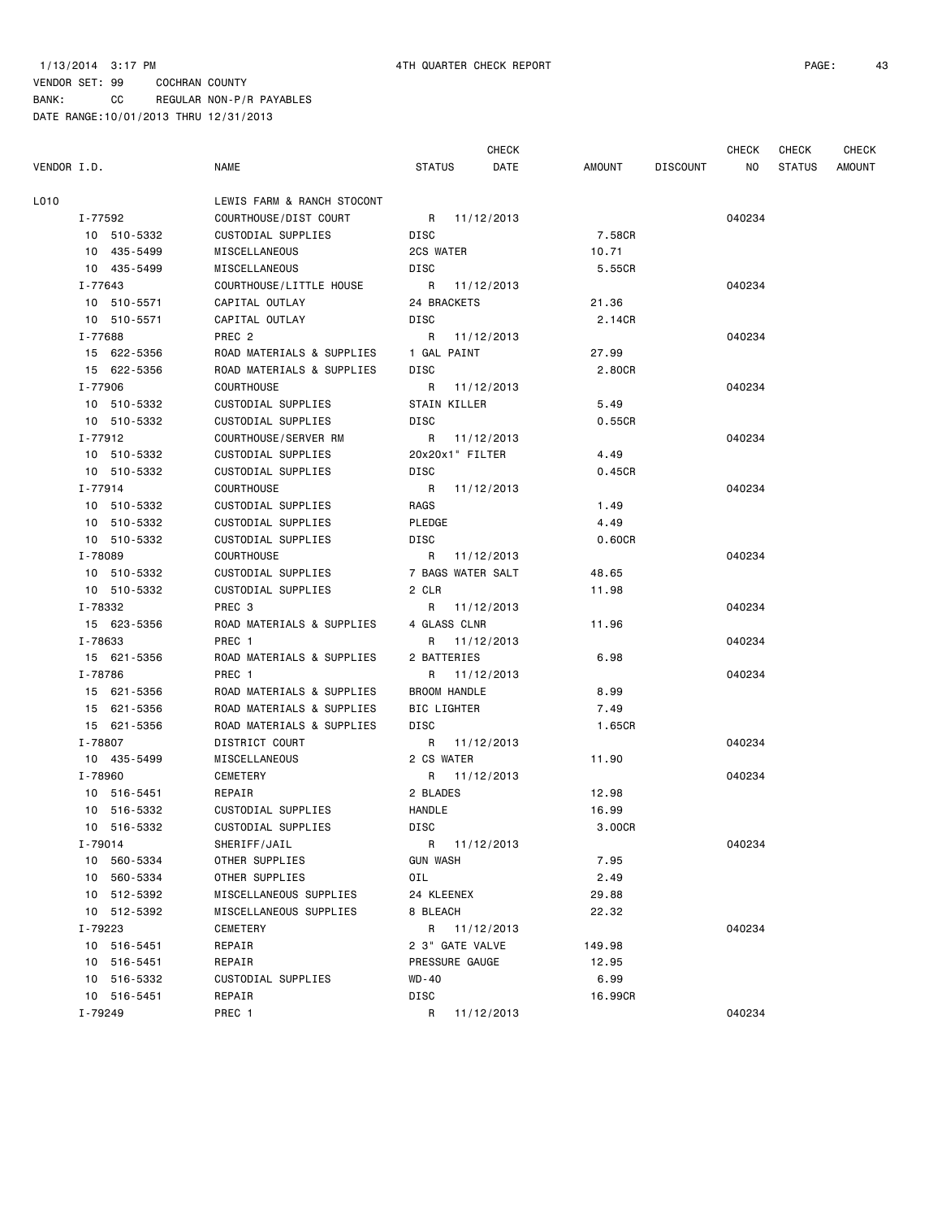CHECK CHECK CHECK CHECK

| VENDOR I.D. |                | <b>NAME</b>                | STATUS<br>DATE    | AMOUNT  | DISCOUNT<br>NO L | STATUS | AMOUNT |
|-------------|----------------|----------------------------|-------------------|---------|------------------|--------|--------|
| L010        |                | LEWIS FARM & RANCH STOCONT |                   |         |                  |        |        |
|             | I-77592        | COURTHOUSE/DIST COURT      | R 11/12/2013      |         | 040234           |        |        |
|             | 10 510-5332    | CUSTODIAL SUPPLIES         | DISC              | 7.58CR  |                  |        |        |
|             | 10 435-5499    | MISCELLANEOUS              | 2CS WATER         | 10.71   |                  |        |        |
|             | 10 435-5499    | MISCELLANEOUS              | DISC              | 5.55CR  |                  |        |        |
|             | I-77643        | COURTHOUSE/LITTLE HOUSE    | R 11/12/2013      |         | 040234           |        |        |
|             | 10 510-5571    | CAPITAL OUTLAY             | 24 BRACKETS       | 21.36   |                  |        |        |
|             | 10 510-5571    | CAPITAL OUTLAY             | DISC              | 2.14CR  |                  |        |        |
|             | I-77688        | PREC <sub>2</sub>          | R 11/12/2013      |         | 040234           |        |        |
|             | 15 622-5356    | ROAD MATERIALS & SUPPLIES  | 1 GAL PAINT       | 27.99   |                  |        |        |
|             | 15 622-5356    | ROAD MATERIALS & SUPPLIES  | DISC              | 2.80CR  |                  |        |        |
|             | I-77906        | <b>COURTHOUSE</b>          | R 11/12/2013      |         | 040234           |        |        |
|             | 10 510-5332    | CUSTODIAL SUPPLIES         | STAIN KILLER      | 5.49    |                  |        |        |
|             | 10 510-5332    | CUSTODIAL SUPPLIES         | DISC              | 0.55CR  |                  |        |        |
|             | I-77912        | COURTHOUSE/SERVER RM       | R 11/12/2013      |         | 040234           |        |        |
|             | 10 510-5332    | CUSTODIAL SUPPLIES         | 20x20x1" FILTER   | 4.49    |                  |        |        |
|             | 10 510-5332    | CUSTODIAL SUPPLIES         | DISC              | 0.45CR  |                  |        |        |
|             | I-77914        | <b>COURTHOUSE</b>          | R 11/12/2013      |         | 040234           |        |        |
|             | 10 510-5332    | CUSTODIAL SUPPLIES         | RAGS              | 1.49    |                  |        |        |
|             | 10 510-5332    | CUSTODIAL SUPPLIES         | PLEDGE            | 4.49    |                  |        |        |
|             | 10 510-5332    | CUSTODIAL SUPPLIES         | DISC              | 0.60CR  |                  |        |        |
|             | I-78089        | <b>COURTHOUSE</b>          | R 11/12/2013      |         | 040234           |        |        |
|             | 10 510-5332    | CUSTODIAL SUPPLIES         | 7 BAGS WATER SALT | 48.65   |                  |        |        |
|             | 10 510-5332    | CUSTODIAL SUPPLIES         | 2 CLR             | 11.98   |                  |        |        |
|             | I-78332        | PREC 3                     | R 11/12/2013      |         | 040234           |        |        |
|             | 15 623-5356    | ROAD MATERIALS & SUPPLIES  | 4 GLASS CLNR      | 11.96   |                  |        |        |
|             | I-78633        | PREC 1                     | R 11/12/2013      |         | 040234           |        |        |
|             | 15 621-5356    | ROAD MATERIALS & SUPPLIES  | 2 BATTERIES       | 6.98    |                  |        |        |
|             | I-78786        | PREC 1                     | R 11/12/2013      |         | 040234           |        |        |
|             | 15 621-5356    | ROAD MATERIALS & SUPPLIES  | BROOM HANDLE      | 8.99    |                  |        |        |
|             | 15 621-5356    | ROAD MATERIALS & SUPPLIES  | BIC LIGHTER       | 7.49    |                  |        |        |
|             | 15 621-5356    | ROAD MATERIALS & SUPPLIES  | DISC              | 1.65CR  |                  |        |        |
|             | I-78807        | DISTRICT COURT             | R 11/12/2013      |         | 040234           |        |        |
|             | 10 435-5499    | MISCELLANEOUS              | 2 CS WATER        | 11.90   |                  |        |        |
|             | I-78960        | CEMETERY                   | R 11/12/2013      |         | 040234           |        |        |
|             | 10 516-5451    | REPAIR                     | 2 BLADES          | 12.98   |                  |        |        |
|             | 10 516-5332    | CUSTODIAL SUPPLIES         | HANDLE            | 16.99   |                  |        |        |
|             | 10 516-5332    | CUSTODIAL SUPPLIES         | DISC              | 3.00CR  |                  |        |        |
|             | I-79014        | SHERIFF/JAIL               | R 11/12/2013      |         | 040234           |        |        |
|             | 10 560-5334    | OTHER SUPPLIES             | <b>GUN WASH</b>   | 7.95    |                  |        |        |
|             | 560-5334<br>10 | OTHER SUPPLIES             | OIL               | 2.49    |                  |        |        |
|             | 10 512-5392    | MISCELLANEOUS SUPPLIES     | 24 KLEENEX        | 29.88   |                  |        |        |
|             | 10 512-5392    | MISCELLANEOUS SUPPLIES     | 8 BLEACH          | 22.32   |                  |        |        |
|             | I-79223        | CEMETERY                   | R 11/12/2013      |         | 040234           |        |        |
|             | 10 516-5451    | REPAIR                     | 2 3" GATE VALVE   | 149.98  |                  |        |        |
|             | 10 516-5451    | REPAIR                     | PRESSURE GAUGE    | 12.95   |                  |        |        |
|             | 10 516-5332    | CUSTODIAL SUPPLIES         | WD-40             | 6.99    |                  |        |        |
|             | 10 516-5451    | REPAIR                     | DISC              | 16.99CR |                  |        |        |
|             | I-79249        | PREC 1                     | R<br>11/12/2013   |         | 040234           |        |        |
|             |                |                            |                   |         |                  |        |        |
|             |                |                            |                   |         |                  |        |        |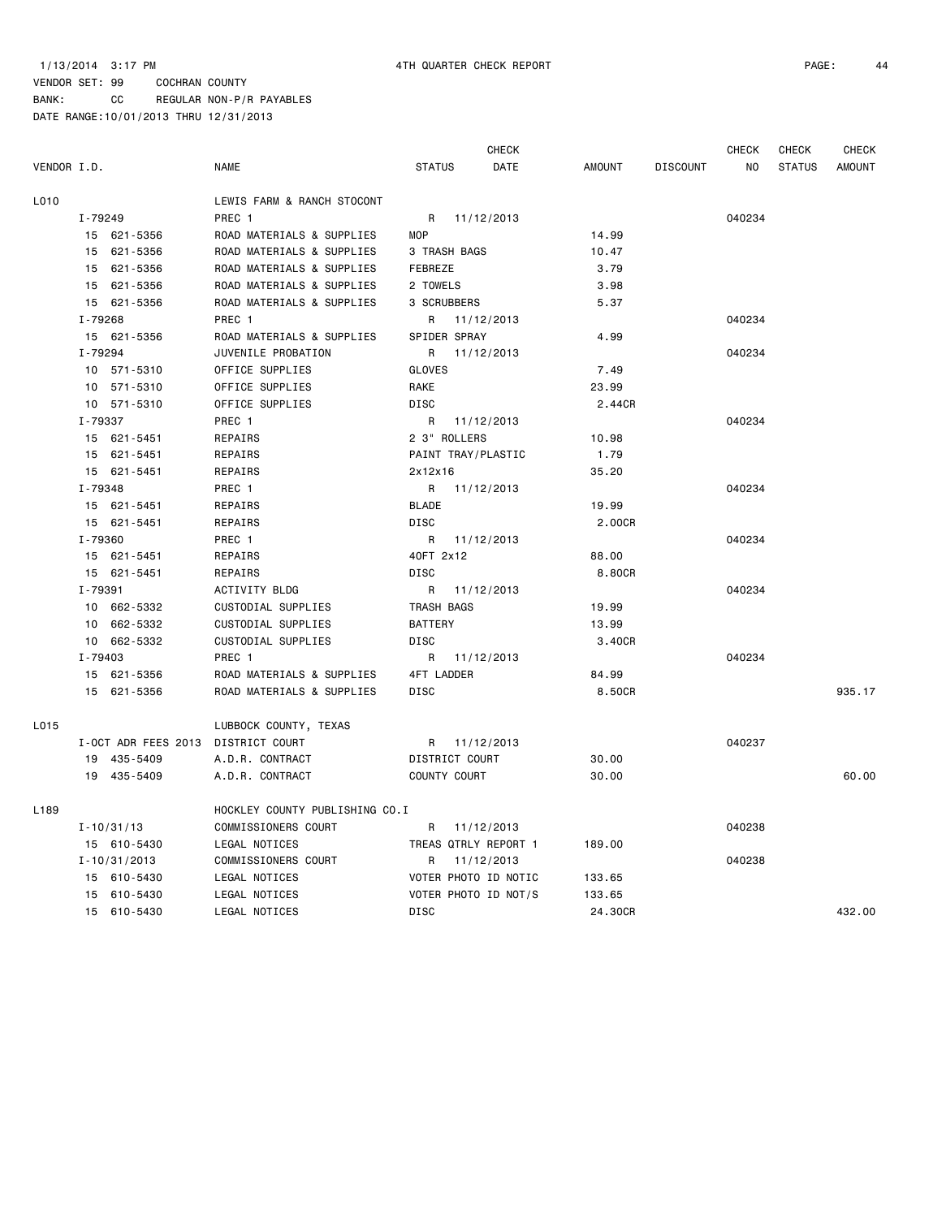CHECK CHECK CHECK CHECK

| VENDOR I.D.      |                     | NAME    |                                | <b>STATUS</b>  | DATE                 | AMOUNT  | <b>DISCOUNT</b> | NO     | <b>STATUS</b> | <b>AMOUNT</b> |
|------------------|---------------------|---------|--------------------------------|----------------|----------------------|---------|-----------------|--------|---------------|---------------|
| L010             |                     |         | LEWIS FARM & RANCH STOCONT     |                |                      |         |                 |        |               |               |
|                  | I-79249             | PREC 1  |                                |                | R 11/12/2013         |         |                 | 040234 |               |               |
|                  | 15 621-5356         |         | ROAD MATERIALS & SUPPLIES      | <b>MOP</b>     |                      | 14.99   |                 |        |               |               |
|                  | 15 621-5356         |         | ROAD MATERIALS & SUPPLIES      |                | 3 TRASH BAGS         | 10.47   |                 |        |               |               |
|                  | 15 621-5356         |         | ROAD MATERIALS & SUPPLIES      | FEBREZE        |                      | 3.79    |                 |        |               |               |
|                  | 15 621-5356         |         | ROAD MATERIALS & SUPPLIES      | 2 TOWELS       |                      | 3.98    |                 |        |               |               |
|                  | 15 621-5356         |         | ROAD MATERIALS & SUPPLIES      | 3 SCRUBBERS    |                      | 5.37    |                 |        |               |               |
|                  | I-79268             | PREC 1  |                                |                | R 11/12/2013         |         |                 | 040234 |               |               |
|                  | 15 621-5356         |         | ROAD MATERIALS & SUPPLIES      |                | SPIDER SPRAY         | 4.99    |                 |        |               |               |
|                  | I-79294             |         | JUVENILE PROBATION             |                | R 11/12/2013         |         |                 | 040234 |               |               |
|                  | 10 571-5310         |         | OFFICE SUPPLIES                | GLOVES         |                      | 7.49    |                 |        |               |               |
|                  | 10 571-5310         |         | OFFICE SUPPLIES                | RAKE           |                      | 23.99   |                 |        |               |               |
|                  | 10 571-5310         |         | OFFICE SUPPLIES                | <b>DISC</b>    |                      | 2.44CR  |                 |        |               |               |
|                  | I-79337             | PREC 1  |                                |                | R 11/12/2013         |         |                 | 040234 |               |               |
|                  | 15 621-5451         | REPAIRS |                                |                | 2 3" ROLLERS         | 10.98   |                 |        |               |               |
|                  | 15 621-5451         | REPAIRS |                                |                | PAINT TRAY/PLASTIC   | 1.79    |                 |        |               |               |
|                  | 15 621-5451         | REPAIRS |                                | 2x12x16        |                      | 35.20   |                 |        |               |               |
|                  | I-79348             | PREC 1  |                                | R              | 11/12/2013           |         |                 | 040234 |               |               |
|                  | 15 621-5451         | REPAIRS |                                | <b>BLADE</b>   |                      | 19.99   |                 |        |               |               |
|                  | 15 621-5451         | REPAIRS |                                | <b>DISC</b>    |                      | 2.00CR  |                 |        |               |               |
|                  | I-79360             | PREC 1  |                                |                | R 11/12/2013         |         |                 | 040234 |               |               |
|                  | 15 621-5451         | REPAIRS |                                | 40FT 2x12      |                      | 88.00   |                 |        |               |               |
|                  | 15 621-5451         | REPAIRS |                                | DISC           |                      | 8.80CR  |                 |        |               |               |
|                  | I-79391             |         | ACTIVITY BLDG                  |                | R 11/12/2013         |         |                 | 040234 |               |               |
|                  | 10 662-5332         |         | CUSTODIAL SUPPLIES             | TRASH BAGS     |                      | 19.99   |                 |        |               |               |
|                  | 10 662-5332         |         | CUSTODIAL SUPPLIES             | <b>BATTERY</b> |                      | 13.99   |                 |        |               |               |
|                  | 10 662-5332         |         | CUSTODIAL SUPPLIES             | DISC           |                      | 3.40CR  |                 |        |               |               |
|                  | I-79403             | PREC 1  |                                | R              | 11/12/2013           |         |                 | 040234 |               |               |
|                  | 15 621-5356         |         | ROAD MATERIALS & SUPPLIES      | 4FT LADDER     |                      | 84.99   |                 |        |               |               |
|                  | 15 621-5356         |         | ROAD MATERIALS & SUPPLIES      | DISC           |                      | 8.50CR  |                 |        |               | 935.17        |
| L015             |                     |         | LUBBOCK COUNTY, TEXAS          |                |                      |         |                 |        |               |               |
|                  | I-OCT ADR FEES 2013 |         | DISTRICT COURT                 |                | R 11/12/2013         |         |                 | 040237 |               |               |
|                  | 19 435-5409         |         | A.D.R. CONTRACT                |                | DISTRICT COURT       | 30.00   |                 |        |               |               |
|                  | 19 435-5409         |         | A.D.R. CONTRACT                |                | COUNTY COURT         | 30.00   |                 |        |               | 60.00         |
| L <sub>189</sub> |                     |         | HOCKLEY COUNTY PUBLISHING CO.I |                |                      |         |                 |        |               |               |
|                  | $I - 10/31/13$      |         | COMMISSIONERS COURT            |                | R 11/12/2013         |         |                 | 040238 |               |               |
|                  | 15 610-5430         |         | LEGAL NOTICES                  |                | TREAS QTRLY REPORT 1 | 189.00  |                 |        |               |               |
|                  | $I - 10/31/2013$    |         | COMMISSIONERS COURT            | R              | 11/12/2013           |         |                 | 040238 |               |               |
|                  | 15 610-5430         |         | LEGAL NOTICES                  |                | VOTER PHOTO ID NOTIC | 133.65  |                 |        |               |               |
|                  | 15 610-5430         |         | LEGAL NOTICES                  |                | VOTER PHOTO ID NOT/S | 133.65  |                 |        |               |               |
|                  | 15 610-5430         |         | LEGAL NOTICES                  | <b>DISC</b>    |                      | 24.30CR |                 |        |               | 432.00        |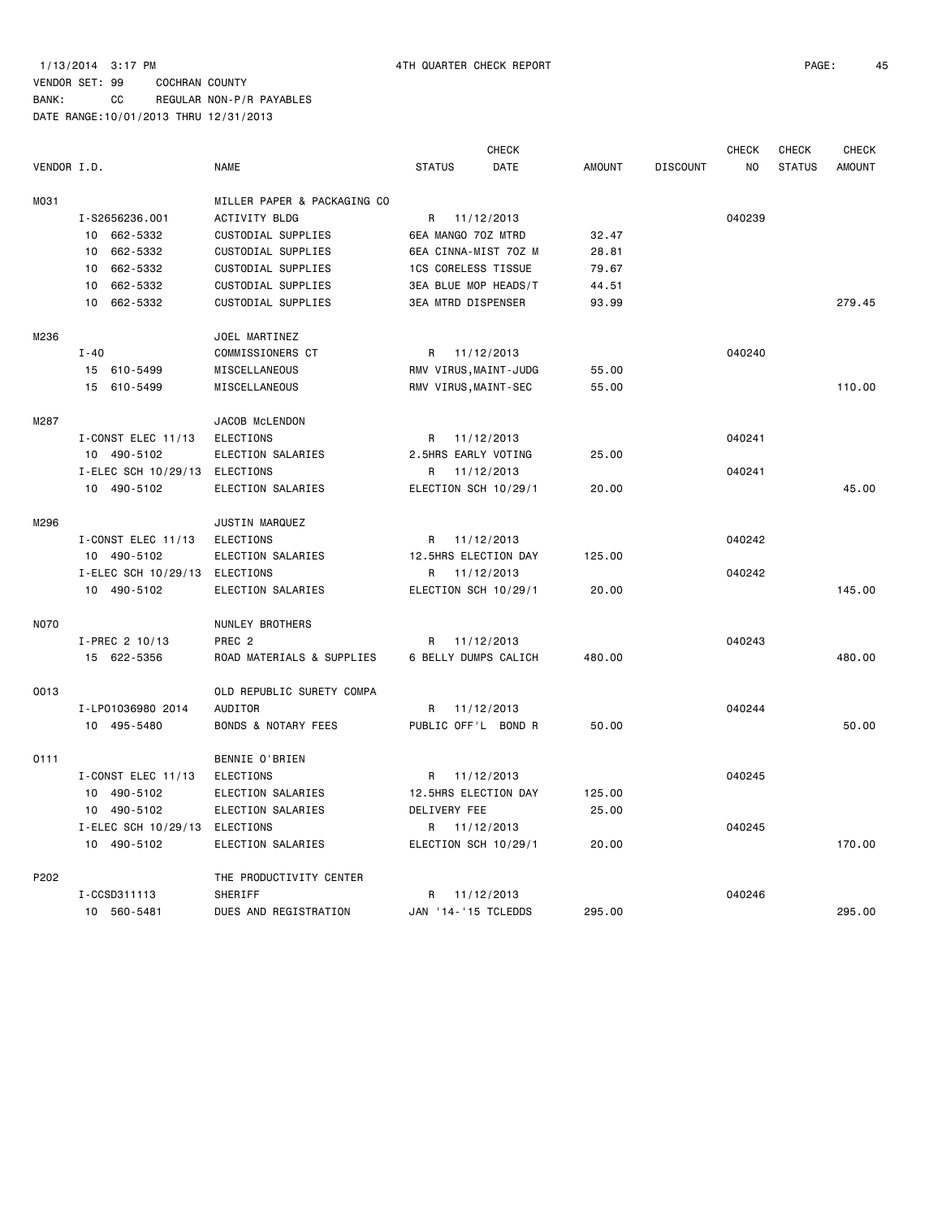|             |                     |                                |                           | <b>CHECK</b> |               |                 | <b>CHECK</b> | <b>CHECK</b>  | <b>CHECK</b>  |
|-------------|---------------------|--------------------------------|---------------------------|--------------|---------------|-----------------|--------------|---------------|---------------|
| VENDOR I.D. |                     | <b>NAME</b>                    | <b>STATUS</b>             | <b>DATE</b>  | <b>AMOUNT</b> | <b>DISCOUNT</b> | NO           | <b>STATUS</b> | <b>AMOUNT</b> |
| M031        |                     | MILLER PAPER & PACKAGING CO    |                           |              |               |                 |              |               |               |
|             | I-S2656236.001      | ACTIVITY BLDG                  | R                         | 11/12/2013   |               |                 | 040239       |               |               |
|             | 10 662-5332         | CUSTODIAL SUPPLIES             | 6EA MANGO 70Z MTRD        |              | 32.47         |                 |              |               |               |
|             | 662-5332<br>10      | CUSTODIAL SUPPLIES             | 6EA CINNA-MIST 70Z M      |              | 28.81         |                 |              |               |               |
|             | 662-5332<br>10      | CUSTODIAL SUPPLIES             | 1CS CORELESS TISSUE       |              | 79.67         |                 |              |               |               |
|             | 662-5332<br>10      | CUSTODIAL SUPPLIES             | 3EA BLUE MOP HEADS/T      |              | 44.51         |                 |              |               |               |
|             | 662-5332<br>10      | CUSTODIAL SUPPLIES             | <b>3EA MTRD DISPENSER</b> |              | 93.99         |                 |              |               | 279.45        |
| M236        |                     | JOEL MARTINEZ                  |                           |              |               |                 |              |               |               |
|             | $I - 40$            | COMMISSIONERS CT               | R                         | 11/12/2013   |               |                 | 040240       |               |               |
|             | 15 610-5499         | MISCELLANEOUS                  | RMV VIRUS, MAINT-JUDG     |              | 55.00         |                 |              |               |               |
|             | 15 610-5499         | MISCELLANEOUS                  | RMV VIRUS, MAINT-SEC      |              | 55.00         |                 |              |               | 110.00        |
| M287        |                     | JACOB McLENDON                 |                           |              |               |                 |              |               |               |
|             | I-CONST ELEC 11/13  | <b>ELECTIONS</b>               | R                         | 11/12/2013   |               |                 | 040241       |               |               |
|             | 10 490-5102         | ELECTION SALARIES              | 2.5HRS EARLY VOTING       |              | 25,00         |                 |              |               |               |
|             | I-ELEC SCH 10/29/13 | ELECTIONS                      | R                         | 11/12/2013   |               |                 | 040241       |               |               |
|             | 10 490-5102         | ELECTION SALARIES              | ELECTION SCH 10/29/1      |              | 20.00         |                 |              |               | 45.00         |
| M296        |                     | JUSTIN MARQUEZ                 |                           |              |               |                 |              |               |               |
|             | I-CONST ELEC 11/13  | <b>ELECTIONS</b>               | R                         | 11/12/2013   |               |                 | 040242       |               |               |
|             | 10 490-5102         | ELECTION SALARIES              | 12.5HRS ELECTION DAY      |              | 125.00        |                 |              |               |               |
|             | I-ELEC SCH 10/29/13 | ELECTIONS                      | R                         | 11/12/2013   |               |                 | 040242       |               |               |
|             | 10 490-5102         | ELECTION SALARIES              | ELECTION SCH 10/29/1      |              | 20.00         |                 |              |               | 145.00        |
| <b>N070</b> |                     | NUNLEY BROTHERS                |                           |              |               |                 |              |               |               |
|             | I-PREC 2 10/13      | PREC <sub>2</sub>              | R                         | 11/12/2013   |               |                 | 040243       |               |               |
|             | 15 622-5356         | ROAD MATERIALS & SUPPLIES      | 6 BELLY DUMPS CALICH      |              | 480.00        |                 |              |               | 480.00        |
| 0013        |                     | OLD REPUBLIC SURETY COMPA      |                           |              |               |                 |              |               |               |
|             | I-LP01036980 2014   | AUDITOR                        | R                         | 11/12/2013   |               |                 | 040244       |               |               |
|             | 10 495-5480         | <b>BONDS &amp; NOTARY FEES</b> | PUBLIC OFF'L BOND R       |              | 50.00         |                 |              |               | 50.00         |
| 0111        |                     | BENNIE O'BRIEN                 |                           |              |               |                 |              |               |               |
|             | I-CONST ELEC 11/13  | <b>ELECTIONS</b>               | $R_{\parallel}$           | 11/12/2013   |               |                 | 040245       |               |               |
|             | 10 490-5102         | ELECTION SALARIES              | 12.5HRS ELECTION DAY      |              | 125.00        |                 |              |               |               |
|             | 10 490-5102         | ELECTION SALARIES              | DELIVERY FEE              |              | 25.00         |                 |              |               |               |
|             | I-ELEC SCH 10/29/13 | ELECTIONS                      | R                         | 11/12/2013   |               |                 | 040245       |               |               |
|             | 10 490-5102         | ELECTION SALARIES              | ELECTION SCH 10/29/1      |              | 20,00         |                 |              |               | 170.00        |
| P202        |                     | THE PRODUCTIVITY CENTER        |                           |              |               |                 |              |               |               |
|             | I-CCSD311113        | SHERIFF                        | R                         | 11/12/2013   |               |                 | 040246       |               |               |
|             | 10 560-5481         | DUES AND REGISTRATION          | JAN '14-'15 TCLEDDS       |              | 295.00        |                 |              |               | 295.00        |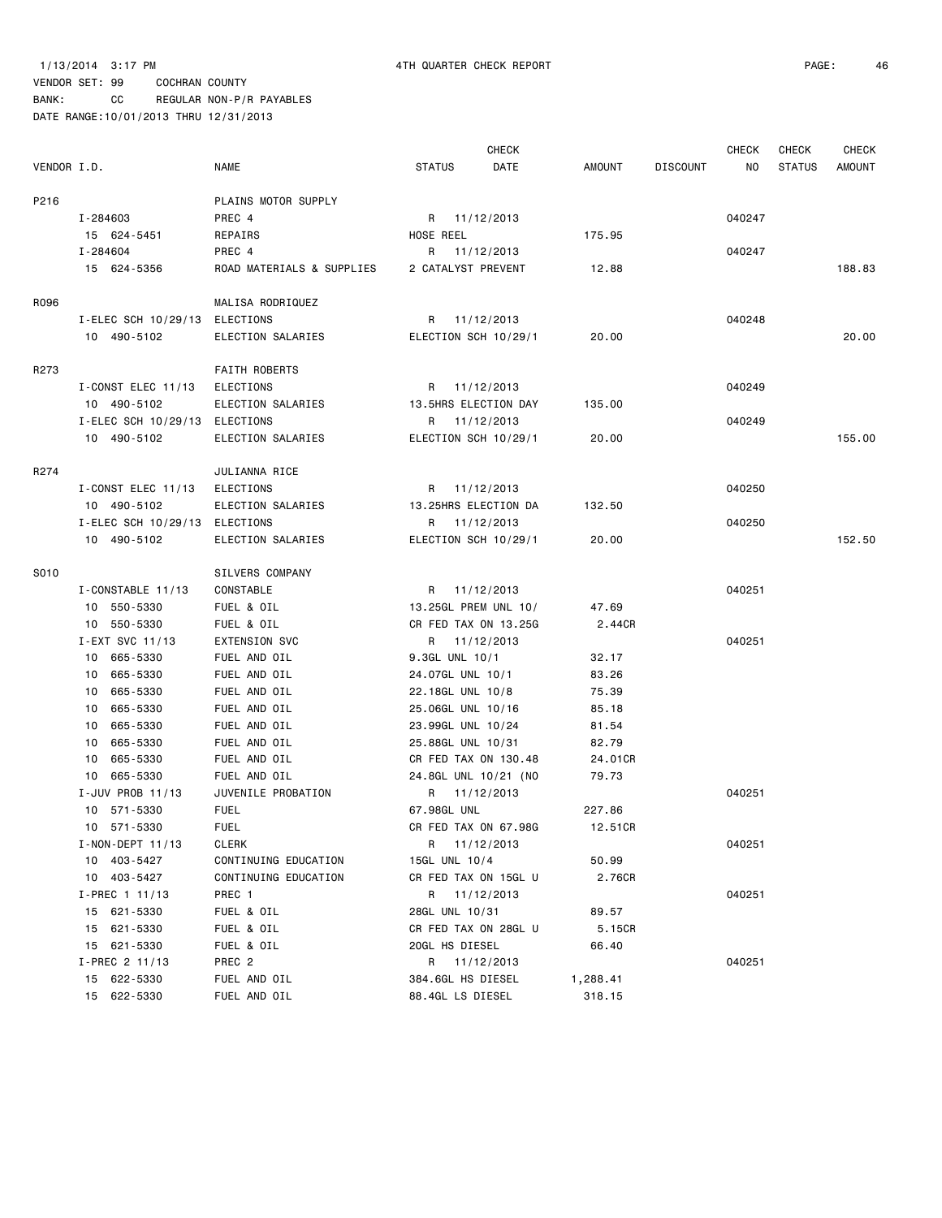BANK: CC REGULAR NON-P/R PAYABLES

|             |                        |                           |                      | <b>CHECK</b> |               |                 | <b>CHECK</b> | <b>CHECK</b>  | <b>CHECK</b> |
|-------------|------------------------|---------------------------|----------------------|--------------|---------------|-----------------|--------------|---------------|--------------|
| VENDOR I.D. |                        | <b>NAME</b>               | <b>STATUS</b>        | DATE         | <b>AMOUNT</b> | <b>DISCOUNT</b> | NO.          | <b>STATUS</b> | AMOUNT       |
| P216        |                        | PLAINS MOTOR SUPPLY       |                      |              |               |                 |              |               |              |
|             | I-284603               | PREC 4                    | R 11/12/2013         |              |               |                 | 040247       |               |              |
|             | 15 624-5451            | REPAIRS                   | HOSE REEL            |              | 175.95        |                 |              |               |              |
|             | I-284604               | PREC 4                    | R 11/12/2013         |              |               |                 | 040247       |               |              |
|             | 15 624-5356            | ROAD MATERIALS & SUPPLIES | 2 CATALYST PREVENT   |              | 12.88         |                 |              |               | 188.83       |
| R096        |                        | MALISA RODRIQUEZ          |                      |              |               |                 |              |               |              |
|             | I-ELEC SCH 10/29/13    | <b>ELECTIONS</b>          | R 11/12/2013         |              |               |                 | 040248       |               |              |
|             | 10 490-5102            | ELECTION SALARIES         | ELECTION SCH 10/29/1 |              | 20.00         |                 |              |               | 20.00        |
| R273        |                        | <b>FAITH ROBERTS</b>      |                      |              |               |                 |              |               |              |
|             | $I$ -CONST ELEC 11/13  | ELECTIONS                 | R 11/12/2013         |              |               |                 | 040249       |               |              |
|             | 10 490-5102            | ELECTION SALARIES         | 13.5HRS ELECTION DAY |              | 135.00        |                 |              |               |              |
|             | I-ELEC SCH 10/29/13    | ELECTIONS                 | R 11/12/2013         |              |               |                 | 040249       |               |              |
|             | 10 490-5102            | ELECTION SALARIES         | ELECTION SCH 10/29/1 |              | 20.00         |                 |              |               | 155.00       |
| R274        |                        | JULIANNA RICE             |                      |              |               |                 |              |               |              |
|             | I-CONST ELEC 11/13     | ELECTIONS                 | R 11/12/2013         |              |               |                 | 040250       |               |              |
|             | 10 490-5102            | ELECTION SALARIES         | 13.25HRS ELECTION DA |              | 132.50        |                 |              |               |              |
|             | I-ELEC SCH 10/29/13    | ELECTIONS                 | R 11/12/2013         |              |               |                 | 040250       |               |              |
|             | 10 490-5102            | ELECTION SALARIES         | ELECTION SCH 10/29/1 |              | 20.00         |                 |              |               | 152.50       |
| S010        |                        | SILVERS COMPANY           |                      |              |               |                 |              |               |              |
|             | I-CONSTABLE 11/13      | CONSTABLE                 | R 11/12/2013         |              |               |                 | 040251       |               |              |
|             | 10 550-5330            | FUEL & OIL                | 13.25GL PREM UNL 10/ |              | 47.69         |                 |              |               |              |
|             | 10 550-5330            | FUEL & OIL                | CR FED TAX ON 13.25G |              | 2.44CR        |                 |              |               |              |
|             | I-EXT SVC 11/13        | <b>EXTENSION SVC</b>      | R 11/12/2013         |              |               |                 | 040251       |               |              |
|             | 10 665-5330            | FUEL AND OIL              | 9.3GL UNL 10/1       |              | 32.17         |                 |              |               |              |
|             | 665-5330<br>10         | FUEL AND OIL              | 24.07GL UNL 10/1     |              | 83.26         |                 |              |               |              |
|             | 665-5330<br>10         | FUEL AND OIL              | 22.18GL UNL 10/8     |              | 75.39         |                 |              |               |              |
|             | 665-5330<br>10         | FUEL AND OIL              | 25.06GL UNL 10/16    |              | 85.18         |                 |              |               |              |
|             | 665-5330<br>10         | FUEL AND OIL              | 23.99GL UNL 10/24    |              | 81.54         |                 |              |               |              |
|             | 665-5330<br>10         | FUEL AND OIL              | 25.88GL UNL 10/31    |              | 82.79         |                 |              |               |              |
|             | 665-5330<br>10         | FUEL AND OIL              | CR FED TAX ON 130.48 |              | 24.01CR       |                 |              |               |              |
|             | 10 665-5330            | FUEL AND OIL              | 24.8GL UNL 10/21 (NO |              | 79.73         |                 |              |               |              |
|             | I-JUV PROB 11/13       | JUVENILE PROBATION        | R 11/12/2013         |              |               |                 | 040251       |               |              |
|             | 10 571-5330            | <b>FUEL</b>               | 67.98GL UNL          |              | 227.86        |                 |              |               |              |
|             | 10 571-5330            | <b>FUEL</b>               | CR FED TAX ON 67.98G |              | 12.51CR       |                 |              |               |              |
|             | $I - NON - DEPT 11/13$ | CLERK                     | R 11/12/2013         |              |               |                 | 040251       |               |              |
|             | 10 403-5427            | CONTINUING EDUCATION      | 15GL UNL 10/4        |              | 50.99         |                 |              |               |              |
|             | 10 403-5427            | CONTINUING EDUCATION      | CR FED TAX ON 15GL U |              | 2.76CR        |                 |              |               |              |
|             | $I-PREC$ 1 11/13       | PREC 1                    | R 11/12/2013         |              |               |                 | 040251       |               |              |
|             | 15 621-5330            | FUEL & OIL                | 28GL UNL 10/31       |              | 89.57         |                 |              |               |              |
|             | 15 621-5330            | FUEL & OIL                | CR FED TAX ON 28GL U |              | 5.15CR        |                 |              |               |              |
|             | 15 621-5330            | FUEL & OIL                | 20GL HS DIESEL       |              | 66.40         |                 |              |               |              |
|             | $I-PREC$ 2 11/13       | PREC 2                    | R 11/12/2013         |              |               |                 | 040251       |               |              |
|             | 15 622-5330            | FUEL AND OIL              | 384.6GL HS DIESEL    |              | 1,288.41      |                 |              |               |              |
|             | 15 622-5330            | FUEL AND OIL              | 88.4GL LS DIESEL     |              | 318.15        |                 |              |               |              |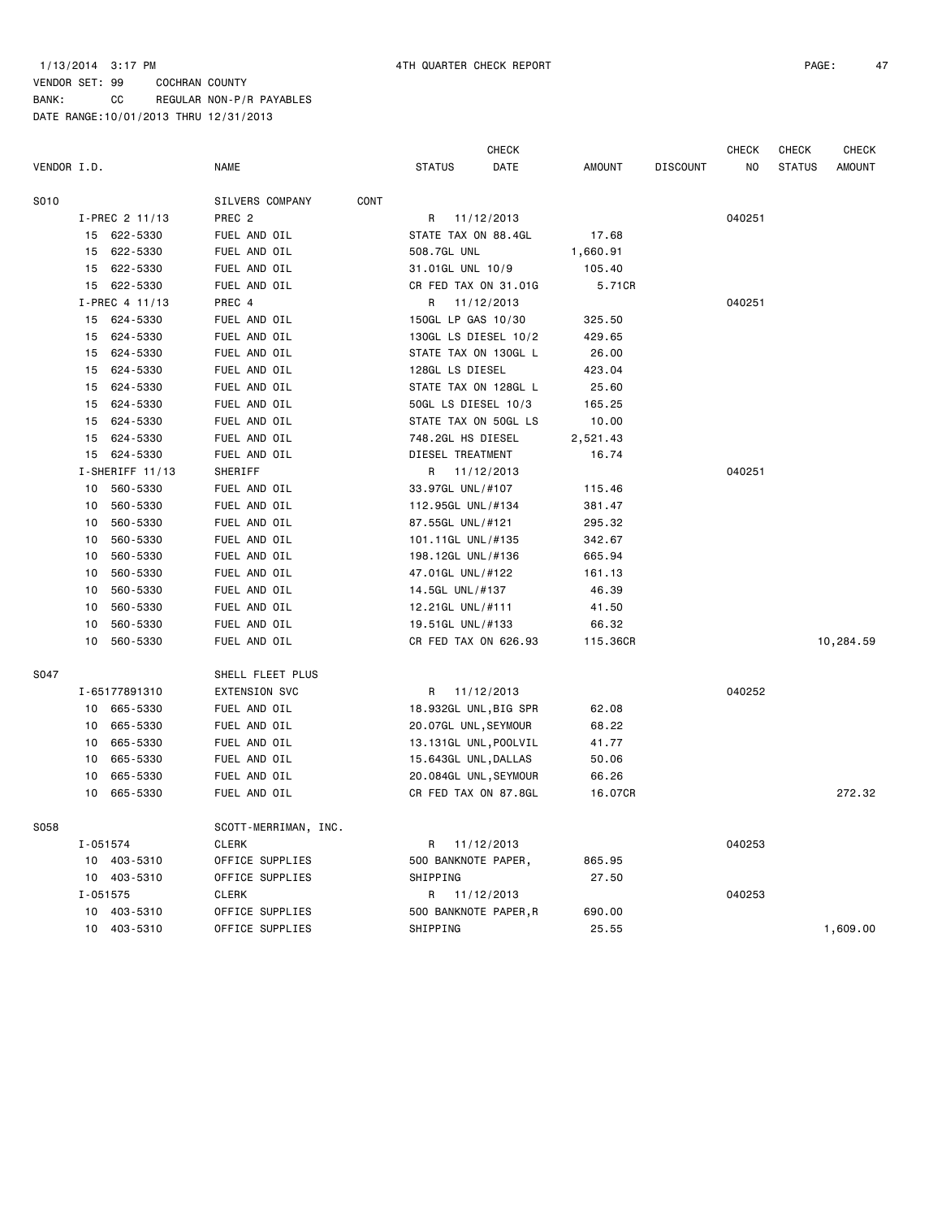### 1/13/2014 3:17 PM 4TH QUARTER CHECK REPORT PAGE: 47

|             |          |                   |                      |      |                       | <b>CHECK</b> |               |                 | CHECK  | <b>CHECK</b>  | CHECK         |
|-------------|----------|-------------------|----------------------|------|-----------------------|--------------|---------------|-----------------|--------|---------------|---------------|
| VENDOR I.D. |          |                   | <b>NAME</b>          |      | <b>STATUS</b>         | DATE         | <b>AMOUNT</b> | <b>DISCOUNT</b> | NO     | <b>STATUS</b> | <b>AMOUNT</b> |
| S010        |          |                   | SILVERS COMPANY      | CONT |                       |              |               |                 |        |               |               |
|             |          | I-PREC 2 11/13    | PREC <sub>2</sub>    |      | R                     | 11/12/2013   |               |                 | 040251 |               |               |
|             | 15       | 622-5330          | FUEL AND OIL         |      | STATE TAX ON 88.4GL   |              | 17.68         |                 |        |               |               |
|             | 15       | 622-5330          | FUEL AND OIL         |      | 508.7GL UNL           |              | 1,660.91      |                 |        |               |               |
|             | 15       | 622-5330          | FUEL AND OIL         |      | 31.01GL UNL 10/9      |              | 105.40        |                 |        |               |               |
|             | 15       | 622-5330          | FUEL AND OIL         |      | CR FED TAX ON 31.01G  |              | 5.71CR        |                 |        |               |               |
|             |          | I-PREC 4 11/13    | PREC 4               |      | R                     | 11/12/2013   |               |                 | 040251 |               |               |
|             | 15       | 624-5330          | FUEL AND OIL         |      | 150GL LP GAS 10/30    |              | 325.50        |                 |        |               |               |
|             | 15       | 624-5330          | FUEL AND OIL         |      | 130GL LS DIESEL 10/2  |              | 429.65        |                 |        |               |               |
|             | 15       | 624-5330          | FUEL AND OIL         |      | STATE TAX ON 130GL L  |              | 26.00         |                 |        |               |               |
|             | 15       | 624-5330          | FUEL AND OIL         |      | 128GL LS DIESEL       |              | 423.04        |                 |        |               |               |
|             | 15       | 624-5330          | FUEL AND OIL         |      | STATE TAX ON 128GL L  |              | 25.60         |                 |        |               |               |
|             | 15       | 624-5330          | FUEL AND OIL         |      | 50GL LS DIESEL 10/3   |              | 165.25        |                 |        |               |               |
|             | 15       | 624-5330          | FUEL AND OIL         |      | STATE TAX ON 50GL LS  |              | 10.00         |                 |        |               |               |
|             | 15       | 624-5330          | FUEL AND OIL         |      | 748.2GL HS DIESEL     |              | 2,521.43      |                 |        |               |               |
|             |          | 15 624-5330       | FUEL AND OIL         |      | DIESEL TREATMENT      |              | 16.74         |                 |        |               |               |
|             |          | $I-SHERIFF 11/13$ | SHERIFF              |      | R                     | 11/12/2013   |               |                 | 040251 |               |               |
|             | 10       | 560-5330          | FUEL AND OIL         |      | 33.97GL UNL/#107      |              | 115.46        |                 |        |               |               |
|             | 10       | 560-5330          | FUEL AND OIL         |      | 112.95GL UNL/#134     |              | 381.47        |                 |        |               |               |
|             | 10       | 560-5330          | FUEL AND OIL         |      | 87.55GL UNL/#121      |              | 295.32        |                 |        |               |               |
|             | 10       | 560-5330          | FUEL AND OIL         |      | 101.11GL UNL/#135     |              | 342.67        |                 |        |               |               |
|             | 10       | 560-5330          | FUEL AND OIL         |      | 198.12GL UNL/#136     |              | 665.94        |                 |        |               |               |
|             | 10       | 560-5330          | FUEL AND OIL         |      | 47.01GL UNL/#122      |              | 161.13        |                 |        |               |               |
|             | 10       | 560-5330          | FUEL AND OIL         |      | 14.5GL UNL/#137       |              | 46.39         |                 |        |               |               |
|             | 10       | 560-5330          | FUEL AND OIL         |      | 12.21GL UNL/#111      |              | 41.50         |                 |        |               |               |
|             | 10       | 560-5330          | FUEL AND OIL         |      | 19.51GL UNL/#133      |              | 66.32         |                 |        |               |               |
|             | 10       | 560-5330          | FUEL AND OIL         |      | CR FED TAX ON 626.93  |              | 115.36CR      |                 |        |               | 10,284.59     |
| S047        |          |                   | SHELL FLEET PLUS     |      |                       |              |               |                 |        |               |               |
|             |          | I-65177891310     | EXTENSION SVC        |      | R                     | 11/12/2013   |               |                 | 040252 |               |               |
|             |          | 10 665-5330       | FUEL AND OIL         |      | 18.932GL UNL, BIG SPR |              | 62.08         |                 |        |               |               |
|             | 10       | 665-5330          | FUEL AND OIL         |      | 20.07GL UNL, SEYMOUR  |              | 68.22         |                 |        |               |               |
|             | 10       | 665-5330          | FUEL AND OIL         |      | 13.131GL UNL, POOLVIL |              | 41.77         |                 |        |               |               |
|             | 10       | 665-5330          | FUEL AND OIL         |      | 15.643GL UNL, DALLAS  |              | 50.06         |                 |        |               |               |
|             | 10       | 665-5330          | FUEL AND OIL         |      | 20.084GL UNL, SEYMOUR |              | 66.26         |                 |        |               |               |
|             | 10       | 665-5330          | FUEL AND OIL         |      | CR FED TAX ON 87.8GL  |              | 16.07CR       |                 |        |               | 272.32        |
| S058        |          |                   | SCOTT-MERRIMAN, INC. |      |                       |              |               |                 |        |               |               |
|             | I-051574 |                   | <b>CLERK</b>         |      | R                     | 11/12/2013   |               |                 | 040253 |               |               |
|             |          | 10 403-5310       | OFFICE SUPPLIES      |      | 500 BANKNOTE PAPER,   |              | 865.95        |                 |        |               |               |
|             |          | 10 403-5310       | OFFICE SUPPLIES      |      | SHIPPING              |              | 27.50         |                 |        |               |               |
|             |          | $I - 051575$      | <b>CLERK</b>         |      | R                     | 11/12/2013   |               |                 | 040253 |               |               |
|             | 10       | 403-5310          | OFFICE SUPPLIES      |      | 500 BANKNOTE PAPER, R |              | 690.00        |                 |        |               |               |
|             | 10       | 403-5310          | OFFICE SUPPLIES      |      | SHIPPING              |              | 25.55         |                 |        |               | 1,609.00      |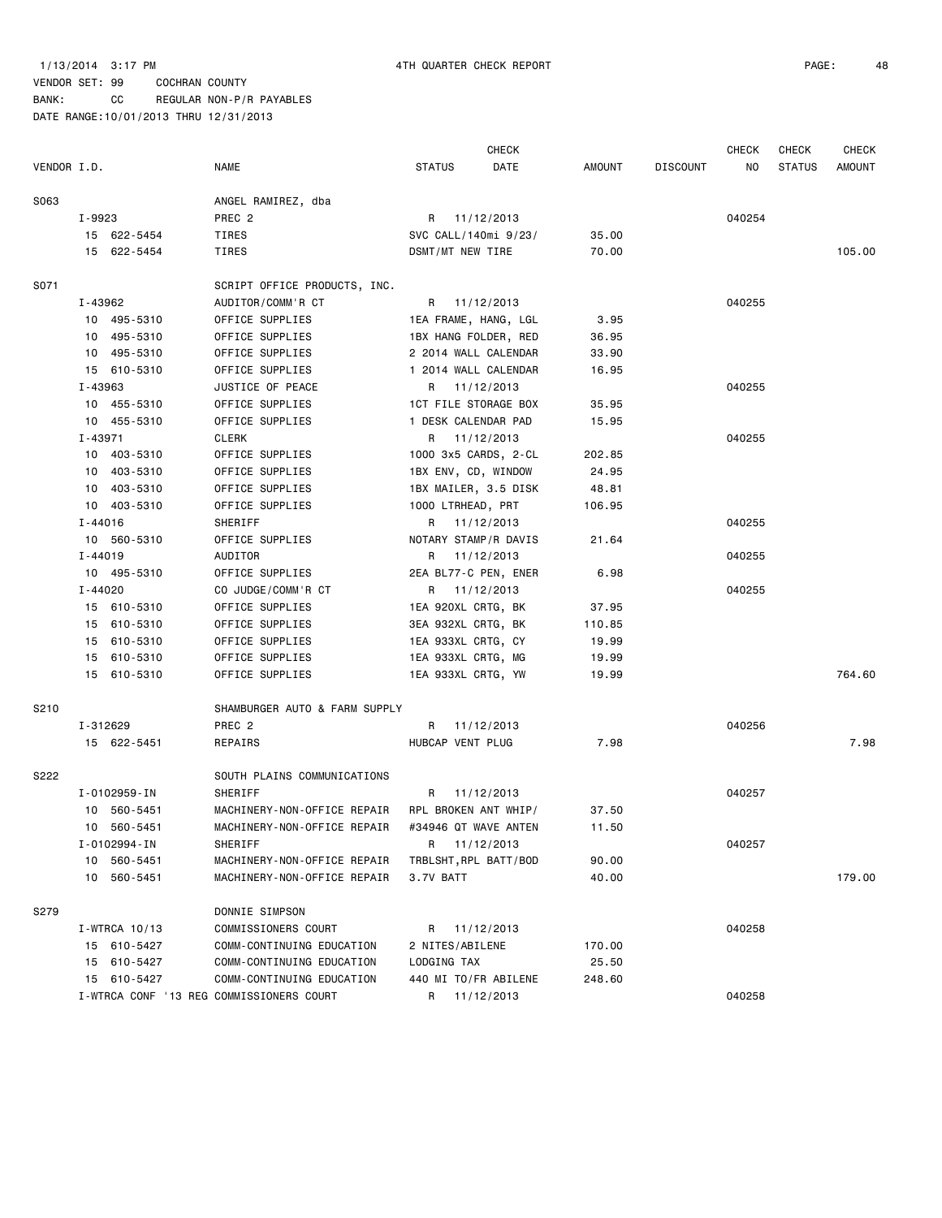|             |               |                                          |                       | <b>CHECK</b>         |        |                 | <b>CHECK</b> | <b>CHECK</b>  | <b>CHECK</b> |
|-------------|---------------|------------------------------------------|-----------------------|----------------------|--------|-----------------|--------------|---------------|--------------|
| VENDOR I.D. |               | <b>NAME</b>                              | <b>STATUS</b>         | DATE                 | AMOUNT | <b>DISCOUNT</b> | NO           | <b>STATUS</b> | AMOUNT       |
| S063        |               | ANGEL RAMIREZ, dba                       |                       |                      |        |                 |              |               |              |
|             | I-9923        | PREC <sub>2</sub>                        | R 11/12/2013          |                      |        |                 | 040254       |               |              |
|             | 15 622-5454   | TIRES                                    | SVC CALL/140mi 9/23/  |                      | 35.00  |                 |              |               |              |
|             | 15 622-5454   | TIRES                                    | DSMT/MT NEW TIRE      |                      | 70.00  |                 |              |               | 105.00       |
| S071        |               | SCRIPT OFFICE PRODUCTS, INC.             |                       |                      |        |                 |              |               |              |
|             | I-43962       | AUDITOR/COMM'R CT                        | R 11/12/2013          |                      |        |                 | 040255       |               |              |
|             | 10 495-5310   | OFFICE SUPPLIES                          | 1EA FRAME, HANG, LGL  |                      | 3.95   |                 |              |               |              |
|             | 10 495-5310   | OFFICE SUPPLIES                          | 1BX HANG FOLDER, RED  |                      | 36.95  |                 |              |               |              |
|             | 10 495-5310   | OFFICE SUPPLIES                          | 2 2014 WALL CALENDAR  |                      | 33.90  |                 |              |               |              |
|             | 15 610-5310   | OFFICE SUPPLIES                          | 1 2014 WALL CALENDAR  |                      | 16.95  |                 |              |               |              |
|             | I-43963       | JUSTICE OF PEACE                         | R 11/12/2013          |                      |        |                 | 040255       |               |              |
|             | 10 455-5310   | OFFICE SUPPLIES                          | 1CT FILE STORAGE BOX  |                      | 35.95  |                 |              |               |              |
|             | 10 455-5310   | OFFICE SUPPLIES                          | 1 DESK CALENDAR PAD   |                      | 15.95  |                 |              |               |              |
|             | I-43971       | CLERK                                    | R 11/12/2013          |                      |        |                 | 040255       |               |              |
|             | 10 403-5310   | OFFICE SUPPLIES                          | 1000 3x5 CARDS, 2-CL  |                      | 202.85 |                 |              |               |              |
|             | 10 403-5310   | OFFICE SUPPLIES                          | 1BX ENV, CD, WINDOW   |                      | 24.95  |                 |              |               |              |
|             | 10 403-5310   | OFFICE SUPPLIES                          | 1BX MAILER, 3.5 DISK  |                      | 48.81  |                 |              |               |              |
|             | 10 403-5310   | OFFICE SUPPLIES                          | 1000 LTRHEAD, PRT     |                      | 106.95 |                 |              |               |              |
|             | $I - 44016$   | SHERIFF                                  | R 11/12/2013          |                      |        |                 | 040255       |               |              |
|             | 10 560-5310   | OFFICE SUPPLIES                          | NOTARY STAMP/R DAVIS  |                      | 21.64  |                 |              |               |              |
|             | I-44019       | AUDITOR                                  | R 11/12/2013          |                      |        |                 | 040255       |               |              |
|             | 10 495-5310   | OFFICE SUPPLIES                          | 2EA BL77-C PEN, ENER  |                      | 6.98   |                 |              |               |              |
|             | $I - 44020$   | CO JUDGE/COMM'R CT                       | R 11/12/2013          |                      |        |                 | 040255       |               |              |
|             | 15 610-5310   | OFFICE SUPPLIES                          | 1EA 920XL CRTG, BK    |                      | 37.95  |                 |              |               |              |
|             | 15 610-5310   | OFFICE SUPPLIES                          | 3EA 932XL CRTG, BK    |                      | 110.85 |                 |              |               |              |
|             | 15 610-5310   | OFFICE SUPPLIES                          | 1EA 933XL CRTG, CY    |                      | 19.99  |                 |              |               |              |
|             | 15 610-5310   | OFFICE SUPPLIES                          | 1EA 933XL CRTG, MG    |                      | 19.99  |                 |              |               |              |
|             | 15 610-5310   | OFFICE SUPPLIES                          | 1EA 933XL CRTG, YW    |                      | 19.99  |                 |              |               | 764.60       |
| S210        |               | SHAMBURGER AUTO & FARM SUPPLY            |                       |                      |        |                 |              |               |              |
|             | I-312629      | PREC <sub>2</sub>                        | R 11/12/2013          |                      |        |                 | 040256       |               |              |
|             | 15 622-5451   | REPAIRS                                  | HUBCAP VENT PLUG      |                      | 7.98   |                 |              |               | 7.98         |
| S222        |               | SOUTH PLAINS COMMUNICATIONS              |                       |                      |        |                 |              |               |              |
|             | I-0102959-IN  | SHERIFF                                  | R 11/12/2013          |                      |        |                 | 040257       |               |              |
|             | 10 560-5451   | MACHINERY-NON-OFFICE REPAIR              | RPL BROKEN ANT WHIP/  |                      | 37.50  |                 |              |               |              |
|             | 10 560-5451   | MACHINERY-NON-OFFICE REPAIR              |                       | #34946 QT WAVE ANTEN | 11.50  |                 |              |               |              |
|             | I-0102994-IN  | SHERIFF                                  | R 11/12/2013          |                      |        |                 | 040257       |               |              |
|             | 10 560-5451   | MACHINERY-NON-OFFICE REPAIR              | TRBLSHT, RPL BATT/BOD |                      | 90.00  |                 |              |               |              |
|             | 10 560-5451   | MACHINERY-NON-OFFICE REPAIR              | 3.7V BATT             |                      | 40.00  |                 |              |               | 179.00       |
| S279        |               | DONNIE SIMPSON                           |                       |                      |        |                 |              |               |              |
|             | I-WTRCA 10/13 | COMMISSIONERS COURT                      | R 11/12/2013          |                      |        |                 | 040258       |               |              |
|             | 15 610-5427   | COMM-CONTINUING EDUCATION                | 2 NITES/ABILENE       |                      | 170.00 |                 |              |               |              |
|             | 15 610-5427   | COMM-CONTINUING EDUCATION                | LODGING TAX           |                      | 25.50  |                 |              |               |              |
|             | 15 610-5427   | COMM-CONTINUING EDUCATION                | 440 MI TO/FR ABILENE  |                      | 248.60 |                 |              |               |              |
|             |               | I-WTRCA CONF '13 REG COMMISSIONERS COURT | R 11/12/2013          |                      |        |                 | 040258       |               |              |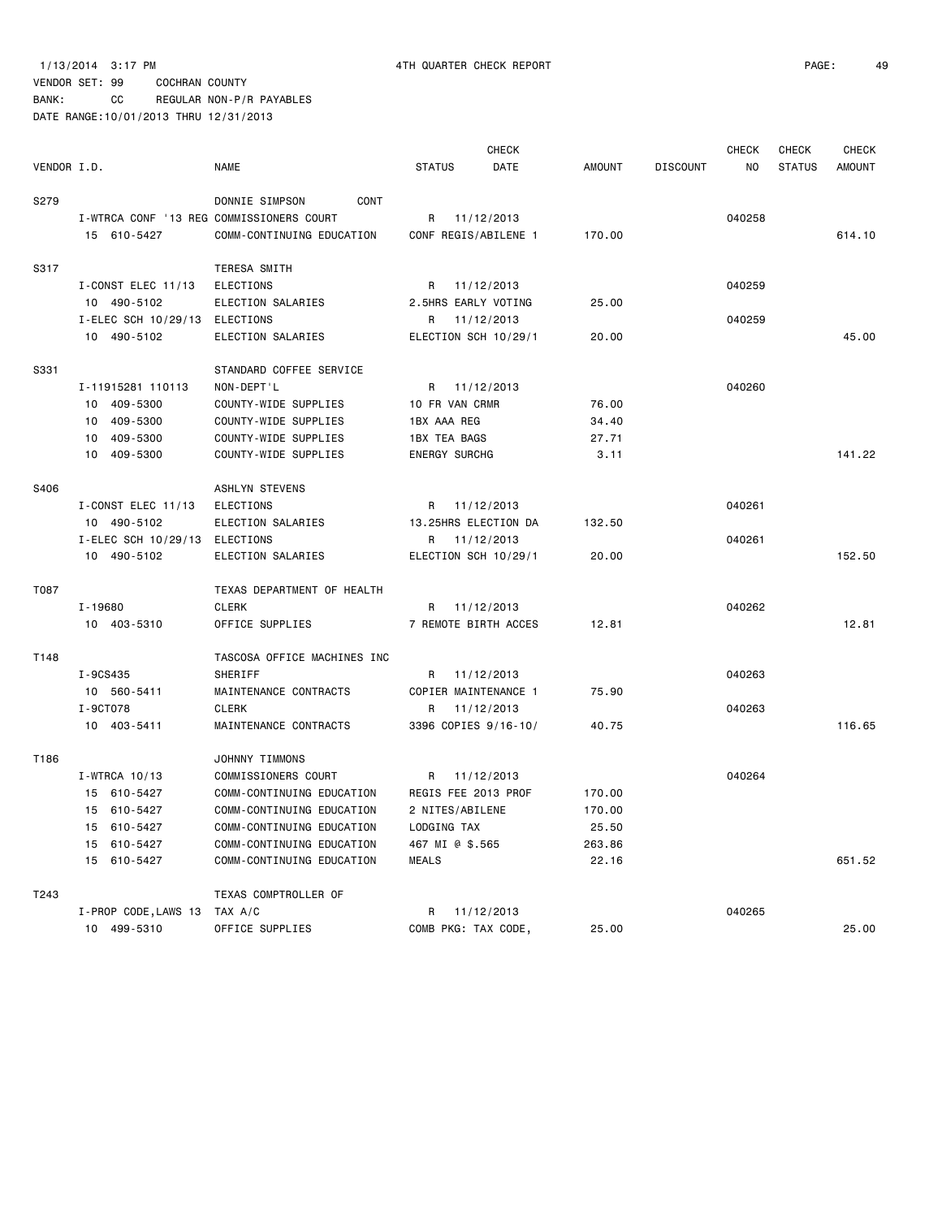BANK: CC REGULAR NON-P/R PAYABLES

|             |                                          |                             |                      | <b>CHECK</b> |               |                 | <b>CHECK</b> | <b>CHECK</b>  | <b>CHECK</b>  |
|-------------|------------------------------------------|-----------------------------|----------------------|--------------|---------------|-----------------|--------------|---------------|---------------|
| VENDOR I.D. |                                          | <b>NAME</b>                 | <b>STATUS</b>        | DATE         | <b>AMOUNT</b> | <b>DISCOUNT</b> | NO.          | <b>STATUS</b> | <b>AMOUNT</b> |
| S279        |                                          | DONNIE SIMPSON<br>CONT      |                      |              |               |                 |              |               |               |
|             | I-WIRCA CONF '13 REG COMMISSIONERS COURT |                             | R                    | 11/12/2013   |               |                 | 040258       |               |               |
|             | 15 610-5427                              | COMM-CONTINUING EDUCATION   | CONF REGIS/ABILENE 1 |              | 170.00        |                 |              |               | 614.10        |
| S317        |                                          | TERESA SMITH                |                      |              |               |                 |              |               |               |
|             | I-CONST ELEC 11/13                       | <b>ELECTIONS</b>            | R                    | 11/12/2013   |               |                 | 040259       |               |               |
|             | 10 490-5102                              | ELECTION SALARIES           | 2.5HRS EARLY VOTING  |              | 25.00         |                 |              |               |               |
|             | I-ELEC SCH 10/29/13 ELECTIONS            |                             | R 11/12/2013         |              |               |                 | 040259       |               |               |
|             | 10 490-5102                              | ELECTION SALARIES           | ELECTION SCH 10/29/1 |              | 20.00         |                 |              |               | 45.00         |
| S331        |                                          | STANDARD COFFEE SERVICE     |                      |              |               |                 |              |               |               |
|             | I-11915281 110113                        | NON-DEPT'L                  | R                    | 11/12/2013   |               |                 | 040260       |               |               |
|             | 10 409-5300                              | COUNTY-WIDE SUPPLIES        | 10 FR VAN CRMR       |              | 76.00         |                 |              |               |               |
|             | 409-5300<br>10                           | COUNTY-WIDE SUPPLIES        | 1BX AAA REG          |              | 34.40         |                 |              |               |               |
|             | 409-5300<br>10                           | COUNTY-WIDE SUPPLIES        | <b>1BX TEA BAGS</b>  |              | 27.71         |                 |              |               |               |
|             | 409-5300<br>10                           | COUNTY-WIDE SUPPLIES        | <b>ENERGY SURCHG</b> |              | 3.11          |                 |              |               | 141.22        |
| S406        |                                          | <b>ASHLYN STEVENS</b>       |                      |              |               |                 |              |               |               |
|             | I-CONST ELEC 11/13                       | ELECTIONS                   | R                    | 11/12/2013   |               |                 | 040261       |               |               |
|             | 10 490-5102                              | ELECTION SALARIES           | 13.25HRS ELECTION DA |              | 132.50        |                 |              |               |               |
|             | I-ELEC SCH 10/29/13                      | ELECTIONS                   | R                    | 11/12/2013   |               |                 | 040261       |               |               |
|             | 10 490-5102                              | ELECTION SALARIES           | ELECTION SCH 10/29/1 |              | 20.00         |                 |              |               | 152.50        |
| T087        |                                          | TEXAS DEPARTMENT OF HEALTH  |                      |              |               |                 |              |               |               |
|             | $I - 19680$                              | CLERK                       | R.                   | 11/12/2013   |               |                 | 040262       |               |               |
|             | 10 403-5310                              | OFFICE SUPPLIES             | 7 REMOTE BIRTH ACCES |              | 12.81         |                 |              |               | 12.81         |
| T148        |                                          | TASCOSA OFFICE MACHINES INC |                      |              |               |                 |              |               |               |
|             | I-9CS435                                 | SHERIFF                     | R                    | 11/12/2013   |               |                 | 040263       |               |               |
|             | 10 560-5411                              | MAINTENANCE CONTRACTS       | COPIER MAINTENANCE 1 |              | 75.90         |                 |              |               |               |
|             | I-9CT078                                 | <b>CLERK</b>                | R                    | 11/12/2013   |               |                 | 040263       |               |               |
|             | 10 403-5411                              | MAINTENANCE CONTRACTS       | 3396 COPIES 9/16-10/ |              | 40.75         |                 |              |               | 116.65        |
| T186        |                                          | JOHNNY TIMMONS              |                      |              |               |                 |              |               |               |
|             | I-WTRCA 10/13                            | COMMISSIONERS COURT         | R                    | 11/12/2013   |               |                 | 040264       |               |               |
|             | 15 610-5427                              | COMM-CONTINUING EDUCATION   | REGIS FEE 2013 PROF  |              | 170.00        |                 |              |               |               |
|             | 15 610-5427                              | COMM-CONTINUING EDUCATION   | 2 NITES/ABILENE      |              | 170.00        |                 |              |               |               |
|             | 15 610-5427                              | COMM-CONTINUING EDUCATION   | LODGING TAX          |              | 25.50         |                 |              |               |               |
|             | 15 610-5427                              | COMM-CONTINUING EDUCATION   | 467 MI @ \$.565      |              | 263.86        |                 |              |               |               |
|             | 15 610-5427                              | COMM-CONTINUING EDUCATION   | <b>MEALS</b>         |              | 22.16         |                 |              |               | 651.52        |
| T243        |                                          | TEXAS COMPTROLLER OF        |                      |              |               |                 |              |               |               |
|             | I-PROP CODE, LAWS 13                     | TAX A/C                     | R                    | 11/12/2013   |               |                 | 040265       |               |               |
|             | 10 499-5310                              | OFFICE SUPPLIES             | COMB PKG: TAX CODE,  |              | 25,00         |                 |              |               | 25,00         |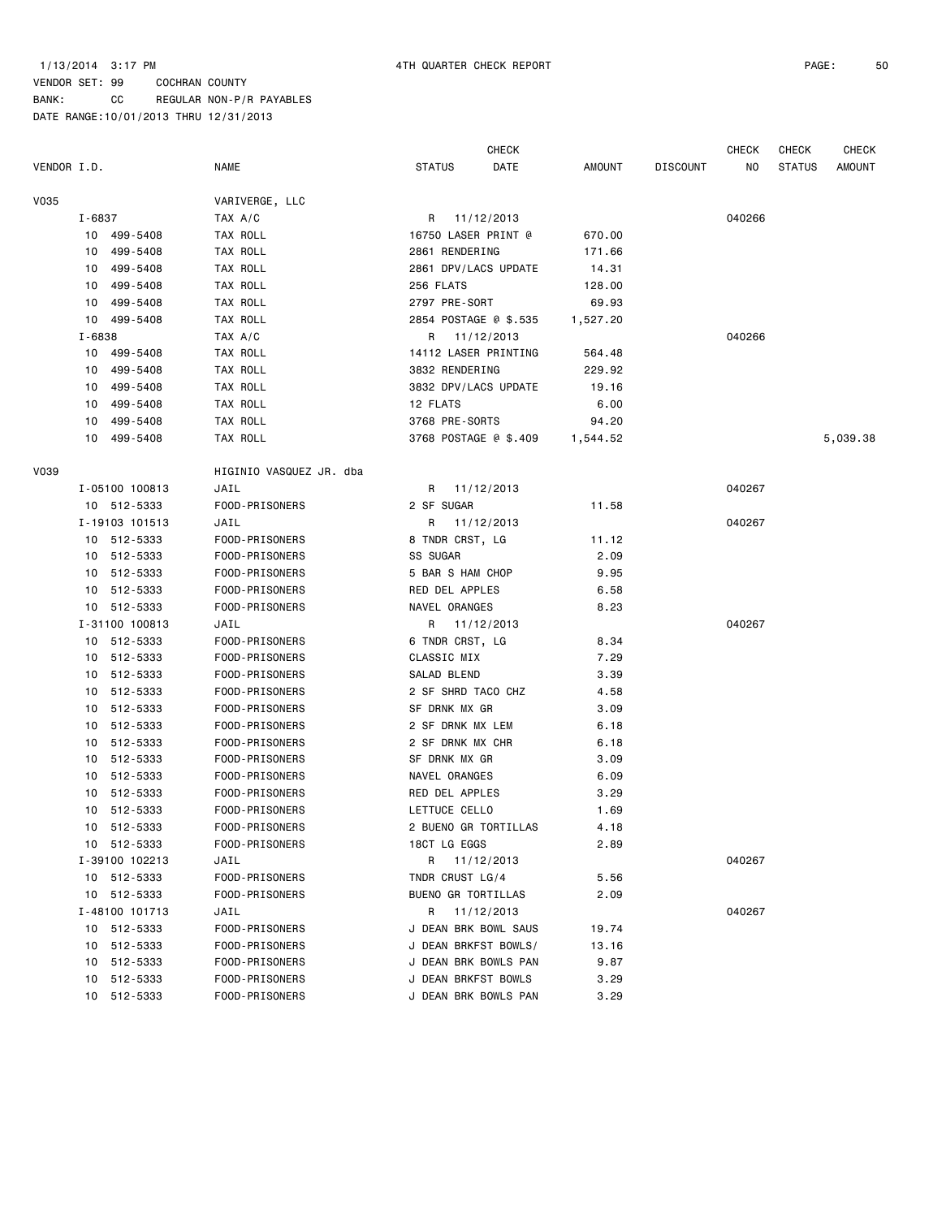BANK: CC REGULAR NON-P/R PAYABLES DATE RANGE:10/01/2013 THRU 12/31/2013

CHECK CHECK CHECK CHECK

| VENDOR I.D. |                | <b>NAME</b>             | <b>STATUS</b><br>DATE | AMOUNT   | <b>DISCOUNT</b> | NO.    | <b>STATUS</b> | <b>AMOUNT</b> |
|-------------|----------------|-------------------------|-----------------------|----------|-----------------|--------|---------------|---------------|
| V035        |                | VARIVERGE, LLC          |                       |          |                 |        |               |               |
|             | I-6837         | TAX A/C                 | R 11/12/2013          |          |                 | 040266 |               |               |
|             | 10 499-5408    | TAX ROLL                | 16750 LASER PRINT @   | 670.00   |                 |        |               |               |
|             | 10 499-5408    | TAX ROLL                | 2861 RENDERING        | 171.66   |                 |        |               |               |
|             | 10 499-5408    | TAX ROLL                | 2861 DPV/LACS UPDATE  | 14.31    |                 |        |               |               |
|             | 10 499-5408    | TAX ROLL                | 256 FLATS             | 128.00   |                 |        |               |               |
|             | 10 499-5408    | TAX ROLL                | 2797 PRE-SORT         | 69.93    |                 |        |               |               |
|             | 10 499-5408    | TAX ROLL                | 2854 POSTAGE @ \$.535 | 1,527.20 |                 |        |               |               |
|             | I-6838         | TAX A/C                 | R 11/12/2013          |          |                 | 040266 |               |               |
|             | 10 499-5408    | TAX ROLL                | 14112 LASER PRINTING  | 564.48   |                 |        |               |               |
|             | 10 499-5408    | TAX ROLL                | 3832 RENDERING        | 229.92   |                 |        |               |               |
|             | 10 499-5408    | TAX ROLL                | 3832 DPV/LACS UPDATE  | 19.16    |                 |        |               |               |
|             | 10 499-5408    | TAX ROLL                | 12 FLATS              | 6.00     |                 |        |               |               |
|             | 499-5408<br>10 | TAX ROLL                | 3768 PRE-SORTS        | 94.20    |                 |        |               |               |
|             | 10 499-5408    | TAX ROLL                | 3768 POSTAGE @ \$.409 | 1,544.52 |                 |        |               | 5,039.38      |
| V039        |                | HIGINIO VASQUEZ JR. dba |                       |          |                 |        |               |               |
|             | I-05100 100813 | JAIL                    | R 11/12/2013          |          |                 | 040267 |               |               |
|             | 10 512-5333    | FOOD-PRISONERS          | 2 SF SUGAR            | 11.58    |                 |        |               |               |
|             | I-19103 101513 | JAIL                    | R 11/12/2013          |          |                 | 040267 |               |               |
|             | 10 512-5333    | FOOD-PRISONERS          | 8 TNDR CRST, LG       | 11.12    |                 |        |               |               |
|             | 10 512-5333    | FOOD-PRISONERS          | SS SUGAR              | 2.09     |                 |        |               |               |
|             | 10 512-5333    | FOOD-PRISONERS          | 5 BAR S HAM CHOP      | 9.95     |                 |        |               |               |
|             | 10 512-5333    | FOOD-PRISONERS          | RED DEL APPLES        | 6.58     |                 |        |               |               |
|             | 10 512-5333    | FOOD-PRISONERS          | NAVEL ORANGES         | 8.23     |                 |        |               |               |
|             | I-31100 100813 | JAIL                    | R 11/12/2013          |          |                 | 040267 |               |               |
|             | 10 512-5333    | FOOD-PRISONERS          | 6 TNDR CRST, LG       | 8.34     |                 |        |               |               |
|             | 10 512-5333    | FOOD-PRISONERS          | CLASSIC MIX           | 7.29     |                 |        |               |               |
|             | 10 512-5333    | FOOD-PRISONERS          | SALAD BLEND           | 3.39     |                 |        |               |               |
|             | 10 512-5333    | FOOD-PRISONERS          | 2 SF SHRD TACO CHZ    | 4.58     |                 |        |               |               |
|             | 10 512-5333    | FOOD-PRISONERS          | SF DRNK MX GR         | 3.09     |                 |        |               |               |
|             | 10 512-5333    | FOOD-PRISONERS          | 2 SF DRNK MX LEM      | 6.18     |                 |        |               |               |
|             | 10 512-5333    | FOOD-PRISONERS          | 2 SF DRNK MX CHR      | 6.18     |                 |        |               |               |
|             | 10 512-5333    | FOOD-PRISONERS          | SF DRNK MX GR         | 3.09     |                 |        |               |               |
|             | 10 512-5333    | FOOD-PRISONERS          | NAVEL ORANGES         | 6.09     |                 |        |               |               |
|             | 10 512-5333    | FOOD-PRISONERS          | RED DEL APPLES        | 3.29     |                 |        |               |               |
|             | 10 512-5333    | FOOD-PRISONERS          | LETTUCE CELLO         | 1.69     |                 |        |               |               |
|             | 10 512-5333    | FOOD-PRISONERS          | 2 BUENO GR TORTILLAS  | 4.18     |                 |        |               |               |
|             | 10 512-5333    | FOOD-PRISONERS          | 18CT LG EGGS          | 2.89     |                 |        |               |               |
|             | I-39100 102213 | JAIL                    | R 11/12/2013          |          |                 | 040267 |               |               |
|             | 10 512-5333    | FOOD-PRISONERS          | TNDR CRUST LG/4       | 5.56     |                 |        |               |               |
|             | 10 512-5333    | FOOD-PRISONERS          | BUENO GR TORTILLAS    | 2.09     |                 |        |               |               |
|             | I-48100 101713 | JAIL                    | R<br>11/12/2013       |          |                 | 040267 |               |               |
|             | 10 512-5333    | FOOD-PRISONERS          | J DEAN BRK BOWL SAUS  | 19.74    |                 |        |               |               |
|             | 10 512-5333    | FOOD-PRISONERS          | J DEAN BRKFST BOWLS/  | 13.16    |                 |        |               |               |
|             | 10 512-5333    | FOOD-PRISONERS          | J DEAN BRK BOWLS PAN  | 9.87     |                 |        |               |               |
|             | 10 512-5333    | FOOD-PRISONERS          | J DEAN BRKFST BOWLS   | 3.29     |                 |        |               |               |
|             | 10 512-5333    | FOOD-PRISONERS          | J DEAN BRK BOWLS PAN  | 3.29     |                 |        |               |               |
|             |                |                         |                       |          |                 |        |               |               |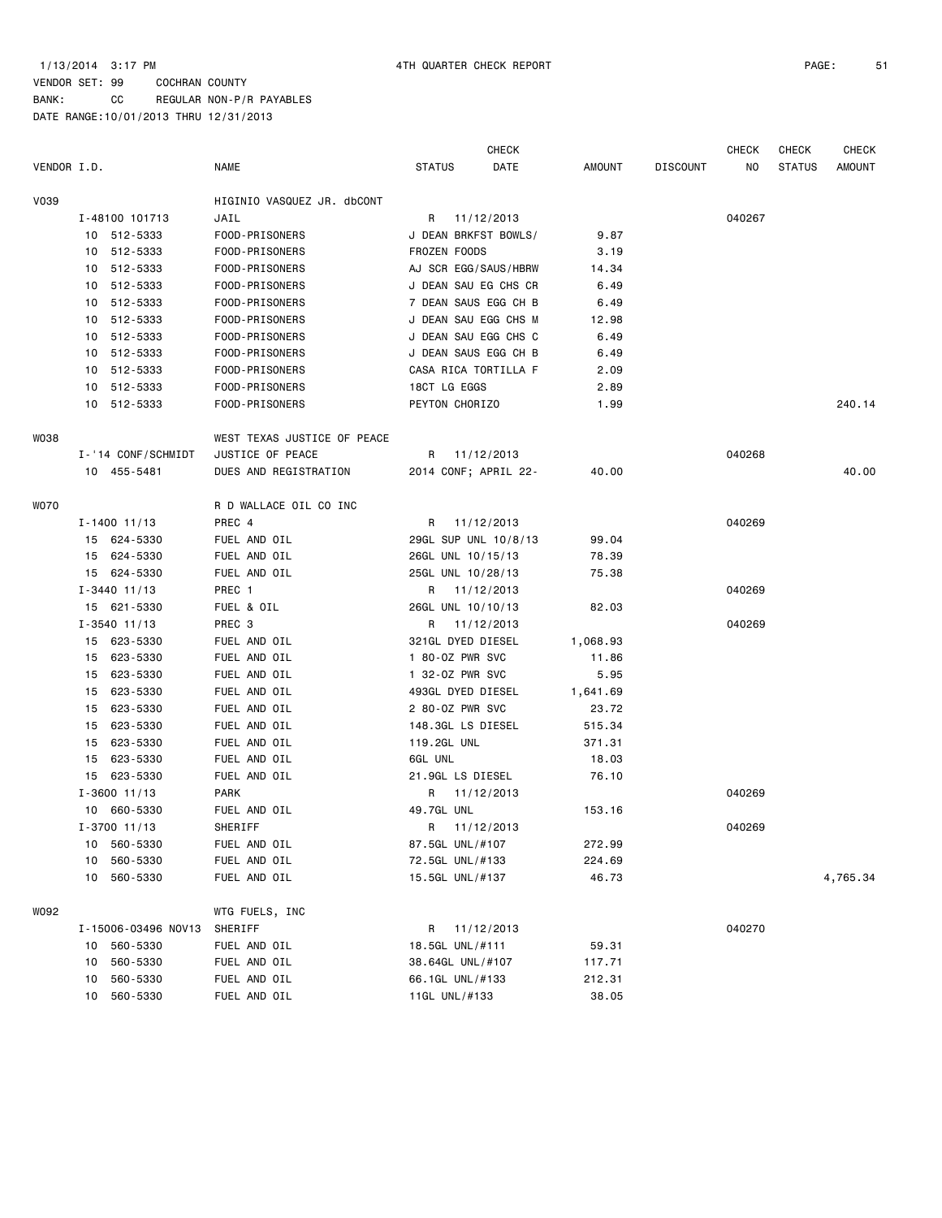|             |    |                     |                             | <b>CHECK</b>     |                      |          | <b>CHECK</b>    | <b>CHECK</b> | <b>CHECK</b>  |          |
|-------------|----|---------------------|-----------------------------|------------------|----------------------|----------|-----------------|--------------|---------------|----------|
| VENDOR I.D. |    |                     | <b>NAME</b>                 | <b>STATUS</b>    | DATE                 | AMOUNT   | <b>DISCOUNT</b> | NO           | <b>STATUS</b> | AMOUNT   |
| V039        |    |                     | HIGINIO VASQUEZ JR. dbCONT  |                  |                      |          |                 |              |               |          |
|             |    | I-48100 101713      | JAIL                        |                  | R 11/12/2013         |          |                 | 040267       |               |          |
|             |    | 10 512-5333         | FOOD-PRISONERS              |                  | J DEAN BRKFST BOWLS/ | 9.87     |                 |              |               |          |
|             |    | 10 512-5333         | FOOD-PRISONERS              | FROZEN FOODS     |                      | 3.19     |                 |              |               |          |
|             |    | 10 512-5333         | FOOD-PRISONERS              |                  | AJ SCR EGG/SAUS/HBRW | 14.34    |                 |              |               |          |
|             |    | 10 512-5333         | FOOD-PRISONERS              |                  | J DEAN SAU EG CHS CR | 6.49     |                 |              |               |          |
|             |    | 10 512-5333         | FOOD-PRISONERS              |                  | 7 DEAN SAUS EGG CH B | 6.49     |                 |              |               |          |
|             | 10 | 512-5333            | FOOD-PRISONERS              |                  | J DEAN SAU EGG CHS M | 12.98    |                 |              |               |          |
|             |    | 10 512-5333         | FOOD-PRISONERS              |                  | J DEAN SAU EGG CHS C | 6.49     |                 |              |               |          |
|             |    | 10 512-5333         | FOOD-PRISONERS              |                  | J DEAN SAUS EGG CH B | 6.49     |                 |              |               |          |
|             |    | 10 512-5333         | FOOD-PRISONERS              |                  | CASA RICA TORTILLA F | 2.09     |                 |              |               |          |
|             |    | 10 512-5333         | FOOD-PRISONERS              | 18CT LG EGGS     |                      | 2.89     |                 |              |               |          |
|             |    | 10 512-5333         | FOOD-PRISONERS              | PEYTON CHORIZO   |                      | 1.99     |                 |              |               | 240.14   |
| W038        |    |                     | WEST TEXAS JUSTICE OF PEACE |                  |                      |          |                 |              |               |          |
|             |    | I-'14 CONF/SCHMIDT  | JUSTICE OF PEACE            |                  | R 11/12/2013         |          |                 | 040268       |               |          |
|             |    | 10 455-5481         | DUES AND REGISTRATION       |                  | 2014 CONF; APRIL 22- | 40.00    |                 |              |               | 40.00    |
| <b>WO70</b> |    |                     | R D WALLACE OIL CO INC      |                  |                      |          |                 |              |               |          |
|             |    | $I - 1400$ 11/13    | PREC 4                      |                  | R 11/12/2013         |          |                 | 040269       |               |          |
|             |    | 15 624-5330         | FUEL AND OIL                |                  | 29GL SUP UNL 10/8/13 | 99.04    |                 |              |               |          |
|             |    | 15 624-5330         | FUEL AND OIL                |                  | 26GL UNL 10/15/13    | 78.39    |                 |              |               |          |
|             |    | 15 624-5330         | FUEL AND OIL                |                  | 25GL UNL 10/28/13    | 75.38    |                 |              |               |          |
|             |    | $I - 3440$ 11/13    | PREC 1                      |                  | R 11/12/2013         |          |                 | 040269       |               |          |
|             |    | 15 621-5330         | FUEL & OIL                  |                  | 26GL UNL 10/10/13    | 82.03    |                 |              |               |          |
|             |    | $I - 3540$ 11/13    | PREC 3                      |                  | R 11/12/2013         |          |                 | 040269       |               |          |
|             |    | 15 623-5330         | FUEL AND OIL                |                  | 321GL DYED DIESEL    | 1,068.93 |                 |              |               |          |
|             |    | 15 623-5330         | FUEL AND OIL                | 1 80-0Z PWR SVC  |                      | 11.86    |                 |              |               |          |
|             | 15 | 623-5330            | FUEL AND OIL                | 1 32-0Z PWR SVC  |                      | 5.95     |                 |              |               |          |
|             | 15 | 623-5330            | FUEL AND OIL                |                  | 493GL DYED DIESEL    | 1,641.69 |                 |              |               |          |
|             | 15 | 623-5330            | FUEL AND OIL                | 2 80-0Z PWR SVC  |                      | 23.72    |                 |              |               |          |
|             | 15 | 623-5330            | FUEL AND OIL                |                  | 148.3GL LS DIESEL    | 515.34   |                 |              |               |          |
|             | 15 | 623-5330            | FUEL AND OIL                | 119.2GL UNL      |                      | 371.31   |                 |              |               |          |
|             | 15 | 623-5330            | FUEL AND OIL                | 6GL UNL          |                      | 18.03    |                 |              |               |          |
|             |    | 15 623-5330         | FUEL AND OIL                |                  | 21.9GL LS DIESEL     | 76.10    |                 |              |               |          |
|             |    | $I - 3600$ 11/13    | <b>PARK</b>                 |                  | R 11/12/2013         |          |                 | 040269       |               |          |
|             |    | 10 660-5330         | FUEL AND OIL                | 49.7GL UNL       |                      | 153.16   |                 |              |               |          |
|             |    | I-3700 11/13        | SHERIFF                     |                  | R 11/12/2013         |          |                 | 040269       |               |          |
|             |    | 10 560-5330         | FUEL AND OIL                | 87.5GL UNL/#107  |                      | 272.99   |                 |              |               |          |
|             | 10 | 560-5330            | FUEL AND OIL                | 72.5GL UNL/#133  |                      | 224.69   |                 |              |               |          |
|             |    | 10 560-5330         | FUEL AND OIL                | 15.5GL UNL/#137  |                      | 46.73    |                 |              |               | 4,765.34 |
| W092        |    |                     | WTG FUELS, INC              |                  |                      |          |                 |              |               |          |
|             |    | I-15006-03496 NOV13 | SHERIFF                     | R                | 11/12/2013           |          |                 | 040270       |               |          |
|             |    | 10 560-5330         | FUEL AND OIL                | 18.5GL UNL/#111  |                      | 59.31    |                 |              |               |          |
|             | 10 | 560-5330            | FUEL AND OIL                | 38.64GL UNL/#107 |                      | 117.71   |                 |              |               |          |
|             | 10 | 560-5330            | FUEL AND OIL                | 66.1GL UNL/#133  |                      | 212.31   |                 |              |               |          |
|             | 10 | 560-5330            | FUEL AND OIL                | 11GL UNL/#133    |                      | 38.05    |                 |              |               |          |
|             |    |                     |                             |                  |                      |          |                 |              |               |          |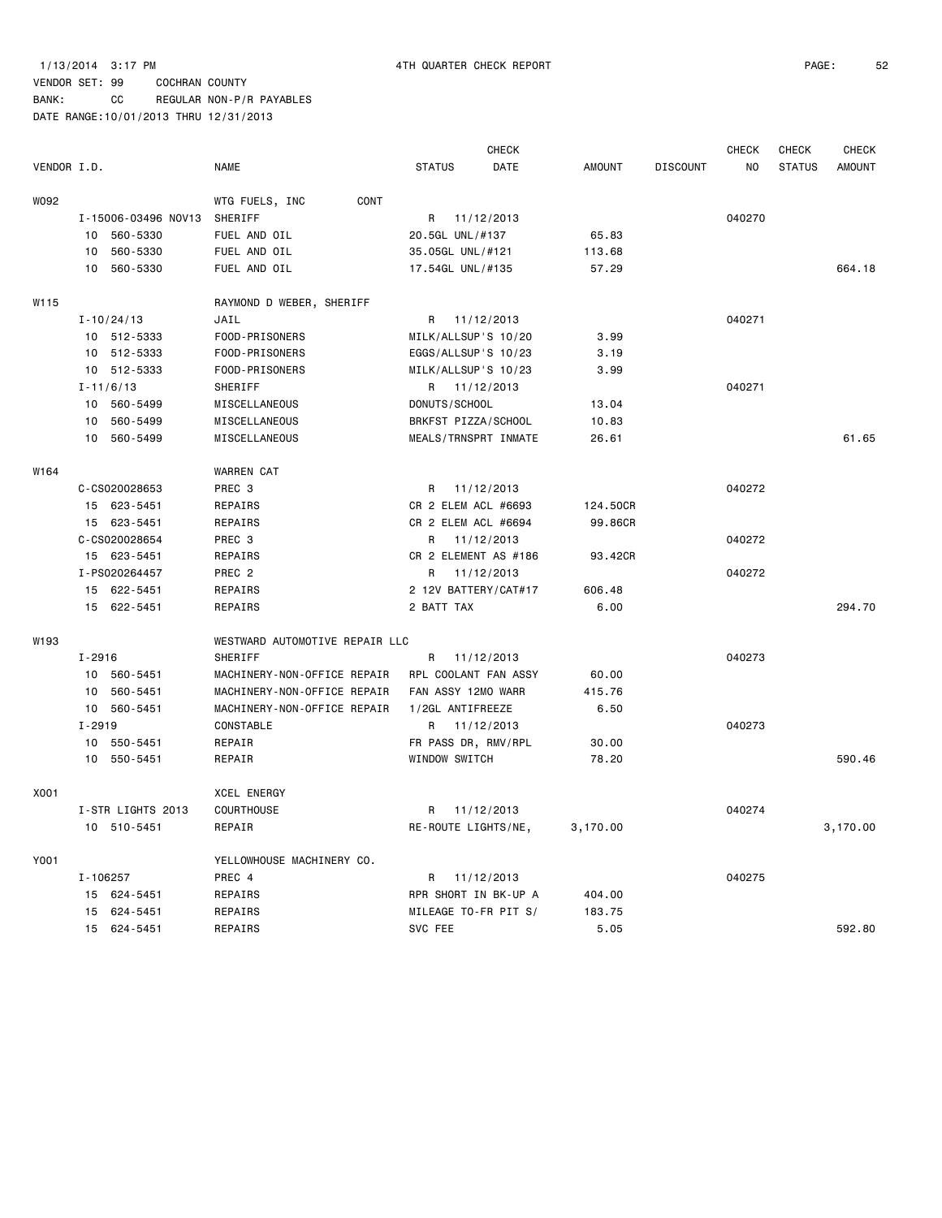BANK: CC REGULAR NON-P/R PAYABLES

|                  |                             |                                |                      | <b>CHECK</b> |               |                 | <b>CHECK</b> | <b>CHECK</b>  | <b>CHECK</b>  |
|------------------|-----------------------------|--------------------------------|----------------------|--------------|---------------|-----------------|--------------|---------------|---------------|
| VENDOR I.D.      |                             | <b>NAME</b>                    | <b>STATUS</b>        | DATE         | <b>AMOUNT</b> | <b>DISCOUNT</b> | NO.          | <b>STATUS</b> | <b>AMOUNT</b> |
| W092             |                             | CONT<br>WTG FUELS, INC         |                      |              |               |                 |              |               |               |
|                  | I-15006-03496 NOV13         | SHERIFF                        | R 11/12/2013         |              |               |                 | 040270       |               |               |
|                  | 10 560-5330                 | FUEL AND OIL                   | 20.5GL UNL/#137      |              | 65.83         |                 |              |               |               |
|                  | 560-5330<br>10              | FUEL AND OIL                   | 35.05GL UNL/#121     |              | 113.68        |                 |              |               |               |
|                  | 10<br>560-5330              | FUEL AND OIL                   | 17.54GL UNL/#135     |              | 57.29         |                 |              |               | 664.18        |
| W <sub>115</sub> |                             | RAYMOND D WEBER, SHERIFF       |                      |              |               |                 |              |               |               |
|                  | $I - 10/24/13$              | JAIL                           | R 11/12/2013         |              |               |                 | 040271       |               |               |
|                  | 10 512-5333                 | FOOD-PRISONERS                 | MILK/ALLSUP'S 10/20  |              | 3.99          |                 |              |               |               |
|                  | 10 512-5333                 | FOOD-PRISONERS                 | EGGS/ALLSUP'S 10/23  |              | 3.19          |                 |              |               |               |
|                  | 10 512-5333                 | FOOD-PRISONERS                 | MILK/ALLSUP'S 10/23  |              | 3.99          |                 |              |               |               |
|                  | $I - 11/6/13$               | SHERIFF                        | R 11/12/2013         |              |               |                 | 040271       |               |               |
|                  | 10<br>560-5499              | MISCELLANEOUS                  | DONUTS/SCHOOL        |              | 13.04         |                 |              |               |               |
|                  | 560-5499<br>10 <sup>1</sup> | MISCELLANEOUS                  | BRKFST PIZZA/SCHOOL  |              | 10.83         |                 |              |               |               |
|                  | 10 560-5499                 | MISCELLANEOUS                  | MEALS/TRNSPRT INMATE |              | 26.61         |                 |              |               | 61.65         |
| W164             |                             | WARREN CAT                     |                      |              |               |                 |              |               |               |
|                  | C-CS020028653               | PREC <sub>3</sub>              | R 11/12/2013         |              |               |                 | 040272       |               |               |
|                  | 15 623-5451                 | REPAIRS                        | CR 2 ELEM ACL #6693  |              | 124.50CR      |                 |              |               |               |
|                  | 15 623-5451                 | REPAIRS                        | CR 2 ELEM ACL #6694  |              | 99.86CR       |                 |              |               |               |
|                  | C-CS020028654               | PREC 3                         | R 11/12/2013         |              |               |                 | 040272       |               |               |
|                  | 15 623-5451                 | REPAIRS                        | CR 2 ELEMENT AS #186 |              | 93.42CR       |                 |              |               |               |
|                  | I-PS020264457               | PREC <sub>2</sub>              | R 11/12/2013         |              |               |                 | 040272       |               |               |
|                  | 15 622-5451                 | REPAIRS                        | 2 12V BATTERY/CAT#17 |              | 606.48        |                 |              |               |               |
|                  | 15 622-5451                 | REPAIRS                        | 2 BATT TAX           |              | 6.00          |                 |              |               | 294.70        |
| W193             |                             | WESTWARD AUTOMOTIVE REPAIR LLC |                      |              |               |                 |              |               |               |
|                  | $I - 2916$                  | <b>SHERIFF</b>                 | R                    | 11/12/2013   |               |                 | 040273       |               |               |
|                  | 10 560-5451                 | MACHINERY-NON-OFFICE REPAIR    | RPL COOLANT FAN ASSY |              | 60.00         |                 |              |               |               |
|                  | 10 560-5451                 | MACHINERY-NON-OFFICE REPAIR    | FAN ASSY 12MO WARR   |              | 415.76        |                 |              |               |               |
|                  | 10 560-5451                 | MACHINERY-NON-OFFICE REPAIR    | 1/2GL ANTIFREEZE     |              | 6.50          |                 |              |               |               |
|                  | $I - 2919$                  | CONSTABLE                      | R 11/12/2013         |              |               |                 | 040273       |               |               |
|                  | 10 550-5451                 | REPAIR                         | FR PASS DR, RMV/RPL  |              | 30.00         |                 |              |               |               |
|                  | 10 550-5451                 | REPAIR                         | WINDOW SWITCH        |              | 78.20         |                 |              |               | 590.46        |
| X001             |                             | <b>XCEL ENERGY</b>             |                      |              |               |                 |              |               |               |
|                  | I-STR LIGHTS 2013           | COURTHOUSE                     | R 11/12/2013         |              |               |                 | 040274       |               |               |
|                  | 10 510-5451                 | REPAIR                         | RE-ROUTE LIGHTS/NE,  |              | 3,170.00      |                 |              |               | 3,170.00      |
| Y001             |                             | YELLOWHOUSE MACHINERY CO.      |                      |              |               |                 |              |               |               |
|                  | I-106257                    | PREC 4                         | R 11/12/2013         |              |               |                 | 040275       |               |               |
|                  | 15 624-5451                 | REPAIRS                        | RPR SHORT IN BK-UP A |              | 404.00        |                 |              |               |               |
|                  | 15 624-5451                 | REPAIRS                        | MILEAGE TO-FR PIT S/ |              | 183.75        |                 |              |               |               |
|                  | 15 624-5451                 | REPAIRS                        | SVC FEE              |              | 5.05          |                 |              |               | 592.80        |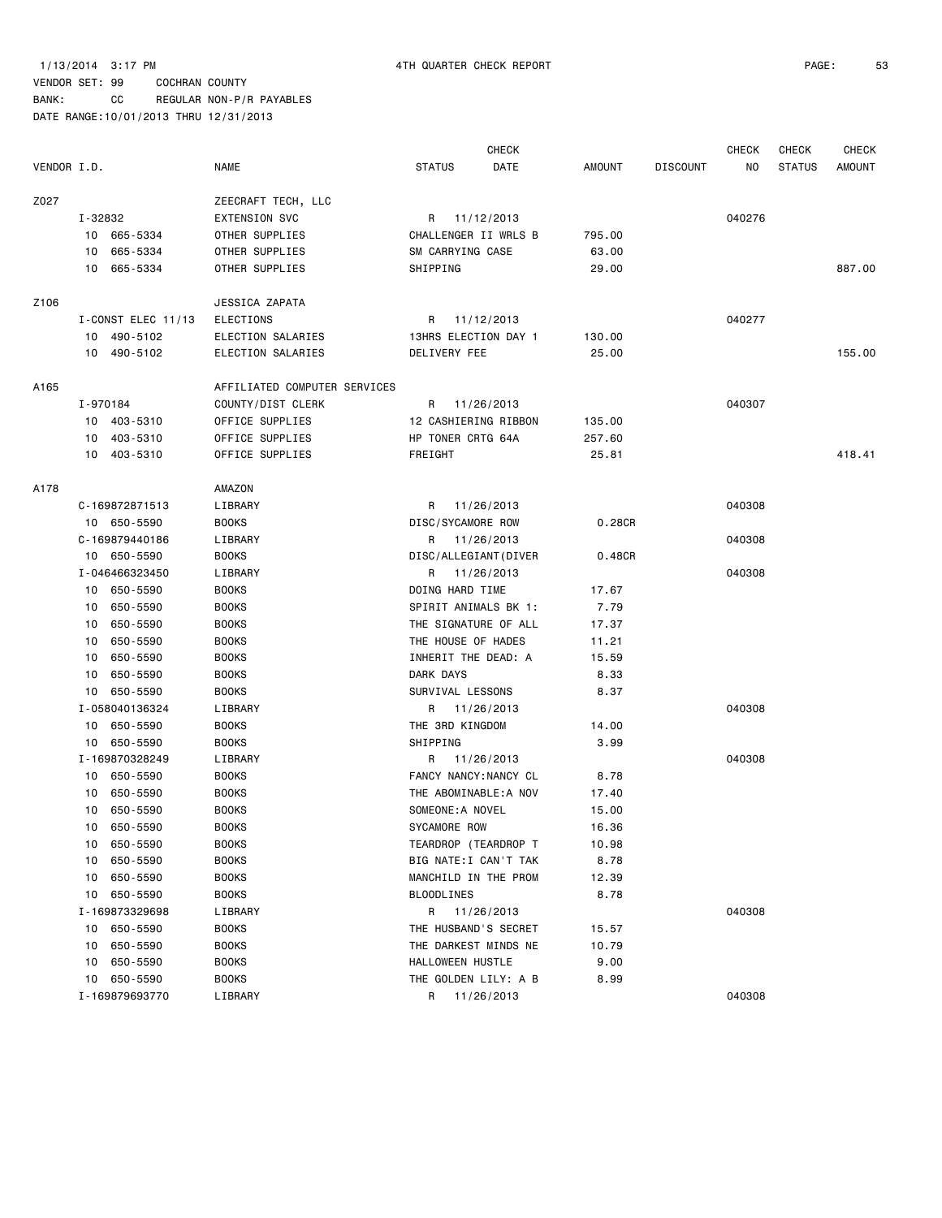BANK: CC REGULAR NON-P/R PAYABLES

| VENDOR I.D. |          |                      | <b>NAME</b>                                | <b>STATUS</b>                             | <b>CHECK</b><br>DATE | <b>AMOUNT</b> | <b>DISCOUNT</b> | CHECK<br>NO. | <b>CHECK</b><br><b>STATUS</b> | <b>CHECK</b><br><b>AMOUNT</b> |
|-------------|----------|----------------------|--------------------------------------------|-------------------------------------------|----------------------|---------------|-----------------|--------------|-------------------------------|-------------------------------|
|             |          |                      |                                            |                                           |                      |               |                 |              |                               |                               |
| Z027        | I-32832  |                      | ZEECRAFT TECH, LLC<br><b>EXTENSION SVC</b> | R 11/12/2013                              |                      |               |                 | 040276       |                               |                               |
|             |          | 10 665-5334          | OTHER SUPPLIES                             | CHALLENGER II WRLS B                      |                      | 795.00        |                 |              |                               |                               |
|             |          | 10 665-5334          | OTHER SUPPLIES                             | SM CARRYING CASE                          |                      | 63.00         |                 |              |                               |                               |
|             | 10       | 665-5334             | OTHER SUPPLIES                             | SHIPPING                                  |                      | 29.00         |                 |              |                               | 887.00                        |
| Z106        |          |                      | JESSICA ZAPATA                             |                                           |                      |               |                 |              |                               |                               |
|             |          | I-CONST ELEC 11/13   | <b>ELECTIONS</b>                           | R 11/12/2013                              |                      |               |                 | 040277       |                               |                               |
|             |          | 10 490-5102          | ELECTION SALARIES                          | 13HRS ELECTION DAY 1                      |                      | 130.00        |                 |              |                               |                               |
|             |          | 10 490-5102          | ELECTION SALARIES                          | DELIVERY FEE                              |                      | 25.00         |                 |              |                               | 155.00                        |
| A165        |          |                      | AFFILIATED COMPUTER SERVICES               |                                           |                      |               |                 |              |                               |                               |
|             | I-970184 |                      | COUNTY/DIST CLERK                          | R 11/26/2013                              |                      |               |                 | 040307       |                               |                               |
|             |          | 10 403-5310          | OFFICE SUPPLIES                            | 12 CASHIERING RIBBON                      |                      | 135.00        |                 |              |                               |                               |
|             |          | 10 403-5310          | OFFICE SUPPLIES                            | HP TONER CRTG 64A                         |                      | 257.60        |                 |              |                               |                               |
|             |          | 10 403-5310          | OFFICE SUPPLIES                            | FREIGHT                                   |                      | 25.81         |                 |              |                               | 418.41                        |
| A178        |          |                      | AMAZON                                     |                                           |                      |               |                 |              |                               |                               |
|             |          | C-169872871513       | LIBRARY                                    | R 11/26/2013                              |                      |               |                 | 040308       |                               |                               |
|             |          | 10 650-5590          | <b>BOOKS</b>                               | DISC/SYCAMORE ROW                         |                      | 0.28CR        |                 |              |                               |                               |
|             |          | C-169879440186       | LIBRARY                                    | R 11/26/2013                              |                      |               |                 | 040308       |                               |                               |
|             |          | 10 650-5590          | <b>BOOKS</b>                               | DISC/ALLEGIANT (DIVER                     |                      | 0.48CR        |                 |              |                               |                               |
|             |          | I-046466323450       | LIBRARY                                    | R 11/26/2013                              |                      |               |                 | 040308       |                               |                               |
|             |          | 10 650-5590          | <b>BOOKS</b>                               | DOING HARD TIME                           |                      | 17.67         |                 |              |                               |                               |
|             |          | 10 650-5590          | <b>BOOKS</b>                               | SPIRIT ANIMALS BK 1:                      |                      | 7.79          |                 |              |                               |                               |
|             |          | 10 650-5590          | <b>BOOKS</b>                               | THE SIGNATURE OF ALL                      |                      | 17.37         |                 |              |                               |                               |
|             | 10       | 650-5590             | <b>BOOKS</b>                               | THE HOUSE OF HADES                        |                      | 11.21         |                 |              |                               |                               |
|             | 10       | 650-5590             | <b>BOOKS</b>                               | INHERIT THE DEAD: A                       |                      | 15.59         |                 |              |                               |                               |
|             | 10       | 650-5590             | <b>BOOKS</b>                               | DARK DAYS                                 |                      | 8.33          |                 |              |                               |                               |
|             |          | 10 650-5590          | <b>BOOKS</b>                               | SURVIVAL LESSONS                          |                      | 8.37          |                 |              |                               |                               |
|             |          | I-058040136324       | LIBRARY                                    | R 11/26/2013                              |                      |               |                 | 040308       |                               |                               |
|             |          | 10 650-5590          | <b>BOOKS</b>                               | THE 3RD KINGDOM                           |                      | 14.00         |                 |              |                               |                               |
|             |          | 10 650-5590          | <b>BOOKS</b>                               | SHIPPING                                  |                      | 3.99          |                 |              |                               |                               |
|             |          | I-169870328249       | LIBRARY                                    | R 11/26/2013                              |                      |               |                 | 040308       |                               |                               |
|             |          | 10 650-5590          | <b>BOOKS</b>                               | FANCY NANCY: NANCY CL                     |                      | 8.78          |                 |              |                               |                               |
|             | 10       | 650-5590             | <b>BOOKS</b>                               | THE ABOMINABLE:A NOV                      |                      | 17.40         |                 |              |                               |                               |
|             |          | 10 650-5590          | <b>BOOKS</b>                               | SOMEONE: A NOVEL                          |                      | 15.00         |                 |              |                               |                               |
|             | 10       | 650-5590             | <b>BOOKS</b>                               | SYCAMORE ROW                              |                      | 16.36         |                 |              |                               |                               |
|             | 10       | 650-5590<br>650-5590 | <b>BOOKS</b><br><b>BOOKS</b>               | TEARDROP (TEARDROP T                      |                      | 10.98<br>8.78 |                 |              |                               |                               |
|             | 10       |                      |                                            | BIG NATE:I CAN'T TAK                      |                      |               |                 |              |                               |                               |
|             | 10       | 650-5590<br>650-5590 | <b>BOOKS</b><br><b>BOOKS</b>               | MANCHILD IN THE PROM<br><b>BLOODLINES</b> |                      | 12.39<br>8.78 |                 |              |                               |                               |
|             | 10       | I-169873329698       | LIBRARY                                    |                                           |                      |               |                 | 040308       |                               |                               |
|             | 10       | 650-5590             | <b>BOOKS</b>                               | R 11/26/2013<br>THE HUSBAND'S SECRET      |                      | 15.57         |                 |              |                               |                               |
|             | 10       | 650-5590             | <b>BOOKS</b>                               | THE DARKEST MINDS NE                      |                      | 10.79         |                 |              |                               |                               |
|             | 10       | 650-5590             | <b>BOOKS</b>                               | HALLOWEEN HUSTLE                          |                      | 9.00          |                 |              |                               |                               |
|             | 10       | 650-5590             | <b>BOOKS</b>                               | THE GOLDEN LILY: A B                      |                      | 8.99          |                 |              |                               |                               |
|             |          | I-169879693770       | LIBRARY                                    | R 11/26/2013                              |                      |               |                 | 040308       |                               |                               |
|             |          |                      |                                            |                                           |                      |               |                 |              |                               |                               |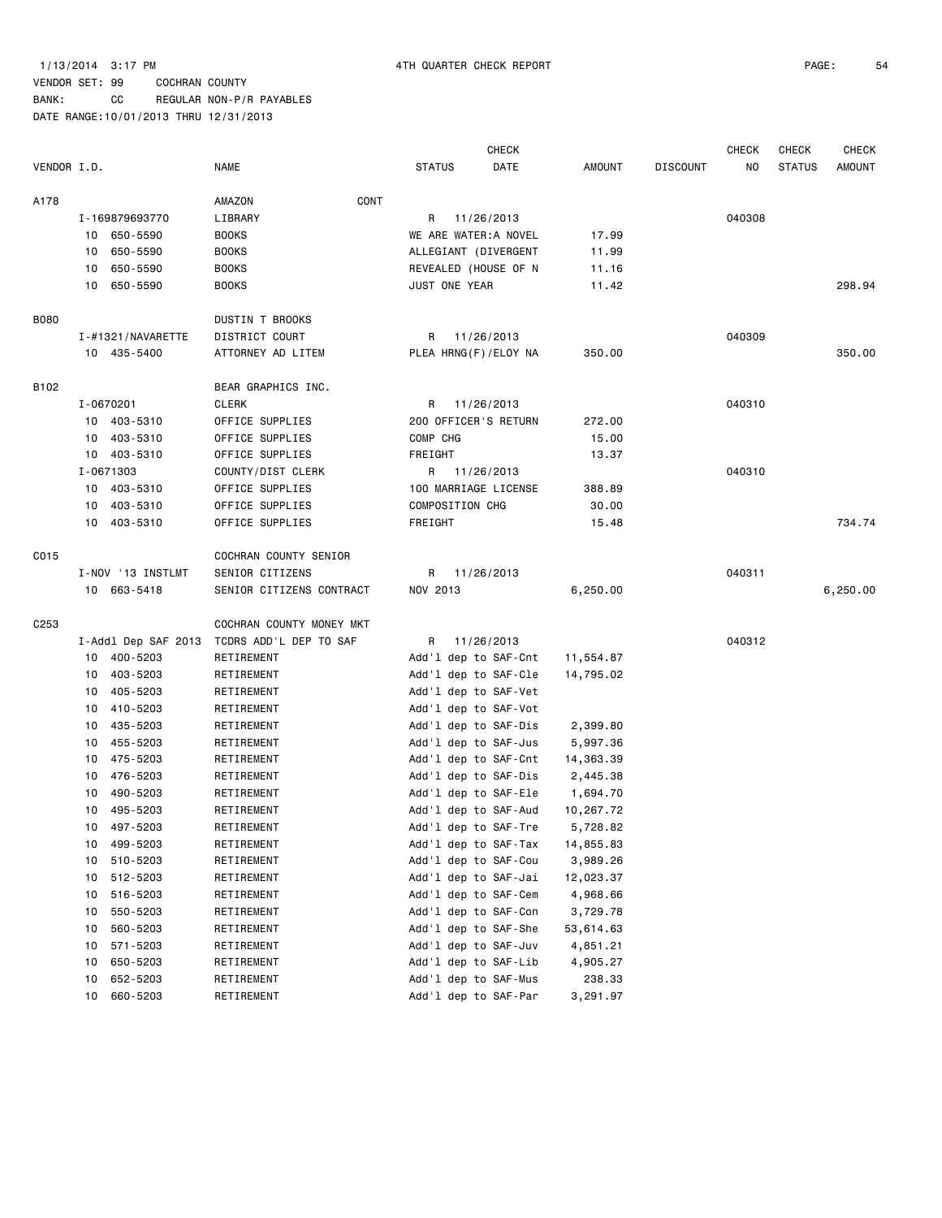BANK: CC REGULAR NON-P/R PAYABLES

|             |                     |                          |                       | <b>CHECK</b> |               |                 | <b>CHECK</b> | <b>CHECK</b>  | <b>CHECK</b>  |
|-------------|---------------------|--------------------------|-----------------------|--------------|---------------|-----------------|--------------|---------------|---------------|
| VENDOR I.D. |                     | <b>NAME</b>              | <b>STATUS</b>         | DATE         | <b>AMOUNT</b> | <b>DISCOUNT</b> | NO.          | <b>STATUS</b> | <b>AMOUNT</b> |
| A178        |                     | CONT<br>AMAZON           |                       |              |               |                 |              |               |               |
|             | I-169879693770      | LIBRARY                  | R                     | 11/26/2013   |               |                 | 040308       |               |               |
|             | 10 650-5590         | <b>BOOKS</b>             | WE ARE WATER: A NOVEL |              | 17.99         |                 |              |               |               |
|             | 650-5590<br>10      | <b>BOOKS</b>             | ALLEGIANT (DIVERGENT  |              | 11.99         |                 |              |               |               |
|             | 650-5590<br>10      | <b>BOOKS</b>             | REVEALED (HOUSE OF N  |              | 11.16         |                 |              |               |               |
|             | 650-5590<br>10      | <b>BOOKS</b>             | JUST ONE YEAR         |              | 11.42         |                 |              |               | 298.94        |
| B080        |                     | <b>DUSTIN T BROOKS</b>   |                       |              |               |                 |              |               |               |
|             | I-#1321/NAVARETTE   | DISTRICT COURT           | R 11/26/2013          |              |               |                 | 040309       |               |               |
|             | 10 435-5400         | ATTORNEY AD LITEM        | PLEA HRNG(F)/ELOY NA  |              | 350.00        |                 |              |               | 350.00        |
| B102        |                     | BEAR GRAPHICS INC.       |                       |              |               |                 |              |               |               |
|             | I-0670201           | CLERK                    | R                     | 11/26/2013   |               |                 | 040310       |               |               |
|             | 10 403-5310         | OFFICE SUPPLIES          | 200 OFFICER'S RETURN  |              | 272.00        |                 |              |               |               |
|             | 10 403-5310         | OFFICE SUPPLIES          | COMP CHG              |              | 15.00         |                 |              |               |               |
|             | 10 403-5310         | OFFICE SUPPLIES          | FREIGHT               |              | 13.37         |                 |              |               |               |
|             | I-0671303           | COUNTY/DIST CLERK        | R 11/26/2013          |              |               |                 | 040310       |               |               |
|             | 10 403-5310         | OFFICE SUPPLIES          | 100 MARRIAGE LICENSE  |              | 388.89        |                 |              |               |               |
|             | 10 403-5310         | OFFICE SUPPLIES          | COMPOSITION CHG       |              | 30.00         |                 |              |               |               |
|             | 10 403-5310         | OFFICE SUPPLIES          | FREIGHT               |              | 15.48         |                 |              |               | 734.74        |
| C015        |                     | COCHRAN COUNTY SENIOR    |                       |              |               |                 |              |               |               |
|             | I-NOV '13 INSTLMT   | SENIOR CITIZENS          | R.                    | 11/26/2013   |               |                 | 040311       |               |               |
|             | 10 663-5418         | SENIOR CITIZENS CONTRACT | NOV 2013              |              | 6,250.00      |                 |              |               | 6,250.00      |
| C253        |                     | COCHRAN COUNTY MONEY MKT |                       |              |               |                 |              |               |               |
|             | I-Addl Dep SAF 2013 | TCDRS ADD'L DEP TO SAF   | R                     | 11/26/2013   |               |                 | 040312       |               |               |
|             | 10 400-5203         | RETIREMENT               | Add'l dep to SAF-Cnt  |              | 11,554.87     |                 |              |               |               |
|             | 403-5203<br>10      | RETIREMENT               | Add'l dep to SAF-Cle  |              | 14,795.02     |                 |              |               |               |
|             | 405-5203<br>10      | RETIREMENT               | Add'l dep to SAF-Vet  |              |               |                 |              |               |               |
|             | 410-5203<br>10      | RETIREMENT               | Add'l dep to SAF-Vot  |              |               |                 |              |               |               |
|             | 435-5203<br>10      | RETIREMENT               | Add'l dep to SAF-Dis  |              | 2,399.80      |                 |              |               |               |
|             | 455-5203<br>10      | RETIREMENT               | Add'l dep to SAF-Jus  |              | 5,997.36      |                 |              |               |               |
|             | 475-5203<br>10      | RETIREMENT               | Add'l dep to SAF-Cnt  |              | 14,363.39     |                 |              |               |               |
|             | 476-5203<br>10      | RETIREMENT               | Add'l dep to SAF-Dis  |              | 2,445.38      |                 |              |               |               |
|             | 490-5203<br>10      | RETIREMENT               | Add'l dep to SAF-Ele  |              | 1,694.70      |                 |              |               |               |
|             | 495-5203<br>10      | RETIREMENT               | Add'l dep to SAF-Aud  |              | 10,267.72     |                 |              |               |               |
|             | 10 497-5203         | RETIREMENT               | Add'1 dep to SAF-Tre  |              | 5,728.82      |                 |              |               |               |
|             | 499-5203<br>10      | RETIREMENT               | Add'l dep to SAF-Tax  |              | 14,855.83     |                 |              |               |               |
|             | 510-5203<br>10      | RETIREMENT               | Add'l dep to SAF-Cou  |              | 3,989.26      |                 |              |               |               |
|             | 512-5203<br>10      | RETIREMENT               | Add'l dep to SAF-Jai  |              | 12,023.37     |                 |              |               |               |
|             | 516-5203<br>10      | RETIREMENT               | Add'1 dep to SAF-Cem  |              | 4,968.66      |                 |              |               |               |
|             | 550-5203<br>10      | RETIREMENT               | Add'l dep to SAF-Con  |              | 3,729.78      |                 |              |               |               |
|             | 560-5203<br>10      | RETIREMENT               | Add'l dep to SAF-She  |              | 53,614.63     |                 |              |               |               |
|             | 571-5203<br>10      | RETIREMENT               | Add'l dep to SAF-Juv  |              | 4,851.21      |                 |              |               |               |
|             | 650-5203<br>10      | RETIREMENT               | Add'l dep to SAF-Lib  |              | 4,905.27      |                 |              |               |               |
|             | 652-5203<br>10      | RETIREMENT               | Add'l dep to SAF-Mus  |              | 238.33        |                 |              |               |               |
|             | 660-5203<br>10      | RETIREMENT               | Add'l dep to SAF-Par  |              | 3,291.97      |                 |              |               |               |
|             |                     |                          |                       |              |               |                 |              |               |               |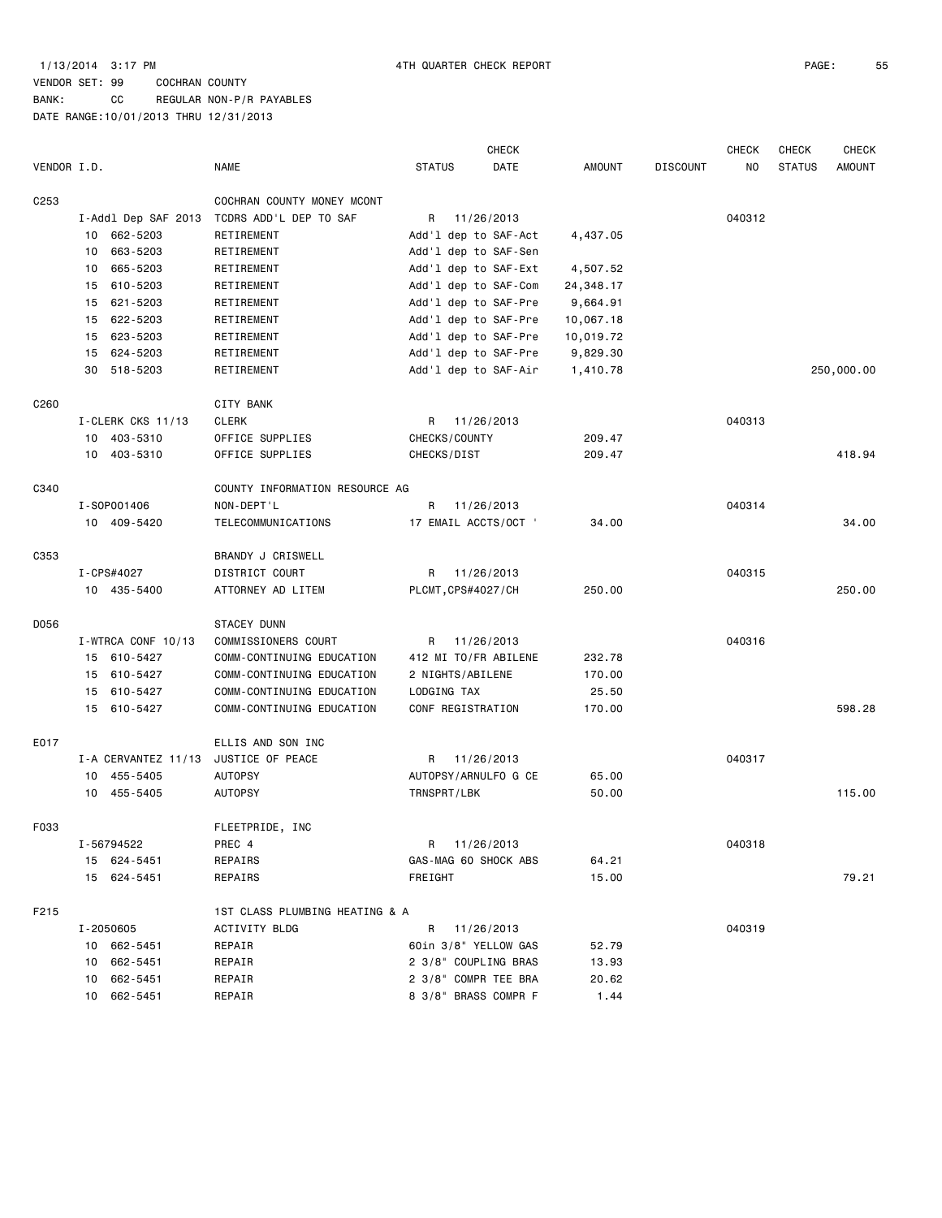BANK: CC REGULAR NON-P/R PAYABLES DATE RANGE:10/01/2013 THRU 12/31/2013

|                  |    |                     |                                |                    | <b>CHECK</b>         |           |                 | <b>CHECK</b> | <b>CHECK</b>  | <b>CHECK</b>  |
|------------------|----|---------------------|--------------------------------|--------------------|----------------------|-----------|-----------------|--------------|---------------|---------------|
| VENDOR I.D.      |    |                     | <b>NAME</b>                    | <b>STATUS</b>      | DATE                 | AMOUNT    | <b>DISCOUNT</b> | NO           | <b>STATUS</b> | <b>AMOUNT</b> |
| C <sub>253</sub> |    |                     | COCHRAN COUNTY MONEY MCONT     |                    |                      |           |                 |              |               |               |
|                  |    | I-Addl Dep SAF 2013 | TCDRS ADD'L DEP TO SAF         | R                  | 11/26/2013           |           |                 | 040312       |               |               |
|                  |    | 10 662-5203         | RETIREMENT                     |                    | Add'l dep to SAF-Act | 4,437.05  |                 |              |               |               |
|                  | 10 | 663-5203            | RETIREMENT                     |                    | Add'l dep to SAF-Sen |           |                 |              |               |               |
|                  | 10 | 665-5203            | RETIREMENT                     |                    | Add'l dep to SAF-Ext | 4,507.52  |                 |              |               |               |
|                  | 15 | 610-5203            | RETIREMENT                     |                    | Add'l dep to SAF-Com | 24,348.17 |                 |              |               |               |
|                  | 15 | 621-5203            | RETIREMENT                     |                    | Add'l dep to SAF-Pre | 9,664.91  |                 |              |               |               |
|                  |    | 15 622-5203         | RETIREMENT                     |                    | Add'l dep to SAF-Pre | 10,067.18 |                 |              |               |               |
|                  |    | 15 623-5203         | RETIREMENT                     |                    | Add'l dep to SAF-Pre | 10,019.72 |                 |              |               |               |
|                  |    | 15 624-5203         | RETIREMENT                     |                    | Add'l dep to SAF-Pre | 9,829.30  |                 |              |               |               |
|                  | 30 | 518-5203            | RETIREMENT                     |                    | Add'l dep to SAF-Air | 1,410.78  |                 |              |               | 250,000.00    |
| C <sub>260</sub> |    |                     | CITY BANK                      |                    |                      |           |                 |              |               |               |
|                  |    | I-CLERK CKS 11/13   | <b>CLERK</b>                   | R                  | 11/26/2013           |           |                 | 040313       |               |               |
|                  |    | 10 403-5310         | OFFICE SUPPLIES                | CHECKS/COUNTY      |                      | 209.47    |                 |              |               |               |
|                  |    | 10 403-5310         | OFFICE SUPPLIES                | CHECKS/DIST        |                      | 209.47    |                 |              |               | 418.94        |
| C340             |    |                     | COUNTY INFORMATION RESOURCE AG |                    |                      |           |                 |              |               |               |
|                  |    | I-S0P001406         | NON-DEPT'L                     | R                  | 11/26/2013           |           |                 | 040314       |               |               |
|                  |    | 10 409-5420         | TELECOMMUNICATIONS             |                    | 17 EMAIL ACCTS/OCT ' | 34.00     |                 |              |               | 34.00         |
| C353             |    |                     | BRANDY J CRISWELL              |                    |                      |           |                 |              |               |               |
|                  |    | I-CPS#4027          | DISTRICT COURT                 | R                  | 11/26/2013           |           |                 | 040315       |               |               |
|                  |    | 10 435-5400         | ATTORNEY AD LITEM              | PLCMT, CPS#4027/CH |                      | 250.00    |                 |              |               | 250.00        |
| D056             |    |                     | STACEY DUNN                    |                    |                      |           |                 |              |               |               |
|                  |    | I-WTRCA CONF 10/13  | COMMISSIONERS COURT            | R.                 | 11/26/2013           |           |                 | 040316       |               |               |
|                  |    | 15 610-5427         | COMM-CONTINUING EDUCATION      |                    | 412 MI TO/FR ABILENE | 232.78    |                 |              |               |               |
|                  |    | 15 610-5427         | COMM-CONTINUING EDUCATION      | 2 NIGHTS/ABILENE   |                      | 170.00    |                 |              |               |               |
|                  |    | 15 610-5427         | COMM-CONTINUING EDUCATION      | LODGING TAX        |                      | 25.50     |                 |              |               |               |
|                  |    | 15 610-5427         | COMM-CONTINUING EDUCATION      | CONF REGISTRATION  |                      | 170.00    |                 |              |               | 598.28        |
| E017             |    |                     | ELLIS AND SON INC              |                    |                      |           |                 |              |               |               |
|                  |    | I-A CERVANTEZ 11/13 | JUSTICE OF PEACE               | R                  | 11/26/2013           |           |                 | 040317       |               |               |
|                  |    | 10 455-5405         | <b>AUTOPSY</b>                 |                    | AUTOPSY/ARNULFO G CE | 65.00     |                 |              |               |               |
|                  |    | 10 455-5405         | <b>AUTOPSY</b>                 | TRNSPRT/LBK        |                      | 50.00     |                 |              |               | 115.00        |
| F033             |    |                     | FLEETPRIDE, INC                |                    |                      |           |                 |              |               |               |
|                  |    | I-56794522          | PREC 4                         |                    | R 11/26/2013         |           |                 | 040318       |               |               |
|                  |    | 15 624-5451         | REPAIRS                        |                    | GAS-MAG 60 SHOCK ABS | 64.21     |                 |              |               |               |
|                  |    | 15 624-5451         | REPAIRS                        | FREIGHT            |                      | 15.00     |                 |              |               | 79.21         |
| F215             |    |                     | 1ST CLASS PLUMBING HEATING & A |                    |                      |           |                 |              |               |               |
|                  |    | I-2050605           | ACTIVITY BLDG                  |                    | R 11/26/2013         |           |                 | 040319       |               |               |
|                  |    | 10 662-5451         | REPAIR                         |                    | 60in 3/8" YELLOW GAS | 52.79     |                 |              |               |               |
|                  |    | 10 662-5451         | REPAIR                         |                    | 2 3/8" COUPLING BRAS | 13.93     |                 |              |               |               |
|                  |    | 10 662-5451         | REPAIR                         |                    | 2 3/8" COMPR TEE BRA | 20.62     |                 |              |               |               |
|                  |    | 10 662-5451         | REPAIR                         |                    | 8 3/8" BRASS COMPR F | 1.44      |                 |              |               |               |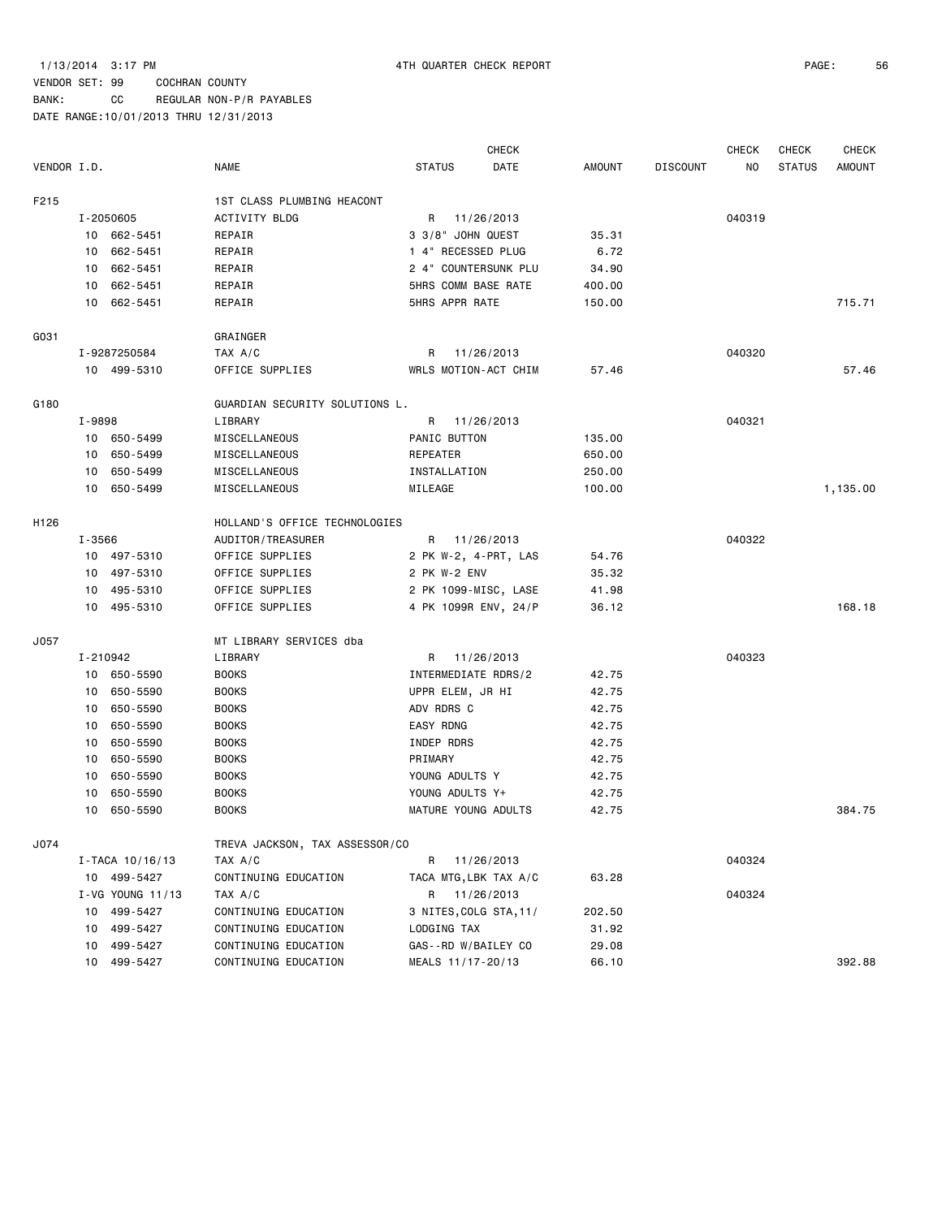BANK: CC REGULAR NON-P/R PAYABLES

|             |          |                  |                                |                        | <b>CHECK</b> |               |                 | <b>CHECK</b> | <b>CHECK</b>  | <b>CHECK</b>  |
|-------------|----------|------------------|--------------------------------|------------------------|--------------|---------------|-----------------|--------------|---------------|---------------|
| VENDOR I.D. |          |                  | <b>NAME</b>                    | <b>STATUS</b>          | DATE         | <b>AMOUNT</b> | <b>DISCOUNT</b> | NO.          | <b>STATUS</b> | <b>AMOUNT</b> |
| F215        |          |                  | 1ST CLASS PLUMBING HEACONT     |                        |              |               |                 |              |               |               |
|             |          | I-2050605        | <b>ACTIVITY BLDG</b>           | R                      | 11/26/2013   |               |                 | 040319       |               |               |
|             |          | 10 662-5451      | REPAIR                         | 3 3/8" JOHN QUEST      |              | 35.31         |                 |              |               |               |
|             |          | 10 662-5451      | REPAIR                         | 1 4" RECESSED PLUG     |              | 6.72          |                 |              |               |               |
|             | 10       | 662-5451         | REPAIR                         | 2 4" COUNTERSUNK PLU   |              | 34.90         |                 |              |               |               |
|             |          | 10 662-5451      | REPAIR                         | 5HRS COMM BASE RATE    |              | 400.00        |                 |              |               |               |
|             |          | 10 662-5451      | REPAIR                         | 5HRS APPR RATE         |              | 150.00        |                 |              |               | 715.71        |
| G031        |          |                  | GRAINGER                       |                        |              |               |                 |              |               |               |
|             |          | I-9287250584     | TAX A/C                        | R 11/26/2013           |              |               |                 | 040320       |               |               |
|             |          | 10 499-5310      | OFFICE SUPPLIES                | WRLS MOTION-ACT CHIM   |              | 57.46         |                 |              |               | 57.46         |
| G180        |          |                  | GUARDIAN SECURITY SOLUTIONS L. |                        |              |               |                 |              |               |               |
|             | I-9898   |                  | LIBRARY                        | R                      | 11/26/2013   |               |                 | 040321       |               |               |
|             |          | 10 650-5499      | MISCELLANEOUS                  | PANIC BUTTON           |              | 135.00        |                 |              |               |               |
|             |          | 10 650-5499      | MISCELLANEOUS                  | REPEATER               |              | 650.00        |                 |              |               |               |
|             | 10       | 650-5499         | MISCELLANEOUS                  | INSTALLATION           |              | 250.00        |                 |              |               |               |
|             |          | 10 650-5499      | MISCELLANEOUS                  | MILEAGE                |              | 100.00        |                 |              |               | 1,135.00      |
| H126        |          |                  | HOLLAND'S OFFICE TECHNOLOGIES  |                        |              |               |                 |              |               |               |
|             | I-3566   |                  | AUDITOR/TREASURER              | R 11/26/2013           |              |               |                 | 040322       |               |               |
|             |          | 10 497-5310      | OFFICE SUPPLIES                | 2 PK W-2, 4-PRT, LAS   |              | 54.76         |                 |              |               |               |
|             |          | 10 497-5310      | OFFICE SUPPLIES                | 2 PK W-2 ENV           |              | 35.32         |                 |              |               |               |
|             |          | 10 495-5310      | OFFICE SUPPLIES                | 2 PK 1099-MISC, LASE   |              | 41.98         |                 |              |               |               |
|             |          | 10 495-5310      | OFFICE SUPPLIES                | 4 PK 1099R ENV, 24/P   |              | 36.12         |                 |              |               | 168.18        |
| J057        |          |                  | MT LIBRARY SERVICES dba        |                        |              |               |                 |              |               |               |
|             | I-210942 |                  | LIBRARY                        | R 11/26/2013           |              |               |                 | 040323       |               |               |
|             |          | 10 650-5590      | <b>BOOKS</b>                   | INTERMEDIATE RDRS/2    |              | 42.75         |                 |              |               |               |
|             | 10       | 650-5590         | <b>BOOKS</b>                   | UPPR ELEM, JR HI       |              | 42.75         |                 |              |               |               |
|             | 10       | 650-5590         | <b>BOOKS</b>                   | ADV RDRS C             |              | 42.75         |                 |              |               |               |
|             | 10       | 650-5590         | <b>BOOKS</b>                   | EASY RDNG              |              | 42.75         |                 |              |               |               |
|             | 10       | 650-5590         | <b>BOOKS</b>                   | INDEP RDRS             |              | 42.75         |                 |              |               |               |
|             | 10       | 650-5590         | <b>BOOKS</b>                   | PRIMARY                |              | 42.75         |                 |              |               |               |
|             | 10       | 650-5590         | <b>BOOKS</b>                   | YOUNG ADULTS Y         |              | 42.75         |                 |              |               |               |
|             | 10       | 650-5590         | <b>BOOKS</b>                   | YOUNG ADULTS Y+        |              | 42.75         |                 |              |               |               |
|             | 10       | 650-5590         | <b>BOOKS</b>                   | MATURE YOUNG ADULTS    |              | 42.75         |                 |              |               | 384.75        |
| J074        |          |                  | TREVA JACKSON, TAX ASSESSOR/CO |                        |              |               |                 |              |               |               |
|             |          | I-TACA 10/16/13  | TAX A/C                        | R                      | 11/26/2013   |               |                 | 040324       |               |               |
|             |          | 10 499-5427      | CONTINUING EDUCATION           | TACA MTG, LBK TAX A/C  |              | 63.28         |                 |              |               |               |
|             |          | I-VG YOUNG 11/13 | TAX A/C                        | R                      | 11/26/2013   |               |                 | 040324       |               |               |
|             | 10       | 499-5427         | CONTINUING EDUCATION           | 3 NITES, COLG STA, 11/ |              | 202.50        |                 |              |               |               |
|             | 10       | 499-5427         | CONTINUING EDUCATION           | LODGING TAX            |              | 31.92         |                 |              |               |               |
|             | 10       | 499-5427         | CONTINUING EDUCATION           | GAS--RD W/BAILEY CO    |              | 29.08         |                 |              |               |               |
|             | 10       | 499-5427         | CONTINUING EDUCATION           | MEALS 11/17-20/13      |              | 66.10         |                 |              |               | 392.88        |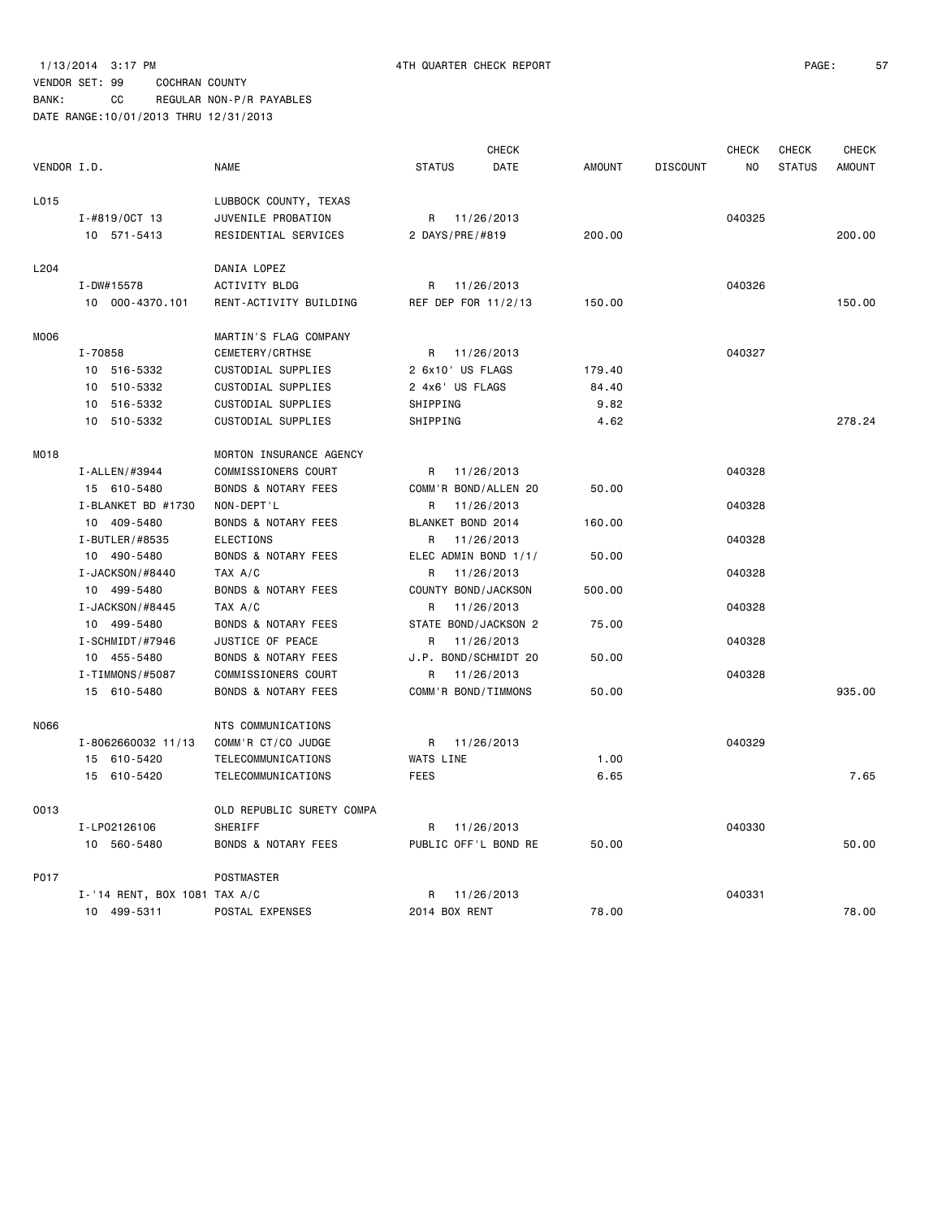BANK: CC REGULAR NON-P/R PAYABLES

|             |                              |                                |                      | <b>CHECK</b>         |               |                 | <b>CHECK</b> | <b>CHECK</b>  | <b>CHECK</b>  |
|-------------|------------------------------|--------------------------------|----------------------|----------------------|---------------|-----------------|--------------|---------------|---------------|
| VENDOR I.D. |                              | <b>NAME</b>                    | <b>STATUS</b>        | DATE                 | <b>AMOUNT</b> | <b>DISCOUNT</b> | NO.          | <b>STATUS</b> | <b>AMOUNT</b> |
| L015        |                              | LUBBOCK COUNTY, TEXAS          |                      |                      |               |                 |              |               |               |
|             | $I - #819/0CT 13$            | JUVENILE PROBATION             |                      | R 11/26/2013         |               |                 | 040325       |               |               |
|             | 10 571-5413                  | RESIDENTIAL SERVICES           | 2 DAYS/PRE/#819      |                      | 200.00        |                 |              |               | 200.00        |
| L204        |                              | DANIA LOPEZ                    |                      |                      |               |                 |              |               |               |
|             | I-DW#15578                   | ACTIVITY BLDG                  | R                    | 11/26/2013           |               |                 | 040326       |               |               |
|             | 10 000-4370.101              | RENT-ACTIVITY BUILDING         | REF DEP FOR 11/2/13  |                      | 150.00        |                 |              |               | 150.00        |
| M006        |                              | MARTIN'S FLAG COMPANY          |                      |                      |               |                 |              |               |               |
|             | I-70858                      | CEMETERY/CRTHSE                | R                    | 11/26/2013           |               |                 | 040327       |               |               |
|             | 10 516-5332                  | CUSTODIAL SUPPLIES             | 2 6x10' US FLAGS     |                      | 179.40        |                 |              |               |               |
|             | 10 510-5332                  | CUSTODIAL SUPPLIES             | 2 4x6' US FLAGS      |                      | 84.40         |                 |              |               |               |
|             | 10 516-5332                  | CUSTODIAL SUPPLIES             | SHIPPING             |                      | 9.82          |                 |              |               |               |
|             | 10 510-5332                  | CUSTODIAL SUPPLIES             | SHIPPING             |                      | 4.62          |                 |              |               | 278.24        |
| MO18        |                              | MORTON INSURANCE AGENCY        |                      |                      |               |                 |              |               |               |
|             | I-ALLEN/#3944                | COMMISSIONERS COURT            | R                    | 11/26/2013           |               |                 | 040328       |               |               |
|             | 15 610-5480                  | <b>BONDS &amp; NOTARY FEES</b> |                      | COMM'R BOND/ALLEN 20 | 50.00         |                 |              |               |               |
|             | I-BLANKET BD #1730           | NON-DEPT'L                     | R                    | 11/26/2013           |               |                 | 040328       |               |               |
|             | 10 409-5480                  | <b>BONDS &amp; NOTARY FEES</b> | BLANKET BOND 2014    |                      | 160.00        |                 |              |               |               |
|             | I-BUTLER/#8535               | <b>ELECTIONS</b>               | R                    | 11/26/2013           |               |                 | 040328       |               |               |
|             | 10 490-5480                  | <b>BONDS &amp; NOTARY FEES</b> | ELEC ADMIN BOND 1/1/ |                      | 50.00         |                 |              |               |               |
|             | I-JACKSON/#8440              | TAX A/C                        | R                    | 11/26/2013           |               |                 | 040328       |               |               |
|             | 10 499-5480                  | <b>BONDS &amp; NOTARY FEES</b> | COUNTY BOND/JACKSON  |                      | 500.00        |                 |              |               |               |
|             | I-JACKSON/#8445              | TAX A/C                        | R                    | 11/26/2013           |               |                 | 040328       |               |               |
|             | 10 499-5480                  | <b>BONDS &amp; NOTARY FEES</b> |                      | STATE BOND/JACKSON 2 | 75.00         |                 |              |               |               |
|             | I-SCHMIDT/#7946              | JUSTICE OF PEACE               | R                    | 11/26/2013           |               |                 | 040328       |               |               |
|             | 10 455-5480                  | <b>BONDS &amp; NOTARY FEES</b> | J.P. BOND/SCHMIDT 20 |                      | 50.00         |                 |              |               |               |
|             | I-TIMMONS/#5087              | COMMISSIONERS COURT            | R                    | 11/26/2013           |               |                 | 040328       |               |               |
|             | 15 610-5480                  | <b>BONDS &amp; NOTARY FEES</b> | COMM'R BOND/TIMMONS  |                      | 50.00         |                 |              |               | 935.00        |
| N066        |                              | NTS COMMUNICATIONS             |                      |                      |               |                 |              |               |               |
|             | I-8062660032 11/13           | COMM'R CT/CO JUDGE             | R.                   | 11/26/2013           |               |                 | 040329       |               |               |
|             | 15 610-5420                  | TELECOMMUNICATIONS             | WATS LINE            |                      | 1.00          |                 |              |               |               |
|             | 15 610-5420                  | TELECOMMUNICATIONS             | <b>FEES</b>          |                      | 6.65          |                 |              |               | 7.65          |
| 0013        |                              | OLD REPUBLIC SURETY COMPA      |                      |                      |               |                 |              |               |               |
|             | I-LP02126106                 | SHERIFF                        | R.                   | 11/26/2013           |               |                 | 040330       |               |               |
|             | 10 560-5480                  | <b>BONDS &amp; NOTARY FEES</b> |                      | PUBLIC OFF'L BOND RE | 50.00         |                 |              |               | 50.00         |
| P017        |                              | POSTMASTER                     |                      |                      |               |                 |              |               |               |
|             | I-'14 RENT, BOX 1081 TAX A/C |                                | R                    | 11/26/2013           |               |                 | 040331       |               |               |
|             | 10 499-5311                  | POSTAL EXPENSES                | 2014 BOX RENT        |                      | 78.00         |                 |              |               | 78.00         |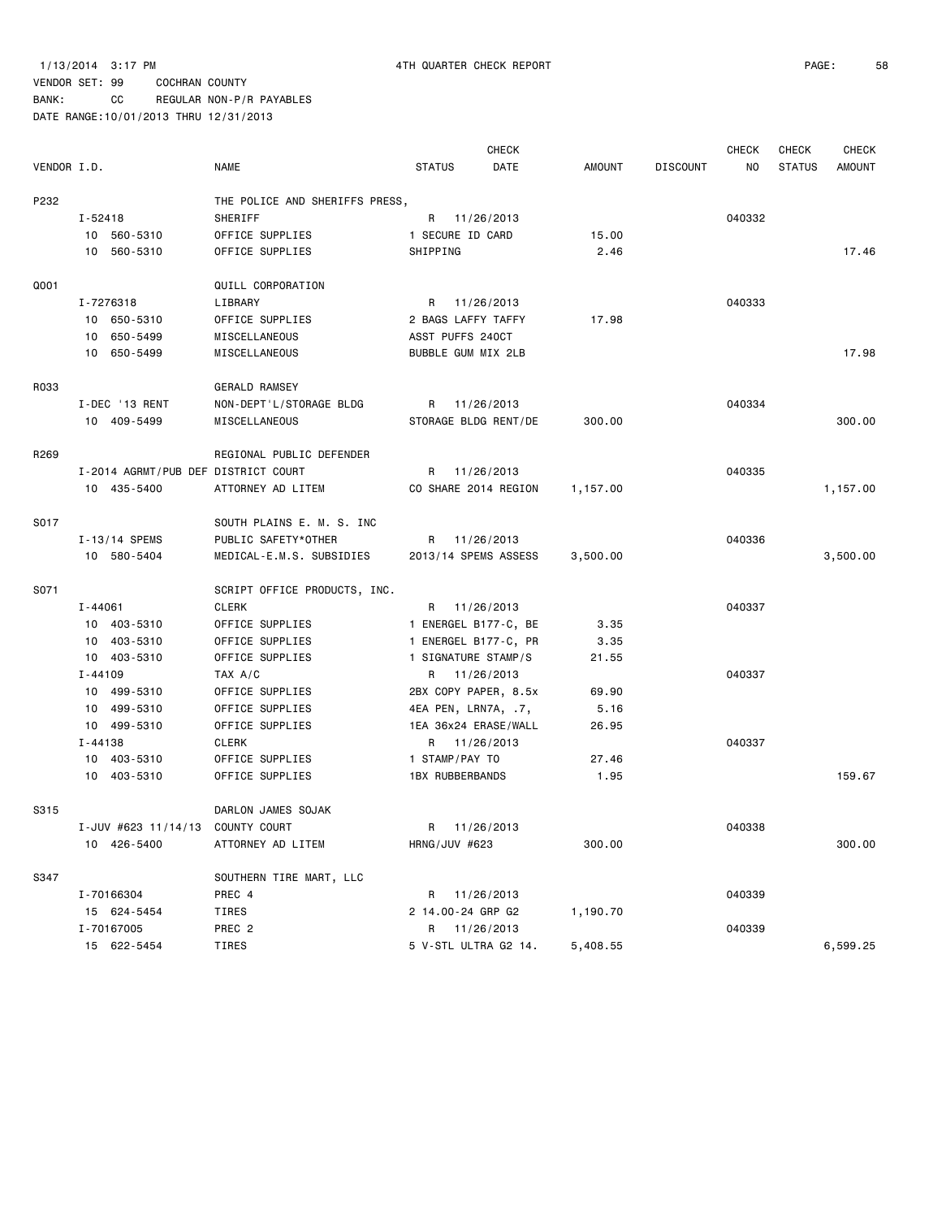BANK: CC REGULAR NON-P/R PAYABLES

|             |                                     |                                |                        | CHECK                |          |                 | <b>CHECK</b> | CHECK         | <b>CHECK</b>  |
|-------------|-------------------------------------|--------------------------------|------------------------|----------------------|----------|-----------------|--------------|---------------|---------------|
| VENDOR I.D. |                                     | NAME                           | <b>STATUS</b>          | DATE                 | AMOUNT   | <b>DISCOUNT</b> | NO           | <b>STATUS</b> | <b>AMOUNT</b> |
| P232        |                                     | THE POLICE AND SHERIFFS PRESS, |                        |                      |          |                 |              |               |               |
|             | I-52418                             | SHERIFF                        |                        | R 11/26/2013         |          |                 | 040332       |               |               |
|             | 10 560-5310                         | OFFICE SUPPLIES                | 1 SECURE ID CARD       |                      | 15.00    |                 |              |               |               |
|             | 10 560-5310                         | OFFICE SUPPLIES                | SHIPPING               |                      | 2.46     |                 |              |               | 17.46         |
| Q001        |                                     | QUILL CORPORATION              |                        |                      |          |                 |              |               |               |
|             | I-7276318                           | LIBRARY                        |                        | R 11/26/2013         |          |                 | 040333       |               |               |
|             | 10 650-5310                         | OFFICE SUPPLIES                | 2 BAGS LAFFY TAFFY     |                      | 17.98    |                 |              |               |               |
|             | 10 650-5499                         | MISCELLANEOUS                  | ASST PUFFS 240CT       |                      |          |                 |              |               |               |
|             | 10 650-5499                         | MISCELLANEOUS                  | BUBBLE GUM MIX 2LB     |                      |          |                 |              |               | 17.98         |
| R033        |                                     | <b>GERALD RAMSEY</b>           |                        |                      |          |                 |              |               |               |
|             | I-DEC '13 RENT                      | NON-DEPT'L/STORAGE BLDG        |                        | R 11/26/2013         |          |                 | 040334       |               |               |
|             | 10 409-5499                         | MISCELLANEOUS                  |                        | STORAGE BLDG RENT/DE | 300.00   |                 |              |               | 300.00        |
| R269        |                                     | REGIONAL PUBLIC DEFENDER       |                        |                      |          |                 |              |               |               |
|             | I-2014 AGRMT/PUB DEF DISTRICT COURT |                                |                        | R 11/26/2013         |          |                 | 040335       |               |               |
|             | 10 435-5400                         | ATTORNEY AD LITEM              |                        | CO SHARE 2014 REGION | 1,157.00 |                 |              |               | 1,157.00      |
| S017        |                                     | SOUTH PLAINS E. M. S. INC      |                        |                      |          |                 |              |               |               |
|             | I-13/14 SPEMS                       | PUBLIC SAFETY*OTHER            | R                      | 11/26/2013           |          |                 | 040336       |               |               |
|             | 10 580-5404                         | MEDICAL-E.M.S. SUBSIDIES       |                        | 2013/14 SPEMS ASSESS | 3,500.00 |                 |              |               | 3,500.00      |
| S071        |                                     | SCRIPT OFFICE PRODUCTS, INC.   |                        |                      |          |                 |              |               |               |
|             | I-44061                             | <b>CLERK</b>                   |                        | R 11/26/2013         |          |                 | 040337       |               |               |
|             | 10 403-5310                         | OFFICE SUPPLIES                |                        | 1 ENERGEL B177-C, BE | 3.35     |                 |              |               |               |
|             | 10 403-5310                         | OFFICE SUPPLIES                |                        | 1 ENERGEL B177-C, PR | 3.35     |                 |              |               |               |
|             | 10 403-5310                         | OFFICE SUPPLIES                | 1 SIGNATURE STAMP/S    |                      | 21.55    |                 |              |               |               |
|             | $I - 44109$                         | TAX A/C                        |                        | R 11/26/2013         |          |                 | 040337       |               |               |
|             | 10 499-5310                         | OFFICE SUPPLIES                |                        | 2BX COPY PAPER, 8.5x | 69.90    |                 |              |               |               |
|             | 10 499-5310                         | OFFICE SUPPLIES                | 4EA PEN, LRN7A, .7,    |                      | 5.16     |                 |              |               |               |
|             | 10 499-5310                         | OFFICE SUPPLIES                |                        | 1EA 36x24 ERASE/WALL | 26.95    |                 |              |               |               |
|             | I-44138                             | <b>CLERK</b>                   |                        | R 11/26/2013         |          |                 | 040337       |               |               |
|             | 10 403-5310                         | OFFICE SUPPLIES                | 1 STAMP/PAY TO         |                      | 27.46    |                 |              |               |               |
|             | 10 403-5310                         | OFFICE SUPPLIES                | <b>1BX RUBBERBANDS</b> |                      | 1.95     |                 |              |               | 159.67        |
| S315        |                                     | DARLON JAMES SOJAK             |                        |                      |          |                 |              |               |               |
|             | I-JUV #623 11/14/13 COUNTY COURT    |                                | R                      | 11/26/2013           |          |                 | 040338       |               |               |
|             | 10 426-5400                         | ATTORNEY AD LITEM              | HRNG/JUV #623          |                      | 300.00   |                 |              |               | 300.00        |
| S347        |                                     | SOUTHERN TIRE MART, LLC        |                        |                      |          |                 |              |               |               |
|             | I-70166304                          | PREC 4                         |                        | R 11/26/2013         |          |                 | 040339       |               |               |
|             | 15 624-5454                         | TIRES                          | 2 14.00-24 GRP G2      |                      | 1,190.70 |                 |              |               |               |
|             | I-70167005                          | PREC 2                         |                        | R 11/26/2013         |          |                 | 040339       |               |               |
|             | 15 622-5454                         | TIRES                          |                        | 5 V-STL ULTRA G2 14. | 5,408.55 |                 |              |               | 6,599.25      |
|             |                                     |                                |                        |                      |          |                 |              |               |               |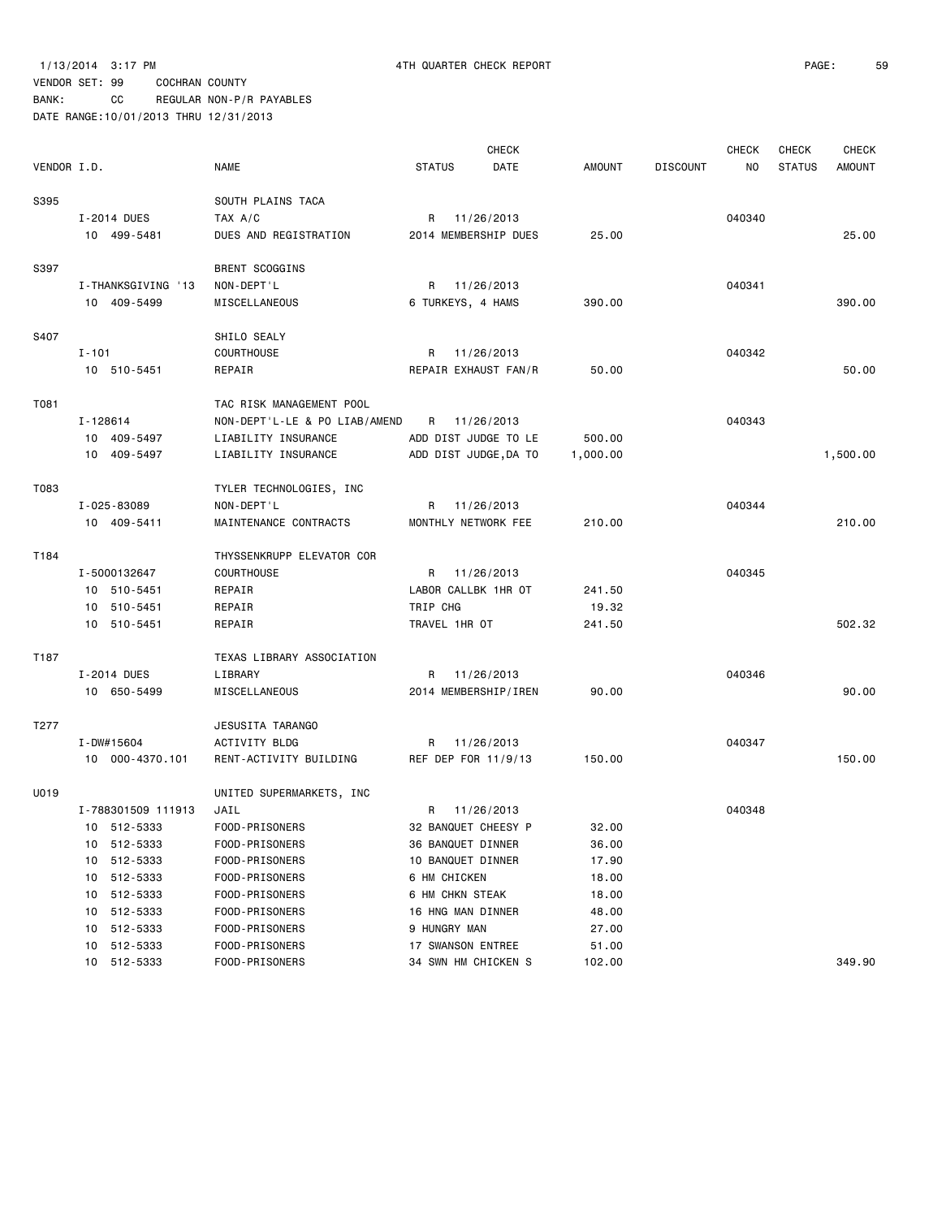### 1/13/2014 3:17 PM 4TH QUARTER CHECK REPORT PAGE: 59

### VENDOR SET: 99 COCHRAN COUNTY

|             |                    |                               |                       | <b>CHECK</b> |               |                 | <b>CHECK</b> | <b>CHECK</b>  | <b>CHECK</b>  |
|-------------|--------------------|-------------------------------|-----------------------|--------------|---------------|-----------------|--------------|---------------|---------------|
| VENDOR I.D. |                    | <b>NAME</b>                   | <b>STATUS</b>         | DATE         | <b>AMOUNT</b> | <b>DISCOUNT</b> | NO           | <b>STATUS</b> | <b>AMOUNT</b> |
| S395        |                    | SOUTH PLAINS TACA             |                       |              |               |                 |              |               |               |
|             | I-2014 DUES        | TAX A/C                       | R                     | 11/26/2013   |               |                 | 040340       |               |               |
|             | 10 499-5481        | DUES AND REGISTRATION         | 2014 MEMBERSHIP DUES  |              | 25.00         |                 |              |               | 25.00         |
| S397        |                    | <b>BRENT SCOGGINS</b>         |                       |              |               |                 |              |               |               |
|             | I-THANKSGIVING '13 | NON-DEPT'L                    | R                     | 11/26/2013   |               |                 | 040341       |               |               |
|             | 10 409-5499        | MISCELLANEOUS                 | 6 TURKEYS, 4 HAMS     |              | 390.00        |                 |              |               | 390,00        |
| S407        |                    | SHILO SEALY                   |                       |              |               |                 |              |               |               |
|             | $I - 101$          | COURTHOUSE                    | R                     | 11/26/2013   |               |                 | 040342       |               |               |
|             | 10 510-5451        | REPAIR                        | REPAIR EXHAUST FAN/R  |              | 50.00         |                 |              |               | 50.00         |
| T081        |                    | TAC RISK MANAGEMENT POOL      |                       |              |               |                 |              |               |               |
|             | I-128614           | NON-DEPT'L-LE & PO LIAB/AMEND | R                     | 11/26/2013   |               |                 | 040343       |               |               |
|             | 10 409-5497        | LIABILITY INSURANCE           | ADD DIST JUDGE TO LE  |              | 500.00        |                 |              |               |               |
|             | 10 409-5497        | LIABILITY INSURANCE           | ADD DIST JUDGE, DA TO |              | 1,000.00      |                 |              |               | 1,500.00      |
| T083        |                    | TYLER TECHNOLOGIES, INC       |                       |              |               |                 |              |               |               |
|             | I-025-83089        | NON-DEPT'L                    | R                     | 11/26/2013   |               |                 | 040344       |               |               |
|             | 10 409-5411        | MAINTENANCE CONTRACTS         | MONTHLY NETWORK FEE   |              | 210.00        |                 |              |               | 210.00        |
| T184        |                    | THYSSENKRUPP ELEVATOR COR     |                       |              |               |                 |              |               |               |
|             | I-5000132647       | <b>COURTHOUSE</b>             | R                     | 11/26/2013   |               |                 | 040345       |               |               |
|             | 10 510-5451        | REPAIR                        | LABOR CALLBK 1HR OT   |              | 241.50        |                 |              |               |               |
|             | 10 510-5451        | REPAIR                        | TRIP CHG              |              | 19.32         |                 |              |               |               |
|             | 10 510-5451        | REPAIR                        | TRAVEL 1HR OT         |              | 241.50        |                 |              |               | 502.32        |
| T187        |                    | TEXAS LIBRARY ASSOCIATION     |                       |              |               |                 |              |               |               |
|             | I-2014 DUES        | LIBRARY                       | R                     | 11/26/2013   |               |                 | 040346       |               |               |
|             | 10 650-5499        | MISCELLANEOUS                 | 2014 MEMBERSHIP/IREN  |              | 90.00         |                 |              |               | 90.00         |
| T277        |                    | JESUSITA TARANGO              |                       |              |               |                 |              |               |               |
|             | I-DW#15604         | ACTIVITY BLDG                 | R                     | 11/26/2013   |               |                 | 040347       |               |               |
|             | 10 000-4370.101    | RENT-ACTIVITY BUILDING        | REF DEP FOR 11/9/13   |              | 150.00        |                 |              |               | 150.00        |
| U019        |                    | UNITED SUPERMARKETS, INC      |                       |              |               |                 |              |               |               |
|             | I-788301509 111913 | JAIL                          | R.                    | 11/26/2013   |               |                 | 040348       |               |               |
|             | 10 512-5333        | FOOD-PRISONERS                | 32 BANQUET CHEESY P   |              | 32.00         |                 |              |               |               |
|             | 512-5333<br>10     | FOOD-PRISONERS                | 36 BANQUET DINNER     |              | 36.00         |                 |              |               |               |
|             | 512-5333<br>10     | FOOD-PRISONERS                | 10 BANQUET DINNER     |              | 17.90         |                 |              |               |               |
|             | 512-5333<br>10     | FOOD-PRISONERS                | 6 HM CHICKEN          |              | 18.00         |                 |              |               |               |
|             | 512-5333<br>10     | FOOD-PRISONERS                | 6 HM CHKN STEAK       |              | 18.00         |                 |              |               |               |
|             | 512-5333<br>10     | FOOD-PRISONERS                | 16 HNG MAN DINNER     |              | 48.00         |                 |              |               |               |
|             | 512-5333<br>10     | FOOD-PRISONERS                | 9 HUNGRY MAN          |              | 27.00         |                 |              |               |               |
|             | 512-5333<br>10     | FOOD-PRISONERS                | 17 SWANSON ENTREE     |              | 51.00         |                 |              |               |               |
|             | 512-5333<br>10     | FOOD-PRISONERS                | 34 SWN HM CHICKEN S   |              | 102.00        |                 |              |               | 349.90        |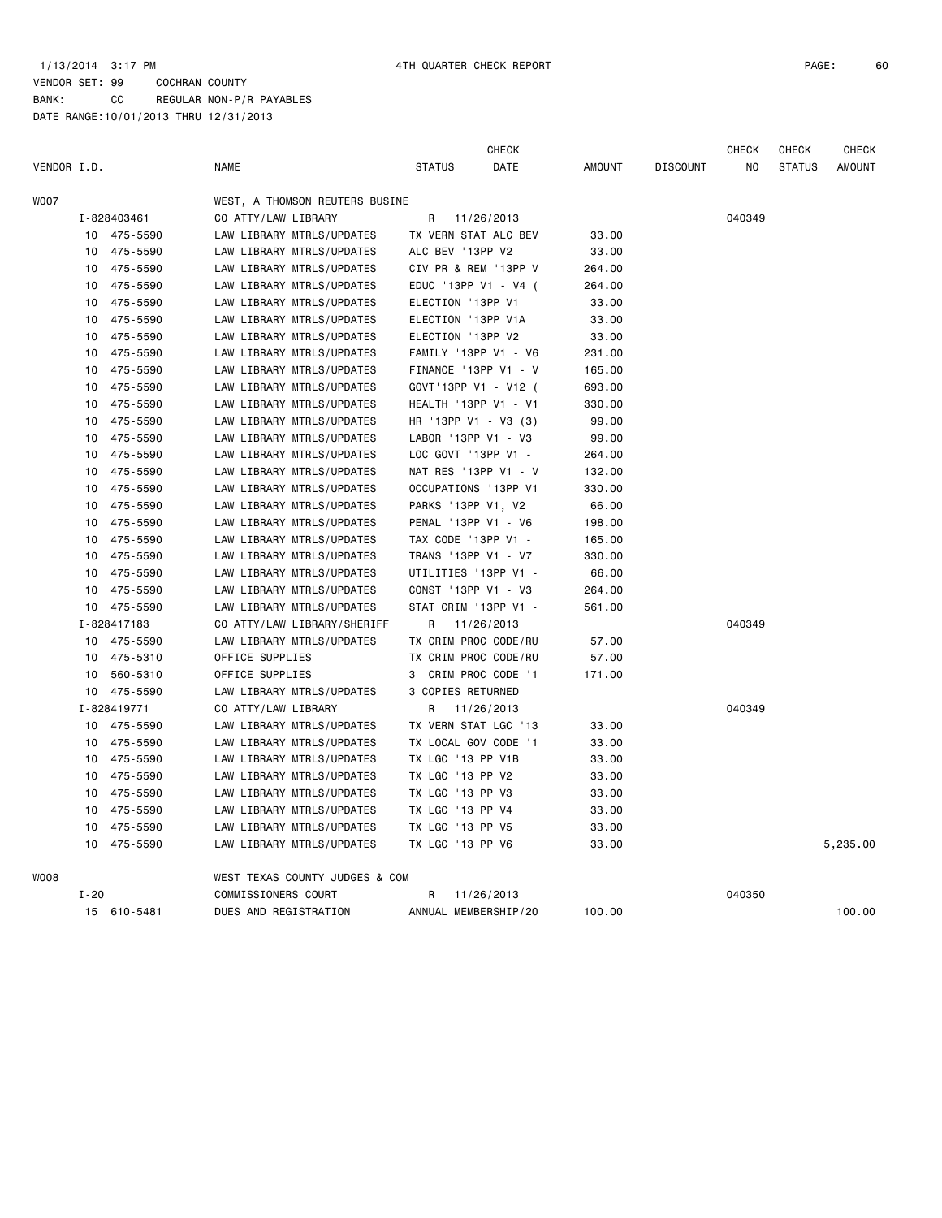|             |          |             |                                |                      | CHECK                |               |                 | CHECK  | <b>CHECK</b>  | <b>CHECK</b>  |
|-------------|----------|-------------|--------------------------------|----------------------|----------------------|---------------|-----------------|--------|---------------|---------------|
| VENDOR I.D. |          |             | <b>NAME</b>                    | <b>STATUS</b>        | DATE                 | <b>AMOUNT</b> | <b>DISCOUNT</b> | NO     | <b>STATUS</b> | <b>AMOUNT</b> |
| WO07        |          |             | WEST, A THOMSON REUTERS BUSINE |                      |                      |               |                 |        |               |               |
|             |          | I-828403461 | CO ATTY/LAW LIBRARY            | R                    | 11/26/2013           |               |                 | 040349 |               |               |
|             | 10       | 475-5590    | LAW LIBRARY MTRLS/UPDATES      | TX VERN STAT ALC BEV |                      | 33.00         |                 |        |               |               |
|             | 10       | 475-5590    | LAW LIBRARY MTRLS/UPDATES      | ALC BEV '13PP V2     |                      | 33.00         |                 |        |               |               |
|             | 10       | 475-5590    | LAW LIBRARY MTRLS/UPDATES      |                      | CIV PR & REM '13PP V | 264.00        |                 |        |               |               |
|             | 10       | 475-5590    | LAW LIBRARY MTRLS/UPDATES      |                      | EDUC '13PP V1 - V4 ( | 264.00        |                 |        |               |               |
|             | 10       | 475-5590    | LAW LIBRARY MTRLS/UPDATES      | ELECTION '13PP V1    |                      | 33.00         |                 |        |               |               |
|             | 10       | 475-5590    | LAW LIBRARY MTRLS/UPDATES      | ELECTION '13PP V1A   |                      | 33.00         |                 |        |               |               |
|             | 10       | 475-5590    | LAW LIBRARY MTRLS/UPDATES      | ELECTION '13PP V2    |                      | 33.00         |                 |        |               |               |
|             | 10       | 475-5590    | LAW LIBRARY MTRLS/UPDATES      |                      | FAMILY '13PP V1 - V6 | 231.00        |                 |        |               |               |
|             | 10       | 475-5590    | LAW LIBRARY MTRLS/UPDATES      |                      | FINANCE '13PP V1 - V | 165.00        |                 |        |               |               |
|             | 10       | 475-5590    | LAW LIBRARY MTRLS/UPDATES      | GOVT'13PP V1 - V12 ( |                      | 693.00        |                 |        |               |               |
|             | 10       | 475-5590    | LAW LIBRARY MTRLS/UPDATES      | HEALTH '13PP V1 - V1 |                      | 330.00        |                 |        |               |               |
|             | 10       | 475-5590    | LAW LIBRARY MTRLS/UPDATES      | HR '13PP V1 - V3 (3) |                      | 99.00         |                 |        |               |               |
|             | 10       | 475-5590    | LAW LIBRARY MTRLS/UPDATES      | LABOR '13PP V1 - V3  |                      | 99.00         |                 |        |               |               |
|             | 10       | 475-5590    | LAW LIBRARY MTRLS/UPDATES      | LOC GOVT '13PP V1 -  |                      | 264.00        |                 |        |               |               |
|             | 10       | 475-5590    | LAW LIBRARY MTRLS/UPDATES      | NAT RES '13PP V1 - V |                      | 132.00        |                 |        |               |               |
|             | 10       | 475-5590    | LAW LIBRARY MTRLS/UPDATES      | OCCUPATIONS '13PP V1 |                      | 330.00        |                 |        |               |               |
|             | 10       | 475-5590    | LAW LIBRARY MTRLS/UPDATES      | PARKS '13PP V1, V2   |                      | 66.00         |                 |        |               |               |
|             | 10       | 475-5590    | LAW LIBRARY MTRLS/UPDATES      | PENAL '13PP V1 - V6  |                      | 198.00        |                 |        |               |               |
|             | 10       | 475-5590    | LAW LIBRARY MTRLS/UPDATES      | TAX CODE '13PP V1 -  |                      | 165.00        |                 |        |               |               |
|             | 10       | 475-5590    | LAW LIBRARY MTRLS/UPDATES      | TRANS '13PP V1 - V7  |                      | 330.00        |                 |        |               |               |
|             | 10       | 475-5590    | LAW LIBRARY MTRLS/UPDATES      | UTILITIES '13PP V1 - |                      | 66.00         |                 |        |               |               |
|             | 10       | 475-5590    | LAW LIBRARY MTRLS/UPDATES      | CONST '13PP V1 - V3  |                      | 264.00        |                 |        |               |               |
|             |          | 10 475-5590 | LAW LIBRARY MTRLS/UPDATES      | STAT CRIM '13PP V1 - |                      | 561.00        |                 |        |               |               |
|             |          | I-828417183 | CO ATTY/LAW LIBRARY/SHERIFF    | R                    | 11/26/2013           |               |                 | 040349 |               |               |
|             | 10       | 475-5590    | LAW LIBRARY MTRLS/UPDATES      | TX CRIM PROC CODE/RU |                      | 57.00         |                 |        |               |               |
|             | 10       | 475-5310    | OFFICE SUPPLIES                | TX CRIM PROC CODE/RU |                      | 57.00         |                 |        |               |               |
|             | 10       | 560-5310    | OFFICE SUPPLIES                | 3                    | CRIM PROC CODE '1    | 171.00        |                 |        |               |               |
|             |          | 10 475-5590 | LAW LIBRARY MTRLS/UPDATES      | 3 COPIES RETURNED    |                      |               |                 |        |               |               |
|             |          | I-828419771 | CO ATTY/LAW LIBRARY            | R                    | 11/26/2013           |               |                 | 040349 |               |               |
|             | 10       | 475-5590    | LAW LIBRARY MTRLS/UPDATES      | TX VERN STAT LGC '13 |                      | 33.00         |                 |        |               |               |
|             | 10       | 475-5590    | LAW LIBRARY MTRLS/UPDATES      | TX LOCAL GOV CODE '1 |                      | 33.00         |                 |        |               |               |
|             |          | 10 475-5590 | LAW LIBRARY MTRLS/UPDATES      | TX LGC '13 PP V1B    |                      | 33.00         |                 |        |               |               |
|             | 10       | 475-5590    | LAW LIBRARY MTRLS/UPDATES      | TX LGC '13 PP V2     |                      | 33.00         |                 |        |               |               |
|             | 10       | 475-5590    | LAW LIBRARY MTRLS/UPDATES      | TX LGC '13 PP V3     |                      | 33.00         |                 |        |               |               |
|             | 10       | 475-5590    | LAW LIBRARY MTRLS/UPDATES      | TX LGC '13 PP V4     |                      | 33.00         |                 |        |               |               |
|             | 10       | 475-5590    | LAW LIBRARY MTRLS/UPDATES      | TX LGC '13 PP V5     |                      | 33.00         |                 |        |               |               |
|             | 10       | 475-5590    | LAW LIBRARY MTRLS/UPDATES      | TX LGC '13 PP V6     |                      | 33.00         |                 |        |               | 5,235.00      |
| WO08        |          |             | WEST TEXAS COUNTY JUDGES & COM |                      |                      |               |                 |        |               |               |
|             | $I - 20$ |             | COMMISSIONERS COURT            | R                    | 11/26/2013           |               |                 | 040350 |               |               |
|             |          | 15 610-5481 | DUES AND REGISTRATION          | ANNUAL MEMBERSHIP/20 |                      | 100.00        |                 |        |               | 100.00        |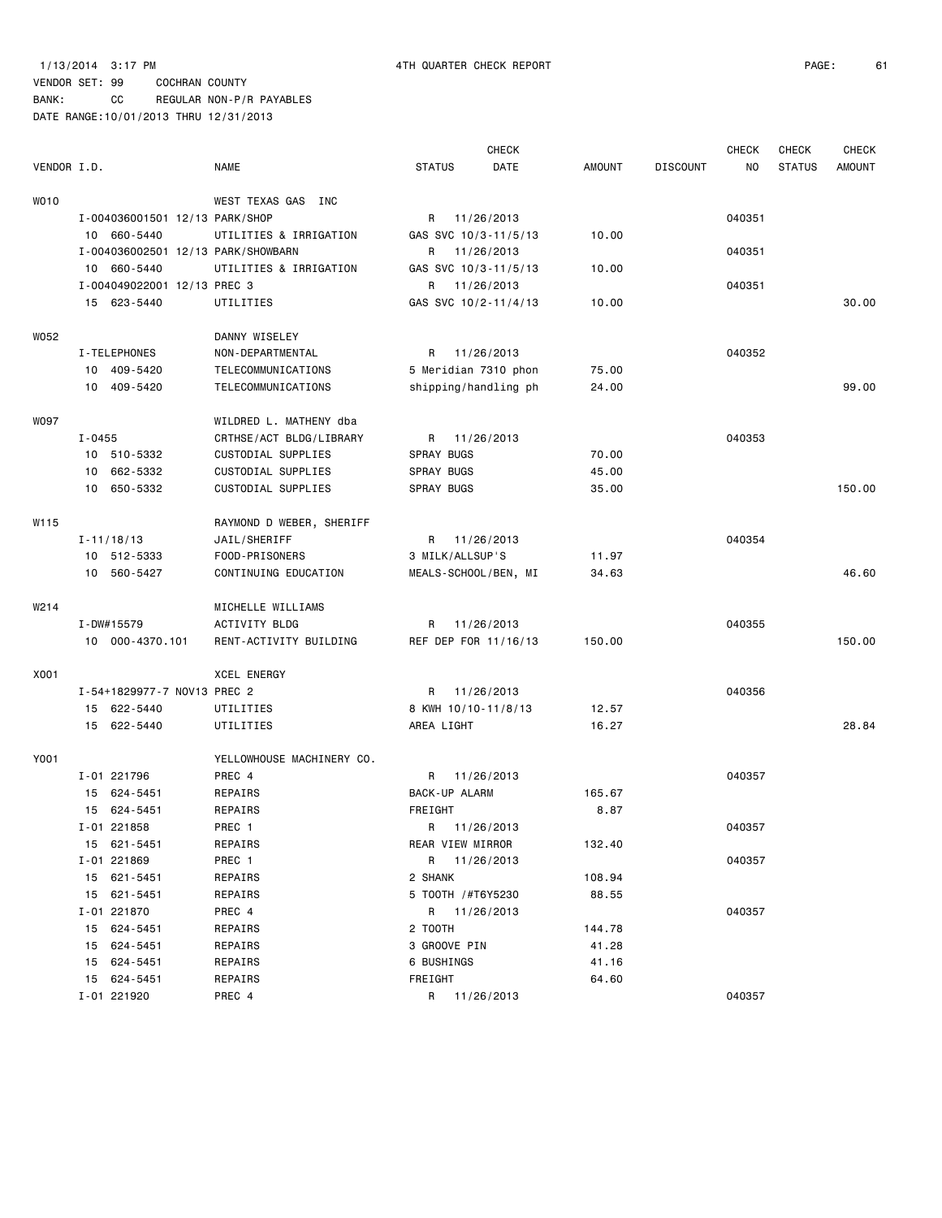### 1/13/2014 3:17 PM 4TH QUARTER CHECK REPORT PAGE: 61

### VENDOR SET: 99 COCHRAN COUNTY BANK: CC REGULAR NON-P/R PAYABLES

|                   |            |                                    |                           |                      | CHECK      |               |                 | <b>CHECK</b> | <b>CHECK</b>  | <b>CHECK</b>  |
|-------------------|------------|------------------------------------|---------------------------|----------------------|------------|---------------|-----------------|--------------|---------------|---------------|
| VENDOR I.D.       |            |                                    | NAME                      | <b>STATUS</b>        | DATE       | <b>AMOUNT</b> | <b>DISCOUNT</b> | NO.          | <b>STATUS</b> | <b>AMOUNT</b> |
| WO10              |            |                                    | WEST TEXAS GAS INC        |                      |            |               |                 |              |               |               |
|                   |            | I-004036001501 12/13 PARK/SHOP     |                           | R                    | 11/26/2013 |               |                 | 040351       |               |               |
|                   |            | 10 660-5440                        | UTILITIES & IRRIGATION    | GAS SVC 10/3-11/5/13 |            | 10.00         |                 |              |               |               |
|                   |            | I-004036002501 12/13 PARK/SHOWBARN |                           | R 11/26/2013         |            |               |                 | 040351       |               |               |
|                   |            | 10 660-5440                        | UTILITIES & IRRIGATION    | GAS SVC 10/3-11/5/13 |            | 10.00         |                 |              |               |               |
|                   |            | I-004049022001 12/13 PREC 3        |                           | R 11/26/2013         |            |               |                 | 040351       |               |               |
|                   |            | 15 623-5440                        | UTILITIES                 | GAS SVC 10/2-11/4/13 |            | 10.00         |                 |              |               | 30.00         |
| W052              |            |                                    | DANNY WISELEY             |                      |            |               |                 |              |               |               |
|                   |            | I-TELEPHONES                       | NON-DEPARTMENTAL          | R                    | 11/26/2013 |               |                 | 040352       |               |               |
|                   |            | 10 409-5420                        | TELECOMMUNICATIONS        | 5 Meridian 7310 phon |            | 75.00         |                 |              |               |               |
|                   |            | 10 409-5420                        | TELECOMMUNICATIONS        | shipping/handling ph |            | 24.00         |                 |              |               | 99.00         |
| W097              |            |                                    | WILDRED L. MATHENY dba    |                      |            |               |                 |              |               |               |
|                   | $I - 0455$ |                                    | CRTHSE/ACT BLDG/LIBRARY   | R                    | 11/26/2013 |               |                 | 040353       |               |               |
|                   |            | 10 510-5332                        | CUSTODIAL SUPPLIES        | SPRAY BUGS           |            | 70.00         |                 |              |               |               |
|                   | 10         | 662-5332                           | CUSTODIAL SUPPLIES        | SPRAY BUGS           |            | 45.00         |                 |              |               |               |
|                   | 10         | 650-5332                           | CUSTODIAL SUPPLIES        | SPRAY BUGS           |            | 35.00         |                 |              |               | 150.00        |
| W115              |            |                                    | RAYMOND D WEBER, SHERIFF  |                      |            |               |                 |              |               |               |
|                   |            | $I - 11/18/13$                     | JAIL/SHERIFF              | R                    | 11/26/2013 |               |                 | 040354       |               |               |
|                   |            | 10 512-5333                        | FOOD-PRISONERS            | 3 MILK/ALLSUP'S      |            | 11.97         |                 |              |               |               |
|                   |            | 10 560-5427                        | CONTINUING EDUCATION      | MEALS-SCHOOL/BEN, MI |            | 34.63         |                 |              |               | 46.60         |
| W <sub>2</sub> 14 |            |                                    | MICHELLE WILLIAMS         |                      |            |               |                 |              |               |               |
|                   |            | I-DW#15579                         | <b>ACTIVITY BLDG</b>      | R                    | 11/26/2013 |               |                 | 040355       |               |               |
|                   |            | 10 000-4370.101                    | RENT-ACTIVITY BUILDING    | REF DEP FOR 11/16/13 |            | 150.00        |                 |              |               | 150.00        |
| X001              |            |                                    | <b>XCEL ENERGY</b>        |                      |            |               |                 |              |               |               |
|                   |            | I-54+1829977-7 NOV13 PREC 2        |                           | R                    | 11/26/2013 |               |                 | 040356       |               |               |
|                   |            | 15 622-5440                        | UTILITIES                 | 8 KWH 10/10-11/8/13  |            | 12.57         |                 |              |               |               |
|                   |            | 15 622-5440                        | UTILITIES                 | AREA LIGHT           |            | 16.27         |                 |              |               | 28.84         |
| Y001              |            |                                    | YELLOWHOUSE MACHINERY CO. |                      |            |               |                 |              |               |               |
|                   |            | I-01 221796                        | PREC 4                    | R                    | 11/26/2013 |               |                 | 040357       |               |               |
|                   | 15         | 624-5451                           | REPAIRS                   | <b>BACK-UP ALARM</b> |            | 165.67        |                 |              |               |               |
|                   |            | 15 624-5451                        | REPAIRS                   | FREIGHT              |            | 8.87          |                 |              |               |               |
|                   |            | I-01 221858                        | PREC 1                    | R                    | 11/26/2013 |               |                 | 040357       |               |               |
|                   |            | 15 621-5451                        | REPAIRS                   | REAR VIEW MIRROR     |            | 132.40        |                 |              |               |               |
|                   |            | I-01 221869                        | PREC 1                    | R 11/26/2013         |            |               |                 | 040357       |               |               |
|                   |            | 15 621-5451                        | REPAIRS                   | 2 SHANK              |            | 108.94        |                 |              |               |               |
|                   | 15         | 621-5451                           | REPAIRS                   | 5 T00TH /#T6Y5230    |            | 88.55         |                 |              |               |               |
|                   |            | I-01 221870                        | PREC 4                    | R 11/26/2013         |            |               |                 | 040357       |               |               |
|                   | 15         | 624-5451                           | REPAIRS                   | 2 TOOTH              |            | 144.78        |                 |              |               |               |
|                   | 15         | 624-5451                           | REPAIRS                   | 3 GROOVE PIN         |            | 41.28         |                 |              |               |               |
|                   | 15         | 624-5451                           | REPAIRS                   | 6 BUSHINGS           |            | 41.16         |                 |              |               |               |
|                   | 15         | 624-5451                           | REPAIRS                   | FREIGHT              |            | 64.60         |                 |              |               |               |
|                   |            | I-01 221920                        | PREC 4                    | R 11/26/2013         |            |               |                 | 040357       |               |               |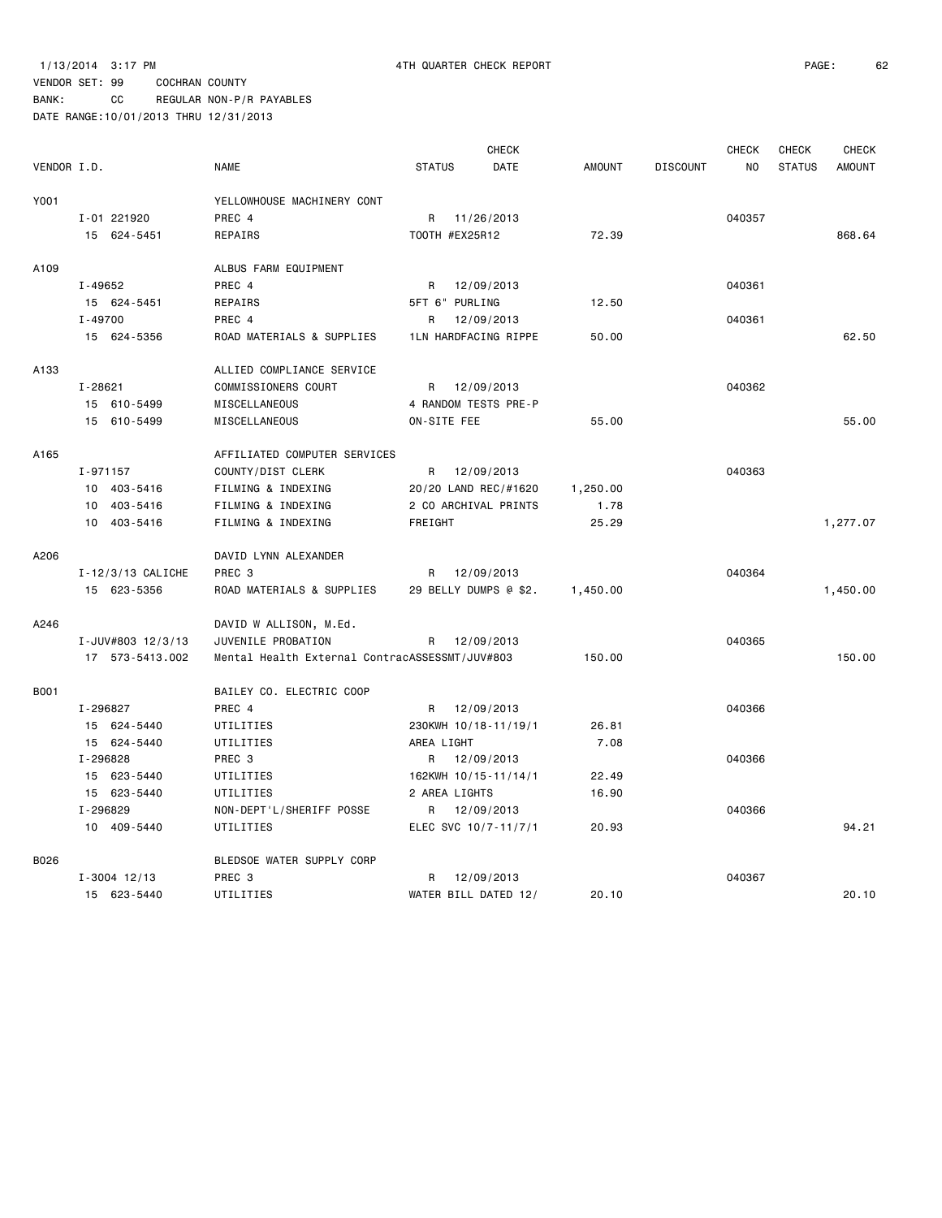BANK: CC REGULAR NON-P/R PAYABLES

|             |                       |                                                |               |                       | <b>CHECK</b> |               |                 | <b>CHECK</b>   | <b>CHECK</b>  | <b>CHECK</b>  |
|-------------|-----------------------|------------------------------------------------|---------------|-----------------------|--------------|---------------|-----------------|----------------|---------------|---------------|
| VENDOR I.D. |                       | <b>NAME</b>                                    | <b>STATUS</b> |                       | DATE         | <b>AMOUNT</b> | <b>DISCOUNT</b> | N <sub>O</sub> | <b>STATUS</b> | <b>AMOUNT</b> |
| Y001        |                       | YELLOWHOUSE MACHINERY CONT                     |               |                       |              |               |                 |                |               |               |
|             | I-01 221920           | PREC 4                                         |               | R 11/26/2013          |              |               |                 | 040357         |               |               |
|             | 15 624-5451           | REPAIRS                                        |               | TOOTH #EX25R12        |              | 72.39         |                 |                |               | 868.64        |
| A109        |                       | ALBUS FARM EQUIPMENT                           |               |                       |              |               |                 |                |               |               |
|             | I-49652               | PREC 4                                         | R             | 12/09/2013            |              |               |                 | 040361         |               |               |
|             | 15 624-5451           | REPAIRS                                        |               | 5FT 6" PURLING        |              | 12.50         |                 |                |               |               |
|             | $I - 49700$           | PREC 4                                         | R             | 12/09/2013            |              |               |                 | 040361         |               |               |
|             | 15 624-5356           | ROAD MATERIALS & SUPPLIES                      |               | 1LN HARDFACING RIPPE  |              | 50.00         |                 |                |               | 62.50         |
| A133        |                       | ALLIED COMPLIANCE SERVICE                      |               |                       |              |               |                 |                |               |               |
|             | $I - 28621$           | COMMISSIONERS COURT                            |               | R 12/09/2013          |              |               |                 | 040362         |               |               |
|             | 15 610-5499           | MISCELLANEOUS                                  |               | 4 RANDOM TESTS PRE-P  |              |               |                 |                |               |               |
|             | 15 610-5499           | MISCELLANEOUS                                  | ON-SITE FEE   |                       |              | 55.00         |                 |                |               | 55.00         |
| A165        |                       | AFFILIATED COMPUTER SERVICES                   |               |                       |              |               |                 |                |               |               |
|             | I-971157              | COUNTY/DIST CLERK                              | R             | 12/09/2013            |              |               |                 | 040363         |               |               |
|             | 10 403-5416           | FILMING & INDEXING                             |               | 20/20 LAND REC/#1620  |              | 1,250.00      |                 |                |               |               |
|             | 10 403-5416           | FILMING & INDEXING                             |               | 2 CO ARCHIVAL PRINTS  |              | 1.78          |                 |                |               |               |
|             | 10 403-5416           | FILMING & INDEXING                             | FREIGHT       |                       |              | 25.29         |                 |                |               | 1,277.07      |
| A206        |                       | DAVID LYNN ALEXANDER                           |               |                       |              |               |                 |                |               |               |
|             | $I - 12/3/13$ CALICHE | PREC 3                                         | R             | 12/09/2013            |              |               |                 | 040364         |               |               |
|             | 15 623-5356           | ROAD MATERIALS & SUPPLIES                      |               | 29 BELLY DUMPS @ \$2. |              | 1,450.00      |                 |                |               | 1,450.00      |
| A246        |                       | DAVID W ALLISON, M.Ed.                         |               |                       |              |               |                 |                |               |               |
|             | I-JUV#803 12/3/13     | JUVENILE PROBATION                             | R             | 12/09/2013            |              |               |                 | 040365         |               |               |
|             | 17 573-5413.002       | Mental Health External ContracASSESSMT/JUV#803 |               |                       |              | 150.00        |                 |                |               | 150.00        |
| <b>B001</b> |                       | BAILEY CO. ELECTRIC COOP                       |               |                       |              |               |                 |                |               |               |
|             | I-296827              | PREC 4                                         |               | R 12/09/2013          |              |               |                 | 040366         |               |               |
|             | 15 624-5440           | UTILITIES                                      |               | 230KWH 10/18-11/19/1  |              | 26.81         |                 |                |               |               |
|             | 15 624-5440           | UTILITIES                                      | AREA LIGHT    |                       |              | 7.08          |                 |                |               |               |
|             | I-296828              | PREC 3                                         |               | R 12/09/2013          |              |               |                 | 040366         |               |               |
|             | 15 623-5440           | UTILITIES                                      |               | 162KWH 10/15-11/14/1  |              | 22.49         |                 |                |               |               |
|             | 15 623-5440           | UTILITIES                                      |               | 2 AREA LIGHTS         |              | 16.90         |                 |                |               |               |
|             | I-296829              | NON-DEPT'L/SHERIFF POSSE                       |               | R 12/09/2013          |              |               |                 | 040366         |               |               |
|             | 10 409-5440           | UTILITIES                                      |               | ELEC SVC 10/7-11/7/1  |              | 20.93         |                 |                |               | 94.21         |
| B026        |                       | BLEDSOE WATER SUPPLY CORP                      |               |                       |              |               |                 |                |               |               |
|             | $I - 3004$ 12/13      | PREC 3                                         | R             | 12/09/2013            |              |               |                 | 040367         |               |               |
|             | 15 623-5440           | UTILITIES                                      |               | WATER BILL DATED 12/  |              | 20.10         |                 |                |               | 20.10         |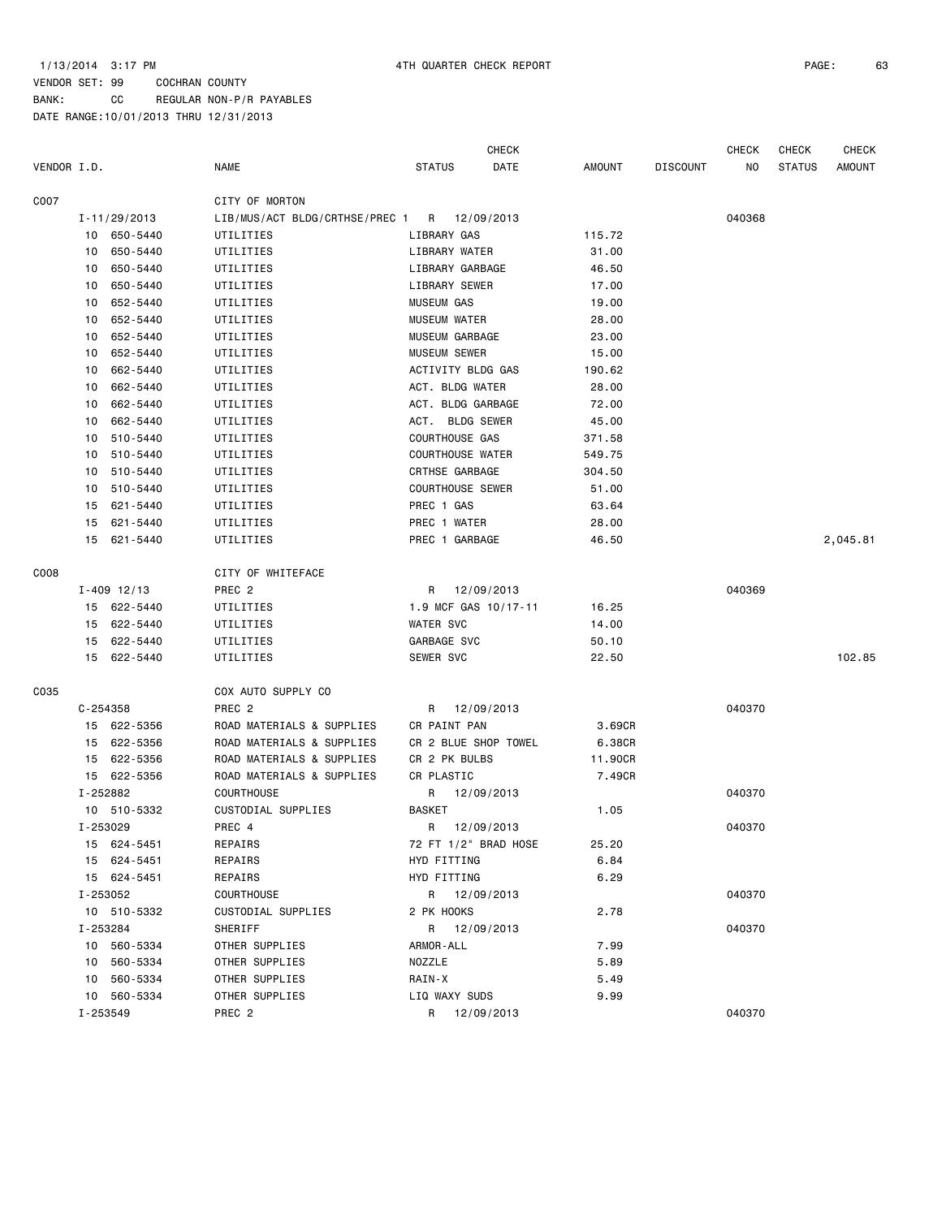BANK: CC REGULAR NON-P/R PAYABLES

|                  |                 |                                             |                         | <b>CHECK</b> |         |                 | <b>CHECK</b> | <b>CHECK</b>  | <b>CHECK</b>  |
|------------------|-----------------|---------------------------------------------|-------------------------|--------------|---------|-----------------|--------------|---------------|---------------|
| VENDOR I.D.      |                 | <b>NAME</b>                                 | <b>STATUS</b>           | DATE         | AMOUNT  | <b>DISCOUNT</b> | NO.          | <b>STATUS</b> | <b>AMOUNT</b> |
| C007             |                 | CITY OF MORTON                              |                         |              |         |                 |              |               |               |
|                  | I-11/29/2013    | LIB/MUS/ACT BLDG/CRTHSE/PREC 1 R 12/09/2013 |                         |              |         |                 | 040368       |               |               |
|                  | 10 650-5440     | UTILITIES                                   | LIBRARY GAS             |              | 115.72  |                 |              |               |               |
| 10               | 650-5440        | UTILITIES                                   | LIBRARY WATER           |              | 31.00   |                 |              |               |               |
| 10               | 650-5440        | UTILITIES                                   | LIBRARY GARBAGE         |              | 46.50   |                 |              |               |               |
| 10               | 650-5440        | UTILITIES                                   | LIBRARY SEWER           |              | 17.00   |                 |              |               |               |
| 10               | 652-5440        | UTILITIES                                   | <b>MUSEUM GAS</b>       |              | 19.00   |                 |              |               |               |
| 10               | 652-5440        | UTILITIES                                   | MUSEUM WATER            |              | 28.00   |                 |              |               |               |
| 10               | 652-5440        | UTILITIES                                   | MUSEUM GARBAGE          |              | 23.00   |                 |              |               |               |
| 10               | 652-5440        | UTILITIES                                   | <b>MUSEUM SEWER</b>     |              | 15.00   |                 |              |               |               |
| 10               | 662-5440        | UTILITIES                                   | ACTIVITY BLDG GAS       |              | 190.62  |                 |              |               |               |
| 10               | 662-5440        | UTILITIES                                   | ACT. BLDG WATER         |              | 28.00   |                 |              |               |               |
| 10               | 662-5440        | UTILITIES                                   | ACT. BLDG GARBAGE       |              | 72.00   |                 |              |               |               |
| 10               | 662-5440        | UTILITIES                                   | ACT. BLDG SEWER         |              | 45.00   |                 |              |               |               |
| 10               | 510-5440        | UTILITIES                                   | COURTHOUSE GAS          |              | 371.58  |                 |              |               |               |
| 10               | 510-5440        | UTILITIES                                   | <b>COURTHOUSE WATER</b> |              | 549.75  |                 |              |               |               |
| 10               | 510-5440        | UTILITIES                                   | CRTHSE GARBAGE          |              | 304.50  |                 |              |               |               |
| 10               | 510-5440        | UTILITIES                                   | <b>COURTHOUSE SEWER</b> |              | 51.00   |                 |              |               |               |
| 15               | 621-5440        | UTILITIES                                   | PREC 1 GAS              |              | 63.64   |                 |              |               |               |
| 15               | 621-5440        | UTILITIES                                   | PREC 1 WATER            |              | 28.00   |                 |              |               |               |
|                  | 15 621-5440     | UTILITIES                                   | PREC 1 GARBAGE          |              | 46.50   |                 |              |               | 2,045.81      |
| C <sub>008</sub> |                 | CITY OF WHITEFACE                           |                         |              |         |                 |              |               |               |
|                  | $I - 409$ 12/13 | PREC <sub>2</sub>                           | R                       | 12/09/2013   |         |                 | 040369       |               |               |
|                  | 15 622-5440     | UTILITIES                                   | 1.9 MCF GAS 10/17-11    |              | 16.25   |                 |              |               |               |
|                  | 15 622-5440     | UTILITIES                                   | WATER SVC               |              | 14.00   |                 |              |               |               |
|                  | 15 622-5440     | UTILITIES                                   | GARBAGE SVC             |              | 50.10   |                 |              |               |               |
|                  | 15 622-5440     | UTILITIES                                   | SEWER SVC               |              | 22.50   |                 |              |               | 102.85        |
| C035             |                 | COX AUTO SUPPLY CO                          |                         |              |         |                 |              |               |               |
|                  | $C - 254358$    | PREC <sub>2</sub>                           | R                       | 12/09/2013   |         |                 | 040370       |               |               |
|                  | 15 622-5356     | ROAD MATERIALS & SUPPLIES                   | CR PAINT PAN            |              | 3.69CR  |                 |              |               |               |
|                  | 15 622-5356     | ROAD MATERIALS & SUPPLIES                   | CR 2 BLUE SHOP TOWEL    |              | 6.38CR  |                 |              |               |               |
|                  | 15 622-5356     | ROAD MATERIALS & SUPPLIES                   | CR 2 PK BULBS           |              | 11.90CR |                 |              |               |               |
|                  | 15 622-5356     | ROAD MATERIALS & SUPPLIES                   | CR PLASTIC              |              | 7.49CR  |                 |              |               |               |
|                  | I-252882        | COURTHOUSE                                  | R                       | 12/09/2013   |         |                 | 040370       |               |               |
|                  | 10 510-5332     | CUSTODIAL SUPPLIES                          | <b>BASKET</b>           |              | 1.05    |                 |              |               |               |
|                  | I-253029        | PREC 4                                      | R 12/09/2013            |              |         |                 | 040370       |               |               |
|                  | 15 624-5451     | REPAIRS                                     | 72 FT 1/2" BRAD HOSE    |              | 25.20   |                 |              |               |               |
|                  | 15 624-5451     | REPAIRS                                     | HYD FITTING             |              | 6.84    |                 |              |               |               |
|                  | 15 624-5451     | REPAIRS                                     | HYD FITTING             |              | 6.29    |                 |              |               |               |
|                  | I-253052        | COURTHOUSE                                  | R 12/09/2013            |              |         |                 | 040370       |               |               |
|                  | 10 510-5332     | CUSTODIAL SUPPLIES                          | 2 PK HOOKS              |              | 2.78    |                 |              |               |               |
|                  | I-253284        | SHERIFF                                     | R 12/09/2013            |              |         |                 | 040370       |               |               |
|                  | 10 560-5334     | OTHER SUPPLIES                              | ARMOR-ALL               |              | 7.99    |                 |              |               |               |
|                  | 10 560-5334     | OTHER SUPPLIES                              | NOZZLE                  |              | 5.89    |                 |              |               |               |
|                  | 10 560-5334     | OTHER SUPPLIES                              | RAIN-X                  |              | 5.49    |                 |              |               |               |
|                  | 10 560-5334     | OTHER SUPPLIES                              | LIQ WAXY SUDS           |              | 9.99    |                 |              |               |               |
|                  | I-253549        | PREC 2                                      | R 12/09/2013            |              |         |                 | 040370       |               |               |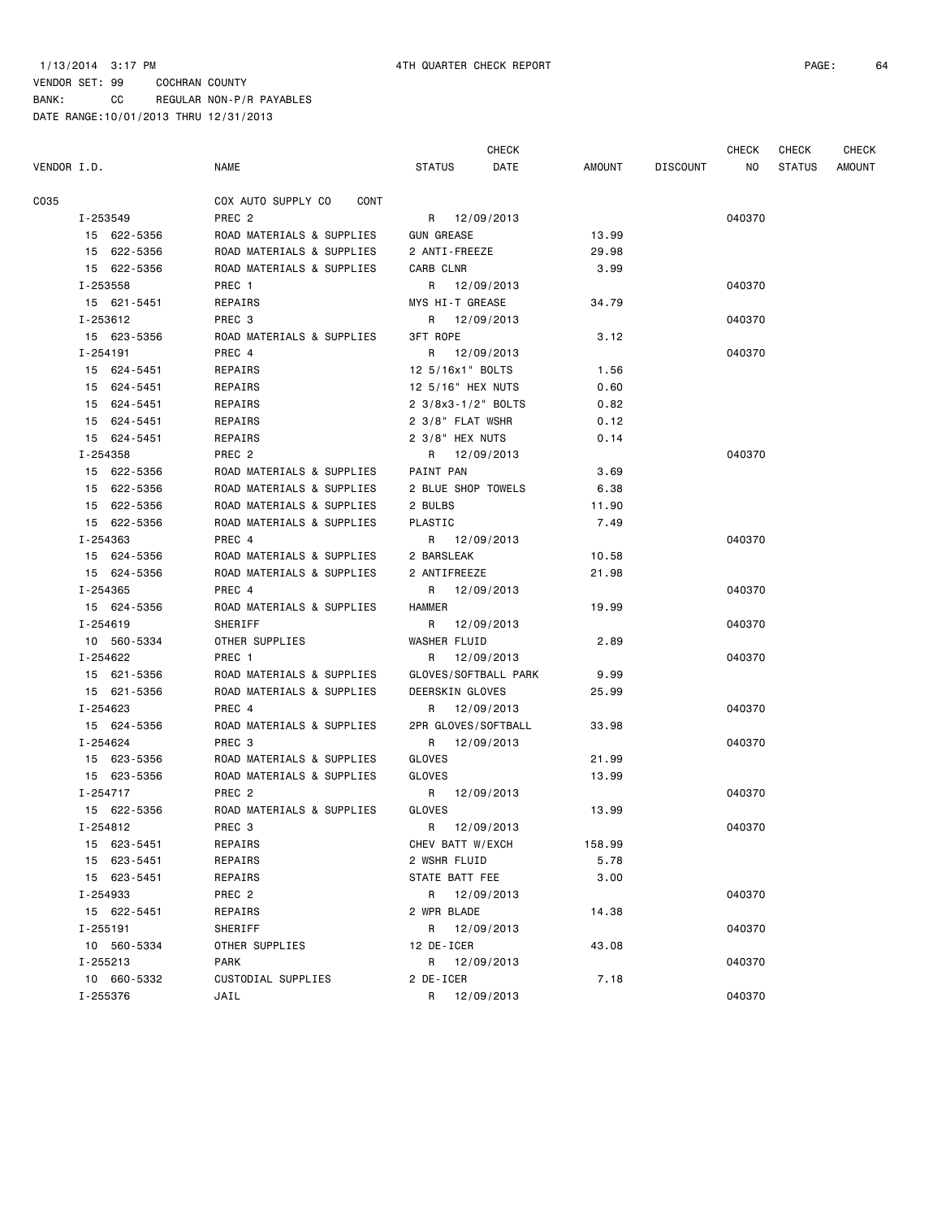|             |              |                            |                      | <b>CHECK</b> |        |                 | CHECK  | <b>CHECK</b>  | <b>CHECK</b>  |
|-------------|--------------|----------------------------|----------------------|--------------|--------|-----------------|--------|---------------|---------------|
| VENDOR I.D. |              | NAME                       | <b>STATUS</b>        | DATE         | AMOUNT | <b>DISCOUNT</b> | NO     | <b>STATUS</b> | <b>AMOUNT</b> |
| C035        |              | COX AUTO SUPPLY CO<br>CONT |                      |              |        |                 |        |               |               |
|             | I-253549     | PREC <sub>2</sub>          | R 12/09/2013         |              |        |                 | 040370 |               |               |
|             | 15 622-5356  | ROAD MATERIALS & SUPPLIES  | <b>GUN GREASE</b>    |              | 13.99  |                 |        |               |               |
|             | 15 622-5356  | ROAD MATERIALS & SUPPLIES  | 2 ANTI-FREEZE        |              | 29.98  |                 |        |               |               |
|             | 15 622-5356  | ROAD MATERIALS & SUPPLIES  | CARB CLNR            |              | 3.99   |                 |        |               |               |
|             | I-253558     | PREC 1                     | R                    | 12/09/2013   |        |                 | 040370 |               |               |
|             | 15 621-5451  | REPAIRS                    | MYS HI-T GREASE      |              | 34.79  |                 |        |               |               |
|             | I-253612     | PREC 3                     | R 12/09/2013         |              |        |                 | 040370 |               |               |
|             | 15 623-5356  | ROAD MATERIALS & SUPPLIES  | <b>3FT ROPE</b>      |              | 3.12   |                 |        |               |               |
|             | I-254191     | PREC 4                     | R 12/09/2013         |              |        |                 | 040370 |               |               |
|             | 15 624-5451  | REPAIRS                    | 12 5/16x1" BOLTS     |              | 1.56   |                 |        |               |               |
|             | 15 624-5451  | REPAIRS                    | 12 5/16" HEX NUTS    |              | 0.60   |                 |        |               |               |
|             | 15 624-5451  | REPAIRS                    | 2 3/8x3-1/2" BOLTS   |              | 0.82   |                 |        |               |               |
|             | 15 624-5451  | REPAIRS                    | 2 3/8" FLAT WSHR     |              | 0.12   |                 |        |               |               |
|             | 15 624-5451  | REPAIRS                    | 2 3/8" HEX NUTS      |              | 0.14   |                 |        |               |               |
|             | I-254358     | PREC <sub>2</sub>          | R 12/09/2013         |              |        |                 | 040370 |               |               |
|             | 15 622-5356  | ROAD MATERIALS & SUPPLIES  | PAINT PAN            |              | 3.69   |                 |        |               |               |
|             | 15 622-5356  | ROAD MATERIALS & SUPPLIES  | 2 BLUE SHOP TOWELS   |              | 6.38   |                 |        |               |               |
|             | 15 622-5356  | ROAD MATERIALS & SUPPLIES  | 2 BULBS              |              | 11.90  |                 |        |               |               |
|             | 15 622-5356  | ROAD MATERIALS & SUPPLIES  | PLASTIC              |              | 7.49   |                 |        |               |               |
|             | I-254363     | PREC 4                     | R 12/09/2013         |              |        |                 | 040370 |               |               |
|             | 15 624-5356  | ROAD MATERIALS & SUPPLIES  | 2 BARSLEAK           |              | 10.58  |                 |        |               |               |
|             | 15 624-5356  | ROAD MATERIALS & SUPPLIES  | 2 ANTIFREEZE         |              | 21.98  |                 |        |               |               |
|             | I-254365     | PREC 4                     | R 12/09/2013         |              |        |                 | 040370 |               |               |
|             | 15 624-5356  | ROAD MATERIALS & SUPPLIES  | <b>HAMMER</b>        |              | 19.99  |                 |        |               |               |
|             | I-254619     | SHERIFF                    | R 12/09/2013         |              |        |                 | 040370 |               |               |
|             | 10 560-5334  | OTHER SUPPLIES             | WASHER FLUID         |              | 2.89   |                 |        |               |               |
|             | I-254622     | PREC 1                     | R 12/09/2013         |              |        |                 | 040370 |               |               |
|             | 15 621-5356  | ROAD MATERIALS & SUPPLIES  | GLOVES/SOFTBALL PARK |              | 9.99   |                 |        |               |               |
|             | 15 621-5356  | ROAD MATERIALS & SUPPLIES  | DEERSKIN GLOVES      |              | 25.99  |                 |        |               |               |
|             | I-254623     | PREC 4                     | R 12/09/2013         |              |        |                 | 040370 |               |               |
|             | 15 624-5356  | ROAD MATERIALS & SUPPLIES  | 2PR GLOVES/SOFTBALL  |              | 33.98  |                 |        |               |               |
|             | I-254624     | PREC <sub>3</sub>          | R 12/09/2013         |              |        |                 | 040370 |               |               |
|             | 15 623-5356  | ROAD MATERIALS & SUPPLIES  | <b>GLOVES</b>        |              | 21.99  |                 |        |               |               |
|             | 15 623-5356  | ROAD MATERIALS & SUPPLIES  | <b>GLOVES</b>        |              | 13.99  |                 |        |               |               |
|             | $I - 254717$ | PREC <sub>2</sub>          | R 12/09/2013         |              |        |                 | 040370 |               |               |
|             | 15 622-5356  | ROAD MATERIALS & SUPPLIES  | GLOVES               |              | 13.99  |                 |        |               |               |
|             | $I - 254812$ | PREC <sub>3</sub>          | R                    | 12/09/2013   |        |                 | 040370 |               |               |
|             | 15 623-5451  | REPAIRS                    | CHEV BATT W/EXCH     |              | 158.99 |                 |        |               |               |
|             | 15 623-5451  | REPAIRS                    | 2 WSHR FLUID         |              | 5.78   |                 |        |               |               |
|             | 15 623-5451  | REPAIRS                    | STATE BATT FEE       |              | 3.00   |                 |        |               |               |
|             | I-254933     | PREC 2                     | R                    | 12/09/2013   |        |                 | 040370 |               |               |
|             | 15 622-5451  | REPAIRS                    | 2 WPR BLADE          |              | 14.38  |                 |        |               |               |
|             | I-255191     | SHERIFF                    | R 12/09/2013         |              |        |                 | 040370 |               |               |
|             | 10 560-5334  | OTHER SUPPLIES             | 12 DE-ICER           |              | 43.08  |                 |        |               |               |
|             | I-255213     | <b>PARK</b>                | R 12/09/2013         |              |        |                 | 040370 |               |               |
|             | 10 660-5332  | CUSTODIAL SUPPLIES         | 2 DE-ICER            |              | 7.18   |                 |        |               |               |
|             | I-255376     | JAIL                       | R                    | 12/09/2013   |        |                 | 040370 |               |               |
|             |              |                            |                      |              |        |                 |        |               |               |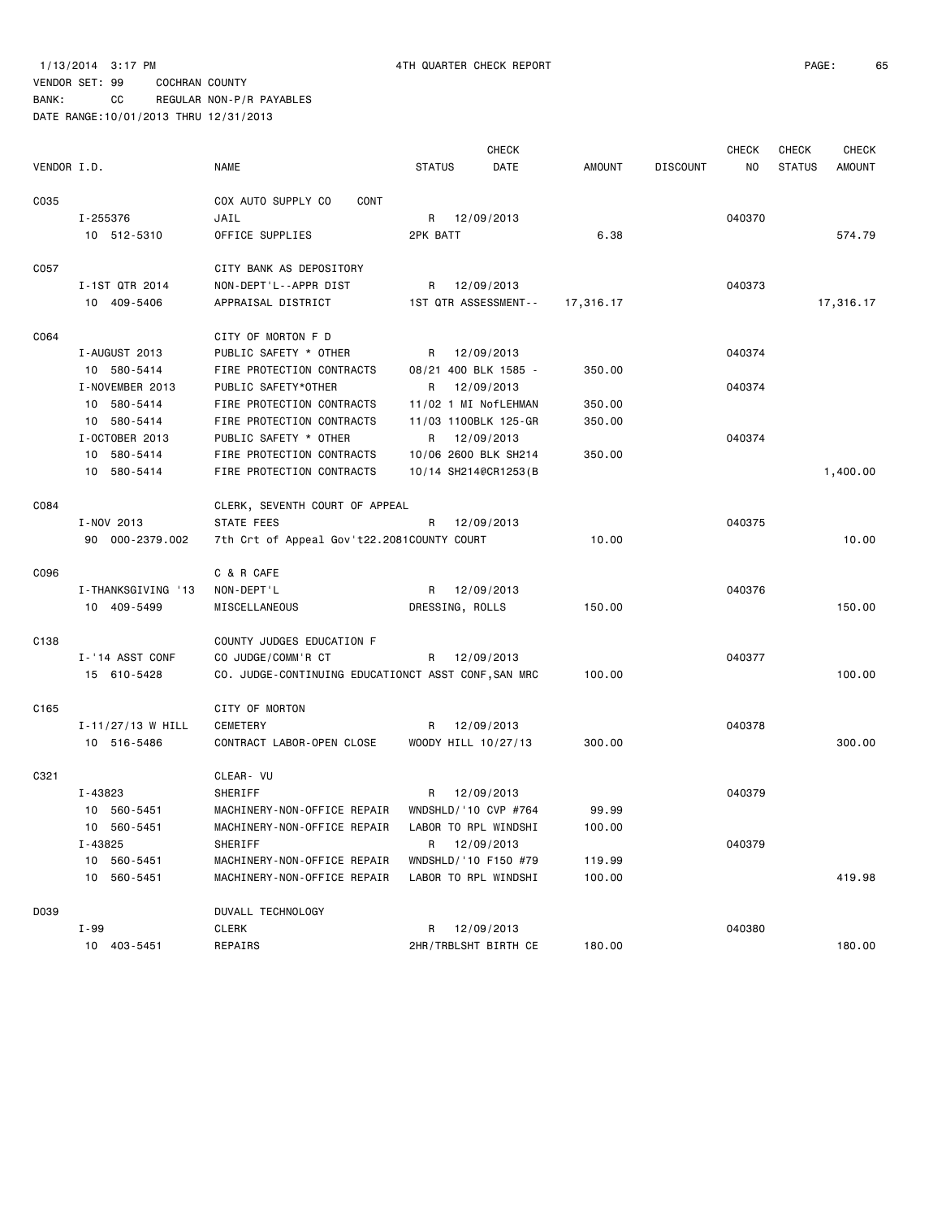BANK: CC REGULAR NON-P/R PAYABLES

|                  |                       |                                                     |                       | <b>CHECK</b> |                                  | <b>CHECK</b> | <b>CHECK</b>  | <b>CHECK</b>  |
|------------------|-----------------------|-----------------------------------------------------|-----------------------|--------------|----------------------------------|--------------|---------------|---------------|
| VENDOR I.D.      |                       | <b>NAME</b>                                         | <b>STATUS</b>         | DATE         | <b>AMOUNT</b><br><b>DISCOUNT</b> | NO           | <b>STATUS</b> | <b>AMOUNT</b> |
| C035             |                       | COX AUTO SUPPLY CO<br>CONT                          |                       |              |                                  |              |               |               |
|                  | I-255376              | JAIL                                                | 12/09/2013<br>R       |              |                                  | 040370       |               |               |
|                  | 10 512-5310           | OFFICE SUPPLIES                                     | 2PK BATT              |              | 6.38                             |              |               | 574.79        |
|                  |                       |                                                     |                       |              |                                  |              |               |               |
| C057             |                       | CITY BANK AS DEPOSITORY                             |                       |              |                                  |              |               |               |
|                  | I-1ST QTR 2014        | NON-DEPT'L--APPR DIST                               | 12/09/2013<br>R.      |              |                                  | 040373       |               |               |
|                  | 10 409-5406           | APPRAISAL DISTRICT                                  | 1ST QTR ASSESSMENT--  | 17,316.17    |                                  |              |               | 17,316.17     |
|                  |                       |                                                     |                       |              |                                  |              |               |               |
| C064             |                       | CITY OF MORTON F D                                  |                       |              |                                  |              |               |               |
|                  | I-AUGUST 2013         | PUBLIC SAFETY * OTHER                               | 12/09/2013<br>R       |              |                                  | 040374       |               |               |
|                  | 10 580-5414           | FIRE PROTECTION CONTRACTS                           | 08/21 400 BLK 1585 -  |              | 350.00                           |              |               |               |
|                  | I-NOVEMBER 2013       | PUBLIC SAFETY*OTHER                                 | 12/09/2013<br>R       |              |                                  | 040374       |               |               |
|                  | 10 580-5414           | FIRE PROTECTION CONTRACTS                           | 11/02 1 MI NofLEHMAN  |              | 350.00                           |              |               |               |
|                  | 10 580-5414           | FIRE PROTECTION CONTRACTS                           | 11/03 1100BLK 125-GR  |              | 350.00                           |              |               |               |
|                  | I-OCTOBER 2013        | PUBLIC SAFETY * OTHER                               | R<br>12/09/2013       |              |                                  | 040374       |               |               |
|                  | 10 580-5414           | FIRE PROTECTION CONTRACTS                           | 10/06 2600 BLK SH214  |              | 350.00                           |              |               |               |
|                  | 10 580-5414           | FIRE PROTECTION CONTRACTS                           | 10/14 SH214@CR1253(B  |              |                                  |              |               | 1,400.00      |
|                  |                       |                                                     |                       |              |                                  |              |               |               |
| C084             |                       | CLERK, SEVENTH COURT OF APPEAL                      |                       |              |                                  |              |               |               |
|                  | I-NOV 2013            | STATE FEES                                          | R<br>12/09/2013       |              |                                  | 040375       |               |               |
|                  | 90 000-2379.002       | 7th Crt of Appeal Gov't22.2081COUNTY COURT          |                       |              | 10.00                            |              |               | 10.00         |
|                  |                       |                                                     |                       |              |                                  |              |               |               |
| C096             |                       | C & R CAFE                                          |                       |              |                                  |              |               |               |
|                  | I-THANKSGIVING '13    | NON-DEPT'L                                          | R<br>12/09/2013       |              |                                  | 040376       |               |               |
|                  | 10 409-5499           | MISCELLANEOUS                                       | DRESSING, ROLLS       |              | 150.00                           |              |               | 150.00        |
|                  |                       |                                                     |                       |              |                                  |              |               |               |
| C <sub>138</sub> |                       | COUNTY JUDGES EDUCATION F                           |                       |              |                                  |              |               |               |
|                  | I-'14 ASST CONF       | CO JUDGE/COMM'R CT                                  | R<br>12/09/2013       |              |                                  | 040377       |               |               |
|                  | 15 610-5428           | CO. JUDGE-CONTINUING EDUCATIONCT ASST CONF, SAN MRC |                       |              | 100.00                           |              |               | 100.00        |
|                  |                       |                                                     |                       |              |                                  |              |               |               |
| C <sub>165</sub> |                       | CITY OF MORTON                                      |                       |              |                                  |              |               |               |
|                  | $I - 11/27/13$ W HILL | CEMETERY                                            | R<br>12/09/2013       |              |                                  | 040378       |               |               |
|                  | 10 516-5486           | CONTRACT LABOR-OPEN CLOSE                           | WOODY HILL 10/27/13   |              | 300.00                           |              |               | 300.00        |
|                  |                       |                                                     |                       |              |                                  |              |               |               |
| C321             |                       | CLEAR- VU                                           |                       |              |                                  |              |               |               |
|                  | I-43823               | SHERIFF                                             | 12/09/2013<br>R       |              |                                  | 040379       |               |               |
|                  | 10 560-5451           | MACHINERY-NON-OFFICE REPAIR                         | WNDSHLD/ '10 CVP #764 |              | 99.99                            |              |               |               |
|                  | 10 560-5451           | MACHINERY-NON-OFFICE REPAIR                         | LABOR TO RPL WINDSHI  |              | 100.00                           |              |               |               |
|                  | I-43825               | SHERIFF                                             | R<br>12/09/2013       |              |                                  | 040379       |               |               |
|                  | 10 560-5451           | MACHINERY-NON-OFFICE REPAIR                         | WNDSHLD/ '10 F150 #79 |              | 119.99                           |              |               |               |
|                  | 10 560-5451           | MACHINERY-NON-OFFICE REPAIR                         | LABOR TO RPL WINDSHI  |              | 100.00                           |              |               | 419.98        |
|                  |                       |                                                     |                       |              |                                  |              |               |               |
| D039             |                       | DUVALL TECHNOLOGY                                   |                       |              |                                  |              |               |               |
|                  | I-99                  | <b>CLERK</b>                                        | 12/09/2013<br>R       |              |                                  | 040380       |               |               |
|                  | 10 403-5451           | REPAIRS                                             | 2HR/TRBLSHT BIRTH CE  |              | 180.00                           |              |               | 180.00        |
|                  |                       |                                                     |                       |              |                                  |              |               |               |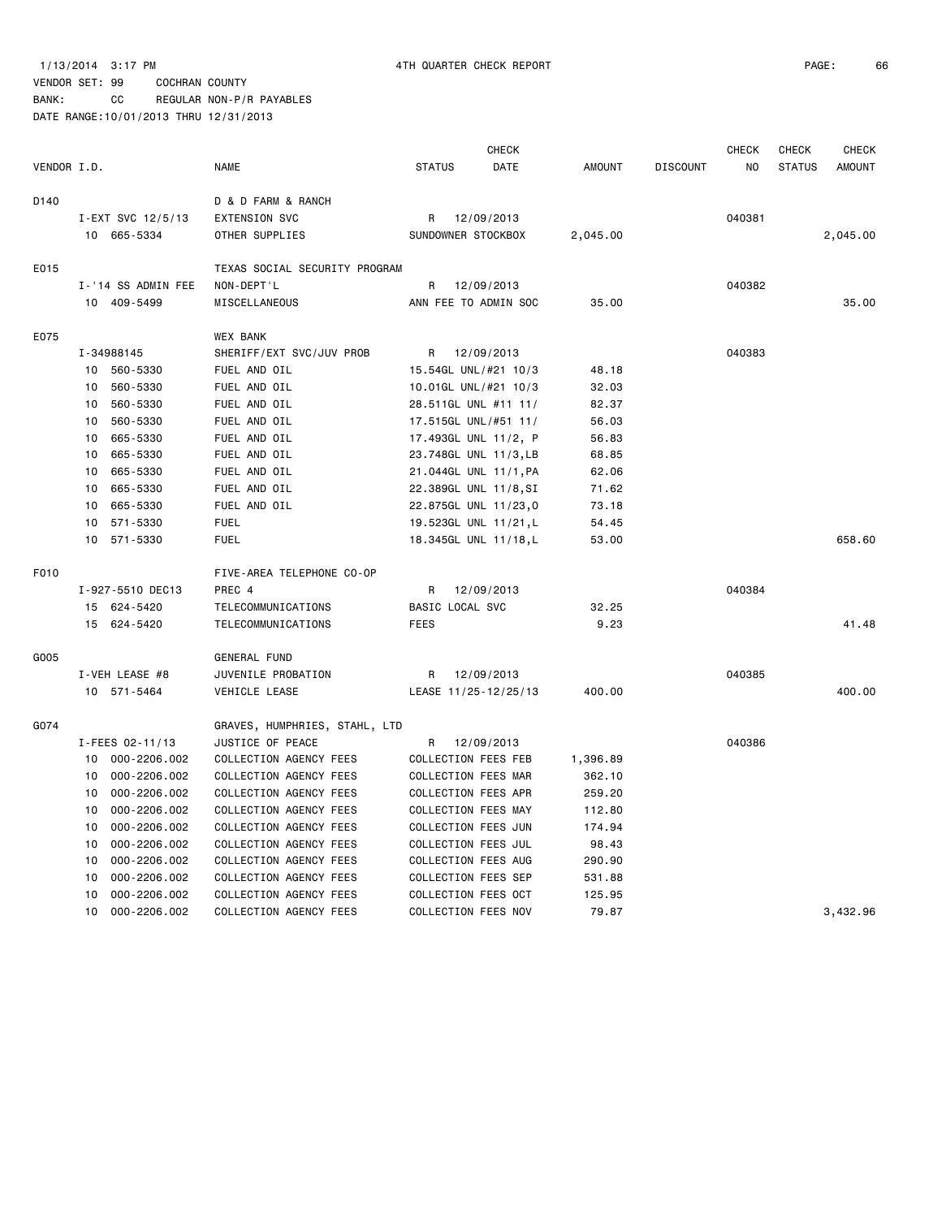BANK: CC REGULAR NON-P/R PAYABLES

|             |                    |                               | <b>CHECK</b>          |            |               |                 | <b>CHECK</b>   | <b>CHECK</b>  | <b>CHECK</b>  |
|-------------|--------------------|-------------------------------|-----------------------|------------|---------------|-----------------|----------------|---------------|---------------|
| VENDOR I.D. |                    | <b>NAME</b>                   | <b>STATUS</b>         | DATE       | <b>AMOUNT</b> | <b>DISCOUNT</b> | N <sub>O</sub> | <b>STATUS</b> | <b>AMOUNT</b> |
|             |                    |                               |                       |            |               |                 |                |               |               |
| D140        |                    | D & D FARM & RANCH            |                       |            |               |                 |                |               |               |
|             | I-EXT SVC 12/5/13  | <b>EXTENSION SVC</b>          | R                     | 12/09/2013 |               |                 | 040381         |               |               |
|             | 10 665-5334        | OTHER SUPPLIES                | SUNDOWNER STOCKBOX    |            | 2,045.00      |                 |                |               | 2,045.00      |
| E015        |                    | TEXAS SOCIAL SECURITY PROGRAM |                       |            |               |                 |                |               |               |
|             | I-'14 SS ADMIN FEE | NON-DEPT'L                    | R                     | 12/09/2013 |               |                 | 040382         |               |               |
|             | 10 409-5499        | MISCELLANEOUS                 | ANN FEE TO ADMIN SOC  |            | 35.00         |                 |                |               | 35.00         |
| E075        |                    | <b>WEX BANK</b>               |                       |            |               |                 |                |               |               |
|             | I-34988145         | SHERIFF/EXT SVC/JUV PROB      | R                     | 12/09/2013 |               |                 | 040383         |               |               |
|             | 10 560-5330        | FUEL AND OIL                  | 15.54GL UNL/#21 10/3  |            | 48.18         |                 |                |               |               |
|             | 560-5330<br>10     | FUEL AND OIL                  | 10.01GL UNL/#21 10/3  |            | 32.03         |                 |                |               |               |
|             | 560-5330<br>10     | FUEL AND OIL                  | 28.511GL UNL #11 11/  |            | 82.37         |                 |                |               |               |
|             | 560-5330<br>10     | FUEL AND OIL                  | 17.515GL UNL/#51 11/  |            | 56.03         |                 |                |               |               |
|             | 665-5330<br>10     | FUEL AND OIL                  | 17.493GL UNL 11/2, P  |            | 56.83         |                 |                |               |               |
|             | 665-5330<br>10     | FUEL AND OIL                  | 23.748GL UNL 11/3, LB |            | 68.85         |                 |                |               |               |
|             | 10<br>665-5330     | FUEL AND OIL                  | 21.044GL UNL 11/1, PA |            | 62.06         |                 |                |               |               |
|             | 665-5330<br>10     | FUEL AND OIL                  | 22.389GL UNL 11/8, SI |            | 71.62         |                 |                |               |               |
|             | 665-5330<br>10     | FUEL AND OIL                  | 22.875GL UNL 11/23,0  |            | 73.18         |                 |                |               |               |
|             | 571-5330<br>10     | <b>FUEL</b>                   | 19.523GL UNL 11/21,L  |            | 54.45         |                 |                |               |               |
|             | 10<br>571-5330     | <b>FUEL</b>                   | 18.345GL UNL 11/18,L  |            | 53.00         |                 |                |               | 658.60        |
| F010        |                    | FIVE-AREA TELEPHONE CO-OP     |                       |            |               |                 |                |               |               |
|             | I-927-5510 DEC13   | PREC 4                        | R                     | 12/09/2013 |               |                 | 040384         |               |               |
|             | 15 624-5420        | TELECOMMUNICATIONS            | BASIC LOCAL SVC       |            | 32.25         |                 |                |               |               |
|             | 15 624-5420        | TELECOMMUNICATIONS            | <b>FEES</b>           |            | 9.23          |                 |                |               | 41.48         |
|             |                    |                               |                       |            |               |                 |                |               |               |
| G005        |                    | <b>GENERAL FUND</b>           |                       |            |               |                 |                |               |               |
|             | I-VEH LEASE #8     | JUVENILE PROBATION            | R                     | 12/09/2013 |               |                 | 040385         |               |               |
|             | 10 571-5464        | VEHICLE LEASE                 | LEASE 11/25-12/25/13  |            | 400.00        |                 |                |               | 400.00        |
| G074        |                    | GRAVES, HUMPHRIES, STAHL, LTD |                       |            |               |                 |                |               |               |
|             | I-FEES 02-11/13    | JUSTICE OF PEACE              | R                     | 12/09/2013 |               |                 | 040386         |               |               |
|             | 000-2206.002<br>10 | COLLECTION AGENCY FEES        | COLLECTION FEES FEB   |            | 1,396.89      |                 |                |               |               |
|             | 000-2206.002<br>10 | COLLECTION AGENCY FEES        | COLLECTION FEES MAR   |            | 362.10        |                 |                |               |               |
|             | 10<br>000-2206.002 | COLLECTION AGENCY FEES        | COLLECTION FEES APR   |            | 259.20        |                 |                |               |               |
|             | 000-2206.002<br>10 | COLLECTION AGENCY FEES        | COLLECTION FEES MAY   |            | 112.80        |                 |                |               |               |
|             | 000-2206.002<br>10 | COLLECTION AGENCY FEES        | COLLECTION FEES JUN   |            | 174.94        |                 |                |               |               |
|             | 000-2206.002<br>10 | COLLECTION AGENCY FEES        | COLLECTION FEES JUL   |            | 98.43         |                 |                |               |               |
|             | 000-2206.002<br>10 | COLLECTION AGENCY FEES        | COLLECTION FEES AUG   |            | 290.90        |                 |                |               |               |
|             | 000-2206.002<br>10 | COLLECTION AGENCY FEES        | COLLECTION FEES SEP   |            | 531.88        |                 |                |               |               |
|             | 000-2206.002<br>10 | COLLECTION AGENCY FEES        | COLLECTION FEES OCT   |            | 125.95        |                 |                |               |               |
|             | 10<br>000-2206.002 | COLLECTION AGENCY FEES        | COLLECTION FEES NOV   |            | 79.87         |                 |                |               | 3,432.96      |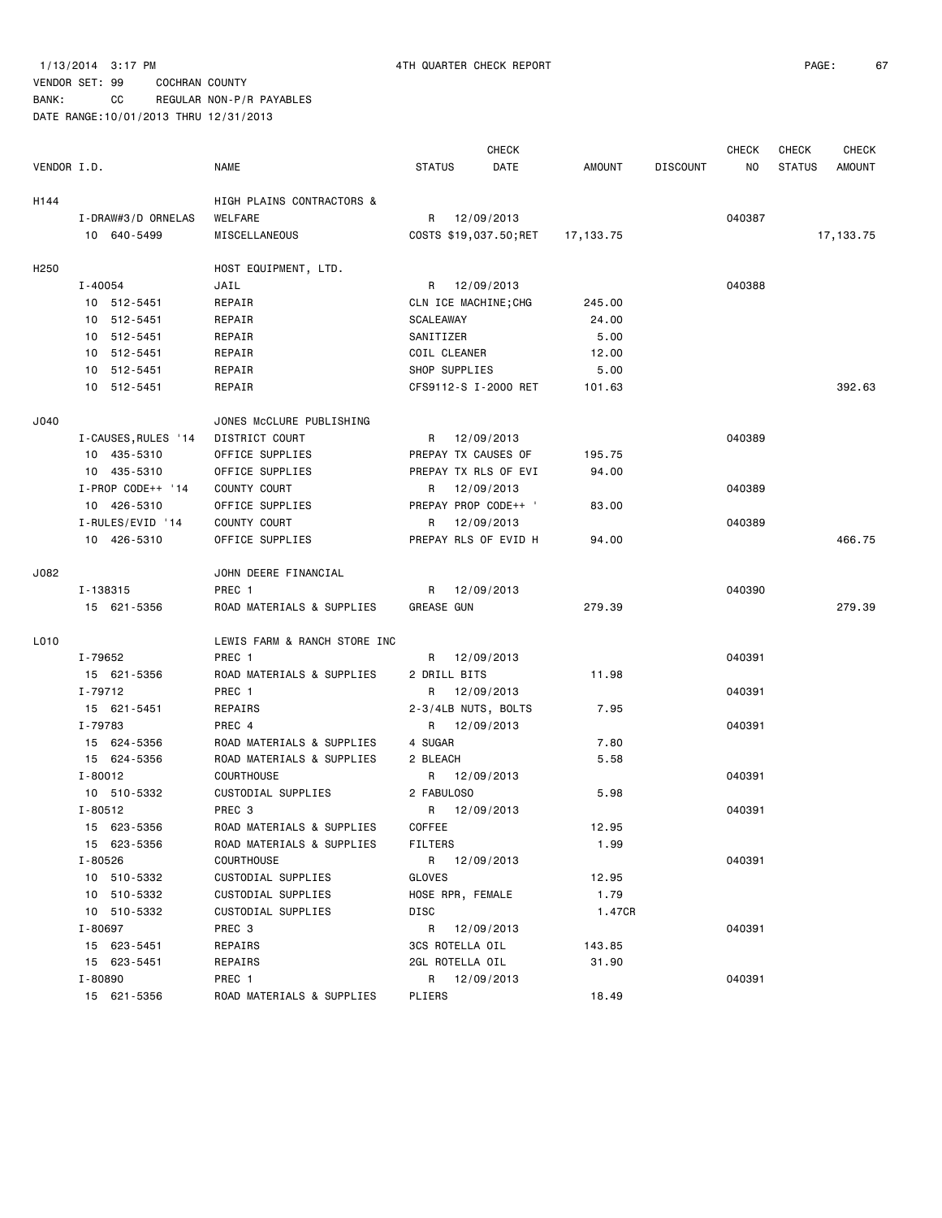### 1/13/2014 3:17 PM 4TH QUARTER CHECK REPORT PAGE: 67

# VENDOR SET: 99 COCHRAN COUNTY

BANK: CC REGULAR NON-P/R PAYABLES

|                  |                     |                              |                      | <b>CHECK</b>           |           |                 | <b>CHECK</b> | <b>CHECK</b>  | <b>CHECK</b>  |
|------------------|---------------------|------------------------------|----------------------|------------------------|-----------|-----------------|--------------|---------------|---------------|
| VENDOR I.D.      |                     | <b>NAME</b>                  | <b>STATUS</b>        | DATE                   | AMOUNT    | <b>DISCOUNT</b> | NO.          | <b>STATUS</b> | <b>AMOUNT</b> |
| H144             |                     | HIGH PLAINS CONTRACTORS &    |                      |                        |           |                 |              |               |               |
|                  | I-DRAW#3/D ORNELAS  | WELFARE                      | R                    | 12/09/2013             |           |                 | 040387       |               |               |
|                  | 10 640-5499         | MISCELLANEOUS                |                      | COSTS \$19,037.50; RET | 17,133.75 |                 |              |               | 17, 133.75    |
| H <sub>250</sub> |                     | HOST EQUIPMENT, LTD.         |                      |                        |           |                 |              |               |               |
|                  | I-40054             | JAIL                         | R 12/09/2013         |                        |           |                 | 040388       |               |               |
|                  | 10 512-5451         | REPAIR                       | CLN ICE MACHINE; CHG |                        | 245.00    |                 |              |               |               |
|                  | 10 512-5451         | REPAIR                       | SCALEAWAY            |                        | 24.00     |                 |              |               |               |
|                  | 10 512-5451         | REPAIR                       | SANITIZER            |                        | 5.00      |                 |              |               |               |
|                  | 10 512-5451         | REPAIR                       | COIL CLEANER         |                        | 12.00     |                 |              |               |               |
|                  | 10 512-5451         | REPAIR                       | SHOP SUPPLIES        |                        | 5.00      |                 |              |               |               |
|                  | 10 512-5451         | REPAIR                       |                      | CFS9112-S I-2000 RET   | 101.63    |                 |              |               | 392.63        |
| J040             |                     | JONES McCLURE PUBLISHING     |                      |                        |           |                 |              |               |               |
|                  | I-CAUSES, RULES '14 | DISTRICT COURT               | R 12/09/2013         |                        |           |                 | 040389       |               |               |
|                  | 10 435-5310         | OFFICE SUPPLIES              | PREPAY TX CAUSES OF  |                        | 195.75    |                 |              |               |               |
|                  | 10 435-5310         | OFFICE SUPPLIES              | PREPAY TX RLS OF EVI |                        | 94.00     |                 |              |               |               |
|                  | I-PROP CODE++ '14   | COUNTY COURT                 | R                    | 12/09/2013             |           |                 | 040389       |               |               |
|                  | 10 426-5310         | OFFICE SUPPLIES              | PREPAY PROP CODE++ ' |                        | 83.00     |                 |              |               |               |
|                  | I-RULES/EVID '14    | COUNTY COURT                 | R                    | 12/09/2013             |           |                 | 040389       |               |               |
|                  | 10 426-5310         | OFFICE SUPPLIES              | PREPAY RLS OF EVID H |                        | 94.00     |                 |              |               | 466.75        |
| J082             |                     | JOHN DEERE FINANCIAL         |                      |                        |           |                 |              |               |               |
|                  | I-138315            | PREC 1                       | R                    | 12/09/2013             |           |                 | 040390       |               |               |
|                  | 15 621-5356         | ROAD MATERIALS & SUPPLIES    | GREASE GUN           |                        | 279.39    |                 |              |               | 279.39        |
| L010             |                     | LEWIS FARM & RANCH STORE INC |                      |                        |           |                 |              |               |               |
|                  | I-79652             | PREC 1                       | R                    | 12/09/2013             |           |                 | 040391       |               |               |
|                  | 15 621-5356         | ROAD MATERIALS & SUPPLIES    | 2 DRILL BITS         |                        | 11.98     |                 |              |               |               |
|                  | I-79712             | PREC 1                       | R.                   | 12/09/2013             |           |                 | 040391       |               |               |
|                  | 15 621-5451         | REPAIRS                      | 2-3/4LB NUTS, BOLTS  |                        | 7.95      |                 |              |               |               |
|                  | I-79783             | PREC 4                       | R 12/09/2013         |                        |           |                 | 040391       |               |               |
|                  | 15 624-5356         | ROAD MATERIALS & SUPPLIES    | 4 SUGAR              |                        | 7.80      |                 |              |               |               |
|                  | 15 624-5356         | ROAD MATERIALS & SUPPLIES    | 2 BLEACH             |                        | 5.58      |                 |              |               |               |
|                  | I-80012             | <b>COURTHOUSE</b>            | R 12/09/2013         |                        |           |                 | 040391       |               |               |
|                  | 10 510-5332         | CUSTODIAL SUPPLIES           | 2 FABULOSO           |                        | 5.98      |                 |              |               |               |
|                  | $I - 80512$         | PREC <sub>3</sub>            | R                    | 12/09/2013             |           |                 | 040391       |               |               |
|                  | 15 623-5356         | ROAD MATERIALS & SUPPLIES    | COFFEE               |                        | 12.95     |                 |              |               |               |
|                  | 15 623-5356         | ROAD MATERIALS & SUPPLIES    | <b>FILTERS</b>       |                        | 1.99      |                 |              |               |               |
|                  | I-80526             | COURTHOUSE                   | R 12/09/2013         |                        |           |                 | 040391       |               |               |
|                  | 10 510-5332         | CUSTODIAL SUPPLIES           | GLOVES               |                        | 12.95     |                 |              |               |               |
|                  | 10 510-5332         | CUSTODIAL SUPPLIES           | HOSE RPR, FEMALE     |                        | 1.79      |                 |              |               |               |
|                  | 10 510-5332         | CUSTODIAL SUPPLIES           | DISC                 |                        | 1.47CR    |                 |              |               |               |
|                  | I-80697             | PREC 3                       | R 12/09/2013         |                        |           |                 | 040391       |               |               |
|                  | 15 623-5451         | REPAIRS                      | 3CS ROTELLA OIL      |                        | 143.85    |                 |              |               |               |
|                  | 15 623-5451         | REPAIRS                      | 2GL ROTELLA OIL      |                        | 31.90     |                 |              |               |               |
|                  | I-80890             | PREC 1                       | R 12/09/2013         |                        |           |                 | 040391       |               |               |
|                  | 15 621-5356         | ROAD MATERIALS & SUPPLIES    | PLIERS               |                        | 18.49     |                 |              |               |               |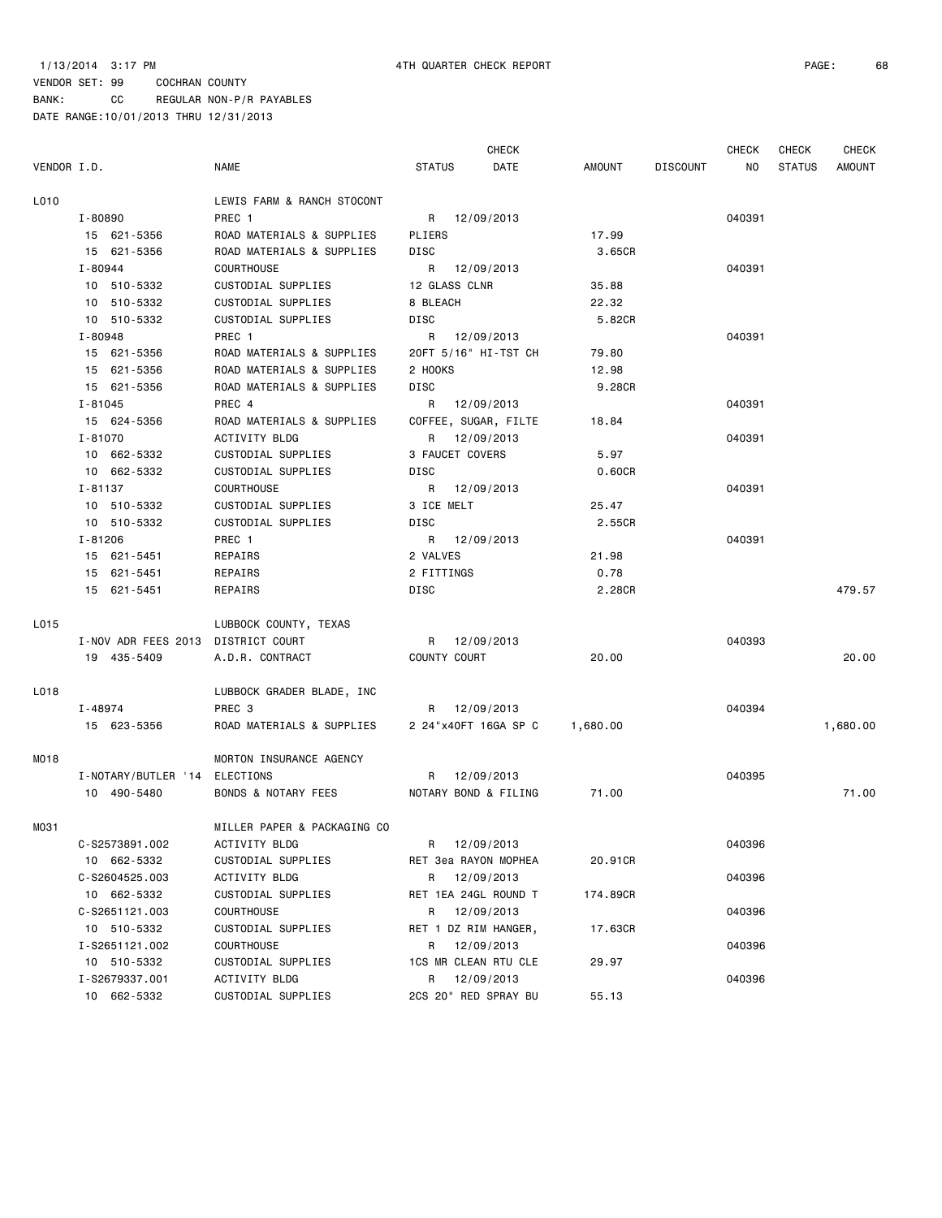CHECK CHECK CHECK CHECK

| VENDOR I.D. |                                    | <b>NAME</b>                 | <b>STATUS</b> | DATE                          | AMOUNT   | <b>DISCOUNT</b> | NO.    | STATUS | AMOUNT   |
|-------------|------------------------------------|-----------------------------|---------------|-------------------------------|----------|-----------------|--------|--------|----------|
| L010        |                                    | LEWIS FARM & RANCH STOCONT  |               |                               |          |                 |        |        |          |
|             | I-80890                            | PREC 1                      |               | R 12/09/2013                  |          |                 | 040391 |        |          |
|             | 15 621-5356                        | ROAD MATERIALS & SUPPLIES   | PLIERS        |                               | 17.99    |                 |        |        |          |
|             | 15 621-5356                        | ROAD MATERIALS & SUPPLIES   | DISC          |                               | 3.65CR   |                 |        |        |          |
|             | I-80944                            | <b>COURTHOUSE</b>           |               | R 12/09/2013                  |          |                 | 040391 |        |          |
|             | 10 510-5332                        | CUSTODIAL SUPPLIES          | 12 GLASS CLNR |                               | 35.88    |                 |        |        |          |
|             | 10 510-5332                        | CUSTODIAL SUPPLIES          | 8 BLEACH      |                               | 22.32    |                 |        |        |          |
|             | 10 510-5332                        | CUSTODIAL SUPPLIES          | DISC          |                               | 5.82CR   |                 |        |        |          |
|             | I-80948                            | PREC 1                      |               | R 12/09/2013                  |          |                 | 040391 |        |          |
|             | 15 621-5356                        | ROAD MATERIALS & SUPPLIES   |               | 20FT 5/16" HI-TST CH          | 79.80    |                 |        |        |          |
|             | 15 621-5356                        | ROAD MATERIALS & SUPPLIES   | 2 HOOKS       |                               | 12.98    |                 |        |        |          |
|             | 15 621-5356                        | ROAD MATERIALS & SUPPLIES   | DISC          |                               | 9.28CR   |                 |        |        |          |
|             | I-81045                            | PREC 4                      |               | R 12/09/2013                  |          |                 | 040391 |        |          |
|             | 15 624-5356                        | ROAD MATERIALS & SUPPLIES   |               | COFFEE, SUGAR, FILTE          | 18.84    |                 |        |        |          |
|             | I-81070                            | ACTIVITY BLDG               |               | R 12/09/2013                  |          |                 | 040391 |        |          |
|             | 10 662-5332                        | CUSTODIAL SUPPLIES          |               | 3 FAUCET COVERS               | 5.97     |                 |        |        |          |
|             | 10 662-5332                        | CUSTODIAL SUPPLIES          | DISC          |                               | 0.60CR   |                 |        |        |          |
|             | I-81137                            | COURTHOUSE                  |               | R 12/09/2013                  |          |                 | 040391 |        |          |
|             | 10 510-5332                        | CUSTODIAL SUPPLIES          | 3 ICE MELT    |                               | 25.47    |                 |        |        |          |
|             | 10 510-5332                        | CUSTODIAL SUPPLIES          | DISC          |                               | 2.55CR   |                 |        |        |          |
|             | I-81206                            | PREC 1                      |               | R 12/09/2013                  |          |                 | 040391 |        |          |
|             | 15 621-5451                        | REPAIRS                     | 2 VALVES      |                               | 21.98    |                 |        |        |          |
|             | 15 621-5451                        | REPAIRS                     | 2 FITTINGS    |                               | 0.78     |                 |        |        |          |
|             | 15 621-5451                        | REPAIRS                     | DISC          |                               | 2.28CR   |                 |        |        | 479.57   |
| L015        |                                    | LUBBOCK COUNTY, TEXAS       |               |                               |          |                 |        |        |          |
|             | I-NOV ADR FEES 2013 DISTRICT COURT |                             |               | R 12/09/2013                  |          |                 | 040393 |        |          |
|             | 19 435-5409                        | A.D.R. CONTRACT             | COUNTY COURT  |                               | 20.00    |                 |        |        | 20.00    |
| L018        |                                    | LUBBOCK GRADER BLADE, INC   |               |                               |          |                 |        |        |          |
|             | I-48974                            | PREC 3                      |               | R 12/09/2013                  |          |                 | 040394 |        |          |
|             | 15 623-5356                        | ROAD MATERIALS & SUPPLIES   |               | 2 24"x40FT 16GA SP C 1,680.00 |          |                 |        |        | 1,680.00 |
| MO18        |                                    | MORTON INSURANCE AGENCY     |               |                               |          |                 |        |        |          |
|             | I-NOTARY/BUTLER '14 ELECTIONS      |                             |               | R 12/09/2013                  |          |                 | 040395 |        |          |
|             | 10 490-5480                        | BONDS & NOTARY FEES         |               | NOTARY BOND & FILING          | 71.00    |                 |        |        | 71.00    |
| MO31        |                                    | MILLER PAPER & PACKAGING CO |               |                               |          |                 |        |        |          |
|             | C-S2573891.002                     | ACTIVITY BLDG               | R             | 12/09/2013                    |          |                 | 040396 |        |          |
|             | 10 662-5332                        | CUSTODIAL SUPPLIES          |               | RET 3ea RAYON MOPHEA          | 20.91CR  |                 |        |        |          |
|             | C-S2604525.003                     | ACTIVITY BLDG               | R             | 12/09/2013                    |          |                 | 040396 |        |          |
|             | 10 662-5332                        | CUSTODIAL SUPPLIES          |               | RET 1EA 24GL ROUND T          | 174.89CR |                 |        |        |          |
|             | C-S2651121.003                     | COURTHOUSE                  | R             | 12/09/2013                    |          |                 | 040396 |        |          |
|             | 10 510-5332                        | CUSTODIAL SUPPLIES          |               | RET 1 DZ RIM HANGER,          | 17.63CR  |                 |        |        |          |
|             | I-S2651121.002                     | COURTHOUSE                  | R             | 12/09/2013                    |          |                 | 040396 |        |          |
|             | 10 510-5332                        | CUSTODIAL SUPPLIES          |               | 1CS MR CLEAN RTU CLE          | 29.97    |                 |        |        |          |
|             | I-S2679337.001                     | ACTIVITY BLDG               | R             | 12/09/2013                    |          |                 | 040396 |        |          |
|             | 10 662-5332                        | CUSTODIAL SUPPLIES          |               | 2CS 20" RED SPRAY BU          | 55.13    |                 |        |        |          |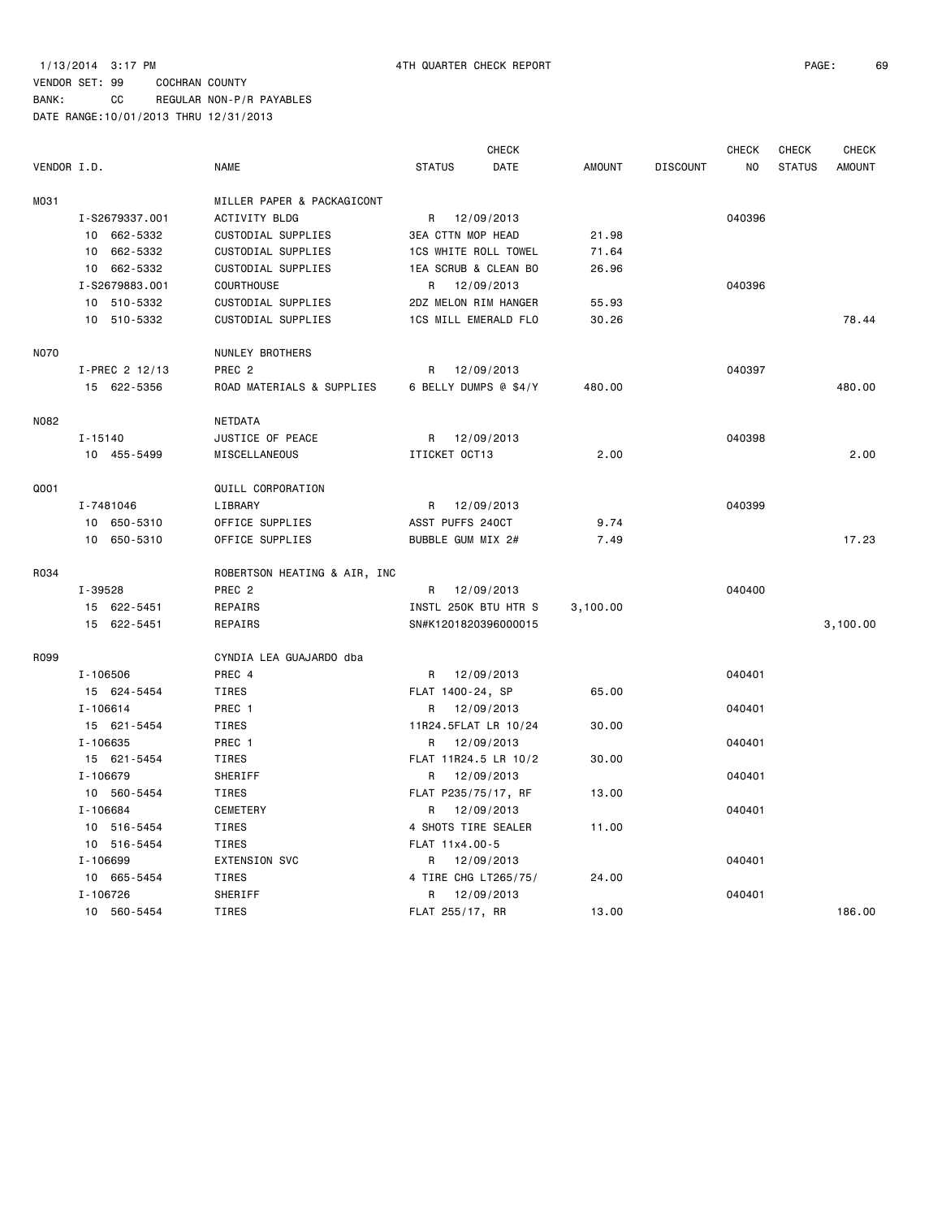### VENDOR SET: 99 COCHRAN COUNTY BANK: CC REGULAR NON-P/R PAYABLES

|             |                |                              |                          | <b>CHECK</b> |          |                 | <b>CHECK</b> | CHECK         | <b>CHECK</b>  |
|-------------|----------------|------------------------------|--------------------------|--------------|----------|-----------------|--------------|---------------|---------------|
| VENDOR I.D. |                | <b>NAME</b>                  | <b>STATUS</b>            | DATE         | AMOUNT   | <b>DISCOUNT</b> | NO.          | <b>STATUS</b> | <b>AMOUNT</b> |
| M031        |                | MILLER PAPER & PACKAGICONT   |                          |              |          |                 |              |               |               |
|             | I-S2679337.001 | <b>ACTIVITY BLDG</b>         | R 12/09/2013             |              |          |                 | 040396       |               |               |
|             | 10 662-5332    | CUSTODIAL SUPPLIES           | <b>3EA CTTN MOP HEAD</b> |              | 21.98    |                 |              |               |               |
|             | 10 662-5332    | CUSTODIAL SUPPLIES           | 1CS WHITE ROLL TOWEL     |              | 71.64    |                 |              |               |               |
|             | 10 662-5332    | CUSTODIAL SUPPLIES           | 1EA SCRUB & CLEAN BO     |              | 26.96    |                 |              |               |               |
|             | I-S2679883.001 | COURTHOUSE                   | R 12/09/2013             |              |          |                 | 040396       |               |               |
|             | 10 510-5332    | CUSTODIAL SUPPLIES           | 2DZ MELON RIM HANGER     |              | 55.93    |                 |              |               |               |
|             | 10 510-5332    | CUSTODIAL SUPPLIES           | 1CS MILL EMERALD FLO     |              | 30.26    |                 |              |               | 78.44         |
| <b>NO70</b> |                | NUNLEY BROTHERS              |                          |              |          |                 |              |               |               |
|             | I-PREC 2 12/13 | PREC <sub>2</sub>            | R                        | 12/09/2013   |          |                 | 040397       |               |               |
|             | 15 622-5356    | ROAD MATERIALS & SUPPLIES    | 6 BELLY DUMPS @ \$4/Y    |              | 480.00   |                 |              |               | 480.00        |
| N082        |                | <b>NETDATA</b>               |                          |              |          |                 |              |               |               |
|             | $I - 15140$    | JUSTICE OF PEACE             | R 12/09/2013             |              |          |                 | 040398       |               |               |
|             | 10 455-5499    | MISCELLANEOUS                | ITICKET OCT13            |              | 2.00     |                 |              |               | 2.00          |
| Q001        |                | QUILL CORPORATION            |                          |              |          |                 |              |               |               |
|             | I-7481046      | LIBRARY                      | R 12/09/2013             |              |          |                 | 040399       |               |               |
|             | 10 650-5310    | OFFICE SUPPLIES              | ASST PUFFS 240CT         |              | 9.74     |                 |              |               |               |
|             | 10 650-5310    | OFFICE SUPPLIES              | BUBBLE GUM MIX 2#        |              | 7.49     |                 |              |               | 17.23         |
|             |                |                              |                          |              |          |                 |              |               |               |
| R034        |                | ROBERTSON HEATING & AIR, INC |                          |              |          |                 |              |               |               |
|             | I-39528        | PREC <sub>2</sub>            | R 12/09/2013             |              |          |                 | 040400       |               |               |
|             | 15 622-5451    | REPAIRS                      | INSTL 250K BTU HTR S     |              | 3,100.00 |                 |              |               |               |
|             | 15 622-5451    | REPAIRS                      | SN#K1201820396000015     |              |          |                 |              |               | 3,100.00      |
| R099        |                | CYNDIA LEA GUAJARDO dba      |                          |              |          |                 |              |               |               |
|             | I-106506       | PREC 4                       | R 12/09/2013             |              |          |                 | 040401       |               |               |
|             | 15 624-5454    | TIRES                        | FLAT 1400-24, SP         |              | 65.00    |                 |              |               |               |
|             | I-106614       | PREC 1                       | R 12/09/2013             |              |          |                 | 040401       |               |               |
|             | 15 621-5454    | TIRES                        | 11R24.5FLAT LR 10/24     |              | 30.00    |                 |              |               |               |
|             | $I - 106635$   | PREC 1                       | R 12/09/2013             |              |          |                 | 040401       |               |               |
|             | 15 621-5454    | TIRES                        | FLAT 11R24.5 LR 10/2     |              | 30.00    |                 |              |               |               |
|             | I-106679       | SHERIFF                      | R 12/09/2013             |              |          |                 | 040401       |               |               |
|             | 10 560-5454    | TIRES                        | FLAT P235/75/17, RF      |              | 13.00    |                 |              |               |               |
|             | I-106684       | CEMETERY                     | R 12/09/2013             |              |          |                 | 040401       |               |               |
|             | 10 516-5454    | TIRES                        | 4 SHOTS TIRE SEALER      |              | 11.00    |                 |              |               |               |
|             | 10 516-5454    | TIRES                        | FLAT 11x4.00-5           |              |          |                 |              |               |               |
|             | I-106699       | EXTENSION SVC                | R 12/09/2013             |              |          |                 | 040401       |               |               |
|             | 10 665-5454    | <b>TIRES</b>                 | 4 TIRE CHG LT265/75/     |              | 24.00    |                 |              |               |               |
|             | $I - 106726$   | SHERIFF                      | R                        | 12/09/2013   |          |                 | 040401       |               |               |
|             | 10 560-5454    | <b>TIRES</b>                 | FLAT 255/17, RR          |              | 13.00    |                 |              |               | 186.00        |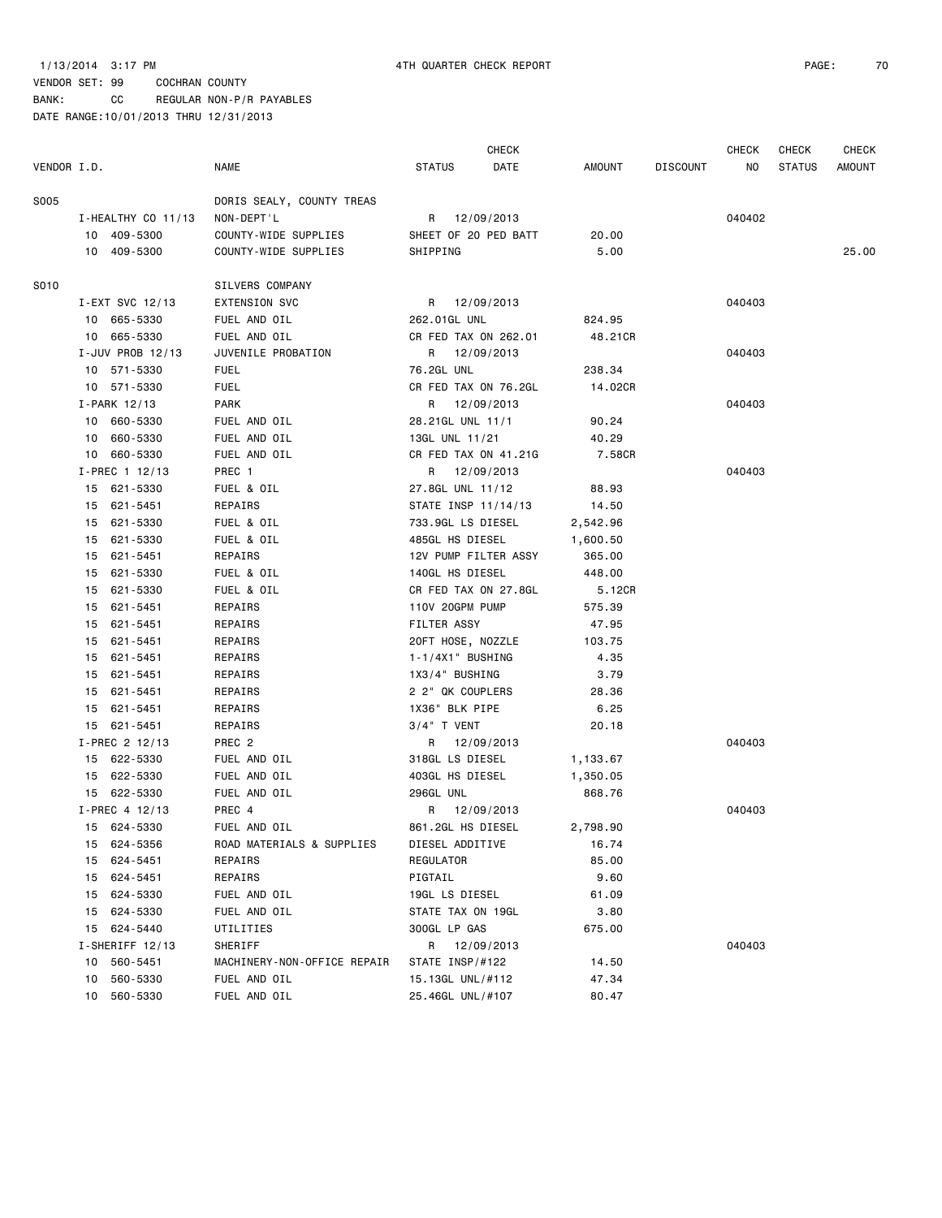### 1/13/2014 3:17 PM 4TH QUARTER CHECK REPORT PAGE: 70

| VENDOR I.D. |                    | <b>NAME</b>                 | <b>STATUS</b>        | <b>CHECK</b><br>DATE | AMOUNT   | <b>DISCOUNT</b> | <b>CHECK</b><br>ΝO | CHECK<br><b>STATUS</b> | <b>CHECK</b><br>AMOUNT |
|-------------|--------------------|-----------------------------|----------------------|----------------------|----------|-----------------|--------------------|------------------------|------------------------|
|             |                    |                             |                      |                      |          |                 |                    |                        |                        |
| S005        |                    | DORIS SEALY, COUNTY TREAS   |                      |                      |          |                 |                    |                        |                        |
|             | I-HEALTHY CO 11/13 | NON-DEPT'L                  | R 12/09/2013         |                      |          |                 | 040402             |                        |                        |
|             | 10 409-5300        | COUNTY-WIDE SUPPLIES        | SHEET OF 20 PED BATT |                      | 20.00    |                 |                    |                        |                        |
|             | 10 409-5300        | COUNTY-WIDE SUPPLIES        | SHIPPING             |                      | 5.00     |                 |                    |                        | 25.00                  |
| S010        |                    | SILVERS COMPANY             |                      |                      |          |                 |                    |                        |                        |
|             | I-EXT SVC 12/13    | <b>EXTENSION SVC</b>        | R 12/09/2013         |                      |          |                 | 040403             |                        |                        |
|             | 10 665-5330        | FUEL AND OIL                | 262.01GL UNL         |                      | 824.95   |                 |                    |                        |                        |
|             | 10 665-5330        | FUEL AND OIL                | CR FED TAX ON 262.01 |                      | 48.21CR  |                 |                    |                        |                        |
|             | I-JUV PROB 12/13   | JUVENILE PROBATION          | R 12/09/2013         |                      |          |                 | 040403             |                        |                        |
|             | 10 571-5330        | <b>FUEL</b>                 | 76.2GL UNL           |                      | 238.34   |                 |                    |                        |                        |
|             | 10 571-5330        | <b>FUEL</b>                 | CR FED TAX ON 76.2GL |                      | 14.02CR  |                 |                    |                        |                        |
|             | I-PARK 12/13       | PARK                        | R 12/09/2013         |                      |          |                 | 040403             |                        |                        |
|             | 10 660-5330        | FUEL AND OIL                | 28.21GL UNL 11/1     |                      | 90.24    |                 |                    |                        |                        |
|             | 10 660-5330        | FUEL AND OIL                | 13GL UNL 11/21       |                      | 40.29    |                 |                    |                        |                        |
|             | 10 660-5330        | FUEL AND OIL                | CR FED TAX ON 41.21G |                      | 7.58CR   |                 |                    |                        |                        |
|             | $I-PREC$ 1 12/13   | PREC 1                      | R 12/09/2013         |                      |          |                 | 040403             |                        |                        |
|             | 15 621-5330        | FUEL & OIL                  | 27.8GL UNL 11/12     |                      | 88.93    |                 |                    |                        |                        |
|             | 15 621-5451        | REPAIRS                     | STATE INSP 11/14/13  |                      | 14.50    |                 |                    |                        |                        |
|             | 15 621-5330        | FUEL & OIL                  | 733.9GL LS DIESEL    |                      | 2,542.96 |                 |                    |                        |                        |
|             | 621-5330<br>15     | FUEL & OIL                  | 485GL HS DIESEL      |                      | 1,600.50 |                 |                    |                        |                        |
|             | 621-5451<br>15     | REPAIRS                     | 12V PUMP FILTER ASSY |                      | 365.00   |                 |                    |                        |                        |
|             | 15 621-5330        | FUEL & OIL                  | 140GL HS DIESEL      |                      | 448.00   |                 |                    |                        |                        |
|             | 15 621-5330        | FUEL & OIL                  | CR FED TAX ON 27.8GL |                      | 5.12CR   |                 |                    |                        |                        |
|             | 15 621-5451        | REPAIRS                     | 110V 20GPM PUMP      |                      | 575.39   |                 |                    |                        |                        |
|             | 15 621-5451        | REPAIRS                     | FILTER ASSY          |                      | 47.95    |                 |                    |                        |                        |
|             | 621-5451<br>15     | REPAIRS                     | 20FT HOSE, NOZZLE    |                      | 103.75   |                 |                    |                        |                        |
|             | 621-5451<br>15     | REPAIRS                     | $1 - 1/4X1$ BUSHING  |                      | 4.35     |                 |                    |                        |                        |
|             | 15 621-5451        | REPAIRS                     | 1X3/4" BUSHING       |                      | 3.79     |                 |                    |                        |                        |
|             | 15 621-5451        | REPAIRS                     | 2 2" QK COUPLERS     |                      | 28.36    |                 |                    |                        |                        |
|             | 15 621-5451        | REPAIRS                     | 1X36" BLK PIPE       |                      | 6.25     |                 |                    |                        |                        |
|             | 15 621-5451        | REPAIRS                     | $3/4$ T VENT         |                      | 20.18    |                 |                    |                        |                        |
|             | I-PREC 2 12/13     | PREC 2                      | R 12/09/2013         |                      |          |                 | 040403             |                        |                        |
|             | 15 622-5330        | FUEL AND OIL                | 318GL LS DIESEL      |                      | 1,133.67 |                 |                    |                        |                        |
|             | 15 622-5330        | FUEL AND OIL                | 403GL HS DIESEL      |                      | 1,350.05 |                 |                    |                        |                        |
|             | 15 622-5330        | FUEL AND OIL                | 296GL UNL            |                      | 868.76   |                 |                    |                        |                        |
|             | I-PREC 4 12/13     | PREC 4                      | R 12/09/2013         |                      |          |                 | 040403             |                        |                        |
|             | 15 624-5330        | FUEL AND OIL                | 861.2GL HS DIESEL    |                      | 2,798.90 |                 |                    |                        |                        |
|             | 15 624-5356        | ROAD MATERIALS & SUPPLIES   | DIESEL ADDITIVE      |                      | 16.74    |                 |                    |                        |                        |
|             | 15 624-5451        | REPAIRS                     | REGULATOR            |                      | 85.00    |                 |                    |                        |                        |
|             | 15 624-5451        | REPAIRS                     | PIGTAIL              |                      | 9.60     |                 |                    |                        |                        |
|             | 15 624-5330        | FUEL AND OIL                | 19GL LS DIESEL       |                      | 61.09    |                 |                    |                        |                        |
|             | 15 624-5330        | FUEL AND OIL                | STATE TAX ON 19GL    |                      | 3.80     |                 |                    |                        |                        |
|             | 15 624-5440        | UTILITIES                   | 300GL LP GAS         |                      | 675.00   |                 |                    |                        |                        |
|             | I-SHERIFF 12/13    | SHERIFF                     | R 12/09/2013         |                      |          |                 | 040403             |                        |                        |
|             | 10 560-5451        | MACHINERY-NON-OFFICE REPAIR | STATE INSP/#122      |                      | 14.50    |                 |                    |                        |                        |
|             | 10 560-5330        | FUEL AND OIL                | 15.13GL UNL/#112     |                      | 47.34    |                 |                    |                        |                        |
|             | 10 560-5330        | FUEL AND OIL                | 25.46GL UNL/#107     |                      | 80.47    |                 |                    |                        |                        |
|             |                    |                             |                      |                      |          |                 |                    |                        |                        |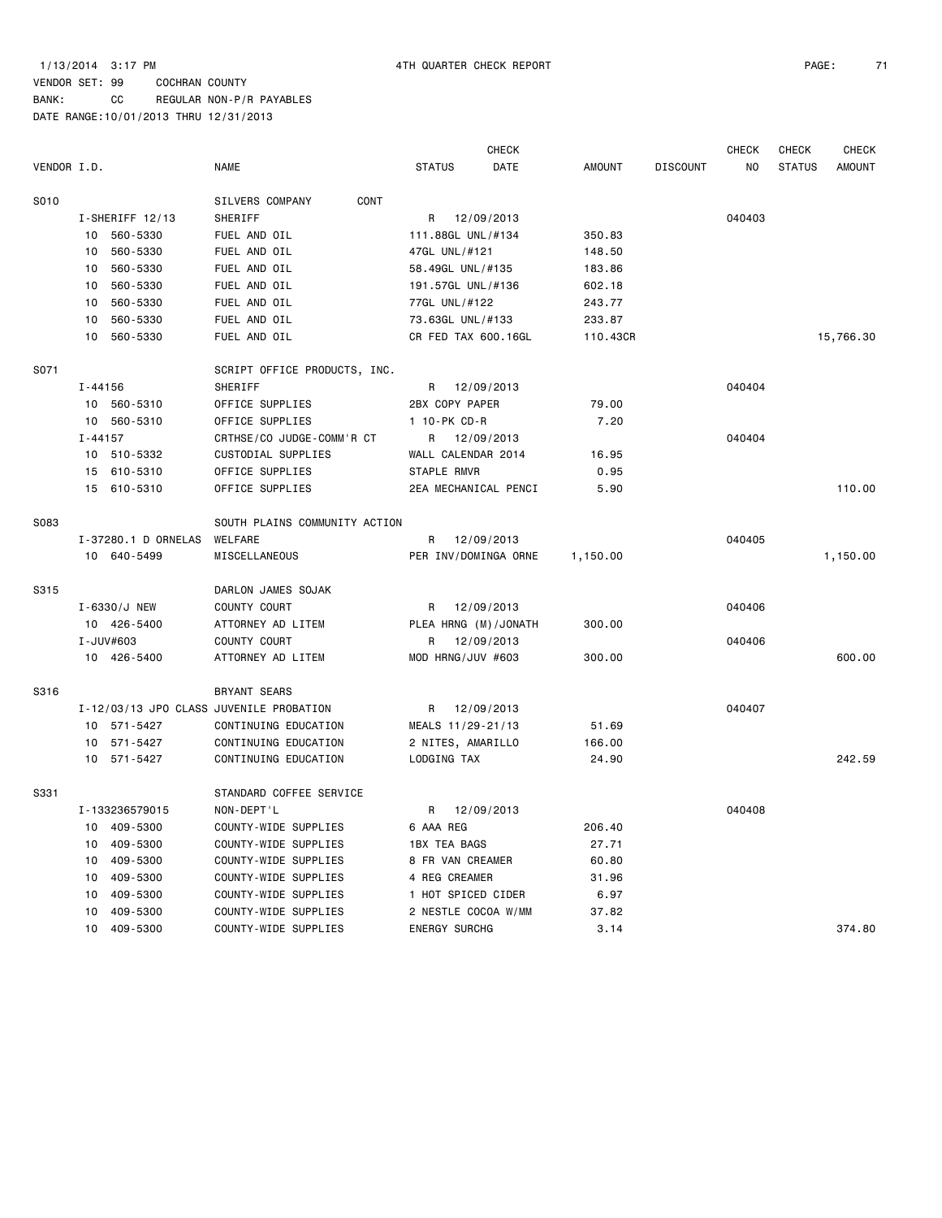### 1/13/2014 3:17 PM 4TH QUARTER CHECK REPORT PAGE: 71

### VENDOR SET: 99 COCHRAN COUNTY BANK: CC REGULAR NON-P/R PAYABLES

|             |                                         |                               | <b>CHECK</b>         |            |               |                 | <b>CHECK</b> | CHECK         | <b>CHECK</b>  |
|-------------|-----------------------------------------|-------------------------------|----------------------|------------|---------------|-----------------|--------------|---------------|---------------|
| VENDOR I.D. |                                         | <b>NAME</b>                   | <b>STATUS</b>        | DATE       | <b>AMOUNT</b> | <b>DISCOUNT</b> | NO           | <b>STATUS</b> | <b>AMOUNT</b> |
| S010        |                                         | CONT<br>SILVERS COMPANY       |                      |            |               |                 |              |               |               |
|             | I-SHERIFF 12/13                         | SHERIFF                       | R                    | 12/09/2013 |               |                 | 040403       |               |               |
|             | 10 560-5330                             | FUEL AND OIL                  | 111.88GL UNL/#134    |            | 350.83        |                 |              |               |               |
|             | 560-5330<br>10                          | FUEL AND OIL                  | 47GL UNL/#121        |            | 148.50        |                 |              |               |               |
|             | 560-5330<br>10                          | FUEL AND OIL                  | 58.49GL UNL/#135     |            | 183.86        |                 |              |               |               |
|             | 560-5330<br>10                          | FUEL AND OIL                  | 191.57GL UNL/#136    |            | 602.18        |                 |              |               |               |
|             | 10<br>560-5330                          | FUEL AND OIL                  | 77GL UNL/#122        |            | 243.77        |                 |              |               |               |
|             | 560-5330<br>10                          | FUEL AND OIL                  | 73.63GL UNL/#133     |            | 233.87        |                 |              |               |               |
|             | 10 560-5330                             | FUEL AND OIL                  | CR FED TAX 600.16GL  |            | 110.43CR      |                 |              |               | 15,766.30     |
| S071        |                                         | SCRIPT OFFICE PRODUCTS, INC.  |                      |            |               |                 |              |               |               |
|             | I-44156                                 | SHERIFF                       | R 12/09/2013         |            |               |                 | 040404       |               |               |
|             | 10 560-5310                             | OFFICE SUPPLIES               | 2BX COPY PAPER       |            | 79.00         |                 |              |               |               |
|             | 10 560-5310                             | OFFICE SUPPLIES               | 1 10-PK CD-R         |            | 7.20          |                 |              |               |               |
|             | $I - 44157$                             | CRTHSE/CO JUDGE-COMM'R CT     | R 12/09/2013         |            |               |                 | 040404       |               |               |
|             | 10 510-5332                             | CUSTODIAL SUPPLIES            | WALL CALENDAR 2014   |            | 16.95         |                 |              |               |               |
|             | 15 610-5310                             | OFFICE SUPPLIES               | STAPLE RMVR          |            | 0.95          |                 |              |               |               |
|             | 15 610-5310                             | OFFICE SUPPLIES               | 2EA MECHANICAL PENCI |            | 5.90          |                 |              |               | 110.00        |
| <b>S083</b> |                                         | SOUTH PLAINS COMMUNITY ACTION |                      |            |               |                 |              |               |               |
|             | I-37280.1 D ORNELAS                     | WELFARE                       | R 12/09/2013         |            |               |                 | 040405       |               |               |
|             | 10 640-5499                             | MISCELLANEOUS                 | PER INV/DOMINGA ORNE |            | 1,150.00      |                 |              |               | 1,150.00      |
| S315        |                                         | DARLON JAMES SOJAK            |                      |            |               |                 |              |               |               |
|             | I-6330/J NEW                            | COUNTY COURT                  | R                    | 12/09/2013 |               |                 | 040406       |               |               |
|             | 10 426-5400                             | ATTORNEY AD LITEM             | PLEA HRNG (M)/JONATH |            | 300.00        |                 |              |               |               |
|             | I-JUV#603                               | COUNTY COURT                  | R                    | 12/09/2013 |               |                 | 040406       |               |               |
|             | 10 426-5400                             | ATTORNEY AD LITEM             | MOD HRNG/JUV #603    |            | 300.00        |                 |              |               | 600.00        |
| S316        |                                         | BRYANT SEARS                  |                      |            |               |                 |              |               |               |
|             | I-12/03/13 JPO CLASS JUVENILE PROBATION |                               | R                    | 12/09/2013 |               |                 | 040407       |               |               |
|             | 10 571-5427                             | CONTINUING EDUCATION          | MEALS 11/29-21/13    |            | 51.69         |                 |              |               |               |
|             | 10 571-5427                             | CONTINUING EDUCATION          | 2 NITES, AMARILLO    |            | 166.00        |                 |              |               |               |
|             | 10 571-5427                             | CONTINUING EDUCATION          | LODGING TAX          |            | 24.90         |                 |              |               | 242.59        |
| S331        |                                         | STANDARD COFFEE SERVICE       |                      |            |               |                 |              |               |               |
|             | I-133236579015                          | NON-DEPT'L                    | R                    | 12/09/2013 |               |                 | 040408       |               |               |
|             | 10 409-5300                             | COUNTY-WIDE SUPPLIES          | 6 AAA REG            |            | 206.40        |                 |              |               |               |
|             | 10 409-5300                             | COUNTY-WIDE SUPPLIES          | 1BX TEA BAGS         |            | 27.71         |                 |              |               |               |
|             | 409-5300<br>10                          | COUNTY-WIDE SUPPLIES          | 8 FR VAN CREAMER     |            | 60.80         |                 |              |               |               |
|             | 409-5300<br>10                          | COUNTY-WIDE SUPPLIES          | 4 REG CREAMER        |            | 31.96         |                 |              |               |               |
|             | 409-5300<br>10                          | COUNTY-WIDE SUPPLIES          | 1 HOT SPICED CIDER   |            | 6.97          |                 |              |               |               |
|             | 409-5300<br>10                          | COUNTY-WIDE SUPPLIES          | 2 NESTLE COCOA W/MM  |            | 37.82         |                 |              |               |               |
|             | 409-5300<br>10                          | COUNTY-WIDE SUPPLIES          | <b>ENERGY SURCHG</b> |            | 3.14          |                 |              |               | 374.80        |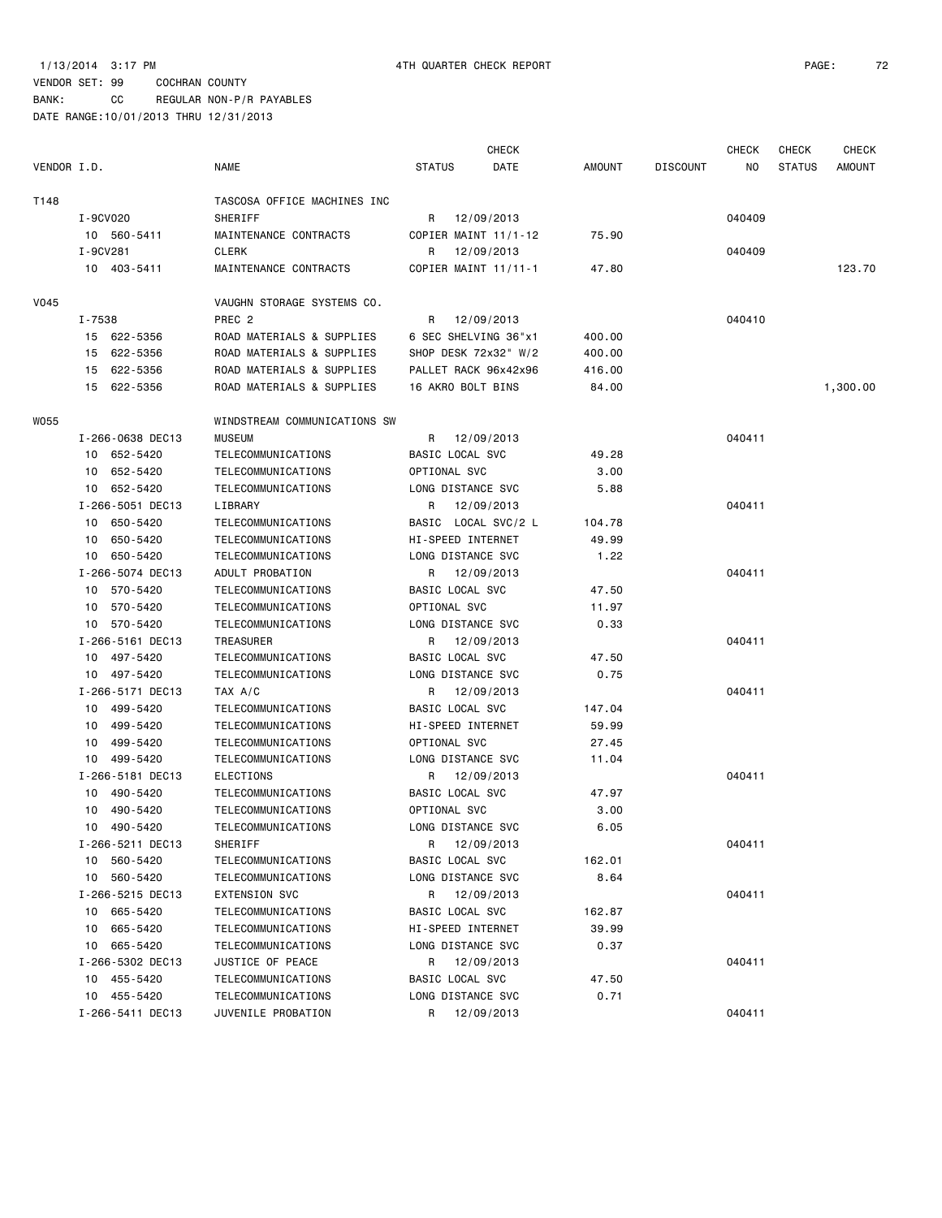BANK: CC REGULAR NON-P/R PAYABLES

| VENDOR I.D. |                  | <b>NAME</b>                  | <b>STATUS</b>        | <b>CHECK</b><br>DATE | AMOUNT | <b>DISCOUNT</b> | <b>CHECK</b><br>ΝO | <b>CHECK</b><br><b>STATUS</b> | CHECK<br><b>AMOUNT</b> |
|-------------|------------------|------------------------------|----------------------|----------------------|--------|-----------------|--------------------|-------------------------------|------------------------|
|             |                  |                              |                      |                      |        |                 |                    |                               |                        |
| T148        |                  | TASCOSA OFFICE MACHINES INC  |                      |                      |        |                 |                    |                               |                        |
|             | I-9CV020         | SHERIFF                      | R                    | 12/09/2013           |        |                 | 040409             |                               |                        |
|             | 10 560-5411      | MAINTENANCE CONTRACTS        |                      | COPIER MAINT 11/1-12 | 75.90  |                 |                    |                               |                        |
|             | I-9CV281         | <b>CLERK</b>                 | R                    | 12/09/2013           |        |                 | 040409             |                               |                        |
|             | 10 403-5411      | MAINTENANCE CONTRACTS        |                      | COPIER MAINT 11/11-1 | 47.80  |                 |                    |                               | 123.70                 |
| V045        |                  | VAUGHN STORAGE SYSTEMS CO.   |                      |                      |        |                 |                    |                               |                        |
|             | I-7538           | PREC <sub>2</sub>            | R                    | 12/09/2013           |        |                 | 040410             |                               |                        |
|             | 15 622-5356      | ROAD MATERIALS & SUPPLIES    | 6 SEC SHELVING 36"x1 |                      | 400.00 |                 |                    |                               |                        |
|             | 15 622-5356      | ROAD MATERIALS & SUPPLIES    |                      | SHOP DESK 72x32" W/2 | 400.00 |                 |                    |                               |                        |
|             | 15 622-5356      | ROAD MATERIALS & SUPPLIES    |                      | PALLET RACK 96x42x96 | 416.00 |                 |                    |                               |                        |
|             | 15 622-5356      | ROAD MATERIALS & SUPPLIES    | 16 AKRO BOLT BINS    |                      | 84.00  |                 |                    |                               | 1,300.00               |
| WO55        |                  | WINDSTREAM COMMUNICATIONS SW |                      |                      |        |                 |                    |                               |                        |
|             | I-266-0638 DEC13 | <b>MUSEUM</b>                | R.                   | 12/09/2013           |        |                 | 040411             |                               |                        |
|             | 10 652-5420      | TELECOMMUNICATIONS           | BASIC LOCAL SVC      |                      | 49.28  |                 |                    |                               |                        |
|             | 652-5420<br>10   | TELECOMMUNICATIONS           | OPTIONAL SVC         |                      | 3.00   |                 |                    |                               |                        |
|             | 10 652-5420      | TELECOMMUNICATIONS           | LONG DISTANCE SVC    |                      | 5.88   |                 |                    |                               |                        |
|             | I-266-5051 DEC13 | LIBRARY                      | R                    | 12/09/2013           |        |                 | 040411             |                               |                        |
|             | 10 650-5420      | TELECOMMUNICATIONS           | BASIC LOCAL SVC/2 L  |                      | 104.78 |                 |                    |                               |                        |
|             | 10 650-5420      | TELECOMMUNICATIONS           | HI-SPEED INTERNET    |                      | 49.99  |                 |                    |                               |                        |
|             | 10 650-5420      | TELECOMMUNICATIONS           | LONG DISTANCE SVC    |                      | 1.22   |                 |                    |                               |                        |
|             | I-266-5074 DEC13 | ADULT PROBATION              | R                    | 12/09/2013           |        |                 | 040411             |                               |                        |
|             | 10 570-5420      | TELECOMMUNICATIONS           | BASIC LOCAL SVC      |                      | 47.50  |                 |                    |                               |                        |
|             | 570-5420<br>10   | TELECOMMUNICATIONS           | OPTIONAL SVC         |                      | 11.97  |                 |                    |                               |                        |
|             | 570-5420<br>10   | TELECOMMUNICATIONS           | LONG DISTANCE SVC    |                      | 0.33   |                 |                    |                               |                        |
|             | I-266-5161 DEC13 | TREASURER                    | R                    | 12/09/2013           |        |                 | 040411             |                               |                        |
|             | 10 497-5420      | TELECOMMUNICATIONS           | BASIC LOCAL SVC      |                      | 47.50  |                 |                    |                               |                        |
|             | 10 497-5420      | TELECOMMUNICATIONS           | LONG DISTANCE SVC    |                      | 0.75   |                 |                    |                               |                        |
|             | I-266-5171 DEC13 | TAX A/C                      | R                    | 12/09/2013           |        |                 | 040411             |                               |                        |
|             | 10 499-5420      | TELECOMMUNICATIONS           | BASIC LOCAL SVC      |                      | 147.04 |                 |                    |                               |                        |
|             | 499-5420<br>10   | TELECOMMUNICATIONS           | HI-SPEED INTERNET    |                      | 59.99  |                 |                    |                               |                        |
|             | 10<br>499-5420   | TELECOMMUNICATIONS           | OPTIONAL SVC         |                      | 27.45  |                 |                    |                               |                        |
|             | 10 499-5420      | TELECOMMUNICATIONS           | LONG DISTANCE SVC    |                      | 11.04  |                 |                    |                               |                        |
|             | I-266-5181 DEC13 | <b>ELECTIONS</b>             | R.                   | 12/09/2013           |        |                 | 040411             |                               |                        |
|             | 10 490-5420      | TELECOMMUNICATIONS           | BASIC LOCAL SVC      |                      | 47.97  |                 |                    |                               |                        |
|             | 10 490-5420      | TELECOMMUNICATIONS           | OPTIONAL SVC         |                      | 3.00   |                 |                    |                               |                        |
|             | 10 490-5420      | TELECOMMUNICATIONS           | LONG DISTANCE SVC    |                      | 6.05   |                 |                    |                               |                        |
|             | I-266-5211 DEC13 | SHERIFF                      |                      | R 12/09/2013         |        |                 | 040411             |                               |                        |
|             | 10 560-5420      | TELECOMMUNICATIONS           | BASIC LOCAL SVC      |                      | 162.01 |                 |                    |                               |                        |
|             | 10 560-5420      | TELECOMMUNICATIONS           | LONG DISTANCE SVC    |                      | 8.64   |                 |                    |                               |                        |
|             | I-266-5215 DEC13 | <b>EXTENSION SVC</b>         |                      | R 12/09/2013         |        |                 | 040411             |                               |                        |
|             | 10 665-5420      | TELECOMMUNICATIONS           | BASIC LOCAL SVC      |                      | 162.87 |                 |                    |                               |                        |
|             | 10 665-5420      | TELECOMMUNICATIONS           | HI-SPEED INTERNET    |                      | 39.99  |                 |                    |                               |                        |
|             | 10 665-5420      | TELECOMMUNICATIONS           | LONG DISTANCE SVC    |                      | 0.37   |                 |                    |                               |                        |
|             | I-266-5302 DEC13 | JUSTICE OF PEACE             |                      | R 12/09/2013         |        |                 | 040411             |                               |                        |
|             | 10 455-5420      | TELECOMMUNICATIONS           | BASIC LOCAL SVC      |                      | 47.50  |                 |                    |                               |                        |
|             | 10 455-5420      | TELECOMMUNICATIONS           | LONG DISTANCE SVC    |                      | 0.71   |                 |                    |                               |                        |
|             | I-266-5411 DEC13 | JUVENILE PROBATION           | R                    | 12/09/2013           |        |                 | 040411             |                               |                        |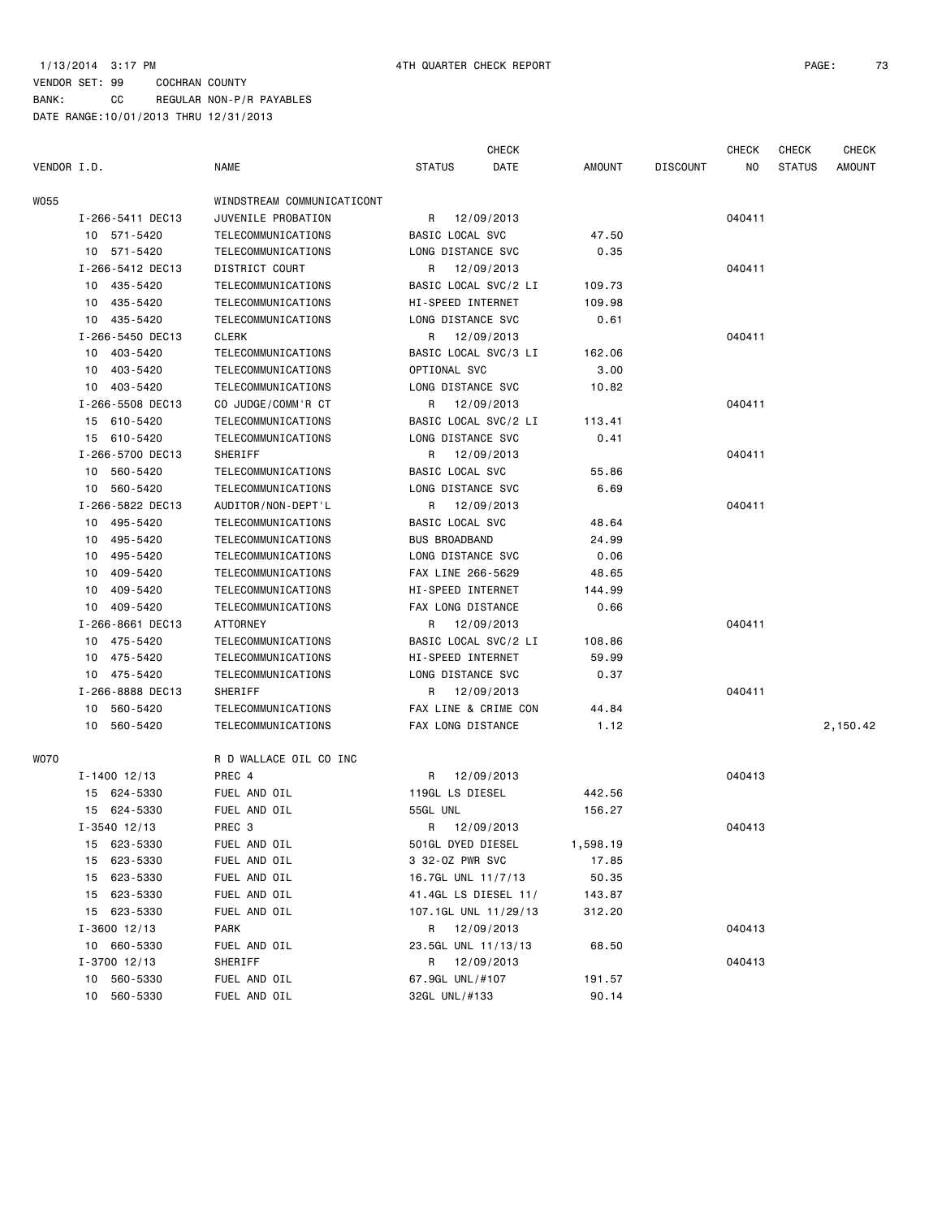# VENDOR SET: 99 COCHRAN COUNTY BANK: CC REGULAR NON-P/R PAYABLES DATE RANGE:10/01/2013 THRU 12/31/2013

|             |                  |                            |                      | CHECK                |          |                 | <b>CHECK</b> | CHECK         | <b>CHECK</b> |
|-------------|------------------|----------------------------|----------------------|----------------------|----------|-----------------|--------------|---------------|--------------|
| VENDOR I.D. |                  | NAME                       | <b>STATUS</b>        | DATE                 | AMOUNT   | <b>DISCOUNT</b> | NO           | <b>STATUS</b> | AMOUNT       |
| WO55        |                  | WINDSTREAM COMMUNICATICONT |                      |                      |          |                 |              |               |              |
|             | I-266-5411 DEC13 | JUVENILE PROBATION         | R                    | 12/09/2013           |          |                 | 040411       |               |              |
|             | 10 571-5420      | TELECOMMUNICATIONS         | BASIC LOCAL SVC      |                      | 47.50    |                 |              |               |              |
|             | 10 571-5420      | TELECOMMUNICATIONS         | LONG DISTANCE SVC    |                      | 0.35     |                 |              |               |              |
|             | I-266-5412 DEC13 | DISTRICT COURT             | R                    | 12/09/2013           |          |                 | 040411       |               |              |
|             | 10 435-5420      | TELECOMMUNICATIONS         |                      | BASIC LOCAL SVC/2 LI | 109.73   |                 |              |               |              |
|             | 10 435-5420      | TELECOMMUNICATIONS         | HI-SPEED INTERNET    |                      | 109.98   |                 |              |               |              |
|             | 10 435-5420      | TELECOMMUNICATIONS         | LONG DISTANCE SVC    |                      | 0.61     |                 |              |               |              |
|             | I-266-5450 DEC13 | CLERK                      | R                    | 12/09/2013           |          |                 | 040411       |               |              |
|             | 10 403-5420      | TELECOMMUNICATIONS         | BASIC LOCAL SVC/3 LI |                      | 162.06   |                 |              |               |              |
|             | 10 403-5420      | TELECOMMUNICATIONS         | OPTIONAL SVC         |                      | 3.00     |                 |              |               |              |
|             | 10 403-5420      | TELECOMMUNICATIONS         | LONG DISTANCE SVC    |                      | 10.82    |                 |              |               |              |
|             | I-266-5508 DEC13 | CO JUDGE/COMM'R CT         | R                    | 12/09/2013           |          |                 | 040411       |               |              |
|             | 15 610-5420      | TELECOMMUNICATIONS         | BASIC LOCAL SVC/2 LI |                      | 113.41   |                 |              |               |              |
|             | 15 610-5420      | TELECOMMUNICATIONS         | LONG DISTANCE SVC    |                      | 0.41     |                 |              |               |              |
|             | I-266-5700 DEC13 | SHERIFF                    | R                    | 12/09/2013           |          |                 | 040411       |               |              |
|             | 10 560-5420      | TELECOMMUNICATIONS         | BASIC LOCAL SVC      |                      | 55.86    |                 |              |               |              |
|             | 10 560-5420      | TELECOMMUNICATIONS         | LONG DISTANCE SVC    |                      | 6.69     |                 |              |               |              |
|             | I-266-5822 DEC13 | AUDITOR/NON-DEPT'L         | R                    | 12/09/2013           |          |                 | 040411       |               |              |
|             | 10 495-5420      | TELECOMMUNICATIONS         | BASIC LOCAL SVC      |                      | 48.64    |                 |              |               |              |
|             | 10 495-5420      | TELECOMMUNICATIONS         | <b>BUS BROADBAND</b> |                      | 24.99    |                 |              |               |              |
|             | 10 495-5420      | TELECOMMUNICATIONS         | LONG DISTANCE SVC    |                      | 0.06     |                 |              |               |              |
|             | 409-5420<br>10   | TELECOMMUNICATIONS         | FAX LINE 266-5629    |                      | 48.65    |                 |              |               |              |
|             | 409-5420<br>10   | TELECOMMUNICATIONS         | HI-SPEED INTERNET    |                      | 144.99   |                 |              |               |              |
|             | 10 409-5420      | TELECOMMUNICATIONS         | FAX LONG DISTANCE    |                      | 0.66     |                 |              |               |              |
|             | I-266-8661 DEC13 | ATTORNEY                   | R                    | 12/09/2013           |          |                 | 040411       |               |              |
|             | 10 475-5420      | TELECOMMUNICATIONS         |                      | BASIC LOCAL SVC/2 LI | 108.86   |                 |              |               |              |
|             | 10 475-5420      | TELECOMMUNICATIONS         | HI-SPEED INTERNET    |                      | 59.99    |                 |              |               |              |
|             | 10 475-5420      | TELECOMMUNICATIONS         | LONG DISTANCE SVC    |                      | 0.37     |                 |              |               |              |
|             | I-266-8888 DEC13 | SHERIFF                    | R                    | 12/09/2013           |          |                 | 040411       |               |              |
|             | 10 560-5420      | TELECOMMUNICATIONS         | FAX LINE & CRIME CON |                      | 44.84    |                 |              |               |              |
|             | 10 560-5420      | TELECOMMUNICATIONS         | FAX LONG DISTANCE    |                      | 1.12     |                 |              |               | 2,150.42     |
| WO70        |                  | R D WALLACE OIL CO INC     |                      |                      |          |                 |              |               |              |
|             | $I - 1400$ 12/13 | PREC 4                     | R                    | 12/09/2013           |          |                 | 040413       |               |              |
|             | 15 624-5330      | FUEL AND OIL               | 119GL LS DIESEL      |                      | 442.56   |                 |              |               |              |
|             | 15 624-5330      | FUEL AND OIL               | 55GL UNL             |                      | 156.27   |                 |              |               |              |
|             | $I - 3540$ 12/13 | PREC 3                     | R                    | 12/09/2013           |          |                 | 040413       |               |              |
|             | 623-5330<br>15   | FUEL AND OIL               | 501GL DYED DIESEL    |                      | 1,598.19 |                 |              |               |              |
|             | 623-5330<br>15   | FUEL AND OIL               | 3 32-0Z PWR SVC      |                      | 17.85    |                 |              |               |              |
|             | 623-5330<br>15   | FUEL AND OIL               | 16.7GL UNL 11/7/13   |                      | 50.35    |                 |              |               |              |
|             | 623-5330<br>15   | FUEL AND OIL               | 41.4GL LS DIESEL 11/ |                      | 143.87   |                 |              |               |              |
|             | 623-5330<br>15   | FUEL AND OIL               | 107.1GL UNL 11/29/13 |                      | 312.20   |                 |              |               |              |
|             | $I - 3600$ 12/13 | PARK                       | R                    | 12/09/2013           |          |                 | 040413       |               |              |
|             | 10 660-5330      | FUEL AND OIL               | 23.5GL UNL 11/13/13  |                      | 68.50    |                 |              |               |              |
|             | I-3700 12/13     | SHERIFF                    | R                    | 12/09/2013           |          |                 | 040413       |               |              |
|             | 560-5330<br>10   | FUEL AND OIL               | 67.9GL UNL/#107      |                      | 191.57   |                 |              |               |              |
|             | 560-5330<br>10   | FUEL AND OIL               | 32GL UNL/#133        |                      | 90.14    |                 |              |               |              |
|             |                  |                            |                      |                      |          |                 |              |               |              |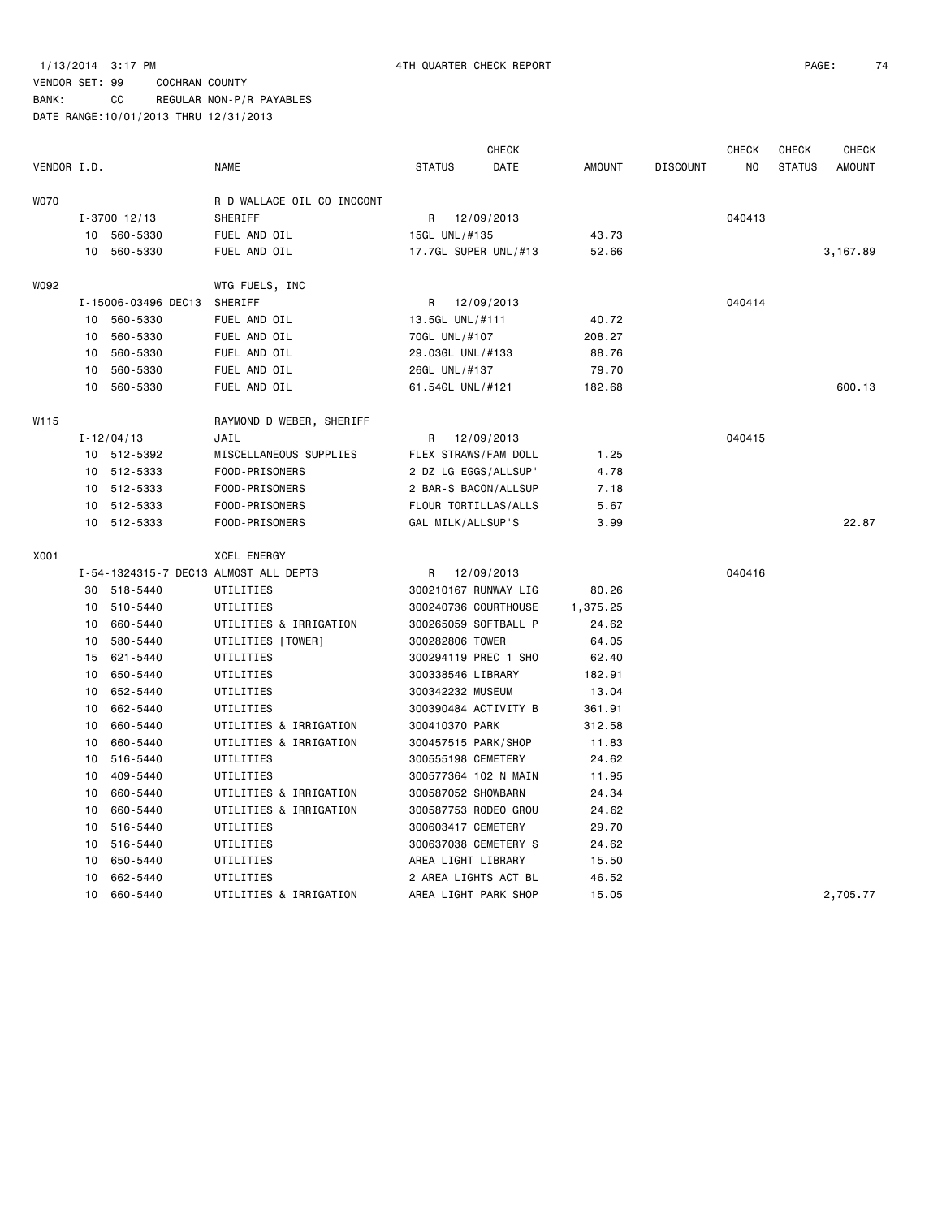# VENDOR SET: 99 COCHRAN COUNTY

BANK: CC REGULAR NON-P/R PAYABLES

|             |    |                     |                                       |                      | <b>CHECK</b> |          |                 | <b>CHECK</b> | <b>CHECK</b>  | <b>CHECK</b>  |
|-------------|----|---------------------|---------------------------------------|----------------------|--------------|----------|-----------------|--------------|---------------|---------------|
| VENDOR I.D. |    |                     | <b>NAME</b>                           | <b>STATUS</b>        | DATE         | AMOUNT   | <b>DISCOUNT</b> | NO.          | <b>STATUS</b> | <b>AMOUNT</b> |
| WO70        |    |                     | R D WALLACE OIL CO INCCONT            |                      |              |          |                 |              |               |               |
|             |    | $I - 3700$ 12/13    | SHERIFF                               | R 12/09/2013         |              |          |                 | 040413       |               |               |
|             |    | 10 560-5330         | FUEL AND OIL                          | 15GL UNL/#135        |              | 43.73    |                 |              |               |               |
|             |    | 10 560-5330         | FUEL AND OIL                          | 17.7GL SUPER UNL/#13 |              | 52.66    |                 |              |               | 3,167.89      |
| WO92        |    |                     | WTG FUELS, INC                        |                      |              |          |                 |              |               |               |
|             |    | I-15006-03496 DEC13 | SHERIFF                               | R                    | 12/09/2013   |          |                 | 040414       |               |               |
|             |    | 10 560-5330         | FUEL AND OIL                          | 13.5GL UNL/#111      |              | 40.72    |                 |              |               |               |
|             | 10 | 560-5330            | FUEL AND OIL                          | 70GL UNL/#107        |              | 208.27   |                 |              |               |               |
|             | 10 | 560-5330            | FUEL AND OIL                          | 29.03GL UNL/#133     |              | 88.76    |                 |              |               |               |
|             | 10 | 560-5330            | FUEL AND OIL                          | 26GL UNL/#137        |              | 79.70    |                 |              |               |               |
|             | 10 | 560-5330            | FUEL AND OIL                          | 61.54GL UNL/#121     |              | 182.68   |                 |              |               | 600.13        |
| W115        |    |                     | RAYMOND D WEBER, SHERIFF              |                      |              |          |                 |              |               |               |
|             |    | $I - 12/04/13$      | JAIL                                  | R                    | 12/09/2013   |          |                 | 040415       |               |               |
|             |    | 10 512-5392         | MISCELLANEOUS SUPPLIES                | FLEX STRAWS/FAM DOLL |              | 1.25     |                 |              |               |               |
|             |    | 10 512-5333         | FOOD-PRISONERS                        | 2 DZ LG EGGS/ALLSUP' |              | 4.78     |                 |              |               |               |
|             |    | 10 512-5333         | FOOD-PRISONERS                        | 2 BAR-S BACON/ALLSUP |              | 7.18     |                 |              |               |               |
|             | 10 | 512-5333            | FOOD-PRISONERS                        | FLOUR TORTILLAS/ALLS |              | 5.67     |                 |              |               |               |
|             |    | 10 512-5333         | FOOD-PRISONERS                        | GAL MILK/ALLSUP'S    |              | 3.99     |                 |              |               | 22.87         |
| X001        |    |                     | <b>XCEL ENERGY</b>                    |                      |              |          |                 |              |               |               |
|             |    |                     | I-54-1324315-7 DEC13 ALMOST ALL DEPTS | R                    | 12/09/2013   |          |                 | 040416       |               |               |
|             |    | 30 518-5440         | UTILITIES                             | 300210167 RUNWAY LIG |              | 80.26    |                 |              |               |               |
|             |    | 10 510-5440         | UTILITIES                             | 300240736 COURTHOUSE |              | 1,375.25 |                 |              |               |               |
|             | 10 | 660-5440            | UTILITIES & IRRIGATION                | 300265059 SOFTBALL P |              | 24.62    |                 |              |               |               |
|             |    | 10 580-5440         | UTILITIES [TOWER]                     | 300282806 TOWER      |              | 64.05    |                 |              |               |               |
|             |    | 15 621-5440         | UTILITIES                             | 300294119 PREC 1 SHO |              | 62.40    |                 |              |               |               |
|             | 10 | 650-5440            | UTILITIES                             | 300338546 LIBRARY    |              | 182.91   |                 |              |               |               |
|             | 10 | 652-5440            | UTILITIES                             | 300342232 MUSEUM     |              | 13.04    |                 |              |               |               |
|             | 10 | 662-5440            | UTILITIES                             | 300390484 ACTIVITY B |              | 361.91   |                 |              |               |               |
|             | 10 | 660-5440            | UTILITIES & IRRIGATION                | 300410370 PARK       |              | 312.58   |                 |              |               |               |
|             | 10 | 660-5440            | UTILITIES & IRRIGATION                | 300457515 PARK/SHOP  |              | 11.83    |                 |              |               |               |
|             | 10 | 516-5440            | UTILITIES                             | 300555198 CEMETERY   |              | 24.62    |                 |              |               |               |
|             | 10 | 409-5440            | UTILITIES                             | 300577364 102 N MAIN |              | 11.95    |                 |              |               |               |
|             | 10 | 660-5440            | UTILITIES & IRRIGATION                | 300587052 SHOWBARN   |              | 24.34    |                 |              |               |               |
|             | 10 | 660-5440            | UTILITIES & IRRIGATION                | 300587753 RODEO GROU |              | 24.62    |                 |              |               |               |
|             | 10 | 516-5440            | UTILITIES                             | 300603417 CEMETERY   |              | 29.70    |                 |              |               |               |
|             | 10 | 516-5440            | UTILITIES                             | 300637038 CEMETERY S |              | 24.62    |                 |              |               |               |
|             | 10 | 650-5440            | UTILITIES                             | AREA LIGHT LIBRARY   |              | 15.50    |                 |              |               |               |
|             | 10 | 662-5440            | UTILITIES                             | 2 AREA LIGHTS ACT BL |              | 46.52    |                 |              |               |               |
|             | 10 | 660-5440            | UTILITIES & IRRIGATION                | AREA LIGHT PARK SHOP |              | 15.05    |                 |              |               | 2,705.77      |
|             |    |                     |                                       |                      |              |          |                 |              |               |               |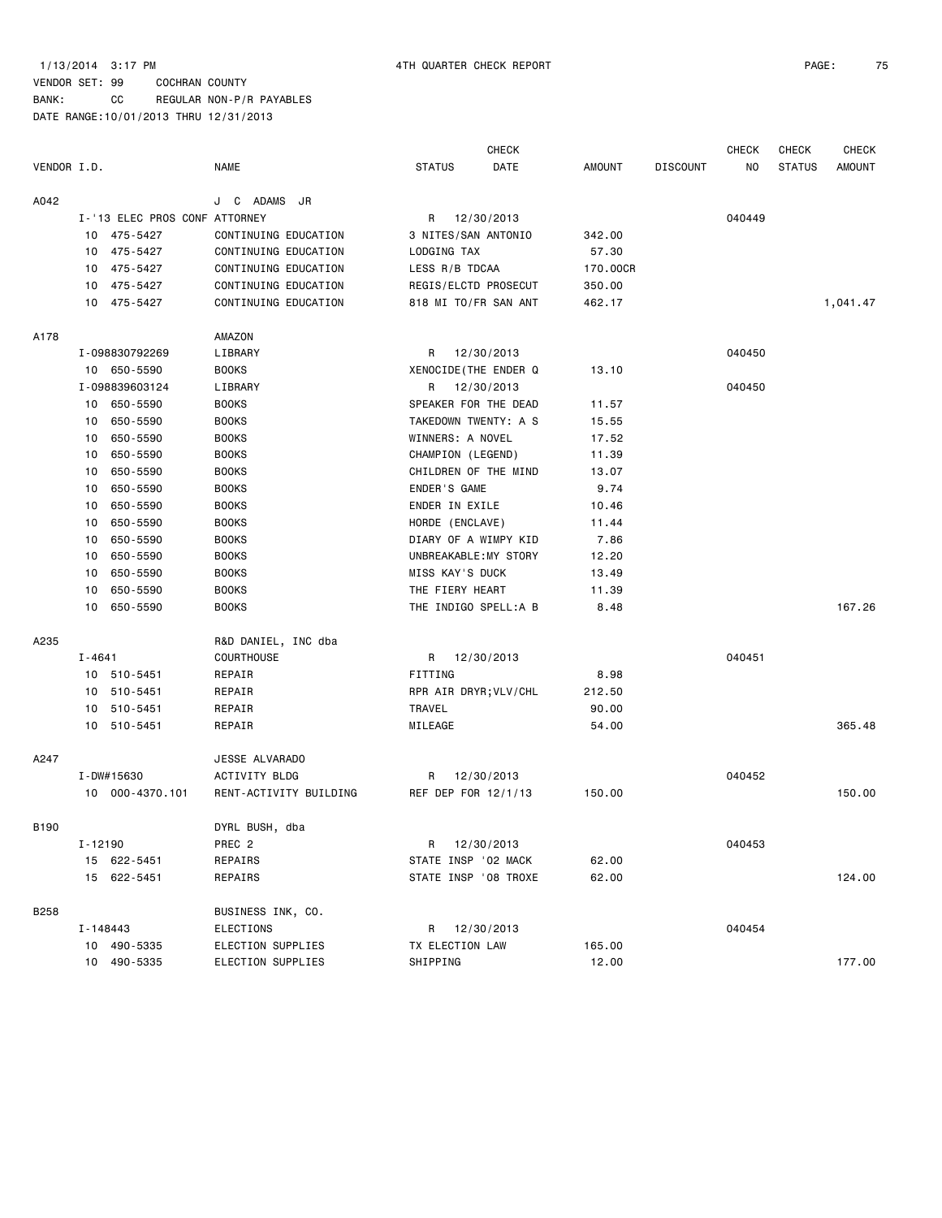# VENDOR SET: 99 COCHRAN COUNTY BANK: CC REGULAR NON-P/R PAYABLES

|             |            |                               |                        |                       | <b>CHECK</b> |          |                 | <b>CHECK</b> | <b>CHECK</b>  | <b>CHECK</b> |
|-------------|------------|-------------------------------|------------------------|-----------------------|--------------|----------|-----------------|--------------|---------------|--------------|
| VENDOR I.D. |            |                               | NAME                   | <b>STATUS</b>         | DATE         | AMOUNT   | <b>DISCOUNT</b> | ΝO           | <b>STATUS</b> | AMOUNT       |
| A042        |            |                               | ADAMS JR<br>J C        |                       |              |          |                 |              |               |              |
|             |            | I-'13 ELEC PROS CONF ATTORNEY |                        | R                     | 12/30/2013   |          |                 | 040449       |               |              |
|             |            | 10 475-5427                   | CONTINUING EDUCATION   | 3 NITES/SAN ANTONIO   |              | 342.00   |                 |              |               |              |
|             | 10         | 475-5427                      | CONTINUING EDUCATION   | LODGING TAX           |              | 57.30    |                 |              |               |              |
|             | 10         | 475-5427                      | CONTINUING EDUCATION   | LESS R/B TDCAA        |              | 170.00CR |                 |              |               |              |
|             | 10         | 475-5427                      | CONTINUING EDUCATION   | REGIS/ELCTD PROSECUT  |              | 350.00   |                 |              |               |              |
|             |            | 10 475-5427                   | CONTINUING EDUCATION   | 818 MI TO/FR SAN ANT  |              | 462.17   |                 |              |               | 1,041.47     |
| A178        |            |                               | AMAZON                 |                       |              |          |                 |              |               |              |
|             |            | I-098830792269                | LIBRARY                | R                     | 12/30/2013   |          |                 | 040450       |               |              |
|             |            | 10 650-5590                   | <b>BOOKS</b>           | XENOCIDE (THE ENDER Q |              | 13.10    |                 |              |               |              |
|             |            | I-098839603124                | LIBRARY                | R                     | 12/30/2013   |          |                 | 040450       |               |              |
|             | 10         | 650-5590                      | <b>BOOKS</b>           | SPEAKER FOR THE DEAD  |              | 11.57    |                 |              |               |              |
|             | 10         | 650-5590                      | <b>BOOKS</b>           | TAKEDOWN TWENTY: A S  |              | 15.55    |                 |              |               |              |
|             | 10         | 650-5590                      | <b>BOOKS</b>           | WINNERS: A NOVEL      |              | 17.52    |                 |              |               |              |
|             | 10         | 650-5590                      | <b>BOOKS</b>           | CHAMPION (LEGEND)     |              | 11.39    |                 |              |               |              |
|             | 10         | 650-5590                      | <b>BOOKS</b>           | CHILDREN OF THE MIND  |              | 13.07    |                 |              |               |              |
|             | 10         | 650-5590                      | <b>BOOKS</b>           | ENDER'S GAME          |              | 9.74     |                 |              |               |              |
|             | 10         | 650-5590                      | <b>BOOKS</b>           | ENDER IN EXILE        |              | 10.46    |                 |              |               |              |
|             | 10         | 650-5590                      | <b>BOOKS</b>           | HORDE (ENCLAVE)       |              | 11.44    |                 |              |               |              |
|             | 10         | 650-5590                      | <b>BOOKS</b>           | DIARY OF A WIMPY KID  |              | 7.86     |                 |              |               |              |
|             | 10         | 650-5590                      | <b>BOOKS</b>           | UNBREAKABLE: MY STORY |              | 12.20    |                 |              |               |              |
|             | 10         | 650-5590                      | <b>BOOKS</b>           | MISS KAY'S DUCK       |              | 13.49    |                 |              |               |              |
|             | 10         | 650-5590                      | <b>BOOKS</b>           | THE FIERY HEART       |              | 11.39    |                 |              |               |              |
|             | 10         | 650-5590                      | <b>BOOKS</b>           | THE INDIGO SPELL:A B  |              | 8.48     |                 |              |               | 167.26       |
| A235        |            |                               | R&D DANIEL, INC dba    |                       |              |          |                 |              |               |              |
|             | $I - 4641$ |                               | <b>COURTHOUSE</b>      | R                     | 12/30/2013   |          |                 | 040451       |               |              |
|             |            | 10 510-5451                   | REPAIR                 | FITTING               |              | 8.98     |                 |              |               |              |
|             |            | 10 510-5451                   | REPAIR                 | RPR AIR DRYR; VLV/CHL |              | 212.50   |                 |              |               |              |
|             | 10         | 510-5451                      | REPAIR                 | TRAVEL                |              | 90.00    |                 |              |               |              |
|             |            | 10 510-5451                   | REPAIR                 | MILEAGE               |              | 54.00    |                 |              |               | 365.48       |
| A247        |            |                               | JESSE ALVARADO         |                       |              |          |                 |              |               |              |
|             |            | I-DW#15630                    | ACTIVITY BLDG          | R.                    | 12/30/2013   |          |                 | 040452       |               |              |
|             |            | 10 000-4370.101               | RENT-ACTIVITY BUILDING | REF DEP FOR 12/1/13   |              | 150.00   |                 |              |               | 150.00       |
| B190        |            |                               | DYRL BUSH, dba         |                       |              |          |                 |              |               |              |
|             | I-12190    |                               | PREC 2                 | R 12/30/2013          |              |          |                 | 040453       |               |              |
|             |            | 15 622-5451                   | REPAIRS                | STATE INSP '02 MACK   |              | 62.00    |                 |              |               |              |
|             |            | 15 622-5451                   | REPAIRS                | STATE INSP '08 TROXE  |              | 62.00    |                 |              |               | 124.00       |
| B258        |            |                               | BUSINESS INK, CO.      |                       |              |          |                 |              |               |              |
|             | I-148443   |                               | ELECTIONS              | R 12/30/2013          |              |          |                 | 040454       |               |              |
|             |            | 10 490-5335                   | ELECTION SUPPLIES      | TX ELECTION LAW       |              | 165.00   |                 |              |               |              |
|             |            | 10 490-5335                   | ELECTION SUPPLIES      | SHIPPING              |              | 12.00    |                 |              |               | 177.00       |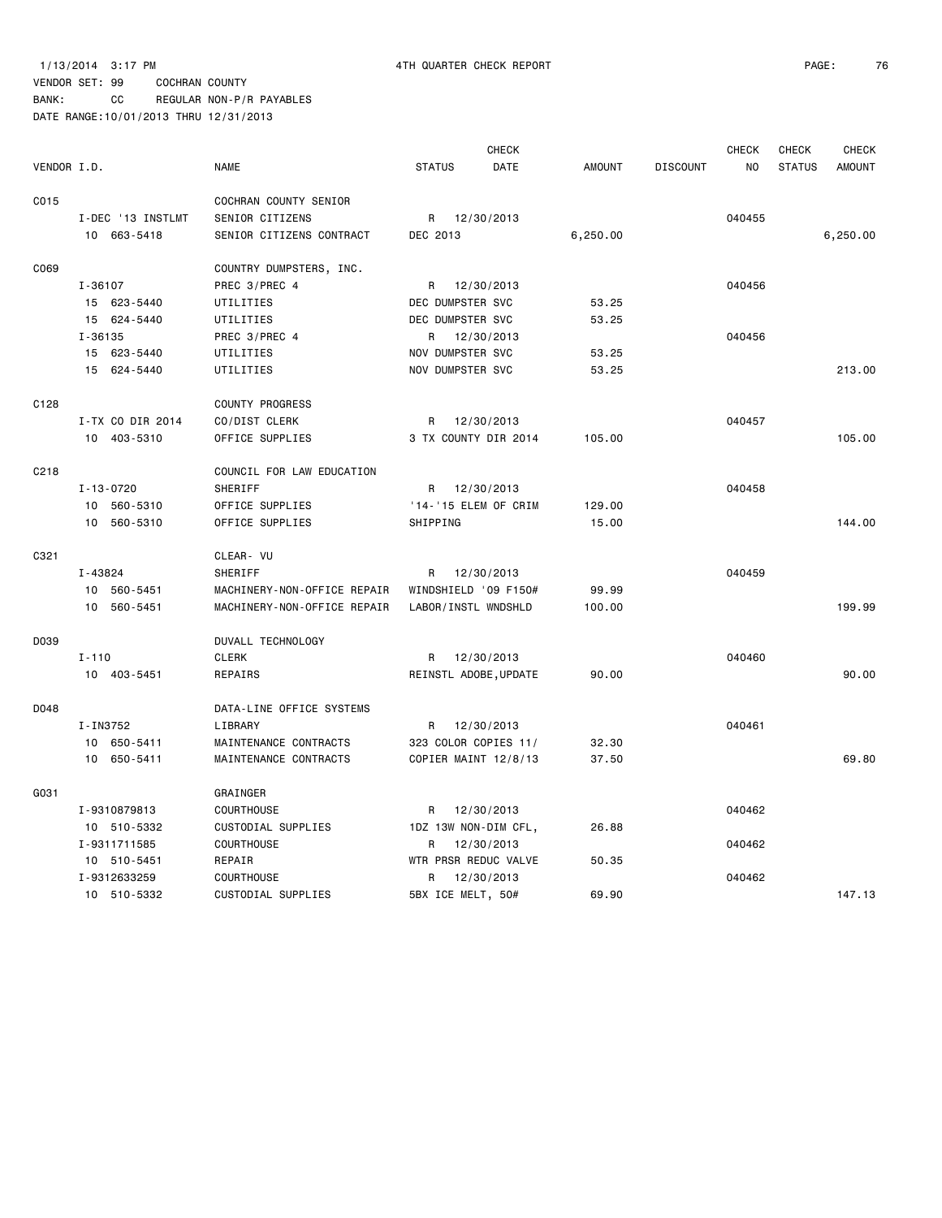BANK: CC REGULAR NON-P/R PAYABLES

|             |                   |                             |                       | <b>CHECK</b> |               |                 | <b>CHECK</b> | <b>CHECK</b>  | <b>CHECK</b>  |
|-------------|-------------------|-----------------------------|-----------------------|--------------|---------------|-----------------|--------------|---------------|---------------|
| VENDOR I.D. |                   | <b>NAME</b>                 | <b>STATUS</b>         | <b>DATE</b>  | <b>AMOUNT</b> | <b>DISCOUNT</b> | NO           | <b>STATUS</b> | <b>AMOUNT</b> |
| C015        |                   | COCHRAN COUNTY SENIOR       |                       |              |               |                 |              |               |               |
|             | I-DEC '13 INSTLMT | SENIOR CITIZENS             | R                     | 12/30/2013   |               |                 | 040455       |               |               |
|             | 10 663-5418       | SENIOR CITIZENS CONTRACT    | DEC 2013              |              | 6,250.00      |                 |              |               | 6,250.00      |
| C069        |                   | COUNTRY DUMPSTERS, INC.     |                       |              |               |                 |              |               |               |
|             | $I - 36107$       | PREC 3/PREC 4               | R 12/30/2013          |              |               |                 | 040456       |               |               |
|             | 15 623-5440       | UTILITIES                   | DEC DUMPSTER SVC      |              | 53.25         |                 |              |               |               |
|             | 15 624-5440       | UTILITIES                   | DEC DUMPSTER SVC      |              | 53.25         |                 |              |               |               |
|             | I-36135           | PREC 3/PREC 4               | R                     | 12/30/2013   |               |                 | 040456       |               |               |
|             | 15 623-5440       | UTILITIES                   | NOV DUMPSTER SVC      |              | 53.25         |                 |              |               |               |
|             | 15 624-5440       | UTILITIES                   | NOV DUMPSTER SVC      |              | 53.25         |                 |              |               | 213.00        |
| C128        |                   | <b>COUNTY PROGRESS</b>      |                       |              |               |                 |              |               |               |
|             | I-TX CO DIR 2014  | CO/DIST CLERK               | R                     | 12/30/2013   |               |                 | 040457       |               |               |
|             | 10 403-5310       | OFFICE SUPPLIES             | 3 TX COUNTY DIR 2014  |              | 105.00        |                 |              |               | 105,00        |
| C218        |                   | COUNCIL FOR LAW EDUCATION   |                       |              |               |                 |              |               |               |
|             | $I - 13 - 0720$   | SHERIFF                     | R                     | 12/30/2013   |               |                 | 040458       |               |               |
|             | 10 560-5310       | OFFICE SUPPLIES             | '14-'15 ELEM OF CRIM  |              | 129.00        |                 |              |               |               |
|             | 10<br>560-5310    | OFFICE SUPPLIES             | SHIPPING              |              | 15.00         |                 |              |               | 144.00        |
| C321        |                   | CLEAR- VU                   |                       |              |               |                 |              |               |               |
|             | I-43824           | SHERIFF                     | R                     | 12/30/2013   |               |                 | 040459       |               |               |
|             | 10 560-5451       | MACHINERY-NON-OFFICE REPAIR | WINDSHIELD '09 F150#  |              | 99.99         |                 |              |               |               |
|             | 10 560-5451       | MACHINERY-NON-OFFICE REPAIR | LABOR/INSTL WNDSHLD   |              | 100.00        |                 |              |               | 199.99        |
| D039        |                   | DUVALL TECHNOLOGY           |                       |              |               |                 |              |               |               |
|             | $I - 110$         | <b>CLERK</b>                | R                     | 12/30/2013   |               |                 | 040460       |               |               |
|             | 10 403-5451       | REPAIRS                     | REINSTL ADOBE, UPDATE |              | 90.00         |                 |              |               | 90.00         |
| D048        |                   | DATA-LINE OFFICE SYSTEMS    |                       |              |               |                 |              |               |               |
|             | I-IN3752          | LIBRARY                     | R                     | 12/30/2013   |               |                 | 040461       |               |               |
|             | 10 650-5411       | MAINTENANCE CONTRACTS       | 323 COLOR COPIES 11/  |              | 32.30         |                 |              |               |               |
|             | 650-5411<br>10    | MAINTENANCE CONTRACTS       | COPIER MAINT 12/8/13  |              | 37.50         |                 |              |               | 69.80         |
| G031        |                   | GRAINGER                    |                       |              |               |                 |              |               |               |
|             | I-9310879813      | COURTHOUSE                  | R                     | 12/30/2013   |               |                 | 040462       |               |               |
|             | 10 510-5332       | CUSTODIAL SUPPLIES          | 1DZ 13W NON-DIM CFL,  |              | 26.88         |                 |              |               |               |
|             | I-9311711585      | COURTHOUSE                  | R                     | 12/30/2013   |               |                 | 040462       |               |               |
|             | 10 510-5451       | REPAIR                      | WTR PRSR REDUC VALVE  |              | 50.35         |                 |              |               |               |
|             | I-9312633259      | <b>COURTHOUSE</b>           | R                     | 12/30/2013   |               |                 | 040462       |               |               |
|             | 10 510-5332       | CUSTODIAL SUPPLIES          | 5BX ICE MELT, 50#     |              | 69.90         |                 |              |               | 147.13        |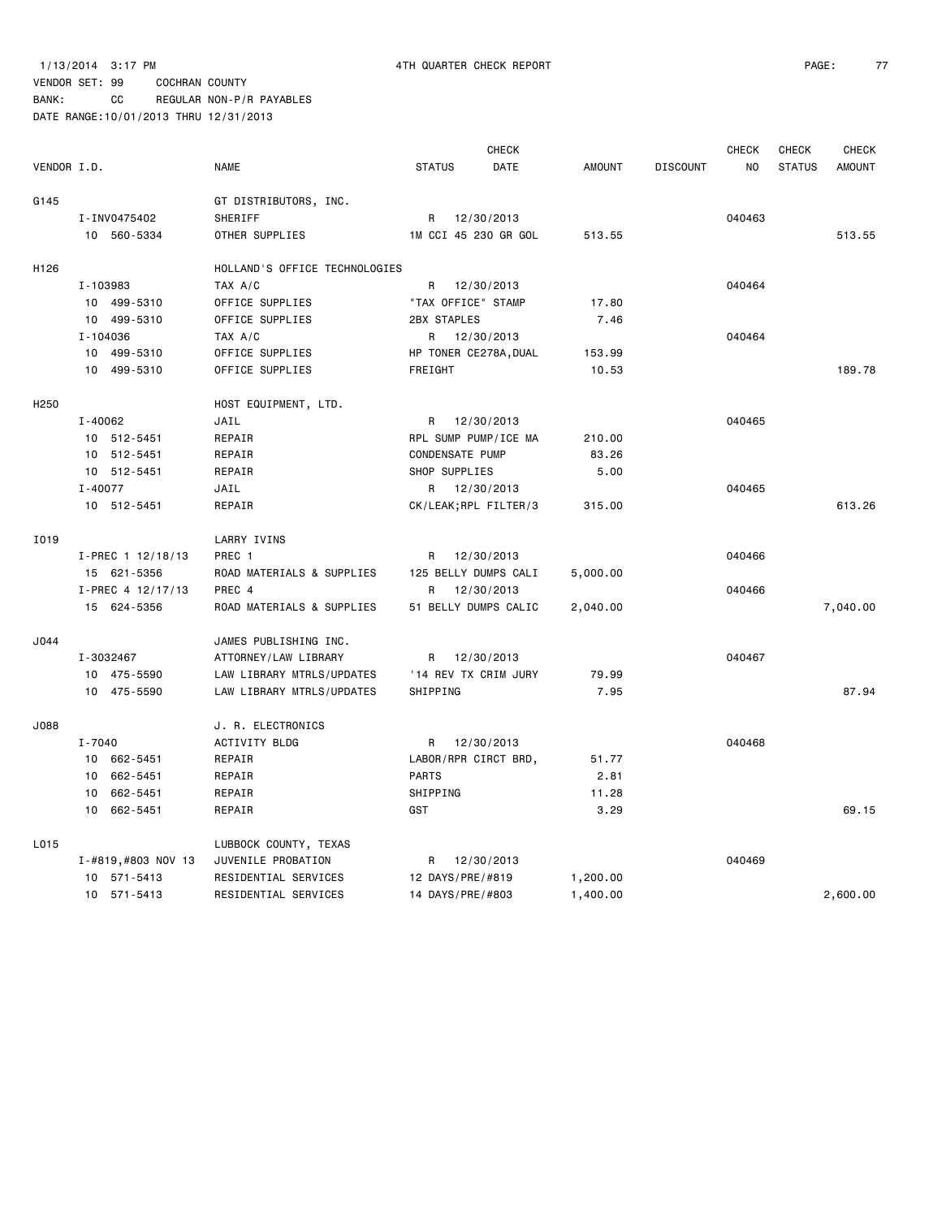BANK: CC REGULAR NON-P/R PAYABLES

|             |                    |                               |                       | <b>CHECK</b> |               |                 | <b>CHECK</b> | <b>CHECK</b>  | <b>CHECK</b>  |
|-------------|--------------------|-------------------------------|-----------------------|--------------|---------------|-----------------|--------------|---------------|---------------|
| VENDOR I.D. |                    | <b>NAME</b>                   | <b>STATUS</b>         | DATE         | <b>AMOUNT</b> | <b>DISCOUNT</b> | <b>NO</b>    | <b>STATUS</b> | <b>AMOUNT</b> |
| G145        |                    | GT DISTRIBUTORS, INC.         |                       |              |               |                 |              |               |               |
|             | I-INV0475402       | SHERIFF                       | R 12/30/2013          |              |               |                 | 040463       |               |               |
|             | 10 560-5334        | OTHER SUPPLIES                | 1M CCI 45 230 GR GOL  |              | 513.55        |                 |              |               | 513.55        |
|             |                    |                               |                       |              |               |                 |              |               |               |
| H126        |                    | HOLLAND'S OFFICE TECHNOLOGIES |                       |              |               |                 |              |               |               |
|             | I-103983           | TAX A/C                       | R 12/30/2013          |              |               |                 | 040464       |               |               |
|             | 10 499-5310        | OFFICE SUPPLIES               | "TAX OFFICE" STAMP    |              | 17.80         |                 |              |               |               |
|             | 10 499-5310        | OFFICE SUPPLIES               | 2BX STAPLES           |              | 7.46          |                 |              |               |               |
|             | I-104036           | TAX A/C                       | R 12/30/2013          |              |               |                 | 040464       |               |               |
|             | 10 499-5310        | OFFICE SUPPLIES               | HP TONER CE278A, DUAL |              | 153.99        |                 |              |               |               |
|             | 10 499-5310        | OFFICE SUPPLIES               | FREIGHT               |              | 10.53         |                 |              |               | 189.78        |
| H250        |                    | HOST EQUIPMENT, LTD.          |                       |              |               |                 |              |               |               |
|             | I-40062            | JAIL                          | R 12/30/2013          |              |               |                 | 040465       |               |               |
|             | 10 512-5451        | REPAIR                        | RPL SUMP PUMP/ICE MA  |              | 210.00        |                 |              |               |               |
|             | 10 512-5451        | REPAIR                        | CONDENSATE PUMP       |              | 83.26         |                 |              |               |               |
|             | 10 512-5451        | REPAIR                        | SHOP SUPPLIES         |              | 5.00          |                 |              |               |               |
|             | $I - 40077$        | JAIL                          | R 12/30/2013          |              |               |                 | 040465       |               |               |
|             | 10 512-5451        | REPAIR                        | CK/LEAK; RPL FILTER/3 |              | 315.00        |                 |              |               | 613.26        |
|             |                    |                               |                       |              |               |                 |              |               |               |
| I019        |                    | LARRY IVINS                   |                       |              |               |                 |              |               |               |
|             | I-PREC 1 12/18/13  | PREC 1                        | R                     | 12/30/2013   |               |                 | 040466       |               |               |
|             | 15 621-5356        | ROAD MATERIALS & SUPPLIES     | 125 BELLY DUMPS CALI  |              | 5,000.00      |                 |              |               |               |
|             | I-PREC 4 12/17/13  | PREC 4                        | R                     | 12/30/2013   |               |                 | 040466       |               |               |
|             | 15 624-5356        | ROAD MATERIALS & SUPPLIES     | 51 BELLY DUMPS CALIC  |              | 2,040.00      |                 |              |               | 7,040.00      |
| J044        |                    | JAMES PUBLISHING INC.         |                       |              |               |                 |              |               |               |
|             | I-3032467          | ATTORNEY/LAW LIBRARY          | R 12/30/2013          |              |               |                 | 040467       |               |               |
|             | 10 475-5590        | LAW LIBRARY MTRLS/UPDATES     | '14 REV TX CRIM JURY  |              | 79.99         |                 |              |               |               |
|             | 10 475-5590        | LAW LIBRARY MTRLS/UPDATES     | SHIPPING              |              | 7.95          |                 |              |               | 87.94         |
| J088        |                    | J. R. ELECTRONICS             |                       |              |               |                 |              |               |               |
|             | I-7040             | ACTIVITY BLDG                 | R 12/30/2013          |              |               |                 | 040468       |               |               |
|             | 10 662-5451        | REPAIR                        | LABOR/RPR CIRCT BRD,  |              | 51.77         |                 |              |               |               |
|             | 10 662-5451        | REPAIR                        | <b>PARTS</b>          |              | 2.81          |                 |              |               |               |
|             | 10 662-5451        | REPAIR                        | SHIPPING              |              | 11.28         |                 |              |               |               |
|             | 10 662-5451        | REPAIR                        | GST                   |              | 3.29          |                 |              |               | 69.15         |
| L015        |                    | LUBBOCK COUNTY, TEXAS         |                       |              |               |                 |              |               |               |
|             | I-#819,#803 NOV 13 | JUVENILE PROBATION            | R 12/30/2013          |              |               |                 | 040469       |               |               |
|             | 10 571-5413        | RESIDENTIAL SERVICES          | 12 DAYS/PRE/#819      |              | 1,200.00      |                 |              |               |               |
|             | 10 571-5413        | RESIDENTIAL SERVICES          | 14 DAYS/PRE/#803      |              | 1,400.00      |                 |              |               | 2.600.00      |
|             |                    |                               |                       |              |               |                 |              |               |               |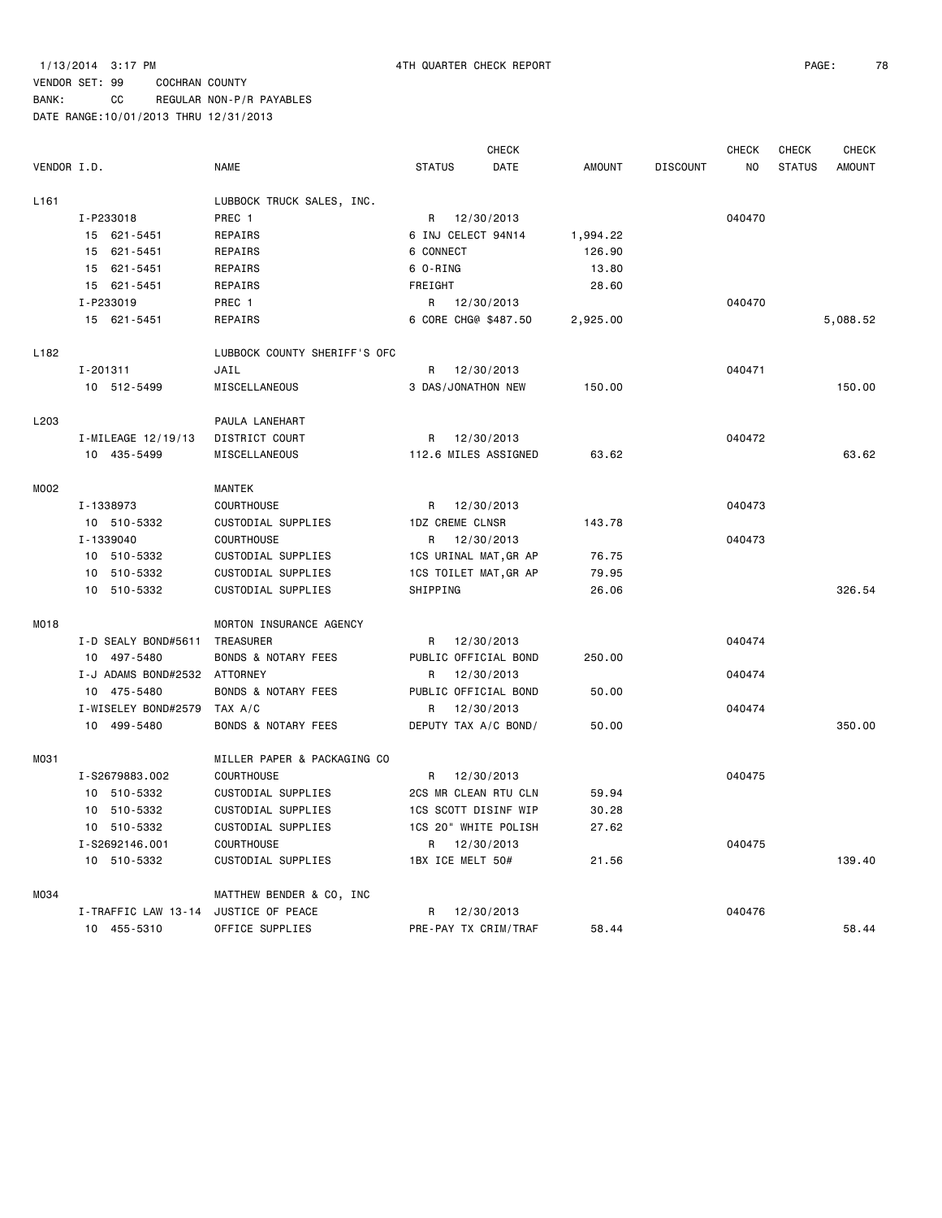|                  |                     |                                |                       | CHECK      |               |                 | <b>CHECK</b>   | CHECK         | CHECK         |
|------------------|---------------------|--------------------------------|-----------------------|------------|---------------|-----------------|----------------|---------------|---------------|
| VENDOR I.D.      |                     | <b>NAME</b>                    | <b>STATUS</b>         | DATE       | <b>AMOUNT</b> | <b>DISCOUNT</b> | N <sub>O</sub> | <b>STATUS</b> | <b>AMOUNT</b> |
| L <sub>161</sub> |                     | LUBBOCK TRUCK SALES, INC.      |                       |            |               |                 |                |               |               |
|                  | I-P233018           | PREC 1                         | R                     | 12/30/2013 |               |                 | 040470         |               |               |
|                  | 15 621-5451         | REPAIRS                        | 6 INJ CELECT 94N14    |            | 1,994.22      |                 |                |               |               |
|                  | 15 621-5451         | REPAIRS                        | 6 CONNECT             |            | 126.90        |                 |                |               |               |
|                  | 15 621-5451         | REPAIRS                        | 6 O-RING              |            | 13.80         |                 |                |               |               |
|                  | 15 621-5451         | REPAIRS                        | FREIGHT               |            | 28.60         |                 |                |               |               |
|                  | I-P233019           | PREC 1                         | R                     | 12/30/2013 |               |                 | 040470         |               |               |
|                  | 15 621-5451         | REPAIRS                        | 6 CORE CHG@ \$487.50  |            | 2,925.00      |                 |                |               | 5,088.52      |
| L <sub>182</sub> |                     | LUBBOCK COUNTY SHERIFF'S OFC   |                       |            |               |                 |                |               |               |
|                  | I-201311            | JAIL                           | R                     | 12/30/2013 |               |                 | 040471         |               |               |
|                  | 10 512-5499         | MISCELLANEOUS                  | 3 DAS/JONATHON NEW    |            | 150.00        |                 |                |               | 150.00        |
| L203             |                     | PAULA LANEHART                 |                       |            |               |                 |                |               |               |
|                  | I-MILEAGE 12/19/13  | DISTRICT COURT                 | R                     | 12/30/2013 |               |                 | 040472         |               |               |
|                  | 10 435-5499         | MISCELLANEOUS                  | 112.6 MILES ASSIGNED  |            | 63.62         |                 |                |               | 63.62         |
| M002             |                     | <b>MANTEK</b>                  |                       |            |               |                 |                |               |               |
|                  | I-1338973           | <b>COURTHOUSE</b>              | R                     | 12/30/2013 |               |                 | 040473         |               |               |
|                  | 10 510-5332         | CUSTODIAL SUPPLIES             | 1DZ CREME CLNSR       |            | 143.78        |                 |                |               |               |
|                  | I-1339040           | <b>COURTHOUSE</b>              | R                     | 12/30/2013 |               |                 | 040473         |               |               |
|                  | 10 510-5332         | CUSTODIAL SUPPLIES             | 1CS URINAL MAT, GR AP |            | 76.75         |                 |                |               |               |
|                  | 10 510-5332         | CUSTODIAL SUPPLIES             | 1CS TOILET MAT, GR AP |            | 79.95         |                 |                |               |               |
|                  | 10 510-5332         | CUSTODIAL SUPPLIES             | SHIPPING              |            | 26.06         |                 |                |               | 326.54        |
| MO18             |                     | MORTON INSURANCE AGENCY        |                       |            |               |                 |                |               |               |
|                  | I-D SEALY BOND#5611 | TREASURER                      | R                     | 12/30/2013 |               |                 | 040474         |               |               |
|                  | 10 497-5480         | <b>BONDS &amp; NOTARY FEES</b> | PUBLIC OFFICIAL BOND  |            | 250.00        |                 |                |               |               |
|                  | I-J ADAMS BOND#2532 | ATTORNEY                       | R.                    | 12/30/2013 |               |                 | 040474         |               |               |
|                  | 10 475-5480         | <b>BONDS &amp; NOTARY FEES</b> | PUBLIC OFFICIAL BOND  |            | 50.00         |                 |                |               |               |
|                  | I-WISELEY BOND#2579 | TAX A/C                        | R                     | 12/30/2013 |               |                 | 040474         |               |               |
|                  | 10 499-5480         | <b>BONDS &amp; NOTARY FEES</b> | DEPUTY TAX A/C BOND/  |            | 50.00         |                 |                |               | 350.00        |
| M031             |                     | MILLER PAPER & PACKAGING CO    |                       |            |               |                 |                |               |               |
|                  | I-S2679883.002      | COURTHOUSE                     | R                     | 12/30/2013 |               |                 | 040475         |               |               |
|                  | 10 510-5332         | CUSTODIAL SUPPLIES             | 2CS MR CLEAN RTU CLN  |            | 59.94         |                 |                |               |               |
|                  | 10 510-5332         | CUSTODIAL SUPPLIES             | 1CS SCOTT DISINF WIP  |            | 30.28         |                 |                |               |               |
|                  | 10 510-5332         | CUSTODIAL SUPPLIES             | 1CS 20" WHITE POLISH  |            | 27.62         |                 |                |               |               |
|                  | I-S2692146.001      | <b>COURTHOUSE</b>              | R                     | 12/30/2013 |               |                 | 040475         |               |               |
|                  | 10 510-5332         | CUSTODIAL SUPPLIES             | 1BX ICE MELT 50#      |            | 21.56         |                 |                |               | 139.40        |
| M034             |                     | MATTHEW BENDER & CO, INC       |                       |            |               |                 |                |               |               |
|                  | I-TRAFFIC LAW 13-14 | JUSTICE OF PEACE               | R                     | 12/30/2013 |               |                 | 040476         |               |               |
|                  | 10 455-5310         | OFFICE SUPPLIES                | PRE-PAY TX CRIM/TRAF  |            | 58.44         |                 |                |               | 58.44         |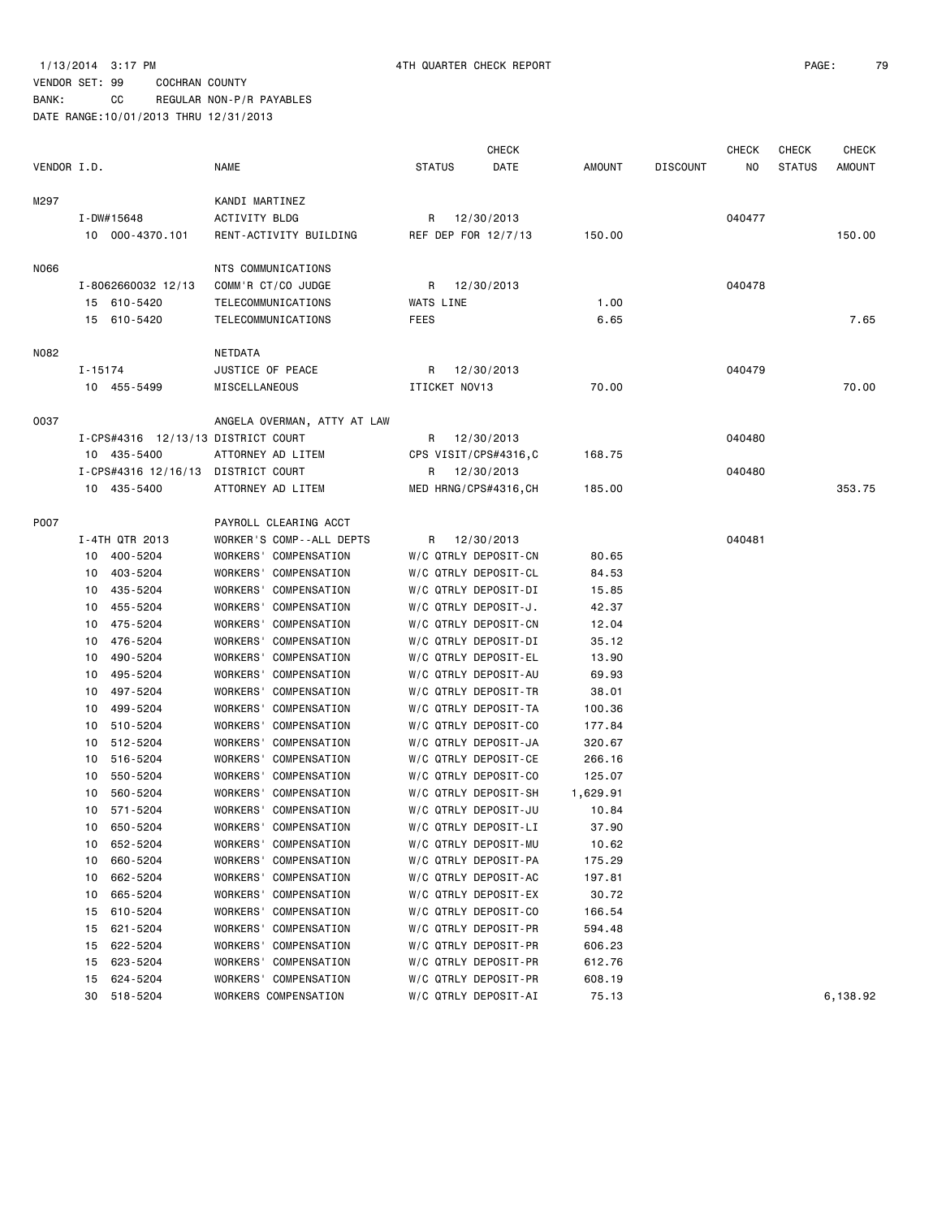# VENDOR SET: 99 COCHRAN COUNTY

BANK: CC REGULAR NON-P/R PAYABLES DATE RANGE:10/01/2013 THRU 12/31/2013

|             |                                    |                                                |               | <b>CHECK</b>                                 |                 |                 | CHECK  | CHECK         | <b>CHECK</b> |
|-------------|------------------------------------|------------------------------------------------|---------------|----------------------------------------------|-----------------|-----------------|--------|---------------|--------------|
| VENDOR I.D. |                                    | NAME                                           | <b>STATUS</b> | DATE                                         | AMOUNT          | <b>DISCOUNT</b> | NO     | <b>STATUS</b> | AMOUNT       |
| M297        |                                    | KANDI MARTINEZ                                 |               |                                              |                 |                 |        |               |              |
|             | $I - DW#15648$                     | <b>ACTIVITY BLDG</b>                           |               | R 12/30/2013                                 |                 |                 | 040477 |               |              |
|             | 10 000-4370.101                    | RENT-ACTIVITY BUILDING                         |               | REF DEP FOR 12/7/13                          | 150.00          |                 |        |               | 150.00       |
|             |                                    |                                                |               |                                              |                 |                 |        |               |              |
| N066        |                                    | NTS COMMUNICATIONS                             |               |                                              |                 |                 |        |               |              |
|             | I-8062660032 12/13                 | COMM'R CT/CO JUDGE                             | R             | 12/30/2013                                   |                 |                 | 040478 |               |              |
|             | 15 610-5420                        | TELECOMMUNICATIONS                             | WATS LINE     |                                              | 1.00            |                 |        |               |              |
|             | 15 610-5420                        | TELECOMMUNICATIONS                             | <b>FEES</b>   |                                              | 6.65            |                 |        |               | 7.65         |
| N082        |                                    | NETDATA                                        |               |                                              |                 |                 |        |               |              |
|             | I-15174                            | JUSTICE OF PEACE                               | R             | 12/30/2013                                   |                 |                 | 040479 |               |              |
|             | 10 455-5499                        | MISCELLANEOUS                                  | ITICKET NOV13 |                                              | 70.00           |                 |        |               | 70.00        |
| 0037        |                                    | ANGELA OVERMAN, ATTY AT LAW                    |               |                                              |                 |                 |        |               |              |
|             | I-CPS#4316 12/13/13 DISTRICT COURT |                                                |               | R 12/30/2013                                 |                 |                 | 040480 |               |              |
|             | 10 435-5400                        | ATTORNEY AD LITEM                              |               | CPS VISIT/CPS#4316,C                         | 168.75          |                 |        |               |              |
|             | I-CPS#4316 12/16/13 DISTRICT COURT |                                                |               | R 12/30/2013                                 |                 |                 | 040480 |               |              |
|             | 10 435-5400                        | ATTORNEY AD LITEM                              |               | MED HRNG/CPS#4316, CH                        | 185.00          |                 |        |               | 353.75       |
|             |                                    |                                                |               |                                              |                 |                 |        |               |              |
| P007        |                                    | PAYROLL CLEARING ACCT                          |               |                                              |                 |                 |        |               |              |
|             | I-4TH QTR 2013                     | WORKER'S COMP--ALL DEPTS                       | R             | 12/30/2013                                   |                 |                 | 040481 |               |              |
|             | 10 400-5204                        | WORKERS' COMPENSATION                          |               | W/C QTRLY DEPOSIT-CN                         | 80.65           |                 |        |               |              |
|             | 10 403-5204                        | WORKERS' COMPENSATION                          |               | W/C QTRLY DEPOSIT-CL                         | 84.53           |                 |        |               |              |
|             | 435-5204<br>10                     | WORKERS' COMPENSATION                          |               | W/C QTRLY DEPOSIT-DI                         | 15.85           |                 |        |               |              |
|             | 455-5204<br>10                     | WORKERS' COMPENSATION                          |               | W/C QTRLY DEPOSIT-J.                         | 42.37           |                 |        |               |              |
|             | 475-5204<br>10                     | WORKERS' COMPENSATION                          |               | W/C QTRLY DEPOSIT-CN                         | 12.04           |                 |        |               |              |
|             | 476-5204<br>10                     | <b>WORKERS'</b><br>COMPENSATION                |               | W/C QTRLY DEPOSIT-DI                         | 35.12           |                 |        |               |              |
|             | 490-5204<br>10                     | WORKERS' COMPENSATION                          |               | W/C QTRLY DEPOSIT-EL                         | 13.90           |                 |        |               |              |
|             | 495-5204<br>10                     | WORKERS'<br>COMPENSATION                       |               | W/C QTRLY DEPOSIT-AU                         | 69.93           |                 |        |               |              |
|             | 497-5204<br>10                     | <b>WORKERS'</b><br>COMPENSATION                |               | W/C QTRLY DEPOSIT-TR                         | 38.01           |                 |        |               |              |
|             | 499-5204<br>10                     | WORKERS' COMPENSATION                          |               | W/C QTRLY DEPOSIT-TA                         | 100.36          |                 |        |               |              |
|             | 510-5204<br>10                     | WORKERS'<br>COMPENSATION                       |               | W/C QTRLY DEPOSIT-CO                         | 177.84          |                 |        |               |              |
|             | 512-5204<br>10                     | <b>WORKERS'</b><br>COMPENSATION                |               | W/C QTRLY DEPOSIT-JA                         | 320.67          |                 |        |               |              |
|             | 516-5204<br>10                     | WORKERS'<br>COMPENSATION                       |               | W/C QTRLY DEPOSIT-CE                         | 266.16          |                 |        |               |              |
|             | 550-5204<br>10                     | <b>WORKERS'</b><br>COMPENSATION                |               | W/C QTRLY DEPOSIT-CO                         | 125.07          |                 |        |               |              |
|             | 560-5204<br>10                     | WORKERS'<br>COMPENSATION                       |               | W/C QTRLY DEPOSIT-SH                         | 1,629.91        |                 |        |               |              |
|             | 571-5204<br>10                     | WORKERS'<br>COMPENSATION                       |               | W/C QTRLY DEPOSIT-JU                         | 10.84           |                 |        |               |              |
|             | 10 650-5204                        | WORKERS' COMPENSATION                          |               | W/C QTRLY DEPOSIT-LI                         | 37.90           |                 |        |               |              |
|             | 652-5204<br>10                     | WORKERS' COMPENSATION                          |               | W/C QTRLY DEPOSIT-MU                         | 10.62           |                 |        |               |              |
|             | 660-5204<br>10                     | WORKERS' COMPENSATION                          |               | W/C QTRLY DEPOSIT-PA                         | 175.29          |                 |        |               |              |
|             | 662-5204<br>10                     | <b>WORKERS'</b><br>COMPENSATION                |               | W/C QTRLY DEPOSIT-AC                         | 197.81          |                 |        |               |              |
|             | 665-5204<br>10                     | WORKERS'<br>COMPENSATION                       |               | W/C QTRLY DEPOSIT-EX                         | 30.72           |                 |        |               |              |
|             | 610-5204<br>15                     | WORKERS' COMPENSATION                          |               | W/C QTRLY DEPOSIT-CO                         | 166.54          |                 |        |               |              |
|             | 621-5204<br>15                     | WORKERS'<br>COMPENSATION                       |               | W/C QTRLY DEPOSIT-PR                         | 594.48          |                 |        |               |              |
|             | 622-5204<br>15                     | WORKERS'<br>COMPENSATION                       |               | W/C QTRLY DEPOSIT-PR                         | 606.23          |                 |        |               |              |
|             | 623-5204<br>15<br>624-5204         | WORKERS' COMPENSATION<br>WORKERS' COMPENSATION |               | W/C QTRLY DEPOSIT-PR<br>W/C QTRLY DEPOSIT-PR | 612.76          |                 |        |               |              |
|             | 15<br>30<br>518-5204               | WORKERS COMPENSATION                           |               | W/C QTRLY DEPOSIT-AI                         | 608.19<br>75.13 |                 |        |               | 6,138.92     |
|             |                                    |                                                |               |                                              |                 |                 |        |               |              |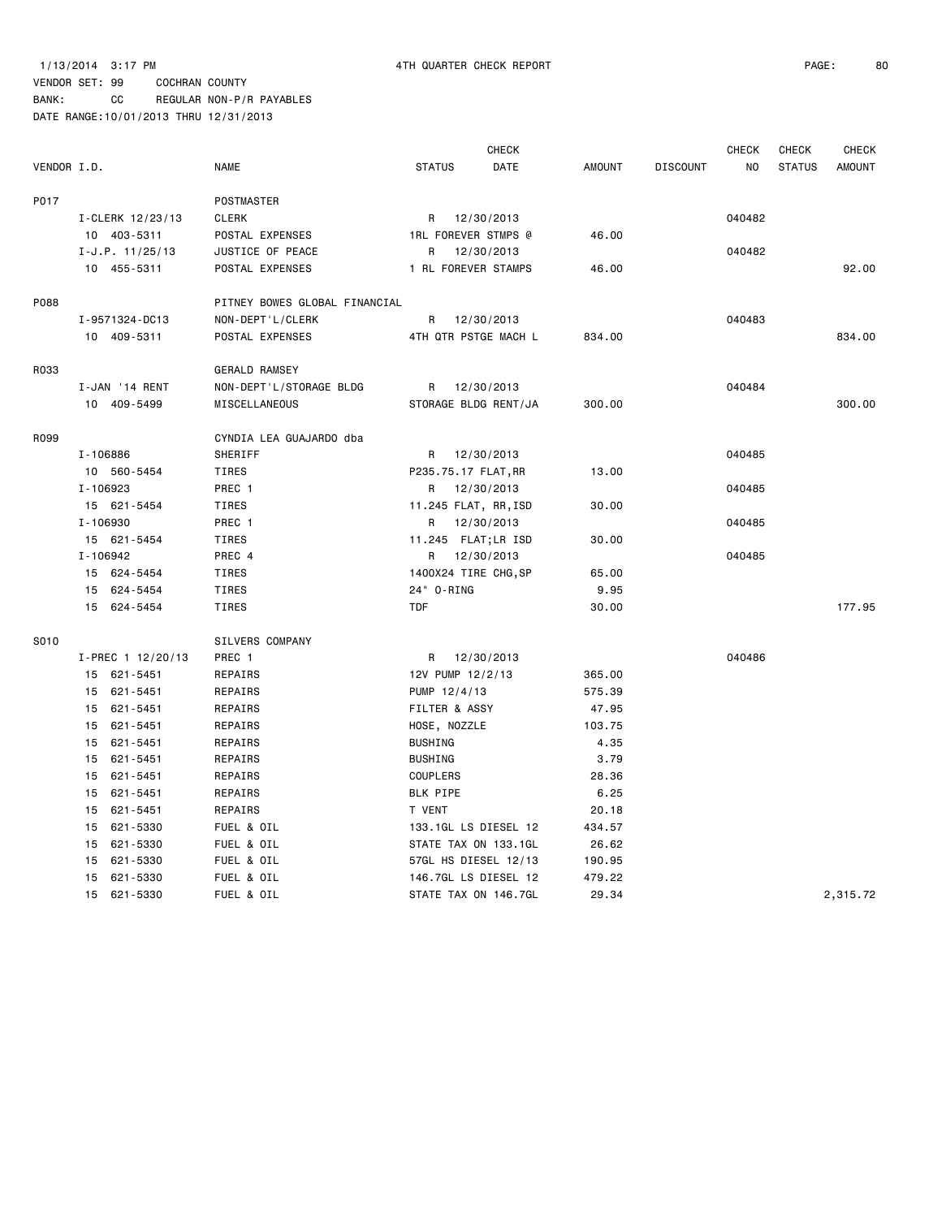| VENDOR I.D. |                   | <b>NAME</b>                   | <b>CHECK</b><br>DATE<br><b>STATUS</b>  | <b>AMOUNT</b> | <b>CHECK</b><br><b>DISCOUNT</b><br>NO | <b>CHECK</b><br><b>CHECK</b><br><b>STATUS</b><br><b>AMOUNT</b> |
|-------------|-------------------|-------------------------------|----------------------------------------|---------------|---------------------------------------|----------------------------------------------------------------|
|             |                   |                               |                                        |               |                                       |                                                                |
| P017        |                   | POSTMASTER                    |                                        |               |                                       |                                                                |
|             | I-CLERK 12/23/13  | CLERK                         | 12/30/2013<br>R                        |               | 040482                                |                                                                |
|             | 10 403-5311       | POSTAL EXPENSES               | <b>1RL FOREVER STMPS @</b>             | 46.00         |                                       |                                                                |
|             | $I-J.P. 11/25/13$ | JUSTICE OF PEACE              | R<br>12/30/2013                        |               | 040482                                |                                                                |
|             | 10 455-5311       | POSTAL EXPENSES               | 1 RL FOREVER STAMPS                    | 46.00         |                                       | 92.00                                                          |
| P088        |                   | PITNEY BOWES GLOBAL FINANCIAL |                                        |               |                                       |                                                                |
|             | I-9571324-DC13    | NON-DEPT'L/CLERK              | 12/30/2013<br>R                        |               | 040483                                |                                                                |
|             | 10 409-5311       | POSTAL EXPENSES               | 4TH QTR PSTGE MACH L                   | 834.00        |                                       | 834.00                                                         |
| R033        |                   | <b>GERALD RAMSEY</b>          |                                        |               |                                       |                                                                |
|             | I-JAN '14 RENT    | NON-DEPT'L/STORAGE BLDG       | R 12/30/2013                           |               | 040484                                |                                                                |
|             | 10 409-5499       | MISCELLANEOUS                 | STORAGE BLDG RENT/JA                   | 300.00        |                                       | 300.00                                                         |
| R099        |                   | CYNDIA LEA GUAJARDO dba       |                                        |               |                                       |                                                                |
|             | I-106886          | SHERIFF                       | R 12/30/2013                           |               | 040485                                |                                                                |
|             | 10 560-5454       | TIRES                         |                                        | 13.00         |                                       |                                                                |
|             | I-106923          | PREC 1                        | P235.75.17 FLAT, RR<br>12/30/2013<br>R |               | 040485                                |                                                                |
|             | 15 621-5454       | TIRES                         | 11.245 FLAT, RR, ISD                   | 30.00         |                                       |                                                                |
|             | I-106930          | PREC 1                        | R 12/30/2013                           |               | 040485                                |                                                                |
|             | 15 621-5454       | TIRES                         | 11.245 FLAT;LR ISD                     | 30.00         |                                       |                                                                |
|             | I-106942          | PREC 4                        | R 12/30/2013                           |               | 040485                                |                                                                |
|             | 15 624-5454       | TIRES                         | 1400X24 TIRE CHG, SP                   | 65.00         |                                       |                                                                |
|             | 15 624-5454       | TIRES                         | 24" 0-RING                             | 9.95          |                                       |                                                                |
|             | 15 624-5454       | TIRES                         | <b>TDF</b>                             | 30.00         |                                       | 177.95                                                         |
|             |                   |                               |                                        |               |                                       |                                                                |
| S010        |                   | SILVERS COMPANY               |                                        |               |                                       |                                                                |
|             | I-PREC 1 12/20/13 | PREC 1                        | R 12/30/2013                           |               | 040486                                |                                                                |
|             | 15 621-5451       | REPAIRS                       | 12V PUMP 12/2/13                       | 365.00        |                                       |                                                                |
|             | 15 621-5451       | REPAIRS                       | PUMP 12/4/13                           | 575.39        |                                       |                                                                |
|             | 15<br>621 - 5451  | REPAIRS                       | FILTER & ASSY                          | 47.95         |                                       |                                                                |
|             | 621-5451<br>15    | REPAIRS                       | HOSE, NOZZLE                           | 103.75        |                                       |                                                                |
|             | 15 621-5451       | REPAIRS                       | <b>BUSHING</b>                         | 4.35          |                                       |                                                                |
|             | 621-5451<br>15    | REPAIRS                       | <b>BUSHING</b>                         | 3.79          |                                       |                                                                |
|             | 15 621-5451       | REPAIRS                       | COUPLERS                               | 28.36         |                                       |                                                                |
|             | 621-5451<br>15    | REPAIRS                       | BLK PIPE                               | 6.25          |                                       |                                                                |
|             | 621-5451<br>15    | REPAIRS                       | T VENT                                 | 20.18         |                                       |                                                                |
|             | 621-5330<br>15    | FUEL & OIL                    | 133.1GL LS DIESEL 12                   | 434.57        |                                       |                                                                |
|             | 621-5330<br>15    | FUEL & OIL                    | STATE TAX ON 133.1GL                   | 26.62         |                                       |                                                                |
|             | 621-5330<br>15    | FUEL & OIL                    | 57GL HS DIESEL 12/13                   | 190.95        |                                       |                                                                |
|             | 621-5330<br>15    | FUEL & OIL                    | 146.7GL LS DIESEL 12                   | 479.22        |                                       |                                                                |
|             | 15<br>621-5330    | FUEL & OIL                    | STATE TAX ON 146.7GL                   | 29.34         |                                       | 2,315.72                                                       |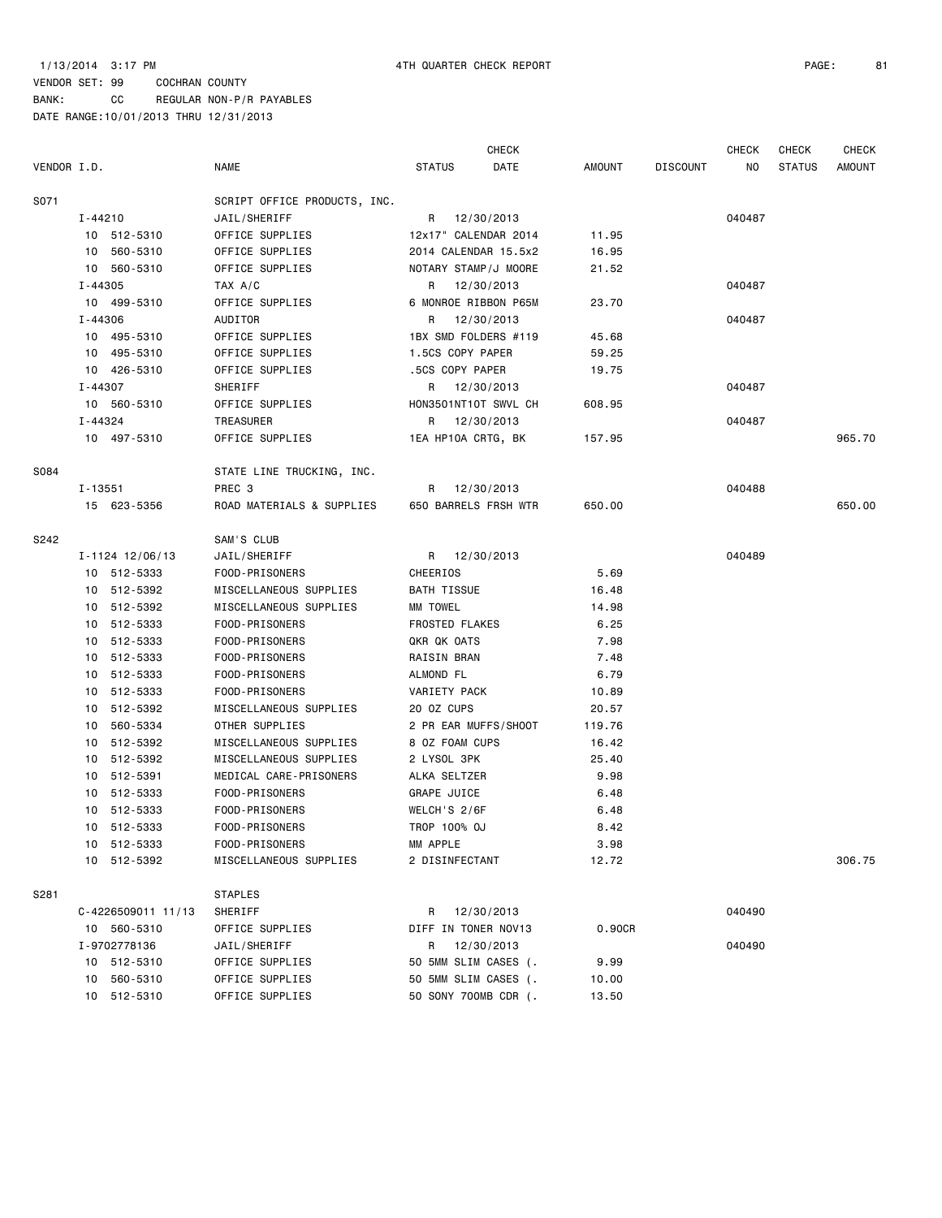## VENDOR SET: 99 COCHRAN COUNTY BANK: CC REGULAR NON-P/R PAYABLES DATE RANGE:10/01/2013 THRU 12/31/2013

|             |             |                    |                              |                       | <b>CHECK</b>         |        |                 | <b>CHECK</b> | <b>CHECK</b>  | <b>CHECK</b>  |
|-------------|-------------|--------------------|------------------------------|-----------------------|----------------------|--------|-----------------|--------------|---------------|---------------|
| VENDOR I.D. |             |                    | NAME                         | <b>STATUS</b>         | DATE                 | AMOUNT | <b>DISCOUNT</b> | NO.          | <b>STATUS</b> | <b>AMOUNT</b> |
| S071        |             |                    | SCRIPT OFFICE PRODUCTS, INC. |                       |                      |        |                 |              |               |               |
|             | I-44210     |                    | JAIL/SHERIFF                 |                       | R 12/30/2013         |        |                 | 040487       |               |               |
|             |             | 10 512-5310        | OFFICE SUPPLIES              |                       | 12x17" CALENDAR 2014 | 11.95  |                 |              |               |               |
|             |             | 10 560-5310        | OFFICE SUPPLIES              |                       | 2014 CALENDAR 15.5x2 | 16.95  |                 |              |               |               |
|             |             | 10 560-5310        | OFFICE SUPPLIES              |                       | NOTARY STAMP/J MOORE | 21.52  |                 |              |               |               |
|             | $I - 44305$ |                    | TAX A/C                      |                       | R 12/30/2013         |        |                 | 040487       |               |               |
|             |             | 10 499-5310        | OFFICE SUPPLIES              |                       | 6 MONROE RIBBON P65M | 23.70  |                 |              |               |               |
|             | I-44306     |                    | AUDITOR                      | R                     | 12/30/2013           |        |                 | 040487       |               |               |
|             |             | 10 495-5310        | OFFICE SUPPLIES              |                       | 1BX SMD FOLDERS #119 | 45.68  |                 |              |               |               |
|             |             | 10 495-5310        | OFFICE SUPPLIES              | 1.5CS COPY PAPER      |                      | 59.25  |                 |              |               |               |
|             |             | 10 426-5310        | OFFICE SUPPLIES              | .5CS COPY PAPER       |                      | 19.75  |                 |              |               |               |
|             | $I - 44307$ |                    | SHERIFF                      |                       | R 12/30/2013         |        |                 | 040487       |               |               |
|             |             | 10 560-5310        | OFFICE SUPPLIES              |                       | HON3501NT10T SWVL CH | 608.95 |                 |              |               |               |
|             | I-44324     |                    | TREASURER                    | R                     | 12/30/2013           |        |                 | 040487       |               |               |
|             |             | 10 497-5310        | OFFICE SUPPLIES              |                       | 1EA HP10A CRTG, BK   | 157.95 |                 |              |               | 965.70        |
| S084        |             |                    | STATE LINE TRUCKING, INC.    |                       |                      |        |                 |              |               |               |
|             | $I - 13551$ |                    | PREC 3                       | R                     | 12/30/2013           |        |                 | 040488       |               |               |
|             |             | 15 623-5356        | ROAD MATERIALS & SUPPLIES    |                       | 650 BARRELS FRSH WTR | 650.00 |                 |              |               | 650.00        |
| S242        |             |                    | SAM'S CLUB                   |                       |                      |        |                 |              |               |               |
|             |             | I-1124 12/06/13    | JAIL/SHERIFF                 |                       | R 12/30/2013         |        |                 | 040489       |               |               |
|             |             | 10 512-5333        | FOOD-PRISONERS               | CHEERIOS              |                      | 5.69   |                 |              |               |               |
|             |             | 10 512-5392        | MISCELLANEOUS SUPPLIES       | BATH TISSUE           |                      | 16.48  |                 |              |               |               |
|             |             | 10 512-5392        | MISCELLANEOUS SUPPLIES       | MM TOWEL              |                      | 14.98  |                 |              |               |               |
|             |             | 10 512-5333        | FOOD-PRISONERS               | <b>FROSTED FLAKES</b> |                      | 6.25   |                 |              |               |               |
|             |             | 10 512-5333        | FOOD-PRISONERS               | QKR QK OATS           |                      | 7.98   |                 |              |               |               |
|             |             | 10 512-5333        | FOOD-PRISONERS               | RAISIN BRAN           |                      | 7.48   |                 |              |               |               |
|             |             | 10 512-5333        | FOOD-PRISONERS               | ALMOND FL             |                      | 6.79   |                 |              |               |               |
|             |             | 10 512-5333        | FOOD-PRISONERS               | VARIETY PACK          |                      | 10.89  |                 |              |               |               |
|             |             | 10 512-5392        | MISCELLANEOUS SUPPLIES       | 20 OZ CUPS            |                      | 20.57  |                 |              |               |               |
|             | 10          | 560-5334           | OTHER SUPPLIES               |                       | 2 PR EAR MUFFS/SHOOT | 119.76 |                 |              |               |               |
|             |             | 10 512-5392        | MISCELLANEOUS SUPPLIES       | 8 OZ FOAM CUPS        |                      | 16.42  |                 |              |               |               |
|             |             | 10 512-5392        | MISCELLANEOUS SUPPLIES       | 2 LYSOL 3PK           |                      | 25.40  |                 |              |               |               |
|             |             | 10 512-5391        | MEDICAL CARE-PRISONERS       | ALKA SELTZER          |                      | 9.98   |                 |              |               |               |
|             |             | 10 512-5333        | FOOD-PRISONERS               | <b>GRAPE JUICE</b>    |                      | 6.48   |                 |              |               |               |
|             |             | 10 512-5333        | FOOD-PRISONERS               | WELCH'S 2/6F          |                      | 6.48   |                 |              |               |               |
|             |             | 10 512-5333        | FOOD-PRISONERS               | TROP 100% OJ          |                      | 8.42   |                 |              |               |               |
|             |             | 10 512-5333        | FOOD-PRISONERS               | MM APPLE              |                      | 3.98   |                 |              |               |               |
|             |             | 10 512-5392        | MISCELLANEOUS SUPPLIES       | 2 DISINFECTANT        |                      | 12.72  |                 |              |               | 306.75        |
| S281        |             |                    | <b>STAPLES</b>               |                       |                      |        |                 |              |               |               |
|             |             | C-4226509011 11/13 | SHERIFF                      |                       | R 12/30/2013         |        |                 | 040490       |               |               |
|             |             | 10 560-5310        | OFFICE SUPPLIES              |                       | DIFF IN TONER NOV13  | 0.90CR |                 |              |               |               |
|             |             | I-9702778136       | JAIL/SHERIFF                 | R                     | 12/30/2013           |        |                 | 040490       |               |               |
|             |             | 10 512-5310        | OFFICE SUPPLIES              |                       | 50 5MM SLIM CASES (. | 9.99   |                 |              |               |               |
|             |             | 10 560-5310        | OFFICE SUPPLIES              |                       | 50 5MM SLIM CASES (. | 10.00  |                 |              |               |               |
|             |             | 10 512-5310        | OFFICE SUPPLIES              |                       | 50 SONY 700MB CDR (. | 13.50  |                 |              |               |               |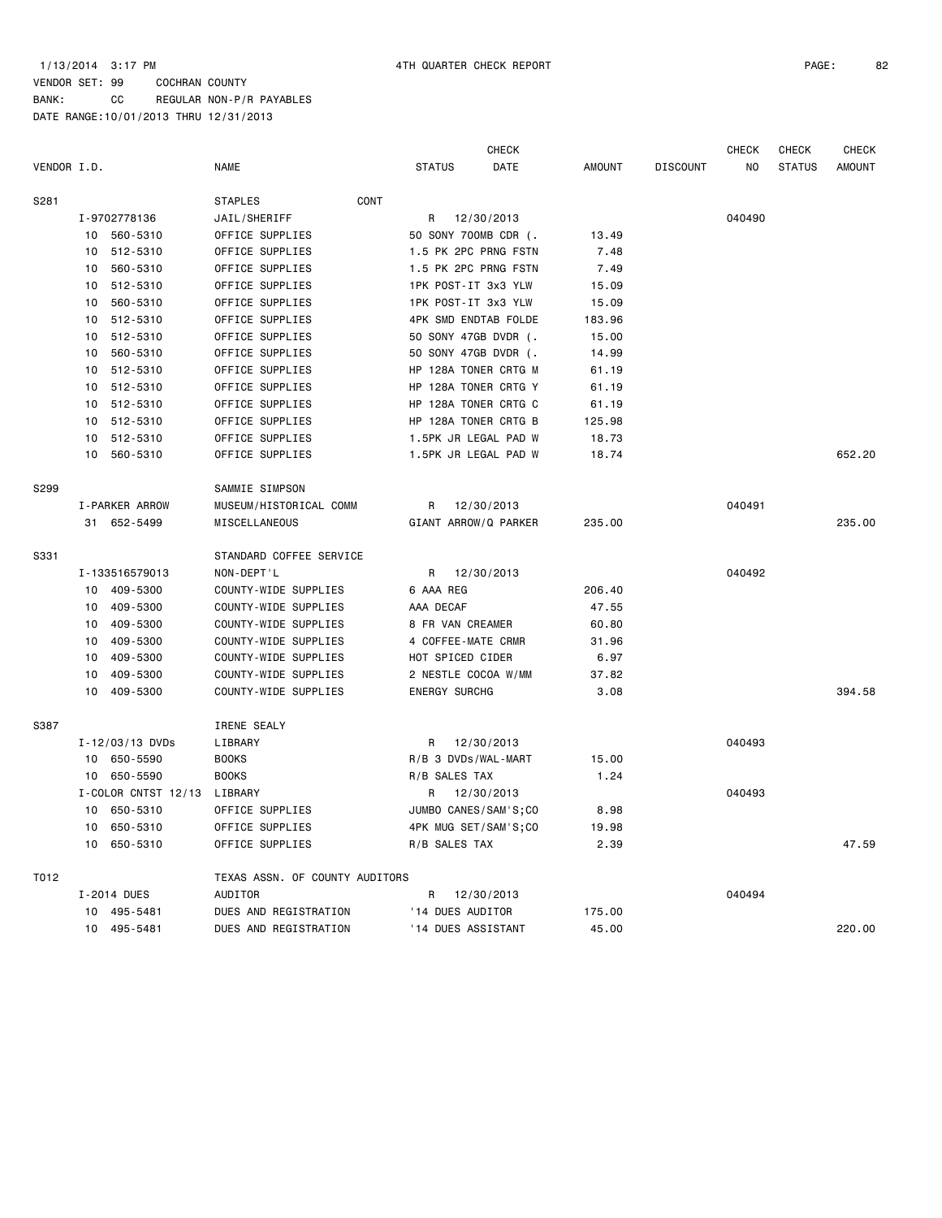## VENDOR SET: 99 COCHRAN COUNTY BANK: CC REGULAR NON-P/R PAYABLES DATE RANGE:10/01/2013 THRU 12/31/2013

|             |                 |                       |                                |      |                      | CHECK                |               |                 | <b>CHECK</b> | <b>CHECK</b>  | CHECK         |
|-------------|-----------------|-----------------------|--------------------------------|------|----------------------|----------------------|---------------|-----------------|--------------|---------------|---------------|
| VENDOR I.D. |                 |                       | <b>NAME</b>                    |      | <b>STATUS</b>        | DATE                 | <b>AMOUNT</b> | <b>DISCOUNT</b> | NO           | <b>STATUS</b> | <b>AMOUNT</b> |
| S281        |                 |                       | <b>STAPLES</b>                 | CONT |                      |                      |               |                 |              |               |               |
|             |                 | I-9702778136          | JAIL/SHERIFF                   |      | R                    | 12/30/2013           |               |                 | 040490       |               |               |
|             | 10              | 560-5310              | OFFICE SUPPLIES                |      |                      | 50 SONY 700MB CDR (. | 13.49         |                 |              |               |               |
|             | 10              | 512-5310              | OFFICE SUPPLIES                |      |                      | 1.5 PK 2PC PRNG FSTN | 7.48          |                 |              |               |               |
|             | 10              | 560-5310              | OFFICE SUPPLIES                |      |                      | 1.5 PK 2PC PRNG FSTN | 7.49          |                 |              |               |               |
|             | 10              | 512-5310              | OFFICE SUPPLIES                |      | 1PK POST-IT 3x3 YLW  |                      | 15.09         |                 |              |               |               |
|             | 10              | 560-5310              | OFFICE SUPPLIES                |      | 1PK POST-IT 3x3 YLW  |                      | 15.09         |                 |              |               |               |
|             | 10              | 512-5310              | OFFICE SUPPLIES                |      |                      | 4PK SMD ENDTAB FOLDE | 183.96        |                 |              |               |               |
|             | 10              | 512-5310              | OFFICE SUPPLIES                |      | 50 SONY 47GB DVDR (. |                      | 15.00         |                 |              |               |               |
|             | 10              | 560-5310              | OFFICE SUPPLIES                |      | 50 SONY 47GB DVDR (. |                      | 14.99         |                 |              |               |               |
|             | 10              | 512-5310              | OFFICE SUPPLIES                |      |                      | HP 128A TONER CRTG M | 61.19         |                 |              |               |               |
|             | 10              | 512-5310              | OFFICE SUPPLIES                |      |                      | HP 128A TONER CRTG Y | 61.19         |                 |              |               |               |
|             |                 | 10 512-5310           | OFFICE SUPPLIES                |      |                      | HP 128A TONER CRTG C | 61.19         |                 |              |               |               |
|             | 10              | 512-5310              | OFFICE SUPPLIES                |      |                      | HP 128A TONER CRTG B | 125.98        |                 |              |               |               |
|             | 10              | 512-5310              | OFFICE SUPPLIES                |      |                      | 1.5PK JR LEGAL PAD W | 18.73         |                 |              |               |               |
|             | 10              | 560-5310              | OFFICE SUPPLIES                |      |                      | 1.5PK JR LEGAL PAD W | 18.74         |                 |              |               | 652.20        |
| S299        |                 |                       | SAMMIE SIMPSON                 |      |                      |                      |               |                 |              |               |               |
|             |                 | <b>I-PARKER ARROW</b> | MUSEUM/HISTORICAL COMM         |      | R                    | 12/30/2013           |               |                 | 040491       |               |               |
|             |                 | 31 652-5499           | MISCELLANEOUS                  |      |                      | GIANT ARROW/Q PARKER | 235.00        |                 |              |               | 235.00        |
| S331        |                 |                       | STANDARD COFFEE SERVICE        |      |                      |                      |               |                 |              |               |               |
|             |                 | I-133516579013        | NON-DEPT'L                     |      | R                    | 12/30/2013           |               |                 | 040492       |               |               |
|             | 10              | 409-5300              | COUNTY-WIDE SUPPLIES           |      | 6 AAA REG            |                      | 206.40        |                 |              |               |               |
|             | 10 <sup>1</sup> | 409-5300              | COUNTY-WIDE SUPPLIES           |      | AAA DECAF            |                      | 47.55         |                 |              |               |               |
|             | 10              | 409-5300              | COUNTY-WIDE SUPPLIES           |      | 8 FR VAN CREAMER     |                      | 60.80         |                 |              |               |               |
|             | 10              | 409-5300              | COUNTY-WIDE SUPPLIES           |      | 4 COFFEE-MATE CRMR   |                      | 31.96         |                 |              |               |               |
|             | 10              | 409-5300              | COUNTY-WIDE SUPPLIES           |      | HOT SPICED CIDER     |                      | 6.97          |                 |              |               |               |
|             | 10              | 409-5300              | COUNTY-WIDE SUPPLIES           |      | 2 NESTLE COCOA W/MM  |                      | 37.82         |                 |              |               |               |
|             | 10              | 409-5300              | COUNTY-WIDE SUPPLIES           |      | <b>ENERGY SURCHG</b> |                      | 3.08          |                 |              |               | 394.58        |
| S387        |                 |                       | IRENE SEALY                    |      |                      |                      |               |                 |              |               |               |
|             |                 | I-12/03/13 DVDs       | LIBRARY                        |      | R                    | 12/30/2013           |               |                 | 040493       |               |               |
|             |                 | 10 650-5590           | <b>BOOKS</b>                   |      | R/B 3 DVDs/WAL-MART  |                      | 15.00         |                 |              |               |               |
|             |                 | 10 650-5590           | <b>BOOKS</b>                   |      | R/B SALES TAX        |                      | 1.24          |                 |              |               |               |
|             |                 | I-COLOR CNTST 12/13   | LIBRARY                        |      | R                    | 12/30/2013           |               |                 | 040493       |               |               |
|             |                 | 10 650-5310           | OFFICE SUPPLIES                |      |                      | JUMBO CANES/SAM'S;CO | 8.98          |                 |              |               |               |
|             | 10              | 650-5310              | OFFICE SUPPLIES                |      |                      | 4PK MUG SET/SAM'S;CO | 19.98         |                 |              |               |               |
|             | 10              | 650-5310              | OFFICE SUPPLIES                |      | R/B SALES TAX        |                      | 2.39          |                 |              |               | 47.59         |
| T012        |                 |                       | TEXAS ASSN. OF COUNTY AUDITORS |      |                      |                      |               |                 |              |               |               |
|             |                 | I-2014 DUES           | <b>AUDITOR</b>                 |      | R                    | 12/30/2013           |               |                 | 040494       |               |               |
|             | 10              | 495-5481              | DUES AND REGISTRATION          |      | '14 DUES AUDITOR     |                      | 175.00        |                 |              |               |               |
|             |                 | 10 495-5481           | DUES AND REGISTRATION          |      | '14 DUES ASSISTANT   |                      | 45.00         |                 |              |               | 220.00        |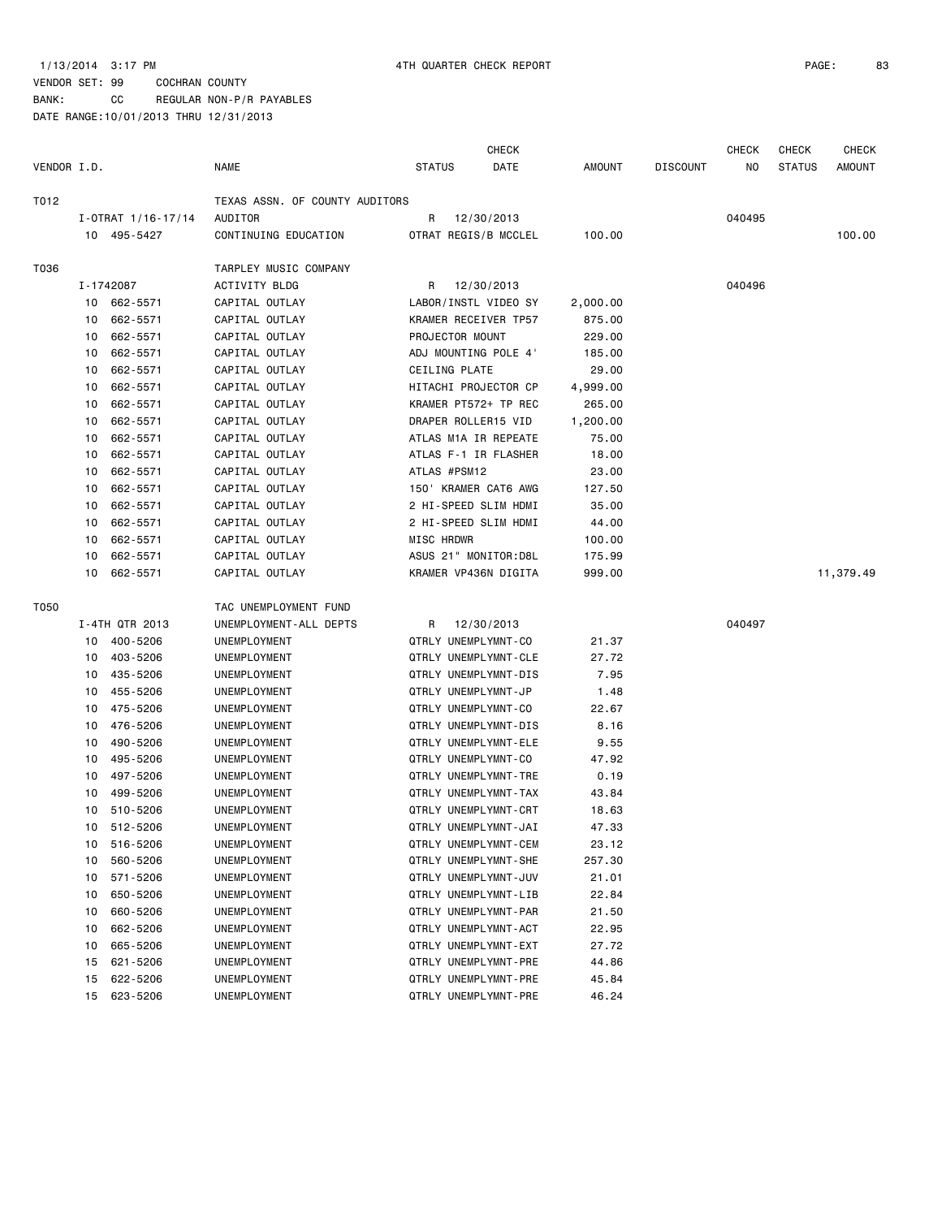BANK: CC REGULAR NON-P/R PAYABLES

|             |    |                        |                                |                      | CHECK                |               |                 | <b>CHECK</b> | <b>CHECK</b>  | <b>CHECK</b>  |
|-------------|----|------------------------|--------------------------------|----------------------|----------------------|---------------|-----------------|--------------|---------------|---------------|
| VENDOR I.D. |    |                        | <b>NAME</b>                    | <b>STATUS</b>        | DATE                 | <b>AMOUNT</b> | <b>DISCOUNT</b> | NO.          | <b>STATUS</b> | <b>AMOUNT</b> |
| T012        |    |                        | TEXAS ASSN. OF COUNTY AUDITORS |                      |                      |               |                 |              |               |               |
|             |    | $I - OTRAT$ 1/16-17/14 | AUDITOR                        | R                    | 12/30/2013           |               |                 | 040495       |               |               |
|             |    | 10 495-5427            | CONTINUING EDUCATION           | OTRAT REGIS/B MCCLEL |                      | 100.00        |                 |              |               | 100.00        |
| T036        |    |                        | TARPLEY MUSIC COMPANY          |                      |                      |               |                 |              |               |               |
|             |    | I-1742087              | ACTIVITY BLDG                  | R                    | 12/30/2013           |               |                 | 040496       |               |               |
|             |    | 10 662-5571            | CAPITAL OUTLAY                 |                      | LABOR/INSTL VIDEO SY | 2,000.00      |                 |              |               |               |
|             | 10 | 662-5571               | CAPITAL OUTLAY                 | KRAMER RECEIVER TP57 |                      | 875.00        |                 |              |               |               |
|             | 10 | 662-5571               | CAPITAL OUTLAY                 | PROJECTOR MOUNT      |                      | 229.00        |                 |              |               |               |
|             | 10 | 662-5571               | CAPITAL OUTLAY                 | ADJ MOUNTING POLE 4' |                      | 185.00        |                 |              |               |               |
|             | 10 | 662-5571               | CAPITAL OUTLAY                 | CEILING PLATE        |                      | 29.00         |                 |              |               |               |
|             | 10 | 662-5571               | CAPITAL OUTLAY                 | HITACHI PROJECTOR CP |                      | 4,999.00      |                 |              |               |               |
|             | 10 | 662-5571               | CAPITAL OUTLAY                 | KRAMER PT572+ TP REC |                      | 265.00        |                 |              |               |               |
|             | 10 | 662-5571               | CAPITAL OUTLAY                 | DRAPER ROLLER15 VID  |                      | 1,200.00      |                 |              |               |               |
|             | 10 | 662-5571               | CAPITAL OUTLAY                 | ATLAS M1A IR REPEATE |                      | 75.00         |                 |              |               |               |
|             | 10 | 662-5571               | CAPITAL OUTLAY                 | ATLAS F-1 IR FLASHER |                      | 18.00         |                 |              |               |               |
|             | 10 | 662-5571               | CAPITAL OUTLAY                 | ATLAS #PSM12         |                      | 23.00         |                 |              |               |               |
|             | 10 | 662-5571               | CAPITAL OUTLAY                 | 150' KRAMER CAT6 AWG |                      | 127.50        |                 |              |               |               |
|             | 10 | 662-5571               | CAPITAL OUTLAY                 | 2 HI-SPEED SLIM HDMI |                      | 35.00         |                 |              |               |               |
|             | 10 | 662-5571               | CAPITAL OUTLAY                 | 2 HI-SPEED SLIM HDMI |                      | 44.00         |                 |              |               |               |
|             | 10 | 662-5571               | CAPITAL OUTLAY                 | MISC HRDWR           |                      | 100.00        |                 |              |               |               |
|             | 10 | 662-5571               | CAPITAL OUTLAY                 | ASUS 21" MONITOR:D8L |                      | 175.99        |                 |              |               |               |
|             |    | 10 662-5571            | CAPITAL OUTLAY                 |                      | KRAMER VP436N DIGITA | 999.00        |                 |              |               | 11,379.49     |
| T050        |    |                        | TAC UNEMPLOYMENT FUND          |                      |                      |               |                 |              |               |               |
|             |    | I-4TH QTR 2013         | UNEMPLOYMENT-ALL DEPTS         | R                    | 12/30/2013           |               |                 | 040497       |               |               |
|             |    | 10 400-5206            | UNEMPLOYMENT                   | QTRLY UNEMPLYMNT-CO  |                      | 21.37         |                 |              |               |               |
|             | 10 | 403-5206               | UNEMPLOYMENT                   | QTRLY UNEMPLYMNT-CLE |                      | 27.72         |                 |              |               |               |
|             | 10 | 435-5206               | UNEMPLOYMENT                   | QTRLY UNEMPLYMNT-DIS |                      | 7.95          |                 |              |               |               |
|             | 10 | 455-5206               | UNEMPLOYMENT                   | QTRLY UNEMPLYMNT-JP  |                      | 1.48          |                 |              |               |               |
|             | 10 | 475-5206               | UNEMPLOYMENT                   | QTRLY UNEMPLYMNT-CO  |                      | 22.67         |                 |              |               |               |
|             | 10 | 476-5206               | UNEMPLOYMENT                   | QTRLY UNEMPLYMNT-DIS |                      | 8.16          |                 |              |               |               |
|             | 10 | 490-5206               | UNEMPLOYMENT                   | QTRLY UNEMPLYMNT-ELE |                      | 9.55          |                 |              |               |               |
|             | 10 | 495-5206               | UNEMPLOYMENT                   | QTRLY UNEMPLYMNT-CO  |                      | 47.92         |                 |              |               |               |
|             | 10 | 497-5206               | UNEMPLOYMENT                   | QTRLY UNEMPLYMNT-TRE |                      | 0.19          |                 |              |               |               |
|             | 10 | 499-5206               | UNEMPLOYMENT                   |                      | QTRLY UNEMPLYMNT-TAX | 43.84         |                 |              |               |               |
|             | 10 | 510-5206               | <b>UNEMPLOYMENT</b>            | QTRLY UNEMPLYMNT-CRT |                      | 18.63         |                 |              |               |               |
|             |    | 10 512-5206            | UNEMPLOYMENT                   | QTRLY UNEMPLYMNT-JAI |                      | 47.33         |                 |              |               |               |
|             | 10 | 516-5206               | UNEMPLOYMENT                   | QTRLY UNEMPLYMNT-CEM |                      | 23.12         |                 |              |               |               |
|             | 10 | 560-5206               | UNEMPLOYMENT                   | QTRLY UNEMPLYMNT-SHE |                      | 257.30        |                 |              |               |               |
|             | 10 | 571-5206               | UNEMPLOYMENT                   | QTRLY UNEMPLYMNT-JUV |                      | 21.01         |                 |              |               |               |
|             | 10 | 650-5206               | UNEMPLOYMENT                   | QTRLY UNEMPLYMNT-LIB |                      | 22.84         |                 |              |               |               |
|             | 10 | 660-5206               | UNEMPLOYMENT                   | QTRLY UNEMPLYMNT-PAR |                      | 21.50         |                 |              |               |               |
|             | 10 | 662-5206               | UNEMPLOYMENT                   | QTRLY UNEMPLYMNT-ACT |                      | 22.95         |                 |              |               |               |
|             | 10 | 665-5206               | UNEMPLOYMENT                   | QTRLY UNEMPLYMNT-EXT |                      | 27.72         |                 |              |               |               |
|             | 15 | 621-5206               | UNEMPLOYMENT                   | QTRLY UNEMPLYMNT-PRE |                      | 44.86         |                 |              |               |               |
|             | 15 | 622-5206               | UNEMPLOYMENT                   | QTRLY UNEMPLYMNT-PRE |                      | 45.84         |                 |              |               |               |
|             | 15 | 623-5206               | UNEMPLOYMENT                   |                      | QTRLY UNEMPLYMNT-PRE | 46.24         |                 |              |               |               |
|             |    |                        |                                |                      |                      |               |                 |              |               |               |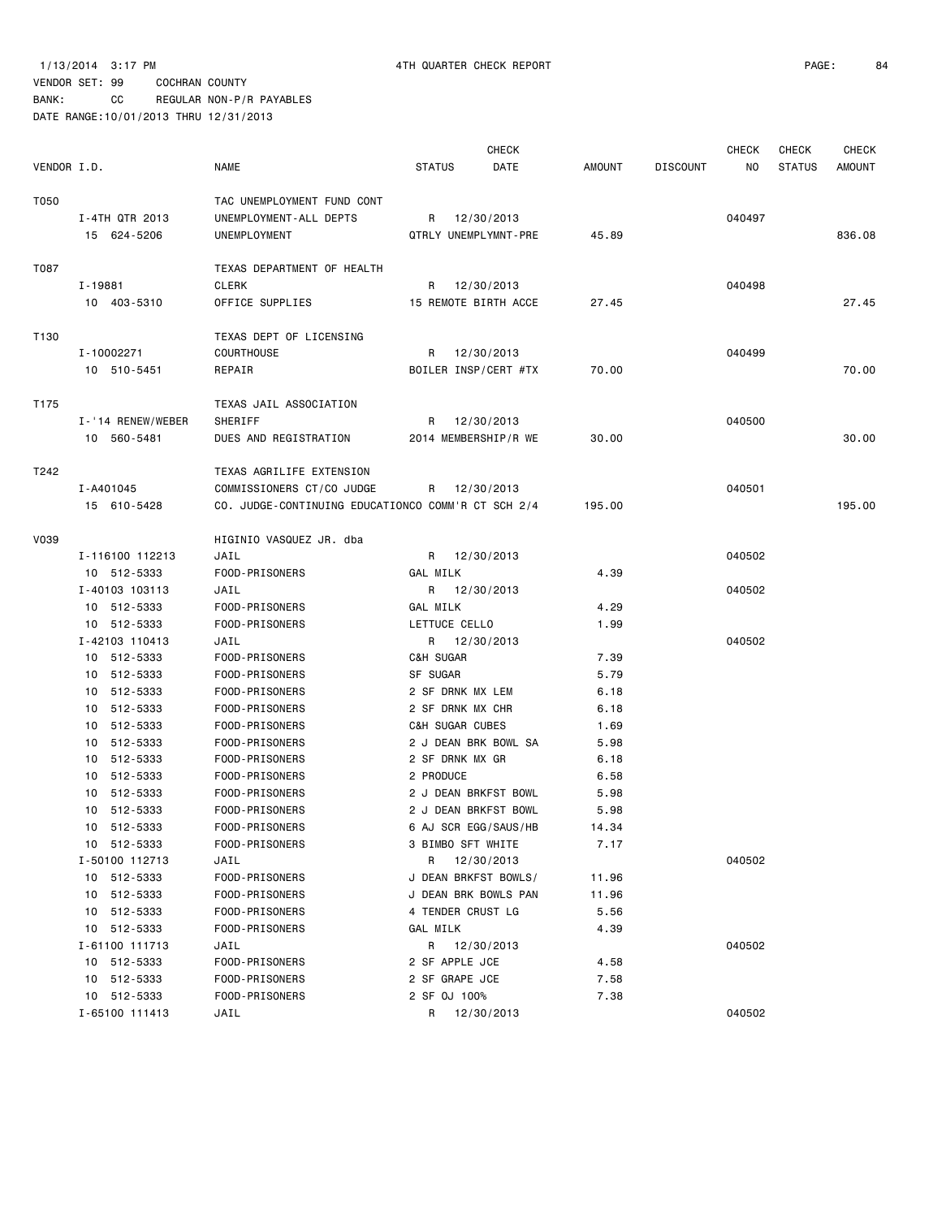|             |                   |                                                    |                      | <b>CHECK</b> |        |                 | <b>CHECK</b> | <b>CHECK</b>  | CHECK  |
|-------------|-------------------|----------------------------------------------------|----------------------|--------------|--------|-----------------|--------------|---------------|--------|
| VENDOR I.D. |                   | <b>NAME</b>                                        | <b>STATUS</b>        | DATE         | AMOUNT | <b>DISCOUNT</b> | NO.          | <b>STATUS</b> | AMOUNT |
| T050        |                   | TAC UNEMPLOYMENT FUND CONT                         |                      |              |        |                 |              |               |        |
|             | I-4TH QTR 2013    | UNEMPLOYMENT-ALL DEPTS                             | R 12/30/2013         |              |        |                 | 040497       |               |        |
|             | 15 624-5206       | UNEMPLOYMENT                                       | QTRLY UNEMPLYMNT-PRE |              | 45.89  |                 |              |               | 836,08 |
|             |                   |                                                    |                      |              |        |                 |              |               |        |
| T087        | I-19881           | TEXAS DEPARTMENT OF HEALTH<br><b>CLERK</b>         | R 12/30/2013         |              |        |                 | 040498       |               |        |
|             | 10 403-5310       | OFFICE SUPPLIES                                    | 15 REMOTE BIRTH ACCE |              | 27.45  |                 |              |               | 27.45  |
|             |                   |                                                    |                      |              |        |                 |              |               |        |
| T130        |                   | TEXAS DEPT OF LICENSING                            |                      |              |        |                 |              |               |        |
|             | I-10002271        | <b>COURTHOUSE</b>                                  | R 12/30/2013         |              |        |                 | 040499       |               |        |
|             | 10 510-5451       | REPAIR                                             | BOILER INSP/CERT #TX |              | 70.00  |                 |              |               | 70.00  |
| T175        |                   | TEXAS JAIL ASSOCIATION                             |                      |              |        |                 |              |               |        |
|             | I-'14 RENEW/WEBER | SHERIFF                                            | R                    | 12/30/2013   |        |                 | 040500       |               |        |
|             | 10 560-5481       | DUES AND REGISTRATION                              | 2014 MEMBERSHIP/R WE |              | 30.00  |                 |              |               | 30.00  |
| T242        |                   | TEXAS AGRILIFE EXTENSION                           |                      |              |        |                 |              |               |        |
|             | I-A401045         | COMMISSIONERS CT/CO JUDGE                          | R 12/30/2013         |              |        |                 | 040501       |               |        |
|             | 15 610-5428       | CO. JUDGE-CONTINUING EDUCATIONCO COMM'R CT SCH 2/4 |                      |              | 195.00 |                 |              |               | 195.00 |
| V039        |                   | HIGINIO VASQUEZ JR. dba                            |                      |              |        |                 |              |               |        |
|             | I-116100 112213   | JAIL                                               | R 12/30/2013         |              |        |                 | 040502       |               |        |
|             | 10 512-5333       | FOOD-PRISONERS                                     | GAL MILK             |              | 4.39   |                 |              |               |        |
|             | I-40103 103113    | JAIL                                               | R 12/30/2013         |              |        |                 | 040502       |               |        |
|             | 10 512-5333       | FOOD-PRISONERS                                     | GAL MILK             |              | 4.29   |                 |              |               |        |
|             | 10 512-5333       | FOOD-PRISONERS                                     | LETTUCE CELLO        |              | 1.99   |                 |              |               |        |
|             | I-42103 110413    | JAIL                                               | R 12/30/2013         |              |        |                 | 040502       |               |        |
|             | 10 512-5333       | FOOD-PRISONERS                                     | C&H SUGAR            |              | 7.39   |                 |              |               |        |
|             | 10 512-5333       | FOOD-PRISONERS                                     | SF SUGAR             |              | 5.79   |                 |              |               |        |
|             | 10 512-5333       | FOOD-PRISONERS                                     | 2 SF DRNK MX LEM     |              | 6.18   |                 |              |               |        |
|             | 10 512-5333       | FOOD-PRISONERS                                     | 2 SF DRNK MX CHR     |              | 6.18   |                 |              |               |        |
|             | 10 512-5333       | FOOD-PRISONERS                                     | C&H SUGAR CUBES      |              | 1.69   |                 |              |               |        |
|             | 10 512-5333       | FOOD-PRISONERS                                     | 2 J DEAN BRK BOWL SA |              | 5.98   |                 |              |               |        |
|             | 10 512-5333       | FOOD-PRISONERS                                     | 2 SF DRNK MX GR      |              | 6.18   |                 |              |               |        |
|             | 10 512-5333       | FOOD-PRISONERS                                     | 2 PRODUCE            |              | 6.58   |                 |              |               |        |
|             | 10 512-5333       | FOOD-PRISONERS                                     | 2 J DEAN BRKFST BOWL |              | 5.98   |                 |              |               |        |
|             | 10 512-5333       | FOOD-PRISONERS                                     | 2 J DEAN BRKFST BOWL |              | 5.98   |                 |              |               |        |
|             | 10 512-5333       | FOOD-PRISONERS                                     | 6 AJ SCR EGG/SAUS/HB |              | 14.34  |                 |              |               |        |
|             | 10 512-5333       | FOOD-PRISONERS                                     | 3 BIMBO SFT WHITE    |              | 7.17   |                 |              |               |        |
|             | I-50100 112713    | JAIL                                               | R                    | 12/30/2013   |        |                 | 040502       |               |        |
|             | 10 512-5333       | FOOD-PRISONERS                                     | J DEAN BRKFST BOWLS/ |              | 11.96  |                 |              |               |        |
|             | 10 512-5333       | FOOD-PRISONERS                                     | J DEAN BRK BOWLS PAN |              | 11.96  |                 |              |               |        |
|             | 10 512-5333       | FOOD-PRISONERS                                     | 4 TENDER CRUST LG    |              | 5.56   |                 |              |               |        |
|             | 10 512-5333       | FOOD-PRISONERS                                     | GAL MILK             |              | 4.39   |                 |              |               |        |
|             | I-61100 111713    | JAIL                                               | R 12/30/2013         |              |        |                 | 040502       |               |        |
|             | 10 512-5333       | FOOD-PRISONERS                                     | 2 SF APPLE JCE       |              | 4.58   |                 |              |               |        |
|             | 10 512-5333       | FOOD-PRISONERS                                     | 2 SF GRAPE JCE       |              | 7.58   |                 |              |               |        |
|             | 10 512-5333       | FOOD-PRISONERS                                     | 2 SF 0J 100%         |              | 7.38   |                 |              |               |        |
|             | I-65100 111413    | JAIL                                               | R 12/30/2013         |              |        |                 | 040502       |               |        |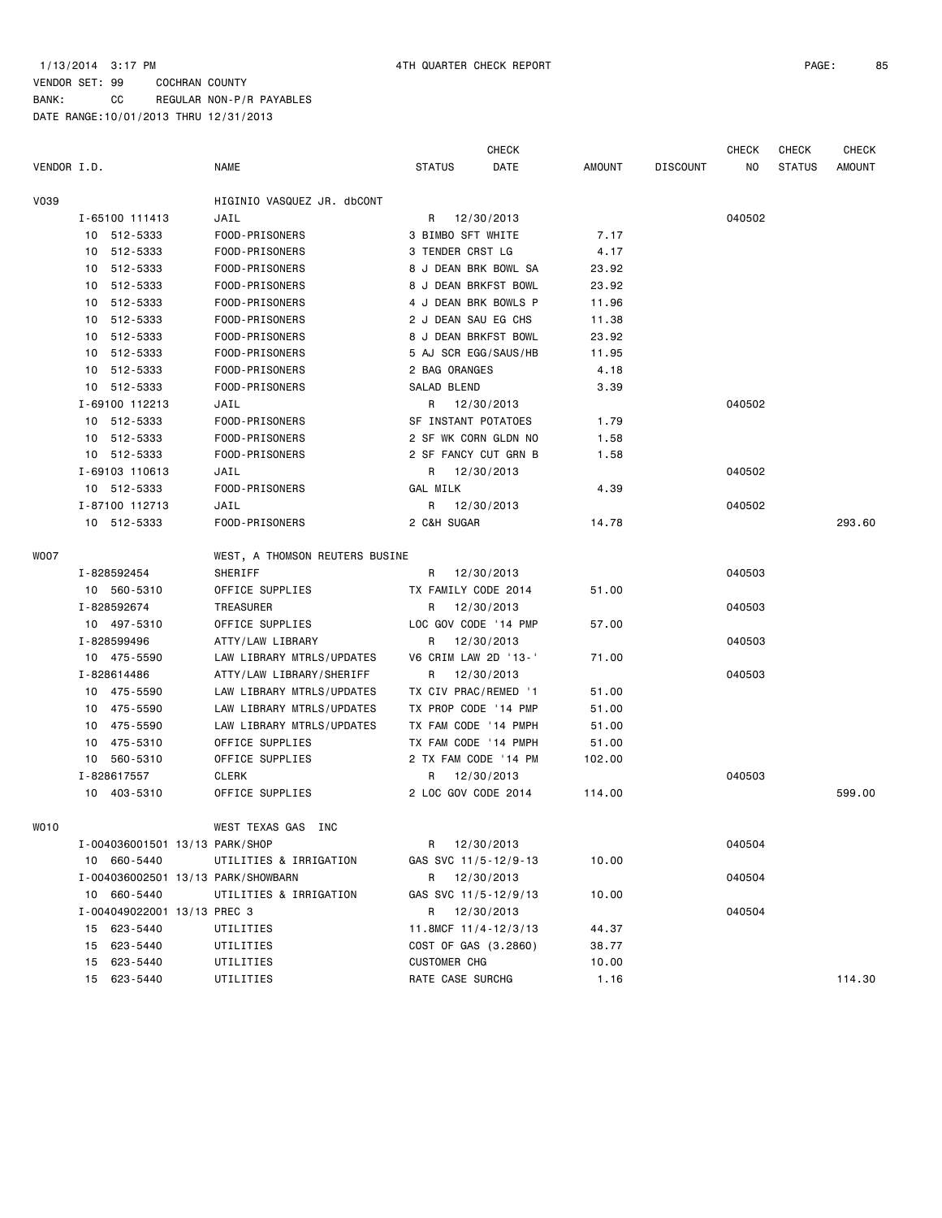# BANK: CC REGULAR NON-P/R PAYABLES DATE RANGE:10/01/2013 THRU 12/31/2013

|             |                                    |                                |                      | CHECK      |               |                 | <b>CHECK</b> | <b>CHECK</b>  | <b>CHECK</b> |
|-------------|------------------------------------|--------------------------------|----------------------|------------|---------------|-----------------|--------------|---------------|--------------|
| VENDOR I.D. |                                    | <b>NAME</b>                    | <b>STATUS</b>        | DATE       | <b>AMOUNT</b> | <b>DISCOUNT</b> | NO.          | <b>STATUS</b> | AMOUNT       |
| V039        |                                    | HIGINIO VASQUEZ JR. dbCONT     |                      |            |               |                 |              |               |              |
|             | I-65100 111413                     | JAIL                           | R                    | 12/30/2013 |               |                 | 040502       |               |              |
|             | 10 512-5333                        | FOOD-PRISONERS                 | 3 BIMBO SFT WHITE    |            | 7.17          |                 |              |               |              |
|             | 10 512-5333                        | FOOD-PRISONERS                 | 3 TENDER CRST LG     |            | 4.17          |                 |              |               |              |
|             | 10 512-5333                        | FOOD-PRISONERS                 | 8 J DEAN BRK BOWL SA |            | 23.92         |                 |              |               |              |
|             | 10 512-5333                        | FOOD-PRISONERS                 | 8 J DEAN BRKFST BOWL |            | 23.92         |                 |              |               |              |
|             | 10 512-5333                        | FOOD-PRISONERS                 | 4 J DEAN BRK BOWLS P |            | 11.96         |                 |              |               |              |
|             | 10 512-5333                        | FOOD-PRISONERS                 | 2 J DEAN SAU EG CHS  |            | 11.38         |                 |              |               |              |
|             | 10 512-5333                        | FOOD-PRISONERS                 | 8 J DEAN BRKFST BOWL |            | 23.92         |                 |              |               |              |
|             | 10 512-5333                        | FOOD-PRISONERS                 | 5 AJ SCR EGG/SAUS/HB |            | 11.95         |                 |              |               |              |
|             | 10 512-5333                        | FOOD-PRISONERS                 | 2 BAG ORANGES        |            | 4.18          |                 |              |               |              |
|             | 10 512-5333                        | FOOD-PRISONERS                 | SALAD BLEND          |            | 3.39          |                 |              |               |              |
|             | I-69100 112213                     | JAIL                           | R                    | 12/30/2013 |               |                 | 040502       |               |              |
|             | 10 512-5333                        | FOOD-PRISONERS                 | SF INSTANT POTATOES  |            | 1.79          |                 |              |               |              |
|             | 10 512-5333                        | FOOD-PRISONERS                 | 2 SF WK CORN GLDN NO |            | 1.58          |                 |              |               |              |
|             | 10 512-5333                        | FOOD-PRISONERS                 | 2 SF FANCY CUT GRN B |            | 1.58          |                 |              |               |              |
|             | I-69103 110613                     | JAIL                           | R 12/30/2013         |            |               |                 | 040502       |               |              |
|             | 10 512-5333                        | FOOD-PRISONERS                 | GAL MILK             |            | 4.39          |                 |              |               |              |
|             | I-87100 112713                     | JAIL                           | R                    | 12/30/2013 |               |                 | 040502       |               |              |
|             | 10 512-5333                        | FOOD-PRISONERS                 | 2 C&H SUGAR          |            | 14.78         |                 |              |               | 293.60       |
| WO07        |                                    | WEST, A THOMSON REUTERS BUSINE |                      |            |               |                 |              |               |              |
|             | I-828592454                        | SHERIFF                        | R                    | 12/30/2013 |               |                 | 040503       |               |              |
|             | 10 560-5310                        | OFFICE SUPPLIES                | TX FAMILY CODE 2014  |            | 51.00         |                 |              |               |              |
|             | I-828592674                        | TREASURER                      | R                    | 12/30/2013 |               |                 | 040503       |               |              |
|             | 10 497-5310                        | OFFICE SUPPLIES                | LOC GOV CODE '14 PMP |            | 57.00         |                 |              |               |              |
|             | I-828599496                        | ATTY/LAW LIBRARY               | R                    | 12/30/2013 |               |                 | 040503       |               |              |
|             | 10 475-5590                        | LAW LIBRARY MTRLS/UPDATES      | V6 CRIM LAW 2D '13-' |            | 71.00         |                 |              |               |              |
|             | I-828614486                        | ATTY/LAW LIBRARY/SHERIFF       | R                    | 12/30/2013 |               |                 | 040503       |               |              |
|             | 10 475-5590                        | LAW LIBRARY MTRLS/UPDATES      | TX CIV PRAC/REMED '1 |            | 51.00         |                 |              |               |              |
|             | 10 475-5590                        | LAW LIBRARY MTRLS/UPDATES      | TX PROP CODE '14 PMP |            | 51.00         |                 |              |               |              |
|             | 10 475-5590                        | LAW LIBRARY MTRLS/UPDATES      | TX FAM CODE '14 PMPH |            | 51.00         |                 |              |               |              |
|             | 10 475-5310                        | OFFICE SUPPLIES                | TX FAM CODE '14 PMPH |            | 51.00         |                 |              |               |              |
|             | 10 560-5310                        | OFFICE SUPPLIES                | 2 TX FAM CODE '14 PM |            | 102.00        |                 |              |               |              |
|             | I-828617557                        | CLERK                          | R                    | 12/30/2013 |               |                 | 040503       |               |              |
|             | 10 403-5310                        | OFFICE SUPPLIES                | 2 LOC GOV CODE 2014  |            | 114.00        |                 |              |               | 599.00       |
| WO10        |                                    | WEST TEXAS GAS INC             |                      |            |               |                 |              |               |              |
|             | I-004036001501 13/13 PARK/SHOP     |                                | R                    | 12/30/2013 |               |                 | 040504       |               |              |
|             | 10 660-5440                        | UTILITIES & IRRIGATION         | GAS SVC 11/5-12/9-13 |            | 10.00         |                 |              |               |              |
|             | I-004036002501 13/13 PARK/SHOWBARN |                                | R                    | 12/30/2013 |               |                 | 040504       |               |              |
|             | 10 660-5440                        | UTILITIES & IRRIGATION         | GAS SVC 11/5-12/9/13 |            | 10.00         |                 |              |               |              |
|             | I-004049022001 13/13 PREC 3        |                                | R                    | 12/30/2013 |               |                 | 040504       |               |              |
|             | 15 623-5440                        | UTILITIES                      | 11.8MCF 11/4-12/3/13 |            | 44.37         |                 |              |               |              |
|             | 15 623-5440                        | UTILITIES                      | COST OF GAS (3.2860) |            | 38.77         |                 |              |               |              |
|             | 15 623-5440                        | UTILITIES                      | <b>CUSTOMER CHG</b>  |            | 10.00         |                 |              |               |              |
|             | 15 623-5440                        | UTILITIES                      | RATE CASE SURCHG     |            | 1.16          |                 |              |               | 114.30       |
|             |                                    |                                |                      |            |               |                 |              |               |              |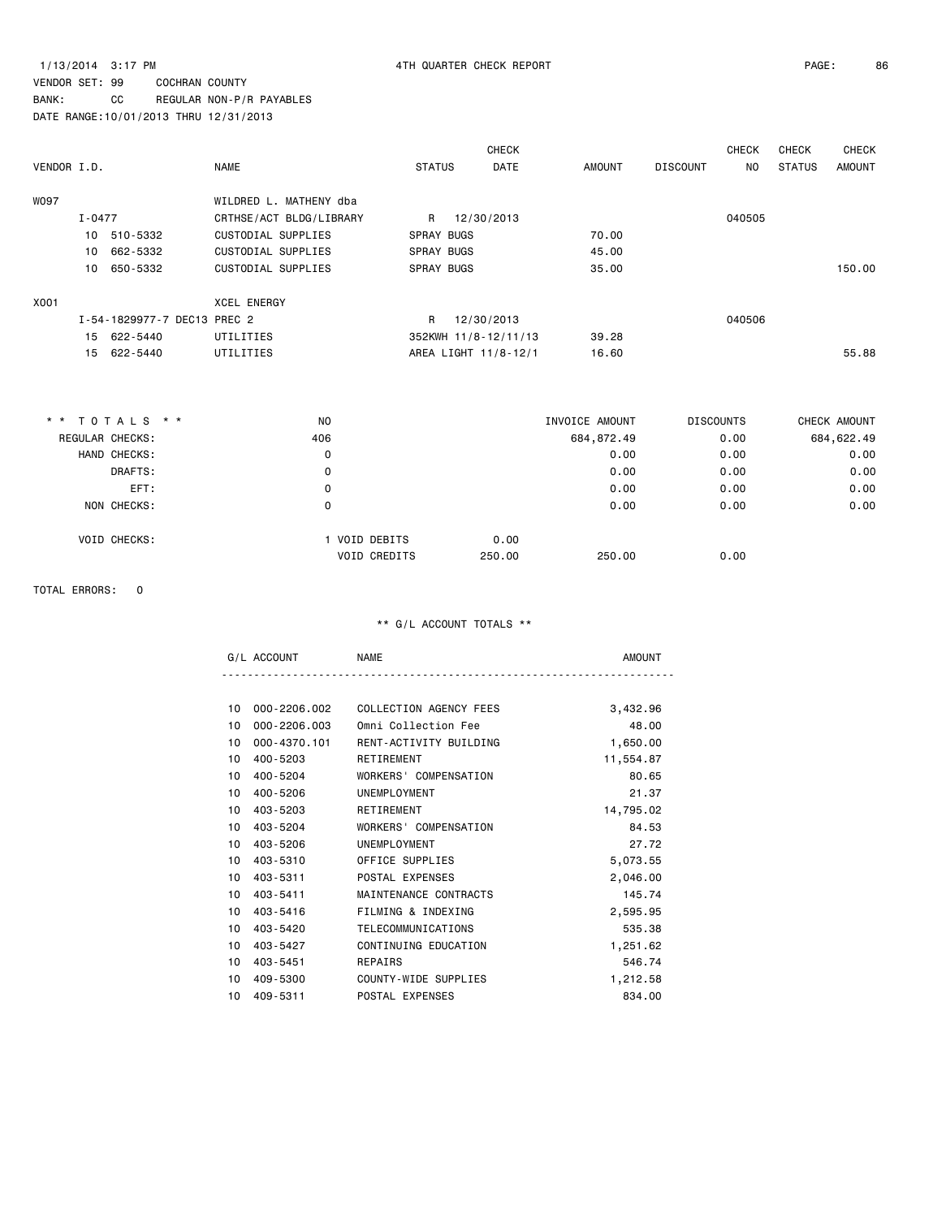# VENDOR SET: 99 COCHRAN COUNTY BANK: CC REGULAR NON-P/R PAYABLES

DATE RANGE:10/01/2013 THRU 12/31/2013

|             |            |                             |                         |                   | <b>CHECK</b>         |        |                 | <b>CHECK</b> | <b>CHECK</b>  | <b>CHECK</b> |
|-------------|------------|-----------------------------|-------------------------|-------------------|----------------------|--------|-----------------|--------------|---------------|--------------|
| VENDOR I.D. |            |                             | <b>NAME</b>             | <b>STATUS</b>     | <b>DATE</b>          | AMOUNT | <b>DISCOUNT</b> | NO.          | <b>STATUS</b> | AMOUNT       |
| <b>WO97</b> |            |                             | WILDRED L. MATHENY dba  |                   |                      |        |                 |              |               |              |
|             | $I - 0477$ |                             | CRTHSE/ACT BLDG/LIBRARY | R                 | 12/30/2013           |        |                 | 040505       |               |              |
|             |            | 10 510-5332                 | CUSTODIAL SUPPLIES      | <b>SPRAY BUGS</b> |                      | 70.00  |                 |              |               |              |
|             | 10         | 662-5332                    | CUSTODIAL SUPPLIES      | <b>SPRAY BUGS</b> |                      | 45.00  |                 |              |               |              |
|             | 10         | 650-5332                    | CUSTODIAL SUPPLIES      | <b>SPRAY BUGS</b> |                      | 35.00  |                 |              |               | 150.00       |
| X001        |            |                             | <b>XCEL ENERGY</b>      |                   |                      |        |                 |              |               |              |
|             |            | I-54-1829977-7 DEC13 PREC 2 |                         | $\mathsf{R}$      | 12/30/2013           |        |                 | 040506       |               |              |
|             |            | 15 622-5440                 | UTILITIES               |                   | 352KWH 11/8-12/11/13 | 39.28  |                 |              |               |              |
|             |            | 15 622-5440                 | UTILITIES               |                   | AREA LIGHT 11/8-12/1 | 16.60  |                 |              |               | 55.88        |
|             |            |                             |                         |                   |                      |        |                 |              |               |              |

| ** TOTALS **           | NO  |                     |        | INVOICE AMOUNT | <b>DISCOUNTS</b> | CHECK AMOUNT |
|------------------------|-----|---------------------|--------|----------------|------------------|--------------|
| <b>REGULAR CHECKS:</b> | 406 |                     |        | 684,872.49     | 0.00             | 684, 622.49  |
| HAND CHECKS:           | 0   |                     |        | 0.00           | 0.00             | 0.00         |
| DRAFTS:                | 0   |                     |        | 0.00           | 0.00             | 0.00         |
| EFT:                   | 0   |                     |        | 0.00           | 0.00             | 0.00         |
| NON CHECKS:            | 0   |                     |        | 0.00           | 0.00             | 0.00         |
| <b>VOID CHECKS:</b>    |     | 1 VOID DEBITS       | 0.00   |                |                  |              |
|                        |     | <b>VOID CREDITS</b> | 250.00 | 250,00         | 0.00             |              |

### TOTAL ERRORS: 0

| $\mathbf{A}$ | <b>NAME</b> |  |
|--------------|-------------|--|
|              |             |  |

| 3,432.96  | COLLECTION AGENCY FEES | 000-2206.002 | 10 |
|-----------|------------------------|--------------|----|
| 48.00     | Omni Collection Fee    | 000-2206.003 | 10 |
| 1,650.00  | RENT-ACTIVITY BUILDING | 000-4370.101 | 10 |
| 11,554.87 | RETIREMENT             | 400-5203     | 10 |
| 80.65     | WORKERS' COMPENSATION  | 400-5204     | 10 |
| 21.37     | UNEMPLOYMENT           | 400-5206     | 10 |
| 14,795.02 | RETIREMENT             | 403-5203     | 10 |
| 84.53     | WORKERS' COMPENSATION  | 403-5204     | 10 |
| 27.72     | UNEMPLOYMENT           | 403-5206     | 10 |
| 5,073.55  | OFFICE SUPPLIES        | 403-5310     | 10 |
| 2,046.00  | POSTAL EXPENSES        | 403-5311     | 10 |
| 145.74    | MAINTENANCE CONTRACTS  | 403-5411     | 10 |
| 2,595.95  | FILMING & INDEXING     | 403-5416     | 10 |
| 535.38    | TELECOMMUNICATIONS     | 403-5420     | 10 |
| 1,251.62  | CONTINUING EDUCATION   | 403-5427     | 10 |
| 546.74    | REPAIRS                | 403-5451     | 10 |
| 1,212.58  | COUNTY-WIDE SUPPLIES   | 409-5300     | 10 |
| 834,00    | POSTAL EXPENSES        | 409-5311     | 10 |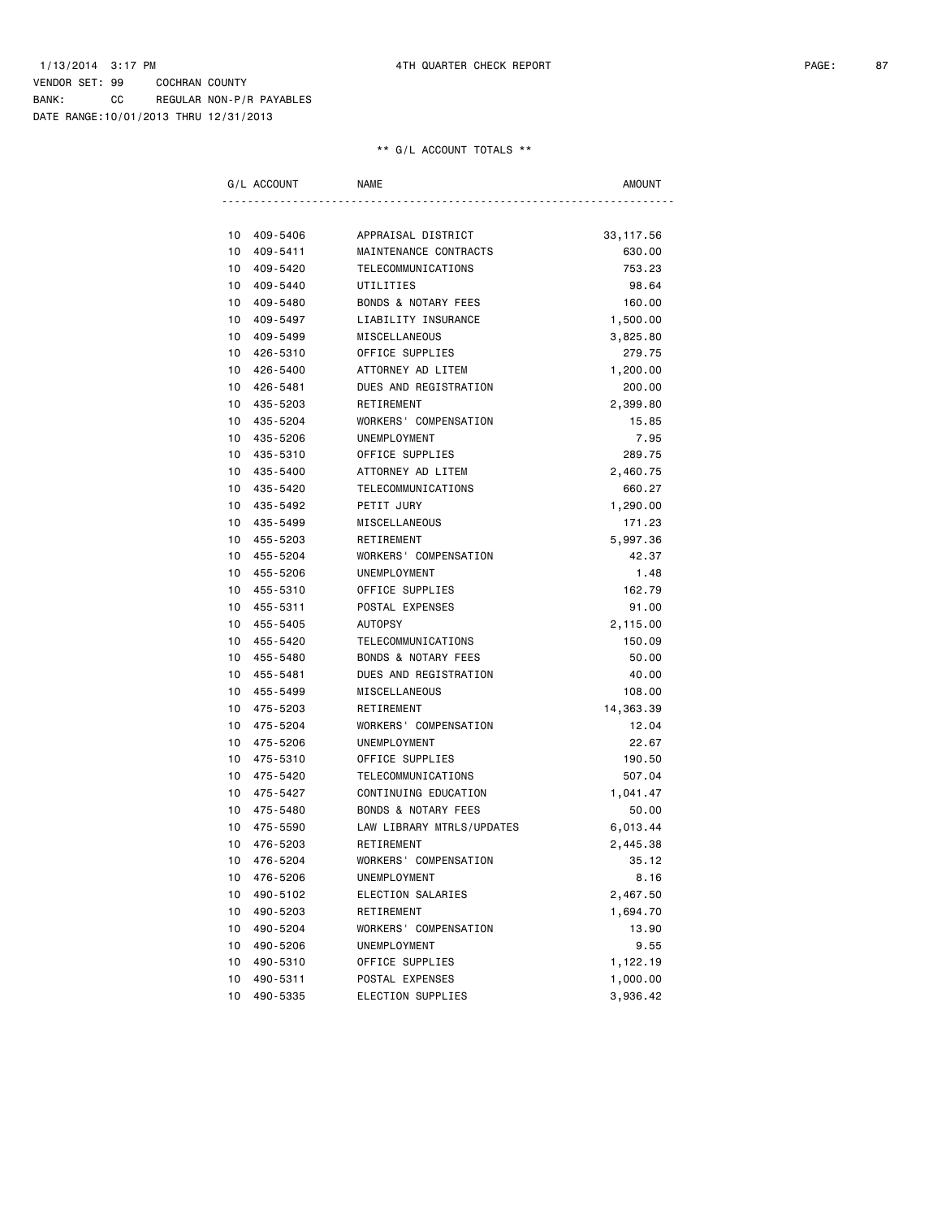DATE RANGE:10/01/2013 THRU 12/31/2013

|    | G/L ACCOUNT | <b>NAME</b>                    | <b>AMOUNT</b> |
|----|-------------|--------------------------------|---------------|
|    |             |                                |               |
| 10 | 409-5406    | APPRAISAL DISTRICT             | 33, 117.56    |
| 10 | 409-5411    | MAINTENANCE CONTRACTS          | 630.00        |
| 10 | 409-5420    | TELECOMMUNICATIONS             | 753.23        |
| 10 | 409-5440    | UTILITIES                      | 98.64         |
| 10 | 409-5480    | <b>BONDS &amp; NOTARY FEES</b> | 160.00        |
| 10 | 409-5497    | LIABILITY INSURANCE            | 1,500.00      |
| 10 | 409-5499    | MISCELLANEOUS                  | 3,825.80      |
| 10 | 426-5310    | OFFICE SUPPLIES                | 279.75        |
| 10 | 426-5400    | ATTORNEY AD LITEM              | 1,200.00      |
| 10 | 426-5481    | DUES AND REGISTRATION          | 200.00        |
| 10 | 435-5203    | RETIREMENT                     | 2,399.80      |
| 10 | 435-5204    | WORKERS' COMPENSATION          | 15.85         |
| 10 | 435-5206    | UNEMPLOYMENT                   | 7.95          |
| 10 | 435-5310    | OFFICE SUPPLIES                | 289.75        |
| 10 | 435-5400    | ATTORNEY AD LITEM              | 2,460.75      |
| 10 | 435-5420    | TELECOMMUNICATIONS             | 660.27        |
| 10 | 435-5492    | PETIT JURY                     | 1,290.00      |
| 10 | 435-5499    | MISCELLANEOUS                  | 171.23        |
| 10 | 455-5203    | RETIREMENT                     | 5,997.36      |
| 10 | 455-5204    | WORKERS' COMPENSATION          | 42.37         |
| 10 | 455-5206    | UNEMPLOYMENT                   | 1.48          |
| 10 | 455-5310    | OFFICE SUPPLIES                | 162.79        |
| 10 | 455-5311    | POSTAL EXPENSES                | 91.00         |
| 10 | 455-5405    | <b>AUTOPSY</b>                 | 2,115.00      |
| 10 | 455-5420    | TELECOMMUNICATIONS             | 150.09        |
| 10 | 455-5480    | <b>BONDS &amp; NOTARY FEES</b> | 50.00         |
| 10 | 455-5481    | DUES AND REGISTRATION          | 40.00         |
| 10 | 455-5499    | MISCELLANEOUS                  | 108.00        |
| 10 | 475-5203    | RETIREMENT                     | 14,363.39     |
| 10 | 475-5204    | WORKERS' COMPENSATION          | 12.04         |
| 10 | 475-5206    | UNEMPLOYMENT                   | 22.67         |
| 10 | 475-5310    | OFFICE SUPPLIES                | 190.50        |
| 10 | 475-5420    | TELECOMMUNICATIONS             | 507.04        |
| 10 | 475-5427    | CONTINUING EDUCATION           | 1,041.47      |
| 10 | 475-5480    | <b>BONDS &amp; NOTARY FEES</b> | 50.00         |
| 10 | 475-5590    | LAW LIBRARY MTRLS/UPDATES      | 6,013.44      |
| 10 | 476-5203    | RETIREMENT                     | 2,445.38      |
|    | 10 476-5204 | WORKERS' COMPENSATION          | 35.12         |
| 10 | 476-5206    | UNEMPLOYMENT                   | 8.16          |
| 10 | 490-5102    | ELECTION SALARIES              | 2,467.50      |
| 10 | 490-5203    | RETIREMENT                     | 1,694.70      |
| 10 | 490-5204    | WORKERS' COMPENSATION          | 13.90         |
| 10 | 490-5206    | UNEMPLOYMENT                   | 9.55          |
| 10 | 490-5310    | OFFICE SUPPLIES                | 1,122.19      |
| 10 | 490-5311    | POSTAL EXPENSES                | 1,000.00      |
| 10 | 490-5335    | ELECTION SUPPLIES              | 3,936.42      |
|    |             |                                |               |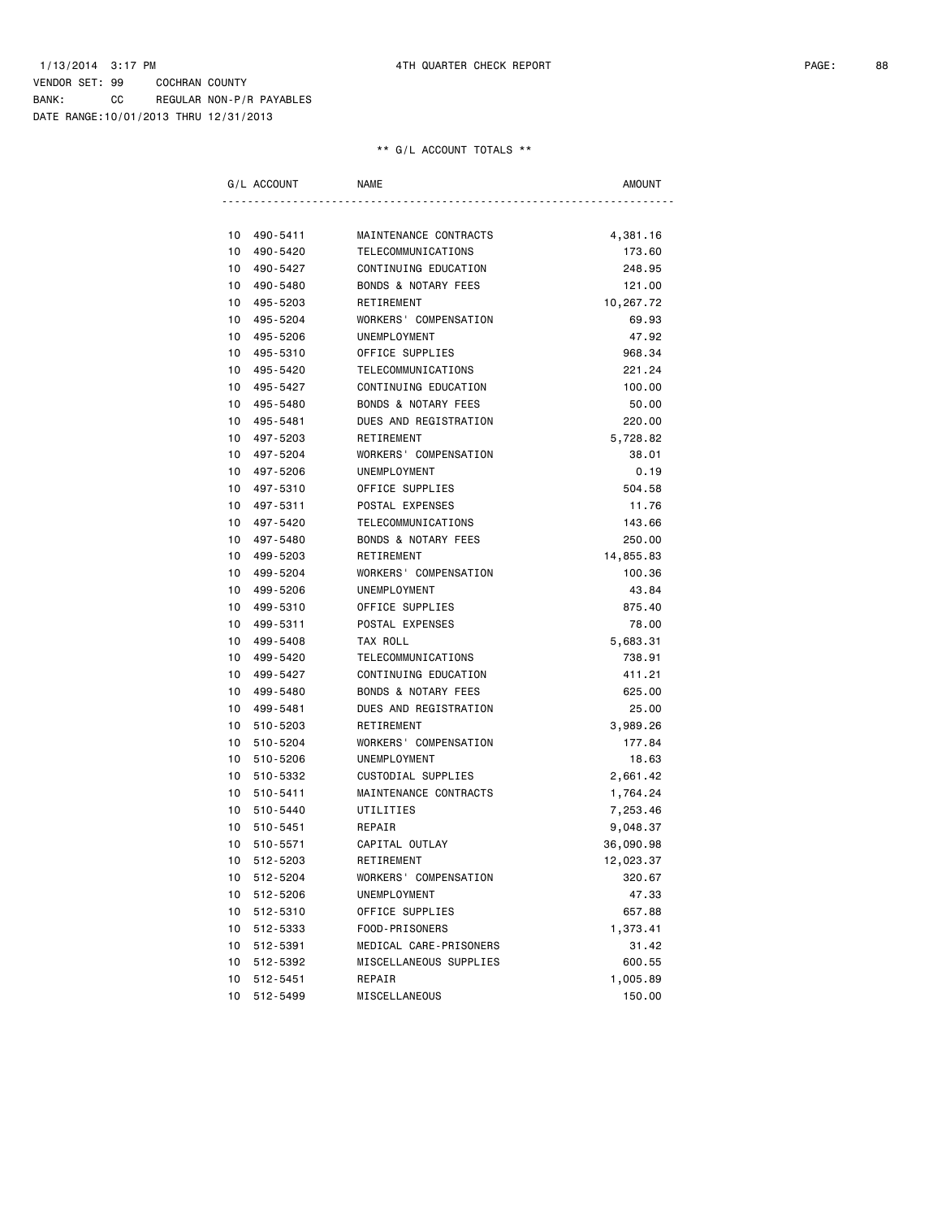DATE RANGE:10/01/2013 THRU 12/31/2013

| G/L ACCOUNT                      | NAME                                                   | <b>AMOUNT</b>  |
|----------------------------------|--------------------------------------------------------|----------------|
|                                  |                                                        |                |
| 10<br>490-5411                   | MAINTENANCE CONTRACTS                                  | 4,381.16       |
| 490-5420<br>10                   | TELECOMMUNICATIONS                                     | 173.60         |
| 490-5427<br>10<br>490-5480       | CONTINUING EDUCATION<br><b>BONDS &amp; NOTARY FEES</b> | 248.95         |
| 10                               |                                                        | 121.00         |
| 10<br>495-5203                   | RETIREMENT                                             | 10,267.72      |
| 495-5204<br>10<br>495-5206<br>10 | WORKERS' COMPENSATION<br>UNEMPLOYMENT                  | 69.93<br>47.92 |
| 495-5310<br>10                   | OFFICE SUPPLIES                                        | 968.34         |
| 495-5420<br>10                   | <b>TELECOMMUNICATIONS</b>                              | 221.24         |
| 495-5427<br>10                   | CONTINUING EDUCATION                                   | 100.00         |
| 10<br>495-5480                   | BONDS & NOTARY FEES                                    | 50.00          |
| 10 495-5481                      | DUES AND REGISTRATION                                  | 220.00         |
| 10<br>497-5203                   | RETIREMENT                                             | 5,728.82       |
| 10<br>497-5204                   | WORKERS' COMPENSATION                                  | 38.01          |
| 497-5206<br>10                   | UNEMPLOYMENT                                           | 0.19           |
| 10<br>497-5310                   | OFFICE SUPPLIES                                        | 504.58         |
| 10<br>497-5311                   | POSTAL EXPENSES                                        | 11.76          |
| 497-5420<br>10                   | TELECOMMUNICATIONS                                     | 143.66         |
| 10<br>497-5480                   | <b>BONDS &amp; NOTARY FEES</b>                         | 250.00         |
| 10<br>499-5203                   | RETIREMENT                                             | 14,855.83      |
| 499-5204<br>10                   | WORKERS' COMPENSATION                                  | 100.36         |
| 499-5206<br>10                   | <b>UNEMPLOYMENT</b>                                    | 43.84          |
| 10<br>499-5310                   | OFFICE SUPPLIES                                        | 875.40         |
| 499-5311<br>10                   | POSTAL EXPENSES                                        | 78.00          |
| 10<br>499-5408                   | TAX ROLL                                               | 5,683.31       |
| 10<br>499-5420                   | TELECOMMUNICATIONS                                     | 738.91         |
| 499-5427<br>10                   | CONTINUING EDUCATION                                   | 411.21         |
| 499-5480<br>10                   | <b>BONDS &amp; NOTARY FEES</b>                         | 625.00         |
| 10<br>499-5481                   | DUES AND REGISTRATION                                  | 25.00          |
| 10<br>510-5203                   | RETIREMENT                                             | 3,989.26       |
| 10<br>510-5204                   | WORKERS' COMPENSATION                                  | 177.84         |
| 10<br>510-5206                   | UNEMPLOYMENT                                           | 18.63          |
| 510-5332<br>10                   | CUSTODIAL SUPPLIES                                     | 2,661.42       |
| 510-5411<br>10                   | MAINTENANCE CONTRACTS                                  | 1,764.24       |
| 10<br>510-5440                   | UTILITIES                                              | 7,253.46       |
| 10<br>510-5451                   | REPAIR                                                 | 9,048.37       |
| 10<br>510-5571                   | CAPITAL OUTLAY                                         | 36,090.98      |
| 10<br>512-5203                   | RETIREMENT                                             | 12,023.37      |
| 512-5204<br>10                   | WORKERS' COMPENSATION                                  | 320.67         |
| 512-5206<br>10                   | UNEMPLOYMENT                                           | 47.33          |
| 512-5310<br>10                   | OFFICE SUPPLIES                                        | 657.88         |
| 512-5333<br>10                   | FOOD-PRISONERS                                         | 1,373.41       |
| 512-5391<br>10                   | MEDICAL CARE-PRISONERS                                 | 31.42          |
| 512-5392<br>10                   | MISCELLANEOUS SUPPLIES                                 | 600.55         |
| 10<br>512-5451                   | REPAIR                                                 | 1,005.89       |
| 512-5499<br>10                   | MISCELLANEOUS                                          | 150.00         |
|                                  |                                                        |                |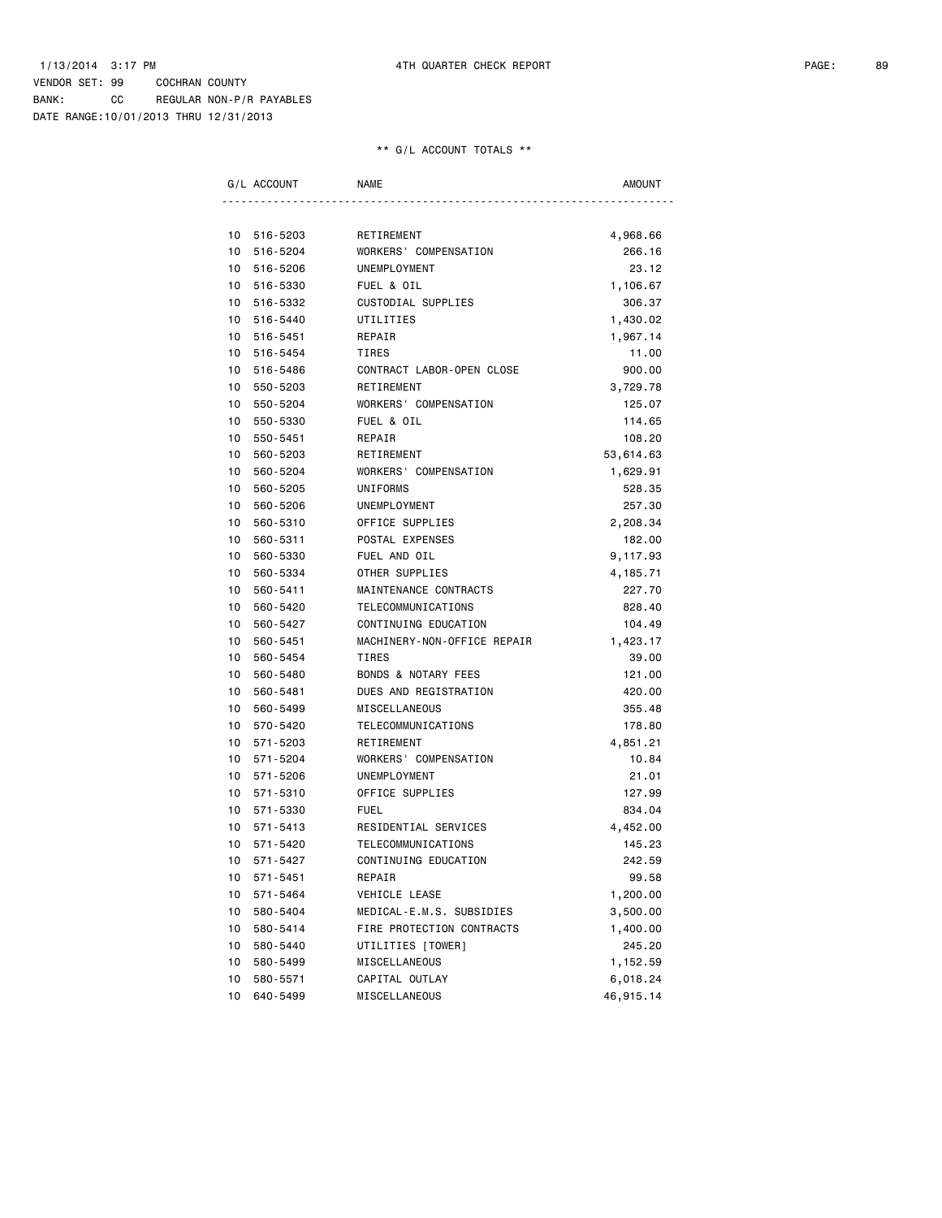DATE RANGE:10/01/2013 THRU 12/31/2013

|    | G/L ACCOUNT | NAME                           | AMOUNT    |
|----|-------------|--------------------------------|-----------|
|    |             |                                |           |
| 10 | 516-5203    | RETIREMENT                     | 4,968.66  |
| 10 | 516-5204    | WORKERS' COMPENSATION          | 266.16    |
| 10 | 516-5206    | <b>UNEMPLOYMENT</b>            | 23.12     |
| 10 | 516-5330    | FUEL & OIL                     | 1,106.67  |
| 10 | 516-5332    | CUSTODIAL SUPPLIES             | 306.37    |
| 10 | 516-5440    | UTILITIES                      | 1,430.02  |
| 10 | 516-5451    | REPAIR                         | 1,967.14  |
| 10 | 516-5454    | TIRES                          | 11.00     |
| 10 | 516-5486    | CONTRACT LABOR-OPEN CLOSE      | 900.00    |
| 10 | 550-5203    | RETIREMENT                     | 3,729.78  |
| 10 | 550-5204    | WORKERS' COMPENSATION          | 125.07    |
| 10 | 550-5330    | FUEL & OIL                     | 114.65    |
| 10 | 550-5451    | REPAIR                         | 108.20    |
| 10 | 560-5203    | RETIREMENT                     | 53,614.63 |
| 10 | 560-5204    | WORKERS' COMPENSATION          | 1,629.91  |
| 10 | 560-5205    | UNIFORMS                       | 528.35    |
| 10 | 560-5206    | UNEMPLOYMENT                   | 257.30    |
| 10 | 560-5310    | OFFICE SUPPLIES                | 2,208.34  |
| 10 | 560-5311    | POSTAL EXPENSES                | 182.00    |
| 10 | 560-5330    | FUEL AND OIL                   | 9,117.93  |
| 10 | 560-5334    | OTHER SUPPLIES                 | 4,185.71  |
| 10 | 560-5411    | MAINTENANCE CONTRACTS          | 227.70    |
| 10 | 560-5420    | TELECOMMUNICATIONS             | 828.40    |
| 10 | 560-5427    | CONTINUING EDUCATION           | 104.49    |
| 10 | 560-5451    | MACHINERY-NON-OFFICE REPAIR    | 1,423.17  |
| 10 | 560-5454    | <b>TIRES</b>                   | 39.00     |
| 10 | 560-5480    | <b>BONDS &amp; NOTARY FEES</b> | 121.00    |
| 10 | 560-5481    | DUES AND REGISTRATION          | 420.00    |
| 10 | 560-5499    | MISCELLANEOUS                  | 355.48    |
| 10 | 570-5420    | TELECOMMUNICATIONS             | 178.80    |
| 10 | 571-5203    | RETIREMENT                     | 4,851.21  |
| 10 | 571-5204    | WORKERS' COMPENSATION          | 10.84     |
| 10 | 571-5206    | UNEMPLOYMENT                   | 21.01     |
| 10 | 571-5310    | OFFICE SUPPLIES                | 127.99    |
| 10 | 571-5330    | <b>FUEL</b>                    | 834.04    |
| 10 | 571-5413    | RESIDENTIAL SERVICES           | 4,452.00  |
| 10 | 571-5420    | TELECOMMUNICATIONS             | 145.23    |
| 10 | 571-5427    | CONTINUING EDUCATION           | 242.59    |
| 10 | 571-5451    | REPAIR                         | 99.58     |
| 10 | 571-5464    | VEHICLE LEASE                  | 1,200.00  |
| 10 | 580-5404    | MEDICAL-E.M.S. SUBSIDIES       | 3,500.00  |
| 10 | 580-5414    | FIRE PROTECTION CONTRACTS      | 1,400.00  |
| 10 | 580-5440    | UTILITIES [TOWER]              | 245.20    |
| 10 | 580-5499    | MISCELLANEOUS                  | 1,152.59  |
| 10 | 580-5571    | CAPITAL OUTLAY                 | 6,018.24  |
| 10 | 640-5499    |                                |           |
|    |             | MISCELLANEOUS                  | 46,915.14 |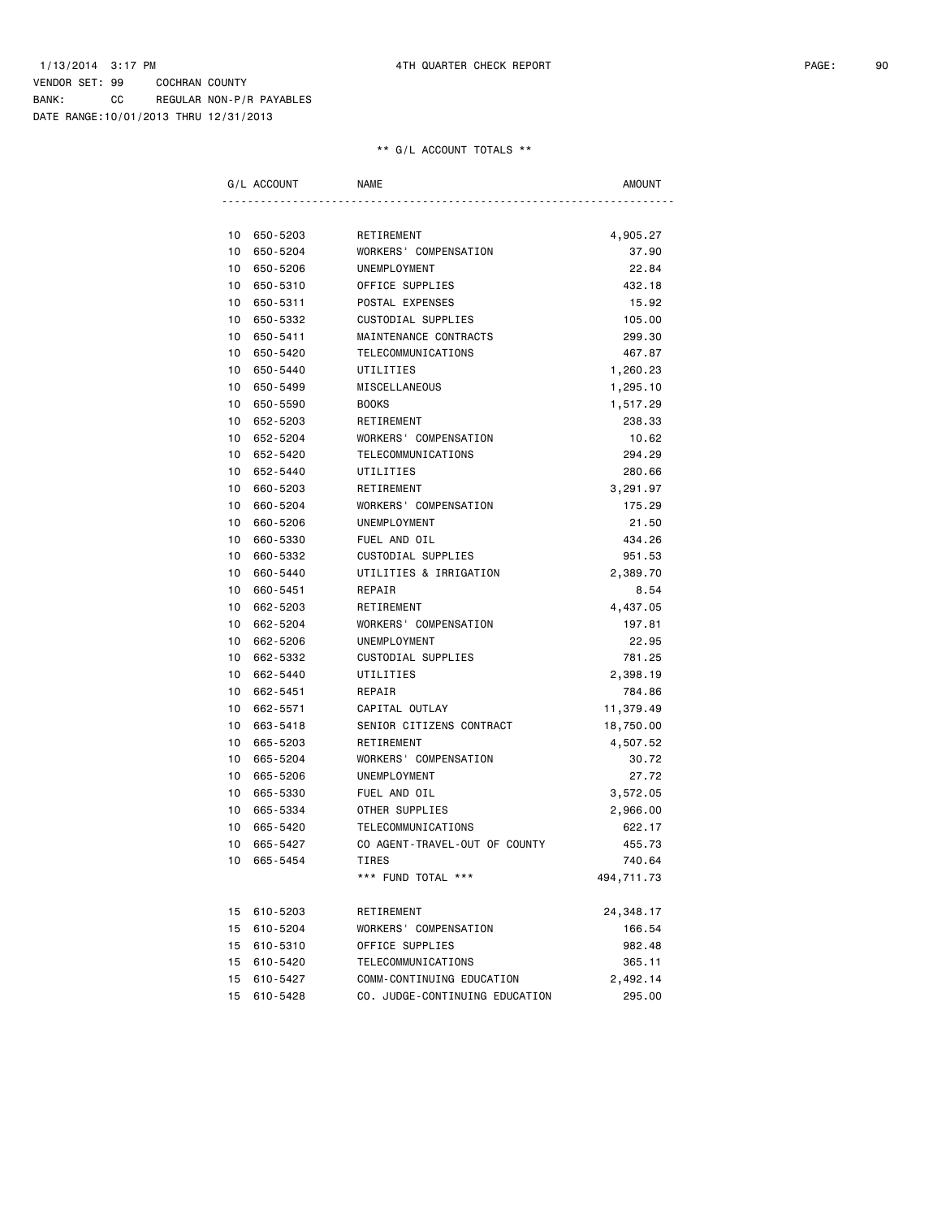BANK: CC REGULAR NON-P/R PAYABLES DATE RANGE:10/01/2013 THRU 12/31/2013

|    | G/L ACCOUNT | NAME                           | AMOUNT     |
|----|-------------|--------------------------------|------------|
|    |             |                                |            |
|    | 10 650-5203 | RETIREMENT                     | 4,905.27   |
| 10 | 650-5204    | WORKERS' COMPENSATION          | 37.90      |
| 10 | 650-5206    | UNEMPLOYMENT                   | 22.84      |
| 10 | 650-5310    | OFFICE SUPPLIES                | 432.18     |
| 10 | 650-5311    | POSTAL EXPENSES                | 15.92      |
| 10 | 650-5332    | CUSTODIAL SUPPLIES             | 105.00     |
| 10 | 650-5411    | MAINTENANCE CONTRACTS          | 299.30     |
| 10 | 650-5420    | TELECOMMUNICATIONS             | 467.87     |
| 10 | 650-5440    | UTILITIES                      | 1,260.23   |
| 10 | 650-5499    | MISCELLANEOUS                  | 1,295.10   |
| 10 | 650-5590    | <b>BOOKS</b>                   | 1,517.29   |
| 10 | 652-5203    | RETIREMENT                     | 238.33     |
| 10 | 652-5204    | WORKERS' COMPENSATION          | 10.62      |
|    | 10 652-5420 | TELECOMMUNICATIONS             | 294.29     |
| 10 | 652-5440    | UTILITIES                      | 280.66     |
| 10 | 660-5203    | RETIREMENT                     | 3,291.97   |
| 10 | 660-5204    | WORKERS' COMPENSATION          | 175.29     |
| 10 | 660-5206    | UNEMPLOYMENT                   | 21.50      |
| 10 | 660-5330    | FUEL AND OIL                   | 434.26     |
| 10 | 660-5332    | CUSTODIAL SUPPLIES             | 951.53     |
| 10 | 660-5440    | UTILITIES & IRRIGATION         | 2,389.70   |
| 10 | 660-5451    | REPAIR                         | 8.54       |
| 10 | 662-5203    | RETIREMENT                     | 4,437.05   |
| 10 | 662-5204    | WORKERS' COMPENSATION          | 197.81     |
| 10 | 662-5206    | UNEMPLOYMENT                   | 22.95      |
|    | 10 662-5332 | CUSTODIAL SUPPLIES             | 781.25     |
| 10 | 662-5440    | UTILITIES                      | 2,398.19   |
| 10 | 662-5451    | REPAIR                         | 784.86     |
| 10 | 662-5571    | CAPITAL OUTLAY                 | 11,379.49  |
| 10 | 663-5418    | SENIOR CITIZENS CONTRACT       | 18,750.00  |
| 10 | 665-5203    | RETIREMENT                     | 4,507.52   |
| 10 | 665-5204    | WORKERS' COMPENSATION          | 30.72      |
| 10 | 665-5206    | UNEMPLOYMENT                   | 27.72      |
| 10 | 665-5330    | FUEL AND OIL                   | 3,572.05   |
| 10 | 665-5334    | OTHER SUPPLIES                 | 2,966.00   |
| 10 | 665-5420    | TELECOMMUNICATIONS             | 622.17     |
| 10 | 665-5427    | CO AGENT-TRAVEL-OUT OF COUNTY  | 455.73     |
|    | 10 665-5454 | <b>TIRES</b>                   | 740.64     |
|    |             | *** FUND TOTAL ***             | 494,711.73 |
|    | 15 610-5203 | RETIREMENT                     | 24,348.17  |
|    | 15 610-5204 | WORKERS' COMPENSATION          | 166.54     |
|    | 15 610-5310 | OFFICE SUPPLIES                | 982.48     |
|    | 15 610-5420 | TELECOMMUNICATIONS             | 365.11     |
| 15 | 610-5427    | COMM-CONTINUING EDUCATION      | 2,492.14   |
| 15 | 610-5428    | CO. JUDGE-CONTINUING EDUCATION | 295.00     |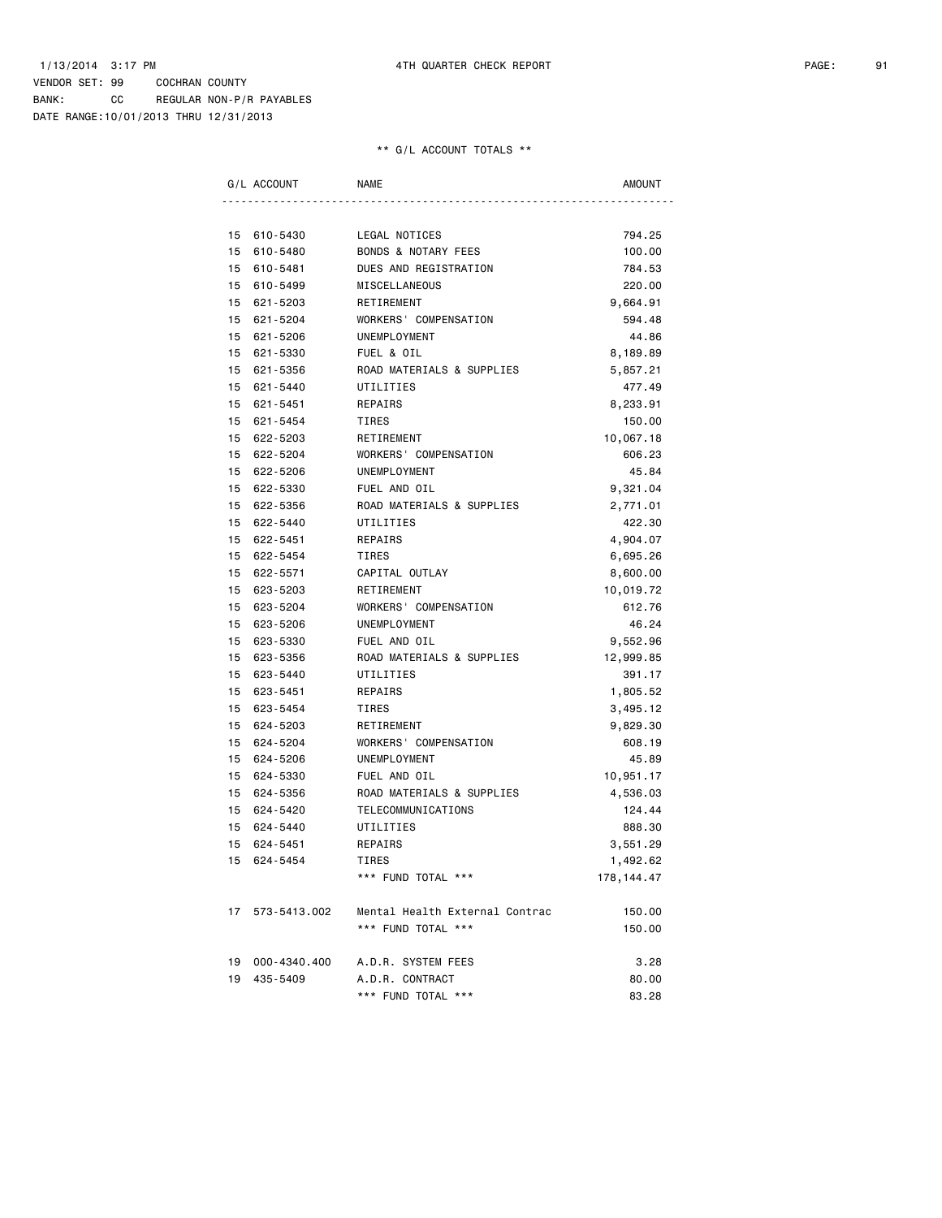BANK: CC REGULAR NON-P/R PAYABLES DATE RANGE:10/01/2013 THRU 12/31/2013

| G/L ACCOUNT     | NAME                           | AMOUNT      |
|-----------------|--------------------------------|-------------|
|                 |                                |             |
| 15 610-5430     | LEGAL NOTICES                  | 794.25      |
| 15 610-5480     | <b>BONDS &amp; NOTARY FEES</b> | 100.00      |
| 15 610-5481     | DUES AND REGISTRATION          | 784.53      |
| 15 610-5499     | MISCELLANEOUS                  | 220.00      |
| 15 621-5203     | RETIREMENT                     | 9,664.91    |
| 15 621-5204     | WORKERS' COMPENSATION          | 594.48      |
| 15 621-5206     | UNEMPLOYMENT                   | 44.86       |
| 15 621-5330     | FUEL & OIL                     | 8,189.89    |
| 15 621-5356     | ROAD MATERIALS & SUPPLIES      | 5,857.21    |
| 15 621-5440     | UTILITIES                      | 477.49      |
| 15 621-5451     | REPAIRS                        | 8,233.91    |
| 15 621-5454     | TIRES                          | 150.00      |
| 15 622-5203     | RETIREMENT                     | 10,067.18   |
| 15 622-5204     | WORKERS' COMPENSATION          | 606.23      |
| 15 622-5206     | UNEMPLOYMENT                   | 45.84       |
| 15 622-5330     | FUEL AND OIL                   | 9,321.04    |
| 15 622-5356     | ROAD MATERIALS & SUPPLIES      | 2,771.01    |
| 15 622-5440     | UTILITIES                      | 422.30      |
| 15 622-5451     | REPAIRS                        | 4,904.07    |
| 15 622-5454     | TIRES                          | 6,695.26    |
| 15 622-5571     | CAPITAL OUTLAY                 | 8,600.00    |
| 15 623-5203     | RETIREMENT                     | 10,019.72   |
| 15 623-5204     | WORKERS' COMPENSATION          | 612.76      |
| 15 623-5206     | UNEMPLOYMENT                   | 46.24       |
| 15 623-5330     | FUEL AND OIL                   | 9,552.96    |
| 15 623-5356     | ROAD MATERIALS & SUPPLIES      | 12,999.85   |
| 15 623-5440     | UTILITIES                      | 391.17      |
| 15 623-5451     | REPAIRS                        | 1,805.52    |
| 15 623-5454     | TIRES                          | 3,495.12    |
| 15 624-5203     | RETIREMENT                     | 9,829.30    |
| 15 624-5204     | WORKERS' COMPENSATION          | 608.19      |
| 15 624-5206     | UNEMPLOYMENT                   | 45.89       |
| 15 624-5330     | FUEL AND OIL                   | 10,951.17   |
| 15 624-5356     | ROAD MATERIALS & SUPPLIES      | 4,536.03    |
| 15 624-5420     | TELECOMMUNICATIONS             | 124.44      |
| 15 624-5440     | UTILITIES                      | 888.30      |
| 15 624-5451     | REPAIRS                        | 3,551.29    |
| 15 624-5454     | TIRES                          | 1,492.62    |
|                 | *** FUND TOTAL ***             | 178, 144.47 |
| 17 573-5413.002 | Mental Health External Contrac | 150.00      |
|                 | *** FUND TOTAL ***             | 150.00      |
| 19 000-4340.400 | A.D.R. SYSTEM FEES             | 3.28        |
| 19 435-5409     | A.D.R. CONTRACT                | 80.00       |
|                 | *** FUND TOTAL ***             | 83.28       |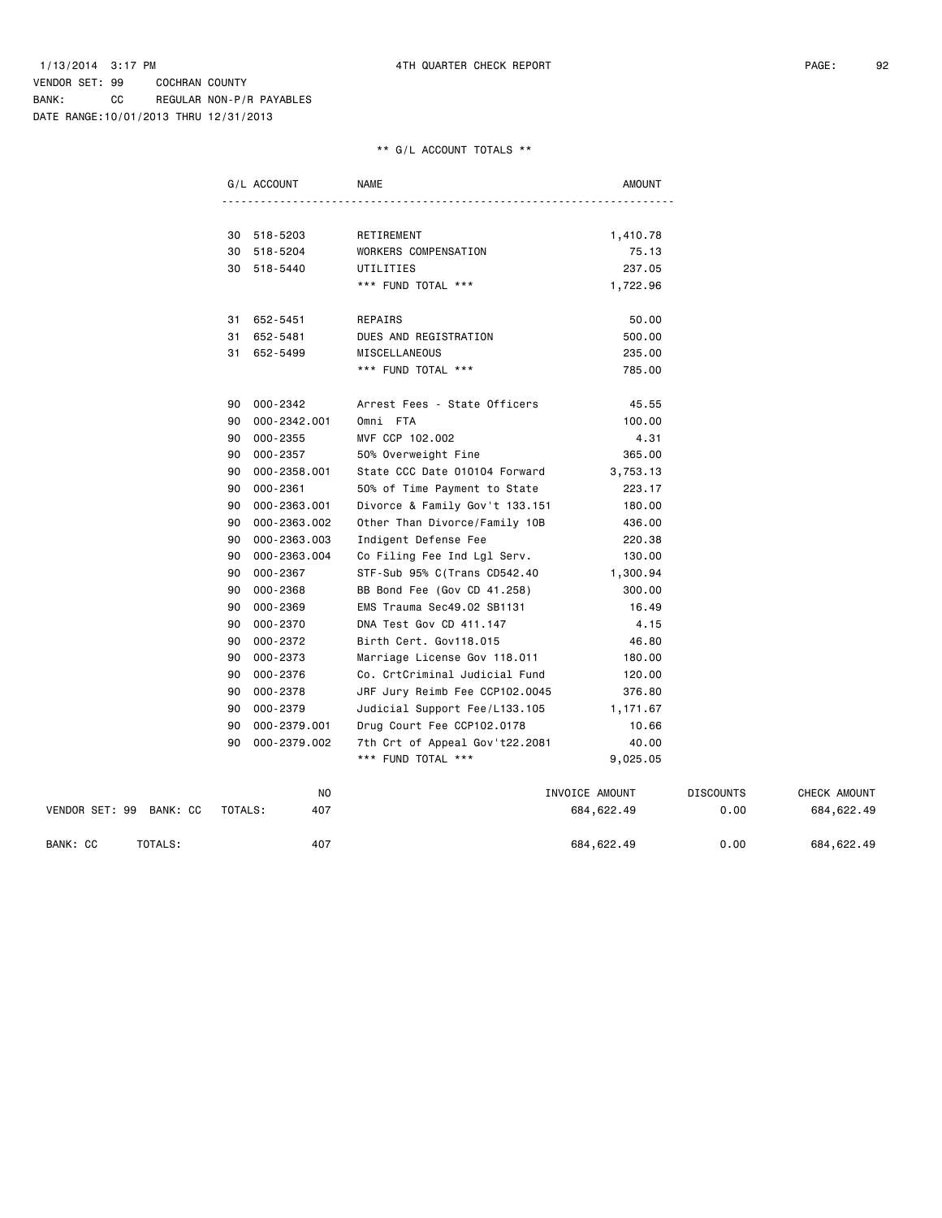DATE RANGE:10/01/2013 THRU 12/31/2013

### \*\* G/L ACCOUNT TOTALS \*\*

|                         | G/L ACCOUNT        | <b>NAME</b>                    | <b>AMOUNT</b>  |                  |              |
|-------------------------|--------------------|--------------------------------|----------------|------------------|--------------|
|                         |                    |                                |                |                  |              |
|                         | 30 518-5203        | RETIREMENT                     | 1,410.78       |                  |              |
|                         | 30 518-5204        | WORKERS COMPENSATION           | 75.13          |                  |              |
|                         | 30 518-5440        | UTILITIES                      | 237.05         |                  |              |
|                         |                    | *** FUND TOTAL ***             | 1,722.96       |                  |              |
|                         | 31 652-5451        | REPAIRS                        | 50.00          |                  |              |
|                         | 31 652-5481        | DUES AND REGISTRATION          | 500.00         |                  |              |
|                         | 31 652-5499        | MISCELLANEOUS                  | 235.00         |                  |              |
|                         |                    | *** FUND TOTAL ***             | 785.00         |                  |              |
|                         | 90 000-2342        | Arrest Fees - State Officers   | 45.55          |                  |              |
|                         | 90 000-2342.001    | Omni FTA                       | 100.00         |                  |              |
|                         | 000-2355<br>90     | MVF CCP 102.002                | 4.31           |                  |              |
|                         | 000-2357<br>90     | 50% Overweight Fine            | 365.00         |                  |              |
|                         | 000-2358.001<br>90 | State CCC Date 010104 Forward  | 3,753.13       |                  |              |
|                         | $000 - 2361$<br>90 | 50% of Time Payment to State   | 223.17         |                  |              |
|                         | 000-2363.001<br>90 | Divorce & Family Gov't 133.151 | 180.00         |                  |              |
|                         | 000-2363.002<br>90 | Other Than Divorce/Family 10B  | 436.00         |                  |              |
|                         | 000-2363.003<br>90 | Indigent Defense Fee           | 220.38         |                  |              |
|                         | 000-2363.004<br>90 | Co Filing Fee Ind Lgl Serv.    | 130.00         |                  |              |
|                         | 000-2367<br>90     | STF-Sub 95% C(Trans CD542.40   | 1,300.94       |                  |              |
|                         | 000-2368<br>90     | BB Bond Fee (Gov CD 41.258)    | 300.00         |                  |              |
|                         | 000-2369<br>90     | EMS Trauma Sec49.02 SB1131     | 16.49          |                  |              |
|                         | 000-2370<br>90     | DNA Test Gov CD 411.147        | 4.15           |                  |              |
|                         | 000-2372<br>90     | Birth Cert. Gov118.015         | 46.80          |                  |              |
|                         | 000-2373<br>90     | Marriage License Gov 118.011   | 180.00         |                  |              |
|                         | 000-2376<br>90     | Co. CrtCriminal Judicial Fund  | 120.00         |                  |              |
|                         | 000-2378<br>90     | JRF Jury Reimb Fee CCP102.0045 | 376.80         |                  |              |
|                         | 90<br>000-2379     | Judicial Support Fee/L133.105  | 1,171.67       |                  |              |
|                         | 000-2379.001<br>90 | Drug Court Fee CCP102.0178     | 10.66          |                  |              |
|                         | 000-2379.002<br>90 | 7th Crt of Appeal Gov't22.2081 | 40.00          |                  |              |
|                         |                    | *** FUND TOTAL ***             | 9,025.05       |                  |              |
|                         |                    | NO.                            | INVOICE AMOUNT | <b>DISCOUNTS</b> | CHECK AMOUNT |
| VENDOR SET: 99 BANK: CC | TOTALS:            | 407                            | 684, 622.49    | 0.00             | 684, 622.49  |

BANK: CC TOTALS: 407 684,622.49 0.00 684,622.49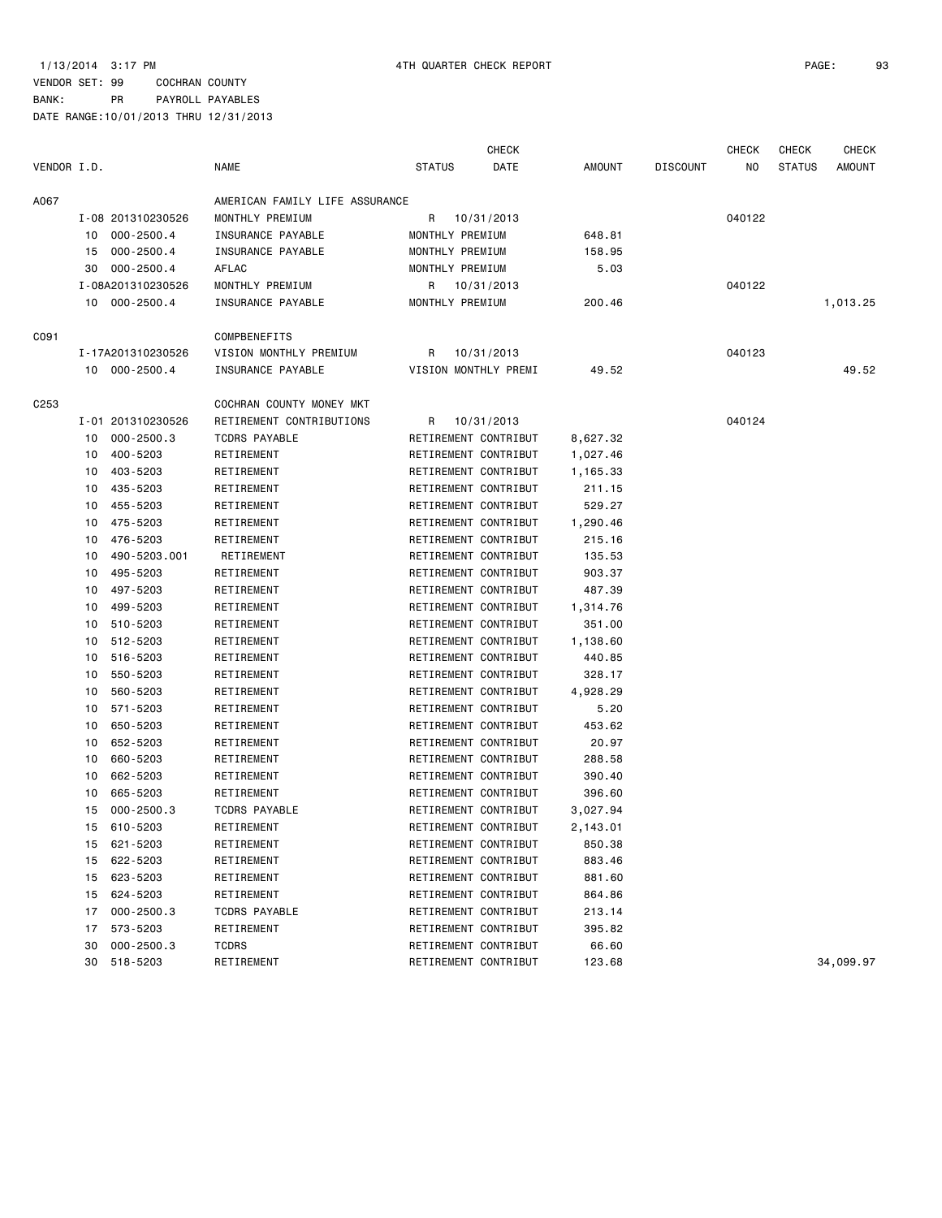|             |    |                   |                                |                      | <b>CHECK</b> |          |                 | <b>CHECK</b> | <b>CHECK</b>  | <b>CHECK</b> |
|-------------|----|-------------------|--------------------------------|----------------------|--------------|----------|-----------------|--------------|---------------|--------------|
| VENDOR I.D. |    |                   | <b>NAME</b>                    | <b>STATUS</b>        | DATE         | AMOUNT   | <b>DISCOUNT</b> | NO           | <b>STATUS</b> | AMOUNT       |
| A067        |    |                   | AMERICAN FAMILY LIFE ASSURANCE |                      |              |          |                 |              |               |              |
|             |    | I-08 201310230526 | MONTHLY PREMIUM                | R                    | 10/31/2013   |          |                 | 040122       |               |              |
|             |    | 10 000-2500.4     | INSURANCE PAYABLE              | MONTHLY PREMIUM      |              | 648.81   |                 |              |               |              |
|             |    | 15 000-2500.4     | INSURANCE PAYABLE              | MONTHLY PREMIUM      |              | 158.95   |                 |              |               |              |
|             |    | 30 000-2500.4     | AFLAC                          | MONTHLY PREMIUM      |              | 5.03     |                 |              |               |              |
|             |    | I-08A201310230526 | MONTHLY PREMIUM                | R                    | 10/31/2013   |          |                 | 040122       |               |              |
|             |    | 10 000-2500.4     | INSURANCE PAYABLE              | MONTHLY PREMIUM      |              | 200.46   |                 |              |               | 1,013.25     |
| C091        |    |                   | <b>COMPBENEFITS</b>            |                      |              |          |                 |              |               |              |
|             |    | I-17A201310230526 | VISION MONTHLY PREMIUM         | R                    | 10/31/2013   |          |                 | 040123       |               |              |
|             |    | 10 000-2500.4     | INSURANCE PAYABLE              | VISION MONTHLY PREMI |              | 49.52    |                 |              |               | 49.52        |
| C253        |    |                   | COCHRAN COUNTY MONEY MKT       |                      |              |          |                 |              |               |              |
|             |    | I-01 201310230526 | RETIREMENT CONTRIBUTIONS       | R                    | 10/31/2013   |          |                 | 040124       |               |              |
|             | 10 | 000-2500.3        | <b>TCDRS PAYABLE</b>           | RETIREMENT CONTRIBUT |              | 8,627.32 |                 |              |               |              |
|             | 10 | 400-5203          | RETIREMENT                     | RETIREMENT CONTRIBUT |              | 1,027.46 |                 |              |               |              |
|             | 10 | 403-5203          | RETIREMENT                     | RETIREMENT CONTRIBUT |              | 1,165.33 |                 |              |               |              |
|             | 10 | 435-5203          | RETIREMENT                     | RETIREMENT CONTRIBUT |              | 211.15   |                 |              |               |              |
|             | 10 | 455-5203          | RETIREMENT                     | RETIREMENT CONTRIBUT |              | 529.27   |                 |              |               |              |
|             | 10 | 475-5203          | RETIREMENT                     | RETIREMENT CONTRIBUT |              | 1,290.46 |                 |              |               |              |
|             | 10 | 476-5203          | RETIREMENT                     | RETIREMENT CONTRIBUT |              | 215.16   |                 |              |               |              |
|             | 10 | 490-5203.001      | RETIREMENT                     | RETIREMENT CONTRIBUT |              | 135.53   |                 |              |               |              |
|             | 10 | 495-5203          | RETIREMENT                     | RETIREMENT CONTRIBUT |              | 903.37   |                 |              |               |              |
|             | 10 | 497-5203          | RETIREMENT                     | RETIREMENT CONTRIBUT |              | 487.39   |                 |              |               |              |
|             | 10 | 499-5203          | RETIREMENT                     | RETIREMENT CONTRIBUT |              | 1,314.76 |                 |              |               |              |
|             | 10 | 510-5203          | RETIREMENT                     | RETIREMENT CONTRIBUT |              | 351.00   |                 |              |               |              |
|             | 10 | 512-5203          | RETIREMENT                     | RETIREMENT CONTRIBUT |              | 1,138.60 |                 |              |               |              |
|             | 10 | 516-5203          | RETIREMENT                     | RETIREMENT CONTRIBUT |              | 440.85   |                 |              |               |              |
|             |    |                   |                                |                      |              |          |                 |              |               |              |
|             | 10 | 550-5203          | RETIREMENT                     | RETIREMENT CONTRIBUT |              | 328.17   |                 |              |               |              |
|             | 10 | 560-5203          | RETIREMENT                     | RETIREMENT CONTRIBUT |              | 4,928.29 |                 |              |               |              |
|             | 10 | 571-5203          | RETIREMENT                     | RETIREMENT CONTRIBUT |              | 5.20     |                 |              |               |              |
|             | 10 | 650-5203          | RETIREMENT                     | RETIREMENT CONTRIBUT |              | 453.62   |                 |              |               |              |
|             | 10 | 652-5203          | RETIREMENT                     | RETIREMENT CONTRIBUT |              | 20.97    |                 |              |               |              |
|             | 10 | 660-5203          | RETIREMENT                     | RETIREMENT CONTRIBUT |              | 288.58   |                 |              |               |              |
|             | 10 | 662-5203          | RETIREMENT                     | RETIREMENT CONTRIBUT |              | 390.40   |                 |              |               |              |
|             | 10 | 665-5203          | RETIREMENT                     | RETIREMENT CONTRIBUT |              | 396.60   |                 |              |               |              |
|             | 15 | $000 - 2500.3$    | <b>TCDRS PAYABLE</b>           | RETIREMENT CONTRIBUT |              | 3,027.94 |                 |              |               |              |
|             | 15 | 610-5203          | RETIREMENT                     | RETIREMENT CONTRIBUT |              | 2,143.01 |                 |              |               |              |
|             | 15 | 621-5203          | RETIREMENT                     | RETIREMENT CONTRIBUT |              | 850.38   |                 |              |               |              |
|             | 15 | 622-5203          | RETIREMENT                     | RETIREMENT CONTRIBUT |              | 883.46   |                 |              |               |              |
|             | 15 | 623-5203          | RETIREMENT                     | RETIREMENT CONTRIBUT |              | 881.60   |                 |              |               |              |
|             | 15 | 624-5203          | RETIREMENT                     | RETIREMENT CONTRIBUT |              | 864.86   |                 |              |               |              |
|             | 17 | $000 - 2500.3$    | <b>TCDRS PAYABLE</b>           | RETIREMENT CONTRIBUT |              | 213.14   |                 |              |               |              |
|             | 17 | 573-5203          | RETIREMENT                     | RETIREMENT CONTRIBUT |              | 395.82   |                 |              |               |              |
|             | 30 | $000 - 2500.3$    | TCDRS                          | RETIREMENT CONTRIBUT |              | 66.60    |                 |              |               |              |
|             | 30 | 518-5203          | RETIREMENT                     | RETIREMENT CONTRIBUT |              | 123.68   |                 |              |               | 34,099.97    |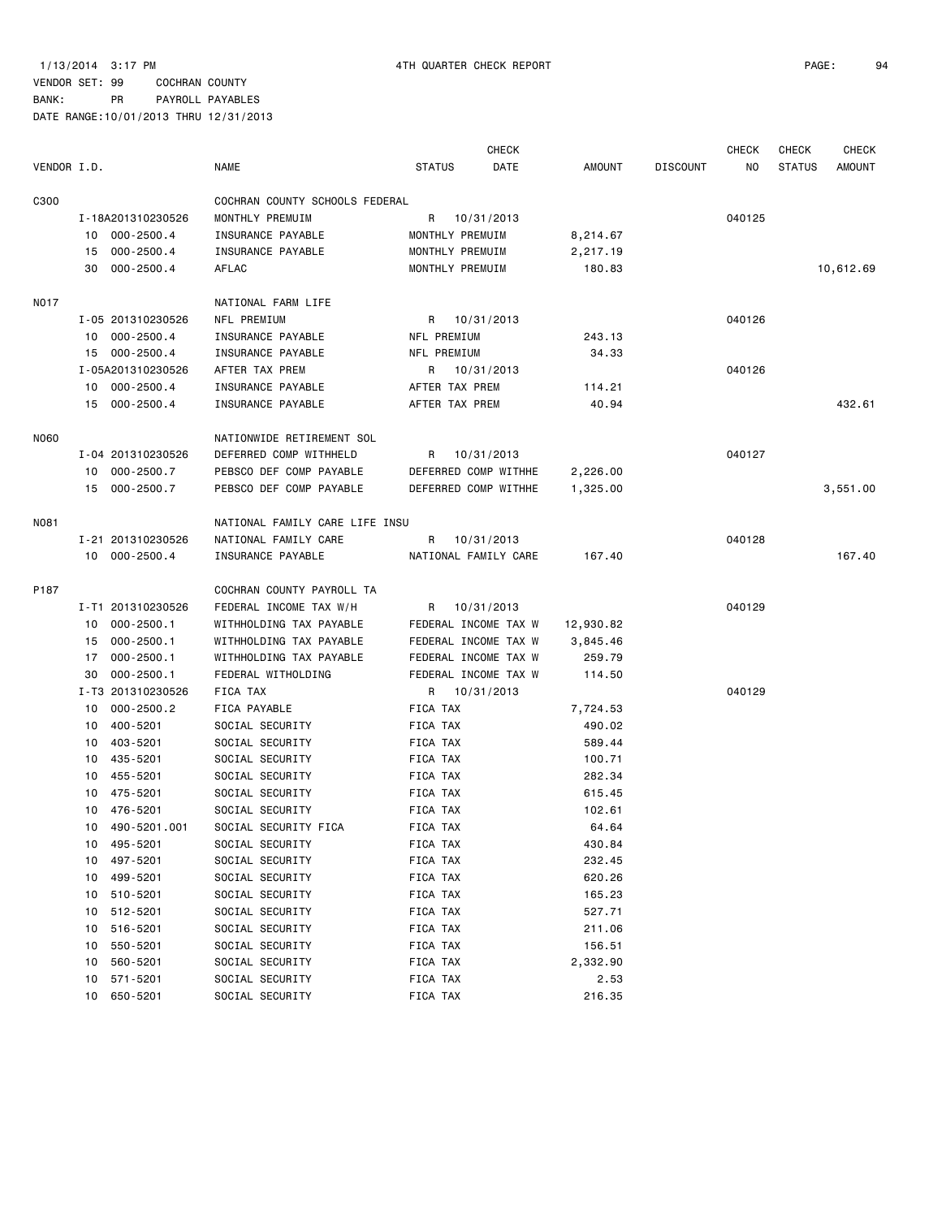|             |    |                   |                                |                 | <b>CHECK</b>         |           |                 | <b>CHECK</b> | CHECK         | <b>CHECK</b>  |
|-------------|----|-------------------|--------------------------------|-----------------|----------------------|-----------|-----------------|--------------|---------------|---------------|
| VENDOR I.D. |    |                   | NAME                           | <b>STATUS</b>   | DATE                 | AMOUNT    | <b>DISCOUNT</b> | NO.          | <b>STATUS</b> | <b>AMOUNT</b> |
| C300        |    |                   | COCHRAN COUNTY SCHOOLS FEDERAL |                 |                      |           |                 |              |               |               |
|             |    | I-18A201310230526 | MONTHLY PREMUIM                | R               | 10/31/2013           |           |                 | 040125       |               |               |
|             | 10 | 000-2500.4        | INSURANCE PAYABLE              | MONTHLY PREMUIM |                      | 8,214.67  |                 |              |               |               |
|             | 15 | $000 - 2500.4$    | INSURANCE PAYABLE              | MONTHLY PREMUIM |                      | 2,217.19  |                 |              |               |               |
|             | 30 | $000 - 2500.4$    | AFLAC                          | MONTHLY PREMUIM |                      | 180.83    |                 |              |               | 10,612.69     |
| <b>NO17</b> |    |                   | NATIONAL FARM LIFE             |                 |                      |           |                 |              |               |               |
|             |    | I-05 201310230526 | NFL PREMIUM                    |                 | R 10/31/2013         |           |                 | 040126       |               |               |
|             |    | 10 000-2500.4     | INSURANCE PAYABLE              | NFL PREMIUM     |                      | 243.13    |                 |              |               |               |
|             |    | 15 000-2500.4     | INSURANCE PAYABLE              | NFL PREMIUM     |                      | 34.33     |                 |              |               |               |
|             |    | I-05A201310230526 | AFTER TAX PREM                 |                 | R 10/31/2013         |           |                 | 040126       |               |               |
|             |    | 10 000-2500.4     | INSURANCE PAYABLE              | AFTER TAX PREM  |                      | 114.21    |                 |              |               |               |
|             |    | 15 000-2500.4     | INSURANCE PAYABLE              | AFTER TAX PREM  |                      | 40.94     |                 |              |               | 432.61        |
| N060        |    |                   | NATIONWIDE RETIREMENT SOL      |                 |                      |           |                 |              |               |               |
|             |    | I-04 201310230526 | DEFERRED COMP WITHHELD         | R               | 10/31/2013           |           |                 | 040127       |               |               |
|             |    | 10 000-2500.7     | PEBSCO DEF COMP PAYABLE        |                 | DEFERRED COMP WITHHE | 2,226.00  |                 |              |               |               |
|             |    | 15 000-2500.7     | PEBSCO DEF COMP PAYABLE        |                 | DEFERRED COMP WITHHE | 1,325.00  |                 |              |               | 3,551.00      |
| N081        |    |                   | NATIONAL FAMILY CARE LIFE INSU |                 |                      |           |                 |              |               |               |
|             |    | I-21 201310230526 | NATIONAL FAMILY CARE           | R               | 10/31/2013           |           |                 | 040128       |               |               |
|             |    | 10 000-2500.4     | INSURANCE PAYABLE              |                 | NATIONAL FAMILY CARE | 167.40    |                 |              |               | 167.40        |
| P187        |    |                   | COCHRAN COUNTY PAYROLL TA      |                 |                      |           |                 |              |               |               |
|             |    | I-T1 201310230526 | FEDERAL INCOME TAX W/H         | R               | 10/31/2013           |           |                 | 040129       |               |               |
|             | 10 | $000 - 2500.1$    | WITHHOLDING TAX PAYABLE        |                 | FEDERAL INCOME TAX W | 12,930.82 |                 |              |               |               |
|             | 15 | $000 - 2500.1$    | WITHHOLDING TAX PAYABLE        |                 | FEDERAL INCOME TAX W | 3,845.46  |                 |              |               |               |
|             | 17 | $000 - 2500.1$    | WITHHOLDING TAX PAYABLE        |                 | FEDERAL INCOME TAX W | 259.79    |                 |              |               |               |
|             | 30 | $000 - 2500.1$    | FEDERAL WITHOLDING             |                 | FEDERAL INCOME TAX W | 114.50    |                 |              |               |               |
|             |    | I-T3 201310230526 | FICA TAX                       | R               | 10/31/2013           |           |                 | 040129       |               |               |
|             | 10 | $000 - 2500.2$    | FICA PAYABLE                   | FICA TAX        |                      | 7,724.53  |                 |              |               |               |
|             | 10 | 400-5201          | SOCIAL SECURITY                | FICA TAX        |                      | 490.02    |                 |              |               |               |
|             | 10 | 403-5201          | SOCIAL SECURITY                | FICA TAX        |                      | 589.44    |                 |              |               |               |
|             | 10 | 435-5201          | SOCIAL SECURITY                | FICA TAX        |                      | 100.71    |                 |              |               |               |
|             | 10 | 455-5201          | SOCIAL SECURITY                | FICA TAX        |                      | 282.34    |                 |              |               |               |
|             | 10 | 475-5201          | SOCIAL SECURITY                | FICA TAX        |                      | 615.45    |                 |              |               |               |
|             | 10 | 476-5201          | SOCIAL SECURITY                | FICA TAX        |                      | 102.61    |                 |              |               |               |
|             | 10 | 490-5201.001      | SOCIAL SECURITY FICA           | FICA TAX        |                      | 64.64     |                 |              |               |               |
|             | 10 | 495-5201          | SOCIAL SECURITY                | FICA TAX        |                      | 430.84    |                 |              |               |               |
|             | 10 | 497-5201          | SOCIAL SECURITY                | FICA TAX        |                      | 232.45    |                 |              |               |               |
|             | 10 | 499-5201          | SOCIAL SECURITY                | FICA TAX        |                      | 620.26    |                 |              |               |               |
|             | 10 | 510-5201          | SOCIAL SECURITY                | FICA TAX        |                      | 165.23    |                 |              |               |               |
|             | 10 | 512-5201          | SOCIAL SECURITY                | FICA TAX        |                      | 527.71    |                 |              |               |               |
|             | 10 | 516-5201          | SOCIAL SECURITY                | FICA TAX        |                      | 211.06    |                 |              |               |               |
|             | 10 | 550-5201          | SOCIAL SECURITY                | FICA TAX        |                      | 156.51    |                 |              |               |               |
|             | 10 | 560-5201          | SOCIAL SECURITY                | FICA TAX        |                      | 2,332.90  |                 |              |               |               |
|             | 10 | 571-5201          | SOCIAL SECURITY                | FICA TAX        |                      | 2.53      |                 |              |               |               |
|             | 10 | 650-5201          | SOCIAL SECURITY                | FICA TAX        |                      | 216.35    |                 |              |               |               |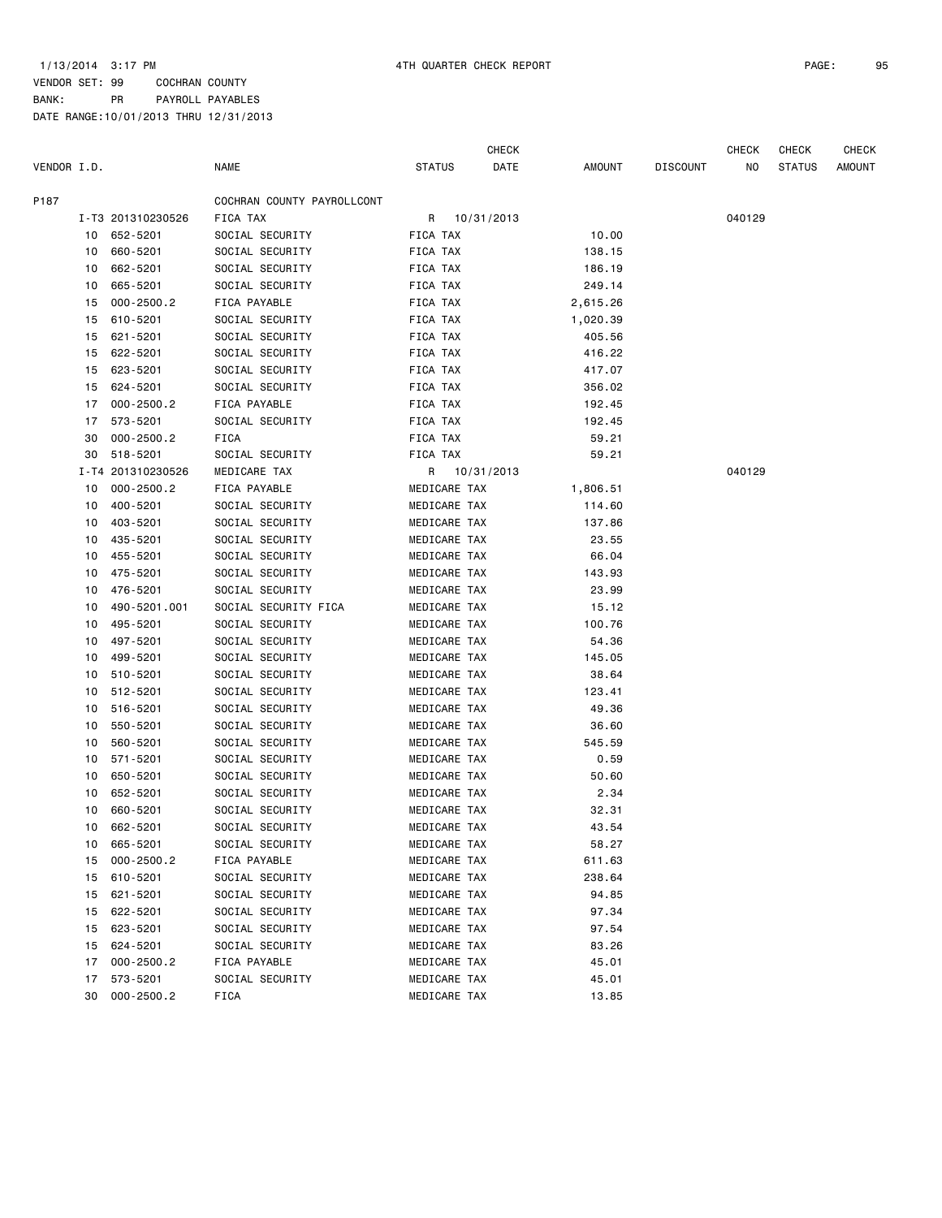CHECK CHECK CHECK CHECK

| VENDOR I.D. |    |                   | <b>NAME</b>                | <b>STATUS</b> | DATE         | AMOUNT   | <b>DISCOUNT</b> | NO.    | <b>STATUS</b> | <b>AMOUNT</b> |
|-------------|----|-------------------|----------------------------|---------------|--------------|----------|-----------------|--------|---------------|---------------|
| P187        |    |                   | COCHRAN COUNTY PAYROLLCONT |               |              |          |                 |        |               |               |
|             |    | I-T3 201310230526 | FICA TAX                   |               | R 10/31/2013 |          |                 | 040129 |               |               |
|             |    | 10 652-5201       | SOCIAL SECURITY            | FICA TAX      |              | 10.00    |                 |        |               |               |
|             | 10 | 660-5201          | SOCIAL SECURITY            | FICA TAX      |              | 138.15   |                 |        |               |               |
|             | 10 | 662-5201          | SOCIAL SECURITY            | FICA TAX      |              | 186.19   |                 |        |               |               |
|             | 10 | 665-5201          | SOCIAL SECURITY            | FICA TAX      |              | 249.14   |                 |        |               |               |
|             | 15 | $000 - 2500.2$    | FICA PAYABLE               | FICA TAX      |              | 2,615.26 |                 |        |               |               |
|             | 15 | 610-5201          | SOCIAL SECURITY            | FICA TAX      |              | 1,020.39 |                 |        |               |               |
|             | 15 | 621-5201          | SOCIAL SECURITY            | FICA TAX      |              | 405.56   |                 |        |               |               |
|             | 15 | 622-5201          | SOCIAL SECURITY            | FICA TAX      |              | 416.22   |                 |        |               |               |
|             | 15 | 623-5201          | SOCIAL SECURITY            | FICA TAX      |              | 417.07   |                 |        |               |               |
|             | 15 | 624-5201          | SOCIAL SECURITY            | FICA TAX      |              | 356.02   |                 |        |               |               |
|             | 17 | $000 - 2500.2$    | FICA PAYABLE               | FICA TAX      |              | 192.45   |                 |        |               |               |
|             | 17 | 573-5201          | SOCIAL SECURITY            | FICA TAX      |              | 192.45   |                 |        |               |               |
|             | 30 | $000 - 2500.2$    | FICA                       | FICA TAX      |              | 59.21    |                 |        |               |               |
|             | 30 | 518-5201          | SOCIAL SECURITY            | FICA TAX      |              | 59.21    |                 |        |               |               |
|             |    | I-T4 201310230526 | MEDICARE TAX               |               | R 10/31/2013 |          |                 | 040129 |               |               |
|             | 10 | $000 - 2500.2$    | FICA PAYABLE               | MEDICARE TAX  |              | 1,806.51 |                 |        |               |               |
|             | 10 | 400-5201          | SOCIAL SECURITY            | MEDICARE TAX  |              | 114.60   |                 |        |               |               |
|             | 10 | 403-5201          | SOCIAL SECURITY            | MEDICARE TAX  |              | 137.86   |                 |        |               |               |
|             | 10 | 435-5201          | SOCIAL SECURITY            | MEDICARE TAX  |              | 23.55    |                 |        |               |               |
|             | 10 | 455-5201          | SOCIAL SECURITY            | MEDICARE TAX  |              | 66.04    |                 |        |               |               |
|             | 10 | 475-5201          | SOCIAL SECURITY            | MEDICARE TAX  |              | 143.93   |                 |        |               |               |
|             | 10 | 476-5201          | SOCIAL SECURITY            | MEDICARE TAX  |              | 23.99    |                 |        |               |               |
|             | 10 | 490-5201.001      | SOCIAL SECURITY FICA       | MEDICARE TAX  |              | 15.12    |                 |        |               |               |
|             | 10 | 495-5201          | SOCIAL SECURITY            | MEDICARE TAX  |              | 100.76   |                 |        |               |               |
|             | 10 | 497-5201          | SOCIAL SECURITY            | MEDICARE TAX  |              | 54.36    |                 |        |               |               |
|             | 10 | 499-5201          | SOCIAL SECURITY            | MEDICARE TAX  |              | 145.05   |                 |        |               |               |
|             | 10 | 510-5201          | SOCIAL SECURITY            | MEDICARE TAX  |              | 38.64    |                 |        |               |               |
|             | 10 | 512-5201          | SOCIAL SECURITY            | MEDICARE TAX  |              | 123.41   |                 |        |               |               |
|             | 10 | 516-5201          | SOCIAL SECURITY            | MEDICARE TAX  |              | 49.36    |                 |        |               |               |
|             | 10 | 550-5201          | SOCIAL SECURITY            | MEDICARE TAX  |              | 36.60    |                 |        |               |               |
|             | 10 | 560-5201          | SOCIAL SECURITY            | MEDICARE TAX  |              | 545.59   |                 |        |               |               |
|             | 10 | 571-5201          | SOCIAL SECURITY            | MEDICARE TAX  |              | 0.59     |                 |        |               |               |
|             | 10 | 650-5201          | SOCIAL SECURITY            | MEDICARE TAX  |              | 50.60    |                 |        |               |               |
|             | 10 | 652-5201          | SOCIAL SECURITY            | MEDICARE TAX  |              | 2.34     |                 |        |               |               |
|             | 10 | 660-5201          | SOCIAL SECURITY            | MEDICARE TAX  |              | 32.31    |                 |        |               |               |
|             | 10 | 662-5201          | SOCIAL SECURITY            | MEDICARE TAX  |              | 43.54    |                 |        |               |               |
|             | 10 | 665-5201          | SOCIAL SECURITY            | MEDICARE TAX  |              | 58.27    |                 |        |               |               |
|             | 15 | $000 - 2500.2$    | FICA PAYABLE               | MEDICARE TAX  |              | 611.63   |                 |        |               |               |
|             | 15 | 610-5201          | SOCIAL SECURITY            | MEDICARE TAX  |              | 238.64   |                 |        |               |               |
|             | 15 | 621-5201          | SOCIAL SECURITY            | MEDICARE TAX  |              | 94.85    |                 |        |               |               |
|             | 15 | 622-5201          | SOCIAL SECURITY            | MEDICARE TAX  |              | 97.34    |                 |        |               |               |
|             | 15 | 623-5201          | SOCIAL SECURITY            | MEDICARE TAX  |              | 97.54    |                 |        |               |               |
|             | 15 | 624-5201          | SOCIAL SECURITY            | MEDICARE TAX  |              | 83.26    |                 |        |               |               |
|             | 17 | $000 - 2500.2$    | FICA PAYABLE               | MEDICARE TAX  |              | 45.01    |                 |        |               |               |
|             | 17 | 573-5201          | SOCIAL SECURITY            | MEDICARE TAX  |              | 45.01    |                 |        |               |               |
|             | 30 | $000 - 2500.2$    | FICA                       | MEDICARE TAX  |              | 13.85    |                 |        |               |               |
|             |    |                   |                            |               |              |          |                 |        |               |               |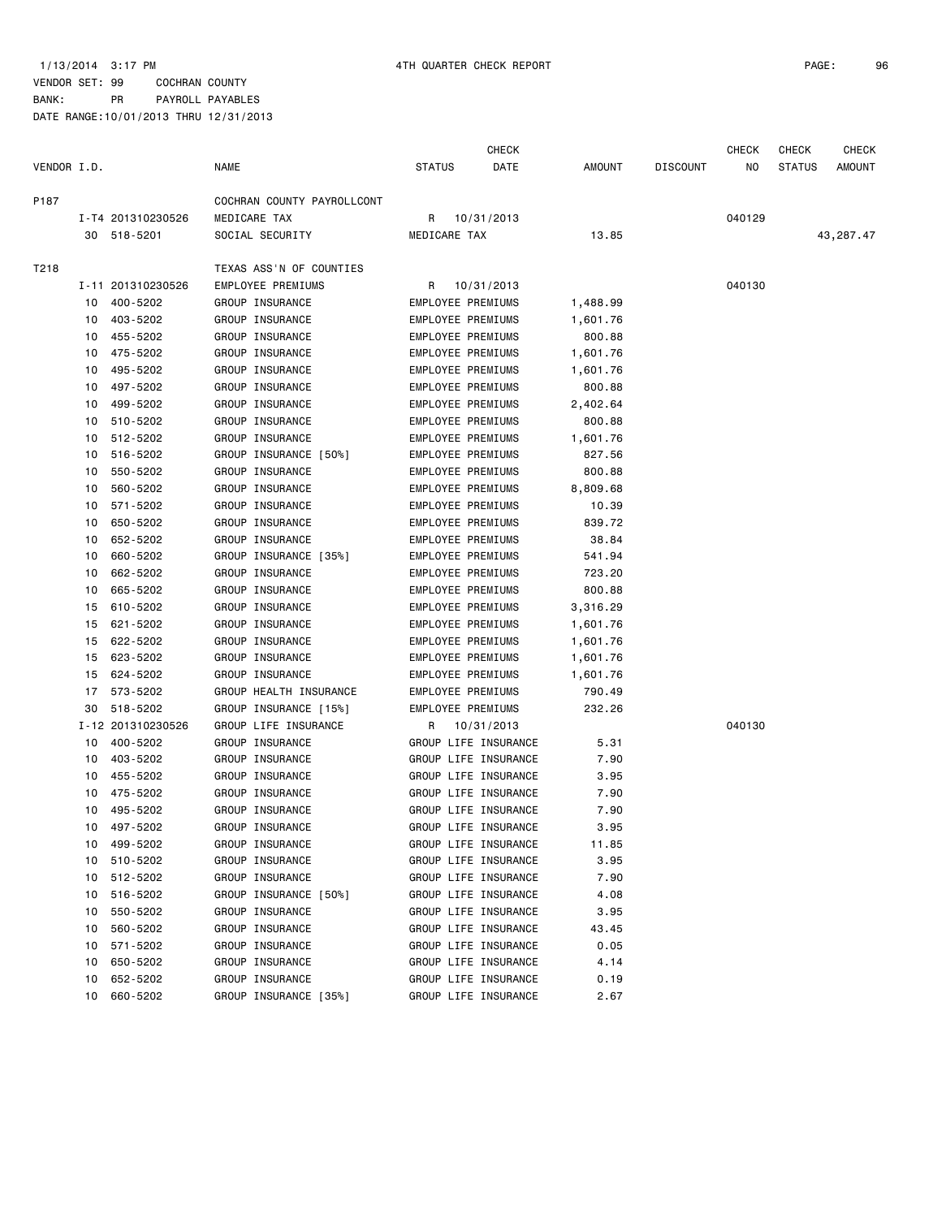# VENDOR SET: 99 COCHRAN COUNTY BANK: PR PAYROLL PAYABLES

|             |    |                   |                            |               | CHECK                |          |                 | CHECK  | <b>CHECK</b>  | <b>CHECK</b> |
|-------------|----|-------------------|----------------------------|---------------|----------------------|----------|-----------------|--------|---------------|--------------|
| VENDOR I.D. |    |                   | <b>NAME</b>                | <b>STATUS</b> | DATE                 | AMOUNT   | <b>DISCOUNT</b> | NO     | <b>STATUS</b> | AMOUNT       |
| P187        |    |                   | COCHRAN COUNTY PAYROLLCONT |               |                      |          |                 |        |               |              |
|             |    | I-T4 201310230526 | MEDICARE TAX               | R.            | 10/31/2013           |          |                 | 040129 |               |              |
|             |    | 30 518-5201       | SOCIAL SECURITY            | MEDICARE TAX  |                      | 13.85    |                 |        |               | 43,287.47    |
| T218        |    |                   | TEXAS ASS'N OF COUNTIES    |               |                      |          |                 |        |               |              |
|             |    | I-11 201310230526 | EMPLOYEE PREMIUMS          | R.            | 10/31/2013           |          |                 | 040130 |               |              |
|             | 10 | 400-5202          | GROUP INSURANCE            |               | EMPLOYEE PREMIUMS    | 1,488.99 |                 |        |               |              |
|             | 10 | 403-5202          | GROUP INSURANCE            |               | EMPLOYEE PREMIUMS    | 1,601.76 |                 |        |               |              |
|             | 10 | 455-5202          | GROUP INSURANCE            |               | EMPLOYEE PREMIUMS    | 800.88   |                 |        |               |              |
|             | 10 | 475-5202          | GROUP INSURANCE            |               | EMPLOYEE PREMIUMS    | 1,601.76 |                 |        |               |              |
|             | 10 | 495 - 5202        | GROUP INSURANCE            |               | EMPLOYEE PREMIUMS    | 1,601.76 |                 |        |               |              |
|             | 10 | 497-5202          | GROUP INSURANCE            |               | EMPLOYEE PREMIUMS    | 800.88   |                 |        |               |              |
|             | 10 | 499-5202          | GROUP INSURANCE            |               | EMPLOYEE PREMIUMS    | 2,402.64 |                 |        |               |              |
|             | 10 | 510-5202          | GROUP INSURANCE            |               | EMPLOYEE PREMIUMS    | 800.88   |                 |        |               |              |
|             | 10 | 512-5202          | GROUP INSURANCE            |               | EMPLOYEE PREMIUMS    | 1,601.76 |                 |        |               |              |
|             | 10 | 516-5202          | GROUP INSURANCE [50%]      |               | EMPLOYEE PREMIUMS    | 827.56   |                 |        |               |              |
|             | 10 | 550-5202          | GROUP INSURANCE            |               | EMPLOYEE PREMIUMS    | 800.88   |                 |        |               |              |
|             | 10 | 560-5202          | GROUP INSURANCE            |               | EMPLOYEE PREMIUMS    | 8,809.68 |                 |        |               |              |
|             | 10 | 571-5202          | GROUP INSURANCE            |               | EMPLOYEE PREMIUMS    | 10.39    |                 |        |               |              |
|             | 10 | 650-5202          | GROUP INSURANCE            |               | EMPLOYEE PREMIUMS    | 839.72   |                 |        |               |              |
|             | 10 | 652-5202          | GROUP INSURANCE            |               | EMPLOYEE PREMIUMS    | 38.84    |                 |        |               |              |
|             | 10 | 660-5202          | GROUP INSURANCE [35%]      |               | EMPLOYEE PREMIUMS    | 541.94   |                 |        |               |              |
|             | 10 | 662-5202          | GROUP INSURANCE            |               | EMPLOYEE PREMIUMS    | 723.20   |                 |        |               |              |
|             | 10 | 665-5202          | GROUP INSURANCE            |               | EMPLOYEE PREMIUMS    | 800.88   |                 |        |               |              |
|             | 15 | 610-5202          | GROUP INSURANCE            |               | EMPLOYEE PREMIUMS    | 3,316.29 |                 |        |               |              |
|             | 15 | 621-5202          | GROUP INSURANCE            |               | EMPLOYEE PREMIUMS    | 1,601.76 |                 |        |               |              |
|             | 15 | 622-5202          | GROUP INSURANCE            |               | EMPLOYEE PREMIUMS    | 1,601.76 |                 |        |               |              |
|             | 15 | 623-5202          | GROUP INSURANCE            |               | EMPLOYEE PREMIUMS    | 1,601.76 |                 |        |               |              |
|             | 15 | 624-5202          | GROUP INSURANCE            |               | EMPLOYEE PREMIUMS    | 1,601.76 |                 |        |               |              |
|             | 17 | 573-5202          | GROUP HEALTH INSURANCE     |               | EMPLOYEE PREMIUMS    | 790.49   |                 |        |               |              |
|             | 30 | 518-5202          | GROUP INSURANCE [15%]      |               | EMPLOYEE PREMIUMS    | 232.26   |                 |        |               |              |
|             |    | I-12 201310230526 | GROUP LIFE INSURANCE       | R             | 10/31/2013           |          |                 | 040130 |               |              |
|             | 10 | 400-5202          | GROUP INSURANCE            |               | GROUP LIFE INSURANCE | 5.31     |                 |        |               |              |
|             | 10 | 403-5202          | GROUP INSURANCE            |               | GROUP LIFE INSURANCE | 7.90     |                 |        |               |              |
|             | 10 | 455-5202          | GROUP INSURANCE            |               | GROUP LIFE INSURANCE | 3.95     |                 |        |               |              |
|             | 10 | 475-5202          | GROUP INSURANCE            |               | GROUP LIFE INSURANCE | 7.90     |                 |        |               |              |
|             | 10 | 495-5202          | GROUP INSURANCE            |               | GROUP LIFE INSURANCE | 7.90     |                 |        |               |              |
|             | 10 | 497-5202          | GROUP INSURANCE            |               | GROUP LIFE INSURANCE | 3.95     |                 |        |               |              |
|             | 10 | 499-5202          | GROUP INSURANCE            |               | GROUP LIFE INSURANCE | 11.85    |                 |        |               |              |
|             | 10 | 510-5202          | GROUP INSURANCE            |               | GROUP LIFE INSURANCE | 3.95     |                 |        |               |              |
|             | 10 | 512-5202          | GROUP INSURANCE            |               | GROUP LIFE INSURANCE | 7.90     |                 |        |               |              |
|             | 10 | 516-5202          | GROUP INSURANCE [50%]      |               | GROUP LIFE INSURANCE | 4.08     |                 |        |               |              |
|             | 10 | 550-5202          | GROUP INSURANCE            |               | GROUP LIFE INSURANCE | 3.95     |                 |        |               |              |
|             | 10 | 560-5202          | GROUP INSURANCE            |               | GROUP LIFE INSURANCE | 43.45    |                 |        |               |              |
|             | 10 | 571-5202          | GROUP INSURANCE            |               | GROUP LIFE INSURANCE | 0.05     |                 |        |               |              |
|             | 10 | 650-5202          | GROUP INSURANCE            |               | GROUP LIFE INSURANCE | 4.14     |                 |        |               |              |
|             | 10 | 652-5202          | GROUP INSURANCE            |               | GROUP LIFE INSURANCE | 0.19     |                 |        |               |              |
|             | 10 | 660-5202          | GROUP INSURANCE [35%]      |               | GROUP LIFE INSURANCE | 2.67     |                 |        |               |              |
|             |    |                   |                            |               |                      |          |                 |        |               |              |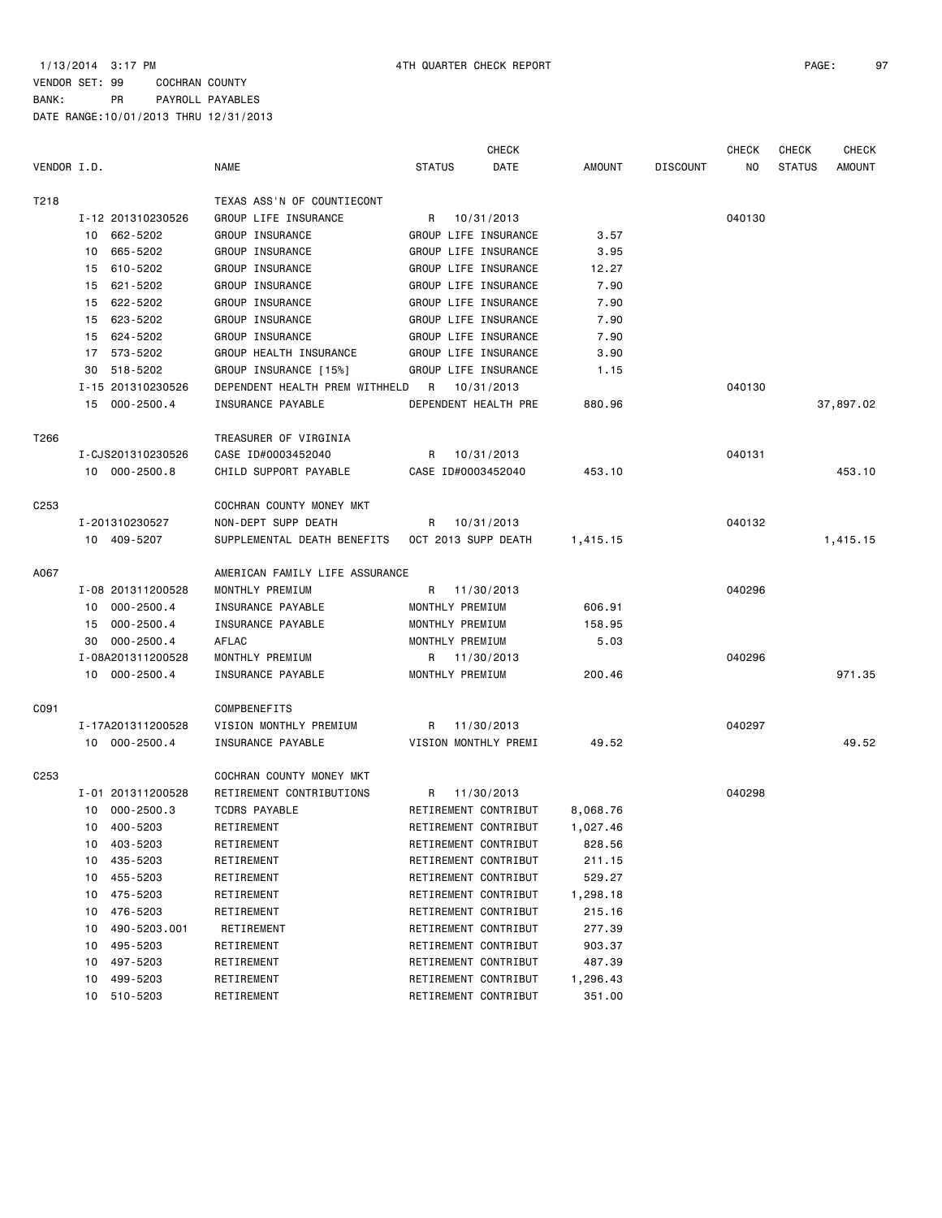|                  |                   |                |                                |                 | <b>CHECK</b>         |               |                 | <b>CHECK</b> | <b>CHECK</b>  | <b>CHECK</b>  |
|------------------|-------------------|----------------|--------------------------------|-----------------|----------------------|---------------|-----------------|--------------|---------------|---------------|
| VENDOR I.D.      |                   |                | <b>NAME</b>                    | <b>STATUS</b>   | DATE                 | <b>AMOUNT</b> | <b>DISCOUNT</b> | NO.          | <b>STATUS</b> | <b>AMOUNT</b> |
| T218             |                   |                | TEXAS ASS'N OF COUNTIECONT     |                 |                      |               |                 |              |               |               |
|                  | I-12 201310230526 |                | GROUP LIFE INSURANCE           | R               | 10/31/2013           |               |                 | 040130       |               |               |
|                  | 10 662-5202       |                | GROUP INSURANCE                |                 | GROUP LIFE INSURANCE | 3.57          |                 |              |               |               |
|                  | 665-5202<br>10    |                | GROUP INSURANCE                |                 | GROUP LIFE INSURANCE | 3.95          |                 |              |               |               |
|                  | 610-5202<br>15    |                | GROUP INSURANCE                |                 | GROUP LIFE INSURANCE | 12.27         |                 |              |               |               |
|                  | 621-5202<br>15    |                | GROUP INSURANCE                |                 | GROUP LIFE INSURANCE | 7.90          |                 |              |               |               |
|                  | 15 622-5202       |                | GROUP INSURANCE                |                 | GROUP LIFE INSURANCE | 7.90          |                 |              |               |               |
|                  | 15 623-5202       |                | GROUP INSURANCE                |                 | GROUP LIFE INSURANCE | 7.90          |                 |              |               |               |
|                  | 15 624-5202       |                | GROUP INSURANCE                |                 | GROUP LIFE INSURANCE | 7.90          |                 |              |               |               |
|                  | 17 573-5202       |                | GROUP HEALTH INSURANCE         |                 | GROUP LIFE INSURANCE | 3.90          |                 |              |               |               |
|                  | 518-5202<br>30    |                | GROUP INSURANCE [15%]          |                 | GROUP LIFE INSURANCE | 1.15          |                 |              |               |               |
|                  | I-15 201310230526 |                | DEPENDENT HEALTH PREM WITHHELD | R               | 10/31/2013           |               |                 | 040130       |               |               |
|                  | 15 000-2500.4     |                | INSURANCE PAYABLE              |                 | DEPENDENT HEALTH PRE | 880.96        |                 |              |               | 37,897.02     |
| T266             |                   |                | TREASURER OF VIRGINIA          |                 |                      |               |                 |              |               |               |
|                  | I-CJS201310230526 |                | CASE ID#0003452040             | R               | 10/31/2013           |               |                 | 040131       |               |               |
|                  | 10 000-2500.8     |                | CHILD SUPPORT PAYABLE          |                 | CASE ID#0003452040   | 453.10        |                 |              |               | 453.10        |
|                  |                   |                |                                |                 |                      |               |                 |              |               |               |
| C <sub>253</sub> |                   |                | COCHRAN COUNTY MONEY MKT       |                 |                      |               |                 |              |               |               |
|                  | I-201310230527    |                | NON-DEPT SUPP DEATH            |                 | R 10/31/2013         |               |                 | 040132       |               |               |
|                  | 10 409-5207       |                | SUPPLEMENTAL DEATH BENEFITS    |                 | OCT 2013 SUPP DEATH  | 1,415.15      |                 |              |               | 1,415.15      |
| A067             |                   |                | AMERICAN FAMILY LIFE ASSURANCE |                 |                      |               |                 |              |               |               |
|                  | I-08 201311200528 |                | MONTHLY PREMIUM                |                 | R 11/30/2013         |               |                 | 040296       |               |               |
|                  | 10 000-2500.4     |                | INSURANCE PAYABLE              | MONTHLY PREMIUM |                      | 606.91        |                 |              |               |               |
|                  | 15                | $000 - 2500.4$ | INSURANCE PAYABLE              | MONTHLY PREMIUM |                      | 158.95        |                 |              |               |               |
|                  | 30                | $000 - 2500.4$ | AFLAC                          | MONTHLY PREMIUM |                      | 5.03          |                 |              |               |               |
|                  | I-08A201311200528 |                | MONTHLY PREMIUM                | R               | 11/30/2013           |               |                 | 040296       |               |               |
|                  | 10 000-2500.4     |                | INSURANCE PAYABLE              | MONTHLY PREMIUM |                      | 200.46        |                 |              |               | 971.35        |
| C091             |                   |                | <b>COMPBENEFITS</b>            |                 |                      |               |                 |              |               |               |
|                  | I-17A201311200528 |                | VISION MONTHLY PREMIUM         | R               | 11/30/2013           |               |                 | 040297       |               |               |
|                  | 10 000-2500.4     |                | INSURANCE PAYABLE              |                 | VISION MONTHLY PREMI | 49.52         |                 |              |               | 49.52         |
| C <sub>253</sub> |                   |                | COCHRAN COUNTY MONEY MKT       |                 |                      |               |                 |              |               |               |
|                  | I-01 201311200528 |                | RETIREMENT CONTRIBUTIONS       |                 | R 11/30/2013         |               |                 | 040298       |               |               |
|                  | 10 000-2500.3     |                | TCDRS PAYABLE                  |                 | RETIREMENT CONTRIBUT | 8,068.76      |                 |              |               |               |
|                  | 10 400-5203       |                | RETIREMENT                     |                 | RETIREMENT CONTRIBUT | 1,027.46      |                 |              |               |               |
|                  | 10 403-5203       |                | RETIREMENT                     |                 | RETIREMENT CONTRIBUT | 828.56        |                 |              |               |               |
|                  | 435-5203<br>10    |                | RETIREMENT                     |                 | RETIREMENT CONTRIBUT | 211.15        |                 |              |               |               |
|                  | 455-5203<br>10    |                | RETIREMENT                     |                 | RETIREMENT CONTRIBUT | 529.27        |                 |              |               |               |
|                  | 475-5203<br>10    |                | RETIREMENT                     |                 | RETIREMENT CONTRIBUT | 1,298.18      |                 |              |               |               |
|                  | 476-5203<br>10    |                | RETIREMENT                     |                 | RETIREMENT CONTRIBUT | 215.16        |                 |              |               |               |
|                  | 10                | 490-5203.001   | RETIREMENT                     |                 | RETIREMENT CONTRIBUT | 277.39        |                 |              |               |               |
|                  | 495-5203<br>10    |                | RETIREMENT                     |                 | RETIREMENT CONTRIBUT | 903.37        |                 |              |               |               |
|                  | 497-5203<br>10    |                | RETIREMENT                     |                 | RETIREMENT CONTRIBUT | 487.39        |                 |              |               |               |
|                  | 499-5203<br>10    |                | RETIREMENT                     |                 | RETIREMENT CONTRIBUT | 1,296.43      |                 |              |               |               |
|                  | 510-5203<br>10    |                | RETIREMENT                     |                 | RETIREMENT CONTRIBUT | 351.00        |                 |              |               |               |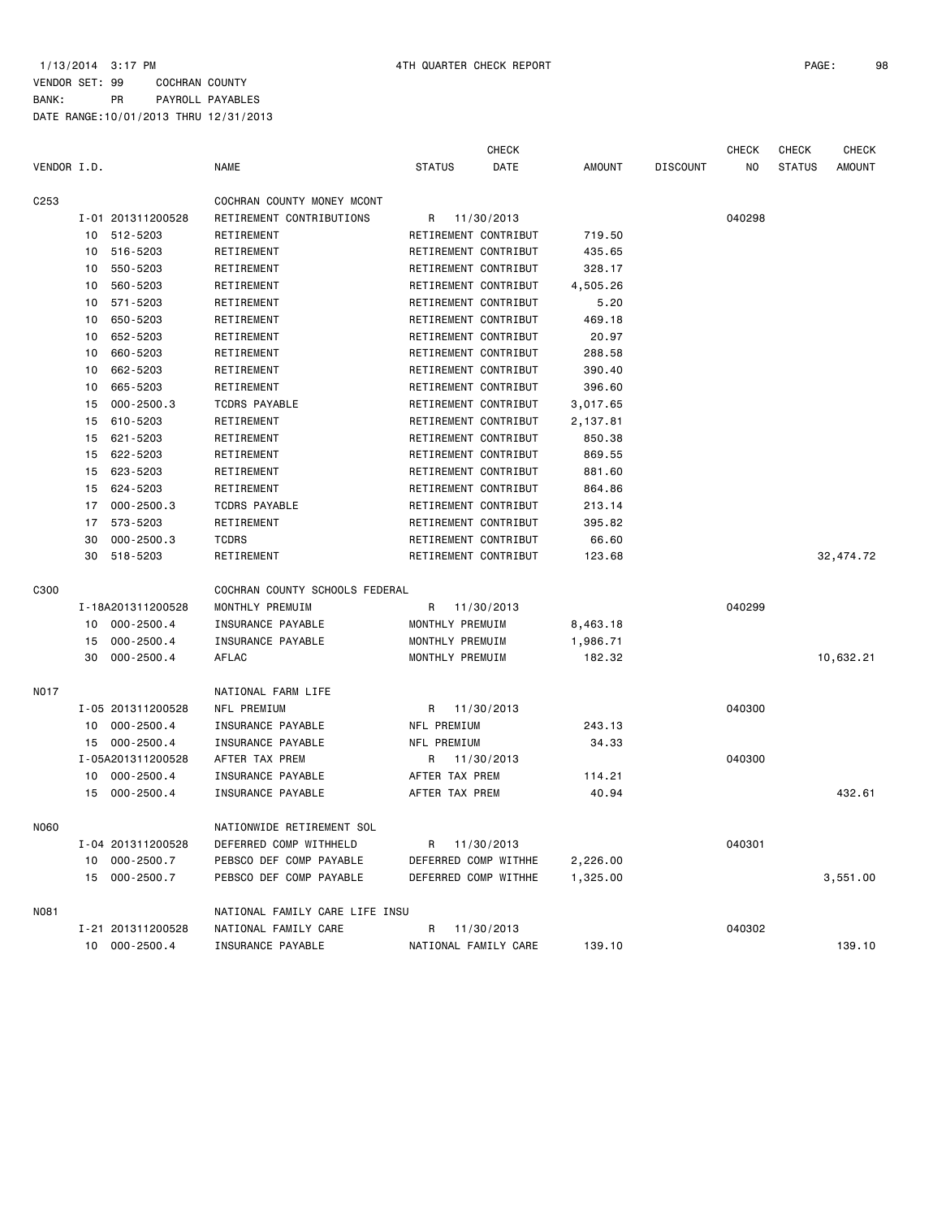1/13/2014 3:17 PM 4TH QUARTER CHECK REPORT PAGE: 98 VENDOR SET: 99 COCHRAN COUNTY BANK: PR PAYROLL PAYABLES

|                  |    |                   |                                |                      | <b>CHECK</b> |               |                 | <b>CHECK</b> | <b>CHECK</b>  | <b>CHECK</b>  |
|------------------|----|-------------------|--------------------------------|----------------------|--------------|---------------|-----------------|--------------|---------------|---------------|
| VENDOR I.D.      |    |                   | <b>NAME</b>                    | <b>STATUS</b>        | DATE         | <b>AMOUNT</b> | <b>DISCOUNT</b> | NO.          | <b>STATUS</b> | <b>AMOUNT</b> |
| C <sub>253</sub> |    |                   | COCHRAN COUNTY MONEY MCONT     |                      |              |               |                 |              |               |               |
|                  |    | I-01 201311200528 | RETIREMENT CONTRIBUTIONS       | R                    | 11/30/2013   |               |                 | 040298       |               |               |
|                  | 10 | 512-5203          | RETIREMENT                     | RETIREMENT CONTRIBUT |              | 719.50        |                 |              |               |               |
|                  | 10 | 516-5203          | RETIREMENT                     | RETIREMENT CONTRIBUT |              | 435.65        |                 |              |               |               |
|                  | 10 | 550-5203          | RETIREMENT                     | RETIREMENT CONTRIBUT |              | 328.17        |                 |              |               |               |
|                  | 10 | 560-5203          | RETIREMENT                     | RETIREMENT CONTRIBUT |              | 4,505.26      |                 |              |               |               |
|                  | 10 | 571-5203          | RETIREMENT                     | RETIREMENT CONTRIBUT |              | 5.20          |                 |              |               |               |
|                  | 10 | 650-5203          | RETIREMENT                     | RETIREMENT CONTRIBUT |              | 469.18        |                 |              |               |               |
|                  | 10 | 652-5203          | RETIREMENT                     | RETIREMENT CONTRIBUT |              | 20.97         |                 |              |               |               |
|                  | 10 | 660-5203          | RETIREMENT                     | RETIREMENT CONTRIBUT |              | 288.58        |                 |              |               |               |
|                  | 10 | 662-5203          | RETIREMENT                     | RETIREMENT CONTRIBUT |              | 390.40        |                 |              |               |               |
|                  | 10 | 665-5203          | RETIREMENT                     | RETIREMENT CONTRIBUT |              | 396.60        |                 |              |               |               |
|                  | 15 | $000 - 2500.3$    | TCDRS PAYABLE                  | RETIREMENT CONTRIBUT |              | 3,017.65      |                 |              |               |               |
|                  | 15 | 610-5203          | RETIREMENT                     | RETIREMENT CONTRIBUT |              | 2,137.81      |                 |              |               |               |
|                  | 15 | 621-5203          | RETIREMENT                     | RETIREMENT CONTRIBUT |              | 850.38        |                 |              |               |               |
|                  | 15 | 622-5203          | RETIREMENT                     | RETIREMENT CONTRIBUT |              | 869.55        |                 |              |               |               |
|                  | 15 | 623-5203          | RETIREMENT                     | RETIREMENT CONTRIBUT |              | 881.60        |                 |              |               |               |
|                  | 15 | 624-5203          | RETIREMENT                     | RETIREMENT CONTRIBUT |              | 864.86        |                 |              |               |               |
|                  | 17 | $000 - 2500.3$    | TCDRS PAYABLE                  | RETIREMENT CONTRIBUT |              | 213.14        |                 |              |               |               |
|                  | 17 | 573-5203          | RETIREMENT                     | RETIREMENT CONTRIBUT |              | 395.82        |                 |              |               |               |
|                  | 30 | $000 - 2500.3$    | <b>TCDRS</b>                   | RETIREMENT CONTRIBUT |              | 66.60         |                 |              |               |               |
|                  | 30 | 518-5203          | RETIREMENT                     | RETIREMENT CONTRIBUT |              | 123.68        |                 |              |               | 32, 474. 72   |
| C300             |    |                   | COCHRAN COUNTY SCHOOLS FEDERAL |                      |              |               |                 |              |               |               |
|                  |    | I-18A201311200528 | MONTHLY PREMUIM                | R                    | 11/30/2013   |               |                 | 040299       |               |               |
|                  | 10 | 000-2500.4        | INSURANCE PAYABLE              | MONTHLY PREMUIM      |              | 8,463.18      |                 |              |               |               |
|                  | 15 | $000 - 2500.4$    | INSURANCE PAYABLE              | MONTHLY PREMUIM      |              | 1,986.71      |                 |              |               |               |
|                  | 30 | $000 - 2500.4$    | AFLAC                          | MONTHLY PREMUIM      |              | 182.32        |                 |              |               | 10,632.21     |
| N017             |    |                   | NATIONAL FARM LIFE             |                      |              |               |                 |              |               |               |
|                  |    | I-05 201311200528 | NFL PREMIUM                    | R                    | 11/30/2013   |               |                 | 040300       |               |               |
|                  | 10 | 000-2500.4        | INSURANCE PAYABLE              | NFL PREMIUM          |              | 243.13        |                 |              |               |               |
|                  |    | 15 000-2500.4     | INSURANCE PAYABLE              | NFL PREMIUM          |              | 34.33         |                 |              |               |               |
|                  |    | I-05A201311200528 | AFTER TAX PREM                 | R                    | 11/30/2013   |               |                 | 040300       |               |               |
|                  | 10 | $000 - 2500.4$    | INSURANCE PAYABLE              | AFTER TAX PREM       |              | 114.21        |                 |              |               |               |
|                  | 15 | $000 - 2500.4$    | INSURANCE PAYABLE              | AFTER TAX PREM       |              | 40.94         |                 |              |               | 432.61        |
| N060             |    |                   | NATIONWIDE RETIREMENT SOL      |                      |              |               |                 |              |               |               |
|                  |    | I-04 201311200528 | DEFERRED COMP WITHHELD         | R 11/30/2013         |              |               |                 | 040301       |               |               |
|                  |    | 10 000-2500.7     | PEBSCO DEF COMP PAYABLE        | DEFERRED COMP WITHHE |              | 2,226.00      |                 |              |               |               |
|                  |    | 15 000-2500.7     | PEBSCO DEF COMP PAYABLE        | DEFERRED COMP WITHHE |              | 1,325.00      |                 |              |               | 3,551.00      |
| N081             |    |                   | NATIONAL FAMILY CARE LIFE INSU |                      |              |               |                 |              |               |               |
|                  |    | I-21 201311200528 | NATIONAL FAMILY CARE           | R                    | 11/30/2013   |               |                 | 040302       |               |               |
|                  |    | 10 000-2500.4     | INSURANCE PAYABLE              | NATIONAL FAMILY CARE |              | 139.10        |                 |              |               | 139.10        |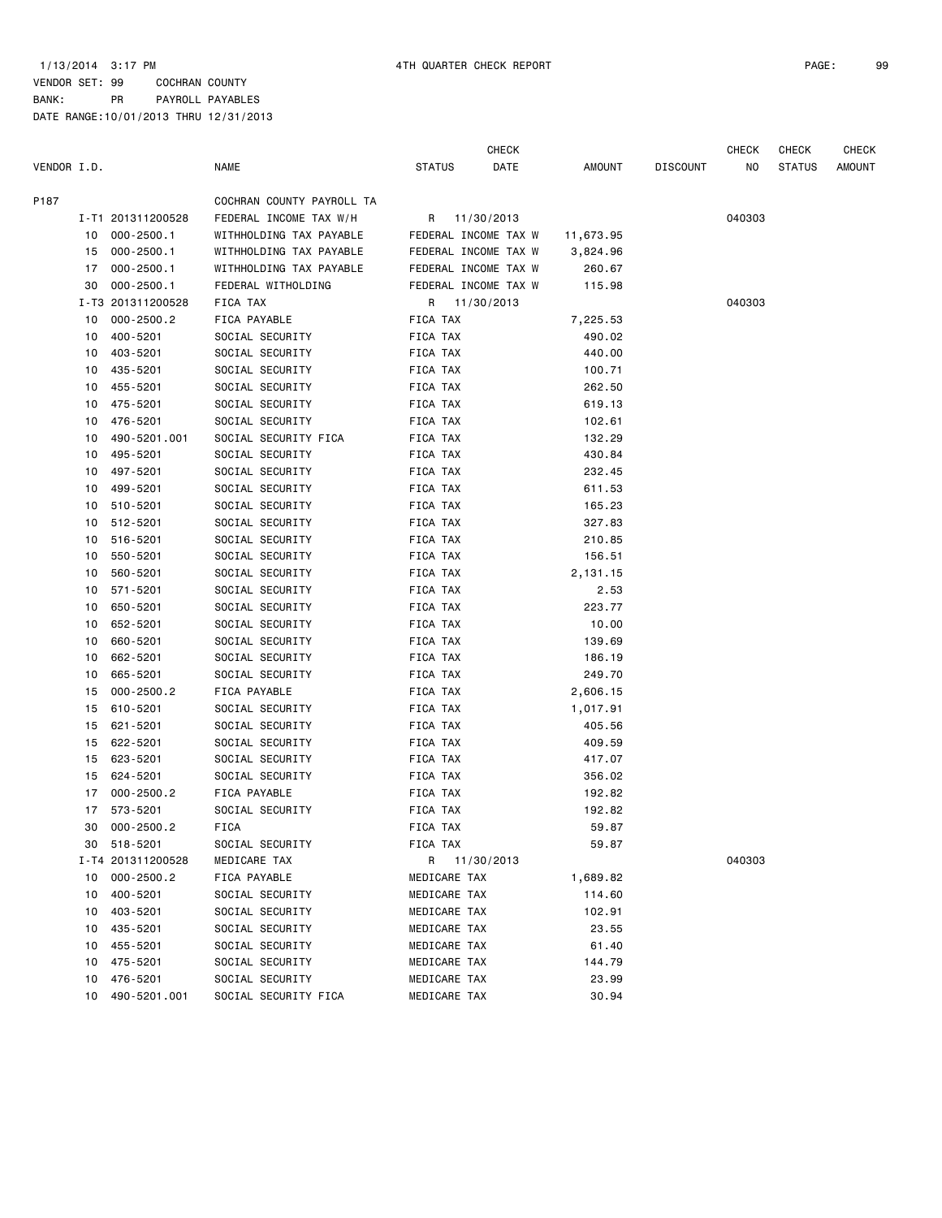1/13/2014 3:17 PM 4TH QUARTER CHECK REPORT PAGE: 99 VENDOR SET: 99 COCHRAN COUNTY BANK: PR PAYROLL PAYABLES DATE RANGE:10/01/2013 THRU 12/31/2013

CHECK CHECK CHECK CHECK

| VENDOR I.D. |    |                   | <b>NAME</b>               | <b>STATUS</b> | DATE                 | AMOUNT    | <b>DISCOUNT</b> | NO.    | <b>STATUS</b> | <b>AMOUNT</b> |
|-------------|----|-------------------|---------------------------|---------------|----------------------|-----------|-----------------|--------|---------------|---------------|
| P187        |    |                   | COCHRAN COUNTY PAYROLL TA |               |                      |           |                 |        |               |               |
|             |    | I-T1 201311200528 | FEDERAL INCOME TAX W/H    |               | R 11/30/2013         |           |                 | 040303 |               |               |
|             | 10 | $000 - 2500.1$    | WITHHOLDING TAX PAYABLE   |               | FEDERAL INCOME TAX W | 11,673.95 |                 |        |               |               |
|             | 15 | $000 - 2500.1$    | WITHHOLDING TAX PAYABLE   |               | FEDERAL INCOME TAX W | 3,824.96  |                 |        |               |               |
|             | 17 | $000 - 2500.1$    | WITHHOLDING TAX PAYABLE   |               | FEDERAL INCOME TAX W | 260.67    |                 |        |               |               |
|             | 30 | $000 - 2500.1$    | FEDERAL WITHOLDING        |               | FEDERAL INCOME TAX W | 115.98    |                 |        |               |               |
|             |    | I-T3 201311200528 | FICA TAX                  |               | R 11/30/2013         |           |                 | 040303 |               |               |
|             | 10 | $000 - 2500.2$    | FICA PAYABLE              | FICA TAX      |                      | 7,225.53  |                 |        |               |               |
|             | 10 | 400-5201          | SOCIAL SECURITY           | FICA TAX      |                      | 490.02    |                 |        |               |               |
|             | 10 | 403-5201          | SOCIAL SECURITY           | FICA TAX      |                      | 440.00    |                 |        |               |               |
|             | 10 | 435-5201          | SOCIAL SECURITY           | FICA TAX      |                      | 100.71    |                 |        |               |               |
|             | 10 | 455-5201          | SOCIAL SECURITY           | FICA TAX      |                      | 262.50    |                 |        |               |               |
|             | 10 | 475-5201          | SOCIAL SECURITY           | FICA TAX      |                      | 619.13    |                 |        |               |               |
|             | 10 | 476-5201          | SOCIAL SECURITY           | FICA TAX      |                      | 102.61    |                 |        |               |               |
|             | 10 | 490-5201.001      | SOCIAL SECURITY FICA      | FICA TAX      |                      | 132.29    |                 |        |               |               |
|             | 10 | 495-5201          | SOCIAL SECURITY           | FICA TAX      |                      | 430.84    |                 |        |               |               |
|             | 10 | 497-5201          | SOCIAL SECURITY           | FICA TAX      |                      | 232.45    |                 |        |               |               |
|             | 10 | 499-5201          | SOCIAL SECURITY           | FICA TAX      |                      | 611.53    |                 |        |               |               |
|             | 10 | 510-5201          | SOCIAL SECURITY           | FICA TAX      |                      | 165.23    |                 |        |               |               |
|             | 10 | 512-5201          | SOCIAL SECURITY           | FICA TAX      |                      | 327.83    |                 |        |               |               |
|             | 10 | 516-5201          | SOCIAL SECURITY           | FICA TAX      |                      | 210.85    |                 |        |               |               |
|             | 10 | 550-5201          | SOCIAL SECURITY           | FICA TAX      |                      | 156.51    |                 |        |               |               |
|             | 10 | 560-5201          | SOCIAL SECURITY           | FICA TAX      |                      | 2,131.15  |                 |        |               |               |
|             | 10 | 571-5201          | SOCIAL SECURITY           | FICA TAX      |                      | 2.53      |                 |        |               |               |
|             | 10 | 650-5201          | SOCIAL SECURITY           | FICA TAX      |                      | 223.77    |                 |        |               |               |
|             | 10 | 652-5201          | SOCIAL SECURITY           | FICA TAX      |                      | 10.00     |                 |        |               |               |
|             | 10 | 660-5201          | SOCIAL SECURITY           | FICA TAX      |                      | 139.69    |                 |        |               |               |
|             | 10 | 662-5201          | SOCIAL SECURITY           | FICA TAX      |                      | 186.19    |                 |        |               |               |
|             | 10 | 665-5201          | SOCIAL SECURITY           | FICA TAX      |                      | 249.70    |                 |        |               |               |
|             | 15 | $000 - 2500.2$    | FICA PAYABLE              | FICA TAX      |                      | 2,606.15  |                 |        |               |               |
|             | 15 | 610-5201          | SOCIAL SECURITY           | FICA TAX      |                      | 1,017.91  |                 |        |               |               |
|             | 15 | 621-5201          | SOCIAL SECURITY           | FICA TAX      |                      | 405.56    |                 |        |               |               |
|             | 15 | 622-5201          | SOCIAL SECURITY           | FICA TAX      |                      | 409.59    |                 |        |               |               |
|             | 15 | 623-5201          | SOCIAL SECURITY           | FICA TAX      |                      | 417.07    |                 |        |               |               |
|             |    |                   |                           |               |                      |           |                 |        |               |               |
|             | 15 | 624-5201          | SOCIAL SECURITY           | FICA TAX      |                      | 356.02    |                 |        |               |               |
|             | 17 | $000 - 2500.2$    | FICA PAYABLE              | FICA TAX      |                      | 192.82    |                 |        |               |               |
|             | 17 | 573-5201          | SOCIAL SECURITY           | FICA TAX      |                      | 192.82    |                 |        |               |               |
|             | 30 | $000 - 2500.2$    | <b>FICA</b>               | FICA TAX      |                      | 59.87     |                 |        |               |               |
|             | 30 | 518-5201          | SOCIAL SECURITY           | FICA TAX      |                      | 59.87     |                 |        |               |               |
|             |    | I-T4 201311200528 | MEDICARE TAX              |               | R 11/30/2013         |           |                 | 040303 |               |               |
|             | 10 | $000 - 2500.2$    | FICA PAYABLE              | MEDICARE TAX  |                      | 1,689.82  |                 |        |               |               |
|             | 10 | 400-5201          | SOCIAL SECURITY           | MEDICARE TAX  |                      | 114.60    |                 |        |               |               |
|             | 10 | 403-5201          | SOCIAL SECURITY           | MEDICARE TAX  |                      | 102.91    |                 |        |               |               |
|             | 10 | 435-5201          | SOCIAL SECURITY           | MEDICARE TAX  |                      | 23.55     |                 |        |               |               |
|             | 10 | 455-5201          | SOCIAL SECURITY           | MEDICARE TAX  |                      | 61.40     |                 |        |               |               |
|             | 10 | 475-5201          | SOCIAL SECURITY           | MEDICARE TAX  |                      | 144.79    |                 |        |               |               |
|             | 10 | 476-5201          | SOCIAL SECURITY           | MEDICARE TAX  |                      | 23.99     |                 |        |               |               |
|             | 10 | 490-5201.001      | SOCIAL SECURITY FICA      | MEDICARE TAX  |                      | 30.94     |                 |        |               |               |
|             |    |                   |                           |               |                      |           |                 |        |               |               |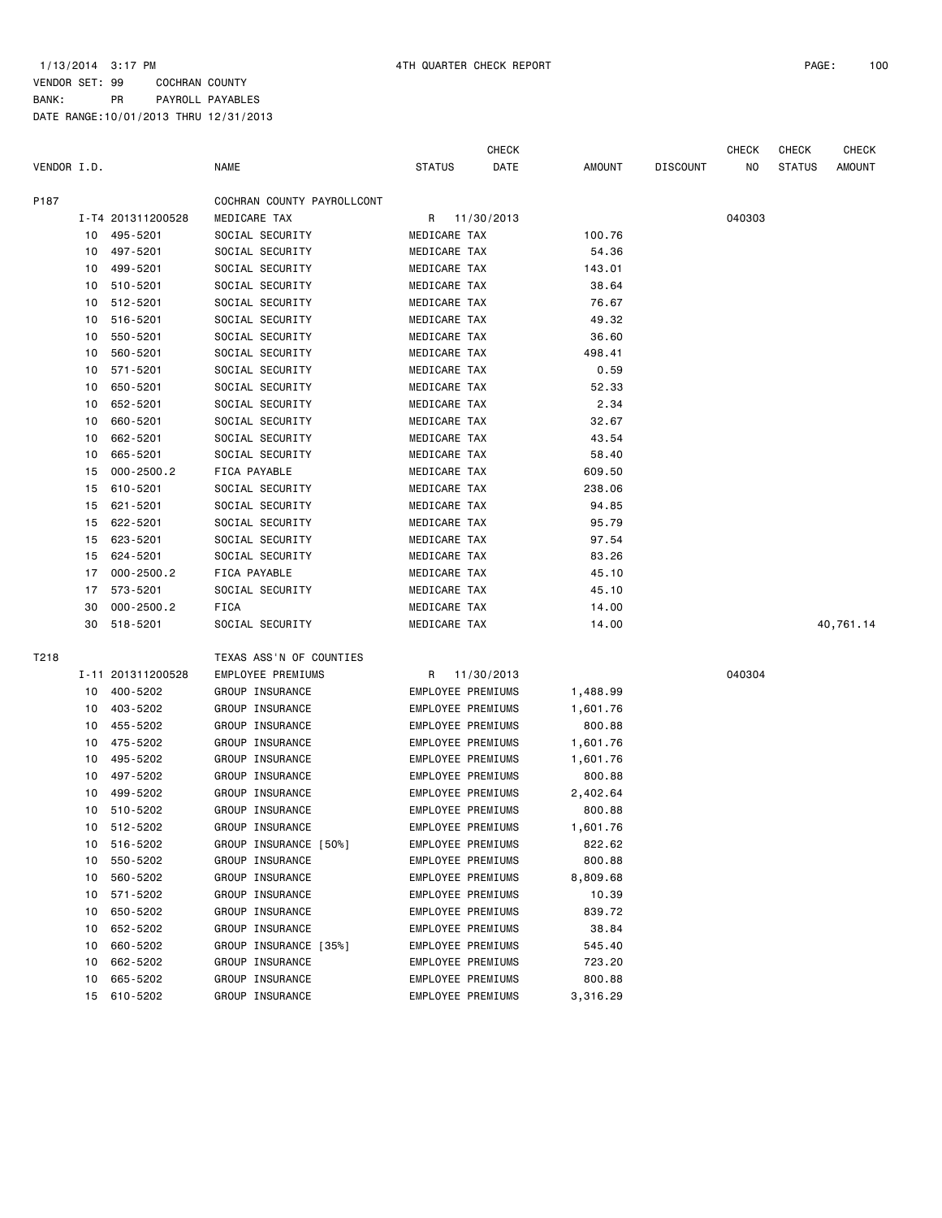|             |    |                   |                            |               | <b>CHECK</b>             |               |                 | <b>CHECK</b> | <b>CHECK</b>  | <b>CHECK</b> |
|-------------|----|-------------------|----------------------------|---------------|--------------------------|---------------|-----------------|--------------|---------------|--------------|
| VENDOR I.D. |    |                   | <b>NAME</b>                | <b>STATUS</b> | DATE                     | <b>AMOUNT</b> | <b>DISCOUNT</b> | NO           | <b>STATUS</b> | AMOUNT       |
| P187        |    |                   | COCHRAN COUNTY PAYROLLCONT |               |                          |               |                 |              |               |              |
|             |    | I-T4 201311200528 | MEDICARE TAX               | R             | 11/30/2013               |               |                 | 040303       |               |              |
|             | 10 | 495-5201          | SOCIAL SECURITY            | MEDICARE TAX  |                          | 100.76        |                 |              |               |              |
|             | 10 | 497-5201          | SOCIAL SECURITY            | MEDICARE TAX  |                          | 54.36         |                 |              |               |              |
|             | 10 | 499-5201          | SOCIAL SECURITY            | MEDICARE TAX  |                          | 143.01        |                 |              |               |              |
|             | 10 | 510-5201          | SOCIAL SECURITY            | MEDICARE TAX  |                          | 38.64         |                 |              |               |              |
|             | 10 | 512-5201          | SOCIAL SECURITY            | MEDICARE TAX  |                          | 76.67         |                 |              |               |              |
|             | 10 | 516-5201          | SOCIAL SECURITY            | MEDICARE TAX  |                          | 49.32         |                 |              |               |              |
|             | 10 | 550-5201          | SOCIAL SECURITY            | MEDICARE TAX  |                          | 36.60         |                 |              |               |              |
|             | 10 | 560-5201          | SOCIAL SECURITY            | MEDICARE TAX  |                          | 498.41        |                 |              |               |              |
|             | 10 | 571-5201          | SOCIAL SECURITY            | MEDICARE TAX  |                          | 0.59          |                 |              |               |              |
|             | 10 | 650-5201          | SOCIAL SECURITY            | MEDICARE TAX  |                          | 52.33         |                 |              |               |              |
|             | 10 | 652-5201          | SOCIAL SECURITY            | MEDICARE TAX  |                          | 2.34          |                 |              |               |              |
|             | 10 | 660-5201          | SOCIAL SECURITY            | MEDICARE TAX  |                          | 32.67         |                 |              |               |              |
|             | 10 | 662-5201          | SOCIAL SECURITY            | MEDICARE TAX  |                          | 43.54         |                 |              |               |              |
|             | 10 | 665-5201          | SOCIAL SECURITY            | MEDICARE TAX  |                          | 58.40         |                 |              |               |              |
|             | 15 | $000 - 2500.2$    | FICA PAYABLE               | MEDICARE TAX  |                          | 609.50        |                 |              |               |              |
|             | 15 | 610-5201          | SOCIAL SECURITY            | MEDICARE TAX  |                          | 238.06        |                 |              |               |              |
|             | 15 | 621-5201          | SOCIAL SECURITY            | MEDICARE TAX  |                          | 94.85         |                 |              |               |              |
|             | 15 | 622-5201          | SOCIAL SECURITY            | MEDICARE TAX  |                          | 95.79         |                 |              |               |              |
|             | 15 | 623-5201          | SOCIAL SECURITY            | MEDICARE TAX  |                          | 97.54         |                 |              |               |              |
|             | 15 | 624-5201          | SOCIAL SECURITY            | MEDICARE TAX  |                          | 83.26         |                 |              |               |              |
|             | 17 | $000 - 2500.2$    | FICA PAYABLE               | MEDICARE TAX  |                          | 45.10         |                 |              |               |              |
|             | 17 | 573-5201          | SOCIAL SECURITY            | MEDICARE TAX  |                          | 45.10         |                 |              |               |              |
|             | 30 | $000 - 2500.2$    | <b>FICA</b>                | MEDICARE TAX  |                          | 14.00         |                 |              |               |              |
|             | 30 | 518-5201          | SOCIAL SECURITY            | MEDICARE TAX  |                          | 14.00         |                 |              |               | 40,761.14    |
| T218        |    |                   | TEXAS ASS'N OF COUNTIES    |               |                          |               |                 |              |               |              |
|             |    | I-11 201311200528 | EMPLOYEE PREMIUMS          | R             | 11/30/2013               |               |                 | 040304       |               |              |
|             | 10 | 400-5202          | GROUP INSURANCE            |               | EMPLOYEE PREMIUMS        | 1,488.99      |                 |              |               |              |
|             | 10 | 403-5202          | GROUP INSURANCE            |               | EMPLOYEE PREMIUMS        | 1,601.76      |                 |              |               |              |
|             | 10 | 455-5202          | GROUP INSURANCE            |               | EMPLOYEE PREMIUMS        | 800.88        |                 |              |               |              |
|             | 10 | 475-5202          | GROUP INSURANCE            |               | EMPLOYEE PREMIUMS        | 1,601.76      |                 |              |               |              |
|             | 10 | 495 - 5202        | GROUP INSURANCE            |               | EMPLOYEE PREMIUMS        | 1,601.76      |                 |              |               |              |
|             | 10 | 497-5202          | GROUP INSURANCE            |               | EMPLOYEE PREMIUMS        | 800.88        |                 |              |               |              |
|             | 10 | 499-5202          | GROUP INSURANCE            |               | EMPLOYEE PREMIUMS        | 2,402.64      |                 |              |               |              |
|             | 10 | 510-5202          | GROUP INSURANCE            |               | EMPLOYEE PREMIUMS        | 800.88        |                 |              |               |              |
|             | 10 | 512-5202          | GROUP INSURANCE            |               | EMPLOYEE PREMIUMS        | 1,601.76      |                 |              |               |              |
|             | 10 | 516-5202          | GROUP INSURANCE [50%]      |               | <b>EMPLOYEE PREMIUMS</b> | 822.62        |                 |              |               |              |
|             | 10 | 550-5202          | GROUP INSURANCE            |               | EMPLOYEE PREMIUMS        | 800.88        |                 |              |               |              |
|             | 10 | 560-5202          | GROUP INSURANCE            |               | EMPLOYEE PREMIUMS        | 8,809.68      |                 |              |               |              |
|             | 10 | 571-5202          | GROUP INSURANCE            |               | EMPLOYEE PREMIUMS        | 10.39         |                 |              |               |              |
|             | 10 | 650-5202          | GROUP INSURANCE            |               | EMPLOYEE PREMIUMS        | 839.72        |                 |              |               |              |
|             | 10 | 652-5202          | GROUP INSURANCE            |               | EMPLOYEE PREMIUMS        | 38.84         |                 |              |               |              |
|             | 10 | 660-5202          | GROUP INSURANCE [35%]      |               | EMPLOYEE PREMIUMS        | 545.40        |                 |              |               |              |
|             | 10 | 662-5202          | GROUP INSURANCE            |               | EMPLOYEE PREMIUMS        | 723.20        |                 |              |               |              |
|             | 10 | 665-5202          | GROUP INSURANCE            |               | EMPLOYEE PREMIUMS        | 800.88        |                 |              |               |              |
|             | 15 | 610-5202          | GROUP INSURANCE            |               | <b>EMPLOYEE PREMIUMS</b> | 3,316.29      |                 |              |               |              |
|             |    |                   |                            |               |                          |               |                 |              |               |              |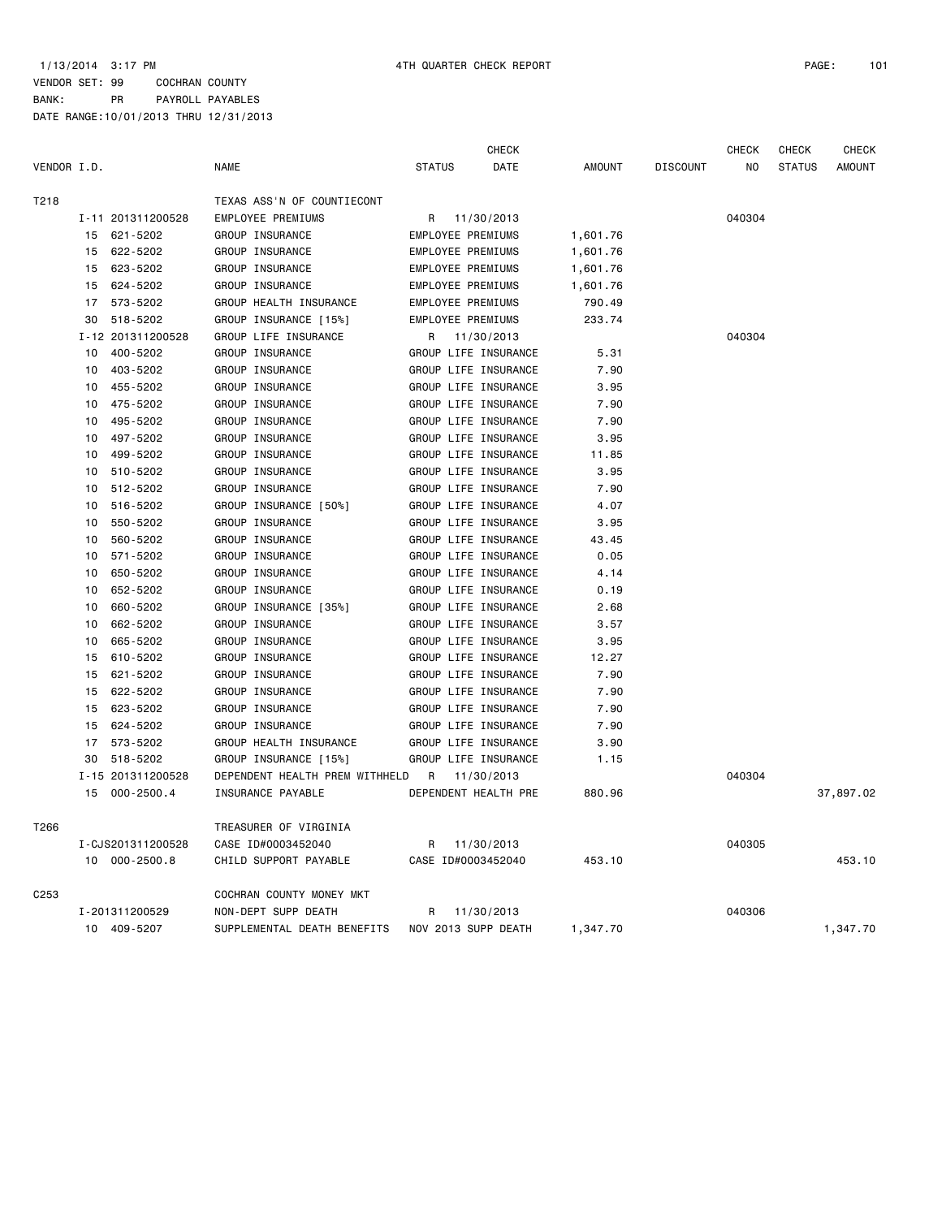|             |    |                   |                                |                          | CHECK      |               |                 | CHECK  | <b>CHECK</b>  | CHECK     |
|-------------|----|-------------------|--------------------------------|--------------------------|------------|---------------|-----------------|--------|---------------|-----------|
| VENDOR I.D. |    |                   | <b>NAME</b>                    | <b>STATUS</b>            | DATE       | <b>AMOUNT</b> | <b>DISCOUNT</b> | NO     | <b>STATUS</b> | AMOUNT    |
| T218        |    |                   | TEXAS ASS'N OF COUNTIECONT     |                          |            |               |                 |        |               |           |
|             |    | I-11 201311200528 | EMPLOYEE PREMIUMS              | R                        | 11/30/2013 |               |                 | 040304 |               |           |
|             | 15 | 621-5202          | GROUP INSURANCE                | <b>EMPLOYEE PREMIUMS</b> |            | 1,601.76      |                 |        |               |           |
|             | 15 | 622-5202          | GROUP INSURANCE                | EMPLOYEE PREMIUMS        |            | 1,601.76      |                 |        |               |           |
|             | 15 | 623-5202          | GROUP INSURANCE                | <b>EMPLOYEE PREMIUMS</b> |            | 1,601.76      |                 |        |               |           |
|             | 15 | 624-5202          | GROUP INSURANCE                | EMPLOYEE PREMIUMS        |            | 1,601.76      |                 |        |               |           |
|             | 17 | 573-5202          | GROUP HEALTH INSURANCE         | EMPLOYEE PREMIUMS        |            | 790.49        |                 |        |               |           |
|             | 30 | 518-5202          | GROUP INSURANCE [15%]          | EMPLOYEE PREMIUMS        |            | 233.74        |                 |        |               |           |
|             |    | I-12 201311200528 | GROUP LIFE INSURANCE           | R                        | 11/30/2013 |               |                 | 040304 |               |           |
|             | 10 | 400-5202          | GROUP INSURANCE                | GROUP LIFE INSURANCE     |            | 5.31          |                 |        |               |           |
|             | 10 | 403-5202          | GROUP INSURANCE                | GROUP LIFE INSURANCE     |            | 7.90          |                 |        |               |           |
|             | 10 | 455-5202          | GROUP INSURANCE                | GROUP LIFE INSURANCE     |            | 3.95          |                 |        |               |           |
|             | 10 | 475-5202          | GROUP INSURANCE                | GROUP LIFE INSURANCE     |            | 7.90          |                 |        |               |           |
|             | 10 | 495-5202          | GROUP INSURANCE                | GROUP LIFE INSURANCE     |            | 7.90          |                 |        |               |           |
|             | 10 | 497-5202          | GROUP INSURANCE                | GROUP LIFE INSURANCE     |            | 3.95          |                 |        |               |           |
|             | 10 | 499-5202          | GROUP INSURANCE                | GROUP LIFE INSURANCE     |            | 11.85         |                 |        |               |           |
|             | 10 | 510-5202          | GROUP INSURANCE                | GROUP LIFE INSURANCE     |            | 3.95          |                 |        |               |           |
|             | 10 | 512-5202          | GROUP INSURANCE                | GROUP LIFE INSURANCE     |            | 7.90          |                 |        |               |           |
|             | 10 | 516-5202          | GROUP INSURANCE [50%]          | GROUP LIFE INSURANCE     |            | 4.07          |                 |        |               |           |
|             | 10 | 550-5202          | GROUP INSURANCE                | GROUP LIFE INSURANCE     |            | 3.95          |                 |        |               |           |
|             | 10 | 560-5202          | GROUP INSURANCE                | GROUP LIFE INSURANCE     |            | 43.45         |                 |        |               |           |
|             | 10 | 571-5202          | GROUP INSURANCE                | GROUP LIFE INSURANCE     |            | 0.05          |                 |        |               |           |
|             | 10 | 650-5202          | GROUP INSURANCE                | GROUP LIFE INSURANCE     |            | 4.14          |                 |        |               |           |
|             | 10 | 652-5202          | GROUP INSURANCE                | GROUP LIFE INSURANCE     |            | 0.19          |                 |        |               |           |
|             | 10 | 660-5202          | GROUP INSURANCE [35%]          | GROUP LIFE INSURANCE     |            | 2.68          |                 |        |               |           |
|             | 10 | 662-5202          | GROUP INSURANCE                | GROUP LIFE INSURANCE     |            | 3.57          |                 |        |               |           |
|             | 10 | 665-5202          | GROUP INSURANCE                | GROUP LIFE INSURANCE     |            | 3.95          |                 |        |               |           |
|             | 15 | 610-5202          | GROUP INSURANCE                | GROUP LIFE INSURANCE     |            | 12.27         |                 |        |               |           |
|             | 15 | 621-5202          | GROUP INSURANCE                | GROUP LIFE INSURANCE     |            | 7.90          |                 |        |               |           |
|             | 15 | 622-5202          | GROUP INSURANCE                | GROUP LIFE INSURANCE     |            | 7.90          |                 |        |               |           |
|             | 15 | 623-5202          | GROUP INSURANCE                | GROUP LIFE INSURANCE     |            | 7.90          |                 |        |               |           |
|             | 15 | 624-5202          | GROUP INSURANCE                | GROUP LIFE INSURANCE     |            | 7.90          |                 |        |               |           |
|             | 17 | 573-5202          | GROUP HEALTH INSURANCE         | GROUP LIFE INSURANCE     |            | 3.90          |                 |        |               |           |
|             | 30 | 518-5202          | GROUP INSURANCE [15%]          | GROUP LIFE INSURANCE     |            | 1.15          |                 |        |               |           |
|             |    | I-15 201311200528 | DEPENDENT HEALTH PREM WITHHELD | R                        | 11/30/2013 |               |                 | 040304 |               |           |
|             | 15 | $000 - 2500.4$    | INSURANCE PAYABLE              | DEPENDENT HEALTH PRE     |            | 880.96        |                 |        |               | 37,897.02 |
| T266        |    |                   | TREASURER OF VIRGINIA          |                          |            |               |                 |        |               |           |
|             |    | I-CJS201311200528 | CASE ID#0003452040             | R.                       | 11/30/2013 |               |                 | 040305 |               |           |
|             |    | 10 000-2500.8     | CHILD SUPPORT PAYABLE          | CASE ID#0003452040       |            | 453.10        |                 |        |               | 453.10    |
| C253        |    |                   | COCHRAN COUNTY MONEY MKT       |                          |            |               |                 |        |               |           |
|             |    | I-201311200529    | NON-DEPT SUPP DEATH            | R                        | 11/30/2013 |               |                 | 040306 |               |           |
|             |    | 10 409-5207       | SUPPLEMENTAL DEATH BENEFITS    | NOV 2013 SUPP DEATH      |            | 1,347.70      |                 |        |               | 1,347.70  |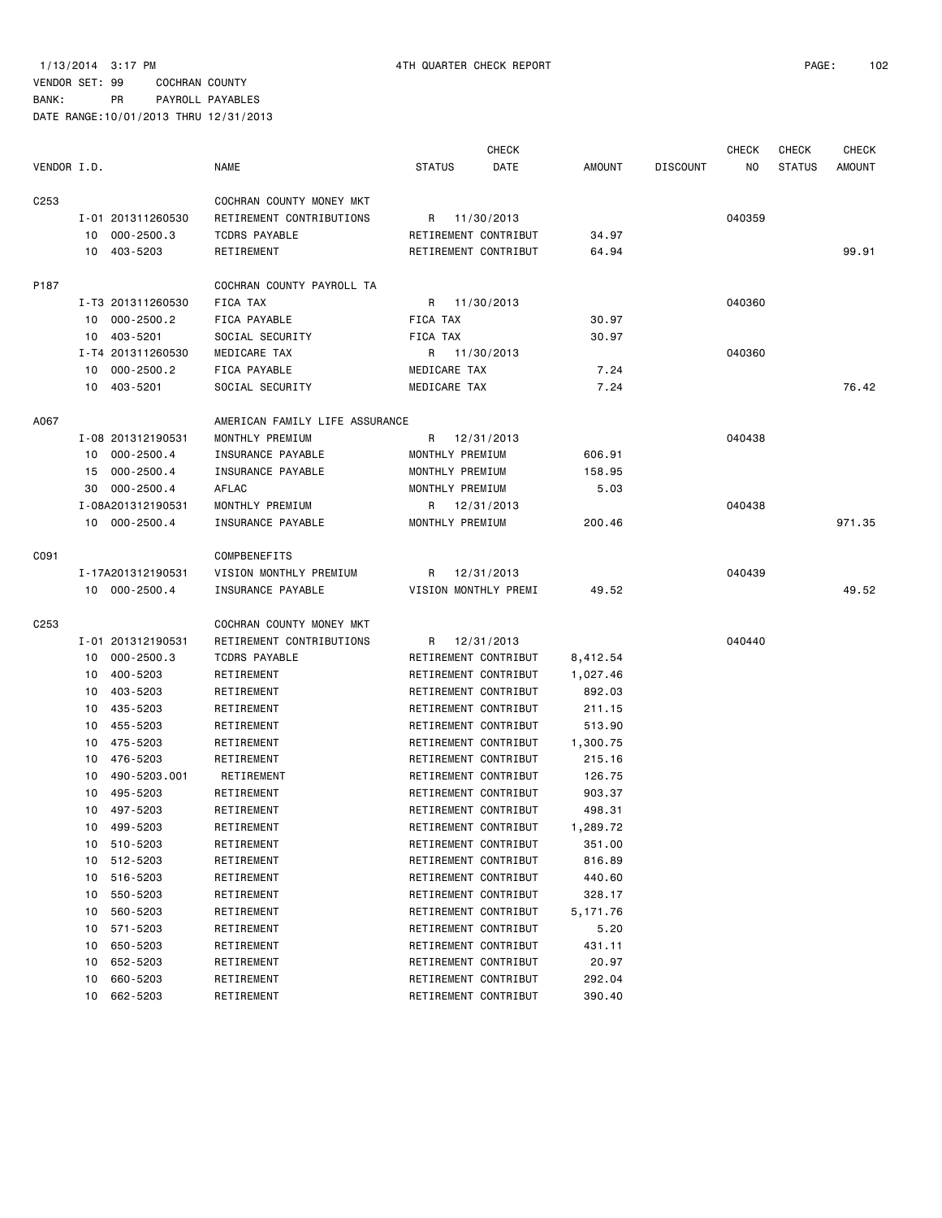|                  |    |                   |                                |                      | <b>CHECK</b>         |               |                 | <b>CHECK</b> | <b>CHECK</b>  | <b>CHECK</b> |
|------------------|----|-------------------|--------------------------------|----------------------|----------------------|---------------|-----------------|--------------|---------------|--------------|
| VENDOR I.D.      |    |                   | <b>NAME</b>                    | <b>STATUS</b>        | DATE                 | <b>AMOUNT</b> | <b>DISCOUNT</b> | NO.          | <b>STATUS</b> | AMOUNT       |
| C <sub>253</sub> |    |                   | COCHRAN COUNTY MONEY MKT       |                      |                      |               |                 |              |               |              |
|                  |    | I-01 201311260530 | RETIREMENT CONTRIBUTIONS       | R 11/30/2013         |                      |               |                 | 040359       |               |              |
|                  |    | 10 000-2500.3     | <b>TCDRS PAYABLE</b>           | RETIREMENT CONTRIBUT |                      | 34.97         |                 |              |               |              |
|                  |    | 10 403-5203       | RETIREMENT                     | RETIREMENT CONTRIBUT |                      | 64.94         |                 |              |               | 99.91        |
| P187             |    |                   | COCHRAN COUNTY PAYROLL TA      |                      |                      |               |                 |              |               |              |
|                  |    | I-T3 201311260530 | FICA TAX                       | R 11/30/2013         |                      |               |                 | 040360       |               |              |
|                  | 10 | $000 - 2500.2$    | <b>FICA PAYABLE</b>            | FICA TAX             |                      | 30.97         |                 |              |               |              |
|                  | 10 | 403-5201          | SOCIAL SECURITY                | FICA TAX             |                      | 30.97         |                 |              |               |              |
|                  |    | I-T4 201311260530 | MEDICARE TAX                   | R 11/30/2013         |                      |               |                 | 040360       |               |              |
|                  | 10 | $000 - 2500.2$    | FICA PAYABLE                   | MEDICARE TAX         |                      | 7.24          |                 |              |               |              |
|                  |    | 10 403-5201       | SOCIAL SECURITY                | MEDICARE TAX         |                      | 7.24          |                 |              |               | 76.42        |
| A067             |    |                   | AMERICAN FAMILY LIFE ASSURANCE |                      |                      |               |                 |              |               |              |
|                  |    | I-08 201312190531 | MONTHLY PREMIUM                | R 12/31/2013         |                      |               |                 | 040438       |               |              |
|                  | 10 | $000 - 2500.4$    | INSURANCE PAYABLE              | MONTHLY PREMIUM      |                      | 606.91        |                 |              |               |              |
|                  | 15 | $000 - 2500.4$    | INSURANCE PAYABLE              | MONTHLY PREMIUM      |                      | 158.95        |                 |              |               |              |
|                  | 30 | $000 - 2500.4$    | AFLAC                          | MONTHLY PREMIUM      |                      | 5.03          |                 |              |               |              |
|                  |    | I-08A201312190531 | MONTHLY PREMIUM                | R 12/31/2013         |                      |               |                 | 040438       |               |              |
|                  |    | 10 000-2500.4     | INSURANCE PAYABLE              | MONTHLY PREMIUM      |                      | 200.46        |                 |              |               | 971.35       |
| C091             |    |                   | COMPBENEFITS                   |                      |                      |               |                 |              |               |              |
|                  |    | I-17A201312190531 | VISION MONTHLY PREMIUM         | R 12/31/2013         |                      |               |                 | 040439       |               |              |
|                  |    | 10 000-2500.4     | INSURANCE PAYABLE              | VISION MONTHLY PREMI |                      | 49.52         |                 |              |               | 49.52        |
| C <sub>253</sub> |    |                   | COCHRAN COUNTY MONEY MKT       |                      |                      |               |                 |              |               |              |
|                  |    | I-01 201312190531 | RETIREMENT CONTRIBUTIONS       | R 12/31/2013         |                      |               |                 | 040440       |               |              |
|                  | 10 | $000 - 2500.3$    | <b>TCDRS PAYABLE</b>           | RETIREMENT CONTRIBUT |                      | 8,412.54      |                 |              |               |              |
|                  | 10 | 400-5203          | RETIREMENT                     | RETIREMENT CONTRIBUT |                      | 1,027.46      |                 |              |               |              |
|                  | 10 | 403-5203          | RETIREMENT                     | RETIREMENT CONTRIBUT |                      | 892.03        |                 |              |               |              |
|                  | 10 | 435-5203          | RETIREMENT                     | RETIREMENT CONTRIBUT |                      | 211.15        |                 |              |               |              |
|                  | 10 | 455-5203          | RETIREMENT                     | RETIREMENT CONTRIBUT |                      | 513.90        |                 |              |               |              |
|                  | 10 | 475-5203          | RETIREMENT                     | RETIREMENT CONTRIBUT |                      | 1,300.75      |                 |              |               |              |
|                  | 10 | 476-5203          | RETIREMENT                     | RETIREMENT CONTRIBUT |                      | 215.16        |                 |              |               |              |
|                  | 10 | 490-5203.001      | RETIREMENT                     | RETIREMENT CONTRIBUT |                      | 126.75        |                 |              |               |              |
|                  | 10 | 495-5203          | RETIREMENT                     | RETIREMENT CONTRIBUT |                      | 903.37        |                 |              |               |              |
|                  | 10 | 497-5203          | RETIREMENT                     | RETIREMENT CONTRIBUT |                      | 498.31        |                 |              |               |              |
|                  |    | 10 499-5203       | RETIREMENT                     |                      | RETIREMENT CONTRIBUT | 1,289.72      |                 |              |               |              |
|                  |    | 10 510-5203       | RETIREMENT                     | RETIREMENT CONTRIBUT |                      | 351.00        |                 |              |               |              |
|                  | 10 | 512-5203          | RETIREMENT                     | RETIREMENT CONTRIBUT |                      | 816.89        |                 |              |               |              |
|                  | 10 | 516-5203          | RETIREMENT                     | RETIREMENT CONTRIBUT |                      | 440.60        |                 |              |               |              |
|                  | 10 | 550-5203          | RETIREMENT                     | RETIREMENT CONTRIBUT |                      | 328.17        |                 |              |               |              |
|                  | 10 | 560-5203          | RETIREMENT                     | RETIREMENT CONTRIBUT |                      | 5,171.76      |                 |              |               |              |
|                  | 10 | 571-5203          | RETIREMENT                     | RETIREMENT CONTRIBUT |                      | 5.20          |                 |              |               |              |
|                  | 10 | 650-5203          | RETIREMENT                     | RETIREMENT CONTRIBUT |                      | 431.11        |                 |              |               |              |
|                  | 10 | 652-5203          | RETIREMENT                     | RETIREMENT CONTRIBUT |                      | 20.97         |                 |              |               |              |
|                  | 10 | 660-5203          | RETIREMENT                     | RETIREMENT CONTRIBUT |                      | 292.04        |                 |              |               |              |
|                  | 10 | 662-5203          | RETIREMENT                     | RETIREMENT CONTRIBUT |                      | 390.40        |                 |              |               |              |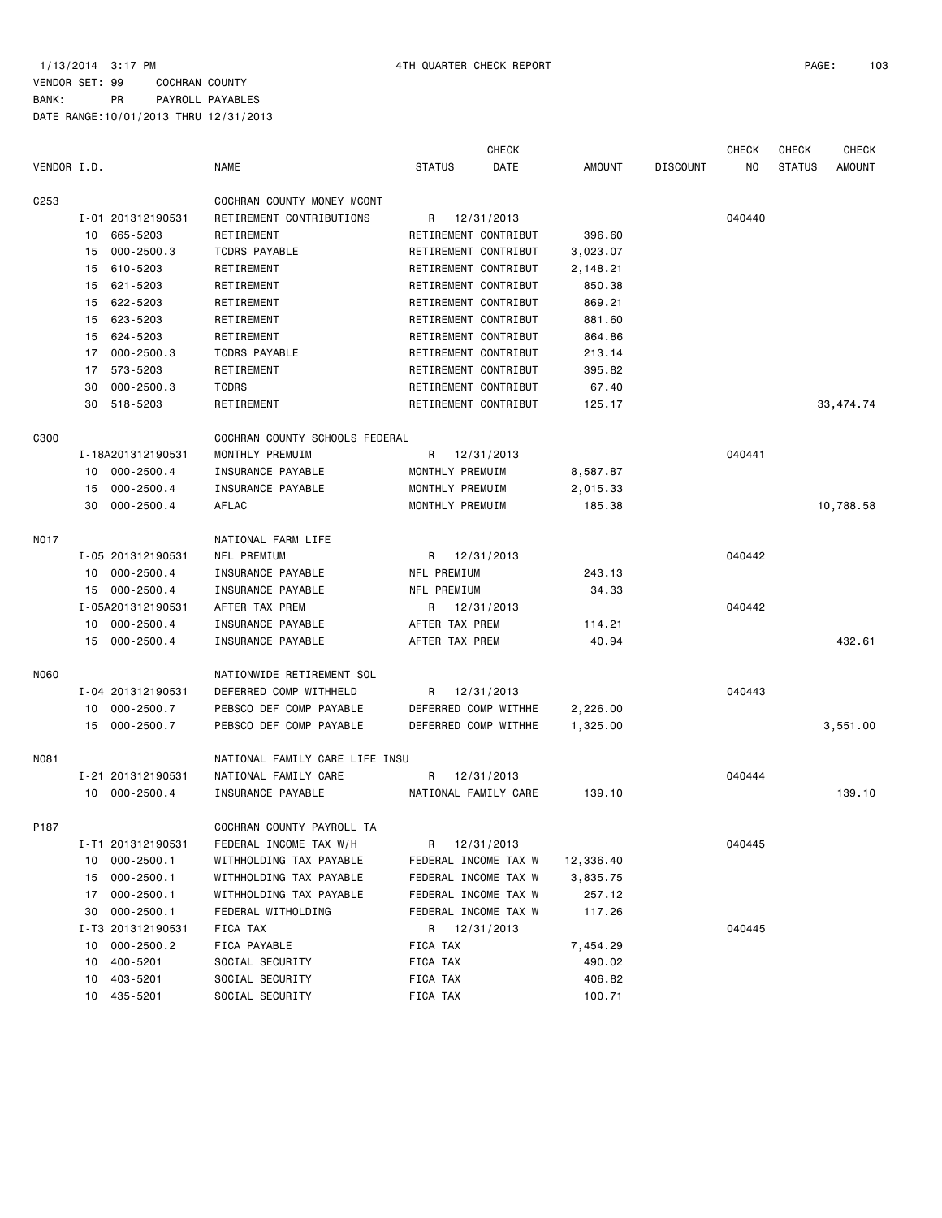|                  |    |                   |                                |                      | <b>CHECK</b> |               |                 | <b>CHECK</b> | <b>CHECK</b>  | <b>CHECK</b>  |
|------------------|----|-------------------|--------------------------------|----------------------|--------------|---------------|-----------------|--------------|---------------|---------------|
| VENDOR I.D.      |    |                   | <b>NAME</b>                    | <b>STATUS</b>        | DATE         | <b>AMOUNT</b> | <b>DISCOUNT</b> | NO           | <b>STATUS</b> | <b>AMOUNT</b> |
| C <sub>253</sub> |    |                   | COCHRAN COUNTY MONEY MCONT     |                      |              |               |                 |              |               |               |
|                  |    | I-01 201312190531 | RETIREMENT CONTRIBUTIONS       | R                    | 12/31/2013   |               |                 | 040440       |               |               |
|                  | 10 | 665-5203          | RETIREMENT                     | RETIREMENT CONTRIBUT |              | 396.60        |                 |              |               |               |
|                  | 15 | $000 - 2500.3$    | <b>TCDRS PAYABLE</b>           | RETIREMENT CONTRIBUT |              | 3,023.07      |                 |              |               |               |
|                  | 15 | 610-5203          | RETIREMENT                     | RETIREMENT CONTRIBUT |              | 2,148.21      |                 |              |               |               |
|                  | 15 | 621-5203          | RETIREMENT                     | RETIREMENT CONTRIBUT |              | 850.38        |                 |              |               |               |
|                  | 15 | 622-5203          | RETIREMENT                     | RETIREMENT CONTRIBUT |              | 869.21        |                 |              |               |               |
|                  | 15 | 623-5203          | RETIREMENT                     | RETIREMENT CONTRIBUT |              | 881.60        |                 |              |               |               |
|                  | 15 | 624-5203          | RETIREMENT                     | RETIREMENT CONTRIBUT |              | 864.86        |                 |              |               |               |
|                  | 17 | $000 - 2500.3$    | <b>TCDRS PAYABLE</b>           | RETIREMENT CONTRIBUT |              | 213.14        |                 |              |               |               |
|                  | 17 | 573-5203          | RETIREMENT                     | RETIREMENT CONTRIBUT |              | 395.82        |                 |              |               |               |
|                  | 30 | $000 - 2500.3$    | <b>TCDRS</b>                   | RETIREMENT CONTRIBUT |              | 67.40         |                 |              |               |               |
|                  | 30 | 518-5203          | RETIREMENT                     | RETIREMENT CONTRIBUT |              | 125.17        |                 |              |               | 33, 474.74    |
| C300             |    |                   | COCHRAN COUNTY SCHOOLS FEDERAL |                      |              |               |                 |              |               |               |
|                  |    | I-18A201312190531 | MONTHLY PREMUIM                | R                    | 12/31/2013   |               |                 | 040441       |               |               |
|                  | 10 | $000 - 2500.4$    | INSURANCE PAYABLE              | MONTHLY PREMUIM      |              | 8,587.87      |                 |              |               |               |
|                  | 15 | $000 - 2500.4$    | INSURANCE PAYABLE              | MONTHLY PREMUIM      |              | 2,015.33      |                 |              |               |               |
|                  | 30 | $000 - 2500.4$    | AFLAC                          | MONTHLY PREMUIM      |              | 185.38        |                 |              |               | 10,788.58     |
| <b>NO17</b>      |    |                   | NATIONAL FARM LIFE             |                      |              |               |                 |              |               |               |
|                  |    | I-05 201312190531 | NFL PREMIUM                    | R 12/31/2013         |              |               |                 | 040442       |               |               |
|                  | 10 | $000 - 2500.4$    | INSURANCE PAYABLE              | NFL PREMIUM          |              | 243.13        |                 |              |               |               |
|                  | 15 | $000 - 2500.4$    | INSURANCE PAYABLE              | NFL PREMIUM          |              | 34.33         |                 |              |               |               |
|                  |    | I-05A201312190531 | AFTER TAX PREM                 | R 12/31/2013         |              |               |                 | 040442       |               |               |
|                  | 10 | $000 - 2500.4$    | INSURANCE PAYABLE              | AFTER TAX PREM       |              | 114.21        |                 |              |               |               |
|                  | 15 | $000 - 2500.4$    | INSURANCE PAYABLE              | AFTER TAX PREM       |              | 40.94         |                 |              |               | 432.61        |
| N060             |    |                   | NATIONWIDE RETIREMENT SOL      |                      |              |               |                 |              |               |               |
|                  |    | I-04 201312190531 | DEFERRED COMP WITHHELD         | R.                   | 12/31/2013   |               |                 | 040443       |               |               |
|                  | 10 | $000 - 2500.7$    | PEBSCO DEF COMP PAYABLE        | DEFERRED COMP WITHHE |              | 2,226.00      |                 |              |               |               |
|                  | 15 | $000 - 2500.7$    | PEBSCO DEF COMP PAYABLE        | DEFERRED COMP WITHHE |              | 1,325.00      |                 |              |               | 3,551.00      |
| N081             |    |                   | NATIONAL FAMILY CARE LIFE INSU |                      |              |               |                 |              |               |               |
|                  |    | I-21 201312190531 | NATIONAL FAMILY CARE           | R                    | 12/31/2013   |               |                 | 040444       |               |               |
|                  |    | 10 000-2500.4     | INSURANCE PAYABLE              | NATIONAL FAMILY CARE |              | 139.10        |                 |              |               | 139.10        |
| P187             |    |                   | COCHRAN COUNTY PAYROLL TA      |                      |              |               |                 |              |               |               |
|                  |    | I-T1 201312190531 | FEDERAL INCOME TAX W/H         | R 12/31/2013         |              |               |                 | 040445       |               |               |
|                  | 10 | $000 - 2500.1$    | WITHHOLDING TAX PAYABLE        | FEDERAL INCOME TAX W |              | 12,336.40     |                 |              |               |               |
|                  | 15 | $000 - 2500.1$    | WITHHOLDING TAX PAYABLE        | FEDERAL INCOME TAX W |              | 3,835.75      |                 |              |               |               |
|                  | 17 | $000 - 2500.1$    | WITHHOLDING TAX PAYABLE        | FEDERAL INCOME TAX W |              | 257.12        |                 |              |               |               |
|                  | 30 | $000 - 2500.1$    | FEDERAL WITHOLDING             | FEDERAL INCOME TAX W |              | 117.26        |                 |              |               |               |
|                  |    | I-T3 201312190531 | FICA TAX                       | R 12/31/2013         |              |               |                 | 040445       |               |               |
|                  | 10 | $000 - 2500.2$    | FICA PAYABLE                   | FICA TAX             |              | 7,454.29      |                 |              |               |               |
|                  | 10 | 400-5201          | SOCIAL SECURITY                | FICA TAX             |              | 490.02        |                 |              |               |               |
|                  | 10 | 403-5201          | SOCIAL SECURITY                | FICA TAX             |              | 406.82        |                 |              |               |               |
|                  | 10 | 435-5201          | SOCIAL SECURITY                | FICA TAX             |              | 100.71        |                 |              |               |               |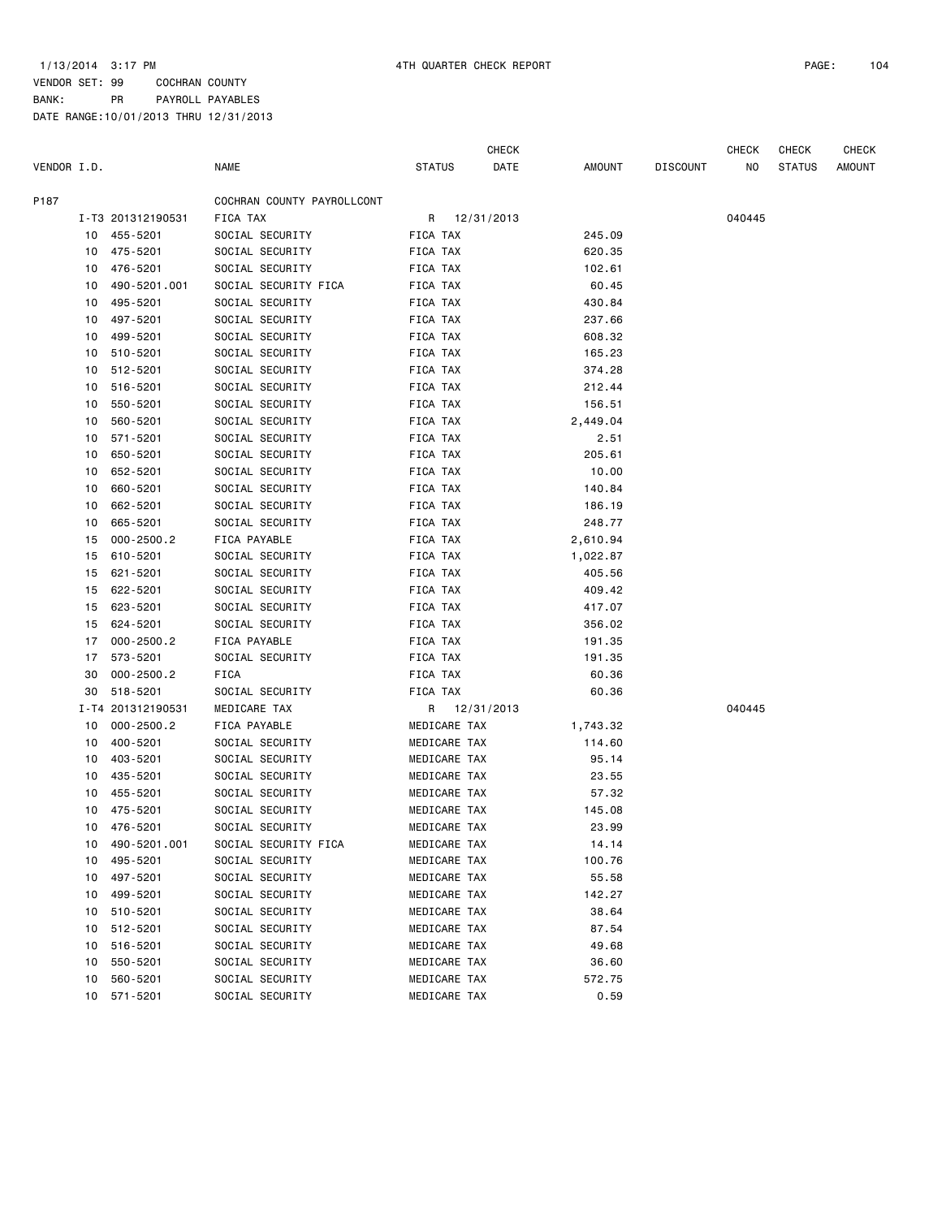CHECK CHECK CHECK CHECK

| VENDOR I.D. |    |                   | <b>NAME</b>                | <b>STATUS</b> |              | DATE         | AMOUNT   | <b>DISCOUNT</b> | NO.    | <b>STATUS</b> | <b>AMOUNT</b> |
|-------------|----|-------------------|----------------------------|---------------|--------------|--------------|----------|-----------------|--------|---------------|---------------|
| P187        |    |                   | COCHRAN COUNTY PAYROLLCONT |               |              |              |          |                 |        |               |               |
|             |    | I-T3 201312190531 | FICA TAX                   |               |              | R 12/31/2013 |          |                 | 040445 |               |               |
|             |    | 10 455-5201       | SOCIAL SECURITY            | FICA TAX      |              |              | 245.09   |                 |        |               |               |
|             |    | 10 475-5201       | SOCIAL SECURITY            | FICA TAX      |              |              | 620.35   |                 |        |               |               |
|             | 10 | 476-5201          | SOCIAL SECURITY            | FICA TAX      |              |              | 102.61   |                 |        |               |               |
|             | 10 | 490-5201.001      | SOCIAL SECURITY FICA       | FICA TAX      |              |              | 60.45    |                 |        |               |               |
|             | 10 | 495-5201          | SOCIAL SECURITY            | FICA TAX      |              |              | 430.84   |                 |        |               |               |
|             | 10 | 497-5201          | SOCIAL SECURITY            | FICA TAX      |              |              | 237.66   |                 |        |               |               |
|             | 10 | 499-5201          | SOCIAL SECURITY            | FICA TAX      |              |              | 608.32   |                 |        |               |               |
|             | 10 | 510-5201          | SOCIAL SECURITY            | FICA TAX      |              |              | 165.23   |                 |        |               |               |
|             | 10 | 512-5201          | SOCIAL SECURITY            | FICA TAX      |              |              | 374.28   |                 |        |               |               |
|             | 10 | 516-5201          | SOCIAL SECURITY            | FICA TAX      |              |              | 212.44   |                 |        |               |               |
|             | 10 | 550-5201          | SOCIAL SECURITY            | FICA TAX      |              |              | 156.51   |                 |        |               |               |
|             | 10 | 560-5201          | SOCIAL SECURITY            | FICA TAX      |              |              | 2,449.04 |                 |        |               |               |
|             | 10 | 571-5201          | SOCIAL SECURITY            | FICA TAX      |              |              | 2.51     |                 |        |               |               |
|             | 10 | 650-5201          | SOCIAL SECURITY            | FICA TAX      |              |              | 205.61   |                 |        |               |               |
|             | 10 | 652-5201          | SOCIAL SECURITY            | FICA TAX      |              |              | 10.00    |                 |        |               |               |
|             | 10 | 660-5201          | SOCIAL SECURITY            | FICA TAX      |              |              | 140.84   |                 |        |               |               |
|             | 10 | 662-5201          | SOCIAL SECURITY            | FICA TAX      |              |              | 186.19   |                 |        |               |               |
|             | 10 | 665-5201          | SOCIAL SECURITY            | FICA TAX      |              |              | 248.77   |                 |        |               |               |
|             | 15 | $000 - 2500.2$    | FICA PAYABLE               | FICA TAX      |              |              | 2,610.94 |                 |        |               |               |
|             | 15 | 610-5201          | SOCIAL SECURITY            | FICA TAX      |              |              | 1,022.87 |                 |        |               |               |
|             | 15 | 621-5201          | SOCIAL SECURITY            | FICA TAX      |              |              | 405.56   |                 |        |               |               |
|             | 15 | 622-5201          | SOCIAL SECURITY            | FICA TAX      |              |              | 409.42   |                 |        |               |               |
|             | 15 | 623-5201          | SOCIAL SECURITY            | FICA TAX      |              |              | 417.07   |                 |        |               |               |
|             | 15 | 624-5201          | SOCIAL SECURITY            | FICA TAX      |              |              | 356.02   |                 |        |               |               |
|             | 17 | $000 - 2500.2$    | FICA PAYABLE               | FICA TAX      |              |              | 191.35   |                 |        |               |               |
|             | 17 | 573-5201          | SOCIAL SECURITY            | FICA TAX      |              |              | 191.35   |                 |        |               |               |
|             | 30 | $000 - 2500.2$    | FICA                       | FICA TAX      |              |              | 60.36    |                 |        |               |               |
|             | 30 | 518-5201          | SOCIAL SECURITY            | FICA TAX      |              |              | 60.36    |                 |        |               |               |
|             |    | I-T4 201312190531 | MEDICARE TAX               |               |              | R 12/31/2013 |          |                 | 040445 |               |               |
|             | 10 | $000 - 2500.2$    | FICA PAYABLE               |               | MEDICARE TAX |              | 1,743.32 |                 |        |               |               |
|             | 10 | 400-5201          | SOCIAL SECURITY            |               | MEDICARE TAX |              | 114.60   |                 |        |               |               |
|             | 10 | 403-5201          | SOCIAL SECURITY            |               | MEDICARE TAX |              | 95.14    |                 |        |               |               |
|             | 10 | 435-5201          | SOCIAL SECURITY            |               | MEDICARE TAX |              | 23.55    |                 |        |               |               |
|             | 10 | 455-5201          | SOCIAL SECURITY            |               | MEDICARE TAX |              | 57.32    |                 |        |               |               |
|             | 10 | 475-5201          | SOCIAL SECURITY            |               | MEDICARE TAX |              | 145.08   |                 |        |               |               |
|             | 10 | 476-5201          | SOCIAL SECURITY            |               | MEDICARE TAX |              | 23.99    |                 |        |               |               |
|             | 10 | 490-5201.001      | SOCIAL SECURITY FICA       |               | MEDICARE TAX |              | 14.14    |                 |        |               |               |
|             | 10 | 495-5201          | SOCIAL SECURITY            |               | MEDICARE TAX |              | 100.76   |                 |        |               |               |
|             | 10 | 497-5201          | SOCIAL SECURITY            |               | MEDICARE TAX |              | 55.58    |                 |        |               |               |
|             | 10 | 499-5201          | SOCIAL SECURITY            |               | MEDICARE TAX |              | 142.27   |                 |        |               |               |
|             | 10 | 510-5201          | SOCIAL SECURITY            |               | MEDICARE TAX |              | 38.64    |                 |        |               |               |
|             | 10 | 512-5201          | SOCIAL SECURITY            |               | MEDICARE TAX |              | 87.54    |                 |        |               |               |
|             | 10 | 516-5201          | SOCIAL SECURITY            |               | MEDICARE TAX |              | 49.68    |                 |        |               |               |
|             | 10 | 550-5201          | SOCIAL SECURITY            |               | MEDICARE TAX |              | 36.60    |                 |        |               |               |
|             | 10 | 560-5201          | SOCIAL SECURITY            |               | MEDICARE TAX |              | 572.75   |                 |        |               |               |
|             | 10 | 571-5201          | SOCIAL SECURITY            |               | MEDICARE TAX |              | 0.59     |                 |        |               |               |
|             |    |                   |                            |               |              |              |          |                 |        |               |               |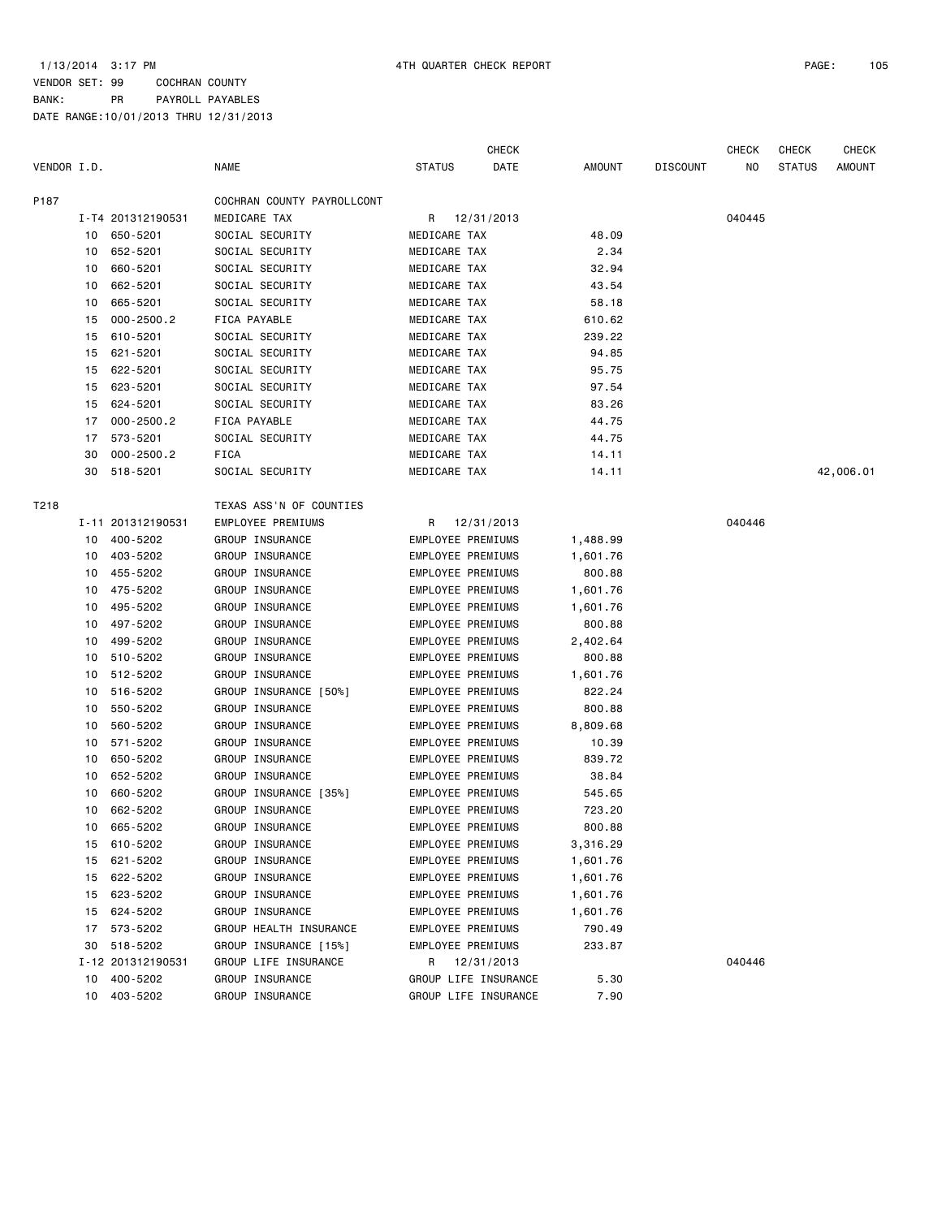|             |    |                   |                            |                   | CHECK                    |               |                 | <b>CHECK</b> | <b>CHECK</b>  | <b>CHECK</b> |
|-------------|----|-------------------|----------------------------|-------------------|--------------------------|---------------|-----------------|--------------|---------------|--------------|
| VENDOR I.D. |    |                   | <b>NAME</b>                | <b>STATUS</b>     | DATE                     | <b>AMOUNT</b> | <b>DISCOUNT</b> | NO           | <b>STATUS</b> | AMOUNT       |
| P187        |    |                   | COCHRAN COUNTY PAYROLLCONT |                   |                          |               |                 |              |               |              |
|             |    | I-T4 201312190531 | MEDICARE TAX               | R                 | 12/31/2013               |               |                 | 040445       |               |              |
|             | 10 | 650-5201          | SOCIAL SECURITY            | MEDICARE TAX      |                          | 48.09         |                 |              |               |              |
|             | 10 | 652-5201          | SOCIAL SECURITY            | MEDICARE TAX      |                          | 2.34          |                 |              |               |              |
|             | 10 | 660-5201          | SOCIAL SECURITY            | MEDICARE TAX      |                          | 32.94         |                 |              |               |              |
|             | 10 | 662-5201          | SOCIAL SECURITY            | MEDICARE TAX      |                          | 43.54         |                 |              |               |              |
|             | 10 | 665-5201          | SOCIAL SECURITY            | MEDICARE TAX      |                          | 58.18         |                 |              |               |              |
|             | 15 | $000 - 2500.2$    | FICA PAYABLE               | MEDICARE TAX      |                          | 610.62        |                 |              |               |              |
|             | 15 | 610-5201          | SOCIAL SECURITY            | MEDICARE TAX      |                          | 239.22        |                 |              |               |              |
|             | 15 | 621-5201          | SOCIAL SECURITY            | MEDICARE TAX      |                          | 94.85         |                 |              |               |              |
|             | 15 | 622-5201          | SOCIAL SECURITY            | MEDICARE TAX      |                          | 95.75         |                 |              |               |              |
|             | 15 | 623-5201          | SOCIAL SECURITY            | MEDICARE TAX      |                          | 97.54         |                 |              |               |              |
|             | 15 | 624-5201          | SOCIAL SECURITY            | MEDICARE TAX      |                          | 83.26         |                 |              |               |              |
|             | 17 | $000 - 2500.2$    | FICA PAYABLE               | MEDICARE TAX      |                          | 44.75         |                 |              |               |              |
|             | 17 | 573-5201          | SOCIAL SECURITY            | MEDICARE TAX      |                          | 44.75         |                 |              |               |              |
|             | 30 | $000 - 2500.2$    | FICA                       | MEDICARE TAX      |                          | 14.11         |                 |              |               |              |
|             | 30 | 518-5201          | SOCIAL SECURITY            | MEDICARE TAX      |                          | 14.11         |                 |              |               | 42,006.01    |
| T218        |    |                   | TEXAS ASS'N OF COUNTIES    |                   |                          |               |                 |              |               |              |
|             |    | I-11 201312190531 | EMPLOYEE PREMIUMS          |                   | R 12/31/2013             |               |                 | 040446       |               |              |
|             | 10 | 400-5202          | GROUP INSURANCE            |                   | EMPLOYEE PREMIUMS        | 1,488.99      |                 |              |               |              |
|             | 10 | 403-5202          | GROUP INSURANCE            |                   | EMPLOYEE PREMIUMS        | 1,601.76      |                 |              |               |              |
|             | 10 | 455-5202          | GROUP INSURANCE            |                   | EMPLOYEE PREMIUMS        | 800.88        |                 |              |               |              |
|             | 10 | 475-5202          | GROUP INSURANCE            |                   | EMPLOYEE PREMIUMS        | 1,601.76      |                 |              |               |              |
|             | 10 | 495-5202          | GROUP INSURANCE            |                   | EMPLOYEE PREMIUMS        | 1,601.76      |                 |              |               |              |
|             | 10 | 497-5202          | GROUP INSURANCE            |                   | EMPLOYEE PREMIUMS        | 800.88        |                 |              |               |              |
|             | 10 | 499-5202          | GROUP INSURANCE            |                   | EMPLOYEE PREMIUMS        | 2,402.64      |                 |              |               |              |
|             | 10 | 510-5202          | GROUP INSURANCE            |                   | EMPLOYEE PREMIUMS        | 800.88        |                 |              |               |              |
|             | 10 | 512-5202          | GROUP INSURANCE            |                   | EMPLOYEE PREMIUMS        | 1,601.76      |                 |              |               |              |
|             | 10 | 516-5202          | GROUP INSURANCE [50%]      |                   | EMPLOYEE PREMIUMS        | 822.24        |                 |              |               |              |
|             | 10 | 550-5202          | GROUP INSURANCE            |                   | EMPLOYEE PREMIUMS        | 800.88        |                 |              |               |              |
|             | 10 | 560-5202          | GROUP INSURANCE            |                   | EMPLOYEE PREMIUMS        | 8,809.68      |                 |              |               |              |
|             | 10 | 571-5202          | GROUP INSURANCE            |                   | EMPLOYEE PREMIUMS        | 10.39         |                 |              |               |              |
|             | 10 | 650-5202          | GROUP INSURANCE            |                   | <b>EMPLOYEE PREMIUMS</b> | 839.72        |                 |              |               |              |
|             | 10 | 652-5202          | GROUP INSURANCE            |                   | EMPLOYEE PREMIUMS        | 38.84         |                 |              |               |              |
|             | 10 | 660-5202          | GROUP INSURANCE [35%]      |                   | EMPLOYEE PREMIUMS        | 545.65        |                 |              |               |              |
|             | 10 | 662-5202          | GROUP INSURANCE            |                   | EMPLOYEE PREMIUMS        | 723.20        |                 |              |               |              |
|             | 10 | 665-5202          | GROUP INSURANCE            | EMPLOYEE PREMIUMS |                          | 800.88        |                 |              |               |              |
|             | 15 | 610-5202          | GROUP INSURANCE            |                   | EMPLOYEE PREMIUMS        | 3,316.29      |                 |              |               |              |
|             | 15 | 621-5202          | GROUP INSURANCE            |                   | EMPLOYEE PREMIUMS        | 1,601.76      |                 |              |               |              |
|             | 15 | 622-5202          | GROUP INSURANCE            |                   | EMPLOYEE PREMIUMS        | 1,601.76      |                 |              |               |              |
|             | 15 | 623-5202          | GROUP INSURANCE            |                   | EMPLOYEE PREMIUMS        | 1,601.76      |                 |              |               |              |
|             | 15 | 624-5202          | GROUP INSURANCE            |                   | EMPLOYEE PREMIUMS        | 1,601.76      |                 |              |               |              |
|             | 17 | 573-5202          | GROUP HEALTH INSURANCE     |                   | EMPLOYEE PREMIUMS        | 790.49        |                 |              |               |              |
|             | 30 | 518-5202          | GROUP INSURANCE [15%]      |                   | EMPLOYEE PREMIUMS        | 233.87        |                 |              |               |              |
|             |    | I-12 201312190531 | GROUP LIFE INSURANCE       | R                 | 12/31/2013               |               |                 | 040446       |               |              |
|             | 10 | 400-5202          | GROUP INSURANCE            |                   | GROUP LIFE INSURANCE     | 5.30          |                 |              |               |              |
|             | 10 | 403-5202          | GROUP INSURANCE            |                   | GROUP LIFE INSURANCE     | 7.90          |                 |              |               |              |
|             |    |                   |                            |                   |                          |               |                 |              |               |              |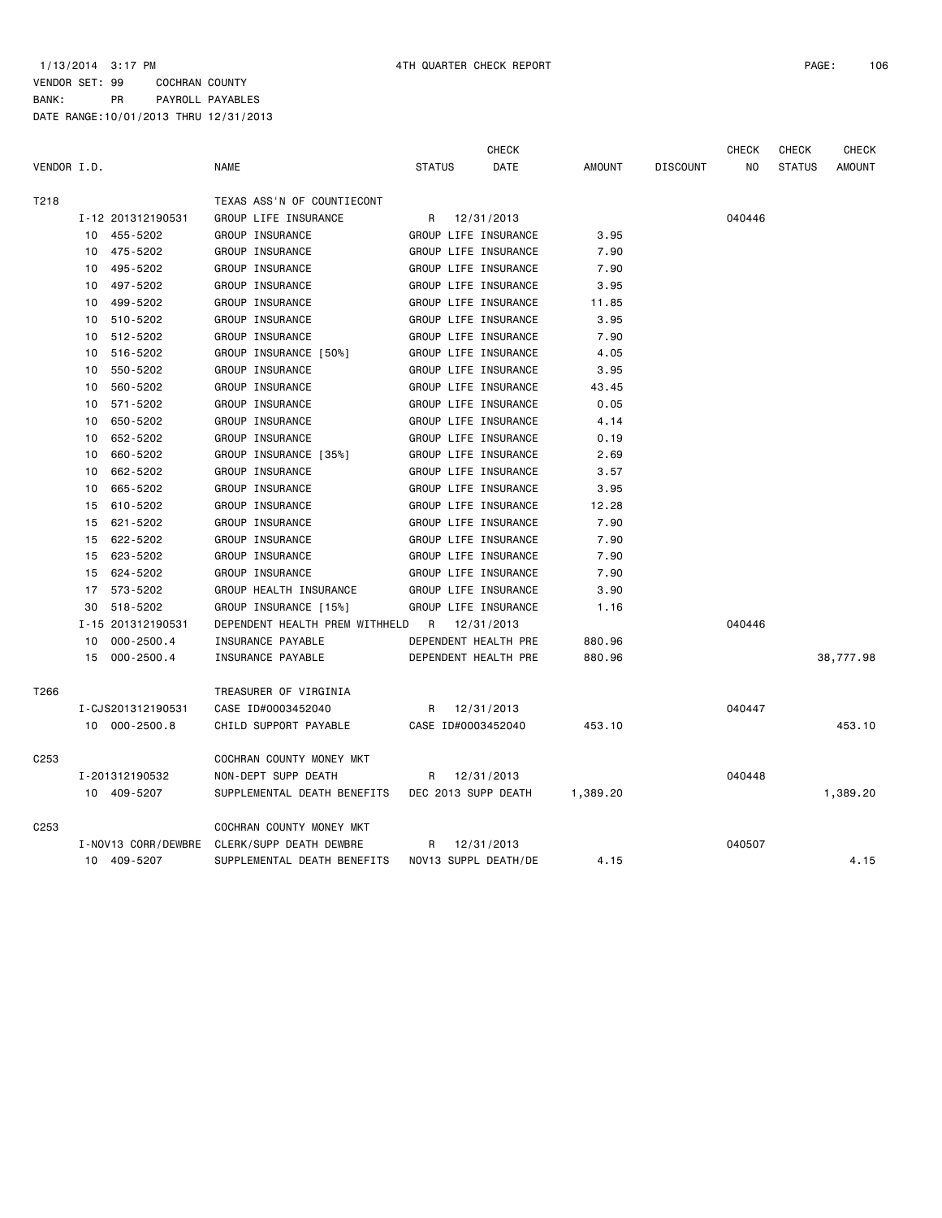|                  |                      |                                | <b>CHECK</b>          |               |                 | <b>CHECK</b> | <b>CHECK</b>  | <b>CHECK</b>  |
|------------------|----------------------|--------------------------------|-----------------------|---------------|-----------------|--------------|---------------|---------------|
| VENDOR I.D.      |                      | <b>NAME</b>                    | <b>STATUS</b><br>DATE | <b>AMOUNT</b> | <b>DISCOUNT</b> | NO.          | <b>STATUS</b> | <b>AMOUNT</b> |
| T218             |                      | TEXAS ASS'N OF COUNTIECONT     |                       |               |                 |              |               |               |
|                  | I-12 201312190531    | GROUP LIFE INSURANCE           | 12/31/2013<br>R       |               |                 | 040446       |               |               |
|                  | 10 455-5202          | GROUP INSURANCE                | GROUP LIFE INSURANCE  | 3.95          |                 |              |               |               |
|                  | 475-5202<br>10       | GROUP INSURANCE                | GROUP LIFE INSURANCE  | 7.90          |                 |              |               |               |
|                  | 495-5202<br>10       | GROUP INSURANCE                | GROUP LIFE INSURANCE  | 7.90          |                 |              |               |               |
|                  | 497-5202<br>10       | GROUP INSURANCE                | GROUP LIFE INSURANCE  | 3.95          |                 |              |               |               |
|                  | 499-5202<br>10       | GROUP INSURANCE                | GROUP LIFE INSURANCE  | 11.85         |                 |              |               |               |
|                  | 510-5202<br>10       | GROUP INSURANCE                | GROUP LIFE INSURANCE  | 3.95          |                 |              |               |               |
|                  | 512-5202<br>10       | GROUP INSURANCE                | GROUP LIFE INSURANCE  | 7.90          |                 |              |               |               |
|                  | 516-5202<br>10       | GROUP INSURANCE [50%]          | GROUP LIFE INSURANCE  | 4.05          |                 |              |               |               |
|                  | 550-5202<br>10       | GROUP INSURANCE                | GROUP LIFE INSURANCE  | 3.95          |                 |              |               |               |
|                  | 560-5202<br>10       | GROUP INSURANCE                | GROUP LIFE INSURANCE  | 43.45         |                 |              |               |               |
|                  | 571-5202<br>10       | GROUP INSURANCE                | GROUP LIFE INSURANCE  | 0.05          |                 |              |               |               |
|                  | 650-5202<br>10       | GROUP INSURANCE                | GROUP LIFE INSURANCE  | 4.14          |                 |              |               |               |
|                  | 652-5202<br>10       | GROUP INSURANCE                | GROUP LIFE INSURANCE  | 0.19          |                 |              |               |               |
|                  | 660-5202<br>10       | GROUP INSURANCE [35%]          | GROUP LIFE INSURANCE  | 2.69          |                 |              |               |               |
|                  | 662-5202<br>10       | GROUP INSURANCE                | GROUP LIFE INSURANCE  | 3.57          |                 |              |               |               |
|                  | 665-5202<br>10       | GROUP INSURANCE                | GROUP LIFE INSURANCE  | 3.95          |                 |              |               |               |
|                  | 610-5202<br>15       | GROUP INSURANCE                | GROUP LIFE INSURANCE  | 12.28         |                 |              |               |               |
|                  | 621-5202<br>15       | GROUP INSURANCE                | GROUP LIFE INSURANCE  | 7.90          |                 |              |               |               |
|                  | 622-5202<br>15       | GROUP INSURANCE                | GROUP LIFE INSURANCE  | 7.90          |                 |              |               |               |
|                  | 623-5202<br>15       | GROUP INSURANCE                | GROUP LIFE INSURANCE  | 7.90          |                 |              |               |               |
|                  | 624-5202<br>15       | GROUP INSURANCE                | GROUP LIFE INSURANCE  | 7.90          |                 |              |               |               |
|                  | 573-5202<br>17       | GROUP HEALTH INSURANCE         | GROUP LIFE INSURANCE  | 3.90          |                 |              |               |               |
|                  | 518-5202<br>30       | GROUP INSURANCE [15%]          | GROUP LIFE INSURANCE  | 1.16          |                 |              |               |               |
|                  | I-15 201312190531    | DEPENDENT HEALTH PREM WITHHELD | R<br>12/31/2013       |               |                 | 040446       |               |               |
|                  | $000 - 2500.4$<br>10 | INSURANCE PAYABLE              | DEPENDENT HEALTH PRE  | 880.96        |                 |              |               |               |
|                  | 15<br>000-2500.4     | INSURANCE PAYABLE              | DEPENDENT HEALTH PRE  | 880.96        |                 |              |               | 38,777.98     |
| T266             |                      | TREASURER OF VIRGINIA          |                       |               |                 |              |               |               |
|                  | I-CJS201312190531    | CASE ID#0003452040             | R<br>12/31/2013       |               |                 | 040447       |               |               |
|                  | 10 000-2500.8        | CHILD SUPPORT PAYABLE          | CASE ID#0003452040    | 453.10        |                 |              |               | 453.10        |
| C <sub>253</sub> |                      | COCHRAN COUNTY MONEY MKT       |                       |               |                 |              |               |               |
|                  | I-201312190532       | NON-DEPT SUPP DEATH            | 12/31/2013<br>R       |               |                 | 040448       |               |               |
|                  | 10 409-5207          | SUPPLEMENTAL DEATH BENEFITS    | DEC 2013 SUPP DEATH   | 1,389.20      |                 |              |               | 1,389.20      |
| C <sub>253</sub> |                      | COCHRAN COUNTY MONEY MKT       |                       |               |                 |              |               |               |
|                  | I-NOV13 CORR/DEWBRE  | CLERK/SUPP DEATH DEWBRE        | 12/31/2013<br>R       |               |                 | 040507       |               |               |
|                  | 10 409-5207          | SUPPLEMENTAL DEATH BENEFITS    | NOV13 SUPPL DEATH/DE  | 4.15          |                 |              |               | 4.15          |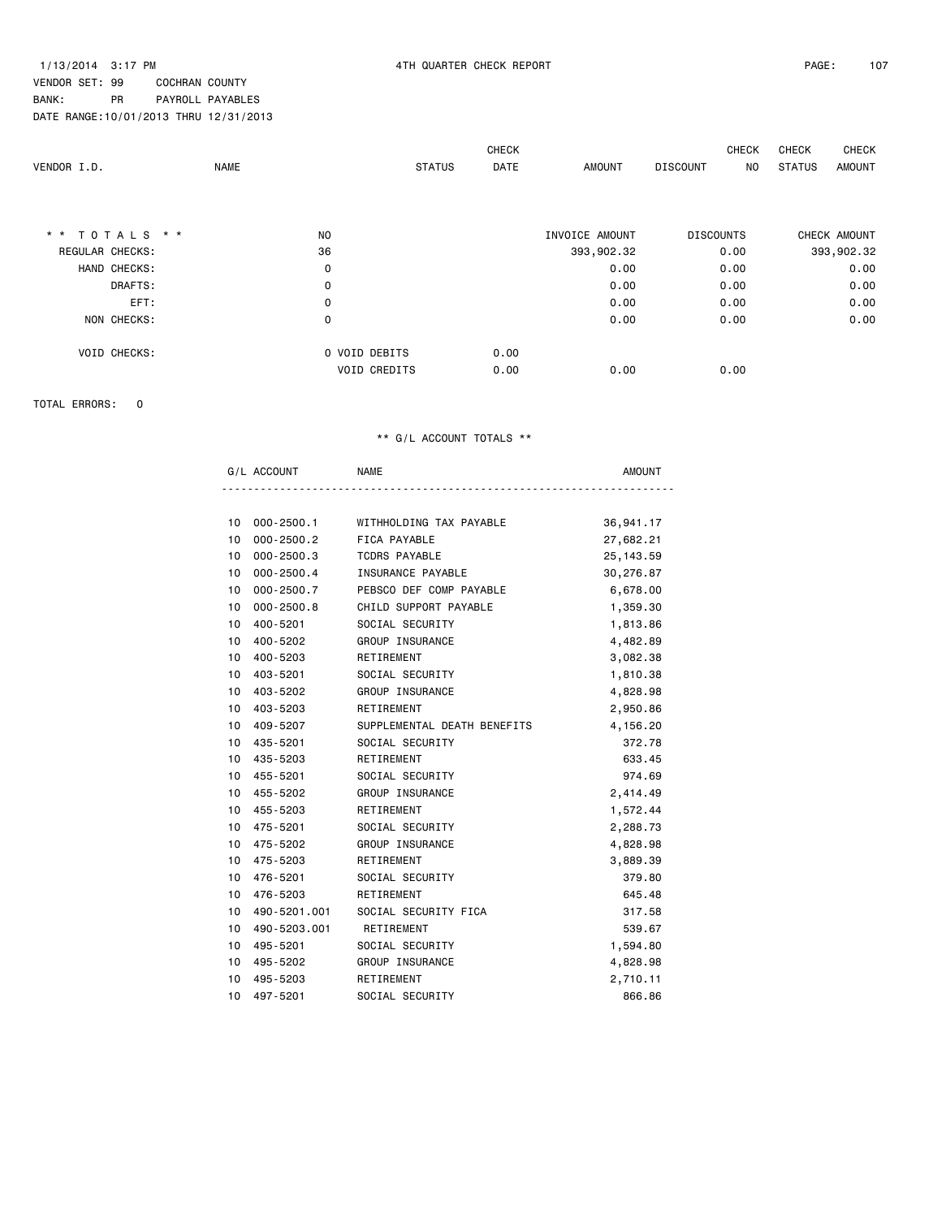|                        |      |                      | <b>CHECK</b> |                | CHECK                  | CHECK         | CHECK        |
|------------------------|------|----------------------|--------------|----------------|------------------------|---------------|--------------|
| VENDOR I.D.            | NAME | <b>STATUS</b>        | <b>DATE</b>  | AMOUNT         | <b>DISCOUNT</b><br>NO. | <b>STATUS</b> | AMOUNT       |
|                        |      |                      |              |                |                        |               |              |
| * * TOTALS * *         | NO.  |                      |              | INVOICE AMOUNT | <b>DISCOUNTS</b>       |               | CHECK AMOUNT |
| <b>REGULAR CHECKS:</b> | 36   |                      |              | 393,902.32     | 0.00                   |               | 393,902.32   |
| HAND CHECKS:           | 0    |                      |              | 0.00           | 0.00                   |               | 0.00         |
| DRAFTS:                | 0    |                      |              | 0.00           | 0.00                   |               | 0.00         |
| EFT:                   | 0    |                      |              | 0.00           | 0.00                   |               | 0.00         |
| NON CHECKS:            | 0    |                      |              | 0.00           | 0.00                   |               | 0.00         |
| VOID CHECKS:           |      | <b>0 VOID DEBITS</b> | 0.00         |                |                        |               |              |
|                        |      | <b>VOID CREDITS</b>  | 0.00         | 0.00           | 0.00                   |               |              |

TOTAL ERRORS: 0

| G/L ACCOUNT          | <b>NAME</b>                 | <b>AMOUNT</b> |
|----------------------|-----------------------------|---------------|
|                      |                             |               |
| 000-2500.1<br>10     | WITHHOLDING TAX PAYABLE     | 36,941.17     |
| $000 - 2500.2$<br>10 | FICA PAYABLE                | 27,682.21     |
| 10<br>$000 - 2500.3$ | <b>TCDRS PAYABLE</b>        | 25, 143.59    |
| $000 - 2500.4$<br>10 | INSURANCE PAYABLE           | 30,276.87     |
| $000 - 2500.7$<br>10 | PEBSCO DEF COMP PAYABLE     | 6,678.00      |
| $000 - 2500.8$<br>10 | CHILD SUPPORT PAYABLE       | 1,359.30      |
| 400-5201<br>10       | SOCIAL SECURITY             | 1,813.86      |
| 10<br>400-5202       | GROUP INSURANCE             | 4,482.89      |
| 400-5203<br>10       | RETIREMENT                  | 3,082.38      |
| 403-5201<br>10       | SOCIAL SECURITY             | 1,810.38      |
| 403-5202<br>10       | GROUP INSURANCE             | 4,828.98      |
| 403-5203<br>10       | RETIREMENT                  | 2,950.86      |
| 409-5207<br>10       | SUPPLEMENTAL DEATH BENEFITS | 4,156.20      |
| 435-5201<br>10       | SOCIAL SECURITY             | 372.78        |
| 10<br>435-5203       | RETIREMENT                  | 633.45        |
| 455-5201<br>10       | SOCIAL SECURITY             | 974.69        |
| 455-5202<br>10       | <b>GROUP INSURANCE</b>      | 2,414.49      |
| 455-5203<br>10       | RETIREMENT                  | 1,572.44      |
| 475-5201<br>10       | SOCIAL SECURITY             | 2,288.73      |
| 10<br>475-5202       | GROUP INSURANCE             | 4,828.98      |
| 475-5203<br>10       | RETIREMENT                  | 3,889.39      |
| 476-5201<br>10       | SOCIAL SECURITY             | 379.80        |
| 10<br>476-5203       | RETIREMENT                  | 645.48        |
| 490-5201.001<br>10   | SOCIAL SECURITY FICA        | 317.58        |
| 490-5203.001<br>10   | RETIREMENT                  | 539.67        |
| 495-5201<br>10       | SOCIAL SECURITY             | 1,594.80      |
| 10<br>495-5202       | GROUP INSURANCE             | 4,828.98      |
| 495-5203<br>10       | RETIREMENT                  | 2,710.11      |
| 10<br>497-5201       | SOCIAL SECURITY             | 866.86        |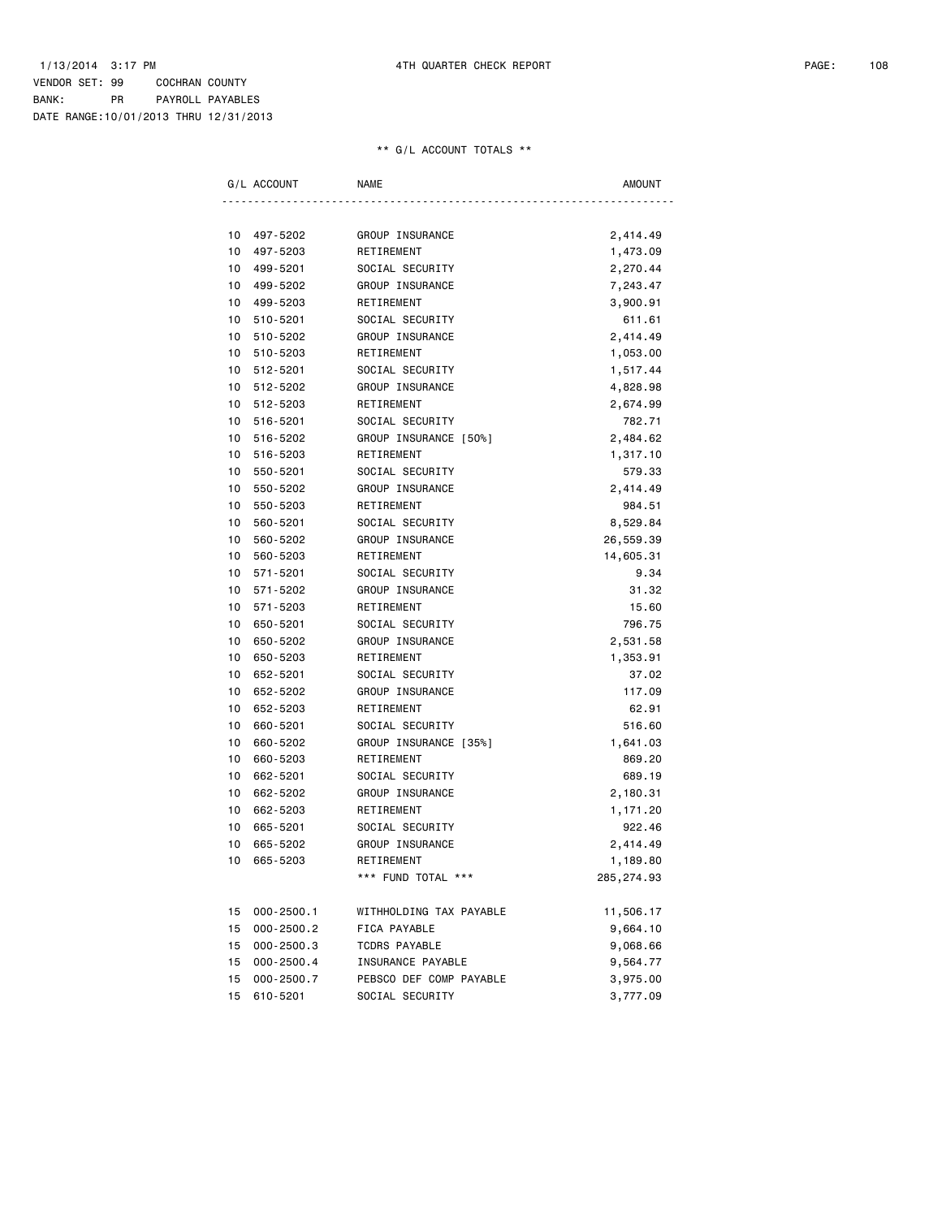| G/L ACCOUNT          | NAME                    | AMOUNT      |
|----------------------|-------------------------|-------------|
|                      |                         |             |
| 497-5202<br>10       | GROUP INSURANCE         | 2,414.49    |
| 497-5203<br>10       | RETIREMENT              | 1,473.09    |
| 499-5201<br>10       | SOCIAL SECURITY         | 2,270.44    |
| 499-5202<br>10       | GROUP INSURANCE         | 7,243.47    |
| 10<br>499-5203       | RETIREMENT              | 3,900.91    |
| 10<br>510-5201       | SOCIAL SECURITY         | 611.61      |
| 10<br>510-5202       | GROUP INSURANCE         | 2,414.49    |
| 10<br>510-5203       | RETIREMENT              | 1,053.00    |
| 512-5201<br>10       | SOCIAL SECURITY         | 1,517.44    |
| 512-5202<br>10       | GROUP INSURANCE         | 4,828.98    |
| 10<br>512-5203       | RETIREMENT              | 2,674.99    |
| 516-5201<br>10       | SOCIAL SECURITY         | 782.71      |
| 10<br>516-5202       | GROUP INSURANCE [50%]   | 2,484.62    |
| 10<br>516-5203       | RETIREMENT              | 1,317.10    |
| 550-5201<br>10       | SOCIAL SECURITY         | 579.33      |
| 550-5202<br>10       | GROUP INSURANCE         | 2,414.49    |
| 10<br>550-5203       | RETIREMENT              | 984.51      |
| 560-5201<br>10       | SOCIAL SECURITY         | 8,529.84    |
| 10<br>560-5202       | GROUP INSURANCE         | 26,559.39   |
| 10<br>560-5203       | RETIREMENT              | 14,605.31   |
| 571-5201<br>10       | SOCIAL SECURITY         | 9.34        |
| 571-5202<br>10       | GROUP INSURANCE         | 31.32       |
| 10<br>571-5203       | RETIREMENT              | 15.60       |
| 650-5201<br>10       | SOCIAL SECURITY         | 796.75      |
| 10<br>650-5202       | GROUP INSURANCE         | 2,531.58    |
| 10<br>650-5203       | RETIREMENT              | 1,353.91    |
| 652-5201<br>10       | SOCIAL SECURITY         | 37.02       |
| 652-5202<br>10       | GROUP INSURANCE         | 117.09      |
| 10<br>652-5203       | RETIREMENT              | 62.91       |
| 660-5201<br>10       | SOCIAL SECURITY         | 516.60      |
| 10<br>660-5202       | GROUP INSURANCE [35%]   | 1,641.03    |
| 10<br>660-5203       | RETIREMENT              | 869.20      |
| 662-5201<br>10       | SOCIAL SECURITY         | 689.19      |
| 10<br>662-5202       | GROUP INSURANCE         | 2,180.31    |
| 10<br>662-5203       | RETIREMENT              | 1,171.20    |
| 10<br>665-5201       | SOCIAL SECURITY         | 922.46      |
| 10<br>665-5202       | GROUP INSURANCE         | 2,414.49    |
| 10 665-5203          | RETIREMENT              | 1,189.80    |
|                      | *** FUND TOTAL ***      | 285, 274.93 |
|                      |                         |             |
| $000 - 2500.1$<br>15 | WITHHOLDING TAX PAYABLE | 11,506.17   |
| $000 - 2500.2$<br>15 | FICA PAYABLE            | 9,664.10    |
| $000 - 2500.3$<br>15 | TCDRS PAYABLE           | 9,068.66    |
| 15<br>$000 - 2500.4$ | INSURANCE PAYABLE       | 9,564.77    |
| $000 - 2500.7$<br>15 | PEBSCO DEF COMP PAYABLE | 3,975.00    |
| 610-5201<br>15       | SOCIAL SECURITY         | 3,777.09    |
|                      |                         |             |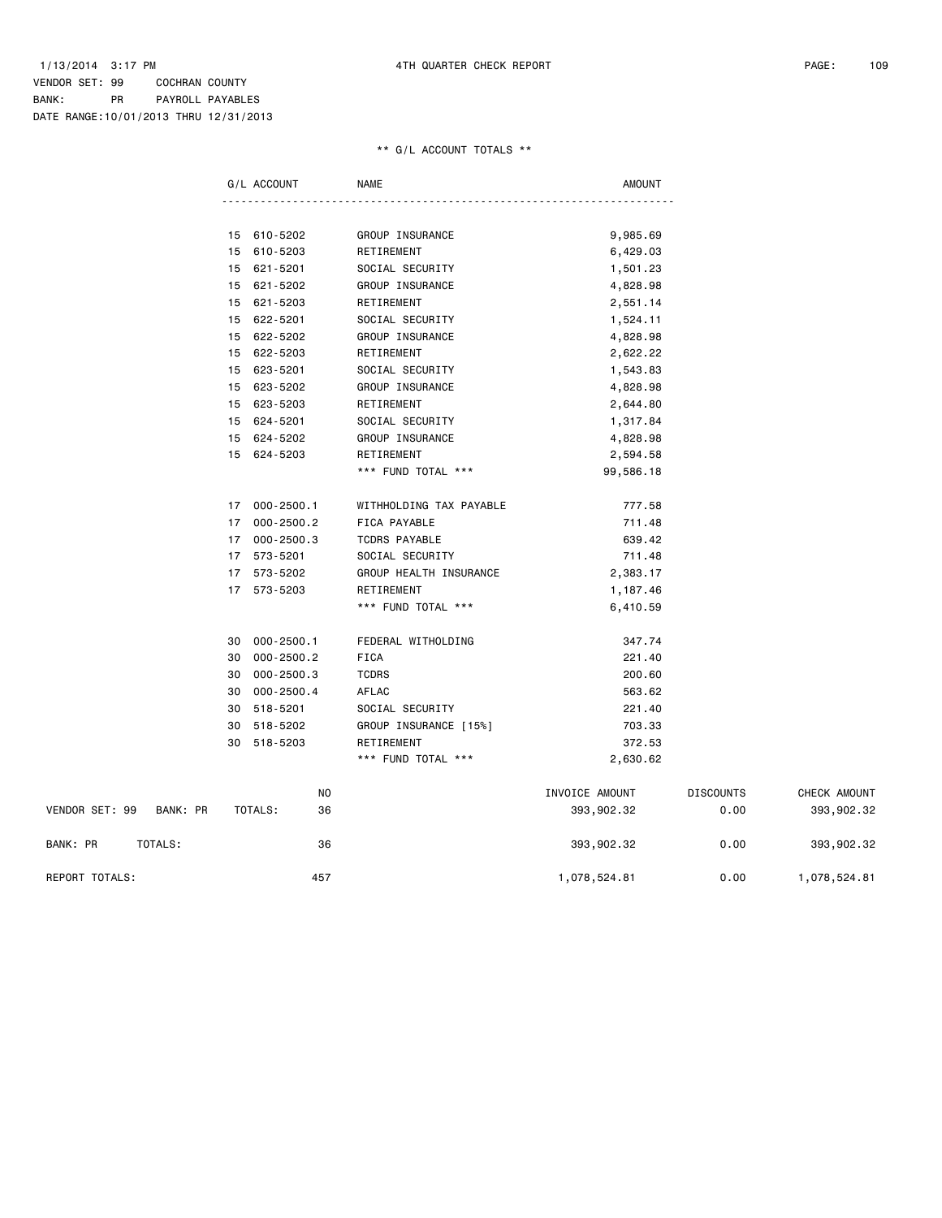## VENDOR SET: 99 COCHRAN COUNTY BANK: PR PAYROLL PAYABLES DATE RANGE:10/01/2013 THRU 12/31/2013

## \*\* G/L ACCOUNT TOTALS \*\*

|                |          |    | G/L ACCOUNT    | <b>NAME</b>             | <b>AMOUNT</b>  |                  |              |
|----------------|----------|----|----------------|-------------------------|----------------|------------------|--------------|
|                |          |    |                |                         |                |                  |              |
|                |          | 15 | 610-5202       | GROUP INSURANCE         | 9,985.69       |                  |              |
|                |          |    | 15 610-5203    | RETIREMENT              | 6,429.03       |                  |              |
|                |          |    | 15 621-5201    | SOCIAL SECURITY         | 1,501.23       |                  |              |
|                |          | 15 | 621-5202       | GROUP INSURANCE         | 4,828.98       |                  |              |
|                |          | 15 | 621-5203       | RETIREMENT              | 2,551.14       |                  |              |
|                |          | 15 | 622-5201       | SOCIAL SECURITY         | 1,524.11       |                  |              |
|                |          | 15 | 622-5202       | GROUP INSURANCE         | 4,828.98       |                  |              |
|                |          | 15 | 622-5203       | RETIREMENT              | 2,622.22       |                  |              |
|                |          | 15 | 623-5201       | SOCIAL SECURITY         | 1,543.83       |                  |              |
|                |          |    | 15 623-5202    | GROUP INSURANCE         | 4,828.98       |                  |              |
|                |          |    | 15 623-5203    | RETIREMENT              | 2,644.80       |                  |              |
|                |          |    | 15 624-5201    | SOCIAL SECURITY         | 1,317.84       |                  |              |
|                |          |    | 15 624-5202    | GROUP INSURANCE         | 4,828.98       |                  |              |
|                |          |    | 15 624-5203    | RETIREMENT              | 2,594.58       |                  |              |
|                |          |    |                | *** FUND TOTAL ***      | 99,586.18      |                  |              |
|                |          | 17 | 000-2500.1     | WITHHOLDING TAX PAYABLE | 777.58         |                  |              |
|                |          |    | 17 000-2500.2  | FICA PAYABLE            | 711.48         |                  |              |
|                |          | 17 | $000 - 2500.3$ | TCDRS PAYABLE           | 639.42         |                  |              |
|                |          | 17 | 573-5201       | SOCIAL SECURITY         | 711.48         |                  |              |
|                |          |    | 17 573-5202    | GROUP HEALTH INSURANCE  | 2,383.17       |                  |              |
|                |          |    | 17 573-5203    | RETIREMENT              | 1,187.46       |                  |              |
|                |          |    |                | *** FUND TOTAL ***      | 6,410.59       |                  |              |
|                |          |    | 30 000-2500.1  | FEDERAL WITHOLDING      | 347.74         |                  |              |
|                |          | 30 | $000 - 2500.2$ | <b>FICA</b>             | 221.40         |                  |              |
|                |          | 30 | $000 - 2500.3$ | <b>TCDRS</b>            | 200.60         |                  |              |
|                |          | 30 | 000-2500.4     | AFLAC                   | 563.62         |                  |              |
|                |          | 30 | 518-5201       | SOCIAL SECURITY         | 221.40         |                  |              |
|                |          | 30 | 518-5202       | GROUP INSURANCE [15%]   | 703.33         |                  |              |
|                |          | 30 | 518-5203       | RETIREMENT              | 372.53         |                  |              |
|                |          |    |                | *** FUND TOTAL ***      | 2,630.62       |                  |              |
|                |          |    | NO             |                         | INVOICE AMOUNT | <b>DISCOUNTS</b> | CHECK AMOUNT |
| VENDOR SET: 99 | BANK: PR |    | TOTALS:<br>36  |                         | 393,902.32     | 0.00             | 393,902.32   |
| BANK: PR       | TOTALS:  |    | 36             |                         | 393,902.32     | 0.00             | 393,902.32   |

REPORT TOTALS: 457 1,078,524.81 0.00 1,078,524.81